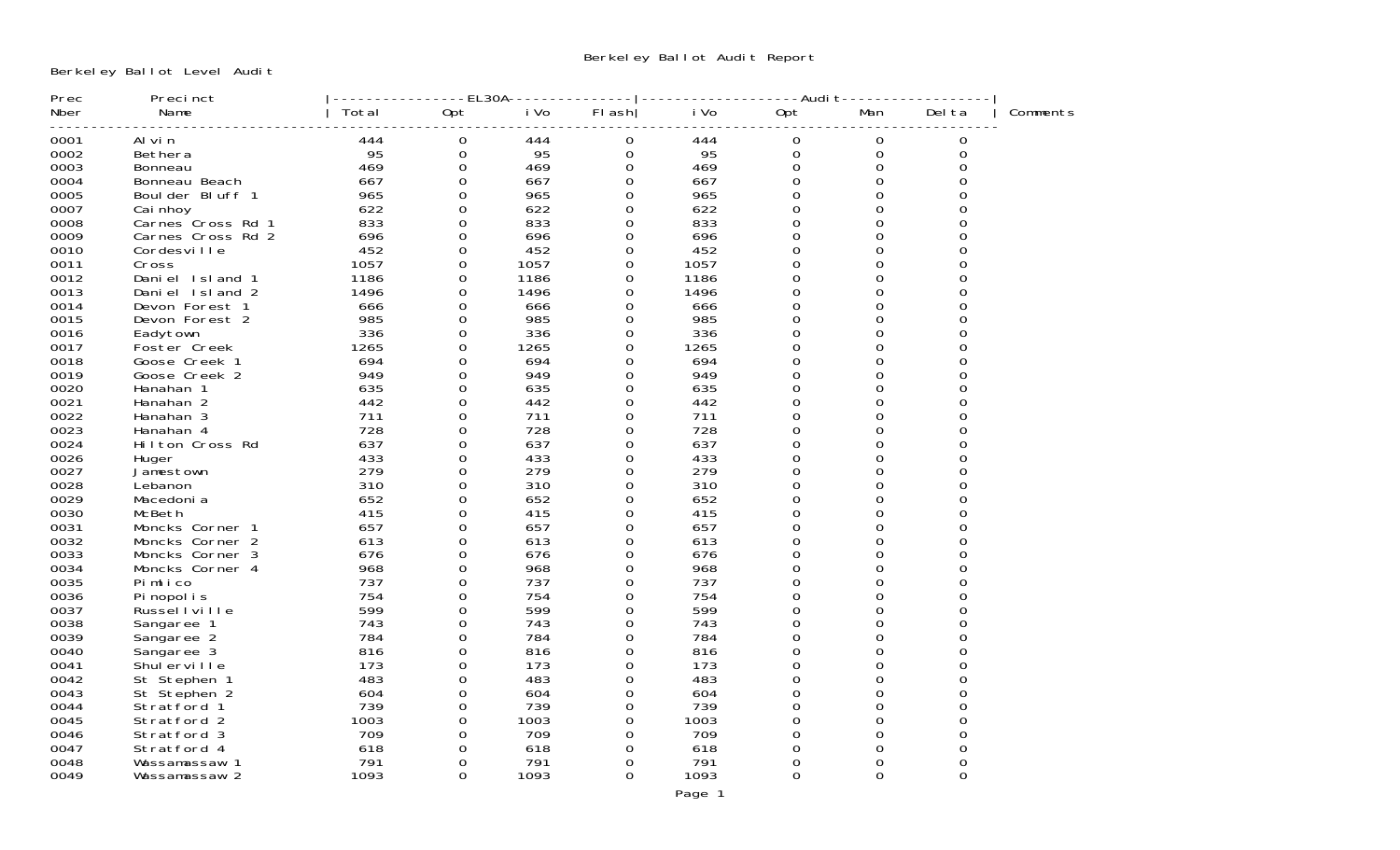Berkeley Ballot Level Audit

| Prec | Precinct          |       | EL30A-   |      |          |      | -Audit-  |          |        |          |
|------|-------------------|-------|----------|------|----------|------|----------|----------|--------|----------|
| Nber | Name              | Total | 0pt      | i Vo | FI ash   | i Vo | Opt      | Man      | Del ta | Comments |
| 0001 | Al vi n           | 444   | 0        | 444  | 0        | 444  | 0        | 0        | 0      |          |
| 0002 | Bethera           | 95    | 0        | 95   | 0        | 95   | 0        | 0        | 0      |          |
| 0003 | Bonneau           | 469   | $\Omega$ | 469  | $\Omega$ | 469  | $\Omega$ | 0        | 0      |          |
| 0004 | Bonneau Beach     | 667   | 0        | 667  | 0        | 667  | 0        | 0        | 0      |          |
| 0005 | Boulder Bluff 1   | 965   | $\Omega$ | 965  | 0        | 965  | 0        | 0        | 0      |          |
| 0007 | Cai nhoy          | 622   | 0        | 622  | 0        | 622  | 0        | 0        | 0      |          |
| 0008 | Carnes Cross Rd 1 | 833   | $\Omega$ | 833  | $\Omega$ | 833  | $\Omega$ | 0        | O      |          |
| 0009 | Carnes Cross Rd 2 | 696   | 0        | 696  | 0        | 696  | 0        | 0        | 0      |          |
| 0010 | Cordesville       | 452   | $\Omega$ | 452  | 0        | 452  | 0        | 0        |        |          |
| 0011 | Cross             | 1057  | 0        | 1057 | 0        | 1057 | 0        | 0        | 0      |          |
| 0012 | Daniel Island 1   | 1186  | $\Omega$ | 1186 | $\Omega$ | 1186 | $\Omega$ | 0        |        |          |
| 0013 | Daniel Island 2   | 1496  | $\Omega$ | 1496 | 0        | 1496 | 0        | 0        | ∩      |          |
| 0014 | Devon Forest 1    | 666   | $\Omega$ | 666  | 0        | 666  | 0        | 0        |        |          |
| 0015 | Devon Forest 2    | 985   | 0        | 985  | 0        | 985  | 0        | 0        |        |          |
| 0016 | Eadytown          | 336   | $\Omega$ | 336  | $\Omega$ | 336  | $\Omega$ | $\Omega$ | ∩      |          |
| 0017 | Foster Creek      | 1265  | $\Omega$ | 1265 | $\Omega$ | 1265 | $\Omega$ | 0        |        |          |
| 0018 | Goose Creek 1     | 694   | $\Omega$ | 694  | $\Omega$ | 694  | 0        | 0        | ∩      |          |
| 0019 | Goose Creek 2     | 949   | $\Omega$ | 949  | 0        | 949  | 0        | 0        |        |          |
| 0020 | Hanahan 1         | 635   | $\Omega$ | 635  | $\Omega$ | 635  | $\Omega$ | 0        | O      |          |
| 0021 | Hanahan 2         | 442   | 0        | 442  | $\Omega$ | 442  | $\Omega$ | 0        |        |          |
| 0022 | Hanahan 3         | 711   | $\Omega$ | 711  | 0        | 711  | 0        | 0        | ∩      |          |
| 0023 | Hanahan 4         | 728   | $\Omega$ | 728  | 0        | 728  | 0        | 0        | 0      |          |
| 0024 | Hilton Cross Rd   | 637   | $\Omega$ | 637  | $\Omega$ | 637  | 0        | 0        | U      |          |
| 0026 | Huger             | 433   | $\Omega$ | 433  | $\Omega$ | 433  | $\Omega$ | 0        | 0      |          |
| 0027 | Jamestown         | 279   | $\Omega$ | 279  | $\Omega$ | 279  | 0        | 0        | 0      |          |
| 0028 | Lebanon           | 310   | $\Omega$ | 310  | 0        | 310  | 0        | 0        | 0      |          |
| 0029 | Macedoni a        | 652   | 0        | 652  | 0        | 652  | 0        | 0        | 0      |          |
| 0030 | McBeth            | 415   | $\Omega$ | 415  | $\Omega$ | 415  | $\Omega$ | 0        | 0      |          |
| 0031 | Moncks Corner 1   | 657   | 0        | 657  | 0        | 657  | 0        | 0        | 0      |          |
| 0032 | Moncks Corner 2   | 613   | $\Omega$ | 613  | $\Omega$ | 613  | 0        | 0        | 0      |          |
| 0033 | Moncks Corner 3   | 676   | 0        | 676  | 0        | 676  | 0        | 0        | O      |          |
| 0034 | Moncks Corner 4   | 968   | $\Omega$ | 968  | $\Omega$ | 968  | $\Omega$ | 0        |        |          |
| 0035 | Pimlico           | 737   | 0        | 737  | 0        | 737  | 0        | 0        | 0      |          |
| 0036 | Pi nopol i s      | 754   | $\Omega$ | 754  | $\Omega$ | 754  | 0        | 0        |        |          |
| 0037 | Russel I ville    | 599   | 0        | 599  | 0        | 599  | 0        | 0        | 0      |          |
| 0038 | Sangaree 1        | 743   | $\Omega$ | 743  | $\Omega$ | 743  | $\Omega$ | $\Omega$ | O      |          |
| 0039 | Sangaree 2        | 784   | 0        | 784  | $\Omega$ | 784  | $\Omega$ | 0        | 0      |          |
| 0040 | Sangaree 3        | 816   | $\Omega$ | 816  | 0        | 816  | 0        | 0        | ∩      |          |
| 0041 | Shul erville      | 173   | 0        | 173  | 0        | 173  | 0        | 0        | 0      |          |
| 0042 | St Stephen 1      | 483   | $\Omega$ | 483  | $\Omega$ | 483  | $\Omega$ | 0        | O      |          |
| 0043 | St Stephen 2      | 604   | $\Omega$ | 604  | $\Omega$ | 604  | $\Omega$ | 0        | 0      |          |
| 0044 | Stratford 1       | 739   | $\Omega$ | 739  | 0        | 739  | 0        | 0        | 0      |          |
| 0045 | Stratford 2       | 1003  | 0        | 1003 | 0        | 1003 | 0        | 0        | 0      |          |
| 0046 | Stratford 3       | 709   | $\Omega$ | 709  | 0        | 709  | $\Omega$ | 0        | 0      |          |
| 0047 | Stratford 4       | 618   | 0        | 618  | 0        | 618  | 0        | 0        | 0      |          |
| 0048 | Wassamassaw 1     | 791   | $\Omega$ | 791  | 0        | 791  | 0        | 0        | 0      |          |
| 0049 | Wassamassaw 2     | 1093  | 0        | 1093 | 0        | 1093 | 0        | 0        | 0      |          |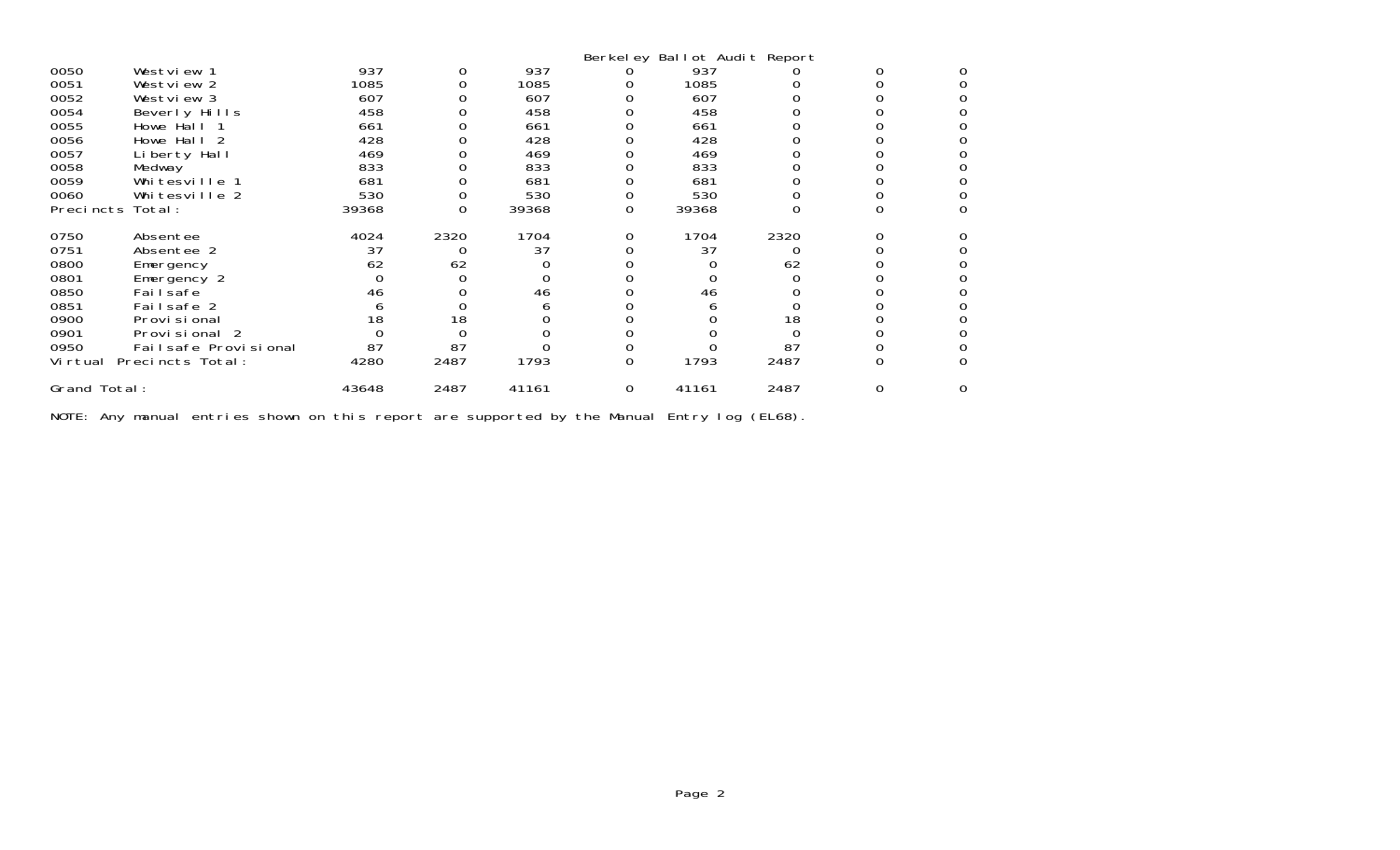|                  |                      |       |          |       |          | Berkeley Ballot Audit Report |      |   |   |
|------------------|----------------------|-------|----------|-------|----------|------------------------------|------|---|---|
| 0050             | Westview 1           | 937   |          | 937   |          | 937                          |      |   |   |
| 0051             | Westview 2           | 1085  |          | 1085  |          | 1085                         |      |   |   |
| 0052             | Westview 3           | 607   |          | 607   |          | 607                          |      |   |   |
| 0054             | Beverly Hills        | 458   |          | 458   |          | 458                          |      |   |   |
| 0055             | Howe Hall 1          | 661   |          | 661   |          | 661                          |      |   |   |
| 0056             | Howe Hall 2          | 428   |          | 428   |          | 428                          |      |   |   |
| 0057             | Liberty Hall         | 469   |          | 469   |          | 469                          |      |   |   |
| 0058             | Medway               | 833   |          | 833   |          | 833                          |      |   |   |
| 0059             | Whitesville 1        | 681   |          | 681   |          | 681                          |      |   |   |
| 0060             | Whitesville 2        | 530   |          | 530   |          | 530                          |      |   |   |
| Precincts Total: |                      | 39368 | O        | 39368 | 0        | 39368                        |      |   |   |
| 0750             | Absentee             | 4024  | 2320     | 1704  |          | 1704                         | 2320 |   |   |
| 0751             | Absentee 2           | 37    | $\Omega$ | 37    |          | 37                           |      |   |   |
| 0800             | Emergency            | 62    | 62       |       |          |                              | 62   |   |   |
| 0801             | Emergency 2          |       |          |       |          |                              |      |   |   |
| 0850             | Fai I safe           | 46    |          | 46    |          | 46                           |      |   |   |
| 0851             | Failsafe 2           |       |          |       |          |                              |      |   |   |
| 0900             | Provi si onal        | 18    | 18       |       |          |                              | 18   |   |   |
| 0901             | Provisional 2        |       |          |       |          |                              |      |   |   |
| 0950             | Failsafe Provisional | 87    | 87       |       |          |                              | 87   |   |   |
| Vi rtual         | Precincts Total:     | 4280  | 2487     | 1793  | 0        | 1793                         | 2487 |   |   |
| Grand Total:     |                      | 43648 | 2487     | 41161 | $\Omega$ | 41161                        | 2487 | O | 0 |

NOTE: Any manual entries shown on this report are supported by the Manual Entry log (EL68).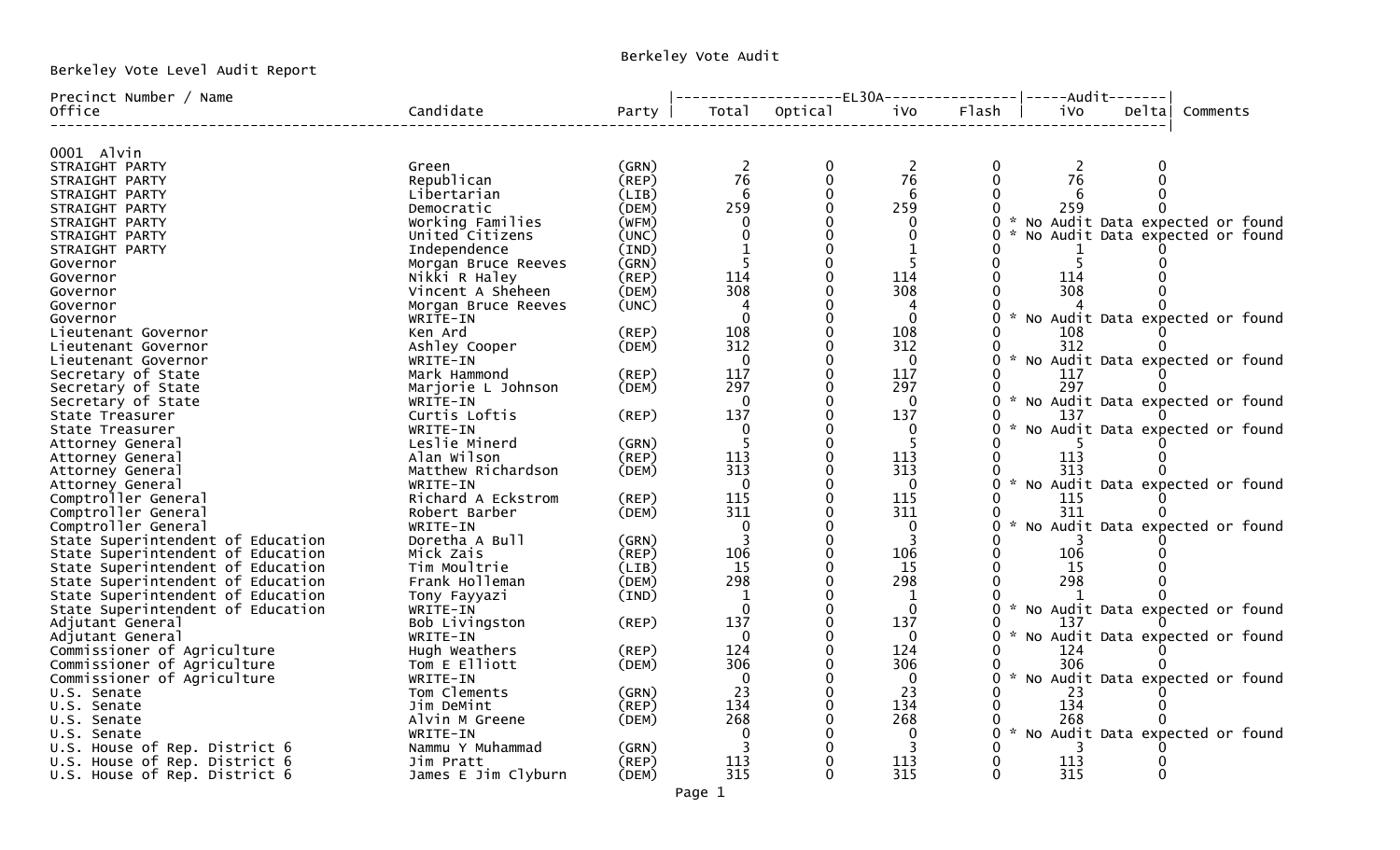Berkeley Vote Level Audit Report

## Berkeley Vote Audit

| Precinct Number / Name            |                     |          |                |         |              | -------EL30A----------------- <br>-----Audit------- |  |
|-----------------------------------|---------------------|----------|----------------|---------|--------------|-----------------------------------------------------|--|
| Office                            | Candidate           | Party    | Total          | Optical | iVo          | Flash<br>i Vo<br>Deltal<br>Comments                 |  |
|                                   |                     |          |                |         |              |                                                     |  |
| 0001 Alvin                        |                     | (GRN)    |                | 0       |              |                                                     |  |
| STRAIGHT PARTY                    | Green               |          | 76             |         | 76           | 2<br>76                                             |  |
| STRAIGHT PARTY                    | Republican          | (REP)    |                |         |              |                                                     |  |
| STRAIGHT PARTY                    | Libertarian         | (LIB)    | 6              |         | 6            |                                                     |  |
| STRAIGHT PARTY                    | Democratic          | (DEM)    | 259            |         | 259          | 259                                                 |  |
| STRAIGHT PARTY                    | Working Families    | (WFM)    | $\Omega$       |         | 0            | * No Audit Data expected or found                   |  |
| STRAIGHT PARTY                    | United Citizens     | (UNC)    |                |         |              | No Audit Data expected or found                     |  |
| STRAIGHT PARTY                    | Independence        | (IND)    | $\mathbf{1}$   |         |              |                                                     |  |
| Governor                          | Morgan Bruce Reeves | (GRN)    |                | 0       |              | 5                                                   |  |
| Governor                          | Nikki R Haley       | (REP)    | 114            |         | 114          | 114                                                 |  |
| Governor                          | Vincent A Sheheen   | (DEM)    | 308            |         | 308          | 308                                                 |  |
| Governor                          | Morgan Bruce Reeves | (UNC)    |                |         |              |                                                     |  |
| Governor                          | WRITE-IN            |          | $\Omega$       |         | $\Omega$     | * No Audit Data expected or found                   |  |
| Lieutenant Governor               | Ken Ard             | (REP)    | 108            |         | 108          | 108                                                 |  |
| Lieutenant Governor               | Ashley Cooper       | (DEM)    | 312            |         | 312          | 312                                                 |  |
| Lieutenant Governor               | WRITE-IN            |          | 0              |         | 0            | * No Audit Data expected or found                   |  |
| Secretary of State                | Mark Hammond        | (REP)    | 117            |         | 117          | 117                                                 |  |
| Secretary of State                | Marjorie L Johnson  | (DEM)    | 297            |         | 297          | 297<br>O                                            |  |
| Secretary of State                | WRITE-IN            |          | $\Omega$       |         | $\mathbf{0}$ | * No Audit Data expected or found                   |  |
| State Treasurer                   | Curtis Loftis       | (REP)    | 137            |         | 137          | 137                                                 |  |
| State Treasurer                   | WRITE-IN            |          | $\Omega$       |         | $\Omega$     | * No Audit Data expected or found                   |  |
| Attorney General                  | Leslie Minerd       | (GRN)    | .5             |         |              |                                                     |  |
| Attorney General                  | Alan Wilson         | $($ REP) | 113            |         | 113          | 113                                                 |  |
| Attorney General                  | Matthew Richardson  | (DEM)    | 313            |         | 313          | 313                                                 |  |
| Attorney General                  | WRITE-IN            |          | $\mathbf{0}$   |         | 0            | * No Audit Data expected or found                   |  |
| Comptroller General               | Richard A Eckstrom  | (REP)    | 115            |         | 115          | 115                                                 |  |
| Comptroller General               | Robert Barber       | (DEM)    | 311            |         | 311          | 311                                                 |  |
| Comptroller General               | WRITE-IN            |          | $\Omega$       |         | 0            | No Audit Data expected or found                     |  |
| State Superintendent of Education | Doretha A Bull      | (GRN)    | $\overline{3}$ |         | 3            |                                                     |  |
| State Superintendent of Education | Mick Zais           | (REP)    | 106            |         | 106          | 106                                                 |  |
| State Superintendent of Education | Tim Moultrie        | (LIB)    | 15             |         | 15           | 15                                                  |  |
| State Superintendent of Education | Frank Holleman      | (DEM)    | 298            |         | 298          | 298                                                 |  |
| State Superintendent of Education | Tony Fayyazi        | (IND)    | 1              |         | 1            |                                                     |  |
| State Superintendent of Education | WRITE-IN            |          | $\Omega$       |         | $\Omega$     | No Audit Data expected or found                     |  |
| Adjutant General                  | Bob Livingston      | (REP)    | 137            |         | 137          | 137                                                 |  |
| Adjutant General                  | WRITE-IN            |          | $\Omega$       |         | $\Omega$     | * No Audit Data expected or found<br>0              |  |
| Commissioner of Agriculture       | Hugh Weathers       | (REP)    | 124            |         | 124          | 124                                                 |  |
| Commissioner of Agriculture       | Tom E Elliott       | (DEM)    | 306            |         | 306          | 306                                                 |  |
| Commissioner of Agriculture       | WRITE-IN            |          | $\mathbf 0$    |         | 0            | * No Audit Data expected or found                   |  |
| U.S. Senate                       | Tom Clements        | (GRN)    | 23             |         | 23           | 23                                                  |  |
| U.S. Senate                       | Jim DeMint          | (REP)    | 134            |         | 134          | 134                                                 |  |
| U.S. Senate                       | Alvin M Greene      | (DEM)    | 268            |         | 268          | 268                                                 |  |
| U.S. Senate                       | WRITE-IN            |          |                |         | 0            | * No Audit Data expected or found                   |  |
| U.S. House of Rep. District 6     | Nammu Y Muhammad    | (GRN)    | 3              |         | 3            |                                                     |  |
| U.S. House of Rep. District 6     | Jim Pratt           | (REP)    | 113            |         | 113          | 113                                                 |  |
| U.S. House of Rep. District 6     | James E Jim Clyburn | (DEM)    | 315            |         | 315          | 315<br>0                                            |  |
|                                   |                     |          |                |         |              |                                                     |  |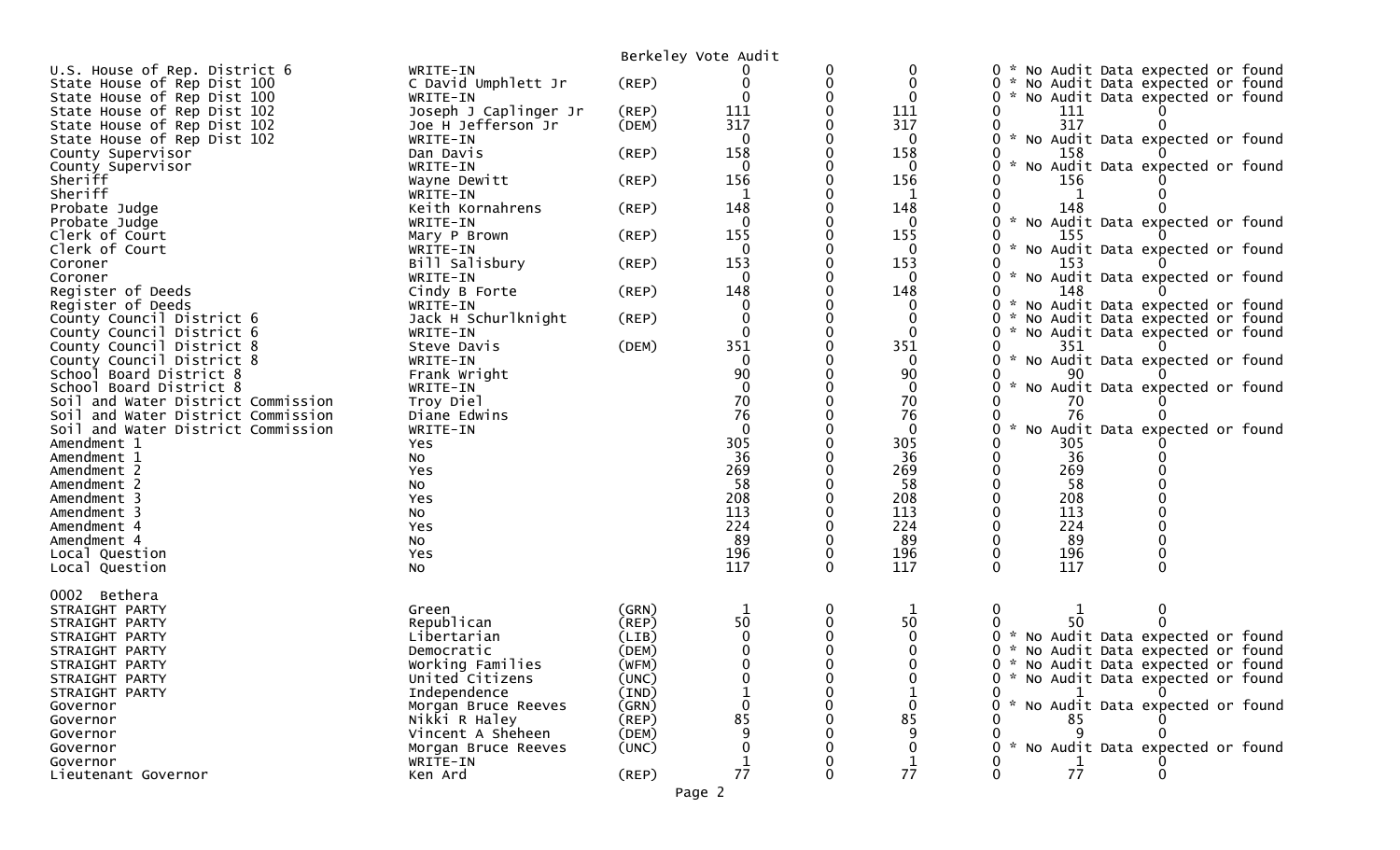|                                                                          |                                |                | Berkeley Vote Audit |          |              |                                                                           |
|--------------------------------------------------------------------------|--------------------------------|----------------|---------------------|----------|--------------|---------------------------------------------------------------------------|
| U.S. House of Rep. District 6                                            | WRITE-IN                       |                |                     | 0        |              | No Audit Data expected or found                                           |
| State House of Rep Dist 100                                              | C David Umphlett Jr            | (REP)          | 0                   | $\Omega$ |              | No Audit Data expected or found                                           |
| State House of Rep Dist 100                                              | WRITE-IN                       |                | $\Omega$            |          | 0            | * No Audit Data expected or found                                         |
| State House of Rep Dist 102                                              | Joseph J Caplinger Jr          | (REP)          | 111                 |          | 111          | 111                                                                       |
| State House of Rep Dist 102                                              | Joe H Jefferson Jr             | (DEM)          | 317                 |          | 317          | 317                                                                       |
| State House of Rep Dist 102                                              | WRITE-IN                       |                | $\Omega$            |          | $\mathbf{0}$ | * No Audit Data expected or found                                         |
| County Supervisor                                                        | Dan Davis                      | (REP)          | 158                 |          | 158          | 158                                                                       |
| County Supervisor                                                        | WRITE-IN                       |                | 0<br>156            |          | 0<br>156     | No Audit Data expected or found                                           |
| Sheriff<br>Sheriff                                                       | Wayne Dewitt<br>WRITE-IN       | (REP)          |                     |          | 1            | 156                                                                       |
| Probate Judge                                                            | Keith Kornahrens               | (REP)          | 148                 |          | 148          | 148                                                                       |
| Probate Judge                                                            | WRITE-IN                       |                | $\Omega$            |          | 0            | $\mathcal{H}$<br>No Audit Data expected or found                          |
| Clerk of Court                                                           | Mary P Brown                   | (REP)          | 155                 |          | 155          | 155                                                                       |
| Clerk of Court                                                           | WRITE-IN                       |                | 0                   |          | $\Omega$     | No Audit Data expected or found                                           |
| Coroner                                                                  | Bill Salisbury                 | (REP)          | 153                 |          | 153          | 153                                                                       |
| Coroner                                                                  | WRITE-IN                       |                | $\Omega$            |          | 0            | $\mathcal{H}$<br>No Audit Data expected or found                          |
| Register of Deeds                                                        | Cindy B Forte                  | (REP)          | 148                 |          | 148          | 148                                                                       |
| Register of Deeds                                                        | WRITE-IN                       |                | 0                   |          | 0            | * No Audit Data expected or found                                         |
| County Council District 6                                                | Jack H Schurlknight            | (REP)          | 0                   |          |              | No Audit Data expected or found                                           |
| County Council District 6                                                | WRITE-IN                       |                | 0                   |          | $\mathbf{0}$ | *<br>No Audit Data expected or found                                      |
| County Council District 8                                                | Steve Davis                    | (DEM)          | 351                 |          | 351          | 351                                                                       |
| County Council District 8                                                | WRITE-IN                       |                | $\Omega$            |          | 0            | No Audit Data expected or found<br>$\mathcal{H}$                          |
| School Board District 8                                                  | Frank Wright                   |                | 90                  |          | 90           | 90                                                                        |
| School Board District 8                                                  | WRITE-IN                       |                | $\mathbf 0$         |          | $\mathbf 0$  | No Audit Data expected or found                                           |
| Soil and Water District Commission                                       | Troy Diel                      |                | 70<br>76            |          | 70           | 70                                                                        |
| Soil and Water District Commission<br>Soil and Water District Commission | Diane Edwins                   |                | $\mathbf 0$         |          | 76<br>0      | 76<br>No Audit Data expected or found                                     |
| Amendment 1                                                              | WRITE-IN                       |                | 305                 |          | 305          | 305                                                                       |
| Amendment 1                                                              | Yes<br>No                      |                | 36                  |          | 36           | 36                                                                        |
| Amendment 2                                                              | Yes                            |                | 269                 |          | 269          | 269                                                                       |
| Amendment 2                                                              | No                             |                | 58                  |          | 58           | 58                                                                        |
| Amendment 3                                                              | Yes                            |                | 208                 |          | 208          | 208                                                                       |
| Amendment 3                                                              | NO.                            |                | 113                 |          | 113          | 113                                                                       |
| Amendment 4                                                              | Yes                            |                | 224                 |          | 224          | 224                                                                       |
| Amendment 4                                                              | NO.                            |                | 89                  |          | 89           | 89                                                                        |
| Local Question                                                           | Yes                            |                | 196                 | 0        | 196          | 196                                                                       |
| Local Question                                                           | <b>NO</b>                      |                | 117                 | 0        | 117          | 117                                                                       |
|                                                                          |                                |                |                     |          |              |                                                                           |
| 0002 Bethera                                                             |                                |                |                     |          |              |                                                                           |
| STRAIGHT PARTY                                                           | Green                          | (GRN)          | 1                   | 0        | 1            | 0<br>0                                                                    |
| STRAIGHT PARTY                                                           | Republican                     | (REP)          | 50                  | 0        | 50           | 50                                                                        |
| STRAIGHT PARTY                                                           | Libertarian                    | (LIB)          | 0                   |          |              | * No Audit Data expected or found<br>*                                    |
| STRAIGHT PARTY<br>STRAIGHT PARTY                                         | Democratic<br>Working Families | (DEM)<br>(WFM) | $\Omega$            |          |              | No Audit Data expected or found<br>∩<br>* No Audit Data expected or found |
| STRAIGHT PARTY                                                           | United Citizens                | (UNC)          |                     |          |              | * No Audit Data expected or found                                         |
| STRAIGHT PARTY                                                           | Independence                   | (IND)          |                     |          |              |                                                                           |
| Governor                                                                 | Morgan Bruce Reeves            | (GRN)          | 0                   |          | $\Omega$     | No Audit Data expected or found                                           |
| Governor                                                                 | Nikki R Haley                  | $($ REP $)$    | 85                  |          | 85           | 85                                                                        |
| Governor                                                                 | Vincent A Sheheen              | (DEM)          |                     |          |              |                                                                           |
| Governor                                                                 | Morgan Bruce Reeves            | (UNC)          |                     |          |              | * No Audit Data expected or found                                         |
| Governor                                                                 | WRITE-IN                       |                |                     |          |              |                                                                           |
| Lieutenant Governor                                                      | Ken Ard                        | $($ REP $)$    | 77                  | 0        | 77           | 77                                                                        |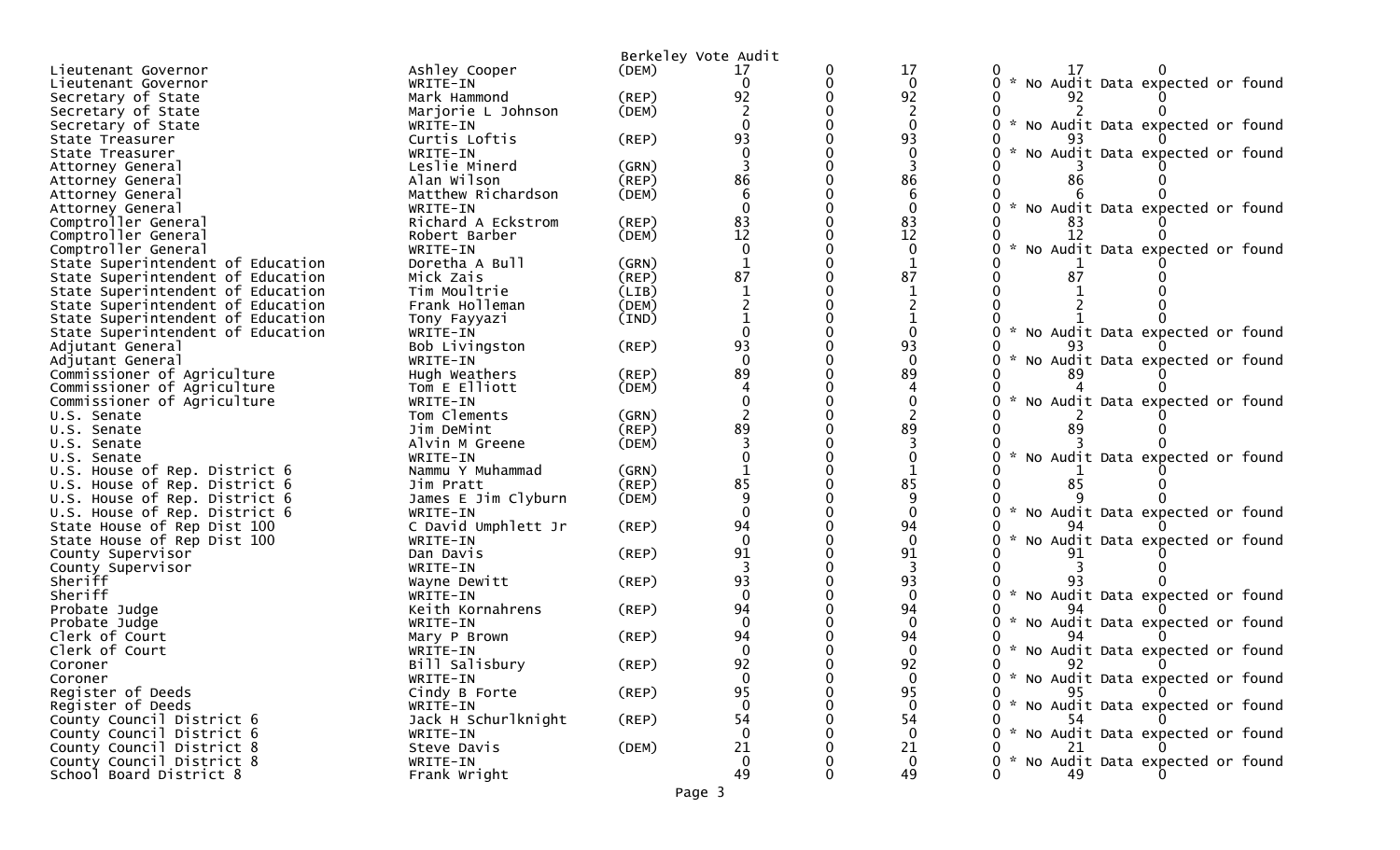|                                                      |                          | Berkeley Vote Audit |                |   |                      |                                                  |
|------------------------------------------------------|--------------------------|---------------------|----------------|---|----------------------|--------------------------------------------------|
| Lieutenant Governor                                  | Ashley Cooper            | (DEM)               | 17             | 0 | 17                   | 17                                               |
| Lieutenant Governor                                  | WRITE-IN                 |                     | 0              | 0 | $\mathbf{0}$         | No Audit Data expected or found                  |
| Secretary of State                                   | Mark Hammond             | (REP)               | 92             |   | 92                   | 92                                               |
| Secretary of State                                   | Marjorie L Johnson       | (DEM)               |                |   |                      |                                                  |
| Secretary of State                                   | WRITE-IN                 |                     |                |   | $\Omega$             | $\mathcal{H}$<br>No Audit Data expected or found |
| State Treasurer                                      | Curtis Loftis            | (REP)               | 93             |   | 93                   |                                                  |
| State Treasurer                                      | WRITE-IN                 |                     |                |   | $\mathbf{0}$         | No Audit Data expected or found                  |
| Attorney General                                     | Leslie Minerd            | (GRN)               |                |   |                      |                                                  |
| Attorney General                                     | Alan Wilson              | (REP)               | 86             |   | 86                   | 86                                               |
| Attorney General                                     | Matthew Richardson       | (DEM)               |                |   | 6                    |                                                  |
| Attorney General                                     | WRITE-IN                 |                     |                |   | $\Omega$             | $\sim$<br>No Audit Data expected or found        |
| Comptroller General                                  | Richard A Eckstrom       | (REP)               | 83             |   | 83                   |                                                  |
| Comptroller General                                  | Robert Barber            | (DEM)               | 12             |   | 12                   | 12                                               |
| Comptroller General                                  | WRITE-IN                 |                     |                |   | $\mathbf{0}$         | No Audit Data expected or found                  |
| State Superintendent of Education                    | Doretha A Bull           | (GRN)               |                |   |                      |                                                  |
| State Superintendent of Education                    | Mick Zais                | (REP)               | 87             |   | 87                   |                                                  |
| State Superintendent of Education                    | Tim Moultrie             | (LIB)               |                |   |                      |                                                  |
| State Superintendent of Education                    | Frank Holleman           | (DEM)               |                |   |                      |                                                  |
| State Superintendent of Education                    | Tony Fayyazi             | (IND)               |                |   |                      |                                                  |
| State Superintendent of Education                    | WRITE-IN                 |                     |                |   | $\Omega$             | No Audit Data expected or found                  |
| Adjutant General                                     | Bob Livingston           | (REP)               | 93             |   | 93                   |                                                  |
| Adjutant General                                     | WRITE-IN                 |                     | $\Omega$       |   | $\Omega$             | No Audit Data expected or found<br>$\mathcal{H}$ |
| Commissioner of Agriculture                          | Hugh Weathers            | (REP)               | 89             |   | 89                   |                                                  |
| Commissioner of Agriculture                          | Tom E Elliott            | (DEM)               |                |   |                      |                                                  |
| Commissioner of Agriculture                          | WRITE-IN                 |                     |                |   | $\mathbf 0$          | No Audit Data expected or found                  |
| U.S. Senate                                          | Tom Clements             | (GRN)               |                |   |                      |                                                  |
| U.S. Senate                                          | Jim DeMint               | (REP)               | 89             |   | 89                   | 89                                               |
| U.S. Senate                                          | Alvin M Greene           | (DEM)               |                |   |                      |                                                  |
| U.S. Senate                                          | WRITE-IN                 |                     |                |   |                      | No Audit Data expected or found                  |
| U.S. House of Rep. District 6                        | Nammu Y Muhammad         | (GRN)               |                |   |                      |                                                  |
| U.S. House of Rep. District 6                        | Jim Pratt                | (REP)               | 85             |   | 85                   | 85                                               |
| U.S. House of Rep. District 6                        | James E Jim Clyburn      | (DEM)               | q              |   |                      |                                                  |
| U.S. House of Rep. District 6                        | WRITE-IN                 |                     | $\Omega$       |   | $\Omega$             | No Audit Data expected or found                  |
| State House of Rep Dist 100                          | C David Umphlett Jr      | (REP)               | 94             |   | 94                   |                                                  |
| State House of Rep Dist 100                          | WRITE-IN                 |                     | $\Omega$       |   | $\mathbf 0$          | No Audit Data expected or found                  |
| County Supervisor                                    | Dan Davis                | (REP)               | 91             |   | 91                   |                                                  |
| County Supervisor                                    | WRITE-IN                 |                     |                |   |                      |                                                  |
| Sheriff                                              | Wayne Dewitt             | (REP)               | 93             |   | 93                   |                                                  |
| Sheriff                                              | WRITE-IN                 |                     | $\Omega$       |   | $\Omega$             | No Audit Data expected or found                  |
| Probate Judge                                        | Keith Kornahrens         | (REP)               | 94             |   | 94                   |                                                  |
| Probate Judge                                        | WRITE-IN                 |                     | $\Omega$       |   | $\Omega$             | No Audit Data expected or found                  |
| Clerk of Court                                       | Mary P Brown             | (REP)               | 94             |   | 94                   |                                                  |
| Clerk of Court                                       | WRITE-IN                 |                     | $\Omega$<br>92 |   | $\Omega$<br>92       | * No Audit Data expected or found                |
| Coroner                                              | Bill Salisbury           | $($ REP $)$         |                |   | $\mathbf{0}$         |                                                  |
| Coroner                                              | WRITE-IN                 |                     | $\mathbf{0}$   |   |                      | 0 * No Audit Data expected or found              |
| Register of Deeds                                    | Cindy B Forte            | (REP)               | 95             |   | 95<br>$\bf{0}$       | 95<br>* No Audit Data expected or found          |
| Register of Deeds                                    | WRITE-IN                 |                     |                |   | 54                   | 54                                               |
| County Council District 6                            | Jack H Schurlknight      | $($ REP $)$         | 54<br>$\Omega$ |   | $\Omega$             | * No Audit Data expected or found                |
| County Council District 6                            | WRITE-IN                 |                     | 21             |   |                      |                                                  |
| County Council District 8                            | Steve Davis              | (DEM)               | $\overline{0}$ |   | 21<br>$\overline{0}$ | * No Audit Data expected or found                |
| County Council District 8<br>School Board District 8 | WRITE-IN<br>Frank Wright |                     | 49             |   | 49                   | 49                                               |
|                                                      |                          |                     |                |   |                      |                                                  |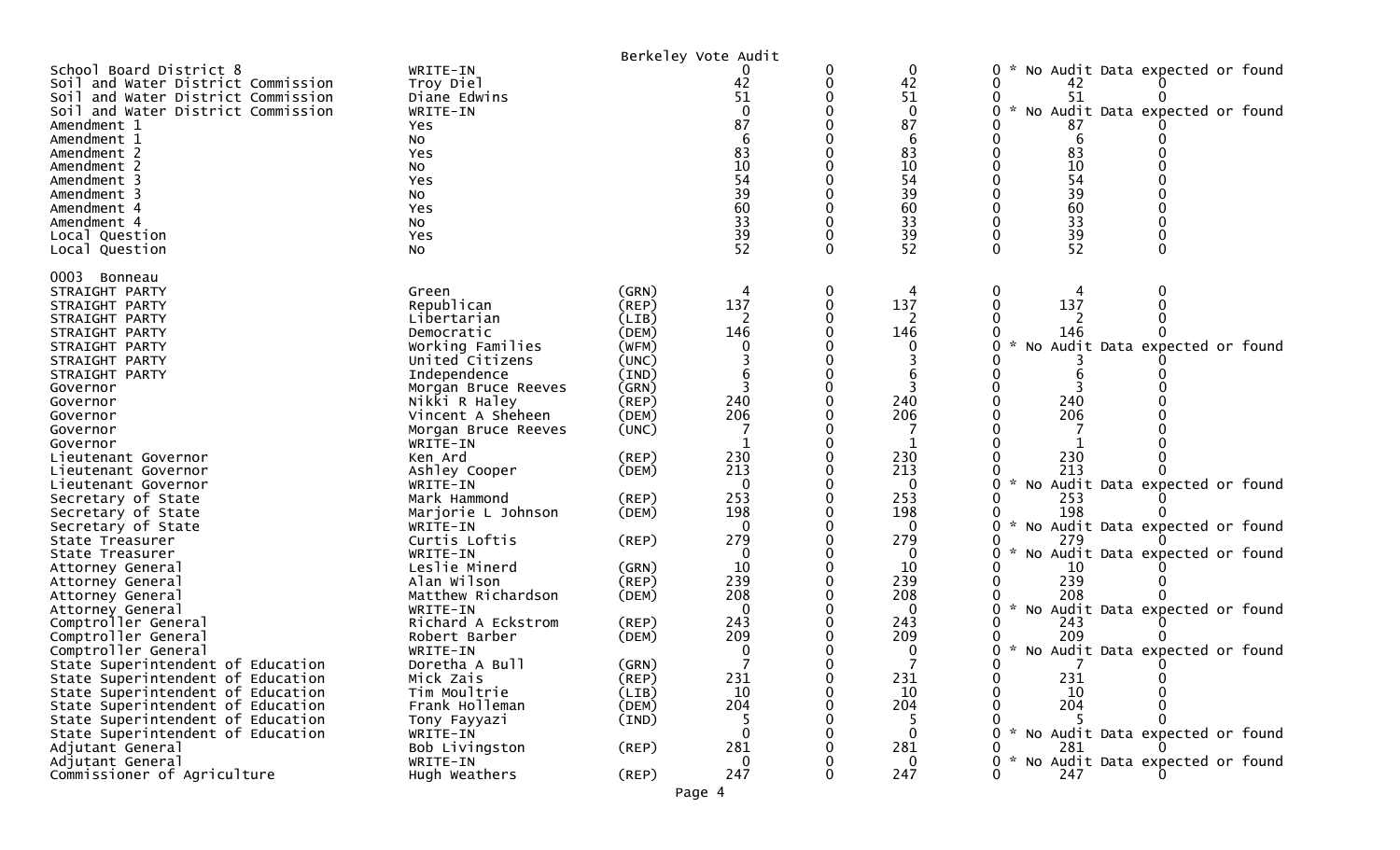|                                                                                                                                                                                                                                                                                                                     |                                                                                                                                                                                                         |                                                                                                       | Berkeley Vote Audit                                                             |                  |                                                                                          |                                                                                                                                                                                            |
|---------------------------------------------------------------------------------------------------------------------------------------------------------------------------------------------------------------------------------------------------------------------------------------------------------------------|---------------------------------------------------------------------------------------------------------------------------------------------------------------------------------------------------------|-------------------------------------------------------------------------------------------------------|---------------------------------------------------------------------------------|------------------|------------------------------------------------------------------------------------------|--------------------------------------------------------------------------------------------------------------------------------------------------------------------------------------------|
| School Board District 8<br>Soil and Water District Commission<br>Soil and Water District Commission<br>Soil and Water District Commission<br>Amendment 1<br>Amendment 1<br>Amendment 2<br>Amendment 2<br>Amendment 3<br>Amendment 3<br>Amendment 4<br>Amendment 4<br>Local Question<br>Local Question               | WRITE-IN<br>Troy Diel<br>Diane Edwins<br>WRITE-IN<br>Yes<br>NO.<br>Yes<br>No<br>Yes<br>NO.<br>Yes<br>NO.<br>Yes<br>NO.                                                                                  |                                                                                                       | 42<br>51<br>$\Omega$<br>87<br>6<br>83<br>10<br>54<br>39<br>60<br>33<br>39<br>52 | 0<br>0<br>0<br>0 | 0<br>42<br>51<br>$\mathbf{0}$<br>87<br>6<br>83<br>10<br>54<br>39<br>60<br>33<br>39<br>52 | 0<br>No Audit Data expected or found<br>0<br>42<br>51<br>$\mathcal{H}$<br>No Audit Data expected or found<br>87<br>6<br>83<br>10<br>0<br>54<br>39<br>60<br>33<br>39<br>52<br>$\Omega$<br>0 |
| 0003<br>Bonneau<br>STRAIGHT PARTY<br>STRAIGHT PARTY<br>STRAIGHT PARTY<br>STRAIGHT PARTY<br>STRAIGHT PARTY<br>STRAIGHT PARTY<br>STRAIGHT PARTY<br>Governor<br>Governor<br>Governor<br>Governor<br>Governor                                                                                                           | Green<br>Republican<br>Libertarian<br>Democratic<br>Working Families<br>United Citizens<br>Independence<br>Morgan Bruce Reeves<br>Nikki R Haley<br>Vincent A Sheheen<br>Morgan Bruce Reeves<br>WRITE-IN | (GRN)<br>(REP)<br>(LIB)<br>(DEM)<br>(WFM)<br>(UNC)<br>(IND)<br>(GRN)<br>$($ REP $)$<br>(DEM)<br>(UNC) | 137<br>2<br>146<br>$\overline{3}$<br>240<br>206                                 | 0<br>0           | 4<br>137<br>2<br>146<br>0<br>3<br>240<br>206                                             | 0<br>137<br>0<br>146<br>No Audit Data expected or found<br>240<br>206                                                                                                                      |
| Lieutenant Governor<br>Lieutenant Governor<br>Lieutenant Governor<br>Secretary of State<br>Secretary of State                                                                                                                                                                                                       | Ken Ard<br>Ashley Cooper<br>WRITE-IN<br>Mark Hammond<br>Marjorie L Johnson                                                                                                                              | (REP)<br>(DEM)<br>(REP)<br>(DEM)                                                                      | 230<br>213<br>$\Omega$<br>253<br>198                                            |                  | 230<br>213<br>$\Omega$<br>253<br>198                                                     | 230<br>213<br>No Audit Data expected or found<br>253<br>198                                                                                                                                |
| Secretary of State<br>State Treasurer<br>State Treasurer<br>Attorney General<br>Attorney General<br>Attorney General                                                                                                                                                                                                | WRITE-IN<br>Curtis Loftis<br>WRITE-IN<br>Leslie Minerd<br>Alan Wilson<br>Matthew Richardson                                                                                                             | (REP)<br>(GRN)<br>$($ REP $)$<br>(DEM)                                                                | $\Omega$<br>279<br>$\Omega$<br>10<br>239<br>208                                 |                  | 0<br>279<br>0<br>10<br>239<br>208                                                        | $\mathcal{H}$<br>0<br>No Audit Data expected or found<br>279<br>No Audit Data expected or found<br>0<br>*<br>10<br>239<br>208                                                              |
| Attorney General<br>Comptroller General<br>Comptroller General<br>Comptroller General<br>State Superintendent of Education<br>State Superintendent of Education<br>State Superintendent of Education<br>State Superintendent of Education<br>State Superintendent of Education<br>State Superintendent of Education | WRITE-IN<br>Richard A Eckstrom<br>Robert Barber<br>WRITE-IN<br>Doretha A Bull<br>Mick Zais<br>Tim Moultrie<br>Frank Holleman<br>Tony Fayyazi<br>WRITE-IN                                                | (REP)<br>(DEM)<br>(GRN)<br>$($ REP $)$<br>(LIB)<br>(DEM)<br>(IND)                                     | 0<br>243<br>209<br>231<br>10<br>204<br>5<br>0                                   | 0                | 0<br>243<br>209<br>0<br>231<br>10<br>204<br>5<br>0                                       | No Audit Data expected or found<br>243<br>209<br>No Audit Data expected or found<br>231<br>0<br>10<br>204<br>No Audit Data expected or found                                               |
| Adjutant General<br>Adjutant General<br>Commissioner of Agriculture                                                                                                                                                                                                                                                 | Bob Livingston<br>WRITE-IN<br>Hugh Weathers                                                                                                                                                             | (REF)<br>$($ REP $)$                                                                                  | 281<br>0<br>247                                                                 | 0                | 281<br>$\mathbf{0}$<br>247                                                               | 281<br>No Audit Data expected or found<br>*<br>247<br>0.                                                                                                                                   |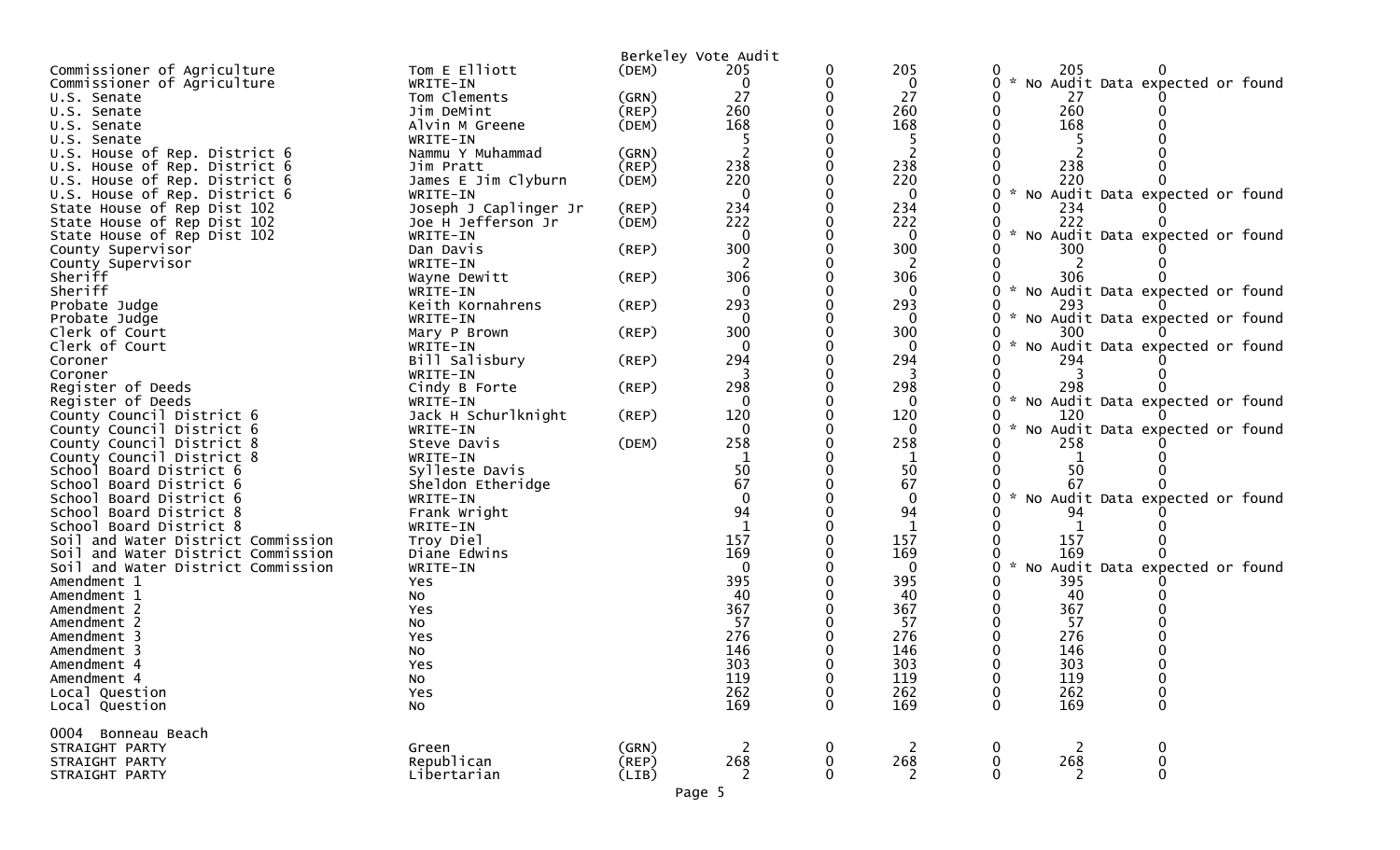|                                                                          |                          |                | Berkeley Vote Audit |                      |                       |                                                                       |
|--------------------------------------------------------------------------|--------------------------|----------------|---------------------|----------------------|-----------------------|-----------------------------------------------------------------------|
| Commissioner of Agriculture                                              | Tom E Elliott            | (DEM)          | 205                 | 0                    | 205                   | 205<br>0                                                              |
| Commissioner of Agriculture                                              | WRITE-IN                 |                | 0                   | 0                    | $\boldsymbol{0}$      | No Audit Data expected or found<br>0                                  |
| U.S. Senate                                                              | Tom Clements             | (GRN)          | 27                  | $\Omega$             | 27                    | 27                                                                    |
| U.S. Senate                                                              | Jim DeMint               | (REP)          | 260                 |                      | 260                   | 260<br>0                                                              |
| U.S. Senate                                                              | Alvin M Greene           | (DEM)          | 168                 |                      | 168                   | 168                                                                   |
| U.S. Senate                                                              | WRITE-IN                 |                |                     |                      |                       |                                                                       |
| U.S. House of Rep. District 6                                            | Nammu Y Muhammad         | (GRN)          |                     |                      | $\overline{c}$        |                                                                       |
| U.S. House of Rep. District 6                                            | Jim Pratt                | (REP)          | 238                 |                      | 238                   | 238                                                                   |
| U.S. House of Rep. District 6                                            | James E Jim Clyburn      | (DEM)          | 220                 |                      | 220                   | 220                                                                   |
| U.S. House of Rep. District 6                                            | WRITE-IN                 |                | $\Omega$            |                      | $\mathbf{0}$          | * No Audit Data expected or found<br>0                                |
| State House of Rep Dist 102                                              | Joseph J Caplinger Jr    | $($ REP $)$    | 234                 |                      | 234                   | 234                                                                   |
| State House of Rep Dist 102                                              | Joe H Jefferson Jr       | (DEM)          | 222                 |                      | 222                   | 222                                                                   |
| State House of Rep Dist 102                                              | WRITE-IN                 |                | 0                   |                      | $\bf{0}$              | No Audit Data expected or found<br>0                                  |
| County Supervisor                                                        | Dan Davis                | $($ REP $)$    | 300                 |                      | 300                   | 300                                                                   |
| County Supervisor                                                        | WRITE-IN                 |                |                     |                      | 2                     |                                                                       |
| Sheriff                                                                  | Wayne Dewitt             | $($ REP $)$    | 306                 |                      | 306                   | 306                                                                   |
| Sheriff                                                                  | WRITE-IN                 |                |                     |                      |                       | No Audit Data expected or found<br>0                                  |
| Probate Judge                                                            | Keith Kornahrens         | $($ REP $)$    | 293                 |                      | 293                   | 293                                                                   |
| Probate Judge                                                            | WRITE-IN                 |                | $\Omega$            |                      | $\bf{0}$              | 0<br>No Audit Data expected or found                                  |
| Clerk of Court                                                           | Mary P Brown             | $($ REP $)$    | 300                 |                      | 300                   | 300                                                                   |
| Clerk of Court                                                           | WRITE-IN                 |                | $\mathbf{0}$        |                      | $\mathbf 0$           | No Audit Data expected or found<br>0                                  |
| Coroner                                                                  | Bill Salisbury           | (REP)          | 294                 |                      | 294                   | 294                                                                   |
| Coroner                                                                  | WRITE-IN                 |                |                     |                      |                       |                                                                       |
| Register of Deeds                                                        | Cindy B Forte            | $($ REP $)$    | 298                 |                      | 298                   | 298                                                                   |
| Register of Deeds                                                        | WRITE-IN                 |                | 0                   |                      | $\Omega$              | O<br>No Audit Data expected or found                                  |
| County Council District 6                                                | Jack H Schurlknight      | (REP)          | 120                 |                      | 120                   | 120                                                                   |
| County Council District 6                                                | WRITE-IN                 |                | $\mathbf 0$         |                      | $\mathbf 0$           | No Audit Data expected or found<br>0                                  |
| County Council District 8                                                | Steve Davis              | (DEM)          | 258                 |                      | 258                   | 258                                                                   |
| County Council District 8                                                | WRITE-IN                 |                |                     |                      |                       |                                                                       |
| School Board District 6                                                  | Sylleste Davis           |                | 50                  |                      | 50                    | 50                                                                    |
| School Board District 6                                                  | Sheldon Etheridge        |                | 67                  |                      | 67                    | 67                                                                    |
| School Board District 6                                                  | WRITE-IN                 |                | $\Omega$<br>94      |                      | $\mathbf{0}$          | No Audit Data expected or found<br>O                                  |
| School Board District 8                                                  | Frank Wright             |                |                     |                      | 94                    | 94                                                                    |
| School Board District 8                                                  | WRITE-IN                 |                |                     |                      |                       |                                                                       |
| Soil and Water District Commission                                       | Troy Diel                |                | 157<br>169          |                      | 157<br>169            | 157<br>169                                                            |
| Soil and Water District Commission<br>Soil and Water District Commission | Diane Edwins<br>WRITE-IN |                |                     |                      | $\mathbf{0}$          | No Audit Data expected or found<br>0                                  |
| Amendment 1                                                              | Yes                      |                | 395                 |                      | 395                   | 395                                                                   |
| Amendment 1                                                              | No                       |                | 40                  |                      | 40                    | 40                                                                    |
| Amendment 2                                                              | Yes                      |                | 367                 |                      | 367                   | 367                                                                   |
| Amendment 2                                                              | No                       |                | 57                  |                      | 57                    | 57                                                                    |
| Amendment 3                                                              | Yes                      |                | 276                 |                      | 276                   | 276                                                                   |
| Amendment 3                                                              | No                       |                | 146                 |                      | 146                   | 146                                                                   |
| Amendment 4                                                              | Yes                      |                | 303                 |                      | 303                   | 303                                                                   |
| Amendment 4                                                              | No                       |                | 119                 | 0                    | 119                   | 119<br>0<br>0                                                         |
| Local Question                                                           | Yes                      |                | 262                 | 0                    | 262                   | 262<br>0<br>0                                                         |
| Local Question                                                           | No                       |                | $\overline{169}$    | 0                    | 169                   | 169<br>0<br>$\mathbf 0$                                               |
|                                                                          |                          |                |                     |                      |                       |                                                                       |
| 0004 Bonneau Beach                                                       |                          |                |                     |                      |                       |                                                                       |
| STRAIGHT PARTY                                                           | Green<br>Republican      | (GRN)          | $\overline{2}$      | $\mathbf 0$          | $\overline{2}$        | $\overline{c}$<br>0<br>$\mathbf 0$                                    |
| STRAIGHT PARTY<br>STRAIGHT PARTY                                         | Libertarian              | (REP)<br>(LIB) | 268<br>2            | $\bf{0}$<br>$\Omega$ | 268<br>$\overline{2}$ | 268<br>$\pmb{0}$<br>$\mathbf 0$<br>$\mathbf 0$<br>$\overline{2}$<br>0 |
|                                                                          |                          |                |                     |                      |                       |                                                                       |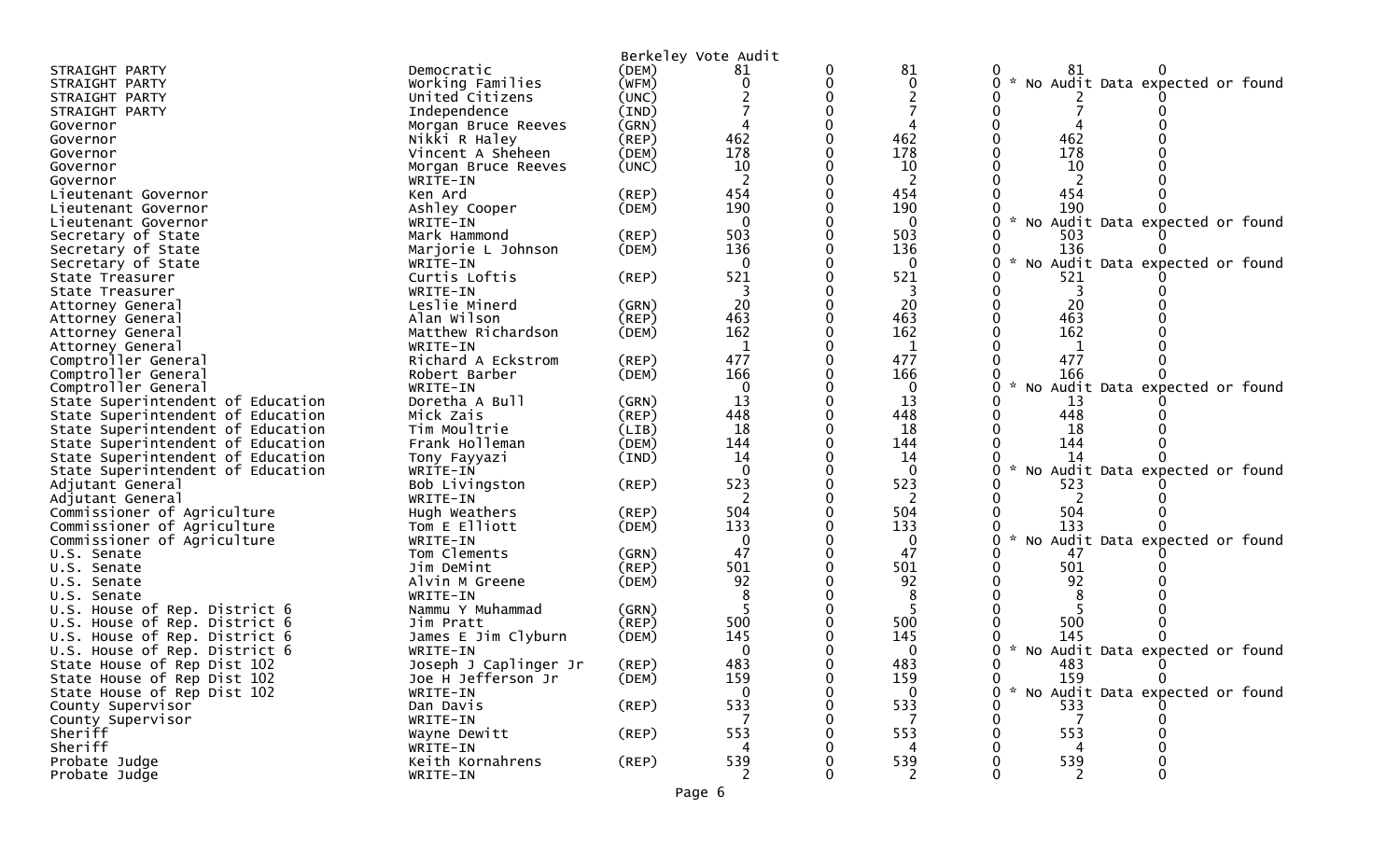|                                                 |                           |             | Berkeley Vote Audit |   |              |                                                       |
|-------------------------------------------------|---------------------------|-------------|---------------------|---|--------------|-------------------------------------------------------|
| STRAIGHT PARTY                                  | Democratic                | (DEM)       | 81                  | 0 | 81           | 81                                                    |
| STRAIGHT PARTY                                  | Working Families          | (WFM)       | 0                   | 0 | 0            | No Audit Data expected or found<br>0                  |
| STRAIGHT PARTY                                  | United Citizens           | (UNC)       |                     | 0 |              |                                                       |
| STRAIGHT PARTY                                  | Independence              | (IND)       |                     |   |              |                                                       |
| Governor                                        | Morgan Bruce Reeves       | (GRN)       |                     |   |              |                                                       |
| Governor                                        | Nikki R Haley             | (REP)       | 462                 |   | 462          | 462                                                   |
| Governor                                        | Vincent A Sheheen         | (DEM)       | 178                 |   | 178          | 178                                                   |
| Governor                                        | Morgan Bruce Reeves       | (UNC)       | 10                  |   | 10           | 10                                                    |
| Governor                                        | WRITE-IN                  |             | 2                   |   | 2            | 2                                                     |
| Lieutenant Governor                             | Ken Ard                   | (REP)       | 454                 |   | 454          | 454                                                   |
| Lieutenant Governor                             | Ashley Cooper             | (DEM)       | 190                 | 0 | 190          | 190                                                   |
| Lieutenant Governor                             | WRITE-IN                  |             | $\Omega$            |   | $\mathbf{0}$ | $\mathcal{H}$<br>No Audit Data expected or found<br>0 |
| Secretary of State                              | Mark Hammond              | (REP)       | 503                 |   | 503          | 503                                                   |
| Secretary of State                              | Marjorie L Johnson        | (DEM)       | 136                 | 0 | 136          | 136                                                   |
| Secretary of State                              | WRITE-IN                  |             | $\mathbf 0$         |   | $\mathbf 0$  | No Audit Data expected or found<br>0                  |
| State Treasurer                                 | Curtis Loftis             | (REP)       | 521                 |   | 521          | 521                                                   |
| State Treasurer                                 | WRITE-IN                  |             |                     |   |              |                                                       |
| Attorney General                                | Leslie Minerd             | (GRN)       | 20                  |   | 20           | 20                                                    |
| Attorney General                                | Alan Wilson               | $($ REP $)$ | 463                 |   | 463          | 463                                                   |
| Attorney General                                | Matthew Richardson        | (DEM)       | 162                 |   | 162          | 162                                                   |
| Attorney General                                | WRITE-IN                  |             | 1                   |   | 1            | 1                                                     |
| Comptroller General                             | Richard A Eckstrom        | (REP)       | 477                 |   | 477          | 477                                                   |
| Comptroller General                             | Robert Barber             | (DEM)       | 166                 |   | 166          | 166                                                   |
| Comptroller General                             | WRITE-IN                  |             | $\mathbf{0}$        |   | $\mathbf 0$  | No Audit Data expected or found                       |
| State Superintendent of Education               | Doretha A Bull            | (GRN)       | 13                  |   | 13           | 13                                                    |
| State Superintendent of Education               | Mick Zais                 | (REP)       | 448                 |   | 448          | 448                                                   |
| State Superintendent of Education               | Tim Moultrie              | (LIB)       | 18                  |   | 18           | 18                                                    |
| State Superintendent of Education               | Frank Holleman            | (DEM)       | 144                 |   | 144          | 144                                                   |
| State Superintendent of Education               | Tony Fayyazi              | (IND)       | 14                  |   | 14           | 14                                                    |
| State Superintendent of Education               | WRITE-IN                  |             | $\Omega$<br>523     |   | $\Omega$     | Audit Data expected or found<br>No                    |
| Adjutant General                                | Bob Livingston            | $($ REP $)$ |                     |   | 523          | 523<br>2                                              |
| Adjutant General<br>Commissioner of Agriculture | WRITE-IN<br>Hugh Weathers | (REP)       | 504                 |   | 2<br>504     | 504                                                   |
| Commissioner of Agriculture                     | Tom E Elliott             | (DEM)       | 133                 |   | 133          | 133                                                   |
| Commissioner of Agriculture                     | WRITE-IN                  |             | $\mathbf{0}$        |   | 0            | Audit Data expected or found<br><b>NO</b>             |
| U.S. Senate                                     | Tom Clements              | (GRN)       | 47                  |   | 47           | 47                                                    |
| U.S. Senate                                     | Jim DeMint                | $($ REP $)$ | 501                 |   | 501          | 501                                                   |
| U.S. Senate                                     | Alvin M Greene            | (DEM)       | 92                  |   | 92           | 92                                                    |
| U.S. Senate                                     | WRITE-IN                  |             |                     |   | 8            |                                                       |
| U.S. House of Rep. District 6                   | Nammu Y Muhammad          | (GRN)       |                     |   |              |                                                       |
| U.S. House of Rep. District 6                   | Jim Pratt                 | $($ REP $)$ | 500                 |   | 500          | 500                                                   |
| U.S. House of Rep. District 6                   | James E Jim Clyburn       | (DEM)       | 145                 |   | 145          | 145                                                   |
| U.S. House of Rep. District 6                   | WRITE-IN                  |             |                     |   | 0            | No Audit Data expected or found                       |
| State House of Rep Dist 102                     | Joseph J Caplinger Jr     | (REP)       | 483                 |   | 483          | 483                                                   |
| State House of Rep Dist 102                     | Joe H Jefferson Jr        | (DEM)       | 159                 | 0 | 159          | $\mathbf 0$<br>159<br>0                               |
| State House of Rep Dist 102                     | WRITE-IN                  |             | $\Omega$            |   | $\mathbf{0}$ | 0<br>No Audit Data expected or found                  |
| County Supervisor                               | Dan Davis                 | $($ REP $)$ | 533                 |   | 533          | 533                                                   |
| County Supervisor                               | WRITE-IN                  |             |                     |   |              | 7                                                     |
| Sheriff                                         | Wayne Dewitt              | $($ REP $)$ | 553                 |   | 553          | 553                                                   |
| Sheriff                                         | WRITE-IN                  |             |                     |   | 4            | 4                                                     |
| Probate Judge                                   | Keith Kornahrens          | (REP)       | 539                 |   | 539          | 539                                                   |
| Probate Judge                                   | WRITE-IN                  |             | 2                   |   | 2            | 2<br>0                                                |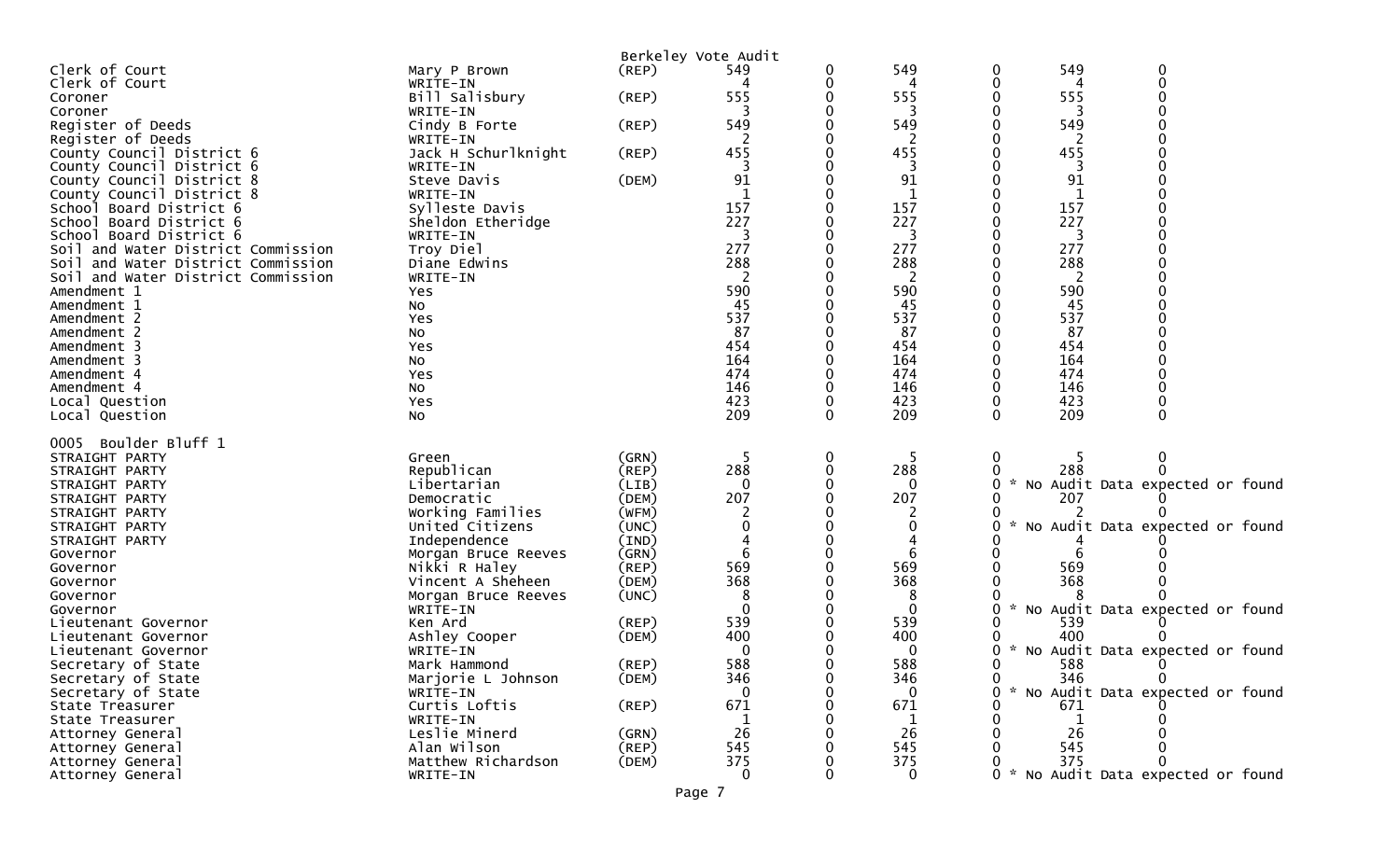|                                    |                     |             | Berkeley Vote Audit |        |              |                    |     |                                     |  |
|------------------------------------|---------------------|-------------|---------------------|--------|--------------|--------------------|-----|-------------------------------------|--|
| Clerk of Court                     | Mary P Brown        | $($ REP $)$ | 549                 | 0      | 549          | 0                  | 549 | 0                                   |  |
| Clerk of Court                     | WRITE-IN            |             |                     | 0      | 4            | 0                  | 4   | $\Omega$                            |  |
| Coroner                            | Bill Salisbury      | $($ REP $)$ | 555                 |        | 555          |                    | 555 |                                     |  |
| Coroner                            | WRITE-IN            |             |                     |        | 3            |                    | 3   |                                     |  |
| Register of Deeds                  | Cindy B Forte       | (REP)       | 549                 |        | 549          |                    | 549 |                                     |  |
| Register of Deeds                  | WRITE-IN            |             |                     |        |              |                    |     |                                     |  |
| County Council District 6          | Jack H Schurlknight | (REP)       | 455                 |        | 455          |                    | 455 |                                     |  |
| County Council District 6          | WRITE-IN            |             |                     |        |              |                    | 3   |                                     |  |
| County Council District 8          | Steve Davis         | (DEM)       | 91                  |        | 91           |                    | 91  |                                     |  |
| County Council District 8          | WRITE-IN            |             |                     |        | $\mathbf{1}$ |                    | -1  |                                     |  |
| School Board District 6            | Sylleste Davis      |             | 157                 |        | 157          |                    | 157 |                                     |  |
| School Board District 6            | Sheldon Etheridge   |             | 227                 |        | 227          |                    | 227 |                                     |  |
| School Board District 6            | WRITE-IN            |             | 3                   |        | 3            |                    | 3   |                                     |  |
| Soil and Water District Commission | Troy Diel           |             | 277                 |        | 277          |                    | 277 |                                     |  |
| Soil and Water District Commission | Diane Edwins        |             | 288                 |        | 288          |                    | 288 |                                     |  |
| Soil and Water District Commission | WRITE-IN            |             | 2                   |        | 2            |                    | 2   |                                     |  |
| Amendment 1                        | Yes                 |             | 590                 |        | 590          |                    | 590 |                                     |  |
| Amendment 1                        | No                  |             | 45                  |        | 45           |                    | 45  |                                     |  |
| Amendment 2                        | Yes                 |             | 537                 |        | 537          |                    | 537 |                                     |  |
| Amendment 2                        | NO                  |             | 87                  |        | 87           |                    | 87  |                                     |  |
| Amendment 3                        | Yes                 |             | 454                 |        | 454          |                    | 454 |                                     |  |
| Amendment 3                        | NO                  |             | 164                 |        | 164          |                    | 164 |                                     |  |
| Amendment 4                        | Yes                 |             | 474                 |        | 474          |                    | 474 |                                     |  |
| Amendment 4                        | No                  |             | 146                 |        | 146          |                    | 146 |                                     |  |
| Local Question                     | Yes                 |             | 423                 | 0      | 423          | 0                  | 423 |                                     |  |
| Local Question                     | NO                  |             | 209                 | 0      | 209          | 0                  | 209 |                                     |  |
| Boulder Bluff 1                    |                     |             |                     |        |              |                    |     |                                     |  |
| 0005                               |                     | (GRN)       | 5                   |        | 5            | $\mathbf 0$        |     | $\Omega$                            |  |
| STRAIGHT PARTY<br>STRAIGHT PARTY   | Green<br>Republican | $($ REP $)$ | 288                 | 0<br>0 | 288          |                    | 288 |                                     |  |
| STRAIGHT PARTY                     | Libertarian         | (LIB)       | $\mathbf 0$         | 0      | 0            | 0                  |     | No Audit Data expected or found     |  |
| STRAIGHT PARTY                     | Democratic          | (DEM)       | 207                 |        | 207          |                    | 207 |                                     |  |
| STRAIGHT PARTY                     | Working Families    | (WFM)       |                     |        |              |                    |     |                                     |  |
| STRAIGHT PARTY                     | United Citizens     | (UNC)       |                     |        | 0            |                    |     | No Audit Data expected or found     |  |
| STRAIGHT PARTY                     | Independence        | (IND)       |                     |        |              |                    |     |                                     |  |
| Governor                           | Morgan Bruce Reeves | (GRN)       | 6                   |        | 6            |                    |     |                                     |  |
| Governor                           | Nikki R Haley       | $($ REP $)$ | 569                 |        | 569          |                    | 569 |                                     |  |
| Governor                           | Vincent A Sheheen   | (DEM)       | 368                 |        | 368          |                    | 368 |                                     |  |
| Governor                           | Morgan Bruce Reeves | (UNC)       | 8                   |        | 8            |                    |     |                                     |  |
| Governor                           | WRITE-IN            |             | $\Omega$            |        | 0            | $\mathcal{H}$<br>0 |     | No Audit Data expected or found     |  |
| Lieutenant Governor                | Ken Ard             | (REP)       | 539                 |        | 539          |                    | 539 |                                     |  |
| Lieutenant Governor                | Ashley Cooper       | (DEM)       | 400                 |        | 400          |                    | 400 |                                     |  |
| Lieutenant Governor                | WRITE-IN            |             | $\Omega$            |        | 0            | 0                  |     | * No Audit Data expected or found   |  |
| Secretary of State                 | Mark Hammond        | (REP)       | 588                 | 0      | 588          | 0                  | 588 |                                     |  |
| Secretary of State                 | Marjorie L Johnson  | (DEM)       | 346                 | O      | 346          | $\Omega$           | 346 | $\Omega$                            |  |
| Secretary of State                 | WRITE-IN            |             | $\mathbf{0}$        |        | $\mathbf{0}$ | 0                  |     | * No Audit Data expected or found   |  |
| State Treasurer                    | Curtis Loftis       | $($ REP $)$ | 671                 |        | 671          |                    | 671 |                                     |  |
| State Treasurer                    | WRITE-IN            |             |                     |        | 1            |                    |     |                                     |  |
| Attorney General                   | Leslie Minerd       | (GRN)       | 26                  |        | 26           |                    | 26  |                                     |  |
| Attorney General                   | Alan Wilson         | (REP)       | 545                 |        | 545          |                    | 545 |                                     |  |
| Attorney General                   | Matthew Richardson  | (DEM)       | 375                 |        | 375          |                    | 375 |                                     |  |
| Attorney General                   | WRITE-IN            |             | $\mathbf 0$         | 0      | $\mathbf 0$  |                    |     | 0 * No Audit Data expected or found |  |
|                                    |                     |             |                     |        |              |                    |     |                                     |  |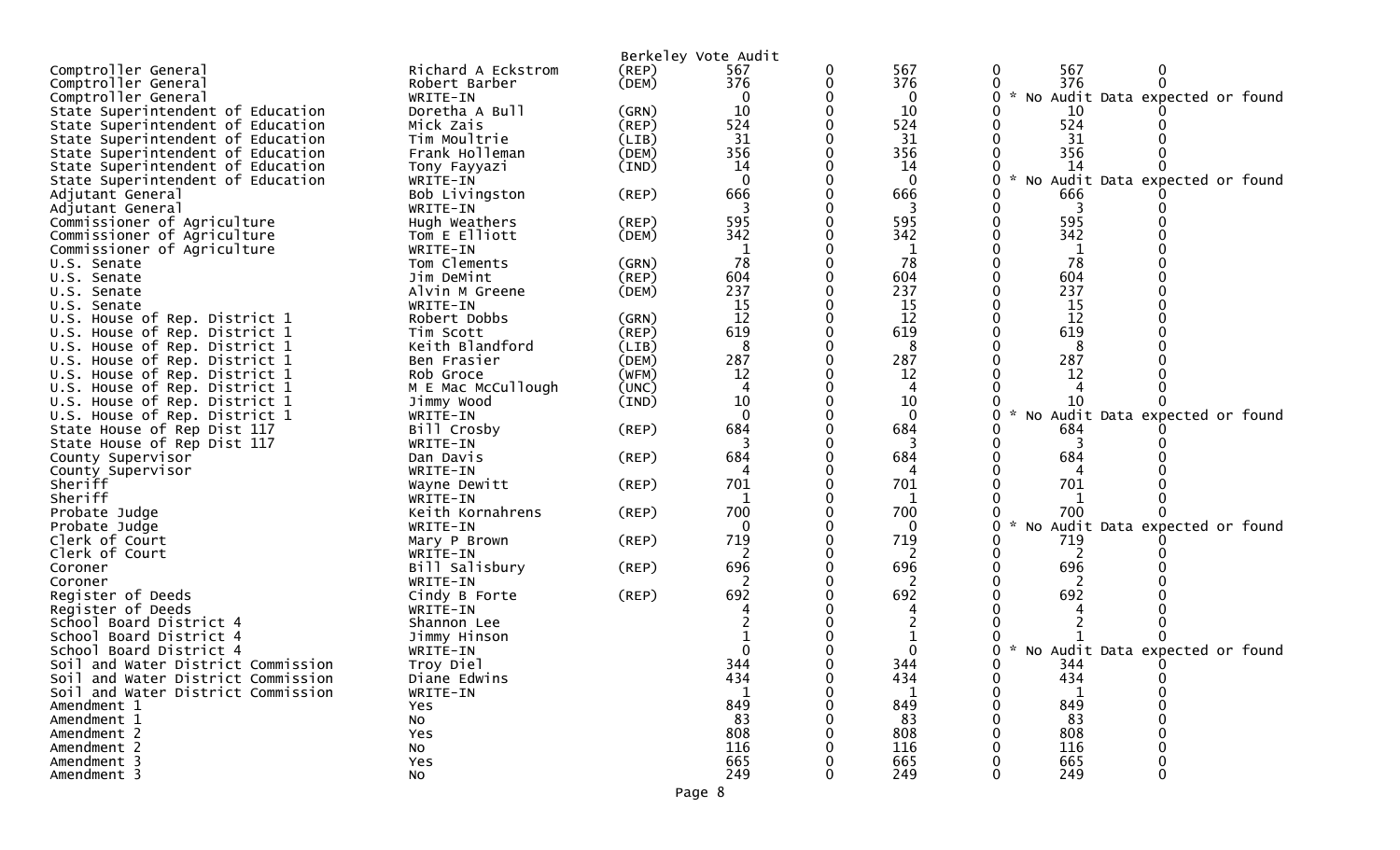|                                    |                          |             | Berkeley Vote Audit |          |                                                       |
|------------------------------------|--------------------------|-------------|---------------------|----------|-------------------------------------------------------|
| Comptroller General                | Richard A Eckstrom       | (REP)       | 567                 | 567      | 567<br>0                                              |
| Comptroller General                | Robert Barber            | (DEM)       | 376                 | 376      | 376                                                   |
| Comptroller General                | WRITE-IN                 |             |                     | 0        | $\mathcal{H}$<br>No Audit Data expected or found      |
| State Superintendent of Education  | Doretha A Bull           | (GRN)       | 10                  | 10       | 10                                                    |
| State Superintendent of Education  | Mick Zais                | (REP)       | 524                 | 524      | 524                                                   |
| State Superintendent of Education  | Tim Moultrie             | (LIB)       | 31                  | 31       | 31                                                    |
| State Superintendent of Education  | Frank Holleman           | (DEM)       | 356                 | 356      | 356                                                   |
| State Superintendent of Education  | Tony Fayyazi             | (IND)       | 14                  | 14       | 14                                                    |
| State Superintendent of Education  | WRITE-IN                 |             |                     | $\Omega$ | $\mathcal{R}$<br>No Audit Data expected or found<br>O |
| Adjutant General                   | Bob Livingston           | $($ REP $)$ | 666                 | 666      | 666                                                   |
| Adjutant General                   | WRITE-IN                 |             |                     |          |                                                       |
| Commissioner of Agriculture        | Hugh Weathers            | (REP)       | 595                 | 595      | 595                                                   |
| Commissioner of Agriculture        | Tom E Elliott            | (DEM)       | 342                 | 342      | 342                                                   |
| Commissioner of Agriculture        | WRITE-IN                 |             |                     | 1        | 1                                                     |
| U.S. Senate                        | Tom Clements             | (GRN)       | 78                  | 78       | 78                                                    |
| U.S. Senate                        | Jim DeMint               | (REP)       | 604                 | 604      | 604                                                   |
| U.S. Senate                        | Alvin M Greene           | (DEM)       | 237                 | 237      | 237                                                   |
| U.S. Senate                        | WRITE-IN                 |             | 15                  | 15       | 15                                                    |
| U.S. House of Rep. District 1      | Robert Dobbs             | (GRN)       | 12                  | 12       | 12                                                    |
| U.S. House of Rep. District 1      | Tim Scott                | $($ REP $)$ | 619                 | 619      | 619                                                   |
| U.S. House of Rep. District 1      | Keith Blandford          | (LIB)       | 8                   | 8        | 8                                                     |
| U.S. House of Rep. District 1      | Ben Frasier              | (DEM)       | 287                 | 287      | 287                                                   |
| U.S. House of Rep. District 1      | Rob Groce                | (WFM)       | 12                  | 12       | 12                                                    |
| U.S. House of Rep. District 1      | M E Mac McCullough       | (UNC)       |                     |          |                                                       |
| U.S. House of Rep. District 1      | Jimmy Wood               | (IND)       | 10                  | 10       | 10                                                    |
| U.S. House of Rep. District 1      | WRITE-IN                 |             |                     | $\Omega$ | No Audit Data expected or found                       |
| State House of Rep Dist 117        | Bill Crosby              | (REP)       | 684                 | 684      | 684                                                   |
| State House of Rep Dist 117        | WRITE-IN                 |             | 684                 | 684      | 684                                                   |
| County Supervisor                  | Dan Davis                | $($ REP $)$ |                     |          |                                                       |
| County Supervisor<br>Sheriff       | WRITE-IN<br>Wayne Dewitt | $($ REP $)$ | 701                 | 701      | 701                                                   |
| Sheriff                            | WRITE-IN                 |             |                     |          |                                                       |
| Probate Judge                      | Keith Kornahrens         | $($ REP $)$ | 700                 | 700      | 700                                                   |
| Probate Judge                      | WRITE-IN                 |             | 0                   | $\Omega$ | * No Audit Data expected or found<br>0                |
| Clerk of Court                     | Mary P Brown             | $($ REP $)$ | 719                 | 719      | 719                                                   |
| Clerk of Court                     | WRITE-IN                 |             |                     |          |                                                       |
| Coroner                            | Bill Salisbury           | $($ REP $)$ | 696                 | 696      | 696                                                   |
| Coroner                            | WRITE-IN                 |             |                     |          |                                                       |
| Register of Deeds                  | Cindy B Forte            | $($ REP $)$ | 692                 | 692      | 692                                                   |
| Register of Deeds                  | WRITE-IN                 |             |                     |          |                                                       |
| School Board District 4            | Shannon Lee              |             |                     |          |                                                       |
| School Board District 4            | Jimmy Hinson             |             |                     |          |                                                       |
| School Board District 4            | WRITE-IN                 |             |                     |          | W.<br>No Audit Data expected or found                 |
| Soil and Water District Commission | Troy Diel                |             | 344                 | 344      | 344                                                   |
| Soil and Water District Commission | Diane Edwins             |             | 434                 | 434      | 434                                                   |
| Soil and Water District Commission | WRITE-IN                 |             |                     |          |                                                       |
| Amendment 1                        | Yes                      |             | 849                 | 849      | 849                                                   |
| Amendment 1                        | <b>NO</b>                |             | 83                  | 83       | 83                                                    |
| Amendment 2                        | Yes                      |             | 808                 | 808      | 808                                                   |
| Amendment 2                        | No                       |             | 116                 | 116      | 116                                                   |
| Amendment 3                        | Yes                      |             | 665                 | 665      | 665                                                   |
| Amendment 3                        | NO.                      |             | 249                 | 249      | 249                                                   |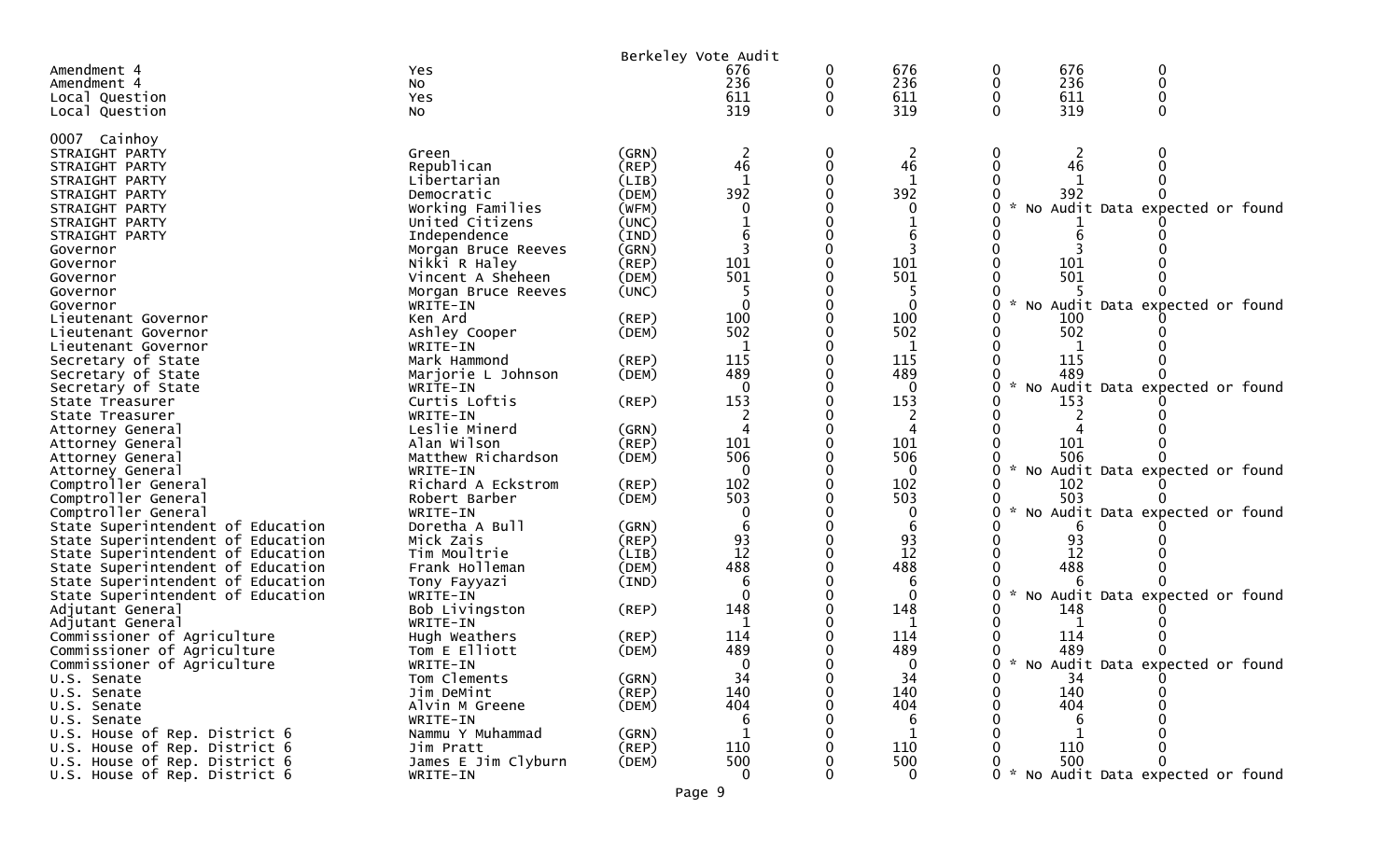|                                                                        |                                |                | Berkeley Vote Audit |   |              |              |          |                                     |  |
|------------------------------------------------------------------------|--------------------------------|----------------|---------------------|---|--------------|--------------|----------|-------------------------------------|--|
| Amendment 4                                                            | <b>Yes</b>                     |                | 676                 | 0 | 676          | 0            | 676      | 0                                   |  |
| Amendment 4                                                            | NO.                            |                | 236                 | 0 | 236          | 0            | 236      | 0                                   |  |
| Local Question                                                         | Yes                            |                | 611                 | 0 | 611          | 0            | 611      | 0                                   |  |
| Local Question                                                         | NO.                            |                | 319                 | 0 | 319          | 0            | 319      | $\Omega$                            |  |
| 0007 Cainhoy                                                           |                                |                |                     |   |              |              |          |                                     |  |
| STRAIGHT PARTY                                                         | Green                          | (GRN)          |                     | 0 | 2            | 0            |          |                                     |  |
| STRAIGHT PARTY                                                         | Republican                     | $($ REP $)$    | 46                  | 0 | 46           | $\mathbf{0}$ | 46       |                                     |  |
| STRAIGHT PARTY                                                         | Libertarian                    | (LIB)          | $\mathbf{1}$        |   | $\mathbf{1}$ |              |          |                                     |  |
| STRAIGHT PARTY                                                         | Democratic                     | (DEM)          | 392                 | O | 392          |              | 392      |                                     |  |
| STRAIGHT PARTY                                                         | Working Families               | (WFM)          | 0                   |   | 0            | 0            |          | No Audit Data expected or found     |  |
| STRAIGHT PARTY                                                         | United Citizens                | (UNC)          |                     |   |              |              |          |                                     |  |
| STRAIGHT PARTY                                                         | Independence                   | (IND)          |                     |   |              |              |          |                                     |  |
| Governor                                                               | Morgan Bruce Reeves            | (GRN)          | 3                   |   | 3            |              |          |                                     |  |
| Governor                                                               | Nikki R Haley                  | (REP)          | 101                 |   | 101          |              | 101      |                                     |  |
| Governor                                                               | Vincent A Sheheen              | (DEM)          | 501                 |   | 501          |              | 501      |                                     |  |
| Governor                                                               | Morgan Bruce Reeves            | (UNC)          | $\Omega$            |   | 0            | 0            |          |                                     |  |
| Governor                                                               | WRITE-IN<br>Ken Ard            | $($ REP $)$    | 100                 |   | 100          |              | 100      | No Audit Data expected or found     |  |
| Lieutenant Governor<br>Lieutenant Governor                             | Ashley Cooper                  | (DEM)          | 502                 |   | 502          | 0            | 502      |                                     |  |
| Lieutenant Governor                                                    | WRITE-IN                       |                |                     |   | $\mathbf{1}$ |              |          |                                     |  |
| Secretary of State                                                     | Mark Hammond                   | $($ REP $)$    | 115                 |   | 115          |              | 115      |                                     |  |
| Secretary of State                                                     | Marjorie L Johnson             | (DEM)          | 489                 |   | 489          |              | 489      |                                     |  |
| Secretary of State                                                     | WRITE-IN                       |                |                     |   | $\Omega$     | $\sim$<br>0  |          | No Audit Data expected or found     |  |
| State Treasurer                                                        | Curtis Loftis                  | (REP)          | 153                 |   | 153          |              | 153      |                                     |  |
| State Treasurer                                                        | WRITE-IN                       |                |                     |   |              |              |          |                                     |  |
| Attorney General                                                       | Leslie Minerd                  | (GRN)          |                     |   | Δ            |              |          |                                     |  |
| Attorney General                                                       | Alan Wilson                    | $($ REP $)$    | 101                 |   | 101          |              | 101      |                                     |  |
| Attorney General                                                       | Matthew Richardson             | (DEM)          | 506                 |   | 506          |              | 506      |                                     |  |
| Attorney General                                                       | WRITE-IN                       |                |                     |   | $\Omega$     | 0            |          | No Audit Data expected or found     |  |
| Comptroller General                                                    | Richard A Eckstrom             | (REP)          | 102                 |   | 102          |              | 102      |                                     |  |
| Comptroller General                                                    | Robert Barber                  | (DEM)          | 503                 |   | 503          |              | 503      |                                     |  |
| Comptroller General                                                    | WRITE-IN                       |                |                     |   | 0            | 0            |          | No Audit Data expected or found     |  |
| State Superintendent of Education                                      | Doretha A Bull                 | (GRN)          | 6                   |   |              |              |          |                                     |  |
| State Superintendent of Education                                      | Mick Zais                      | (REP)          | 93<br>12            |   | 93<br>12     |              | 93<br>12 |                                     |  |
| State Superintendent of Education<br>State Superintendent of Education | Tim Moultrie<br>Frank Holleman | (LIB)<br>(DEM) | 488                 |   | 488          |              | 488      |                                     |  |
| State Superintendent of Education                                      | Tony Fayyazi                   | (IND)          | 6                   |   | 6            |              |          |                                     |  |
| State Superintendent of Education                                      | WRITE-IN                       |                |                     |   | $\Omega$     | 0            |          | No Audit Data expected or found     |  |
| Adjutant General                                                       | Bob Livingston                 | (REP)          | 148                 |   | 148          |              | 148      |                                     |  |
| Adjutant General                                                       | WRITE-IN                       |                | -1                  |   | 1            |              |          |                                     |  |
| Commissioner of Agriculture                                            | Hugh Weathers                  | (REP)          | 114                 |   | 114          |              | 114      |                                     |  |
| Commissioner of Agriculture                                            | Tom E Elliott                  | (DEM)          | 489                 |   | 489          |              | 489      | $\Omega$                            |  |
| Commissioner of Agriculture                                            | WRITE-IN                       |                | $\overline{0}$      |   | ∩            |              |          | 0 * No Audit Data expected or found |  |
| U.S. Senate                                                            | Tom Clements                   | (GRN)          | 34                  |   | 34           | 0            | 34       |                                     |  |
| U.S. Senate                                                            | Jim DeMint                     | (REP)          | 140                 |   | 140          | 0            | 140      |                                     |  |
| U.S. Senate                                                            | Alvin M Greene                 | (DEM)          | 404                 |   | 404          |              | 404      |                                     |  |
| U.S. Senate                                                            | WRITE-IN                       |                | 6                   |   | 6            |              | 6        |                                     |  |
| U.S. House of Rep. District 6                                          | Nammu Y Muhammad               | (GRN)          | 1                   |   | 1            |              |          |                                     |  |
| U.S. House of Rep. District 6                                          | Jim Pratt                      | (REP)          | 110                 |   | 110          |              | 110      |                                     |  |
| U.S. House of Rep. District 6                                          | James E Jim Clyburn            | (DEM)          | 500                 |   | 500          |              | 500      |                                     |  |
| U.S. House of Rep. District 6                                          | WRITE-IN                       |                | 0                   |   | $\mathbf{0}$ |              |          | 0 * No Audit Data expected or found |  |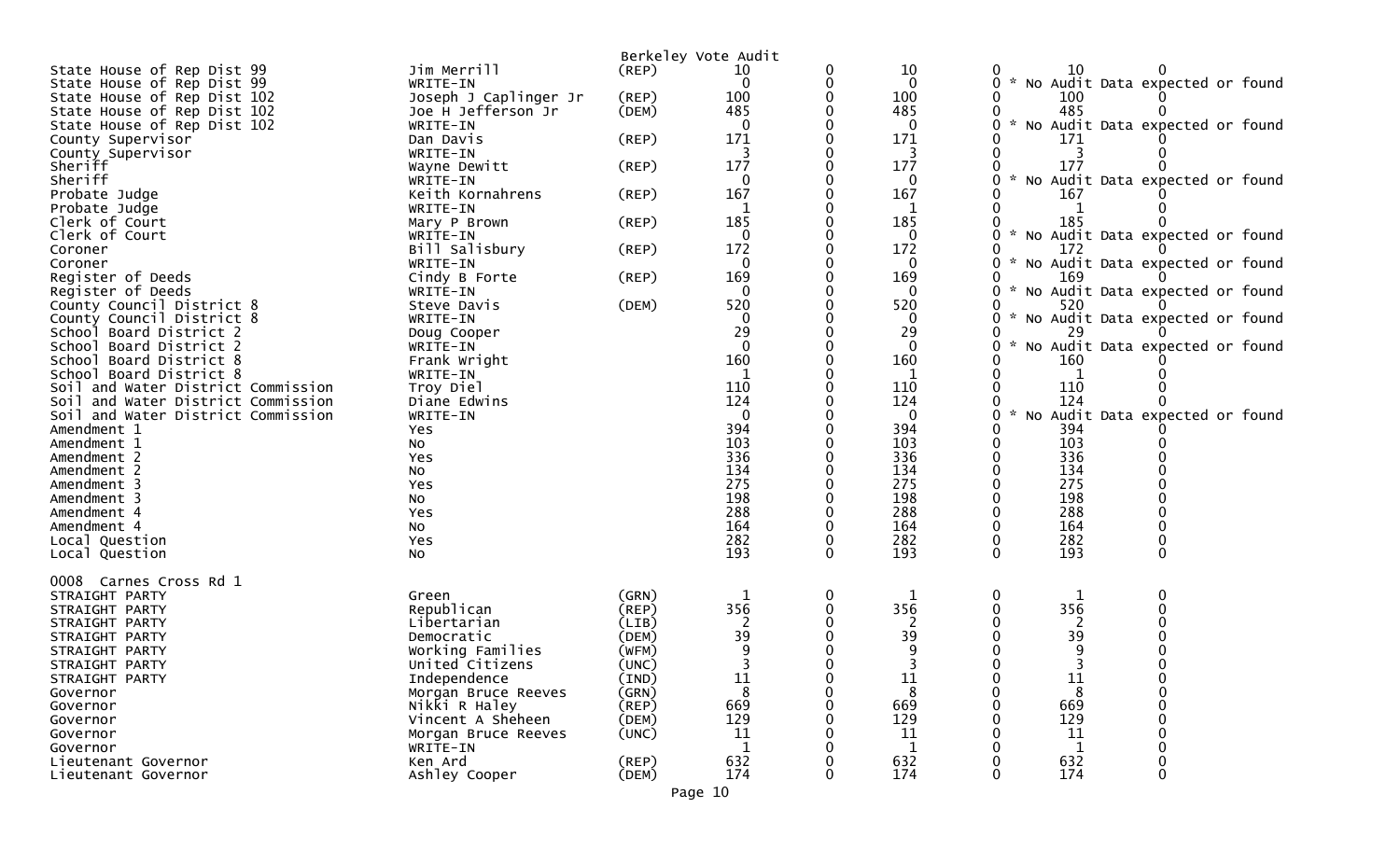|                                    |                                 |                | Berkeley Vote Audit |          |                     |                    |              |                                   |
|------------------------------------|---------------------------------|----------------|---------------------|----------|---------------------|--------------------|--------------|-----------------------------------|
| State House of Rep Dist 99         | Jim Merrill                     | $($ REP $)$    | 10                  |          | 10                  |                    | 10           |                                   |
| State House of Rep Dist 99         | WRITE-IN                        |                | $\Omega$            | 0        | 0                   | 0                  |              | * No Audit Data expected or found |
| State House of Rep Dist 102        | Joseph J Caplinger Jr           | (REP)          | 100                 |          | 100                 |                    | 100          |                                   |
| State House of Rep Dist 102        | Joe H Jefferson Jr              | (DEM)          | 485                 |          | 485                 |                    | 485          |                                   |
| State House of Rep Dist 102        | WRITE-IN                        |                |                     |          | 0                   |                    |              | * No Audit Data expected or found |
| County Supervisor                  | Dan Davis                       | $($ REP $)$    | 171                 |          | 171                 |                    | 171          |                                   |
| County Supervisor                  | WRITE-IN                        |                |                     |          | 3                   |                    | 3            |                                   |
| Sheriff                            | Wayne Dewitt                    | $($ REP $)$    | 177                 |          | 177                 |                    | 177          |                                   |
| Sheriff                            | WRITE-IN                        |                | 0                   |          | $\mathbf{0}$        | 0                  |              | * No Audit Data expected or found |
| Probate Judge                      | Keith Kornahrens                | $($ REP $)$    | 167                 |          | 167                 |                    | 167          |                                   |
| Probate Judge                      | WRITE-IN                        |                |                     |          |                     |                    |              |                                   |
| Clerk of Court                     | Mary P Brown                    | $($ REP $)$    | 185                 |          | 185                 |                    | 185          |                                   |
| Clerk of Court                     | WRITE-IN                        |                | $\Omega$            |          | 0                   | 0                  |              | * No Audit Data expected or found |
| Coroner                            | Bill Salisbury                  | $($ REP $)$    | 172                 |          | 172                 | 0                  | 172          | * No Audit Data expected or found |
| Coroner<br>Register of Deeds       | WRITE-IN                        | $($ REP $)$    | 0<br>169            |          | $\mathbf{0}$<br>169 | 0                  | 169          |                                   |
| Register of Deeds                  | Cindy B Forte<br>WRITE-IN       |                |                     |          | 0                   | 0                  |              | * No Audit Data expected or found |
| County Council District 8          | Steve Davis                     | (DEM)          | 520                 |          | 520                 |                    | 520          |                                   |
| County Council District 8          | WRITE-IN                        |                | $\Omega$            |          | $\mathbf{0}$        | 0                  |              | * No Audit Data expected or found |
| School Board District 2            | Doug Cooper                     |                | 29                  |          | 29                  |                    | 29           |                                   |
| School Board District 2            | WRITE-IN                        |                | $\Omega$            |          | $\mathbf 0$         | 0                  |              | * No Audit Data expected or found |
| School Board District 8            | Frank Wright                    |                | 160                 |          | 160                 |                    | 160          |                                   |
| School Board District 8            | WRITE-IN                        |                |                     |          |                     |                    |              |                                   |
| Soil and Water District Commission | Troy Diel                       |                | 110                 |          | 110                 |                    | 110          |                                   |
| Soil and Water District Commission | Diane Edwins                    |                | 124                 |          | 124                 |                    | 124          |                                   |
| Soil and Water District Commission | WRITE-IN                        |                | $\Omega$            |          | $\mathbf 0$         | $\mathcal{H}$<br>0 |              | No Audit Data expected or found   |
| Amendment 1                        | Yes                             |                | 394                 |          | 394                 |                    | 394          |                                   |
| Amendment 1                        | No                              |                | 103                 |          | 103                 |                    | 103          |                                   |
| Amendment 2                        | Yes                             |                | 336                 |          | 336                 |                    | 336          |                                   |
| Amendment 2                        | No                              |                | 134                 |          | 134                 |                    | 134          |                                   |
| Amendment 3                        | Yes                             |                | 275                 |          | 275                 |                    | 275          |                                   |
| Amendment 3                        | NO.                             |                | 198                 |          | 198                 |                    | 198          |                                   |
| Amendment 4                        | Yes                             |                | 288                 |          | 288                 |                    | 288          |                                   |
| Amendment 4                        | No                              |                | 164                 |          | 164                 |                    | 164          |                                   |
| Local Question                     | Yes                             |                | 282                 | 0        | 282                 | 0                  | 282          |                                   |
| Local Question                     | No                              |                | 193                 | 0        | 193                 | 0                  | 193          | 0                                 |
|                                    |                                 |                |                     |          |                     |                    |              |                                   |
| 0008 Carnes Cross Rd 1             |                                 |                |                     |          |                     |                    |              |                                   |
| STRAIGHT PARTY                     | Green                           | (GRN)          |                     | 0        |                     | 0                  |              |                                   |
| STRAIGHT PARTY                     | Republican                      | $($ REP $)$    | 356                 |          | 356                 |                    | 356          |                                   |
| STRAIGHT PARTY                     | Libertarian                     | (LIB)          |                     |          | 2                   |                    | 2            |                                   |
| STRAIGHT PARTY                     | Democratic                      | (DEM)          | 39                  |          | 39                  |                    | 39           |                                   |
| STRAIGHT PARTY                     | Working Families                | (WFM)<br>(UNC) |                     |          |                     |                    |              |                                   |
| STRAIGHT PARTY<br>STRAIGHT PARTY   | United Citizens<br>Independence | (IND)          | 11                  | 0        | ${\bf 11}$          | 0                  | 11           | 0                                 |
| Governor                           | Morgan Bruce Reeves             | (GRN)          |                     |          | 8                   | 0                  | 8            | 0                                 |
| Governor                           | Nikki R Haley                   | (REP)          | 669                 |          | 669                 |                    | 669          |                                   |
| Governor                           | Vincent A Sheheen               | (DEM)          | 129                 |          | 129                 |                    | 129          |                                   |
| Governor                           | Morgan Bruce Reeves             | (UNC)          | 11                  |          | 11                  |                    | 11           |                                   |
| Governor                           | WRITE-IN                        |                | $\mathbf{1}$        |          | $\mathbf{1}$        |                    | $\mathbf{1}$ |                                   |
| Lieutenant Governor                | Ken Ard                         | $($ REP $)$    | 632                 |          | 632                 |                    | 632          | 0                                 |
| Lieutenant Governor                | Ashley Cooper                   | (DEM)          | 174                 | $\Omega$ | 174                 | 0                  | 174          | 0                                 |
|                                    |                                 |                |                     |          |                     |                    |              |                                   |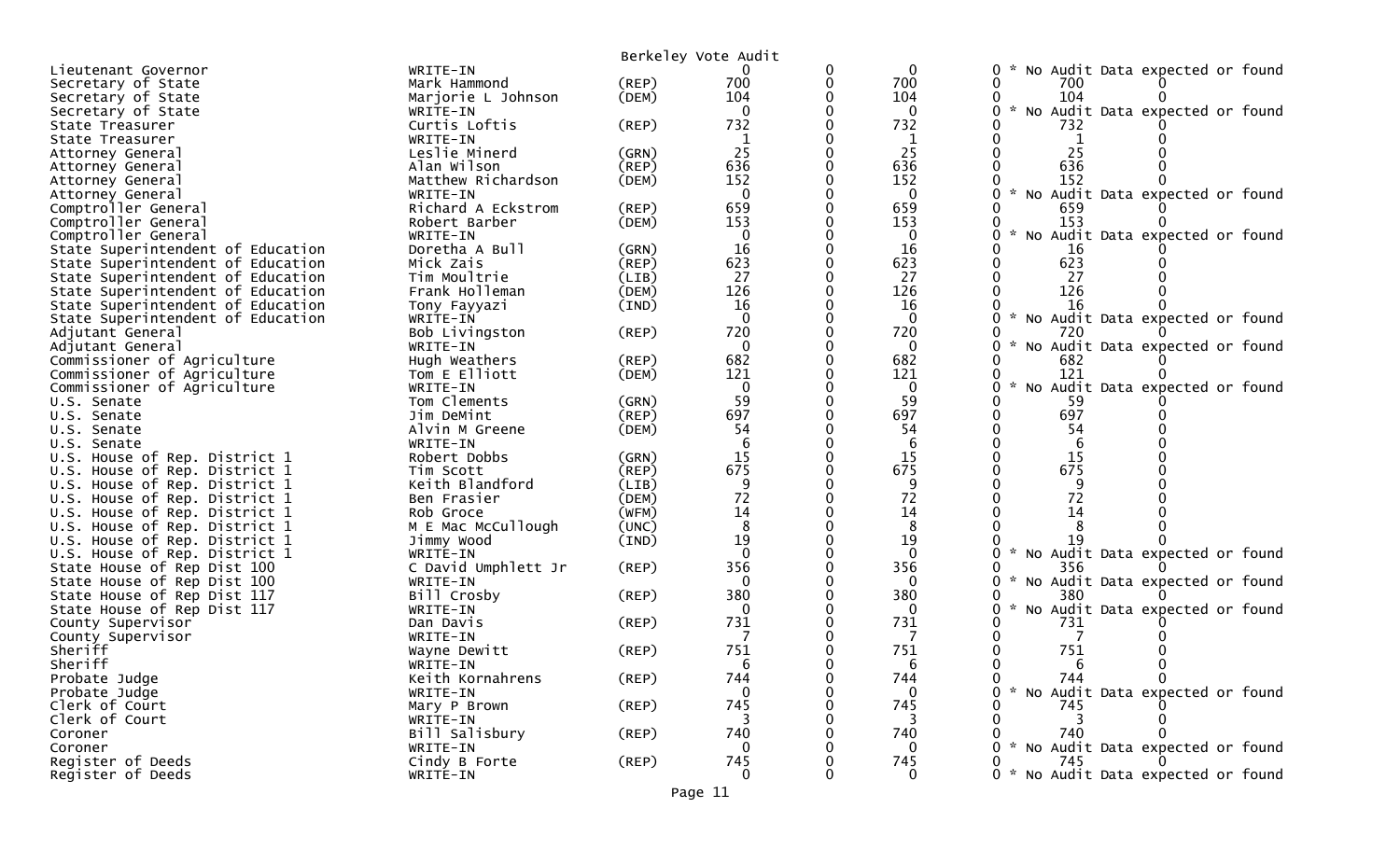|                                   |                     |             | Berkeley Vote Audit |              |                |                                                       |
|-----------------------------------|---------------------|-------------|---------------------|--------------|----------------|-------------------------------------------------------|
| Lieutenant Governor               | WRITE-IN            |             |                     | 0            | $\mathbf 0$    | No Audit Data expected or found<br>0                  |
| Secretary of State                | Mark Hammond        | (REP)       | 700                 | 0            | 700            | 0<br>700                                              |
| Secretary of State                | Marjorie L Johnson  | (DEM)       | 104                 | 0            | 104            | 104<br>0                                              |
| Secretary of State                | WRITE-IN            |             | $\mathbf{0}$        | 0            | $\mathbf 0$    | $\mathcal{H}$<br>No Audit Data expected or found<br>0 |
| State Treasurer                   | Curtis Loftis       | $($ REP $)$ | 732                 |              | 732            | 732                                                   |
| State Treasurer                   | WRITE-IN            |             | 1                   | ∩            | 1              | 0<br>1                                                |
| Attorney General                  | Leslie Minerd       | (GRN)       | 25                  | 0            | 25             | 25<br>0                                               |
| Attorney General                  | Alan Wilson         | $($ REP $)$ | 636                 |              | 636            | 636                                                   |
| Attorney General                  | Matthew Richardson  | (DEM)       | 152                 |              | 152            | 152                                                   |
| Attorney General                  | WRITE-IN            |             | $\mathbf 0$         |              | $\mathbf 0$    | 0<br>$\mathcal{H}$<br>No Audit Data expected or found |
| Comptroller General               | Richard A Eckstrom  | (REP)       | 659                 |              | 659            | 659                                                   |
| Comptroller General               | Robert Barber       | (DEM)       | 153                 | 0            | 153            | 153                                                   |
| Comptroller General               | WRITE-IN            |             | $\mathbf 0$         |              | $\mathbf 0$    | 0<br>No Audit Data expected or found                  |
| State Superintendent of Education | Doretha A Bull      | (GRN)       | 16                  |              | 16             | -16                                                   |
| State Superintendent of Education | Mick Zais           | (REP)       | 623                 | 0            | 623            | 623<br>0                                              |
| State Superintendent of Education | Tim Moultrie        | (LIB)       | 27                  |              | 27             | 27<br>0                                               |
| State Superintendent of Education | Frank Holleman      | (DEM)       | 126                 |              | 126            | 126                                                   |
| State Superintendent of Education | Tony Fayyazi        | (IND)       | 16                  | ∩            | 16             | 16                                                    |
| State Superintendent of Education | WRITE-IN            |             | $\Omega$            |              | $\mathbf{0}$   | 0<br>No Audit Data expected or found                  |
| Adjutant General                  | Bob Livingston      | $($ REP $)$ | 720                 |              | 720            | 0<br>720                                              |
| Adjutant General                  | WRITE-IN            |             | $\mathbf{0}$        |              | $\mathbf{0}$   | 0<br>No Audit Data expected or found                  |
| Commissioner of Agriculture       | Hugh Weathers       | $($ REP $)$ | 682                 | 0            | 682            | 682<br>0                                              |
| Commissioner of Agriculture       | Tom E Elliott       | (DEM)       | 121                 |              | 121            | 121<br>0                                              |
| Commissioner of Agriculture       | WRITE-IN            |             | $\mathbf{0}$        |              | $\mathbf{0}$   | $\sim$<br>No Audit Data expected or found<br>0        |
| U.S. Senate                       | Tom Clements        | (GRN)       | 59                  | 0            | 59             | 0<br>59                                               |
| U.S. Senate                       | Jim DeMint          | (REP)       | 697                 |              | 697            | 697<br>0                                              |
| U.S. Senate                       | Alvin M Greene      | (DEM)       | 54                  | 0            | 54             | 54                                                    |
| U.S. Senate                       | WRITE-IN            |             | 6                   | $\mathbf{0}$ | 6              | 6<br>0                                                |
| U.S. House of Rep. District 1     | Robert Dobbs        | (GRN)       | 15                  |              | 15             | $\mathbf{0}$<br>15                                    |
| U.S. House of Rep. District 1     | Tim Scott           | (REP)       | 675                 |              | 675            | 675                                                   |
| U.S. House of Rep. District 1     | Keith Blandford     | (LIB)       | 9                   |              | 9              | 9                                                     |
| U.S. House of Rep. District 1     | Ben Frasier         | (DEM)       | 72                  |              | 72             | 72                                                    |
| U.S. House of Rep. District 1     | Rob Groce           | (WFM)       | 14                  | 0            | 14             | 14                                                    |
| U.S. House of Rep. District 1     | M E Mac McCullough  | (UNC)       | 8                   |              | 8              |                                                       |
| U.S. House of Rep. District 1     | Jimmy Wood          | (IND)       | 19                  |              | 19             |                                                       |
| U.S. House of Rep. District 1     | WRITE-IN            |             | $\Omega$            |              | $\Omega$       | $\sim$<br>No Audit Data expected or found<br>0        |
| State House of Rep Dist 100       | C David Umphlett Jr | $($ REP $)$ | 356                 |              | 356            | 356                                                   |
| State House of Rep Dist 100       | WRITE-IN            |             | $\Omega$            |              | 0              | 0<br>No Audit Data expected or found                  |
| State House of Rep Dist 117       | Bill Crosby         | $($ REP $)$ | 380                 |              | 380            | 380<br>$\sim$                                         |
| State House of Rep Dist 117       | WRITE-IN            |             | 0                   |              | 0              | No Audit Data expected or found                       |
| County Supervisor                 | Dan Davis           | $($ REP $)$ | 731                 |              | 731            | 731                                                   |
| County Supervisor                 | WRITE-IN            |             |                     |              | 7              |                                                       |
| Sheriff                           | Wayne Dewitt        | $($ REP $)$ | 751                 |              | 751            | 751                                                   |
| Sheriff                           | WRITE-IN            |             | 6                   |              | 6<br>744       | 0<br>6<br>744<br>$\overline{0}$                       |
| Probate Judge                     | Keith Kornahrens    | (REP)       | 744                 | 0            |                | 0                                                     |
| Probate Judge                     | WRITE-IN            |             | $\Omega$            |              | $\Omega$       | 0 * No Audit Data expected or found                   |
| Clerk of Court                    | Mary P Brown        | $($ REP $)$ | 745                 |              | 745            | 745                                                   |
| Clerk of Court                    | WRITE-IN            |             | 3                   |              | 3              | 3                                                     |
| Coroner                           | Bill Salisbury      | $($ REP $)$ | 740                 |              | 740            | 740                                                   |
| Coroner                           | WRITE-IN            |             | $\Omega$            |              | 0              | * No Audit Data expected or found                     |
| Register of Deeds                 | Cindy B Forte       | $($ REP $)$ | 745                 |              | 745            | 745<br>0                                              |
| Register of Deeds                 | WRITE-IN            |             | $\Omega$            |              | $\overline{0}$ | 0 * No Audit Data expected or found                   |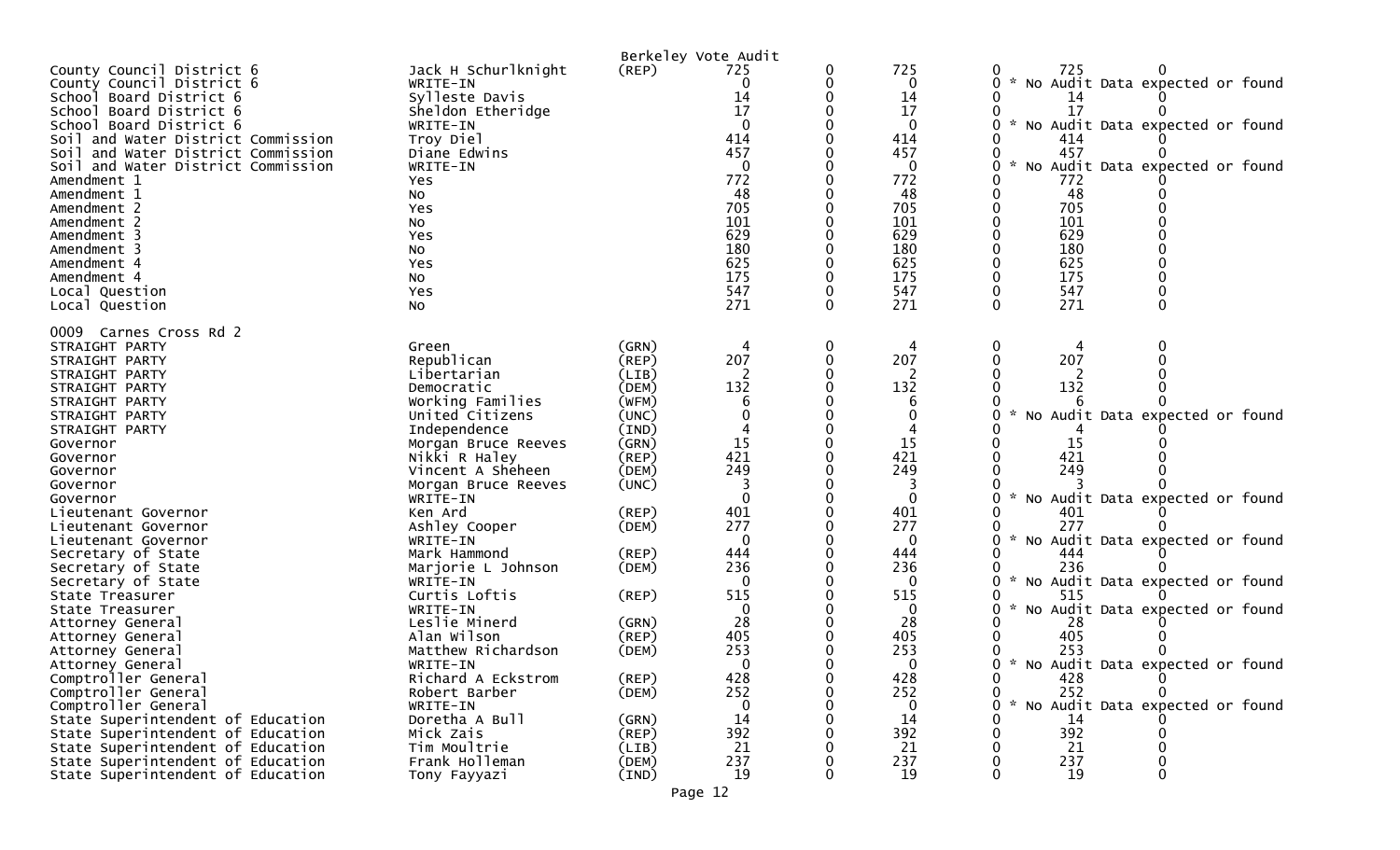| County Council District 6<br>County Council District 6<br>School Board District 6<br>School Board District 6<br>School Board District 6<br>Soil and Water District Commission<br>and Water District Commission<br>Soil<br>Soil and Water District Commission<br>Amendment 1<br>Amendment 1<br>Amendment 2<br>Amendment 2<br>Amendment 3<br>Amendment 3<br>Amendment 4<br>Amendment 4<br>Local Question<br>Local Question | Jack H Schurlknight<br>WRITE-IN<br>Sylleste Davis<br>Sheldon Etheridge<br>WRITE-IN<br>Troy Diel<br>Diane Edwins<br>WRITE-IN<br>Yes<br>No<br>Yes<br>No<br>Yes<br>NO.<br>Yes<br>No<br>Yes<br>No | (REP)          | Berkeley Vote Audit<br>725<br>0<br>14<br>17<br>414<br>457<br>$\mathbf{0}$<br>772<br>48<br>705<br>101<br>629<br>180<br>625<br>175<br>547<br>271 | 0<br>0 | 725<br>0<br>14<br>17<br>414<br>457<br>0<br>772<br>48<br>705<br>101<br>629<br>180<br>625<br>175<br>547<br>271 | 725<br>No Audit Data expected or found<br>14<br>17<br>No Audit Data expected or found<br>$\mathcal{H}$<br>414<br>457<br>No Audit Data expected or found<br>772<br>48<br>705<br>101<br>629<br>180<br>625<br>175<br>547<br>271<br>$\Omega$ |
|--------------------------------------------------------------------------------------------------------------------------------------------------------------------------------------------------------------------------------------------------------------------------------------------------------------------------------------------------------------------------------------------------------------------------|-----------------------------------------------------------------------------------------------------------------------------------------------------------------------------------------------|----------------|------------------------------------------------------------------------------------------------------------------------------------------------|--------|--------------------------------------------------------------------------------------------------------------|------------------------------------------------------------------------------------------------------------------------------------------------------------------------------------------------------------------------------------------|
| 0009 Carnes Cross Rd 2<br>STRAIGHT PARTY                                                                                                                                                                                                                                                                                                                                                                                 | Green                                                                                                                                                                                         | (GRN)          |                                                                                                                                                | 0      |                                                                                                              |                                                                                                                                                                                                                                          |
| STRAIGHT PARTY                                                                                                                                                                                                                                                                                                                                                                                                           | Republican                                                                                                                                                                                    | $($ REP $)$    | 207                                                                                                                                            |        | 207                                                                                                          | 207                                                                                                                                                                                                                                      |
| STRAIGHT PARTY                                                                                                                                                                                                                                                                                                                                                                                                           | Libertarian                                                                                                                                                                                   | (LIB)          |                                                                                                                                                |        |                                                                                                              |                                                                                                                                                                                                                                          |
| STRAIGHT PARTY                                                                                                                                                                                                                                                                                                                                                                                                           | Democratic                                                                                                                                                                                    | (DEM)          | 132                                                                                                                                            |        | 132                                                                                                          | 132                                                                                                                                                                                                                                      |
| STRAIGHT PARTY                                                                                                                                                                                                                                                                                                                                                                                                           | Working Families                                                                                                                                                                              | (WFM)          |                                                                                                                                                |        | 6                                                                                                            |                                                                                                                                                                                                                                          |
| STRAIGHT PARTY                                                                                                                                                                                                                                                                                                                                                                                                           | United Citizens                                                                                                                                                                               | (UNC)          |                                                                                                                                                |        |                                                                                                              | No Audit Data expected or found                                                                                                                                                                                                          |
| STRAIGHT PARTY                                                                                                                                                                                                                                                                                                                                                                                                           | Independence                                                                                                                                                                                  | (IND)          |                                                                                                                                                |        |                                                                                                              |                                                                                                                                                                                                                                          |
| Governor                                                                                                                                                                                                                                                                                                                                                                                                                 | Morgan Bruce Reeves                                                                                                                                                                           | (GRN)          | 15                                                                                                                                             |        | 15                                                                                                           | 15                                                                                                                                                                                                                                       |
| Governor                                                                                                                                                                                                                                                                                                                                                                                                                 | Nikki R Haley                                                                                                                                                                                 | (REP)          | 421                                                                                                                                            |        | 421                                                                                                          | 421                                                                                                                                                                                                                                      |
| Governor                                                                                                                                                                                                                                                                                                                                                                                                                 | Vincent A Sheheen                                                                                                                                                                             | (DEM)          | 249                                                                                                                                            |        | 249                                                                                                          | 249                                                                                                                                                                                                                                      |
| Governor                                                                                                                                                                                                                                                                                                                                                                                                                 | Morgan Bruce Reeves                                                                                                                                                                           | (UNC)          |                                                                                                                                                |        |                                                                                                              |                                                                                                                                                                                                                                          |
| Governor                                                                                                                                                                                                                                                                                                                                                                                                                 | WRITE-IN                                                                                                                                                                                      |                | $\mathbf{0}$                                                                                                                                   |        | $\Omega$                                                                                                     | $\mathcal{H}$<br>No Audit Data expected or found                                                                                                                                                                                         |
| Lieutenant Governor                                                                                                                                                                                                                                                                                                                                                                                                      | Ken Ard                                                                                                                                                                                       | (REP)          | 401                                                                                                                                            |        | 401                                                                                                          | 401                                                                                                                                                                                                                                      |
| Lieutenant Governor                                                                                                                                                                                                                                                                                                                                                                                                      | Ashley Cooper                                                                                                                                                                                 | (DEM)          | 277                                                                                                                                            |        | 277                                                                                                          | 277                                                                                                                                                                                                                                      |
| Lieutenant Governor                                                                                                                                                                                                                                                                                                                                                                                                      | WRITE-IN                                                                                                                                                                                      |                | $\Omega$                                                                                                                                       |        | $\mathbf{0}$                                                                                                 | * No Audit Data expected or found                                                                                                                                                                                                        |
| Secretary of State                                                                                                                                                                                                                                                                                                                                                                                                       | Mark Hammond                                                                                                                                                                                  | (REP)          | 444<br>236                                                                                                                                     |        | 444<br>236                                                                                                   | 444<br>236                                                                                                                                                                                                                               |
| Secretary of State<br>Secretary of State                                                                                                                                                                                                                                                                                                                                                                                 | Marjorie L Johnson<br>WRITE-IN                                                                                                                                                                | (DEM)          | $\Omega$                                                                                                                                       |        | 0                                                                                                            | No Audit Data expected or found                                                                                                                                                                                                          |
| State Treasurer                                                                                                                                                                                                                                                                                                                                                                                                          | Curtis Loftis                                                                                                                                                                                 | (REP)          | 515                                                                                                                                            |        | 515                                                                                                          | 515                                                                                                                                                                                                                                      |
| State Treasurer                                                                                                                                                                                                                                                                                                                                                                                                          | WRITE-IN                                                                                                                                                                                      |                | 0                                                                                                                                              |        | 0                                                                                                            | No Audit Data expected or found<br>$\sim$                                                                                                                                                                                                |
| Attorney General                                                                                                                                                                                                                                                                                                                                                                                                         | Leslie Minerd                                                                                                                                                                                 | (GRN)          | 28                                                                                                                                             |        | 28                                                                                                           | 28                                                                                                                                                                                                                                       |
| Attorney General                                                                                                                                                                                                                                                                                                                                                                                                         | Alan Wilson                                                                                                                                                                                   | $($ REP $)$    | 405                                                                                                                                            |        | 405                                                                                                          | 405                                                                                                                                                                                                                                      |
| Attorney General                                                                                                                                                                                                                                                                                                                                                                                                         | Matthew Richardson                                                                                                                                                                            | (DEM)          | 253                                                                                                                                            |        | 253                                                                                                          | 253                                                                                                                                                                                                                                      |
| Attorney General                                                                                                                                                                                                                                                                                                                                                                                                         | WRITE-IN                                                                                                                                                                                      |                | $\Omega$                                                                                                                                       |        | $\Omega$                                                                                                     | * No Audit Data expected or found                                                                                                                                                                                                        |
| Comptroller General                                                                                                                                                                                                                                                                                                                                                                                                      | Richard A Eckstrom                                                                                                                                                                            | (REP)          | 428                                                                                                                                            | 0      | 428                                                                                                          | 0<br>428                                                                                                                                                                                                                                 |
| Comptroller General                                                                                                                                                                                                                                                                                                                                                                                                      | Robert Barber                                                                                                                                                                                 | (DEM)          | 252                                                                                                                                            |        | 252                                                                                                          | 252                                                                                                                                                                                                                                      |
| Comptroller General                                                                                                                                                                                                                                                                                                                                                                                                      | WRITE-IN                                                                                                                                                                                      |                | 0                                                                                                                                              |        | 0                                                                                                            | * No Audit Data expected or found<br>0                                                                                                                                                                                                   |
| State Superintendent of Education                                                                                                                                                                                                                                                                                                                                                                                        | Doretha A Bull                                                                                                                                                                                | (GRN)          | 14                                                                                                                                             |        | 14                                                                                                           | 14                                                                                                                                                                                                                                       |
| State Superintendent of Education                                                                                                                                                                                                                                                                                                                                                                                        | Mick Zais                                                                                                                                                                                     | (REP)          | 392                                                                                                                                            |        | 392                                                                                                          | 392                                                                                                                                                                                                                                      |
| State Superintendent of Education                                                                                                                                                                                                                                                                                                                                                                                        | Tim Moultrie                                                                                                                                                                                  | (LIB)          | 21                                                                                                                                             |        | 21                                                                                                           | 21                                                                                                                                                                                                                                       |
| State Superintendent of Education<br>State Superintendent of Education                                                                                                                                                                                                                                                                                                                                                   | Frank Holleman<br>Tony Fayyazi                                                                                                                                                                | (DEM)<br>(IND) | 237<br>19                                                                                                                                      |        | 237<br>19                                                                                                    | 237<br>19                                                                                                                                                                                                                                |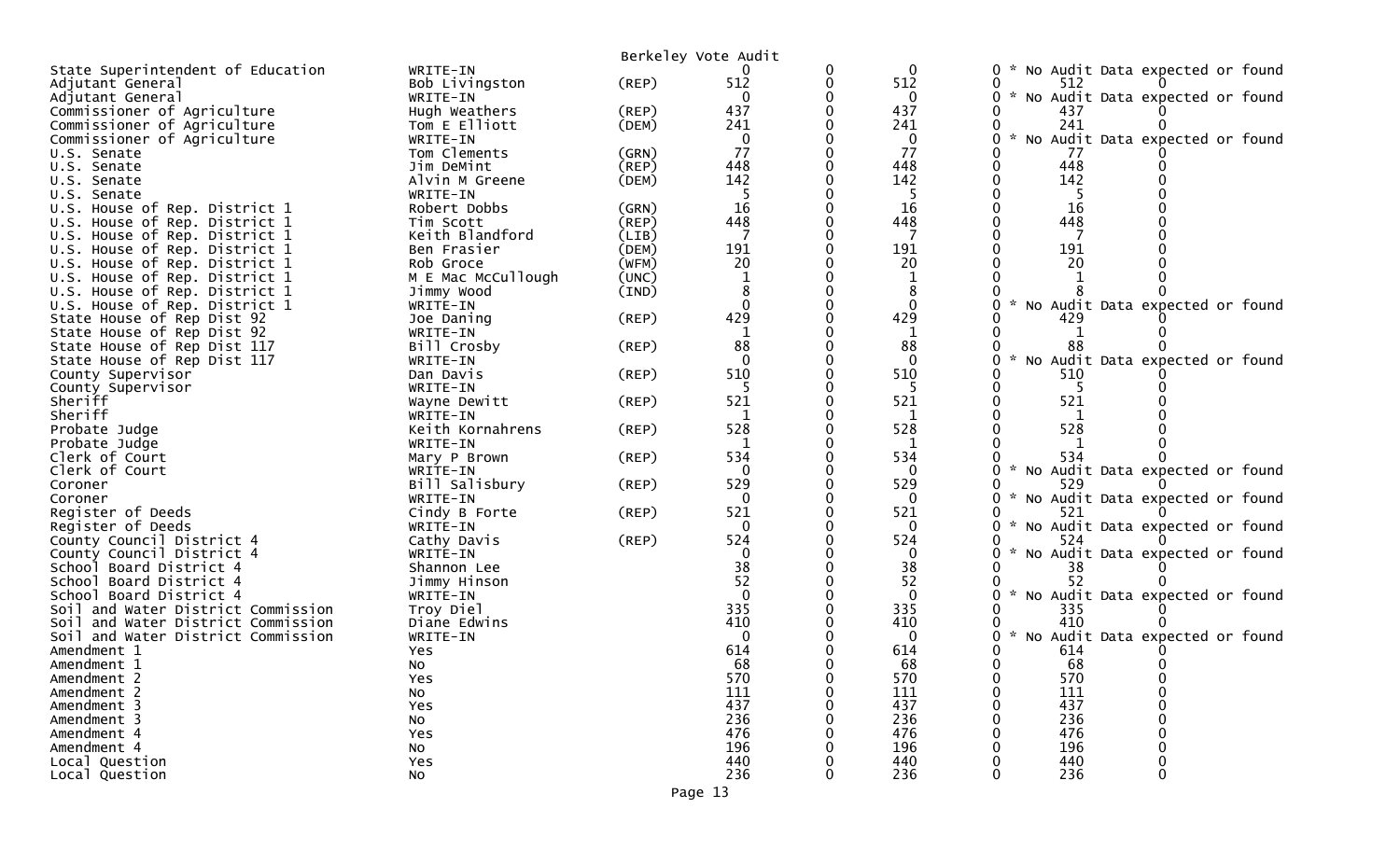|                                       |                           |             | Berkeley Vote Audit |          |              |                                                  |
|---------------------------------------|---------------------------|-------------|---------------------|----------|--------------|--------------------------------------------------|
| State Superintendent of Education     | WRITE-IN                  |             |                     | 0        | $\mathbf 0$  | No Audit Data expected or found                  |
| Adjutant General                      | Bob Livingston            | $($ REP $)$ | 512                 | 0        | 512          | 512                                              |
| Adjutant General                      | WRITE-IN                  |             | $\Omega$            |          | 0            | No Audit Data expected or found                  |
| Commissioner of Agriculture           | Hugh Weathers             | (REP)       | 437                 |          | 437          | 437                                              |
| Commissioner of Agriculture           | Tom E Elliott             | (DEM)       | 241                 |          | 241          | 241                                              |
| Commissioner of Agriculture           | WRITE-IN                  |             | $\mathbf{0}$        |          | 0            | No Audit Data expected or found                  |
| U.S. Senate                           | Tom Clements              | (GRN)       | 77                  |          | 77           | 77                                               |
| U.S. Senate                           | Jim DeMint                | (REP)       | 448                 |          | 448          | 448                                              |
| U.S. Senate                           | Alvin M Greene            | (DEM)       | 142                 |          | 142          | 142                                              |
| U.S. Senate                           | WRITE-IN                  |             | -5                  |          | 5            | 5                                                |
| U.S. House of Rep. District 1         | Robert Dobbs              | (GRN)       | 16                  |          | 16           | 16                                               |
| U.S. House of Rep. District 1         | Tim Scott                 | (REP)       | 448                 |          | 448          | 448                                              |
| House of Rep. District 1<br>U.S.      | Keith Blandford           | (LIB)       |                     |          | 7            |                                                  |
| U.S. House of Rep. District 1         | Ben Frasier               | (DEM)       | 191                 |          | 191          | 191                                              |
| U.S. House of Rep. District 1         | Rob Groce                 | (WFM)       | 20                  |          | 20           | 20                                               |
| U.S. House of Rep. District 1         | M E Mac McCullough        | (UNC)       |                     |          |              |                                                  |
| U.S. House of Rep. District 1         | Jimmy Wood                | (IND)       |                     | 0        |              |                                                  |
| U.S. House of Rep. District 1         | WRITE-IN                  |             | $\Omega$            |          | $\mathbf{0}$ | No Audit Data expected or found                  |
| State House of Rep Dist 92            | Joe Daning                | $($ REP $)$ | 429                 |          | 429          | 429                                              |
| State House of Rep Dist 92            | WRITE-IN                  |             |                     |          |              |                                                  |
| State House of Rep Dist 117           | Bill Crosby               | (REP)       | 88                  |          | 88           | 88                                               |
| State House of Rep Dist 117           | WRITE-IN                  |             | $\Omega$            |          | $\Omega$     | No Audit Data expected or found                  |
| County Supervisor                     | Dan Davis                 | (REP)       | 510                 |          | 510          | 510                                              |
| County Supervisor                     | WRITE-IN                  |             |                     |          | 5            | 5                                                |
| Sheriff                               | Wayne Dewitt              | $($ REP $)$ | 521                 |          | 521          | 521                                              |
| Sheriff                               | WRITE-IN                  |             |                     |          |              |                                                  |
| Probate Judge                         | Keith Kornahrens          | (REP)       | 528                 |          | 528          | 528                                              |
| Probate Judge                         | WRITE-IN                  |             |                     |          | $\mathbf{1}$ |                                                  |
| Clerk of Court                        | Mary P Brown              | (REP)       | 534                 |          | 534          | 534                                              |
| Clerk of Court                        | WRITE-IN                  |             | $\Omega$            |          | 0            | No Audit Data expected or found                  |
| Coroner<br>Coroner                    | Bill Salisbury            | $($ REP $)$ | 529<br>$\mathbf{0}$ |          | 529          | 529                                              |
| Register of Deeds                     | WRITE-IN<br>Cindy B Forte | (REP)       | 521                 |          | 0<br>521     | No Audit Data expected or found<br>521           |
| Register of Deeds                     | WRITE-IN                  |             | 0                   |          | 0            | No Audit Data expected or found                  |
| County Council District 4             | Cathy Davis               | (REP)       | 524                 |          | 524          | 524                                              |
| County Council District 4             | WRITE-IN                  |             | $\mathbf{0}$        |          | $\mathbf{0}$ | No Audit Data expected or found<br>×.            |
| School Board District 4               | Shannon Lee               |             | 38                  |          | 38           | 38                                               |
| School Board District 4               | Jimmy Hinson              |             | 52                  |          | 52           | 52                                               |
| School Board District 4               | WRITE-IN                  |             | $\overline{0}$      |          | $\mathbf{0}$ | No Audit Data expected or found                  |
| Soil and Water District Commission    | Troy Diel                 |             | 335                 |          | 335          | 335                                              |
| and Water District Commission<br>Soil | Diane Edwins              |             | 410                 |          | 410          | 410                                              |
| Soil and Water District Commission    | WRITE-IN                  |             | $\Omega$            |          | $\mathbf 0$  | $\mathcal{H}$<br>No Audit Data expected or found |
| Amendment 1                           | Yes                       |             | 614                 |          | 614          | 614                                              |
| Amendment 1                           | No                        |             | 68                  |          | 68           | 68                                               |
| Amendment 2                           | Yes                       |             | 570                 | 0        | 570          | 570                                              |
| Amendment 2                           | No                        |             | 111                 | 0        | 111          | 111                                              |
| Amendment 3                           | Yes                       |             | 437                 |          | 437          | 437                                              |
| Amendment 3                           | NO.                       |             | 236                 |          | 236          | 236                                              |
| Amendment 4                           | Yes                       |             | 476                 |          | 476          | 476                                              |
| Amendment 4                           | No                        |             | 196                 |          | 196          | 196                                              |
| Local Question                        | Yes                       |             | 440                 |          | 440          | 440                                              |
| Local Question                        | No                        |             | 236                 | $\Omega$ | 236          | 0<br>236                                         |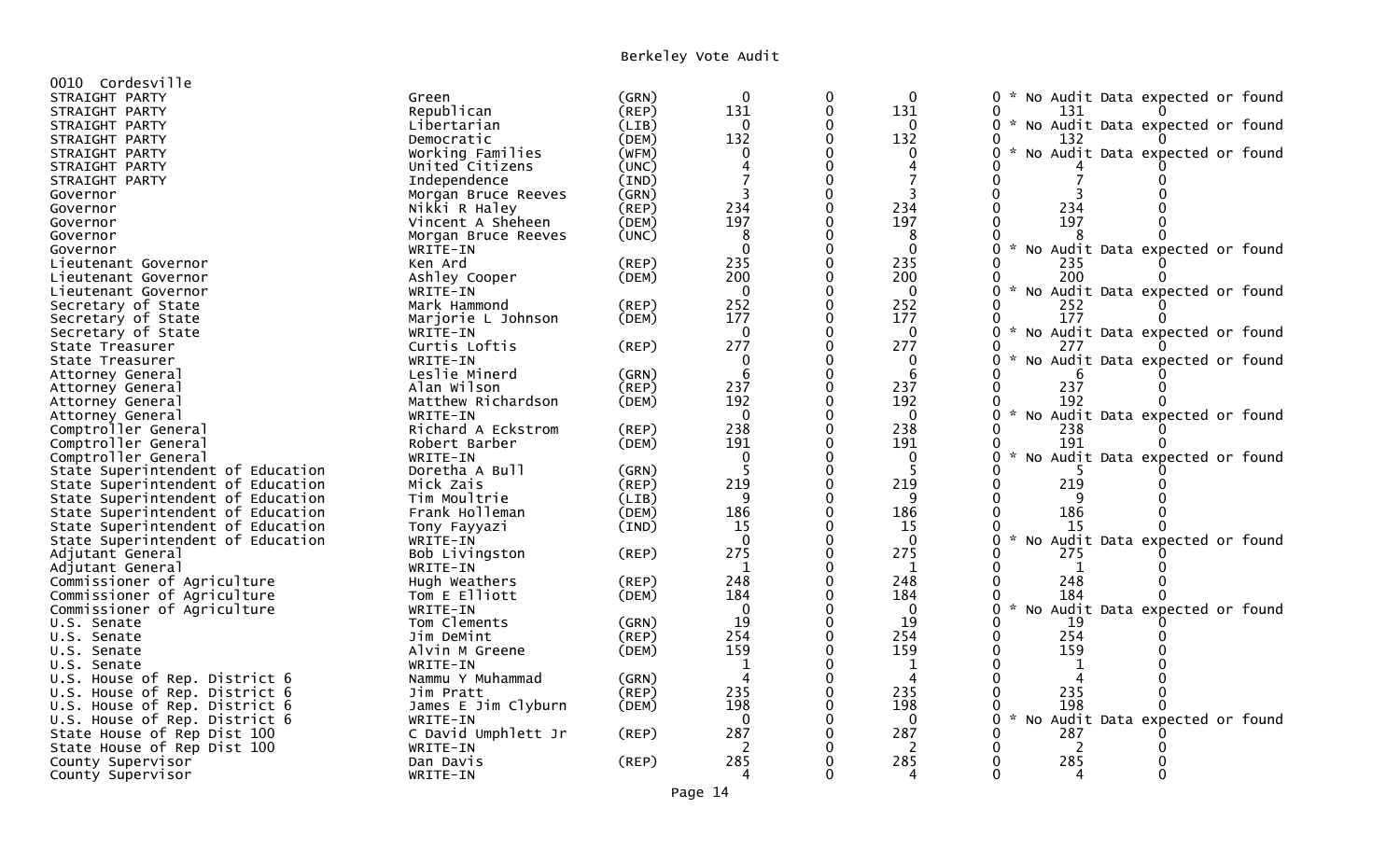## Berkeley Vote Audit

| 0010 Cordesville                  |                     |             |                        |             |                |                                                                        |
|-----------------------------------|---------------------|-------------|------------------------|-------------|----------------|------------------------------------------------------------------------|
| STRAIGHT PARTY                    | Green               | (GRN)       | $\mathbf 0$            | 0           | 0              | $\mathcal{H}$<br>No Audit Data expected or found<br>0                  |
| STRAIGHT PARTY                    | Republican          | $($ REP $)$ | 131                    | $\mathbf 0$ | 131            | 0<br>131                                                               |
| STRAIGHT PARTY                    | Libertarian         | (LIB)       | $\Omega$               | 0           | $\Omega$       | 0<br>* No Audit Data expected or found                                 |
| STRAIGHT PARTY                    | Democratic          | (DEM)       | 132                    | $\mathbf 0$ | 132            | 132                                                                    |
| STRAIGHT PARTY                    | Working Families    | (WFM)       | 0                      |             | $\mathbf{0}$   | No Audit Data expected or found                                        |
| STRAIGHT PARTY                    | United Citizens     | (UNC)       | $\boldsymbol{\Lambda}$ | $\Omega$    | $\overline{4}$ |                                                                        |
| STRAIGHT PARTY                    | Independence        | (IND)       |                        | $\Omega$    |                |                                                                        |
| Governor                          | Morgan Bruce Reeves | (GRN)       | 3                      | $\Omega$    | 3              | $\Omega$                                                               |
| Governor                          | Nikki R Haley       | (REP)       | 234                    | $\Omega$    | 234            | 234<br>$\Omega$                                                        |
| Governor                          | Vincent A Sheheen   | (DEM)       | 197                    | $\Omega$    | 197            | 197<br>$\Omega$                                                        |
| Governor                          | Morgan Bruce Reeves | (UNC)       | 8                      | $\Omega$    | 8              |                                                                        |
| Governor                          | WRITE-IN            |             | $\Omega$               | $\Omega$    | $\Omega$       | $\sim$<br>$\Omega$<br>No Audit Data expected or found                  |
| Lieutenant Governor               | Ken Ard             | (REP)       | 235                    | $\Omega$    | 235            | ∩<br>235                                                               |
| Lieutenant Governor               | Ashley Cooper       | (DEM)       | 200                    | $\Omega$    | 200            | 200<br>$\Omega$                                                        |
| Lieutenant Governor               | WRITE-IN            |             | $\Omega$               | $\Omega$    | $\mathbf{0}$   | $\sim$<br>$\Omega$<br>No Audit Data expected or found                  |
| Secretary of State                | Mark Hammond        | (REP)       | 252                    | $\Omega$    | 252            | $\Omega$<br>252                                                        |
| Secretary of State                | Marjorie L Johnson  | (DEM)       | 177                    | $\Omega$    | 177            | 177<br>$\Omega$                                                        |
| Secretary of State                | WRITE-IN            |             | $\Omega$               | $\Omega$    | $\mathbf{0}$   | $\Omega$<br>$\sim$<br>No Audit Data expected or found                  |
| State Treasurer                   | Curtis Loftis       | (REP)       | 277                    | $\mathbf 0$ | 277            | $\Omega$<br>277                                                        |
| State Treasurer                   | WRITE-IN            |             | ∩                      | $\Omega$    | $\Omega$       | $\mathbf{x}$<br>$\Omega$<br>No Audit Data expected or found            |
| Attorney General                  | Leslie Minerd       | (GRN)       | -6                     | $\Omega$    | 6              | 6                                                                      |
| Attorney General                  | Alan Wilson         | (REP)       | 237                    | $\mathbf 0$ | 237            | 237<br>$\Omega$                                                        |
| Attorney General                  | Matthew Richardson  | (DEM)       | 192                    | $\Omega$    | 192            | 192<br>∩                                                               |
| Attorney General                  | WRITE-IN            |             | $\Omega$               | $\Omega$    | $\mathbf 0$    | $\mathcal{H}$<br>No Audit Data expected or found<br>$\Omega$           |
| Comptroller General               | Richard A Eckstrom  | (REP)       | 238                    | 0           | 238            | $\Omega$<br>238                                                        |
| Comptroller General               | Robert Barber       | (DEM)       | 191                    | 0           | 191            | 191                                                                    |
| Comptroller General               | WRITE-IN            |             | $\mathbf 0$            | $\Omega$    | 0              | $\Omega$<br>No Audit Data expected or found                            |
| State Superintendent of Education | Doretha A Bull      | (GRN)       | -5                     | $\mathbf 0$ | 5              |                                                                        |
| State Superintendent of Education | Mick Zais           | $($ REP $)$ | 219                    | $\Omega$    | 219            | 219<br>$\Omega$                                                        |
| State Superintendent of Education | Tim Moultrie        | (LIB)       | q                      | $\Omega$    | q              | $\Omega$                                                               |
| State Superintendent of Education | Frank Holleman      | (DEM)       | 186                    | $\mathbf 0$ | 186            | $\mathbf 0$<br>186                                                     |
| State Superintendent of Education | Tony Fayyazi        | (IND)       | 15                     | $\Omega$    | 15             | 15                                                                     |
| State Superintendent of Education | WRITE-IN            |             | $\Omega$               | $\Omega$    | $\Omega$       | $\mathcal{H}$<br>$\Omega$<br>No Audit Data expected or found           |
| Adjutant General                  | Bob Livingston      | (REP)       | 275                    | $\Omega$    | 275            | $\Omega$<br>275                                                        |
| Adjutant General                  | WRITE-IN            |             | $\mathbf{1}$           | $\Omega$    | 1              | $\Omega$<br>1                                                          |
| Commissioner of Agriculture       | Hugh Weathers       | (REP)       | 248                    | $\Omega$    | 248            | $\Omega$<br>248                                                        |
| Commissioner of Agriculture       | Tom E Elliott       | (DEM)       | 184                    | $\Omega$    | 184            | $\Omega$<br>184                                                        |
| Commissioner of Agriculture       | WRITE-IN            |             | $\Omega$               | $\Omega$    | $\mathbf 0$    | $\Omega$<br>$\mathbf{x}$<br>No Audit Data expected or found            |
| U.S. Senate                       | Tom Clements        | (GRN)       | 19                     | $\mathbf 0$ | 19             | $\Omega$<br>19                                                         |
| U.S. Senate                       | Jim DeMint          | (REP)       | 254                    | $\Omega$    | 254            | 254<br>$\mathbf 0$                                                     |
| U.S. Senate                       | Alvin M Greene      | (DEM)       | 159                    | $\mathbf 0$ | 159            | $\mathbf 0$<br>159                                                     |
| U.S. Senate                       | WRITE-IN            |             | 1                      | $\Omega$    | 1              | $\Omega$                                                               |
| U.S. House of Rep. District 6     | Nammu Y Muhammad    | (GRN)       | $\overline{4}$         | $\Omega$    | 4              | $\Omega$<br>$\boldsymbol{\Lambda}$                                     |
| U.S. House of Rep. District 6     | Jim Pratt           | (REP)       | 235                    | $\Omega$    | 235            | 235<br>$\Omega$                                                        |
| U.S. House of Rep. District 6     | James E Jim Clyburn | (DEM)       | 198                    | $\Omega$    | 198            | 198<br>$\Omega$                                                        |
| U.S. House of Rep. District 6     | WRITE-IN            |             | $\Omega$               | $\Omega$    | $\mathbf{0}$   | $\mathcal{H}$<br>Audit Data expected or found<br>$\Omega$<br><b>NO</b> |
| State House of Rep Dist 100       | C David Umphlett Jr | (REP)       | 287                    | $\Omega$    | 287            | 287<br>$\Omega$                                                        |
| State House of Rep Dist 100       | WRITE-IN            |             | 2                      |             | 2              | 2                                                                      |
| County Supervisor                 | Dan Davis           | (REP)       | 285                    |             | 285            | 285<br>$\Omega$                                                        |
| County Supervisor                 | WRITE-IN            |             | Δ                      | $\Omega$    | 4              | $\Omega$<br>∩<br>4                                                     |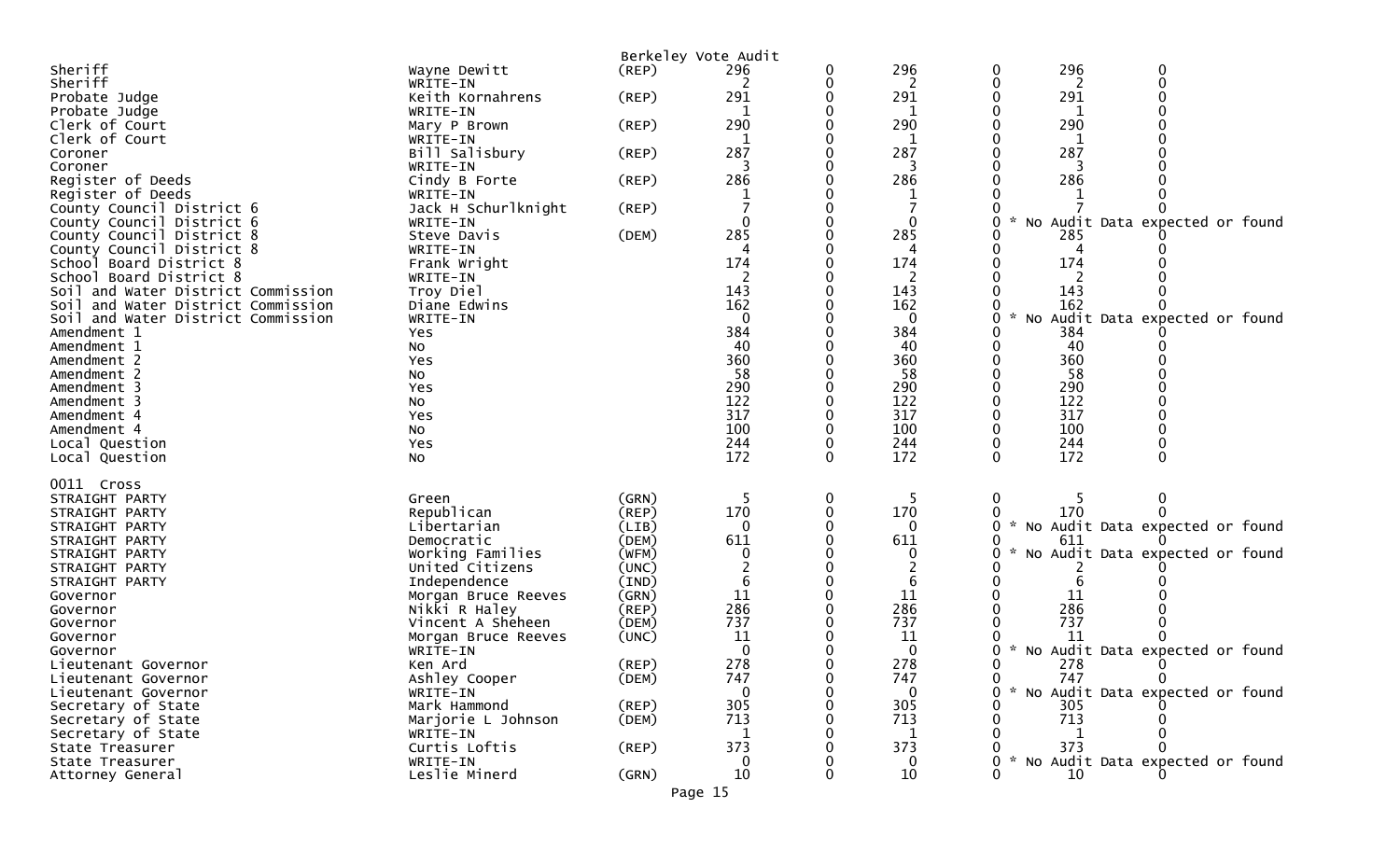|                                                |                                 |       | Berkeley Vote Audit |   |              |                                        |
|------------------------------------------------|---------------------------------|-------|---------------------|---|--------------|----------------------------------------|
| Sheriff                                        | Wayne Dewitt                    | (REP) | 296                 |   | 296          | 296<br>0<br>0                          |
| Sheriff                                        | WRITE-IN                        |       | 2                   |   | 2            | $\mathbf 0$<br>2<br>0                  |
| Probate Judge                                  | Keith Kornahrens                | (REP) | 291                 |   | 291          | 291                                    |
| Probate Judge                                  | WRITE-IN                        |       |                     |   |              |                                        |
| Clerk of Court                                 | Mary P Brown                    | (REP) | 290                 |   | 290          | 290                                    |
| Clerk of Court                                 | WRITE-IN                        |       |                     |   |              |                                        |
| Coroner                                        | Bill Salisbury                  | (REP) | 287                 |   | 287          | 287                                    |
| Coroner                                        | WRITE-IN                        |       | 3                   |   | 3            | 3                                      |
| Register of Deeds                              | Cindy B Forte                   | (REP) | 286                 |   | 286          | 286                                    |
| Register of Deeds<br>County Council District 6 | WRITE-IN<br>Jack H Schurlknight | (REP) |                     |   |              |                                        |
| County Council District 6                      | WRITE-IN                        |       | 0                   |   | 0            | No Audit Data expected or found        |
| County Council District 8                      | Steve Davis                     | (DEM) | 285                 |   | 285          | 285                                    |
| County Council District 8                      | WRITE-IN                        |       |                     |   | 4            |                                        |
| School Board District 8                        | Frank Wright                    |       | 174                 |   | 174          | 174                                    |
| School Board District 8                        | WRITE-IN                        |       |                     |   | 2            | 2                                      |
| Soil and Water District Commission             | Troy Diel                       |       | 143                 |   | 143          | 143                                    |
| Soil and Water District Commission             | Diane Edwins                    |       | 162                 |   | 162          | 162                                    |
| Soil and Water District Commission             | WRITE-IN                        |       | $\Omega$            |   | $\mathbf{0}$ | No Audit Data expected or found<br>0   |
| Amendment 1                                    | Yes                             |       | 384                 |   | 384          | 384                                    |
| Amendment 1                                    | No                              |       | 40                  |   | 40           | 40                                     |
| Amendment 2                                    | Yes                             |       | 360                 |   | 360          | 360                                    |
| Amendment 2                                    | NO.                             |       | 58                  |   | 58           | 58                                     |
| Amendment 3                                    | Yes                             |       | 290                 |   | 290          | 290                                    |
| Amendment 3                                    | No                              |       | 122                 |   | 122          | 122                                    |
| Amendment 4                                    | Yes                             |       | 317                 |   | 317          | 317                                    |
| Amendment 4                                    | No                              |       | 100                 |   | 100          | 100                                    |
| Local Question                                 | Yes                             |       | 244                 |   | 244          | 244<br>0                               |
| Local Question                                 | No                              |       | 172                 | 0 | 172          | 172<br>0<br>$\Omega$                   |
| 0011 Cross                                     |                                 |       |                     |   |              |                                        |
| STRAIGHT PARTY                                 | Green                           | (GRN) |                     | 0 | -5           | 0<br>0                                 |
| STRAIGHT PARTY                                 | Republican                      | (REP) | 170                 |   | 170          | 170                                    |
| STRAIGHT PARTY                                 | Libertarian                     | (LIB) | $\Omega$            |   | $\mathbf{0}$ | No Audit Data expected or found<br>0   |
| STRAIGHT PARTY                                 | Democratic                      | (DEM) | 611                 |   | 611          | 611                                    |
| STRAIGHT PARTY                                 | Working Families                | (WFM) |                     |   |              | No Audit Data expected or found        |
| STRAIGHT PARTY                                 | United Citizens                 | (UNC) |                     |   |              |                                        |
| STRAIGHT PARTY                                 | Independence                    | (IND) | 6                   |   | 6            |                                        |
| Governor                                       | Morgan Bruce Reeves             | (GRN) | 11                  |   | 11           | 11                                     |
| Governor                                       | Nikki R Haley                   | (REP) | 286                 |   | 286          | 286                                    |
| Governor                                       | Vincent A Sheheen               | (DEM) | 737                 |   | 737          | 737                                    |
| Governor                                       | Morgan Bruce Reeves             | (UNC) | 11                  |   | 11           | 11                                     |
| Governor                                       | WRITE-IN                        |       | $\mathbf 0$         |   | 0            | No Audit Data expected or found<br>0   |
| Lieutenant Governor                            | Ken Ard                         | (REP) | 278                 |   | 278          | 278<br>0                               |
| Lieutenant Governor                            | Ashley Cooper                   | (DEM) | 747                 |   | 747          | 747<br>0                               |
| Lieutenant Governor                            | WRITE-IN                        |       | 0                   |   | $\mathbf 0$  | * No Audit Data expected or found<br>0 |
| Secretary of State                             | Mark Hammond                    | (REP) | 305                 |   | 305          | 305                                    |
| Secretary of State                             | Marjorie L Johnson              | (DEM) | 713                 |   | 713          | 713                                    |
| Secretary of State<br>State Treasurer          | WRITE-IN<br>Curtis Loftis       | (REP) | 373                 |   | 1<br>373     | 373                                    |
| State Treasurer                                | WRITE-IN                        |       |                     |   | $\mathbf 0$  | No Audit Data expected or found        |
| Attorney General                               | Leslie Minerd                   | (GRN) | 10                  |   | 10           | 10                                     |
|                                                |                                 |       | Page 15             |   |              |                                        |
|                                                |                                 |       |                     |   |              |                                        |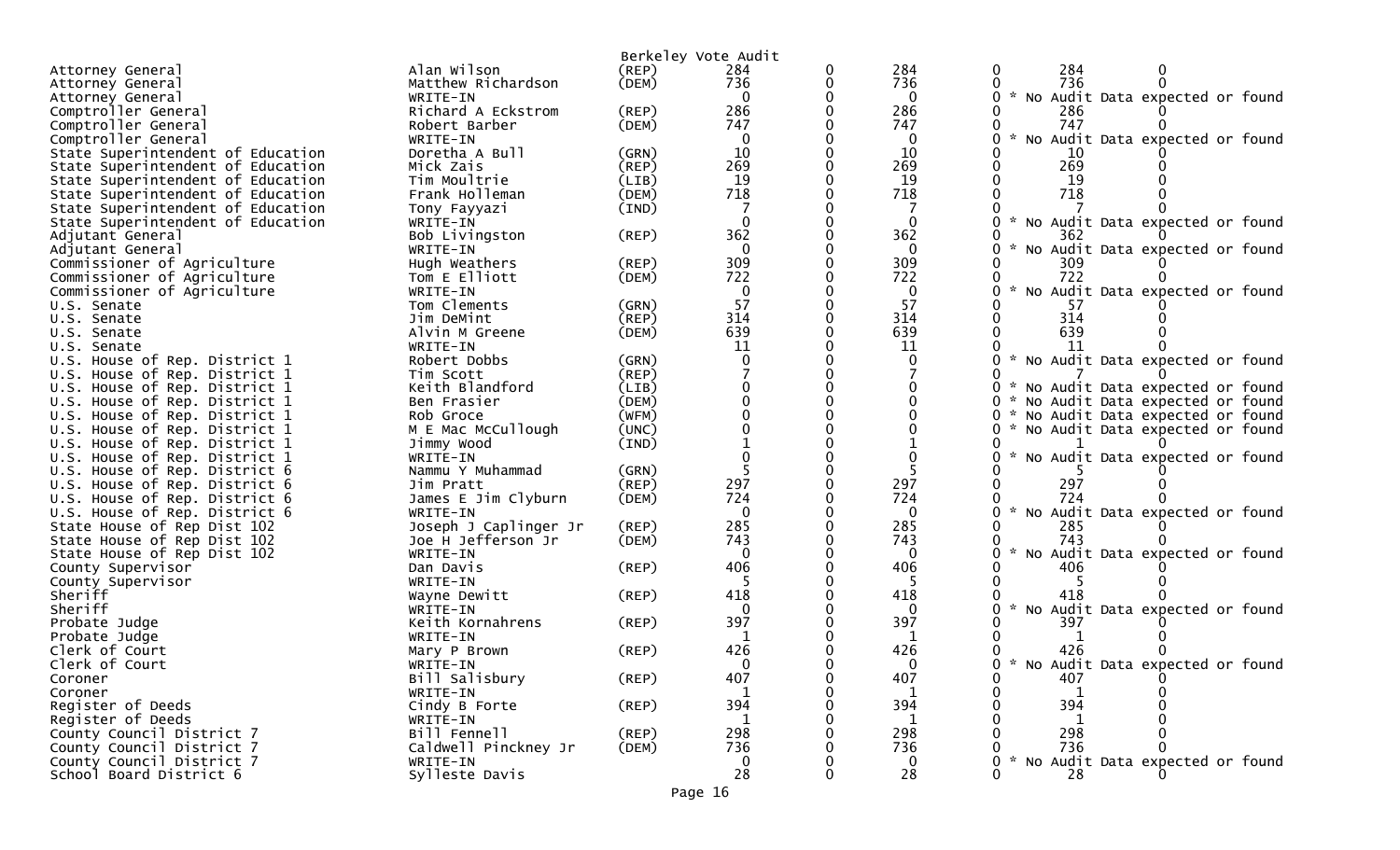|                                                              |                                   |             | Berkeley Vote Audit |   |                 |                                                       |
|--------------------------------------------------------------|-----------------------------------|-------------|---------------------|---|-----------------|-------------------------------------------------------|
| Attorney General                                             | Alan Wilson                       | (REP)       | 284                 | 0 | 284             | 284<br>$\mathbf{0}$<br>0                              |
| Attorney General                                             | Matthew Richardson                | (DEM)       | 736                 | 0 | 736             | 736<br>0                                              |
| Attorney General                                             | WRITE-IN                          |             | $\Omega$            |   | $\mathbf{0}$    | 0<br>$\mathcal{H}$<br>No Audit Data expected or found |
| Comptroller General                                          | Richard A Eckstrom                | (REP)       | 286                 |   | 286             | 286                                                   |
| Comptroller General                                          | Robert Barber                     | (DEM)       | 747                 |   | 747             | 747                                                   |
| Comptroller General                                          | WRITE-IN                          |             | 0                   |   | 0               | $\sim$<br>0<br>No Audit Data expected or found        |
| State Superintendent of Education                            | Doretha A Bull                    | (GRN)       | 10                  |   | 10              | 10                                                    |
| State Superintendent of Education                            | Mick Zais                         | $($ REP $)$ | 269                 |   | 269             | 269<br>0                                              |
| State Superintendent of Education                            | Tim Moultrie                      | (LIB)       | 19                  | 0 | 19              | 0<br>19                                               |
| State Superintendent of Education                            | Frank Holleman                    | (DEM)       | 718                 |   | 718             | 718                                                   |
| State Superintendent of Education                            | Tony Fayyazi                      | (IND)       | $\Omega$            |   | $\mathbf{0}$    | $\sim$<br>0                                           |
| State Superintendent of Education                            | WRITE-IN                          |             | 362                 |   | 362             | No Audit Data expected or found<br>362<br>0.          |
| Adjutant General<br>Adjutant General                         | Bob Livingston<br>WRITE-IN        | (REP)       | $\Omega$            |   | $\Omega$        | $\mathcal{H}$                                         |
| Commissioner of Agriculture                                  | Hugh Weathers                     | (REP)       | 309                 | 0 | 309             | No Audit Data expected or found<br>U<br>309           |
| Commissioner of Agriculture                                  | Tom E Elliott                     | (DEM)       | 722                 |   | 722             | 722                                                   |
| Commissioner of Agriculture                                  | WRITE-IN                          |             | 0                   |   | $\mathbf{0}$    | $\sim$<br>No Audit Data expected or found<br>0        |
| U.S. Senate                                                  | Tom Clements                      | (GRN)       | 57                  |   | 57              | 57                                                    |
| U.S. Senate                                                  | Jim DeMint                        | $($ REP $)$ | 314                 |   | 314             | 314<br>0                                              |
| U.S. Senate                                                  | Alvin M Greene                    | (DEM)       | 639                 |   | 639             | 639                                                   |
| U.S. Senate                                                  | WRITE-IN                          |             | 11                  |   | 11              | 11                                                    |
| U.S. House of Rep. District 1                                | Robert Dobbs                      | (GRN)       | $\Omega$            |   | $\mathbf{0}$    | 0 * No Audit Data expected or found                   |
| U.S. House of Rep. District 1                                | Tim Scott                         | $($ REP $)$ |                     |   |                 |                                                       |
| U.S. House of Rep. District 1                                | Keith Blandford                   | (LIB)       |                     | 0 |                 | ი ∗<br>No Audit Data expected or found                |
| U.S. House of Rep. District 1                                | Ben Frasier                       | (DEM)       |                     | 0 | 0               | 0 * No Audit Data expected or found                   |
| U.S. House of Rep. District 1                                | Rob Groce                         | (WFM)       |                     |   |                 | No Audit Data expected or found<br>0 *                |
| U.S. House of Rep. District 1                                | M E Mac McCullough                | (UNC)       |                     |   |                 | 0<br>No Audit Data expected or found                  |
| U.S. House of Rep. District 1                                | Jimmy Wood                        | (IND)       |                     |   |                 |                                                       |
| U.S. House of Rep. District 1                                | WRITE-IN                          |             |                     |   |                 | 0<br>No Audit Data expected or found                  |
| U.S. House of Rep. District 6                                | Nammu Y Muhammad                  | (GRN)       |                     |   |                 |                                                       |
| U.S. House of Rep. District 6                                | Jim Pratt                         | $($ REP)    | 297                 |   | 297             | 0<br>297                                              |
| U.S. House of Rep. District 6                                | James E Jim Clyburn               | (DEM)       | 724<br>$\Omega$     |   | 724             | 724<br>$\mathcal{H}$<br>0                             |
| U.S. House of Rep. District 6<br>State House of Rep Dist 102 | WRITE-IN<br>Joseph J Caplinger Jr | (REP)       | 285                 |   | $\Omega$<br>285 | No Audit Data expected or found<br>0<br>285           |
| State House of Rep Dist 102                                  | Joe H Jefferson Jr                | (DEM)       | 743                 |   | 743             | 743                                                   |
| State House of Rep Dist 102                                  | WRITE-IN                          |             | $\Omega$            |   | $\Omega$        | $\sim$<br>No Audit Data expected or found<br>0        |
| County Supervisor                                            | Dan Davis                         | (REP)       | 406                 |   | 406             | 406                                                   |
| County Supervisor                                            | WRITE-IN                          |             |                     |   |                 |                                                       |
| Sheriff                                                      | Wayne Dewitt                      | (REP)       | 418                 |   | 418             | 418                                                   |
| Sheriff                                                      | WRITE-IN                          |             | 0                   |   | $\Omega$        | $\mathcal{H}$<br>No Audit Data expected or found<br>0 |
| Probate Judge                                                | Keith Kornahrens                  | $($ REP $)$ | 397                 |   | 397             | 397                                                   |
| Probate Judge                                                | WRITE-IN                          |             | -1                  |   | -1              |                                                       |
| Clerk of Court                                               | Mary P Brown                      | (REP)       | 426                 |   | 426             | 426                                                   |
| Clerk of Court                                               | WRITE-IN                          |             |                     |   | <sup>n</sup>    | 0 * No Audit Data expected or found                   |
| Coroner                                                      | Bill Salisbury                    | $($ REP $)$ | 407                 | 0 | 407             | 407<br>0                                              |
| Coroner                                                      | WRITE-IN                          |             |                     |   | $\mathbf{1}$    |                                                       |
| Register of Deeds                                            | Cindy B Forte                     | $($ REP $)$ | 394                 |   | 394             | 394                                                   |
| Register of Deeds                                            | WRITE-IN                          |             | 1                   |   | 1               | 1                                                     |
| County Council District 7                                    | Bill Fennell                      | (REP)       | 298                 |   | 298             | 298                                                   |
| County Council District 7                                    | Caldwell Pinckney Jr              | (DEM)       | 736                 |   | 736             | 736                                                   |
| County Council District 7                                    | WRITE-IN                          |             | $\Omega$            |   | $\mathbf{0}$    | 0 * No Audit Data expected or found                   |
| School Board District 6                                      | Sylleste Davis                    |             | 28                  |   | 28              | 28<br>0                                               |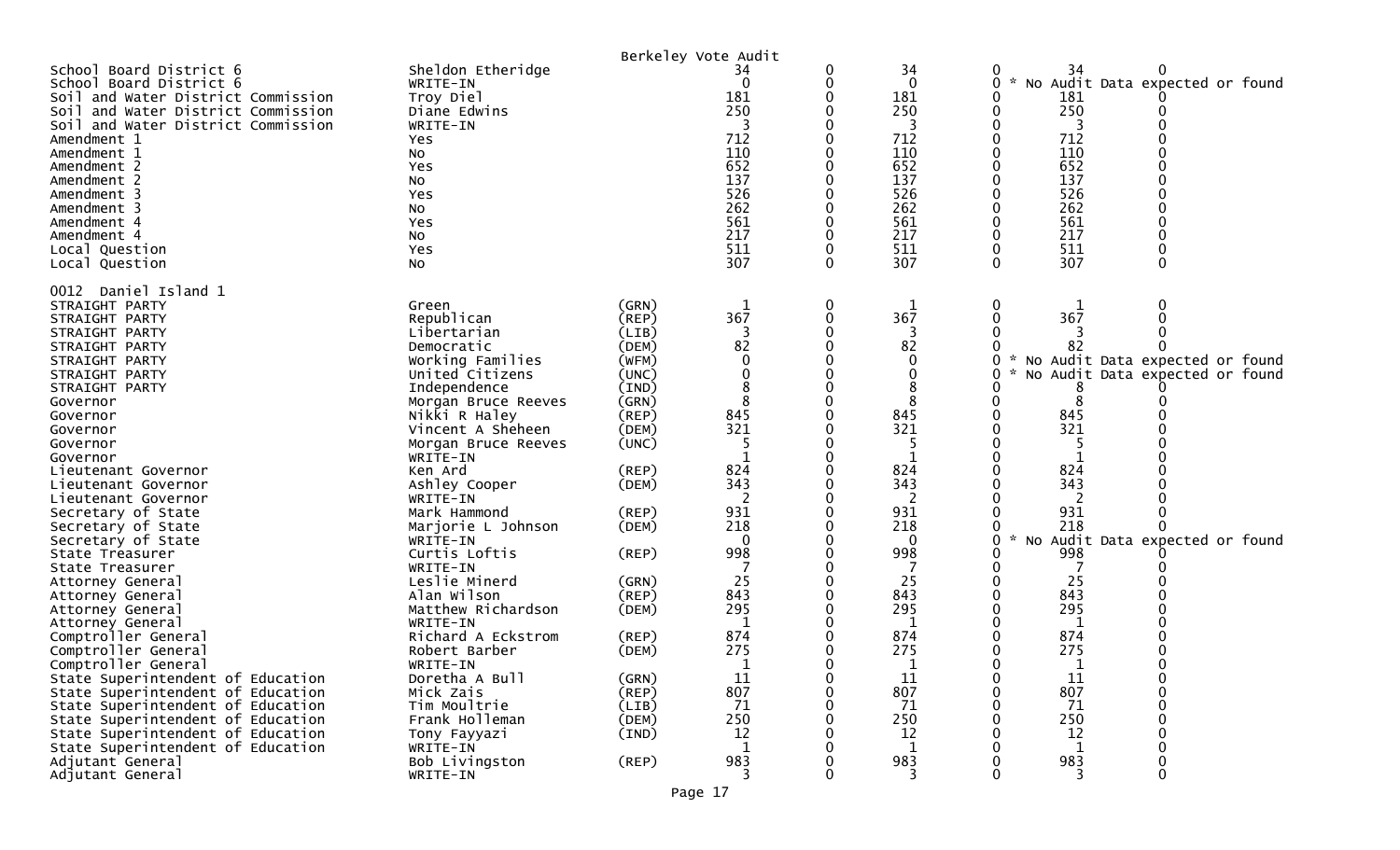|                                                                                                                                                                                                                                                                                                                                                                                                                                                                                                                                                                                                                                                                                                                                                                                                                        |                                                                                                                                                                                                                                                                                                                                                                                                                                                                                                                                                                                |                                                                                                                                                                                                                                                                   | Berkeley Vote Audit                                                                                                                                                  |               |                                                                                                                                                                                           |                                                                                                                                                                                                |                                                                                                       |
|------------------------------------------------------------------------------------------------------------------------------------------------------------------------------------------------------------------------------------------------------------------------------------------------------------------------------------------------------------------------------------------------------------------------------------------------------------------------------------------------------------------------------------------------------------------------------------------------------------------------------------------------------------------------------------------------------------------------------------------------------------------------------------------------------------------------|--------------------------------------------------------------------------------------------------------------------------------------------------------------------------------------------------------------------------------------------------------------------------------------------------------------------------------------------------------------------------------------------------------------------------------------------------------------------------------------------------------------------------------------------------------------------------------|-------------------------------------------------------------------------------------------------------------------------------------------------------------------------------------------------------------------------------------------------------------------|----------------------------------------------------------------------------------------------------------------------------------------------------------------------|---------------|-------------------------------------------------------------------------------------------------------------------------------------------------------------------------------------------|------------------------------------------------------------------------------------------------------------------------------------------------------------------------------------------------|-------------------------------------------------------------------------------------------------------|
| School Board District 6<br>School Board District 6<br>Soil and Water District Commission<br>Soil and Water District Commission<br>Soil and Water District Commission<br>Amendment 1<br>Amendment 1<br>Amendment 2<br>Amendment 2<br>Amendment 3<br>Amendment 3<br>Amendment 4<br>Amendment 4<br>Local Question<br>Local Question                                                                                                                                                                                                                                                                                                                                                                                                                                                                                       | Sheldon Etheridge<br>WRITE-IN<br>Troy Diel<br>Diane Edwins<br>WRITE-IN<br>Yes<br>No<br>Yes<br>No<br>Yes<br>NO.<br>Yes<br>No<br>Yes<br>No                                                                                                                                                                                                                                                                                                                                                                                                                                       |                                                                                                                                                                                                                                                                   | 34<br>$\overline{0}$<br>181<br>250<br>712<br>110<br>652<br>137<br>526<br>262<br>561<br>217<br>511<br>307                                                             | 0<br>0<br>0   | 34<br>$\mathbf{0}$<br>181<br>250<br>712<br>110<br>652<br>137<br>526<br>262<br>561<br>217<br>511<br>307                                                                                    | 34<br>$\sim$<br>0<br>181<br>250<br>712<br>110<br>652<br>137<br>526<br>262<br>561<br>217<br>511<br>307<br>0                                                                                     | No Audit Data expected or found<br>0                                                                  |
| 0012 Daniel Island 1<br>STRAIGHT PARTY<br>STRAIGHT PARTY<br>STRAIGHT PARTY<br>STRAIGHT PARTY<br>STRAIGHT PARTY<br>STRAIGHT PARTY<br>STRAIGHT PARTY<br>Governor<br>Governor<br>Governor<br>Governor<br>Governor<br>Lieutenant Governor<br>Lieutenant Governor<br>Lieutenant Governor<br>Secretary of State<br>Secretary of State<br>Secretary of State<br>State Treasurer<br>State Treasurer<br>Attorney General<br>Attorney General<br>Attorney General<br>Attorney General<br>Comptroller General<br>Comptroller General<br>Comptroller General<br>State Superintendent of Education<br>State Superintendent of Education<br>State Superintendent of Education<br>State Superintendent of Education<br>State Superintendent of Education<br>State Superintendent of Education<br>Adjutant General<br>Adjutant General | Green<br>Republican<br>Libertarian<br>Democratic<br>Working Families<br>United Citizens<br>Independence<br>Morgan Bruce Reeves<br>Nikki R Haley<br>Vincent A Sheheen<br>Morgan Bruce Reeves<br>WRITE-IN<br>Ken Ard<br>Ashley Cooper<br>WRITE-IN<br>Mark Hammond<br>Marjorie L Johnson<br>WRITE-IN<br>Curtis Loftis<br>WRITE-IN<br>Leslie Minerd<br>Alan Wilson<br>Matthew Richardson<br>WRITE-IN<br>Richard A Eckstrom<br>Robert Barber<br>WRITE-IN<br>Doretha A Bull<br>Mick Zais<br>Tim Moultrie<br>Frank Holleman<br>Tony Fayyazi<br>WRITE-IN<br>Bob Livingston<br>WRITE-IN | (GRN)<br>(REP)<br>(LIB)<br>(DEM)<br>(WFM)<br>(UNC)<br>(IND)<br>(GRN)<br>$($ REP $)$<br>(DEM)<br>(UNC)<br>(REP)<br>(DEM)<br>(REP)<br>(DEM)<br>(REP)<br>(GRN)<br>(REP)<br>(DEM)<br>$($ REP $)$<br>(DEM)<br>(GRN)<br>(REP)<br>(LIB)<br>(DEM)<br>(IND)<br>$($ REP $)$ | 367<br>82<br>0<br>8<br>845<br>321<br>5<br>824<br>343<br>931<br>218<br>$\Omega$<br>998<br>25<br>843<br>295<br>-1<br>874<br>275<br>11<br>807<br>71<br>250<br>12<br>983 | $\bf{0}$<br>0 | 367<br>82<br>0<br>845<br>321<br>-5<br>824<br>343<br>2<br>931<br>218<br>$\Omega$<br>998<br>25<br>843<br>295<br>1<br>874<br>275<br>$\mathbf{r}$<br>11<br>807<br>71<br>250<br>12<br>1<br>983 | 0<br>367<br>0<br>8<br>8<br>845<br>321<br>824<br>343<br>931<br>218<br>$\mathcal{H}$<br>998<br>25<br>843<br>295<br>1<br>874<br>275<br>$\overline{1}$<br>11<br>807<br>71<br>250<br>12<br>1<br>983 | No Audit Data expected or found<br>No Audit Data expected or found<br>No Audit Data expected or found |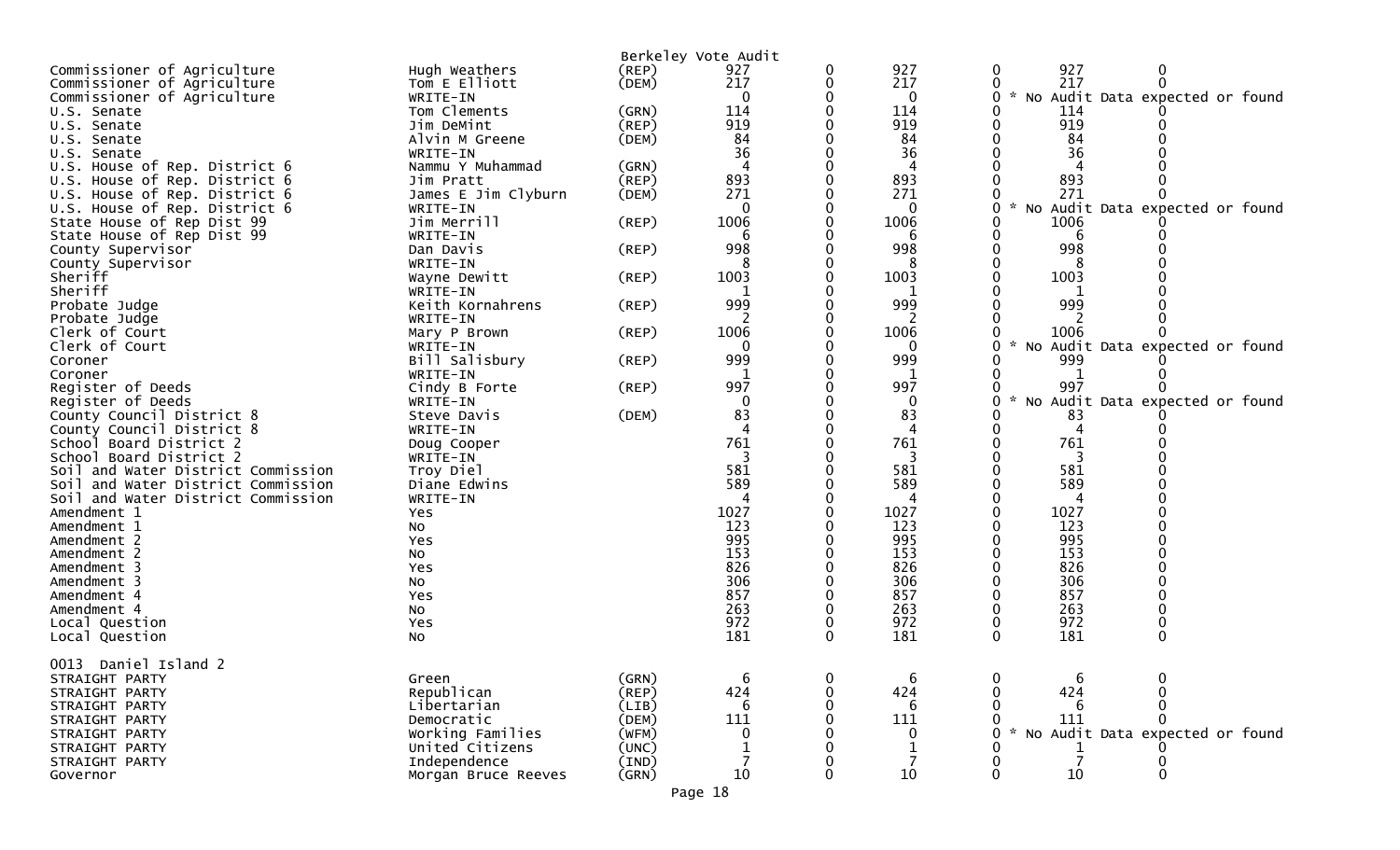|                                    |                     |             | Berkeley Vote Audit |          |                |                                                  |
|------------------------------------|---------------------|-------------|---------------------|----------|----------------|--------------------------------------------------|
| Commissioner of Agriculture        | Hugh Weathers       | (REP)       | 927                 | 0        | 927            | 927<br>0                                         |
| Commissioner of Agriculture        | Tom E Elliott       | (DEM)       | 217                 | 0        | 217            | 217<br>0                                         |
| Commissioner of Agriculture        | WRITE-IN            |             | 0                   |          | 0              | $\mathcal{H}$<br>No Audit Data expected or found |
| U.S. Senate                        | Tom Clements        | (GRN)       | 114                 |          | 114            | 114                                              |
| U.S. Senate                        | Jim DeMint          | (REP)       | 919                 |          | 919            | 919                                              |
| U.S. Senate                        | Alvin M Greene      | (DEM)       | 84                  |          | 84             | 84                                               |
| U.S. Senate                        | WRITE-IN            |             | 36                  |          | 36             | 36                                               |
| U.S. House of Rep. District 6      | Nammu Y Muhammad    | (GRN)       | 4                   |          | $\overline{4}$ |                                                  |
| U.S. House of Rep. District 6      | Jim Pratt           | (REP)       | 893                 |          | 893            | 893                                              |
| U.S. House of Rep. District 6      | James E Jim Clyburn | (DEM)       | 271                 |          | 271            | 271                                              |
| U.S. House of Rep. District 6      | WRITE-IN            |             | $\mathbf{0}$        |          | 0              | $\mathcal{R}$<br>No Audit Data expected or found |
| State House of Rep Dist 99         | Jim Merrill         | (REP)       | 1006                |          | 1006           | 1006                                             |
|                                    | WRITE-IN            |             | 6                   |          | 6              | 6                                                |
| State House of Rep Dist 99         |                     |             |                     |          |                |                                                  |
| County Supervisor                  | Dan Davis           | $($ REP $)$ | 998                 |          | 998            | 998                                              |
| County Supervisor                  | WRITE-IN            |             |                     |          |                |                                                  |
| Sheriff                            | Wayne Dewitt        | $($ REP $)$ | 1003                |          | 1003           | 1003                                             |
| Sheriff                            | WRITE-IN            |             |                     |          |                |                                                  |
| Probate Judge                      | Keith Kornahrens    | (REP)       | 999                 |          | 999            | 999                                              |
| Probate Judge                      | WRITE-IN            |             |                     |          | 2              |                                                  |
| Clerk of Court                     | Mary P Brown        | $($ REP $)$ | 1006                |          | 1006           | 1006                                             |
| Clerk of Court                     | WRITE-IN            |             |                     |          |                | $\mathcal{H}$<br>No Audit Data expected or found |
| Coroner                            | Bill Salisbury      | (REP)       | 999                 |          | 999            | 999                                              |
| Coroner                            | WRITE-IN            |             |                     |          | 1              |                                                  |
| Register of Deeds                  | Cindy B Forte       | $($ REP $)$ | 997                 |          | 997            | 997                                              |
| Register of Deeds                  | WRITE-IN            |             | 0                   |          | 0              | $\mathcal{H}$<br>No Audit Data expected or found |
| County Council District 8          | Steve Davis         | (DEM)       | 83                  |          | 83             | 83                                               |
| County Council District 8          | WRITE-IN            |             |                     |          |                |                                                  |
| School Board District 2            | Doug Cooper         |             | 761                 |          | 761            | 761                                              |
| School Board District 2            | WRITE-IN            |             |                     |          |                |                                                  |
| Soil and Water District Commission | Troy Diel           |             | 581                 |          | 581            | 581                                              |
| Soil and Water District Commission | Diane Edwins        |             | 589                 |          | 589            | 589                                              |
| Soil and Water District Commission | WRITE-IN            |             |                     |          |                |                                                  |
| Amendment 1                        | Yes                 |             | 1027                |          | 1027           | 1027                                             |
| Amendment 1                        |                     |             | 123                 |          | 123            | 123                                              |
|                                    | No                  |             | 995                 |          | 995            | 995                                              |
| Amendment 2                        | Yes                 |             | 153                 |          |                |                                                  |
| Amendment 2                        | No                  |             | 826                 |          | 153            | 153                                              |
| Amendment 3                        | Yes                 |             |                     |          | 826            | 826                                              |
| Amendment 3                        | No                  |             | 306                 |          | 306            | 306                                              |
| Amendment 4                        | Yes                 |             | 857                 |          | 857            | 857                                              |
| Amendment 4                        | No                  |             | 263                 |          | 263            | 263                                              |
| Local Question                     | Yes                 |             | 972                 |          | 972            | 972                                              |
| Local Question                     | No                  |             | 181                 | $\Omega$ | 181            | 181<br>$\Omega$<br>0                             |
|                                    |                     |             |                     |          |                |                                                  |
| Daniel Island 2<br>0013            |                     |             |                     |          |                |                                                  |
| STRAIGHT PARTY                     | Green               | (GRN)       | b                   |          | b              | b                                                |
| STRAIGHT PARTY                     | Republican          | $($ REP $)$ | 424                 |          | 424            | 424                                              |
| STRAIGHT PARTY                     | Libertarian         | (LIB)       |                     |          | 6              |                                                  |
| STRAIGHT PARTY                     | Democratic          | (DEM)       | 111                 |          | 111            | 111                                              |
| STRAIGHT PARTY                     | Working Families    | (WFM)       | $\mathbf 0$         |          | $\Omega$       | No Audit Data expected or found                  |
| STRAIGHT PARTY                     | United Citizens     | (UNC)       |                     |          |                |                                                  |
| STRAIGHT PARTY                     | Independence        | (IND)       |                     |          |                |                                                  |
| Governor                           | Morgan Bruce Reeves | (GRN)       | 10                  | 0        | 10             | 10<br>0                                          |
|                                    |                     |             |                     |          |                |                                                  |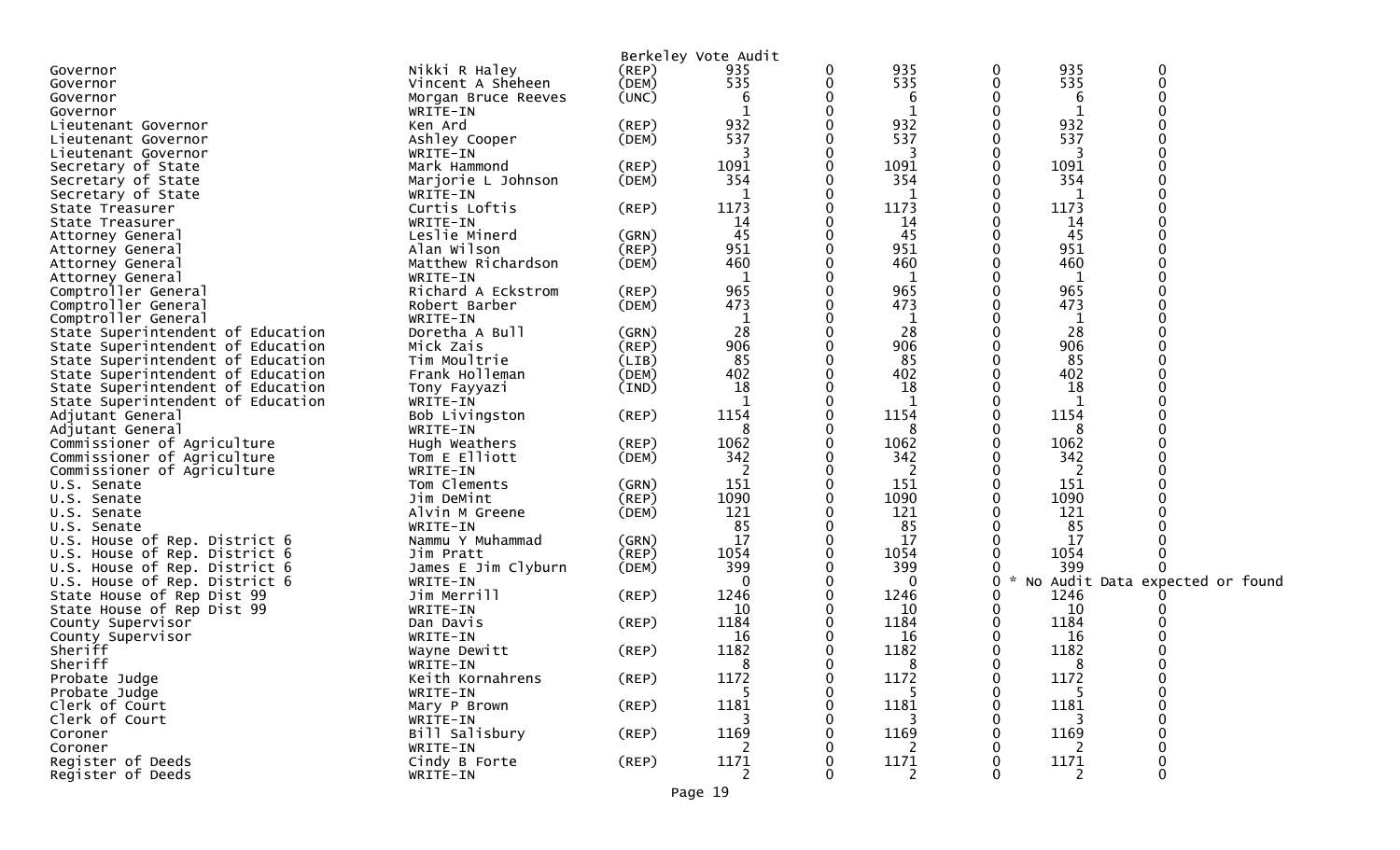|                                   |                     |             | Berkeley Vote Audit |   |              |   |              |                                   |
|-----------------------------------|---------------------|-------------|---------------------|---|--------------|---|--------------|-----------------------------------|
| Governor                          | Nikki R Haley       | $($ REP $)$ | 935                 | 0 | 935          | 0 | 935          | 0                                 |
| Governor                          | Vincent A Sheheen   | (DEM)       | 535                 | 0 | 535          | 0 | 535          | $\Omega$                          |
| Governor                          | Morgan Bruce Reeves | (UNC)       | 6                   |   | 6            |   | 6            |                                   |
| Governor                          | WRITE-IN            |             |                     |   | 1            |   |              |                                   |
| Lieutenant Governor               | Ken Ard             | (REP)       | 932                 |   | 932          |   | 932          |                                   |
| Lieutenant Governor               | Ashley Cooper       | (DEM)       | 537                 |   | 537          |   | 537          |                                   |
| Lieutenant Governor               | WRITE-IN            |             |                     | 0 | 3            | 0 | 3            |                                   |
| Secretary of State                | Mark Hammond        | (REP)       | 1091                | 0 | 1091         | 0 | 1091         |                                   |
| Secretary of State                | Marjorie L Johnson  | (DEM)       | 354                 |   | 354          |   | 354          |                                   |
| Secretary of State                | WRITE-IN            |             |                     | 0 | -1           |   | -1           |                                   |
| State Treasurer                   | Curtis Loftis       | $($ REP $)$ | 1173                | 0 | 1173         | 0 | 1173         |                                   |
| State Treasurer                   | WRITE-IN            |             | 14                  |   | 14           |   | 14           |                                   |
| Attorney General                  | Leslie Minerd       | (GRN)       | 45                  | 0 | 45           | 0 | 45           |                                   |
| Attorney General                  | Alan Wilson         | (REP)       | 951                 | 0 | 951          |   | 951          |                                   |
| Attorney General                  | Matthew Richardson  | (DEM)       | 460                 |   | 460          |   | 460          |                                   |
| Attorney General                  | WRITE-IN            |             | 1                   |   | 1            |   | $\mathbf{1}$ |                                   |
| Comptroller General               | Richard A Eckstrom  | (REP)       | 965                 |   | 965          |   | 965          |                                   |
| Comptroller General               | Robert Barber       | (DEM)       | 473                 |   | 473          |   | 473          |                                   |
| Comptroller General               | WRITE-IN            |             | 1                   | 0 | $\mathbf{1}$ |   | 1            |                                   |
| State Superintendent of Education | Doretha A Bull      | (GRN)       | 28                  |   | 28           |   | 28           |                                   |
| State Superintendent of Education | Mick Zais           | (REP)       | 906                 |   | 906          |   | 906          |                                   |
| State Superintendent of Education | Tim Moultrie        | (LIB)       | 85                  |   | 85           |   | 85           |                                   |
| State Superintendent of Education | Frank Holleman      | (DEM)       | 402                 |   | 402          |   | 402          |                                   |
| State Superintendent of Education | Tony Fayyazi        | (IND)       | 18                  |   | 18           |   | 18           |                                   |
| State Superintendent of Education | WRITE-IN            |             | 1                   | 0 | 1            | 0 | 1            |                                   |
| Adjutant General                  | Bob Livingston      | $($ REP $)$ | 1154                |   | 1154         |   | 1154         |                                   |
| Adjutant General                  | WRITE-IN            |             | 8                   |   | 8            |   | 8            |                                   |
| Commissioner of Agriculture       | Hugh Weathers       | $($ REP $)$ | 1062                | 0 | 1062         | 0 | 1062         |                                   |
| Commissioner of Agriculture       | Tom E Elliott       | (DEM)       | 342                 | 0 | 342          |   | 342          |                                   |
| Commissioner of Agriculture       | WRITE-IN            |             |                     |   | 2            |   | 2            |                                   |
| U.S. Senate                       | Tom Clements        | (GRN)       | 151                 | 0 | 151          | 0 | 151          |                                   |
| U.S. Senate                       | Jim DeMint          | $($ REP $)$ | 1090                | 0 | 1090         |   | 1090         |                                   |
| U.S. Senate                       | Alvin M Greene      | (DEM)       | 121                 | 0 | 121          |   | 121          |                                   |
| U.S. Senate                       | WRITE-IN            |             | 85                  | 0 | 85           |   | 85           |                                   |
| U.S. House of Rep. District 6     | Nammu Y Muhammad    | (GRN)       | 17                  | 0 | 17           |   | 17           |                                   |
| U.S. House of Rep. District 6     | Jim Pratt           | $($ REP $)$ | 1054                | 0 | 1054         | 0 | 1054         |                                   |
| U.S. House of Rep. District 6     | James E Jim Clyburn | (DEM)       | 399                 | 0 | 399          | 0 | 399          |                                   |
| U.S. House of Rep. District 6     | WRITE-IN            |             | 0                   |   | $\Omega$     |   | 0            | * No Audit Data expected or found |
| State House of Rep Dist 99        | Jim Merrill         | $($ REP $)$ | 1246                |   | 1246         |   | 1246         |                                   |
| State House of Rep Dist 99        | WRITE-IN            |             | 10                  |   | 10           |   | 10           |                                   |
| County Supervisor                 | Dan Davis           | (REP)       | 1184                |   | 1184         |   | 1184         |                                   |
| County Supervisor                 | WRITE-IN            |             | 16                  |   | 16           |   | 16           |                                   |
| Sheriff                           | Wayne Dewitt        | $($ REP $)$ | 1182                |   | 1182         |   | 1182         |                                   |
| Sheriff                           | WRITE-IN            |             | 8                   | 0 | 8            | 0 | 8            |                                   |
| Probate Judge                     | Keith Kornahrens    | $($ REP $)$ | 1172                | U | 1172         | 0 | 1172         |                                   |
| Probate Judge                     | WRITE-IN            |             |                     |   |              | 0 |              | $\Omega$                          |
| Clerk of Court                    | Mary P Brown        | $($ REP $)$ | 1181                |   | 1181         |   | 1181         |                                   |
| Clerk of Court                    | WRITE-IN            |             |                     |   |              |   |              |                                   |
| Coroner                           | Bill Salisbury      | (REP)       | 1169                |   | 1169         |   | 1169         |                                   |
| Coroner                           | WRITE-IN            |             | 2                   |   | 2            |   | 2            |                                   |
| Register of Deeds                 | Cindy B Forte       | (REP)       | 1171                |   | 1171         |   | 1171         |                                   |
| Register of Deeds                 | WRITE-IN            |             | $\overline{2}$      |   | 2            |   | 2            | 0                                 |
|                                   |                     |             |                     |   |              |   |              |                                   |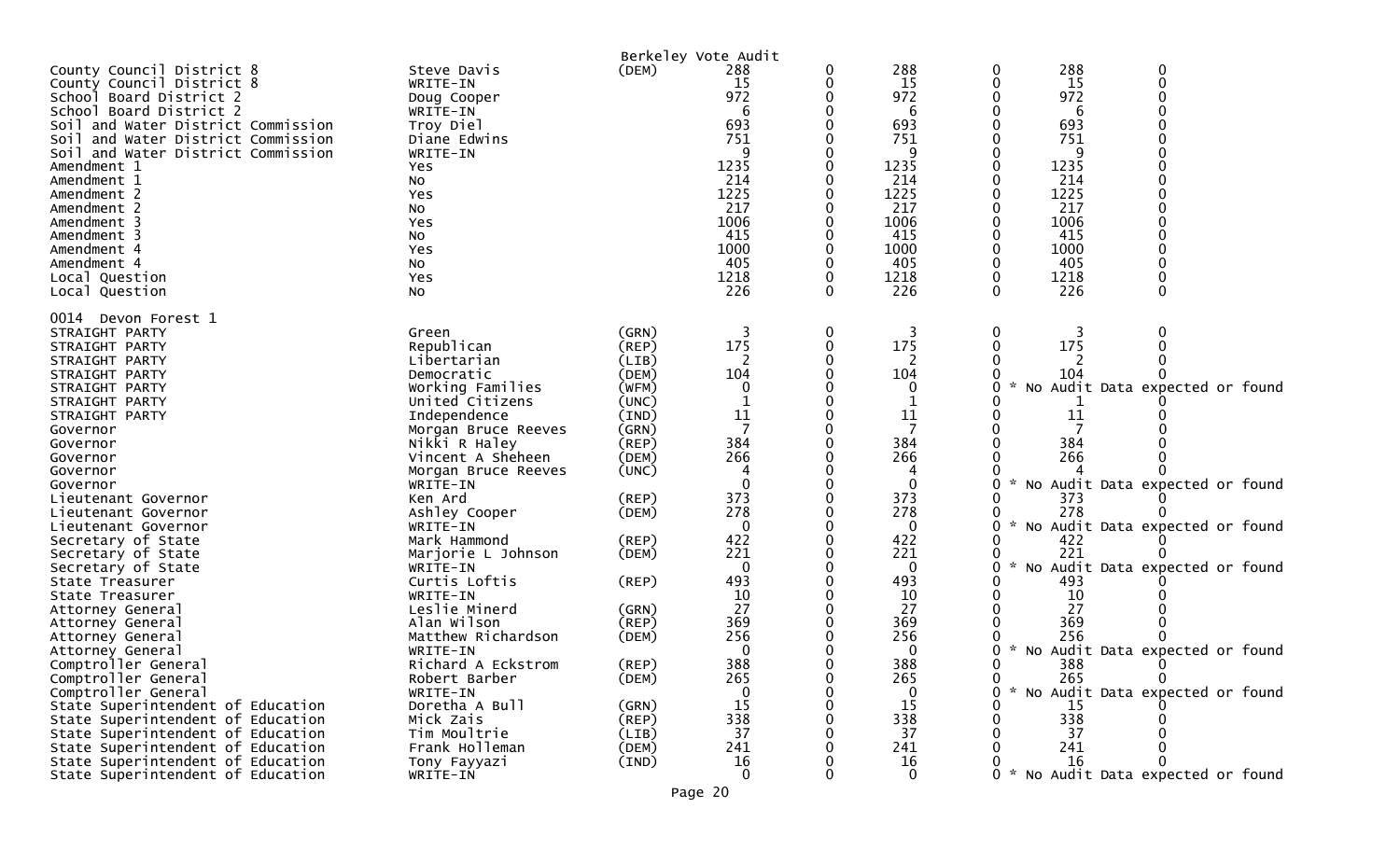| County Council District 8<br>County Council District 8<br>School Board District 2<br>School Board District 2<br>Soil and Water District Commission<br>Soil and Water District Commission<br>Soil and Water District Commission<br>Amendment 1<br>Amendment 1<br>Amendment 2<br>Amendment 2<br>Amendment 3<br>Amendment 3<br>Amendment 4<br>Amendment 4<br>Local Question<br>Local Question | Steve Davis<br>WRITE-IN<br>Doug Cooper<br>WRITE-IN<br>Troy Diel<br>Diane Edwins<br>WRITE-IN<br>Yes<br>No<br>Yes<br>NO.<br>Yes<br>NO.<br>Yes<br>No<br>Yes<br>No                                                                                                                                                                 | (DEM)                                                                                                                                                          | Berkeley Vote Audit<br>288<br>15<br>972<br>6<br>693<br>751<br>1235<br>214<br>1225<br>217<br>1006<br>415<br>1000<br>405<br>1218<br>226 | 0 | 288<br>15<br>972<br>6<br>693<br>751<br>q<br>1235<br>214<br>1225<br>217<br>1006<br>415<br>1000<br>405<br>1218<br>226        | 288<br>0<br>0<br>15<br>972<br>6<br>693<br>751<br>q<br>1235<br>214<br>1225<br>217<br>1006<br>415<br>1000<br>405<br>1218<br>0<br>226<br>0 | 0<br>$\boldsymbol{0}$<br>$\mathbf 0$                                                                                                                    |
|--------------------------------------------------------------------------------------------------------------------------------------------------------------------------------------------------------------------------------------------------------------------------------------------------------------------------------------------------------------------------------------------|--------------------------------------------------------------------------------------------------------------------------------------------------------------------------------------------------------------------------------------------------------------------------------------------------------------------------------|----------------------------------------------------------------------------------------------------------------------------------------------------------------|---------------------------------------------------------------------------------------------------------------------------------------|---|----------------------------------------------------------------------------------------------------------------------------|-----------------------------------------------------------------------------------------------------------------------------------------|---------------------------------------------------------------------------------------------------------------------------------------------------------|
| 0014 Devon Forest 1<br>STRAIGHT PARTY<br>STRAIGHT PARTY<br>STRAIGHT PARTY<br>STRAIGHT PARTY<br>STRAIGHT PARTY<br>STRAIGHT PARTY<br>STRAIGHT PARTY<br>Governor<br>Governor<br>Governor<br>Governor<br>Governor<br>Lieutenant Governor<br>Lieutenant Governor<br>Lieutenant Governor<br>Secretary of State<br>Secretary of State<br>Secretary of State<br>State Treasurer<br>State Treasurer | Green<br>Republican<br>Libertarian<br>Democratic<br>Working Families<br>United Citizens<br>Independence<br>Morgan Bruce Reeves<br>Nikki R Haley<br>Vincent A Sheheen<br>Morgan Bruce Reeves<br>WRITE-IN<br>Ken Ard<br>Ashley Cooper<br>WRITE-IN<br>Mark Hammond<br>Marjorie L Johnson<br>WRITE-IN<br>Curtis Loftis<br>WRITE-IN | (GRN)<br>(REP)<br>(LIB)<br>(DEM)<br>(WFM)<br>(UNC)<br>(IND)<br>(GRN)<br>$($ REP $)$<br>(DEM)<br>(UNC)<br>$($ REP $)$<br>(DEM)<br>$($ REP $)$<br>(DEM)<br>(REP) | 3<br>175<br>2<br>104<br>11<br>7<br>384<br>266<br>373<br>278<br>0<br>422<br>221<br>$\overline{0}$<br>493<br>10                         | 0 | 3<br>175<br>2<br>104<br>O<br>11<br>384<br>266<br>$\mathbf{0}$<br>373<br>278<br>0<br>422<br>221<br>$\mathbf 0$<br>493<br>10 | 0<br>3<br>175<br>104<br>11<br>384<br>266<br>0<br>373<br>278<br>422<br>221<br>0<br>$\mathcal{H}$<br>493<br>10                            | $\mathbf 0$<br>No Audit Data expected or found<br>No Audit Data expected or found<br>No Audit Data expected or found<br>No Audit Data expected or found |
| Attorney General<br>Attorney General<br>Attorney General<br>Attorney General<br>Comptroller General<br>Comptroller General<br>Comptroller General<br>State Superintendent of Education<br>State Superintendent of Education<br>State Superintendent of Education<br>State Superintendent of Education<br>State Superintendent of Education<br>State Superintendent of Education            | Leslie Minerd<br>Alan Wilson<br>Matthew Richardson<br>WRITE-IN<br>Richard A Eckstrom<br>Robert Barber<br>WRITE-IN<br>Doretha A Bull<br>Mick Zais<br>Tim Moultrie<br>Frank Holleman<br>Tony Fayyazi<br>WRITE-IN                                                                                                                 | (GRN)<br>$($ REP $)$<br>(DEM)<br>(REP)<br>(DEM)<br>(GRN)<br>(REP)<br>(LIB)<br>(DEM)<br>(IND)                                                                   | 27<br>369<br>256<br>$\Omega$<br>388<br>265<br>15<br>338<br>37<br>241<br>16<br>$\Omega$                                                |   | 27<br>369<br>256<br>0<br>388<br>265<br>$\Omega$<br>15<br>338<br>37<br>241<br>16<br>$\mathbf{0}$                            | 27<br>369<br>256<br>0<br>∩<br>388<br>v<br>$\mathbf{0}$<br>265<br>0<br>15<br>338<br>37<br>241<br>16                                      | * No Audit Data expected or found<br>◡<br>$\Omega$<br>* No Audit Data expected or found<br>0 * No Audit Data expected or found                          |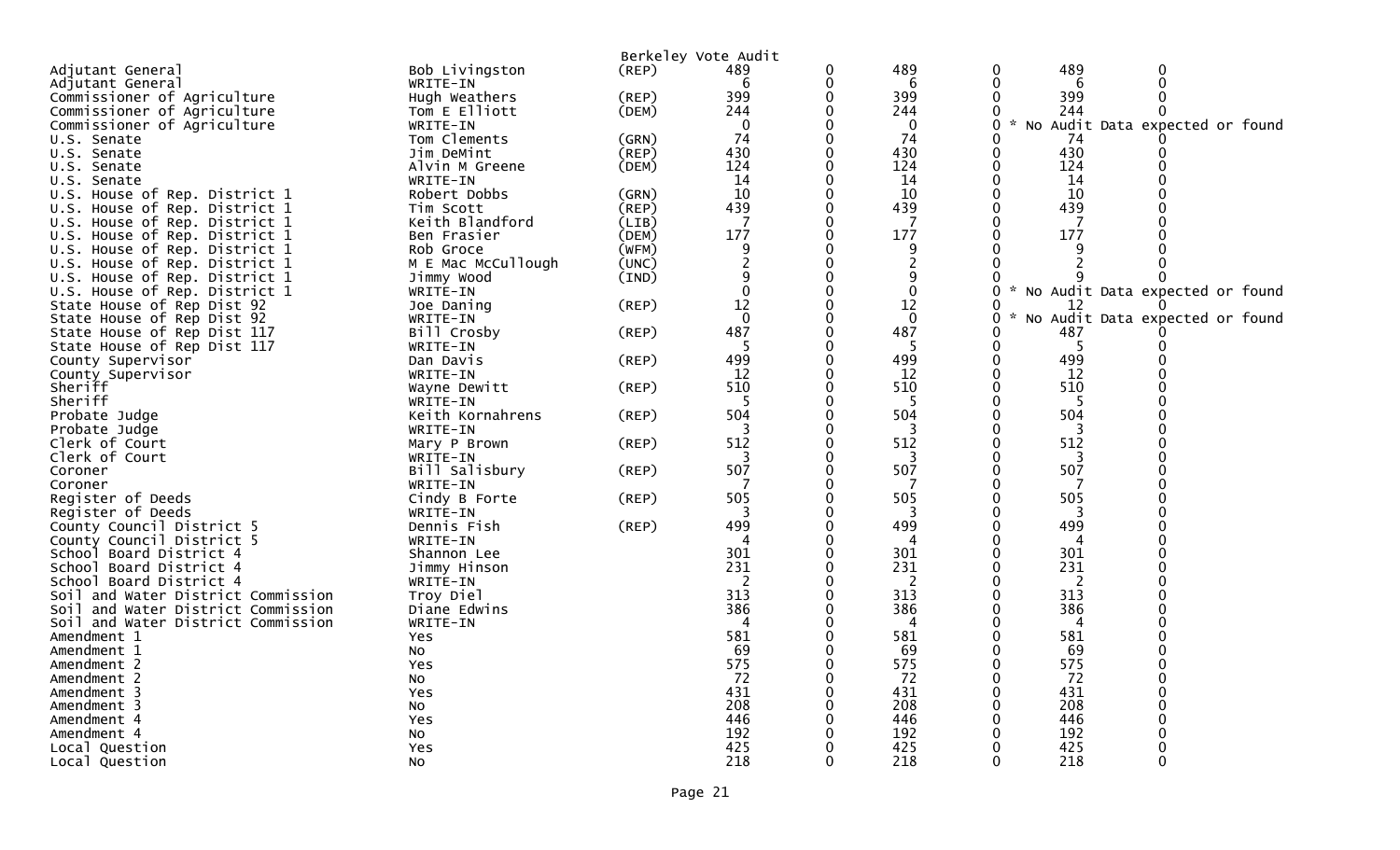| Berkeley Vote Audit                                                                    |                                   |
|----------------------------------------------------------------------------------------|-----------------------------------|
| 489<br>Bob Livingston<br>0<br>Adjutant General<br>(REP)<br>489<br>0                    | 489<br>0                          |
| WRITE-IN<br>0<br>6<br>Adjutant General<br>6                                            | 6                                 |
| 399<br>399<br>Commissioner of Agriculture<br>Hugh Weathers<br>(REP)<br>0               | 399                               |
| 244<br>244<br>Commissioner of Agriculture<br>(DEM)<br>Tom E Elliott                    | 244                               |
| Commissioner of Agriculture<br>$\mathbf{0}$<br>$\mathcal{H}$<br>WRITE-IN<br>0          | No Audit Data expected or found   |
| 74<br>74<br>Tom Clements<br>(GRN)<br>0<br>U.S. Senate                                  | 74                                |
| 430<br>(REP)<br>430<br>Jim DeMint<br>U.S. Senate                                       | 430                               |
| 124<br>124<br>Alvin M Greene<br>(DEM)<br>U.S. Senate                                   | 124                               |
| 14<br>14<br>U.S. Senate<br>WRITE-IN                                                    | 14                                |
| 10<br>10<br>U.S. House of Rep. District 1<br>Robert Dobbs<br>(GRN)                     | 10                                |
| 439<br>439<br>(REP)<br>U.S. House of Rep. District 1<br>Tim Scott                      | 439                               |
| Keith Blandford<br>7<br>U.S. House of Rep. District 1<br>(LIB)                         |                                   |
| 177<br>177<br>(DEM)<br>0<br>U.S. House of Rep. District 1<br>Ben Frasier               | 177                               |
| U.S. House of Rep. District 1<br>Rob Groce<br>(WFM)<br>9<br>9                          |                                   |
| M E Mac McCullough<br>2<br>(UNC)<br>U.S. House of Rep. District 1                      |                                   |
| 9<br>9<br>U.S. House of Rep. District 1<br>Jimmy Wood<br>(IND)                         |                                   |
| U.S. House of Rep. District 1<br>0<br>WRITE-IN                                         | * No Audit Data expected or found |
| 12<br>12<br>(REP)<br>State House of Rep Dist 92<br>Joe Daning<br>0                     | 12                                |
| $\mathbf{0}$<br>$\mathbf{0}$<br>State House of Rep Dist 92<br>WRITE-IN<br>0            | * No Audit Data expected or found |
| 487<br>487<br>State House of Rep Dist 117<br>Bill Crosby<br>(REP)                      | 487                               |
| -5<br>State House of Rep Dist 117<br>WRITE-IN                                          |                                   |
| 499<br>$($ REP $)$<br>499<br>County Supervisor<br>Dan Davis                            | 499                               |
| WRITE-IN<br>12<br>12<br>County Supervisor                                              | 12                                |
| 510<br>Sheriff<br>510<br>$($ REP $)$<br>Wayne Dewitt<br>0                              | 510                               |
| Sheriff<br>5<br>-5<br>WRITE-IN                                                         | 5                                 |
| 504<br>504<br>Probate Judge<br>Keith Kornahrens<br>(REP)                               | 504                               |
| 3<br>3<br>Probate Judge<br>WRITE-IN<br>0                                               | 3                                 |
| 512<br>512<br>Clerk of Court<br>$($ REP $)$<br>Mary P Brown                            | 512                               |
| Clerk of Court<br>WRITE-IN<br>3<br>507<br>507<br>0                                     | 3<br>507                          |
| Bill Salisbury<br>$($ REP $)$<br>Coroner                                               |                                   |
| Coroner<br>WRITE-IN<br>Register of Deeds<br>505<br>505<br>Cindy B Forte<br>$($ REP $)$ | 505                               |
| Register of Deeds<br>3<br>3<br>WRITE-IN                                                | 3                                 |
| 499<br>499<br>County Council District 5<br>Dennis Fish<br>$($ REP $)$                  | 499                               |
| County Council District 5<br>WRITE-IN<br>4                                             | 4                                 |
| 301<br>301<br>School Board District 4<br>Shannon Lee                                   | 301                               |
| 231<br>231<br>Jimmy Hinson<br>School Board District 4                                  | 231                               |
| School Board District 4<br>WRITE-IN<br>2<br>2                                          | 2                                 |
| 313<br>313<br>Soil and Water District Commission<br>Troy Diel                          | 313                               |
| 386<br>386<br>Diane Edwins<br>Soil and Water District Commission                       | 386                               |
| Soil and Water District Commission<br>WRITE-IN                                         | 4                                 |
| 581<br>581<br>Amendment 1<br>Yes                                                       | 581                               |
| -69<br>69<br>Amendment 1<br>No                                                         | 69                                |
| 575<br>575<br>Amendment 2<br><b>Yes</b>                                                | 575                               |
| 72<br>72<br>Amendment 2<br>0<br>0<br>No                                                | 72                                |
| 431<br>431<br>Amendment 3<br>Yes                                                       | 431                               |
| 208<br>208<br>Amendment 3<br>No                                                        | 208                               |
| 446<br>446<br>Amendment 4<br>Yes                                                       | 446                               |
| 192<br>192<br>Amendment 4<br>No                                                        | 192                               |
| 425<br>Local Question<br>425<br>Yes                                                    | 425                               |
| 218<br>Local Question<br>218<br>No                                                     | 218<br>0                          |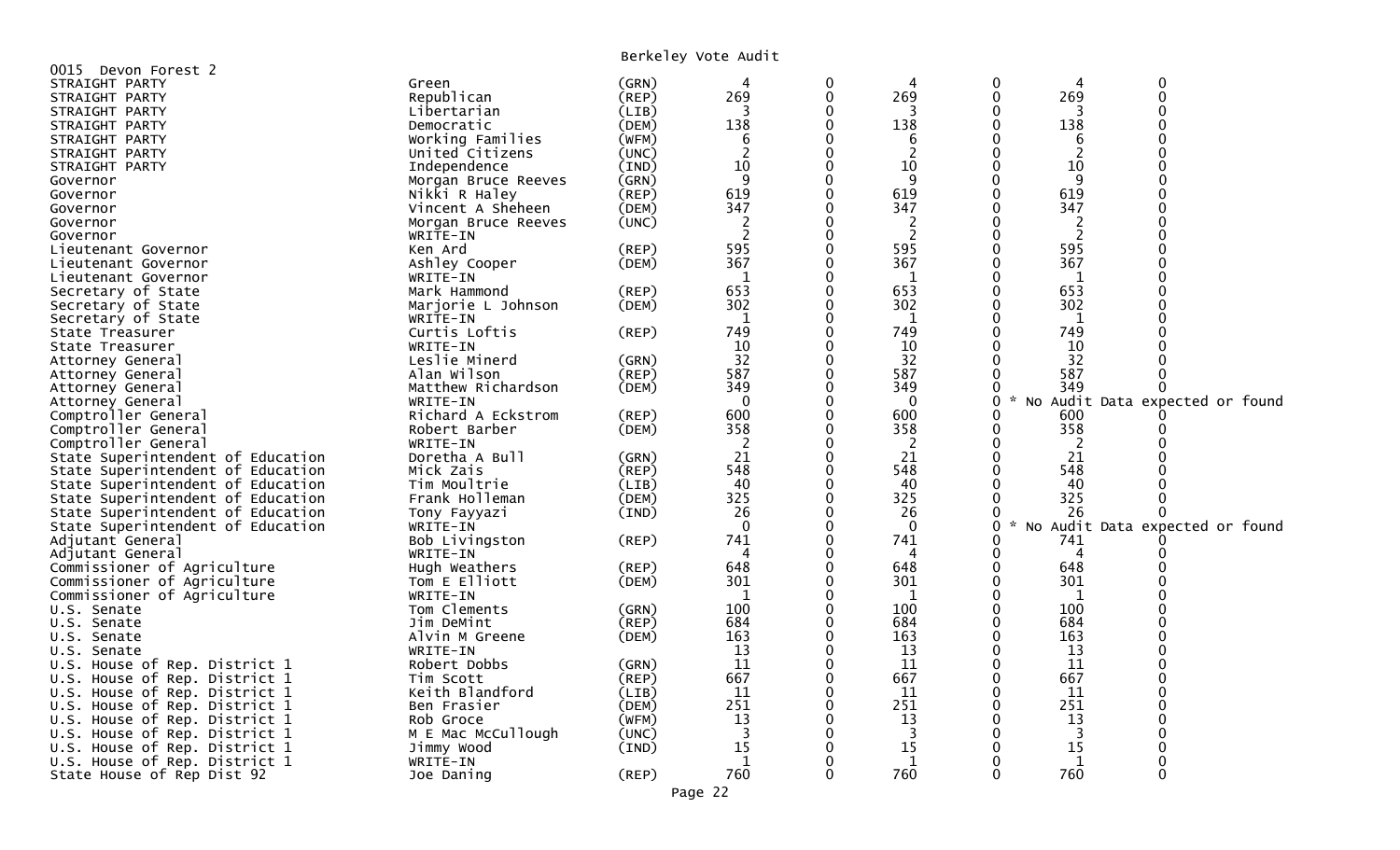Berkeley Vote Audit

| 0015 Devon Forest 2               |                     |       |                |          |                |                                     |                                 |
|-----------------------------------|---------------------|-------|----------------|----------|----------------|-------------------------------------|---------------------------------|
| STRAIGHT PARTY                    | Green               | (GRN) | 4              | 0        | 4              | 0                                   | 0                               |
| STRAIGHT PARTY                    | Republican          | (REP) | 269            | 0        | 269            | 269<br>$\mathbf 0$                  | $\Omega$                        |
| STRAIGHT PARTY                    | Libertarian         | (LIB) | 3              | 0        | 3              | 0<br>3                              |                                 |
| STRAIGHT PARTY                    | Democratic          | (DEM) | 138            | 0        | 138            | 138<br>0                            |                                 |
| STRAIGHT PARTY                    | Working Families    | (WFM) | 6              | 0        | 6              | 0<br>6                              |                                 |
| STRAIGHT PARTY                    | United Citizens     | (UNC) | $\overline{2}$ | 0        | $\overline{2}$ | 2<br>0                              |                                 |
| STRAIGHT PARTY                    | Independence        | (IND) | 10             | 0        | 10             | 10<br>0                             |                                 |
| Governor                          | Morgan Bruce Reeves | (GRN) | 9              | 0        | 9              | 9<br>0                              |                                 |
| Governor                          | Nikki R Haley       | (REP) | 619            | 0        | 619            | $\Omega$<br>619                     |                                 |
| Governor                          | Vincent A Sheheen   | (DEM) | 347            | 0        | 347            | 347<br>0                            |                                 |
| Governor                          | Morgan Bruce Reeves | (UNC) | 2              | $\Omega$ |                | ∩                                   |                                 |
|                                   |                     |       | $\overline{2}$ | 0        | $\overline{2}$ | $\overline{c}$<br>0                 |                                 |
| Governor                          | WRITE-IN<br>Ken Ard | (REP) | 595            | 0        | 595            | 595<br>$\mathbf 0$                  |                                 |
| Lieutenant Governor               |                     |       | 367            | 0        | 367            | 367<br>$\Omega$                     |                                 |
| Lieutenant Governor               | Ashley Cooper       | (DEM) |                |          |                | 0                                   |                                 |
| Lieutenant Governor               | WRITE-IN            |       | $\mathbf{1}$   | 0<br>0   | 1<br>653       | 1<br>$\Omega$                       |                                 |
| Secretary of State                | Mark Hammond        | (REP) | 653            |          |                | 653                                 |                                 |
| Secretary of State                | Marjorie L Johnson  | (DEM) | 302            | 0        | 302            | 302<br>0                            |                                 |
| Secretary of State                | WRITE-IN            |       | 1              | 0        | 1              | 0<br>1                              |                                 |
| State Treasurer                   | Curtis Loftis       | (REP) | 749            | 0        | 749            | 749<br>$\Omega$                     |                                 |
| State Treasurer                   | WRITE-IN            |       | 10             | ∩        | 10             | 10<br>0                             |                                 |
| Attorney General                  | Leslie Minerd       | (GRN) | 32             | 0        | 32             | 32                                  |                                 |
| Attorney General                  | Alan Wilson         | (REP) | 587            | 0        | 587            | 587                                 |                                 |
| Attorney General                  | Matthew Richardson  | (DEM) | 349            | ∩        | 349            | 349<br>0                            |                                 |
| Attorney General                  | WRITE-IN            |       | $\mathbf{0}$   | 0        | $\mathbf{0}$   | 0                                   | No Audit Data expected or found |
| Comptroller General               | Richard A Eckstrom  | (REP) | 600            | 0        | 600            | 600<br>0                            |                                 |
| Comptroller General               | Robert Barber       | (DEM) | 358            | 0        | 358            | 358<br>0                            |                                 |
| Comptroller General               | WRITE-IN            |       | 2              | 0        | 2              | 0<br>2                              |                                 |
| State Superintendent of Education | Doretha A Bull      | (GRN) | 21             | 0        | 21             | $\mathbf{0}$<br>21                  |                                 |
| State Superintendent of Education | Mick Zais           | (REP) | 548            | 0        | 548            | 548<br>0                            |                                 |
| State Superintendent of Education | Tim Moultrie        | (LIB) | 40             | 0        | 40             | $\Omega$<br>40                      |                                 |
| State Superintendent of Education | Frank Holleman      | (DEM) | 325            | 0        | 325            | 325<br>0                            |                                 |
| State Superintendent of Education | Tony Fayyazi        | (IND) | 26             | ∩        | 26             | 26                                  |                                 |
| State Superintendent of Education | WRITE-IN            |       | $\mathbf{0}$   | 0        | $\mathbf 0$    | $\Omega$<br>$\mathcal{H}$           | No Audit Data expected or found |
| Adjutant General                  | Bob Livingston      | (REP) | 741            | 0        | 741            | 741<br>∩                            |                                 |
| Adjutant General                  | WRITE-IN            |       | 4              | 0        | 4              | 0<br>4                              |                                 |
| Commissioner of Agriculture       | Hugh Weathers       | (REP) | 648            | 0        | 648            | 648<br>0                            |                                 |
| Commissioner of Agriculture       | Tom E Elliott       | (DEM) | 301            | 0        | 301            | $\Omega$<br>301                     |                                 |
| Commissioner of Agriculture       | WRITE-IN            |       | $\mathbf{1}$   | 0        | 1              | 0<br>1                              |                                 |
| U.S. Senate                       | Tom Clements        | (GRN) | 100            | 0        | 100            | 100<br>$\Omega$                     |                                 |
| U.S. Senate                       | Jim DeMint          | (REP) | 684            | 0        | 684            | 684<br>$\Omega$                     |                                 |
| U.S. Senate                       | Alvin M Greene      | (DEM) | 163            | 0        | 163            | $\Omega$<br>163                     |                                 |
| U.S. Senate                       | WRITE-IN            |       | 13             | 0        | 13             | 0<br>13                             |                                 |
| U.S. House of Rep. District 1     | Robert Dobbs        | (GRN) | 11             | 0        | 11             | $\mathbf 0$<br>11                   |                                 |
| U.S. House of Rep. District 1     | Tim Scott           | (REP) | 667            | $\Omega$ | 667            | $\Omega$<br>667                     |                                 |
| U.S. House of Rep. District 1     | Keith Blandford     | (LIB) | 11             | 0        | 11             | $\Omega$<br>11                      |                                 |
| U.S. House of Rep. District 1     | Ben Frasier         | (DEM) | 251            | 0        | 251            | 251<br>$\Omega$                     |                                 |
| U.S. House of Rep. District 1     | Rob Groce           | (WFM) | 13             | 0        | 13             | 13                                  |                                 |
| U.S. House of Rep. District 1     | M E Mac McCullough  | (UNC) | 3              | ∩        | 3              | 3<br>0                              |                                 |
| U.S. House of Rep. District 1     | Jimmy Wood          | (IND) | 15             | 0        | 15             | 15<br>0                             |                                 |
|                                   |                     |       |                | $\Omega$ |                |                                     |                                 |
| U.S. House of Rep. District 1     | WRITE-IN            |       | 1<br>760       | 0        | 1<br>760       | $\mathbf 0$<br>1<br>$\Omega$<br>760 | $\Omega$                        |
| State House of Rep Dist 92        | Joe Daning          | (REP) |                |          |                |                                     |                                 |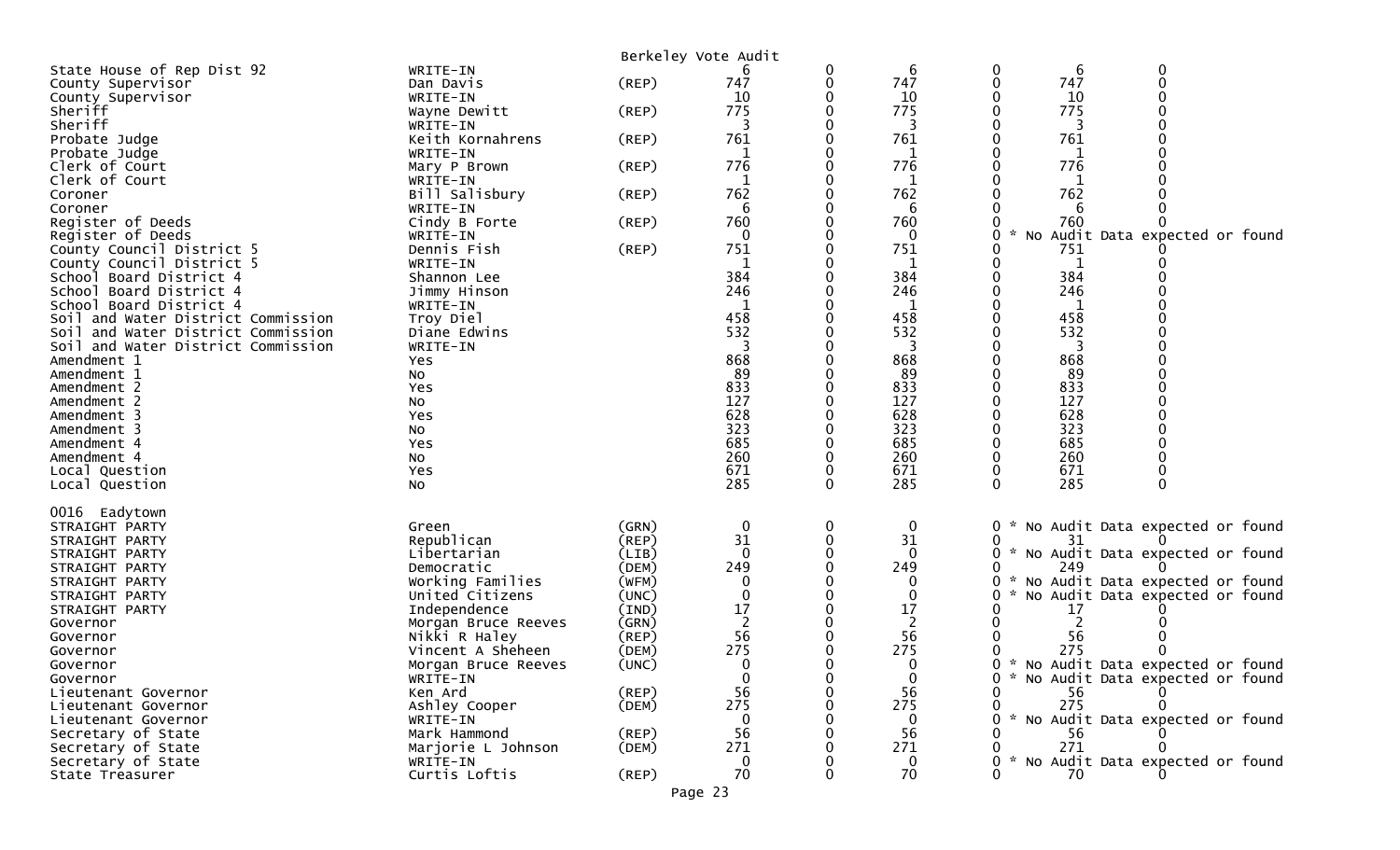|                                                |                                | Berkeley Vote Audit  |                |          |                 |               |           |                                     |  |
|------------------------------------------------|--------------------------------|----------------------|----------------|----------|-----------------|---------------|-----------|-------------------------------------|--|
| State House of Rep Dist 92                     | WRITE-IN                       |                      |                | 0        | 6               | 0             | 6         | 0                                   |  |
| County Supervisor                              | Dan Davis                      | $($ REP $)$          | 747            | 0        | 747             |               | 747       | 0                                   |  |
| County Supervisor                              | WRITE-IN                       |                      | 10             |          | 10              |               | 10        |                                     |  |
| Sheriff<br>Sheriff                             | Wayne Dewitt<br>WRITE-IN       | $($ REP $)$          | 775<br>3       |          | 775<br>3        |               | 775<br>3  |                                     |  |
| Probate Judge                                  | Keith Kornahrens               | $($ REP $)$          | 761            |          | 761             |               | 761       |                                     |  |
| Probate Judge                                  | WRITE-IN                       |                      |                |          |                 |               |           |                                     |  |
| Clerk of Court                                 | Mary P Brown                   | $($ REP $)$          | 776            |          | 776             |               | 776       |                                     |  |
| Clerk of Court                                 | WRITE-IN                       |                      | 1              |          | 1               |               | 1         |                                     |  |
| Coroner                                        | Bill Salisbury                 | (REP)                | 762            |          | 762             |               | 762       |                                     |  |
| Coroner                                        | WRITE-IN                       |                      | 6              |          | 6               |               | 6         |                                     |  |
| Register of Deeds                              | Cindy B Forte                  | $($ REP $)$          | 760<br>0       |          | 760<br>$\Omega$ |               | 760       |                                     |  |
| Register of Deeds<br>County Council District 5 | WRITE-IN<br>Dennis Fish        | $($ REP $)$          | 751            |          | 751             | No            | 751       | Audit Data expected or found        |  |
| County Council District 5                      | WRITE-IN                       |                      | 1              |          | 1               |               | 1         |                                     |  |
| School Board District 4                        | Shannon Lee                    |                      | 384            |          | 384             |               | 384       |                                     |  |
| School Board District 4                        | Jimmy Hinson                   |                      | 246            |          | 246             |               | 246       |                                     |  |
| School Board District 4                        | WRITE-IN                       |                      |                |          |                 |               |           |                                     |  |
| Soil and Water District Commission             | Troy Diel                      |                      | 458            |          | 458             |               | 458       |                                     |  |
| Soil and Water District Commission             | Diane Edwins                   |                      | 532            |          | 532             |               | 532       |                                     |  |
| Soil and Water District Commission             | WRITE-IN                       |                      |                |          | 3               |               | 3         |                                     |  |
| Amendment 1<br>Amendment 1                     | Yes<br>No.                     |                      | 868<br>89      |          | 868<br>89       |               | 868<br>89 |                                     |  |
| Amendment 2                                    | Yes                            |                      | 833            |          | 833             |               | 833       |                                     |  |
| Amendment 2                                    | No                             |                      | 127            |          | 127             |               | 127       |                                     |  |
| Amendment 3                                    | Yes                            |                      | 628            |          | 628             |               | 628       |                                     |  |
| Amendment 3                                    | No                             |                      | 323            |          | 323             |               | 323       |                                     |  |
| Amendment 4                                    | Yes                            |                      | 685            |          | 685             |               | 685       |                                     |  |
| Amendment 4                                    | No                             |                      | 260            |          | 260             |               | 260       |                                     |  |
| Local Question                                 | Yes                            |                      | 671            |          | 671             |               | 671       |                                     |  |
| Local Question                                 | No                             |                      | 285            | $\Omega$ | 285             | ∩             | 285       | $\Omega$                            |  |
| 0016 Eadytown                                  |                                |                      |                |          |                 |               |           |                                     |  |
| STRAIGHT PARTY                                 | Green                          | (GRN)                | $\mathbf 0$    | 0        | 0               | 0             |           | No Audit Data expected or found     |  |
| STRAIGHT PARTY                                 | Republican                     | $($ REP $)$          | 31             |          | 31              |               | 31        |                                     |  |
| STRAIGHT PARTY                                 | Libertarian                    | (LIB)                | $\mathbf{0}$   |          |                 | 0             | 249       | * No Audit Data expected or found   |  |
| STRAIGHT PARTY<br>STRAIGHT PARTY               | Democratic<br>Working Families | (DEM)<br>(WFM)       | 249<br>0       |          | 249             | 0             |           | * No Audit Data expected or found   |  |
| STRAIGHT PARTY                                 | United Citizens                | (UNC)                |                |          |                 |               |           | No Audit Data expected or found     |  |
| STRAIGHT PARTY                                 | Independence                   | (IND)                | 17             |          | 17              |               | 17        |                                     |  |
| Governor                                       | Morgan Bruce Reeves            | (GRN)                | $\overline{2}$ |          | 2               |               |           |                                     |  |
| Governor                                       | Nikki R Haley                  | (REP)                | 56             |          | 56              |               | 56        |                                     |  |
| Governor                                       | Vincent A Sheheen              | (DEM)                | 275            | 0        | 275             |               | 275       | 0                                   |  |
| Governor                                       | Morgan Bruce Reeves            | (UNC)                | $\mathbf{0}$   |          | 0               |               |           | 0 * No Audit Data expected or found |  |
| Governor                                       | WRITE-IN                       |                      |                |          | $\mathbf{0}$    |               |           | * No Audit Data expected or found   |  |
| Lieutenant Governor<br>Lieutenant Governor     | Ken Ard<br>Ashley Cooper       | $($ REP $)$<br>(DEM) | 56<br>275      |          | 56<br>275       |               | 56<br>275 |                                     |  |
| Lieutenant Governor                            | WRITE-IN                       |                      | 0              |          | 0               | $\mathcal{H}$ |           | No Audit Data expected or found     |  |
| Secretary of State                             | Mark Hammond                   | $($ REP $)$          | 56             |          | 56              |               | 56        |                                     |  |
| Secretary of State                             | Marjorie L Johnson             | (DEM)                | 271            |          | 271             |               | 271       |                                     |  |
| Secretary of State                             | WRITE-IN                       |                      | 0              |          |                 |               |           | * No Audit Data expected or found   |  |
| State Treasurer                                | Curtis Loftis                  | $($ REP $)$          | 70             |          | 70              |               | 70.       |                                     |  |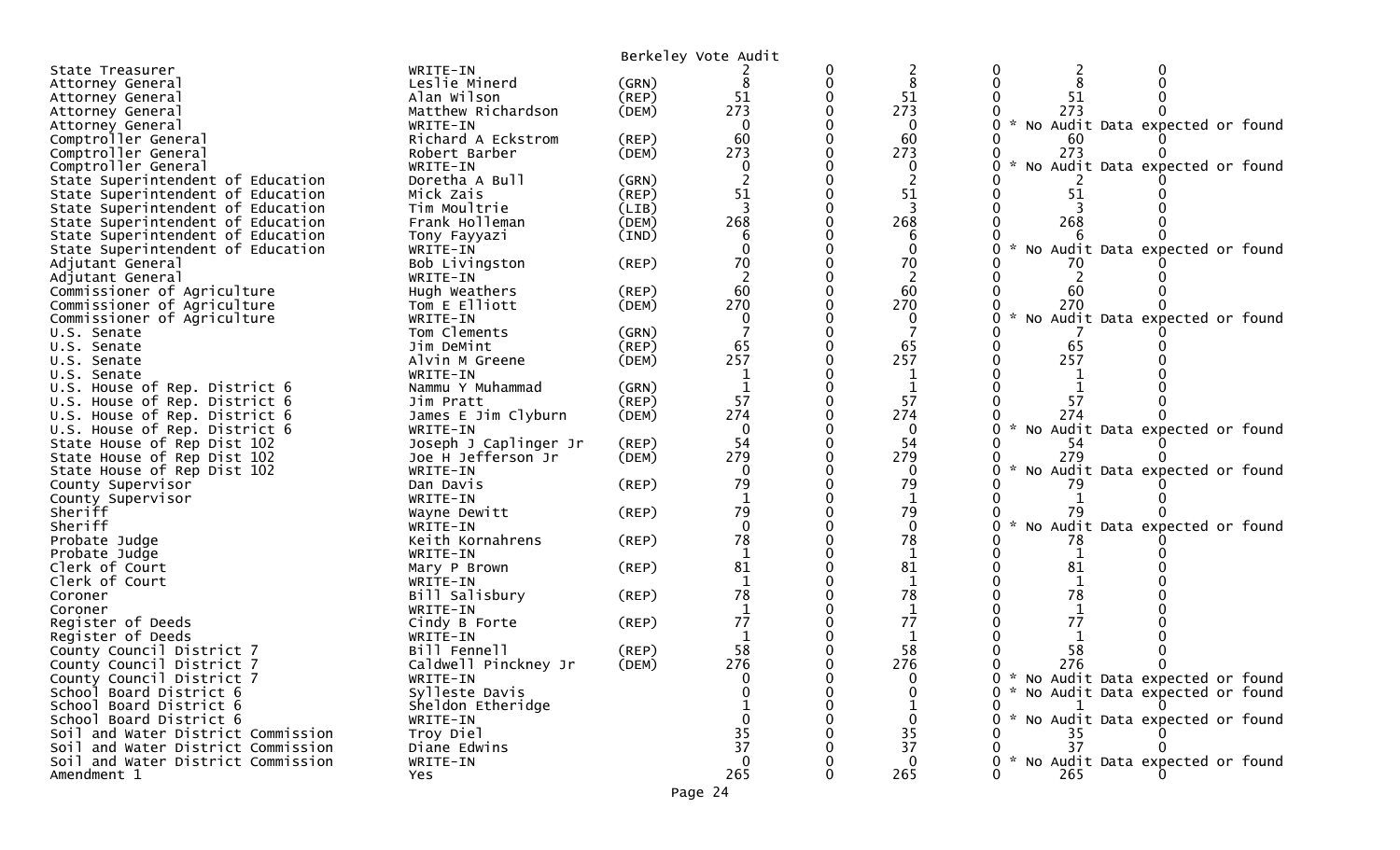|                                                                         | Berkeley Vote Audit                                         |
|-------------------------------------------------------------------------|-------------------------------------------------------------|
| WRITE-IN                                                                | 0                                                           |
| State Treasurer                                                         | 2                                                           |
| Leslie Minerd                                                           | 8                                                           |
| (GRN)                                                                   | 0                                                           |
| Attorney General                                                        | 8                                                           |
| Alan Wilson                                                             | 51                                                          |
| $($ REP $)$                                                             | 51                                                          |
| Attorney General                                                        | 51                                                          |
| Matthew Richardson                                                      | 273                                                         |
| (DEM)                                                                   | 273                                                         |
| Attorney General                                                        | 273                                                         |
| WRITE-IN<br>Attorney General                                            | * No Audit Data expected or found<br>$\Omega$<br>0          |
| Comptroller General                                                     | 60                                                          |
| Richard A Eckstrom                                                      | 60                                                          |
| (REP)                                                                   | 60                                                          |
| Comptroller General                                                     | 273                                                         |
| (DEM)                                                                   | 273                                                         |
| Robert Barber                                                           | 273                                                         |
| Comptroller General<br>WRITE-IN                                         | No Audit Data expected or found<br>0<br>0                   |
| State Superintendent of Education<br>Doretha A Bull<br>(GRN)            |                                                             |
| State Superintendent of Education                                       | 51                                                          |
| Mick Zais                                                               | 51                                                          |
| (REP)                                                                   | 51                                                          |
| State Superintendent of Education<br>(LIB)<br>Tim Moultrie              | 3                                                           |
| State Superintendent of Education                                       | 268                                                         |
| Frank Holleman                                                          | 268                                                         |
| (DEM)                                                                   | 268                                                         |
| (IND)<br>State Superintendent of Education<br>Tony Fayyazi              |                                                             |
| State Superintendent of Education<br>WRITE-IN                           | No Audit Data expected or found                             |
| Bob Livingston<br>$($ REP $)$<br>Adjutant General                       | 70<br>70                                                    |
| Adjutant General<br>WRITE-IN                                            | 2                                                           |
| Commissioner of Agriculture                                             | 60                                                          |
| Hugh Weathers                                                           | 60                                                          |
| $($ REP $)$                                                             | 60                                                          |
| Tom E Elliott                                                           | 270                                                         |
| Commissioner of Agriculture                                             | 270                                                         |
| (DEM)                                                                   | 270                                                         |
| Commissioner of Agriculture                                             | No Audit Data expected or found                             |
| WRITE-IN                                                                | 0                                                           |
| Tom Clements<br>(GRN)<br>U.S. Senate                                    |                                                             |
| Jim DeMint                                                              | 65                                                          |
| (REP)                                                                   | 65                                                          |
| U.S. Senate                                                             | 65                                                          |
| (DEM)                                                                   | 257                                                         |
| Alvin M Greene                                                          | 257                                                         |
| U.S. Senate                                                             | 257                                                         |
| WRITE-IN<br>U.S. Senate                                                 |                                                             |
| U.S. House of Rep. District 6<br>Nammu Y Muhammad<br>(GRN)              |                                                             |
| (REP)                                                                   | 57                                                          |
| U.S. House of Rep. District 6                                           | 57                                                          |
| Jim Pratt                                                               | 57                                                          |
| James E Jim Clyburn                                                     | 274                                                         |
| U.S. House of Rep. District 6                                           | 274                                                         |
| (DEM)                                                                   | 274                                                         |
| U.S. House of Rep. District 6<br>WRITE-IN                               | $\mathbf 0$<br>No Audit Data expected or found<br>0         |
| Joseph J Caplinger Jr                                                   | 54                                                          |
| State House of Rep Dist 102                                             | 54                                                          |
| (REP)                                                                   | -54                                                         |
| Joe H Jefferson Jr                                                      | 279                                                         |
| (DEM)                                                                   | 279                                                         |
| State House of Rep Dist 102                                             | 279                                                         |
| State House of Rep Dist 102<br>WRITE-IN                                 | No Audit Data expected or found<br>$\Omega$<br>79<br>79     |
| $($ REP $)$<br>Dan Davis<br>County Supervisor                           | 79<br>1                                                     |
| County Supervisor<br>WRITE-IN<br>Sheriff<br>$($ REP $)$<br>Wayne Dewitt | 79<br>79                                                    |
| Sheriff<br>WRITE-IN                                                     | No Audit Data expected or found<br>$\Omega$<br>$\mathbf{0}$ |
| Keith Kornahrens                                                        | 78                                                          |
| (REP)                                                                   | 78                                                          |
| Probate Judge                                                           | 78                                                          |
| Probate Judge<br>WRITE-IN                                               |                                                             |
| Clerk of Court                                                          | 81                                                          |
| $($ REP $)$                                                             | 81                                                          |
| Mary P Brown                                                            | 81                                                          |
| Clerk of Court<br>WRITE-IN                                              | 1<br>1<br>1                                                 |
| Bill Salisbury                                                          | 78                                                          |
| Coroner                                                                 | 78                                                          |
| (REP)                                                                   | 78                                                          |
| WRITE-IN                                                                | 1                                                           |
| Coroner                                                                 | 1                                                           |
| Register of Deeds                                                       | 77                                                          |
| Cindy B Forte                                                           | 77                                                          |
| (REP)                                                                   | 77                                                          |
| Register of Deeds<br>WRITE-IN                                           |                                                             |
| Bill Fennell                                                            | 58                                                          |
| County Council District 7                                               | 58                                                          |
| $($ REP $)$                                                             | 58                                                          |
| County Council District 7                                               | 276                                                         |
| Caldwell Pinckney Jr                                                    | 276                                                         |
| (DEM)                                                                   | 276                                                         |
| County Council District 7                                               | * No Audit Data expected or found                           |
| WRITE-IN                                                                | 0                                                           |
| Sylleste Davis                                                          | * No Audit Data expected or found                           |
| School Board District 6                                                 | 0                                                           |
| Sheldon Etheridge<br>School Board District 6                            |                                                             |
| School Board District 6<br>WRITE-IN                                     | No Audit Data expected or found                             |
| Troy Diel<br>Soil and Water District Commission                         | 35<br>35<br>35                                              |
| Diane Edwins<br>Soil and Water District Commission                      | 37<br>37<br>37                                              |
| Soil and Water District Commission                                      | $\Omega$                                                    |
| WRITE-IN                                                                | * No Audit Data expected or found                           |
| Amendment 1<br>Yes                                                      | 265<br>265<br>265.                                          |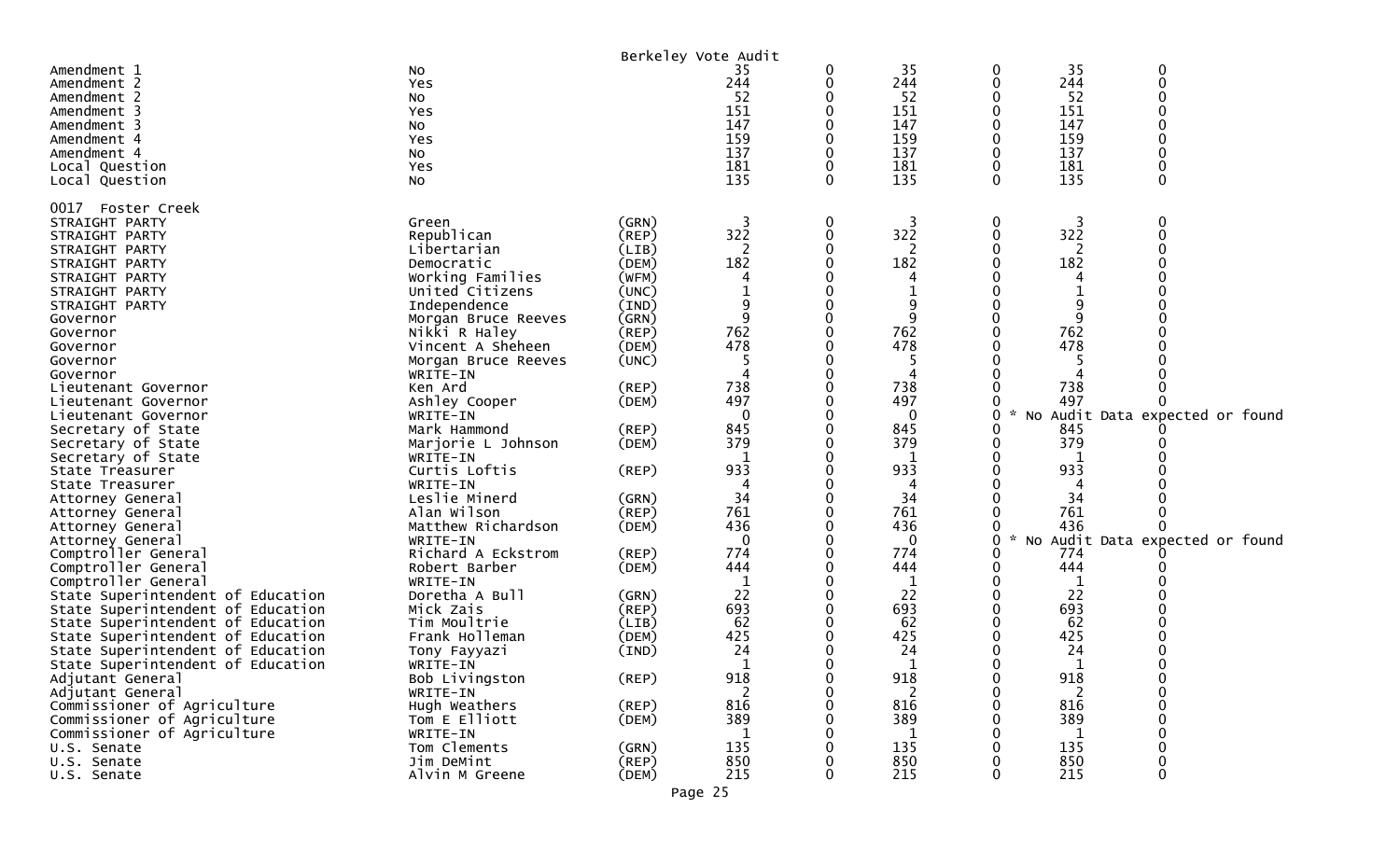| 0<br>Amendment 1<br>35<br>0<br>0<br>No<br>244<br>244<br>244<br>0<br>0<br>Amendment 2<br>Yes<br>0<br>52<br>52<br>52<br>Amendment 2<br>No<br>151<br>151<br>151<br>0<br>Amendment 3<br>0<br>Yes<br>147<br>147<br>147<br>Amendment 3<br>No<br>159<br>159<br>159<br>Amendment 4<br>Yes<br>137<br>137<br>137<br>0<br>Amendment 4<br>0<br>NO.<br>181<br>181<br>181<br>0<br>0<br>0<br>Local Question<br>Yes<br>135<br>135<br>135<br>0<br>0<br>0<br>Local Question<br>No<br>0017<br>Foster Creek<br>0<br>3<br>0<br>3<br>0<br>3<br>STRAIGHT PARTY<br>(GRN)<br>Green<br>322<br>322<br>322<br>$\Omega$<br>Republican<br>0<br>0<br>STRAIGHT PARTY<br>(REP)<br>2<br>2<br>0<br>Libertarian<br>(LIB)<br>STRAIGHT PARTY<br>182<br>182<br>182<br>(DEM)<br>STRAIGHT PARTY<br>Democratic<br>Working Families<br>STRAIGHT PARTY<br>(WFM)<br>United Citizens<br>(UNC)<br>STRAIGHT PARTY<br>9<br>STRAIGHT PARTY<br>Independence<br>(IND)<br>9<br>9<br>9<br>0<br>Morgan Bruce Reeves<br>(GRN)<br>0<br>Governor<br>762<br>762<br>762<br>(REP)<br>Nikki R Haley<br>Governor<br>478<br>478<br>478<br>Vincent A Sheheen<br>(DEM)<br>Governor<br>(UNC)<br>Governor<br>Morgan Bruce Reeves<br>4<br>Governor<br>WRITE-IN<br>738<br>738<br>738<br>Ken Ard<br>(REP)<br>Lieutenant Governor<br>497<br>497<br>497<br>Ashley Cooper<br>(DEM)<br>Lieutenant Governor<br>$\mathbf{0}$<br>$\mathbf{0}$<br>No Audit Data expected or found<br>0<br>$\mathcal{H}$<br>WRITE-IN<br>Lieutenant Governor<br>845<br>(REP)<br>845<br>Secretary of State<br>Mark Hammond<br>845<br>379<br>379<br>379<br>Secretary of State<br>Marjorie L Johnson<br>(DEM)<br>-1<br>1<br>Secretary of State<br>WRITE-IN<br>933<br>933<br>933<br>Curtis Loftis<br>(REP)<br>State Treasurer<br>WRITE-IN<br>State Treasurer<br>4<br>4<br>4<br>34<br>34<br>34<br>Leslie Minerd<br>(GRN)<br>Attorney General<br>761<br>Alan Wilson<br>(REP)<br>761<br>761<br>Attorney General<br>436<br>436<br>436<br>Matthew Richardson<br>(DEM)<br>0<br>Attorney General<br>No Audit Data expected or found<br>$\mathbf{0}$<br>0<br>0<br>WRITE-IN<br>*<br>Attorney General<br>774<br>Richard A Eckstrom<br>774<br>774<br>Comptroller General<br>(REP)<br>444<br>444<br>444<br>Comptroller General<br>Robert Barber<br>(DEM)<br>1<br>$\mathbf 1$<br>$\mathbf{1}$<br>Comptroller General<br>WRITE-IN<br>22<br>22<br>22<br>State Superintendent of Education<br>Doretha A Bull<br>(GRN)<br>693<br>693<br>693<br>State Superintendent of Education<br>Mick Zais<br>(REP)<br>62<br>62<br>62<br>Tim Moultrie<br>State Superintendent of Education<br>(LIB)<br>425<br>Frank Holleman<br>425<br>425<br>State Superintendent of Education<br>(DEM)<br>24<br>24<br>24<br>State Superintendent of Education<br>(IND)<br>Tony Fayyazi<br>$\mathbf 1$<br>1<br>1<br>State Superintendent of Education<br>0<br>WRITE-IN<br>Adjutant General<br>(REP)<br>918<br>918<br>918<br>0<br>Bob Livingston<br>0<br>0<br>$\overline{2}$<br>2<br>2<br>Adjutant General<br>0<br>WRITE-IN<br>0<br>816<br>816<br>816<br>Commissioner of Agriculture<br>Hugh Weathers<br>(REP)<br>389<br>389<br>389<br>Commissioner of Agriculture<br>Tom E Elliott<br>(DEM)<br>0<br>Commissioner of Agriculture<br>WRITE-IN<br>1<br>1<br>1<br>135<br>Tom Clements<br>135<br>135<br>U.S. Senate<br>(GRN) |             |            | Berkeley Vote Audit |     |     |     |   |
|-----------------------------------------------------------------------------------------------------------------------------------------------------------------------------------------------------------------------------------------------------------------------------------------------------------------------------------------------------------------------------------------------------------------------------------------------------------------------------------------------------------------------------------------------------------------------------------------------------------------------------------------------------------------------------------------------------------------------------------------------------------------------------------------------------------------------------------------------------------------------------------------------------------------------------------------------------------------------------------------------------------------------------------------------------------------------------------------------------------------------------------------------------------------------------------------------------------------------------------------------------------------------------------------------------------------------------------------------------------------------------------------------------------------------------------------------------------------------------------------------------------------------------------------------------------------------------------------------------------------------------------------------------------------------------------------------------------------------------------------------------------------------------------------------------------------------------------------------------------------------------------------------------------------------------------------------------------------------------------------------------------------------------------------------------------------------------------------------------------------------------------------------------------------------------------------------------------------------------------------------------------------------------------------------------------------------------------------------------------------------------------------------------------------------------------------------------------------------------------------------------------------------------------------------------------------------------------------------------------------------------------------------------------------------------------------------------------------------------------------------------------------------------------------------------------------------------------------------------------------------------------------------------------------------------------------------------------------------------------------------------------------------------------------------------------------------------------------------------------------------------------------------------------------------------------------------------------------------------------------------------------------------|-------------|------------|---------------------|-----|-----|-----|---|
|                                                                                                                                                                                                                                                                                                                                                                                                                                                                                                                                                                                                                                                                                                                                                                                                                                                                                                                                                                                                                                                                                                                                                                                                                                                                                                                                                                                                                                                                                                                                                                                                                                                                                                                                                                                                                                                                                                                                                                                                                                                                                                                                                                                                                                                                                                                                                                                                                                                                                                                                                                                                                                                                                                                                                                                                                                                                                                                                                                                                                                                                                                                                                                                                                                                                       |             |            |                     |     | 35  | 35  |   |
|                                                                                                                                                                                                                                                                                                                                                                                                                                                                                                                                                                                                                                                                                                                                                                                                                                                                                                                                                                                                                                                                                                                                                                                                                                                                                                                                                                                                                                                                                                                                                                                                                                                                                                                                                                                                                                                                                                                                                                                                                                                                                                                                                                                                                                                                                                                                                                                                                                                                                                                                                                                                                                                                                                                                                                                                                                                                                                                                                                                                                                                                                                                                                                                                                                                                       |             |            |                     |     |     |     |   |
|                                                                                                                                                                                                                                                                                                                                                                                                                                                                                                                                                                                                                                                                                                                                                                                                                                                                                                                                                                                                                                                                                                                                                                                                                                                                                                                                                                                                                                                                                                                                                                                                                                                                                                                                                                                                                                                                                                                                                                                                                                                                                                                                                                                                                                                                                                                                                                                                                                                                                                                                                                                                                                                                                                                                                                                                                                                                                                                                                                                                                                                                                                                                                                                                                                                                       |             |            |                     |     |     |     |   |
|                                                                                                                                                                                                                                                                                                                                                                                                                                                                                                                                                                                                                                                                                                                                                                                                                                                                                                                                                                                                                                                                                                                                                                                                                                                                                                                                                                                                                                                                                                                                                                                                                                                                                                                                                                                                                                                                                                                                                                                                                                                                                                                                                                                                                                                                                                                                                                                                                                                                                                                                                                                                                                                                                                                                                                                                                                                                                                                                                                                                                                                                                                                                                                                                                                                                       |             |            |                     |     |     |     |   |
|                                                                                                                                                                                                                                                                                                                                                                                                                                                                                                                                                                                                                                                                                                                                                                                                                                                                                                                                                                                                                                                                                                                                                                                                                                                                                                                                                                                                                                                                                                                                                                                                                                                                                                                                                                                                                                                                                                                                                                                                                                                                                                                                                                                                                                                                                                                                                                                                                                                                                                                                                                                                                                                                                                                                                                                                                                                                                                                                                                                                                                                                                                                                                                                                                                                                       |             |            |                     |     |     |     |   |
|                                                                                                                                                                                                                                                                                                                                                                                                                                                                                                                                                                                                                                                                                                                                                                                                                                                                                                                                                                                                                                                                                                                                                                                                                                                                                                                                                                                                                                                                                                                                                                                                                                                                                                                                                                                                                                                                                                                                                                                                                                                                                                                                                                                                                                                                                                                                                                                                                                                                                                                                                                                                                                                                                                                                                                                                                                                                                                                                                                                                                                                                                                                                                                                                                                                                       |             |            |                     |     |     |     |   |
|                                                                                                                                                                                                                                                                                                                                                                                                                                                                                                                                                                                                                                                                                                                                                                                                                                                                                                                                                                                                                                                                                                                                                                                                                                                                                                                                                                                                                                                                                                                                                                                                                                                                                                                                                                                                                                                                                                                                                                                                                                                                                                                                                                                                                                                                                                                                                                                                                                                                                                                                                                                                                                                                                                                                                                                                                                                                                                                                                                                                                                                                                                                                                                                                                                                                       |             |            |                     |     |     |     |   |
|                                                                                                                                                                                                                                                                                                                                                                                                                                                                                                                                                                                                                                                                                                                                                                                                                                                                                                                                                                                                                                                                                                                                                                                                                                                                                                                                                                                                                                                                                                                                                                                                                                                                                                                                                                                                                                                                                                                                                                                                                                                                                                                                                                                                                                                                                                                                                                                                                                                                                                                                                                                                                                                                                                                                                                                                                                                                                                                                                                                                                                                                                                                                                                                                                                                                       |             |            |                     |     |     |     |   |
|                                                                                                                                                                                                                                                                                                                                                                                                                                                                                                                                                                                                                                                                                                                                                                                                                                                                                                                                                                                                                                                                                                                                                                                                                                                                                                                                                                                                                                                                                                                                                                                                                                                                                                                                                                                                                                                                                                                                                                                                                                                                                                                                                                                                                                                                                                                                                                                                                                                                                                                                                                                                                                                                                                                                                                                                                                                                                                                                                                                                                                                                                                                                                                                                                                                                       |             |            |                     |     |     |     |   |
|                                                                                                                                                                                                                                                                                                                                                                                                                                                                                                                                                                                                                                                                                                                                                                                                                                                                                                                                                                                                                                                                                                                                                                                                                                                                                                                                                                                                                                                                                                                                                                                                                                                                                                                                                                                                                                                                                                                                                                                                                                                                                                                                                                                                                                                                                                                                                                                                                                                                                                                                                                                                                                                                                                                                                                                                                                                                                                                                                                                                                                                                                                                                                                                                                                                                       |             |            |                     |     |     |     |   |
|                                                                                                                                                                                                                                                                                                                                                                                                                                                                                                                                                                                                                                                                                                                                                                                                                                                                                                                                                                                                                                                                                                                                                                                                                                                                                                                                                                                                                                                                                                                                                                                                                                                                                                                                                                                                                                                                                                                                                                                                                                                                                                                                                                                                                                                                                                                                                                                                                                                                                                                                                                                                                                                                                                                                                                                                                                                                                                                                                                                                                                                                                                                                                                                                                                                                       |             |            |                     |     |     |     |   |
|                                                                                                                                                                                                                                                                                                                                                                                                                                                                                                                                                                                                                                                                                                                                                                                                                                                                                                                                                                                                                                                                                                                                                                                                                                                                                                                                                                                                                                                                                                                                                                                                                                                                                                                                                                                                                                                                                                                                                                                                                                                                                                                                                                                                                                                                                                                                                                                                                                                                                                                                                                                                                                                                                                                                                                                                                                                                                                                                                                                                                                                                                                                                                                                                                                                                       |             |            |                     |     |     |     |   |
|                                                                                                                                                                                                                                                                                                                                                                                                                                                                                                                                                                                                                                                                                                                                                                                                                                                                                                                                                                                                                                                                                                                                                                                                                                                                                                                                                                                                                                                                                                                                                                                                                                                                                                                                                                                                                                                                                                                                                                                                                                                                                                                                                                                                                                                                                                                                                                                                                                                                                                                                                                                                                                                                                                                                                                                                                                                                                                                                                                                                                                                                                                                                                                                                                                                                       |             |            |                     |     |     |     |   |
|                                                                                                                                                                                                                                                                                                                                                                                                                                                                                                                                                                                                                                                                                                                                                                                                                                                                                                                                                                                                                                                                                                                                                                                                                                                                                                                                                                                                                                                                                                                                                                                                                                                                                                                                                                                                                                                                                                                                                                                                                                                                                                                                                                                                                                                                                                                                                                                                                                                                                                                                                                                                                                                                                                                                                                                                                                                                                                                                                                                                                                                                                                                                                                                                                                                                       |             |            |                     |     |     |     |   |
|                                                                                                                                                                                                                                                                                                                                                                                                                                                                                                                                                                                                                                                                                                                                                                                                                                                                                                                                                                                                                                                                                                                                                                                                                                                                                                                                                                                                                                                                                                                                                                                                                                                                                                                                                                                                                                                                                                                                                                                                                                                                                                                                                                                                                                                                                                                                                                                                                                                                                                                                                                                                                                                                                                                                                                                                                                                                                                                                                                                                                                                                                                                                                                                                                                                                       |             |            |                     |     |     |     |   |
|                                                                                                                                                                                                                                                                                                                                                                                                                                                                                                                                                                                                                                                                                                                                                                                                                                                                                                                                                                                                                                                                                                                                                                                                                                                                                                                                                                                                                                                                                                                                                                                                                                                                                                                                                                                                                                                                                                                                                                                                                                                                                                                                                                                                                                                                                                                                                                                                                                                                                                                                                                                                                                                                                                                                                                                                                                                                                                                                                                                                                                                                                                                                                                                                                                                                       |             |            |                     |     |     |     |   |
|                                                                                                                                                                                                                                                                                                                                                                                                                                                                                                                                                                                                                                                                                                                                                                                                                                                                                                                                                                                                                                                                                                                                                                                                                                                                                                                                                                                                                                                                                                                                                                                                                                                                                                                                                                                                                                                                                                                                                                                                                                                                                                                                                                                                                                                                                                                                                                                                                                                                                                                                                                                                                                                                                                                                                                                                                                                                                                                                                                                                                                                                                                                                                                                                                                                                       |             |            |                     |     |     |     |   |
|                                                                                                                                                                                                                                                                                                                                                                                                                                                                                                                                                                                                                                                                                                                                                                                                                                                                                                                                                                                                                                                                                                                                                                                                                                                                                                                                                                                                                                                                                                                                                                                                                                                                                                                                                                                                                                                                                                                                                                                                                                                                                                                                                                                                                                                                                                                                                                                                                                                                                                                                                                                                                                                                                                                                                                                                                                                                                                                                                                                                                                                                                                                                                                                                                                                                       |             |            |                     |     |     |     |   |
|                                                                                                                                                                                                                                                                                                                                                                                                                                                                                                                                                                                                                                                                                                                                                                                                                                                                                                                                                                                                                                                                                                                                                                                                                                                                                                                                                                                                                                                                                                                                                                                                                                                                                                                                                                                                                                                                                                                                                                                                                                                                                                                                                                                                                                                                                                                                                                                                                                                                                                                                                                                                                                                                                                                                                                                                                                                                                                                                                                                                                                                                                                                                                                                                                                                                       |             |            |                     |     |     |     |   |
|                                                                                                                                                                                                                                                                                                                                                                                                                                                                                                                                                                                                                                                                                                                                                                                                                                                                                                                                                                                                                                                                                                                                                                                                                                                                                                                                                                                                                                                                                                                                                                                                                                                                                                                                                                                                                                                                                                                                                                                                                                                                                                                                                                                                                                                                                                                                                                                                                                                                                                                                                                                                                                                                                                                                                                                                                                                                                                                                                                                                                                                                                                                                                                                                                                                                       |             |            |                     |     |     |     |   |
|                                                                                                                                                                                                                                                                                                                                                                                                                                                                                                                                                                                                                                                                                                                                                                                                                                                                                                                                                                                                                                                                                                                                                                                                                                                                                                                                                                                                                                                                                                                                                                                                                                                                                                                                                                                                                                                                                                                                                                                                                                                                                                                                                                                                                                                                                                                                                                                                                                                                                                                                                                                                                                                                                                                                                                                                                                                                                                                                                                                                                                                                                                                                                                                                                                                                       |             |            |                     |     |     |     |   |
|                                                                                                                                                                                                                                                                                                                                                                                                                                                                                                                                                                                                                                                                                                                                                                                                                                                                                                                                                                                                                                                                                                                                                                                                                                                                                                                                                                                                                                                                                                                                                                                                                                                                                                                                                                                                                                                                                                                                                                                                                                                                                                                                                                                                                                                                                                                                                                                                                                                                                                                                                                                                                                                                                                                                                                                                                                                                                                                                                                                                                                                                                                                                                                                                                                                                       |             |            |                     |     |     |     |   |
|                                                                                                                                                                                                                                                                                                                                                                                                                                                                                                                                                                                                                                                                                                                                                                                                                                                                                                                                                                                                                                                                                                                                                                                                                                                                                                                                                                                                                                                                                                                                                                                                                                                                                                                                                                                                                                                                                                                                                                                                                                                                                                                                                                                                                                                                                                                                                                                                                                                                                                                                                                                                                                                                                                                                                                                                                                                                                                                                                                                                                                                                                                                                                                                                                                                                       |             |            |                     |     |     |     |   |
|                                                                                                                                                                                                                                                                                                                                                                                                                                                                                                                                                                                                                                                                                                                                                                                                                                                                                                                                                                                                                                                                                                                                                                                                                                                                                                                                                                                                                                                                                                                                                                                                                                                                                                                                                                                                                                                                                                                                                                                                                                                                                                                                                                                                                                                                                                                                                                                                                                                                                                                                                                                                                                                                                                                                                                                                                                                                                                                                                                                                                                                                                                                                                                                                                                                                       |             |            |                     |     |     |     |   |
|                                                                                                                                                                                                                                                                                                                                                                                                                                                                                                                                                                                                                                                                                                                                                                                                                                                                                                                                                                                                                                                                                                                                                                                                                                                                                                                                                                                                                                                                                                                                                                                                                                                                                                                                                                                                                                                                                                                                                                                                                                                                                                                                                                                                                                                                                                                                                                                                                                                                                                                                                                                                                                                                                                                                                                                                                                                                                                                                                                                                                                                                                                                                                                                                                                                                       |             |            |                     |     |     |     |   |
|                                                                                                                                                                                                                                                                                                                                                                                                                                                                                                                                                                                                                                                                                                                                                                                                                                                                                                                                                                                                                                                                                                                                                                                                                                                                                                                                                                                                                                                                                                                                                                                                                                                                                                                                                                                                                                                                                                                                                                                                                                                                                                                                                                                                                                                                                                                                                                                                                                                                                                                                                                                                                                                                                                                                                                                                                                                                                                                                                                                                                                                                                                                                                                                                                                                                       |             |            |                     |     |     |     |   |
|                                                                                                                                                                                                                                                                                                                                                                                                                                                                                                                                                                                                                                                                                                                                                                                                                                                                                                                                                                                                                                                                                                                                                                                                                                                                                                                                                                                                                                                                                                                                                                                                                                                                                                                                                                                                                                                                                                                                                                                                                                                                                                                                                                                                                                                                                                                                                                                                                                                                                                                                                                                                                                                                                                                                                                                                                                                                                                                                                                                                                                                                                                                                                                                                                                                                       |             |            |                     |     |     |     |   |
|                                                                                                                                                                                                                                                                                                                                                                                                                                                                                                                                                                                                                                                                                                                                                                                                                                                                                                                                                                                                                                                                                                                                                                                                                                                                                                                                                                                                                                                                                                                                                                                                                                                                                                                                                                                                                                                                                                                                                                                                                                                                                                                                                                                                                                                                                                                                                                                                                                                                                                                                                                                                                                                                                                                                                                                                                                                                                                                                                                                                                                                                                                                                                                                                                                                                       |             |            |                     |     |     |     |   |
|                                                                                                                                                                                                                                                                                                                                                                                                                                                                                                                                                                                                                                                                                                                                                                                                                                                                                                                                                                                                                                                                                                                                                                                                                                                                                                                                                                                                                                                                                                                                                                                                                                                                                                                                                                                                                                                                                                                                                                                                                                                                                                                                                                                                                                                                                                                                                                                                                                                                                                                                                                                                                                                                                                                                                                                                                                                                                                                                                                                                                                                                                                                                                                                                                                                                       |             |            |                     |     |     |     |   |
|                                                                                                                                                                                                                                                                                                                                                                                                                                                                                                                                                                                                                                                                                                                                                                                                                                                                                                                                                                                                                                                                                                                                                                                                                                                                                                                                                                                                                                                                                                                                                                                                                                                                                                                                                                                                                                                                                                                                                                                                                                                                                                                                                                                                                                                                                                                                                                                                                                                                                                                                                                                                                                                                                                                                                                                                                                                                                                                                                                                                                                                                                                                                                                                                                                                                       |             |            |                     |     |     |     |   |
|                                                                                                                                                                                                                                                                                                                                                                                                                                                                                                                                                                                                                                                                                                                                                                                                                                                                                                                                                                                                                                                                                                                                                                                                                                                                                                                                                                                                                                                                                                                                                                                                                                                                                                                                                                                                                                                                                                                                                                                                                                                                                                                                                                                                                                                                                                                                                                                                                                                                                                                                                                                                                                                                                                                                                                                                                                                                                                                                                                                                                                                                                                                                                                                                                                                                       |             |            |                     |     |     |     |   |
|                                                                                                                                                                                                                                                                                                                                                                                                                                                                                                                                                                                                                                                                                                                                                                                                                                                                                                                                                                                                                                                                                                                                                                                                                                                                                                                                                                                                                                                                                                                                                                                                                                                                                                                                                                                                                                                                                                                                                                                                                                                                                                                                                                                                                                                                                                                                                                                                                                                                                                                                                                                                                                                                                                                                                                                                                                                                                                                                                                                                                                                                                                                                                                                                                                                                       |             |            |                     |     |     |     |   |
|                                                                                                                                                                                                                                                                                                                                                                                                                                                                                                                                                                                                                                                                                                                                                                                                                                                                                                                                                                                                                                                                                                                                                                                                                                                                                                                                                                                                                                                                                                                                                                                                                                                                                                                                                                                                                                                                                                                                                                                                                                                                                                                                                                                                                                                                                                                                                                                                                                                                                                                                                                                                                                                                                                                                                                                                                                                                                                                                                                                                                                                                                                                                                                                                                                                                       |             |            |                     |     |     |     |   |
|                                                                                                                                                                                                                                                                                                                                                                                                                                                                                                                                                                                                                                                                                                                                                                                                                                                                                                                                                                                                                                                                                                                                                                                                                                                                                                                                                                                                                                                                                                                                                                                                                                                                                                                                                                                                                                                                                                                                                                                                                                                                                                                                                                                                                                                                                                                                                                                                                                                                                                                                                                                                                                                                                                                                                                                                                                                                                                                                                                                                                                                                                                                                                                                                                                                                       |             |            |                     |     |     |     |   |
|                                                                                                                                                                                                                                                                                                                                                                                                                                                                                                                                                                                                                                                                                                                                                                                                                                                                                                                                                                                                                                                                                                                                                                                                                                                                                                                                                                                                                                                                                                                                                                                                                                                                                                                                                                                                                                                                                                                                                                                                                                                                                                                                                                                                                                                                                                                                                                                                                                                                                                                                                                                                                                                                                                                                                                                                                                                                                                                                                                                                                                                                                                                                                                                                                                                                       |             |            |                     |     |     |     |   |
|                                                                                                                                                                                                                                                                                                                                                                                                                                                                                                                                                                                                                                                                                                                                                                                                                                                                                                                                                                                                                                                                                                                                                                                                                                                                                                                                                                                                                                                                                                                                                                                                                                                                                                                                                                                                                                                                                                                                                                                                                                                                                                                                                                                                                                                                                                                                                                                                                                                                                                                                                                                                                                                                                                                                                                                                                                                                                                                                                                                                                                                                                                                                                                                                                                                                       |             |            |                     |     |     |     |   |
|                                                                                                                                                                                                                                                                                                                                                                                                                                                                                                                                                                                                                                                                                                                                                                                                                                                                                                                                                                                                                                                                                                                                                                                                                                                                                                                                                                                                                                                                                                                                                                                                                                                                                                                                                                                                                                                                                                                                                                                                                                                                                                                                                                                                                                                                                                                                                                                                                                                                                                                                                                                                                                                                                                                                                                                                                                                                                                                                                                                                                                                                                                                                                                                                                                                                       |             |            |                     |     |     |     |   |
|                                                                                                                                                                                                                                                                                                                                                                                                                                                                                                                                                                                                                                                                                                                                                                                                                                                                                                                                                                                                                                                                                                                                                                                                                                                                                                                                                                                                                                                                                                                                                                                                                                                                                                                                                                                                                                                                                                                                                                                                                                                                                                                                                                                                                                                                                                                                                                                                                                                                                                                                                                                                                                                                                                                                                                                                                                                                                                                                                                                                                                                                                                                                                                                                                                                                       |             |            |                     |     |     |     |   |
|                                                                                                                                                                                                                                                                                                                                                                                                                                                                                                                                                                                                                                                                                                                                                                                                                                                                                                                                                                                                                                                                                                                                                                                                                                                                                                                                                                                                                                                                                                                                                                                                                                                                                                                                                                                                                                                                                                                                                                                                                                                                                                                                                                                                                                                                                                                                                                                                                                                                                                                                                                                                                                                                                                                                                                                                                                                                                                                                                                                                                                                                                                                                                                                                                                                                       |             |            |                     |     |     |     |   |
|                                                                                                                                                                                                                                                                                                                                                                                                                                                                                                                                                                                                                                                                                                                                                                                                                                                                                                                                                                                                                                                                                                                                                                                                                                                                                                                                                                                                                                                                                                                                                                                                                                                                                                                                                                                                                                                                                                                                                                                                                                                                                                                                                                                                                                                                                                                                                                                                                                                                                                                                                                                                                                                                                                                                                                                                                                                                                                                                                                                                                                                                                                                                                                                                                                                                       |             |            |                     |     |     |     |   |
|                                                                                                                                                                                                                                                                                                                                                                                                                                                                                                                                                                                                                                                                                                                                                                                                                                                                                                                                                                                                                                                                                                                                                                                                                                                                                                                                                                                                                                                                                                                                                                                                                                                                                                                                                                                                                                                                                                                                                                                                                                                                                                                                                                                                                                                                                                                                                                                                                                                                                                                                                                                                                                                                                                                                                                                                                                                                                                                                                                                                                                                                                                                                                                                                                                                                       |             |            |                     |     |     |     |   |
|                                                                                                                                                                                                                                                                                                                                                                                                                                                                                                                                                                                                                                                                                                                                                                                                                                                                                                                                                                                                                                                                                                                                                                                                                                                                                                                                                                                                                                                                                                                                                                                                                                                                                                                                                                                                                                                                                                                                                                                                                                                                                                                                                                                                                                                                                                                                                                                                                                                                                                                                                                                                                                                                                                                                                                                                                                                                                                                                                                                                                                                                                                                                                                                                                                                                       |             |            |                     |     |     |     |   |
|                                                                                                                                                                                                                                                                                                                                                                                                                                                                                                                                                                                                                                                                                                                                                                                                                                                                                                                                                                                                                                                                                                                                                                                                                                                                                                                                                                                                                                                                                                                                                                                                                                                                                                                                                                                                                                                                                                                                                                                                                                                                                                                                                                                                                                                                                                                                                                                                                                                                                                                                                                                                                                                                                                                                                                                                                                                                                                                                                                                                                                                                                                                                                                                                                                                                       |             |            |                     |     |     |     |   |
|                                                                                                                                                                                                                                                                                                                                                                                                                                                                                                                                                                                                                                                                                                                                                                                                                                                                                                                                                                                                                                                                                                                                                                                                                                                                                                                                                                                                                                                                                                                                                                                                                                                                                                                                                                                                                                                                                                                                                                                                                                                                                                                                                                                                                                                                                                                                                                                                                                                                                                                                                                                                                                                                                                                                                                                                                                                                                                                                                                                                                                                                                                                                                                                                                                                                       |             |            |                     |     |     |     |   |
|                                                                                                                                                                                                                                                                                                                                                                                                                                                                                                                                                                                                                                                                                                                                                                                                                                                                                                                                                                                                                                                                                                                                                                                                                                                                                                                                                                                                                                                                                                                                                                                                                                                                                                                                                                                                                                                                                                                                                                                                                                                                                                                                                                                                                                                                                                                                                                                                                                                                                                                                                                                                                                                                                                                                                                                                                                                                                                                                                                                                                                                                                                                                                                                                                                                                       |             |            |                     |     |     |     |   |
|                                                                                                                                                                                                                                                                                                                                                                                                                                                                                                                                                                                                                                                                                                                                                                                                                                                                                                                                                                                                                                                                                                                                                                                                                                                                                                                                                                                                                                                                                                                                                                                                                                                                                                                                                                                                                                                                                                                                                                                                                                                                                                                                                                                                                                                                                                                                                                                                                                                                                                                                                                                                                                                                                                                                                                                                                                                                                                                                                                                                                                                                                                                                                                                                                                                                       |             |            |                     |     |     |     |   |
|                                                                                                                                                                                                                                                                                                                                                                                                                                                                                                                                                                                                                                                                                                                                                                                                                                                                                                                                                                                                                                                                                                                                                                                                                                                                                                                                                                                                                                                                                                                                                                                                                                                                                                                                                                                                                                                                                                                                                                                                                                                                                                                                                                                                                                                                                                                                                                                                                                                                                                                                                                                                                                                                                                                                                                                                                                                                                                                                                                                                                                                                                                                                                                                                                                                                       |             |            |                     |     |     |     |   |
|                                                                                                                                                                                                                                                                                                                                                                                                                                                                                                                                                                                                                                                                                                                                                                                                                                                                                                                                                                                                                                                                                                                                                                                                                                                                                                                                                                                                                                                                                                                                                                                                                                                                                                                                                                                                                                                                                                                                                                                                                                                                                                                                                                                                                                                                                                                                                                                                                                                                                                                                                                                                                                                                                                                                                                                                                                                                                                                                                                                                                                                                                                                                                                                                                                                                       |             |            |                     |     |     |     |   |
|                                                                                                                                                                                                                                                                                                                                                                                                                                                                                                                                                                                                                                                                                                                                                                                                                                                                                                                                                                                                                                                                                                                                                                                                                                                                                                                                                                                                                                                                                                                                                                                                                                                                                                                                                                                                                                                                                                                                                                                                                                                                                                                                                                                                                                                                                                                                                                                                                                                                                                                                                                                                                                                                                                                                                                                                                                                                                                                                                                                                                                                                                                                                                                                                                                                                       |             |            |                     |     |     |     |   |
|                                                                                                                                                                                                                                                                                                                                                                                                                                                                                                                                                                                                                                                                                                                                                                                                                                                                                                                                                                                                                                                                                                                                                                                                                                                                                                                                                                                                                                                                                                                                                                                                                                                                                                                                                                                                                                                                                                                                                                                                                                                                                                                                                                                                                                                                                                                                                                                                                                                                                                                                                                                                                                                                                                                                                                                                                                                                                                                                                                                                                                                                                                                                                                                                                                                                       |             |            |                     |     |     |     |   |
|                                                                                                                                                                                                                                                                                                                                                                                                                                                                                                                                                                                                                                                                                                                                                                                                                                                                                                                                                                                                                                                                                                                                                                                                                                                                                                                                                                                                                                                                                                                                                                                                                                                                                                                                                                                                                                                                                                                                                                                                                                                                                                                                                                                                                                                                                                                                                                                                                                                                                                                                                                                                                                                                                                                                                                                                                                                                                                                                                                                                                                                                                                                                                                                                                                                                       |             |            |                     |     |     |     |   |
|                                                                                                                                                                                                                                                                                                                                                                                                                                                                                                                                                                                                                                                                                                                                                                                                                                                                                                                                                                                                                                                                                                                                                                                                                                                                                                                                                                                                                                                                                                                                                                                                                                                                                                                                                                                                                                                                                                                                                                                                                                                                                                                                                                                                                                                                                                                                                                                                                                                                                                                                                                                                                                                                                                                                                                                                                                                                                                                                                                                                                                                                                                                                                                                                                                                                       | U.S. Senate | Jim DeMint | $($ REP $)$         | 850 | 850 | 850 | 0 |
| 215<br>215<br>215<br>Alvin M Greene<br>(DEM)<br>0<br>U.S. Senate<br>0<br>0                                                                                                                                                                                                                                                                                                                                                                                                                                                                                                                                                                                                                                                                                                                                                                                                                                                                                                                                                                                                                                                                                                                                                                                                                                                                                                                                                                                                                                                                                                                                                                                                                                                                                                                                                                                                                                                                                                                                                                                                                                                                                                                                                                                                                                                                                                                                                                                                                                                                                                                                                                                                                                                                                                                                                                                                                                                                                                                                                                                                                                                                                                                                                                                            |             |            |                     |     |     |     |   |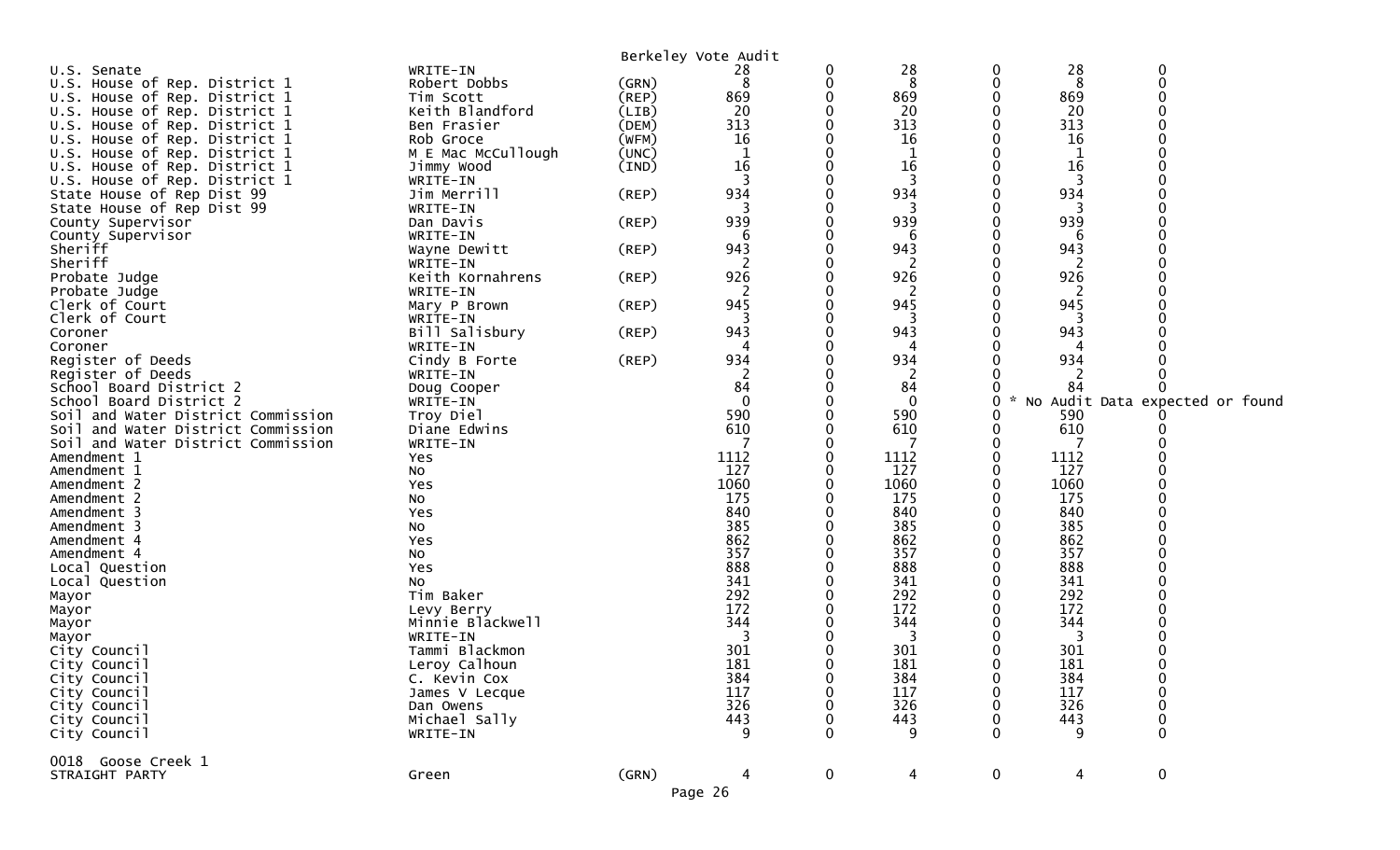|                                    |                            |             | Berkeley Vote Audit |          |              |             |            |                                 |
|------------------------------------|----------------------------|-------------|---------------------|----------|--------------|-------------|------------|---------------------------------|
| U.S. Senate                        | WRITE-IN                   |             | 28                  | 0        | 28           | 0           | 28         | 0                               |
| U.S. House of Rep. District 1      | Robert Dobbs               | (GRN)       | 8                   | 0        | 8            | 0           | 8          | $\Omega$                        |
| U.S. House of Rep. District 1      | Tim Scott                  | (REP)       | 869                 | 0        | 869          | 0           | 869        |                                 |
| U.S. House of Rep. District 1      | Keith Blandford            | (LIB)       | 20                  | 0        | 20           | 0           | 20         |                                 |
| U.S. House of Rep. District 1      | Ben Frasier                | (DEM)       | 313                 |          | 313          |             | 313        |                                 |
| U.S. House of Rep. District 1      | Rob Groce                  | (WFM)       | 16                  |          | 16           |             | 16         |                                 |
| U.S. House of Rep. District 1      | M E Mac McCullough         | (UNC)       | 1                   |          | 1            |             | 1          |                                 |
| U.S. House of Rep. District 1      | Jimmy Wood                 | (IND)       | 16                  |          | 16           |             | 16         |                                 |
| U.S. House of Rep. District 1      | WRITE-IN                   |             |                     |          | 3            | 0           | 3          |                                 |
| State House of Rep Dist 99         | Jim Merrill                | (REP)       | 934                 |          | 934          | 0           | 934        |                                 |
| State House of Rep Dist 99         | WRITE-IN                   |             |                     |          |              |             | 3          |                                 |
| County Supervisor                  | Dan Davis                  | $($ REP $)$ | 939                 |          | 939          |             | 939        |                                 |
| County Supervisor                  | WRITE-IN                   |             | 6                   |          | 6            |             | 6          |                                 |
| Sheriff                            | Wayne Dewitt               | $($ REP $)$ | 943                 |          | 943          |             | 943        |                                 |
| Sheriff                            | WRITE-IN                   |             | 2                   | 0        | 2            | 0           | 2          |                                 |
| Probate Judge                      | Keith Kornahrens           | (REP)       | 926                 |          | 926          |             | 926        |                                 |
| Probate Judge                      | WRITE-IN                   |             |                     | O        | 2            |             | -2         |                                 |
| Clerk of Court                     | Mary P Brown               | $($ REP $)$ | 945<br>3            |          | 945          |             | 945        |                                 |
| Clerk of Court                     | WRITE-IN                   | $($ REP $)$ | 943                 |          | 3<br>943     | 0           | 3<br>943   |                                 |
| Coroner<br>Coroner                 | Bill Salisbury<br>WRITE-IN |             |                     |          | 4            |             |            |                                 |
| Register of Deeds                  | Cindy B Forte              | (REP)       | 934                 |          | 934          |             | 934        |                                 |
| Register of Deeds                  | WRITE-IN                   |             |                     |          | 2            |             |            |                                 |
| School Board District 2            | Doug Cooper                |             | 84                  |          | 84           |             | 84         |                                 |
| School Board District 2            | WRITE-IN                   |             | $\mathbf{0}$        |          | $\mathbf{0}$ | 0           |            | No Audit Data expected or found |
| Soil and Water District Commission | Troy Diel                  |             | 590                 |          | 590          |             | 590        |                                 |
| Soil and Water District Commission | Diane Edwins               |             | 610                 |          | 610          |             | 610        |                                 |
| Soil and Water District Commission | WRITE-IN                   |             |                     |          | 7            |             |            |                                 |
| Amendment 1                        | Yes                        |             | 1112                |          | 1112         |             | 1112       |                                 |
| Amendment 1                        | NO.                        |             | 127                 |          | 127          | 0           | 127        |                                 |
| Amendment 2                        | Yes                        |             | 1060                | 0        | 1060         | 0           | 1060       |                                 |
| Amendment 2                        | No                         |             | 175                 |          | 175          |             | 175        |                                 |
| Amendment 3                        | Yes                        |             | 840                 |          | 840          |             | 840        |                                 |
| Amendment 3                        | <b>NO</b>                  |             | 385                 |          | 385          |             | 385        |                                 |
| Amendment 4                        | Yes                        |             | 862                 |          | 862          |             | 862        |                                 |
| Amendment 4                        | NO.                        |             | 357                 |          | 357          |             | 357        |                                 |
| Local Question                     | Yes                        |             | 888                 |          | 888          |             | 888        |                                 |
| Local Question                     | No                         |             | 341                 |          | 341          |             | 341        |                                 |
| Mayor                              | Tim Baker                  |             | 292                 |          | 292          |             | 292        |                                 |
| Mayor                              | Levy Berry                 |             | 172                 |          | 172          |             | 172        |                                 |
| Mayor                              | Minnie Blackwell           |             | 344                 |          | 344          |             | 344        |                                 |
| Mayor                              | WRITE-IN                   |             | 3                   |          | 3            |             | 3          |                                 |
| City Council                       | Tammi Blackmon             |             | 301                 |          | 301          | ∩           | 301        |                                 |
| City Council                       | Leroy Calhoun              |             | 181                 |          | 181          |             | 181        |                                 |
| City Council                       | C. Kevin Cox               |             | 384<br>117          | 0        | 384          | $\mathbf 0$ | 384        | 0                               |
| City Council<br>City Council       | James V Lecque             |             | 326                 |          | 117<br>326   |             | 117<br>326 |                                 |
| City Council                       | Dan Owens<br>Michael Sally |             | 443                 |          | 443          |             | 443        | 0                               |
| City Council                       | WRITE-IN                   |             | 9                   |          | 9            |             | -9         | $\Omega$                        |
|                                    |                            |             |                     |          |              |             |            |                                 |
| 0018 Goose Creek 1                 |                            |             |                     |          |              |             |            |                                 |
| STRAIGHT PARTY                     | Green                      | (GRN)       |                     | $\bf{0}$ | 4            | $\bf{0}$    | 4          | $\boldsymbol{0}$                |
|                                    |                            |             | Page 26             |          |              |             |            |                                 |
|                                    |                            |             |                     |          |              |             |            |                                 |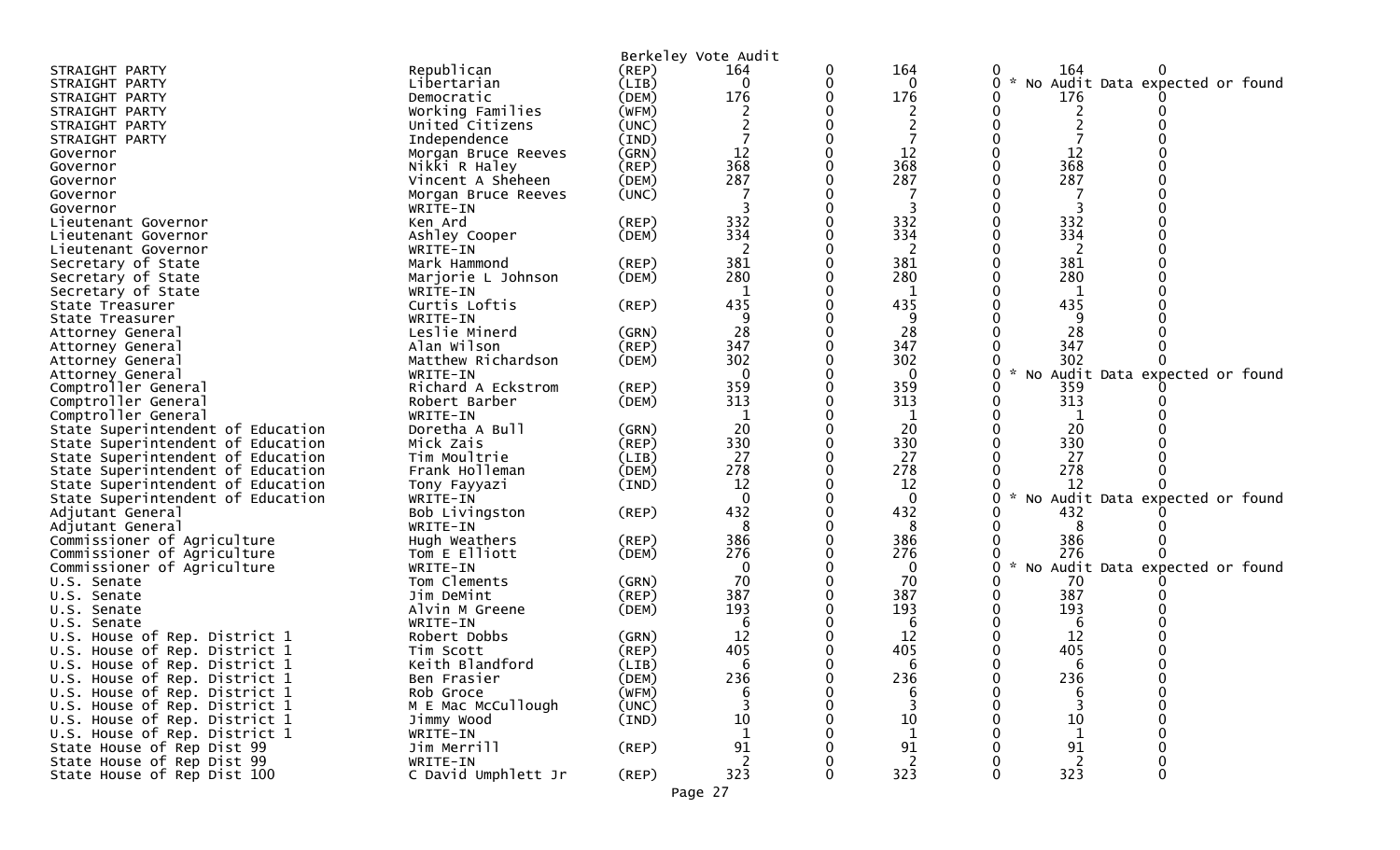|                                   |                     |             | Berkeley Vote Audit |   |                |                |                                 |
|-----------------------------------|---------------------|-------------|---------------------|---|----------------|----------------|---------------------------------|
| STRAIGHT PARTY                    | Republican          | (REP)       | 164                 | 0 | 164            | 164            |                                 |
| STRAIGHT PARTY                    | Libertarian         | (LIB)       | 0                   | 0 | 0              |                | No Audit Data expected or found |
| STRAIGHT PARTY                    | Democratic          | (DEM)       | 176                 |   | 176            | 176            |                                 |
| STRAIGHT PARTY                    | Working Families    | (WFM)       |                     |   |                |                |                                 |
| STRAIGHT PARTY                    | United Citizens     | (UNC)       |                     |   |                |                |                                 |
| STRAIGHT PARTY                    | Independence        | (IND)       |                     |   |                |                |                                 |
| Governor                          | Morgan Bruce Reeves | (GRN)       | 12                  |   | 12             | 12             |                                 |
| Governor                          | Nikki R Haley       | (REF)       | 368                 |   | 368            | 368            |                                 |
| Governor                          | Vincent A Sheheen   | (DEM)       | 287                 |   | 287            | 287            |                                 |
| Governor                          | Morgan Bruce Reeves | (UNC)       |                     |   |                |                |                                 |
| Governor                          | WRITE-IN            |             |                     |   |                |                |                                 |
| Lieutenant Governor               | Ken Ard             | $($ REP $)$ | 332                 |   | 332            | 332            |                                 |
| Lieutenant Governor               | Ashley Cooper       | (DEM)       | 334                 |   | 334            | 334            |                                 |
| Lieutenant Governor               | WRITE-IN            |             |                     |   | 2              | 2              |                                 |
| Secretary of State                | Mark Hammond        | (REP)       | 381                 |   | 381            | 381            |                                 |
| Secretary of State                | Marjorie L Johnson  | (DEM)       | 280                 |   | 280            | 280            |                                 |
| Secretary of State                | WRITE-IN            |             |                     |   |                |                |                                 |
| State Treasurer                   | Curtis Loftis       | (REP)       | 435                 |   | 435            | 435            |                                 |
| State Treasurer                   | WRITE-IN            |             | 9                   |   | 9              | 9              |                                 |
| Attorney General                  | Leslie Minerd       | (GRN)       | 28                  |   | 28             | 28             |                                 |
| Attorney General                  | Alan Wilson         | (REP)       | 347                 |   | 347            | 347            |                                 |
| Attorney General                  | Matthew Richardson  | (DEM)       | 302                 |   | 302            | 302            |                                 |
| Attorney General                  | WRITE-IN            |             | $\Omega$            |   | ∩              | $\sim$         | No Audit Data expected or found |
| Comptroller General               | Richard A Eckstrom  | (REP)       | 359                 |   | 359            | 359            |                                 |
| Comptroller General               | Robert Barber       | (DEM)       | 313                 |   | 313            | 313            |                                 |
| Comptroller General               | WRITE-IN            |             |                     |   |                |                |                                 |
| State Superintendent of Education | Doretha A Bull      | (GRN)       | 20                  |   | 20             | 20             |                                 |
| State Superintendent of Education | Mick Zais           | $($ REP $)$ | 330                 |   | 330            | 330            |                                 |
| State Superintendent of Education | Tim Moultrie        | (LIB)       | 27                  |   | 27             | 27             |                                 |
| State Superintendent of Education | Frank Holleman      | (DEM)       | 278                 |   | 278            | 278            |                                 |
| State Superintendent of Education | Tony Fayyazi        | (IND)       | 12                  |   | 12             | 12             |                                 |
| State Superintendent of Education | WRITE-IN            |             | $\Omega$            |   | $\Omega$       | $\mathcal{H}$  | No Audit Data expected or found |
| Adjutant General                  | Bob Livingston      | (REP)       | 432                 |   | 432            | 432            |                                 |
| Adjutant General                  | WRITE-IN            |             |                     |   | 8              |                |                                 |
| Commissioner of Agriculture       | Hugh Weathers       | (REP)       | 386                 |   | 386            | 386            |                                 |
| Commissioner of Agriculture       | Tom E Elliott       | (DEM)       | 276                 |   | 276            | 276            |                                 |
| Commissioner of Agriculture       | WRITE-IN            |             | $\mathbf{0}$        |   | $\mathbf{0}$   | $\mathcal{H}$  | No Audit Data expected or found |
| U.S. Senate                       | Tom Clements        | (GRN)       | 70                  |   | 70             | 70             |                                 |
| U.S. Senate                       | Jim DeMint          | (REP)       | 387                 |   | 387            | 387            |                                 |
| U.S. Senate                       | Alvin M Greene      | (DEM)       | 193                 |   | 193            | 193            |                                 |
| U.S. Senate                       | WRITE-IN            |             |                     |   | 6              | 6              |                                 |
| U.S. House of Rep. District 1     | Robert Dobbs        | (GRN)       | 12                  |   | 12             | 12             |                                 |
| U.S. House of Rep. District 1     | Tim Scott           | (REP)       | 405                 |   | 405            | 405            |                                 |
| U.S. House of Rep. District 1     | Keith Blandford     | (LIB)       | 6                   |   |                |                |                                 |
| U.S. House of Rep. District 1     | Ben Frasier         | (DEM)       | 236                 | 0 | 236            | 236            |                                 |
| U.S. House of Rep. District 1     | Rob Groce           | (WFM)       |                     |   | 6              | 6              |                                 |
| U.S. House of Rep. District 1     | M E Mac McCullough  | (UNC)       |                     |   |                |                |                                 |
| U.S. House of Rep. District 1     | Jimmy Wood          | (IND)       | 10                  |   | 10             | $10\,$         |                                 |
| U.S. House of Rep. District 1     | WRITE-IN            |             |                     |   | $\mathbf 1$    | $\mathbf 1$    |                                 |
| State House of Rep Dist 99        | Jim Merrill         | $($ REP $)$ | 91                  |   | 91             | 91             |                                 |
| State House of Rep Dist 99        | WRITE-IN            |             | 2                   |   | $\overline{2}$ | $\overline{2}$ |                                 |
| State House of Rep Dist 100       | C David Umphlett Jr | (REP)       | 323                 | 0 | 323            | 323            | $\Omega$                        |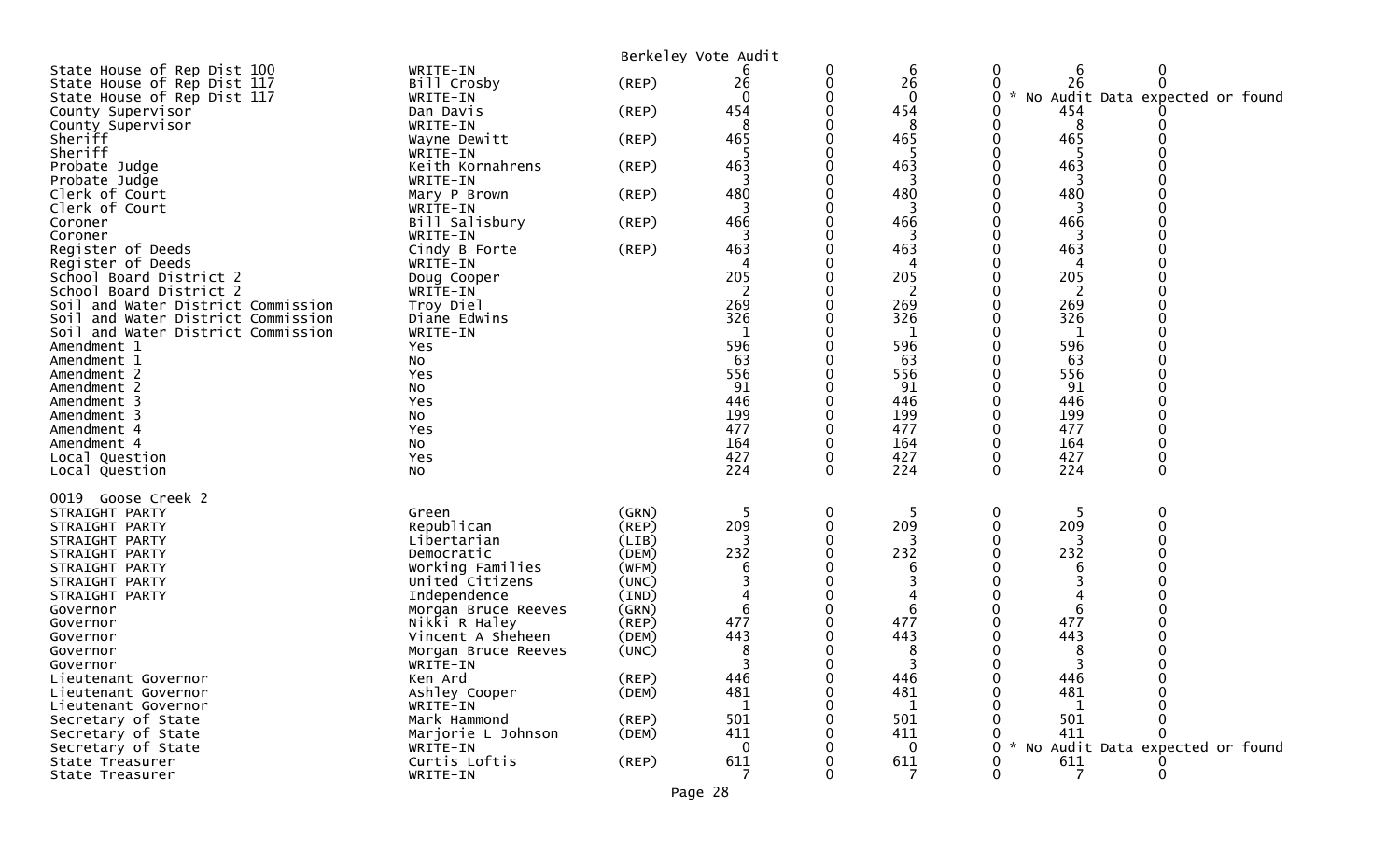|                                        |                           |                | Berkeley Vote Audit |          |              |          |                     |                                 |
|----------------------------------------|---------------------------|----------------|---------------------|----------|--------------|----------|---------------------|---------------------------------|
| State House of Rep Dist 100            | WRITE-IN                  |                |                     | 0        | 6            | 0        | 6                   | 0                               |
| State House of Rep Dist 117            | Bill Crosby               | (REP)          | 26                  | 0        | 26           |          | 26                  | $\Omega$                        |
| State House of Rep Dist 117            | WRITE-IN                  |                | $\Omega$            | 0        | $\mathbf 0$  | 0        | $\mathcal{H}$<br>NO | Audit Data expected or found    |
| County Supervisor<br>County Supervisor | Dan Davis                 | (REP)          | 454<br>8            |          | 454<br>8     |          | 454<br>8            |                                 |
| Sheriff                                | WRITE-IN<br>Wayne Dewitt  | $($ REP $)$    | 465                 |          | 465          |          | 465                 |                                 |
| Sheriff                                | WRITE-IN                  |                | 5                   |          |              |          | 5                   |                                 |
| Probate Judge                          | Keith Kornahrens          | $($ REP $)$    | 463                 |          | 463          |          | 463                 |                                 |
| Probate Judge                          | WRITE-IN                  |                |                     |          | 3            |          |                     |                                 |
| Clerk of Court                         | Mary P Brown              | (REP)          | 480                 |          | 480          |          | 480                 |                                 |
| Clerk of Court                         | WRITE-IN                  |                |                     |          |              |          |                     |                                 |
| Coroner                                | Bill Salisbury            | $($ REP $)$    | 466                 |          | 466          |          | 466                 |                                 |
| Coroner                                | WRITE-IN                  |                | 3                   |          | 3            |          | 3                   |                                 |
| Register of Deeds<br>Register of Deeds | Cindy B Forte<br>WRITE-IN | (REP)          | 463<br>4            |          | 463<br>4     |          | 463                 |                                 |
| School Board District 2                | Doug Cooper               |                | 205                 |          | 205          |          | 205                 |                                 |
| School Board District 2                | WRITE-IN                  |                | 2                   |          | 2            |          | 2                   |                                 |
| Soil and Water District Commission     | Troy Diel                 |                | 269                 |          | 269          |          | 269                 |                                 |
| and Water District Commission<br>Soil  | Diane Edwins              |                | 326                 |          | 326          |          | 326                 |                                 |
| Soil and Water District Commission     | WRITE-IN                  |                | 1                   |          | $\mathbf{1}$ |          | 1                   |                                 |
| Amendment 1                            | Yes                       |                | 596                 |          | 596          |          | 596                 |                                 |
| Amendment 1                            | No                        |                | 63                  |          | 63           |          | 63                  |                                 |
| Amendment 2                            | Yes                       |                | 556                 |          | 556          |          | 556                 |                                 |
| Amendment 2                            | No                        |                | 91                  |          | 91           |          | 91                  |                                 |
| Amendment 3<br>Amendment 3             | Yes                       |                | 446<br>199          |          | 446<br>199   |          | 446<br>199          |                                 |
| Amendment 4                            | No<br>Yes                 |                | 477                 |          | 477          |          | 477                 |                                 |
| Amendment 4                            | No                        |                | 164                 | 0        | 164          |          | 164                 |                                 |
| Local Question                         | Yes                       |                | 427                 |          | 427          |          | 427                 |                                 |
| Local Question                         | No                        |                | 224                 | $\Omega$ | 224          | $\Omega$ | 224                 | $\Omega$                        |
|                                        |                           |                |                     |          |              |          |                     |                                 |
| 0019 Goose Creek 2                     |                           |                | .5                  |          | 5            |          |                     |                                 |
| STRAIGHT PARTY<br>STRAIGHT PARTY       | Green<br>Republican       | (GRN)<br>(REP) | 209                 | 0<br>0   | 209          | 0        | 209                 | 0                               |
| STRAIGHT PARTY                         | Libertarian               | (LIB)          |                     |          |              |          |                     |                                 |
| STRAIGHT PARTY                         | Democratic                | (DEM)          | 232                 |          | 232          |          | 232                 |                                 |
| STRAIGHT PARTY                         | Working Families          | (WFM)          | 6                   |          | 6            |          | 6                   |                                 |
| STRAIGHT PARTY                         | United Citizens           | (UNC)          |                     |          |              |          |                     |                                 |
| STRAIGHT PARTY                         | Independence              | (IND)          | 4                   |          |              |          |                     |                                 |
| Governor                               | Morgan Bruce Reeves       | (GRN)          | 6                   |          | 6            |          | 6                   |                                 |
| Governor                               | Nikki R Haley             | (REP)          | 477                 |          | 477          |          | 477                 |                                 |
| Governor                               | Vincent A Sheheen         | (DEM)          | 443                 |          | 443          |          | 443                 |                                 |
| Governor                               | Morgan Bruce Reeves       | (UNC)          | 8                   | $\Omega$ | 8            |          | 8                   |                                 |
| Governor<br>Lieutenant Governor        | WRITE-IN<br>Ken Ard       | (REP)          | 446                 |          | 446          |          | 446                 |                                 |
| Lieutenant Governor                    | Ashley Cooper             | (DEM)          | 481                 |          | 481          |          | 481                 |                                 |
| Lieutenant Governor                    | WRITE-IN                  |                | $\mathbf{1}$        |          | 1            |          | 1                   |                                 |
| Secretary of State                     | Mark Hammond              | (REP)          | 501                 |          | 501          |          | 501                 |                                 |
| Secretary of State                     | Marjorie L Johnson        | (DEM)          | 411                 |          | 411          |          | 411                 |                                 |
| Secretary of State                     | WRITE-IN                  |                | $\mathbf{0}$        |          | 0            |          |                     | No Audit Data expected or found |
| State Treasurer                        | Curtis Loftis             | $($ REP $)$    | 611                 |          | 611          |          | 611                 |                                 |
| State Treasurer                        | WRITE-IN                  |                |                     |          |              |          | 7                   |                                 |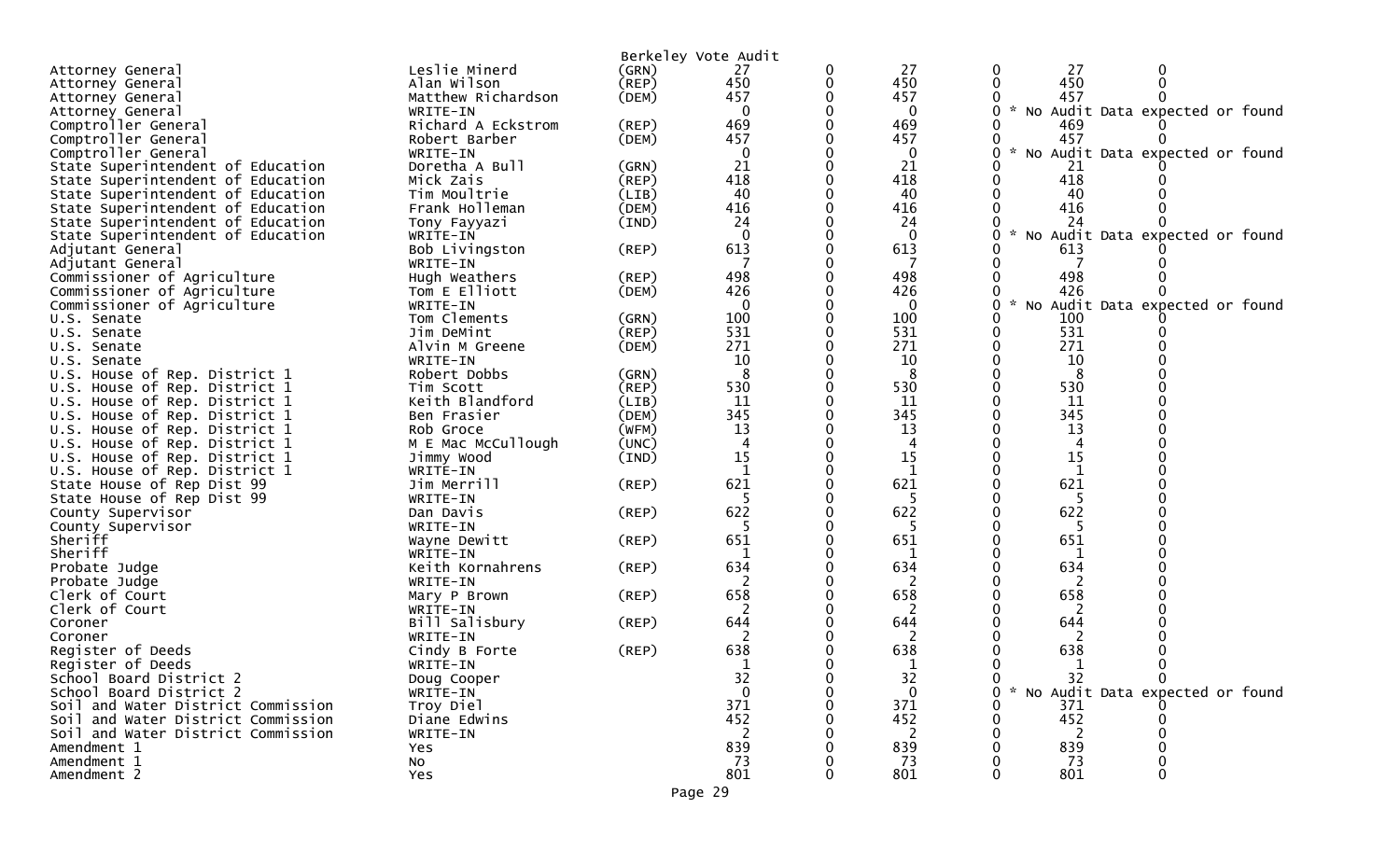|                                    |                       |             | Berkeley Vote Audit |   |              |                                                     |
|------------------------------------|-----------------------|-------------|---------------------|---|--------------|-----------------------------------------------------|
| Attorney General                   | Leslie Minerd         | (GRN)       | 27                  | 0 | 27           | 27                                                  |
| Attorney General                   | Alan Wilson           | $($ REP $)$ | 450                 | 0 | 450          | 450                                                 |
| Attorney General                   | Matthew Richardson    | (DEM)       | 457                 |   | 457          | 457                                                 |
| Attorney General                   | WRITE-IN              |             | $\mathbf 0$         |   | 0            | * No Audit Data expected or found                   |
| Comptroller General                | Richard A Eckstrom    | (REP)       | 469                 |   | 469          | 469                                                 |
| Comptroller General                | Robert Barber         | (DEM)       | 457                 |   | 457          | 457                                                 |
| Comptroller General                | WRITE-IN              |             | $\mathbf 0$         |   | 0            | * No Audit Data expected or found                   |
| State Superintendent of Education  | Doretha A Bull        | (GRN)       | 21                  |   | 21           | 21                                                  |
| State Superintendent of Education  | Mick Zais             | $($ REP $)$ | 418                 |   | 418          | 418                                                 |
| State Superintendent of Education  | Tim Moultrie          | (LIB)       | 40                  |   | 40           | 40                                                  |
| State Superintendent of Education  | Frank Holleman        | (DEM)       | 416                 |   | 416          | 416                                                 |
| State Superintendent of Education  | Tony Fayyazi          | (IND)       | 24                  |   | 24           | 24                                                  |
| State Superintendent of Education  | WRITE-IN              |             | $\mathbf{0}$        |   | $\mathbf{0}$ | No<br>Audit Data expected or found                  |
| Adjutant General                   | Bob Livingston        | (REP)       | 613                 |   | 613          | 613                                                 |
| Adjutant General                   | WRITE-IN              |             |                     |   |              |                                                     |
| Commissioner of Agriculture        | Hugh Weathers         | $($ REP $)$ | 498                 |   | 498          | 498                                                 |
| Commissioner of Agriculture        | Tom E Elliott         | (DEM)       | 426                 |   | 426          | 426                                                 |
| Commissioner of Agriculture        | WRITE-IN              |             | $\mathbf{0}$        |   | $\mathbf{0}$ | $\mathcal{R}$<br>Audit Data expected or found<br>NO |
| U.S. Senate                        | Tom Clements          | (GRN)       | 100                 |   | 100          | 100                                                 |
| U.S. Senate                        | Jim DeMint            | (REP)       | 531                 |   | 531          | 531                                                 |
| U.S. Senate                        | Alvin M Greene        | (DEM)       | 271                 |   | 271          | 271                                                 |
| U.S. Senate                        | WRITE-IN              |             | 10                  |   | 10           | 10                                                  |
| U.S. House of Rep. District 1      | Robert Dobbs          | (GRN)       | 8                   |   | 8            |                                                     |
| U.S. House of Rep. District 1      | Tim Scott             | (REP)       | 530                 |   | 530          | 530                                                 |
| U.S. House of Rep. District 1      | Keith Blandford       | (LIB)       | 11                  |   | 11           | 11                                                  |
| U.S. House of Rep. District 1      | Ben Frasier           | (DEM)       | 345                 |   | 345          | 345                                                 |
| U.S. House of Rep. District 1      | Rob Groce             | (WFM)       | 13                  |   | 13           | 13                                                  |
| U.S. House of Rep. District 1      | M E Mac McCullough    | (UNC)       | $\overline{4}$      |   | 4            | 4                                                   |
| U.S. House of Rep. District 1      | Jimmy Wood            | (IND)       | 15                  |   | 15           | 15                                                  |
| U.S. House of Rep. District 1      | WRITE-IN              |             | $\mathbf{1}$        |   | $\mathbf{1}$ | 1                                                   |
| State House of Rep Dist 99         | Jim Merrill           | (REP)       | 621                 |   | 621          | 621                                                 |
| State House of Rep Dist 99         | WRITE-IN<br>Dan Davis | (REP)       | 622                 |   | 622          | 622                                                 |
| County Supervisor                  | WRITE-IN              |             | 5                   |   | 5            | -5                                                  |
| County Supervisor<br>Sheriff       | Wayne Dewitt          | $($ REP $)$ | 651                 |   | 651          | 651                                                 |
| Sheriff                            | WRITE-IN              |             | 1                   |   | 1            | 1                                                   |
| Probate Judge                      | Keith Kornahrens      | (REP)       | 634                 |   | 634          | 634                                                 |
| Probate Judge                      | WRITE-IN              |             |                     |   | 2            | 2                                                   |
| Clerk of Court                     | Mary P Brown          | (REP)       | 658                 |   | 658          | 658                                                 |
| Clerk of Court                     | WRITE-IN              |             |                     |   | 2            |                                                     |
| Coroner                            | Bill Salisbury        | $($ REP $)$ | 644                 |   | 644          | 644                                                 |
| Coroner                            | WRITE-IN              |             | 2                   |   | 2            | 2                                                   |
| Register of Deeds                  | Cindy B Forte         | $($ REP $)$ | 638                 |   | 638          | 638                                                 |
| Register of Deeds                  | WRITE-IN              |             |                     |   |              |                                                     |
| School Board District 2            | Doug Cooper           |             | 32                  |   | 32           | 32<br>$\mathbf{0}$                                  |
| School Board District 2            | WRITE-IN              |             |                     |   | 0            | * No Audit Data expected or found                   |
| Soil and Water District Commission | Troy Diel             |             | 371                 |   | 371          | 371                                                 |
| Soil and Water District Commission | Diane Edwins          |             | 452                 |   | 452          | 452                                                 |
| Soil and Water District Commission | WRITE-IN              |             |                     |   | 2            | <sup>2</sup>                                        |
| Amendment 1                        | Yes                   |             | 839                 |   | 839          | 839                                                 |
| Amendment 1                        | NO                    |             | 73                  |   | 73           | 73                                                  |
| Amendment 2                        | Yes                   |             | 801                 |   | 801          | 801                                                 |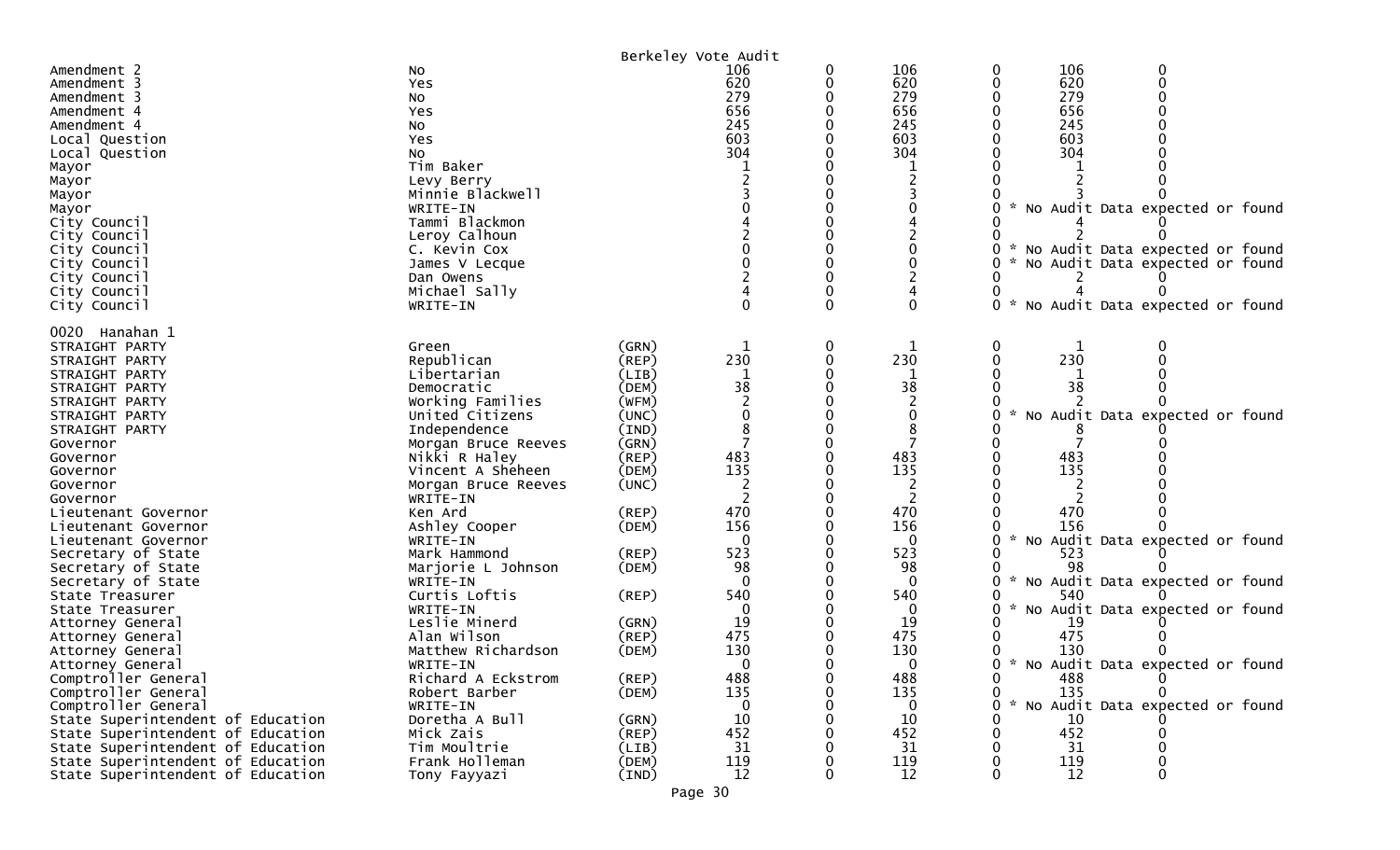|                                                                        |                            |                      | Berkeley Vote Audit |   |              |                                                  |
|------------------------------------------------------------------------|----------------------------|----------------------|---------------------|---|--------------|--------------------------------------------------|
| Amendment 2                                                            | No                         |                      | 106                 | 0 | 106          | 106<br>0<br>0                                    |
| Amendment 3                                                            | Yes                        |                      | 620                 | 0 | 620          | 620<br>0                                         |
| Amendment 3                                                            | No                         |                      | 279                 |   | 279          | 279                                              |
| Amendment 4                                                            | Yes                        |                      | 656                 |   | 656          | 656                                              |
| Amendment 4                                                            | No                         |                      | 245                 |   | 245          | 245                                              |
| Local Question                                                         | Yes                        |                      | 603                 |   | 603          | 603                                              |
| Local Question                                                         | No                         |                      | 304                 |   | 304          | 304                                              |
| Mayor                                                                  | Tim Baker                  |                      |                     |   |              |                                                  |
| Mayor                                                                  | Levy Berry                 |                      |                     |   |              |                                                  |
| Mayor                                                                  | Minnie Blackwell           |                      |                     |   |              |                                                  |
| Mayor                                                                  | WRITE-IN                   |                      |                     |   |              | No Audit Data expected or found                  |
| City Council                                                           | Tammi Blackmon             |                      |                     |   |              |                                                  |
| City Council                                                           | Leroy Calhoun              |                      |                     |   |              |                                                  |
| City Council                                                           | C. Kevin Cox               |                      |                     |   |              | No Audit Data expected or found                  |
| City Council                                                           | James V Lecque             |                      |                     |   |              | No Audit Data expected or found                  |
| City Council                                                           | Dan Owens                  |                      |                     |   |              |                                                  |
| City Council                                                           | Michael Sally              |                      |                     |   |              |                                                  |
| City Council                                                           | WRITE-IN                   |                      |                     |   | 0            | 0<br>No Audit Data expected or found             |
| 0020 Hanahan 1                                                         |                            |                      |                     |   |              |                                                  |
| STRAIGHT PARTY                                                         | Green                      | (GRN)                |                     | 0 |              | 0<br>0                                           |
| STRAIGHT PARTY                                                         | Republican                 | (REP)                | 230                 |   | 230          | 230                                              |
| STRAIGHT PARTY                                                         | Libertarian                | (LIB)                |                     |   |              |                                                  |
| STRAIGHT PARTY                                                         | Democratic                 | (DEM)                | 38                  |   | 38           | 38                                               |
| STRAIGHT PARTY                                                         | Working Families           | (WFM)                |                     |   |              |                                                  |
| STRAIGHT PARTY                                                         | United Citizens            | (UNC)                |                     |   | $\mathbf{0}$ | No Audit Data expected or found                  |
| STRAIGHT PARTY                                                         | Independence               | (IND)                |                     |   |              |                                                  |
| Governor                                                               | Morgan Bruce Reeves        | (GRN)                |                     |   |              |                                                  |
| Governor                                                               | Nikki R Haley              | (REP)                | 483                 |   | 483          | 483                                              |
| Governor                                                               | Vincent A Sheheen          | (DEM)                | 135                 |   | 135          | 135                                              |
| Governor                                                               | Morgan Bruce Reeves        | (UNC)                |                     |   | 2            |                                                  |
| Governor                                                               | WRITE-IN                   |                      |                     |   |              |                                                  |
| Lieutenant Governor                                                    | Ken Ard                    | (REP)                | 470                 |   | 470          | 470                                              |
| Lieutenant Governor                                                    | Ashley Cooper              | (DEM)                | 156                 |   | 156          | 156                                              |
| Lieutenant Governor                                                    | WRITE-IN                   |                      | $\Omega$            |   | 0            | $\mathcal{H}$<br>No Audit Data expected or found |
| Secretary of State                                                     | Mark Hammond               | (REP)                | 523                 |   | 523          | 523                                              |
| Secretary of State                                                     | Marjorie L Johnson         | (DEM)                | 98                  |   | 98           | 98                                               |
| Secretary of State                                                     | WRITE-IN                   |                      | 0                   |   | 0            | No Audit Data expected or found                  |
| State Treasurer                                                        | Curtis Loftis              | (REP)                | 540                 |   | 540          | 540                                              |
| State Treasurer                                                        | WRITE-IN                   |                      | 0                   |   | 0            | No Audit Data expected or found                  |
| Attorney General                                                       | Leslie Minerd              | (GRN)                | 19                  |   | 19           | 19                                               |
| Attorney General                                                       | Alan Wilson                | (REP)                | 475                 |   | 475          | 475                                              |
| Attorney General                                                       | Matthew Richardson         | (DEM)                | 130                 |   | 130          | 130                                              |
| Attorney General                                                       | WRITE-IN                   |                      | 0                   | ŋ | $\Omega$     | 0 * No Audit Data expected or found              |
| Comptroller General                                                    | Richard A Eckstrom         | (REP)                | 488                 | 0 | 488          | 0<br>488                                         |
| Comptroller General                                                    | Robert Barber              | (DEM)                | 135                 |   | 135          | 135<br>0                                         |
| Comptroller General                                                    | WRITE-IN<br>Doretha A Bull |                      | $\Omega$            |   | $\bf{0}$     | No Audit Data expected or found                  |
| State Superintendent of Education<br>State Superintendent of Education | Mick Zais                  | (GRN)<br>$($ REP $)$ | 10<br>452           |   | 10<br>452    | 10<br>452                                        |
| State Superintendent of Education                                      | Tim Moultrie               | (LIB)                | 31                  |   | 31           | 31                                               |
| State Superintendent of Education                                      | Frank Holleman             | (DEM)                | 119                 |   | 119          | 119                                              |
| State Superintendent of Education                                      | Tony Fayyazi               | (IND)                | 12                  |   | 12           | $12 \overline{ }$                                |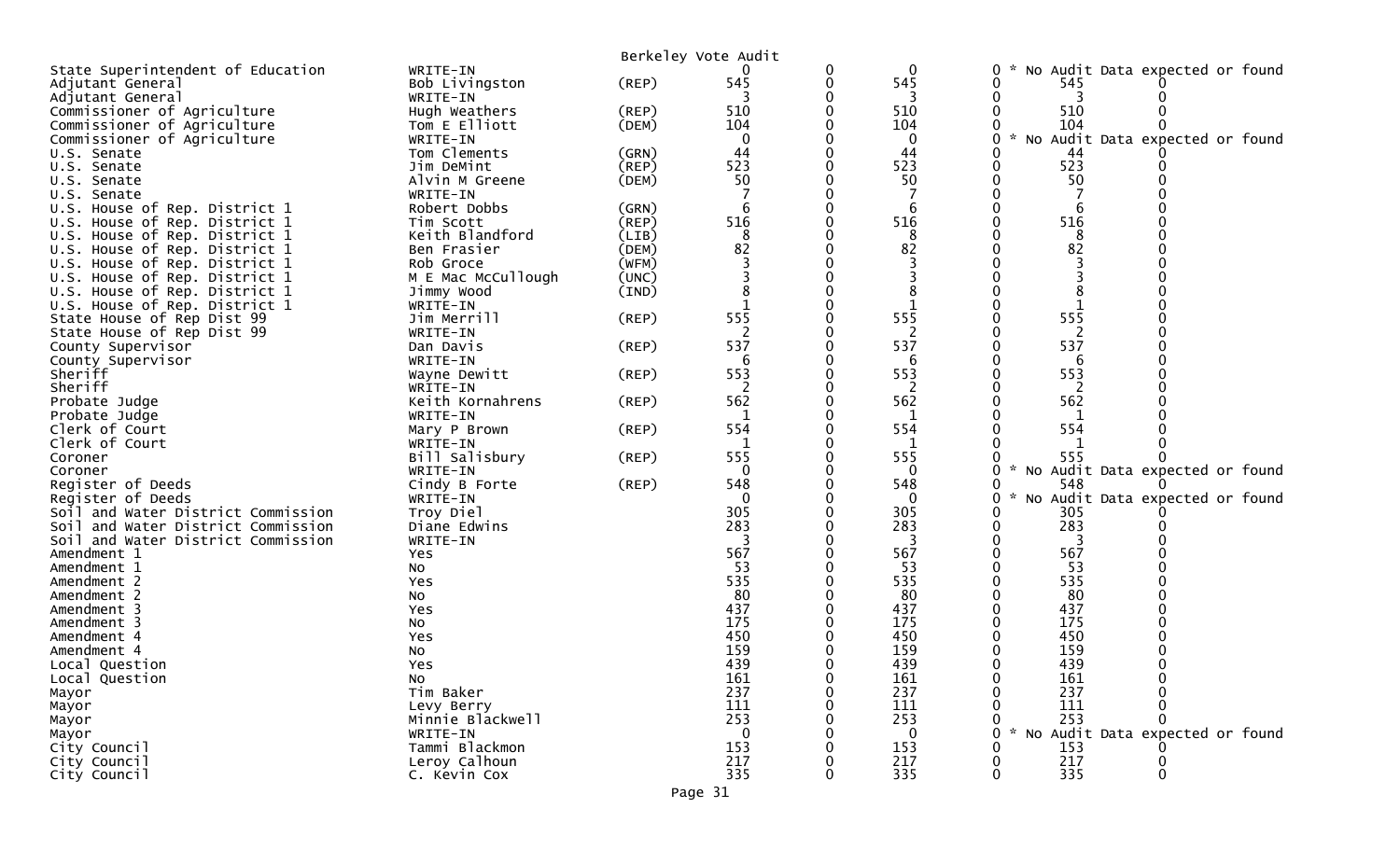|                                    |                    |             | Berkeley Vote Audit |          |              |                                                       |
|------------------------------------|--------------------|-------------|---------------------|----------|--------------|-------------------------------------------------------|
| State Superintendent of Education  | WRITE-IN           |             |                     | 0        | 0            | No Audit Data expected or found<br>0                  |
| Adjutant General                   | Bob Livingston     | $($ REP $)$ | 545                 | 0        | 545          | 545<br>0                                              |
| Adjutant General                   | WRITE-IN           |             |                     |          | 3            |                                                       |
| Commissioner of Agriculture        | Hugh Weathers      | (REP)       | 510                 |          | 510          | 510                                                   |
| Commissioner of Agriculture        | Tom E Elliott      | (DEM)       | 104                 |          | 104          | 104                                                   |
| Commissioner of Agriculture        | WRITE-IN           |             | $\mathbf 0$         |          | $\mathbf 0$  | $\sim$<br>No Audit Data expected or found<br>0        |
| U.S. Senate                        | Tom Clements       | (GRN)       | 44                  |          | 44           | 44                                                    |
| U.S. Senate                        | Jim DeMint         | $($ REP $)$ | 523                 | ∩        | 523          | 523<br>0                                              |
| U.S. Senate                        | Alvin M Greene     | (DEM)       | 50                  |          | 50           | 50<br>0                                               |
| U.S. Senate                        | WRITE-IN           |             |                     |          |              |                                                       |
| U.S. House of Rep. District 1      | Robert Dobbs       | (GRN)       | 6                   | $\Omega$ | 6            | 0<br>6                                                |
| U.S. House of Rep. District 1      | Tim Scott          | (REP)       | 516                 |          | 516          | 516                                                   |
| House of Rep. District 1<br>U.S.   | Keith Blandford    | (LIB)       | 8                   |          | 8            | 8                                                     |
| U.S. House of Rep. District 1      | Ben Frasier        | (DEM)       | 82                  |          | 82           | 82                                                    |
| U.S. House of Rep. District 1      | Rob Groce          | (WFM)       |                     |          |              |                                                       |
| U.S. House of Rep. District 1      | M E Mac McCullough | (UNC)       |                     |          |              |                                                       |
| U.S. House of Rep. District 1      | Jimmy Wood         | (IND)       |                     |          |              |                                                       |
| U.S. House of Rep. District 1      | WRITE-IN           |             |                     |          | $\mathbf 1$  | 1                                                     |
| State House of Rep Dist 99         | Jim Merrill        | $($ REP $)$ | 555                 |          | 555          | 555                                                   |
| State House of Rep Dist 99         | WRITE-IN           |             |                     |          | 2            | 2                                                     |
| County Supervisor                  | Dan Davis          | (REP)       | 537                 |          | 537          | 537                                                   |
| County Supervisor                  | WRITE-IN           |             | 6                   |          | 6            | 6                                                     |
| Sheriff                            | Wayne Dewitt       | (REP)       | 553                 |          | 553          | 553                                                   |
| Sheriff                            | WRITE-IN           |             | $\overline{2}$      |          | 2            | 2                                                     |
| Probate Judge                      | Keith Kornahrens   | $($ REP $)$ | 562                 |          | 562          | 562                                                   |
| Probate Judge                      | WRITE-IN           |             |                     |          | 1            | 1                                                     |
| Clerk of Court                     | Mary P Brown       | (REP)       | 554                 |          | 554          | 554                                                   |
| Clerk of Court                     | WRITE-IN           |             |                     |          | 1            | 1                                                     |
| Coroner                            | Bill Salisbury     | $($ REP $)$ | 555                 |          | 555          | 555                                                   |
| Coroner                            | WRITE-IN           |             | $\mathbf{0}$        |          | $\mathbf{0}$ | * No Audit Data expected or found<br>0                |
| Register of Deeds                  | Cindy B Forte      | (REP)       | 548                 |          | 548          | 548<br>0                                              |
| Register of Deeds                  | WRITE-IN           |             | $\Omega$            |          | $\mathbf 0$  | $\mathcal{H}$<br>No Audit Data expected or found<br>0 |
| Soil and Water District Commission | Troy Diel          |             | 305                 |          | 305          | 305<br>0                                              |
| Soil and Water District Commission | Diane Edwins       |             | 283                 |          | 283          | 283<br>0                                              |
| Soil and Water District Commission | WRITE-IN           |             |                     |          | 3            |                                                       |
| Amendment 1                        | Yes                |             | 567                 |          | 567          | 567<br>0                                              |
| Amendment 1                        | NO.                |             | 53                  |          | 53           | 53                                                    |
| Amendment 2                        | Yes                |             | 535                 |          | 535          | 535                                                   |
| Amendment 2                        | No                 |             | 80                  |          | 80           | 80                                                    |
| Amendment 3                        | Yes                |             | 437                 |          | 437          | 437                                                   |
| Amendment 3                        | No                 |             | 175                 |          | 175          | 175                                                   |
| Amendment 4                        | Yes                |             | 450                 |          | 450          | 450                                                   |
| Amendment 4                        | No                 |             | 159                 |          | 159          | 159                                                   |
| Local Question                     | Yes                |             | 439                 |          | 439          | 439                                                   |
| Local Question                     | NO                 |             | 161                 |          | 161          | 161                                                   |
| Mayor                              | Tim Baker          |             | 237                 |          | 237          | 237                                                   |
| Mayor                              | Levy Berry         |             | 111                 |          | 111          | 111                                                   |
| Mayor                              | Minnie Blackwell   |             | 253                 |          | 253          | 253                                                   |
| Mayor                              | WRITE-IN           |             | 0                   |          | $\mathbf{0}$ | No Audit Data expected or found<br>$\star$<br>0       |
| City Council                       | Tammi Blackmon     |             | 153                 |          | 153          | 153                                                   |
| City Council                       | Leroy Calhoun      |             | 217                 |          | 217          | 217                                                   |
| City Council                       | C. Kevin Cox       |             | 335                 | 0        | 335          | 335<br>$\mathbf{0}$<br>0                              |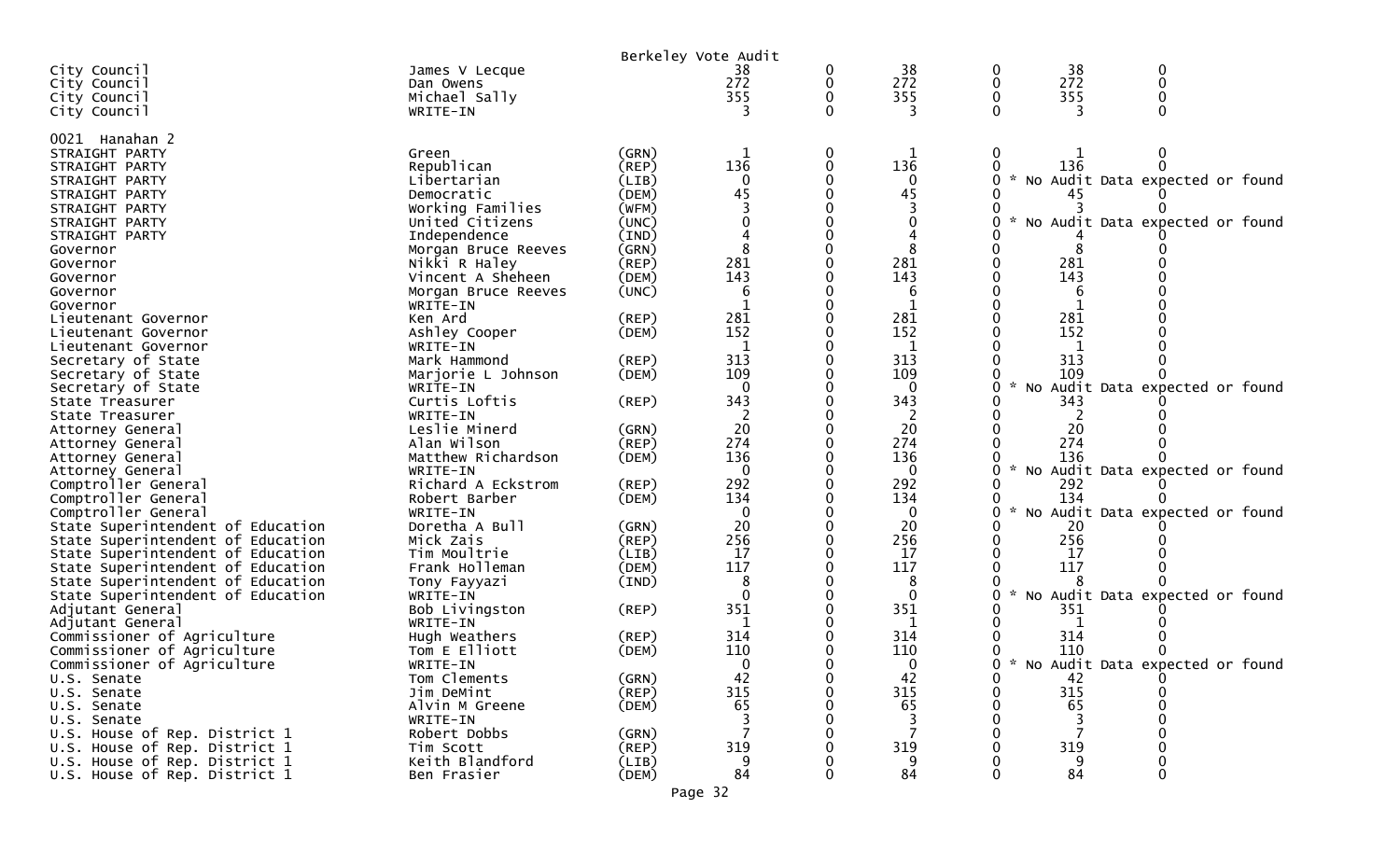|                                   |                     |                      | Berkeley Vote Audit |   |          |                    |     |                                   |  |
|-----------------------------------|---------------------|----------------------|---------------------|---|----------|--------------------|-----|-----------------------------------|--|
| City Council                      | James V Lecque      |                      | 38                  | 0 | 38       | $\mathbf 0$        | 38  |                                   |  |
| City Council                      | Dan Owens           |                      | 272                 | 0 | 272      | 0                  | 272 |                                   |  |
| City Council                      | Michael Sally       |                      | 355                 |   | 355      |                    | 355 |                                   |  |
| City Council                      | WRITE-IN            |                      |                     |   |          |                    |     |                                   |  |
|                                   |                     |                      |                     |   |          |                    |     |                                   |  |
| 0021 Hanahan 2                    |                     |                      |                     |   |          |                    |     |                                   |  |
| STRAIGHT PARTY                    | Green               | (GRN)                |                     | 0 |          | 0                  |     |                                   |  |
| STRAIGHT PARTY                    | Republican          | $($ REP $)$          | 136                 |   | 136      |                    | 136 |                                   |  |
| STRAIGHT PARTY                    | Libertarian         | (LIB)                |                     |   | 0        |                    |     | * No Audit Data expected or found |  |
| STRAIGHT PARTY                    | Democratic          | (DEM)                | 45                  |   | 45       |                    |     |                                   |  |
| STRAIGHT PARTY                    | Working Families    | (WFM)                |                     |   |          |                    |     |                                   |  |
| STRAIGHT PARTY                    | United Citizens     | (UNC)                |                     |   |          |                    |     | No Audit Data expected or found   |  |
| STRAIGHT PARTY                    | Independence        | (IND)                |                     |   |          |                    |     |                                   |  |
| Governor                          | Morgan Bruce Reeves | (GRN)                |                     |   |          |                    |     |                                   |  |
| Governor                          | Nikki R Haley       | (REP)                | 281                 |   | 281      |                    | 281 |                                   |  |
| Governor                          | Vincent A Sheheen   | (DEM)                | 143                 |   | 143      |                    | 143 |                                   |  |
| Governor                          | Morgan Bruce Reeves | (UNC)                | 6                   |   | 6        |                    | 6   |                                   |  |
| Governor                          | WRITE-IN            |                      |                     |   |          |                    |     |                                   |  |
| Lieutenant Governor               | Ken Ard             | $($ REP $)$          | 281                 |   | 281      |                    | 281 |                                   |  |
| Lieutenant Governor               | Ashley Cooper       | (DEM)                | 152                 |   | 152      |                    | 152 |                                   |  |
| Lieutenant Governor               | WRITE-IN            |                      |                     |   |          |                    |     |                                   |  |
| Secretary of State                | Mark Hammond        | $($ REP $)$          | 313                 |   | 313      |                    | 313 |                                   |  |
| Secretary of State                | Marjorie L Johnson  | (DEM)                | 109                 |   | 109      |                    | 109 |                                   |  |
| Secretary of State                | WRITE-IN            |                      | $\Omega$            |   | 0        | $\mathcal{R}$      |     | No Audit Data expected or found   |  |
| State Treasurer                   | Curtis Loftis       | $($ REP $)$          | 343                 |   | 343      |                    | 343 |                                   |  |
| State Treasurer                   | WRITE-IN            |                      |                     |   |          |                    |     |                                   |  |
| Attorney General                  | Leslie Minerd       | (GRN)                | 20                  |   | 20       |                    | 20  |                                   |  |
| Attorney General                  | Alan Wilson         | $($ REP $)$          | 274                 |   | 274      |                    | 274 |                                   |  |
| Attorney General                  | Matthew Richardson  | (DEM)                | 136                 |   | 136      |                    | 136 |                                   |  |
| Attorney General                  | WRITE-IN            |                      | $\Omega$            |   | $\Omega$ |                    |     | * No Audit Data expected or found |  |
| Comptroller General               | Richard A Eckstrom  | (REP)                | 292                 |   | 292      |                    | 292 |                                   |  |
| Comptroller General               | Robert Barber       | (DEM)                | 134                 |   | 134      |                    | 134 |                                   |  |
| Comptroller General               | WRITE-IN            |                      | $\overline{0}$      |   | 0        | $\mathcal{H}$      |     | No Audit Data expected or found   |  |
| State Superintendent of Education | Doretha A Bull      | (GRN)                | 20                  |   | 20       |                    | 20  |                                   |  |
|                                   | Mick Zais           |                      | 256                 |   | 256      |                    | 256 |                                   |  |
| State Superintendent of Education | Tim Moultrie        | $($ REP $)$<br>(LIB) | 17                  |   | 17       |                    | 17  |                                   |  |
| State Superintendent of Education | Frank Holleman      |                      | 117                 |   | 117      |                    | 117 |                                   |  |
| State Superintendent of Education |                     | (DEM)                | 8                   |   | 8        |                    |     |                                   |  |
| State Superintendent of Education | Tony Fayyazi        | (IND)                |                     |   | $\Omega$ | $\mathcal{H}$<br>0 |     | No Audit Data expected or found   |  |
| State Superintendent of Education | WRITE-IN            |                      | 351                 |   | 351      |                    | 351 |                                   |  |
| Adjutant General                  | Bob Livingston      | (REP)                |                     |   |          |                    |     |                                   |  |
| Adjutant General                  | WRITE-IN            |                      |                     |   | 1        |                    |     |                                   |  |
| Commissioner of Agriculture       | Hugh Weathers       | (REP)                | 314                 |   | 314      |                    | 314 |                                   |  |
| Commissioner of Agriculture       | Tom E Elliott       | (DEM)                | 110                 |   | 110      |                    | 110 |                                   |  |
| Commissioner of Agriculture       | WRITE-IN            |                      | 0                   |   | $\Omega$ |                    |     | * No Audit Data expected or found |  |
| U.S. Senate                       | Tom Clements        | (GRN)                | 42                  |   | 42       |                    | 42  |                                   |  |
| U.S. Senate                       | Jim DeMint          | (REP)                | 315                 |   | 315      |                    | 315 |                                   |  |
| U.S. Senate                       | Alvin M Greene      | (DEM)                | 65                  |   | 65       |                    | 65  |                                   |  |
| U.S. Senate                       | WRITE-IN            |                      |                     |   | 3        |                    |     |                                   |  |
| U.S. House of Rep. District 1     | Robert Dobbs        | (GRN)                |                     |   | 7        |                    | 7   |                                   |  |
| U.S. House of Rep. District 1     | Tim Scott           | $($ REP $)$          | 319                 |   | 319      |                    | 319 |                                   |  |
| U.S. House of Rep. District 1     | Keith Blandford     | (LIB)                | 9                   |   | 9        |                    | 9   |                                   |  |
| U.S. House of Rep. District 1     | Ben Frasier         | (DEM)                | 84                  |   | 84       |                    | 84  | 0                                 |  |
|                                   |                     |                      | Page 32             |   |          |                    |     |                                   |  |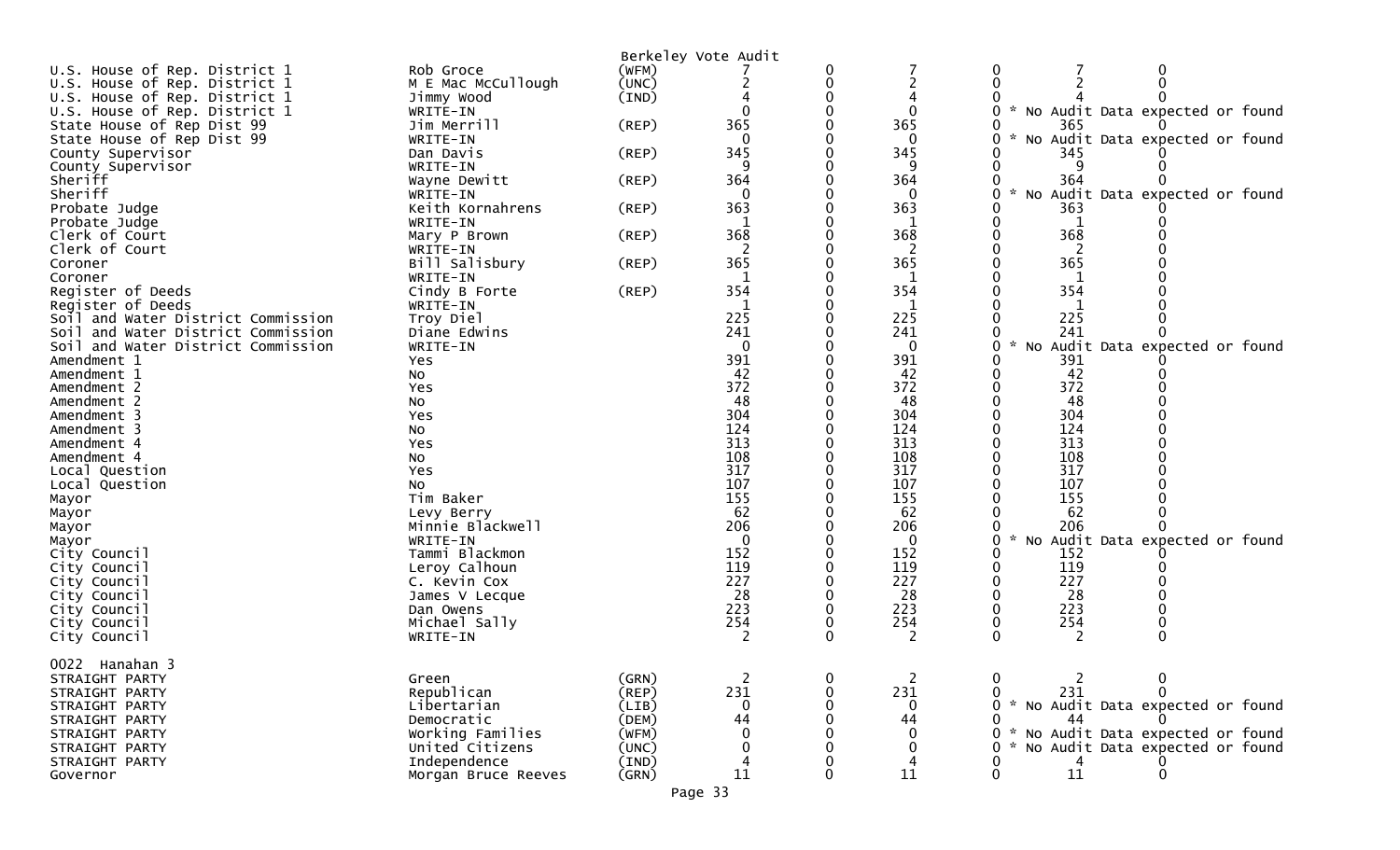|                                    |                              |             | Berkeley Vote Audit      |   |                |                                        |
|------------------------------------|------------------------------|-------------|--------------------------|---|----------------|----------------------------------------|
| U.S. House of Rep. District 1      | Rob Groce                    | (WFM)       |                          |   |                | 0                                      |
| U.S. House of Rep. District 1      | M E Mac McCullough           | (UNC)       |                          | 0 | $\overline{2}$ | 0<br>$\Omega$                          |
| U.S. House of Rep. District 1      | Jimmy Wood                   | (IND)       |                          |   |                |                                        |
| U.S. House of Rep. District 1      | WRITE-IN                     |             | $\Omega$                 |   | $\mathbf{0}$   | No Audit Data expected or found        |
| State House of Rep Dist 99         | Jim Merrill                  | (REP)       | 365                      |   | 365            | 365                                    |
| State House of Rep Dist 99         | WRITE-IN                     |             | $\Omega$                 |   | $\Omega$       | No Audit Data expected or found        |
| County Supervisor                  | Dan Davis                    | (REP)       | 345                      |   | 345            | 345                                    |
| County Supervisor                  | WRITE-IN                     |             | 9                        |   | 9              | 9                                      |
| Sheriff                            | Wayne Dewitt                 | (REP)       | 364                      |   | 364            | 364                                    |
| Sheriff                            |                              |             | $\mathbf 0$              |   | $\Omega$       | $\sim$<br>0                            |
|                                    | WRITE-IN<br>Keith Kornahrens |             | 363                      |   | 363            | No Audit Data expected or found<br>363 |
| Probate Judge                      |                              | (REP)       |                          |   |                |                                        |
| Probate Judge                      | WRITE-IN                     |             |                          |   | -1             |                                        |
| Clerk of Court                     | Mary P Brown                 | $($ REP $)$ | 368                      |   | 368            | 368                                    |
| Clerk of Court                     | WRITE-IN                     |             |                          |   |                |                                        |
| Coroner                            | Bill Salisbury               | (REP)       | 365                      |   | 365            | 365                                    |
| Coroner                            | WRITE-IN                     |             | -1                       |   | 1              | 1                                      |
| Register of Deeds                  | Cindy B Forte                | (REP)       | 354                      |   | 354            | 354                                    |
| Register of Deeds                  | WRITE-IN                     |             |                          |   | 1              |                                        |
| Soil and Water District Commission | Troy Diel                    |             | 225                      |   | 225            | 225                                    |
| Soil and Water District Commission | Diane Edwins                 |             | 241                      |   | 241            | 241                                    |
| Soil and Water District Commission | WRITE-IN                     |             | $\overline{0}$           |   | $\mathbf 0$    | 0<br>No Audit Data expected or found   |
| Amendment 1                        | Yes                          |             | 391                      |   | 391            | 391                                    |
| Amendment 1                        | NO                           |             | 42                       |   | 42             | 42                                     |
| Amendment 2                        | Yes                          |             | 372                      |   | 372            | 372<br>0                               |
| Amendment 2                        | No                           |             | 48                       |   | 48             | 48                                     |
| Amendment 3                        | Yes                          |             | 304                      |   | 304            | 304                                    |
| Amendment 3                        |                              |             | 124                      |   | 124            | 124                                    |
|                                    | No                           |             | 313                      |   | 313            | 313                                    |
| Amendment 4                        | Yes                          |             |                          |   |                |                                        |
| Amendment 4                        | NO                           |             | 108                      |   | 108            | 108                                    |
| Local Question                     | Yes                          |             | 317                      |   | 317            | 317                                    |
| Local Question                     | No                           |             | 107                      |   | 107            | 107                                    |
| Mayor                              | Tim Baker                    |             | 155                      |   | 155            | 155                                    |
| Mayor                              | Levy Berry                   |             | 62                       |   | 62             | 62                                     |
| Mayor                              | Minnie Blackwell             |             | 206                      |   | 206            | 206                                    |
| Mayor                              | WRITE-IN                     |             | $\mathbf 0$              |   | $\Omega$       | No Audit Data expected or found        |
| City Council                       | Tammi Blackmon               |             | 152                      |   | 152            | 152                                    |
| City Council                       | Leroy Calhoun                |             | 119                      |   | 119            | 119                                    |
| City Council                       | C. Kevin Cox                 |             | 227                      |   | 227            | 227                                    |
| City Council                       | James V Lecque               |             | 28                       |   | 28             | 28                                     |
| City Council                       | Dan Owens                    |             | 223                      |   | 223            | 223<br>0                               |
| City Council                       | Michael Sally                |             | 254                      |   | 254            | 254                                    |
| City Council                       | WRITE-IN                     |             | $\overline{2}$           | ∩ | 2              | 2<br>$\Omega$<br>0                     |
|                                    |                              |             |                          |   |                |                                        |
| 0022 Hanahan 3                     |                              |             |                          |   |                |                                        |
|                                    |                              |             |                          | 0 |                | $\mathbf 0$                            |
| STRAIGHT PARTY                     | Green                        | (GRN)       | 2                        |   | $\overline{c}$ | $\bf{0}$                               |
| STRAIGHT PARTY                     | Republican                   | (REP)       | 231                      |   | 231            | 231<br>0                               |
| STRAIGHT PARTY                     | Libertarian                  | (LIB)       | $\mathbf{0}$             |   | $\Omega$       | * No Audit Data expected or found      |
| STRAIGHT PARTY                     | Democratic                   | (DEM)       | 44                       |   | 44             | 44                                     |
| STRAIGHT PARTY                     | Working Families             | (WFM)       | 0                        |   | 0              | No Audit Data expected or found<br>0   |
| STRAIGHT PARTY                     | United Citizens              | (UNC)       | 0                        |   | $\mathbf 0$    | No Audit Data expected or found        |
| STRAIGHT PARTY                     | Independence                 | (IND)       | $\overline{\mathcal{L}}$ |   | 4              | 4                                      |
| Governor                           | Morgan Bruce Reeves          | (GRN)       | 11                       | 0 | 11             | 11<br>0<br>0                           |
|                                    |                              |             |                          |   |                |                                        |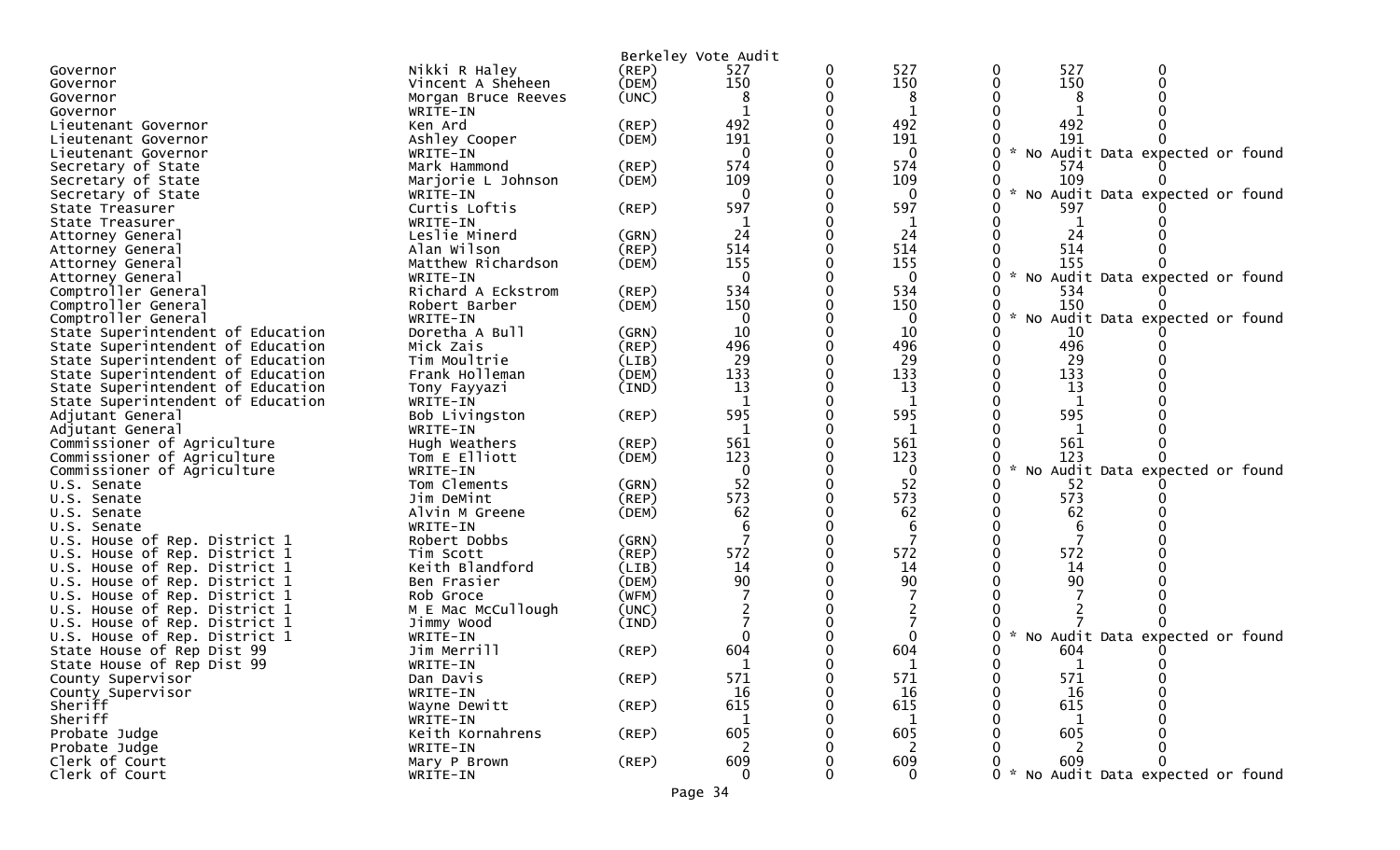|                                                                |                              |                | Berkeley Vote Audit |   |              |                                                |
|----------------------------------------------------------------|------------------------------|----------------|---------------------|---|--------------|------------------------------------------------|
| Governor                                                       | Nikki R Haley                | (REP)          | 527                 | 0 | 527          | 0<br>527<br>0                                  |
| Governor                                                       | Vincent A Sheheen            | (DEM)          | 150                 | 0 | 150          | 150<br>0<br>$\Omega$                           |
| Governor                                                       | Morgan Bruce Reeves          | (UNC)          | 8                   |   | 8            | 8                                              |
| Governor                                                       | WRITE-IN                     |                |                     |   | 1            |                                                |
| Lieutenant Governor                                            | Ken Ard                      | $($ REP $)$    | 492                 |   | 492          | 492                                            |
| Lieutenant Governor                                            | Ashley Cooper                | (DEM)          | 191                 |   | 191          | 191                                            |
| Lieutenant Governor                                            | WRITE-IN                     |                | $\mathbf{0}$        |   | $\mathbf{0}$ | 0<br><b>NO</b><br>Audit Data expected or found |
| Secretary of State                                             | Mark Hammond                 | $($ REP $)$    | 574                 |   | 574          | 574<br>0                                       |
| Secretary of State                                             | Marjorie L Johnson           | (DEM)          | 109                 |   | 109          | 109<br>0                                       |
| Secretary of State                                             | WRITE-IN                     |                | $\mathbf{0}$        |   | $\mathbf{0}$ | 0<br>No Audit Data expected or found           |
| State Treasurer                                                | Curtis Loftis                | $($ REP $)$    | 597                 |   | 597          | 597                                            |
| State Treasurer                                                | WRITE-IN                     |                |                     |   | 1            |                                                |
| Attorney General                                               | Leslie Minerd                | (GRN)          | 24                  |   | 24           | 24                                             |
| Attorney General                                               | Alan Wilson                  | (REP)          | 514                 |   | 514          | 514                                            |
| Attorney General                                               | Matthew Richardson           | (DEM)          | 155                 |   | 155          | 155                                            |
| Attorney General                                               | WRITE-IN                     |                | $\Omega$            |   | $\mathbf{0}$ | 0<br><b>NO</b><br>Audit Data expected or found |
| Comptroller General                                            | Richard A Eckstrom           | (REP)          | 534                 |   | 534          | 534<br>0                                       |
| Comptroller General                                            | Robert Barber                | (DEM)          | 150                 |   | 150          | 150<br>0                                       |
| Comptroller General                                            | WRITE-IN                     |                | $\Omega$            |   | $\mathbf{0}$ | 0<br>No Audit Data expected or found           |
| State Superintendent of Education                              | Doretha A Bull               | (GRN)          | 10                  |   | 10           | 10                                             |
| State Superintendent of Education                              | Mick Zais                    | (REP)          | 496                 |   | 496          | 496                                            |
| State Superintendent of Education                              | Tim Moultrie                 | (LIB)          | 29                  |   | 29           | 29                                             |
| State Superintendent of Education                              | Frank Holleman               | (DEM)          | 133                 |   | 133          | 133                                            |
| State Superintendent of Education                              | Tony Fayyazi                 | (IND)          | 13                  |   | 13           | 13                                             |
| State Superintendent of Education                              | WRITE-IN                     |                | -1                  |   | $\mathbf{1}$ | $\mathbf{1}$                                   |
| Adjutant General                                               | Bob Livingston               | $($ REP $)$    | 595                 |   | 595          | 595                                            |
| Adjutant General                                               | WRITE-IN                     |                |                     |   | 1            |                                                |
| Commissioner of Agriculture                                    | Hugh Weathers                | $($ REP $)$    | 561                 |   | 561          | 561                                            |
| Commissioner of Agriculture                                    | Tom E Elliott                | (DEM)          | 123                 |   | 123          | 123                                            |
| Commissioner of Agriculture                                    | WRITE-IN                     |                | 0                   |   | 0            | 0<br>$\sim$<br>No Audit Data expected or found |
| U.S. Senate                                                    | Tom Clements                 | (GRN)          | 52                  |   | 52           | 52                                             |
| U.S. Senate                                                    | Jim DeMint                   | (REP)          | 573                 |   | 573          | 573                                            |
| U.S. Senate                                                    | Alvin M Greene               | (DEM)          | 62                  |   | 62           | 62                                             |
| U.S. Senate                                                    | WRITE-IN                     |                |                     |   | 6            |                                                |
| U.S. House of Rep. District 1                                  | Robert Dobbs                 | (GRN)          | 572                 |   | 572          | 572                                            |
| U.S. House of Rep. District 1<br>U.S. House of Rep. District 1 | Tim Scott<br>Keith Blandford | (REP)          | 14                  |   | 14           | 14                                             |
| U.S. House of Rep. District 1                                  | Ben Frasier                  | (LIB)<br>(DEM) | 90                  |   | 90           | 90                                             |
| U.S. House of Rep. District 1                                  | Rob Groce                    | (WFM)          |                     |   |              |                                                |
| U.S. House of Rep. District 1                                  | M E Mac McCullough           | (UNC)          |                     |   |              |                                                |
| U.S. House of Rep. District 1                                  | Jimmy Wood                   | (IND)          |                     |   |              |                                                |
| U.S. House of Rep. District 1                                  | WRITE-IN                     |                |                     |   | 0            | No Audit Data expected or found                |
| State House of Rep Dist 99                                     | Jim Merrill                  | $($ REP $)$    | 604                 |   | 604          | 604<br>0                                       |
| State House of Rep Dist 99                                     | WRITE-IN                     |                |                     |   |              | $\mathbf{0}$<br>0<br>$\mathbf{1}$              |
| County Supervisor                                              | Dan Davis                    | (REP)          | 571                 | 0 | 571          | 571<br>0<br>0                                  |
| County Supervisor                                              | WRITE-IN                     |                | 16                  |   | 16           | 16<br>0                                        |
| Sheriff                                                        | Wayne Dewitt                 | $($ REP $)$    | 615                 |   | 615          | 615                                            |
| Sheriff                                                        | WRITE-IN                     |                | $\mathbf{1}$        |   | 1            | 1                                              |
| Probate Judge                                                  | Keith Kornahrens             | $($ REP $)$    | 605                 |   | 605          | 605                                            |
| Probate Judge                                                  | WRITE-IN                     |                | 2                   |   | 2            |                                                |
| Clerk of Court                                                 | Mary P Brown                 | (REP)          | 609                 |   | 609          | 609<br>0                                       |
| Clerk of Court                                                 | WRITE-IN                     |                | $\Omega$            |   | $\mathbf{0}$ | 0 * No Audit Data expected or found            |
|                                                                |                              |                |                     |   |              |                                                |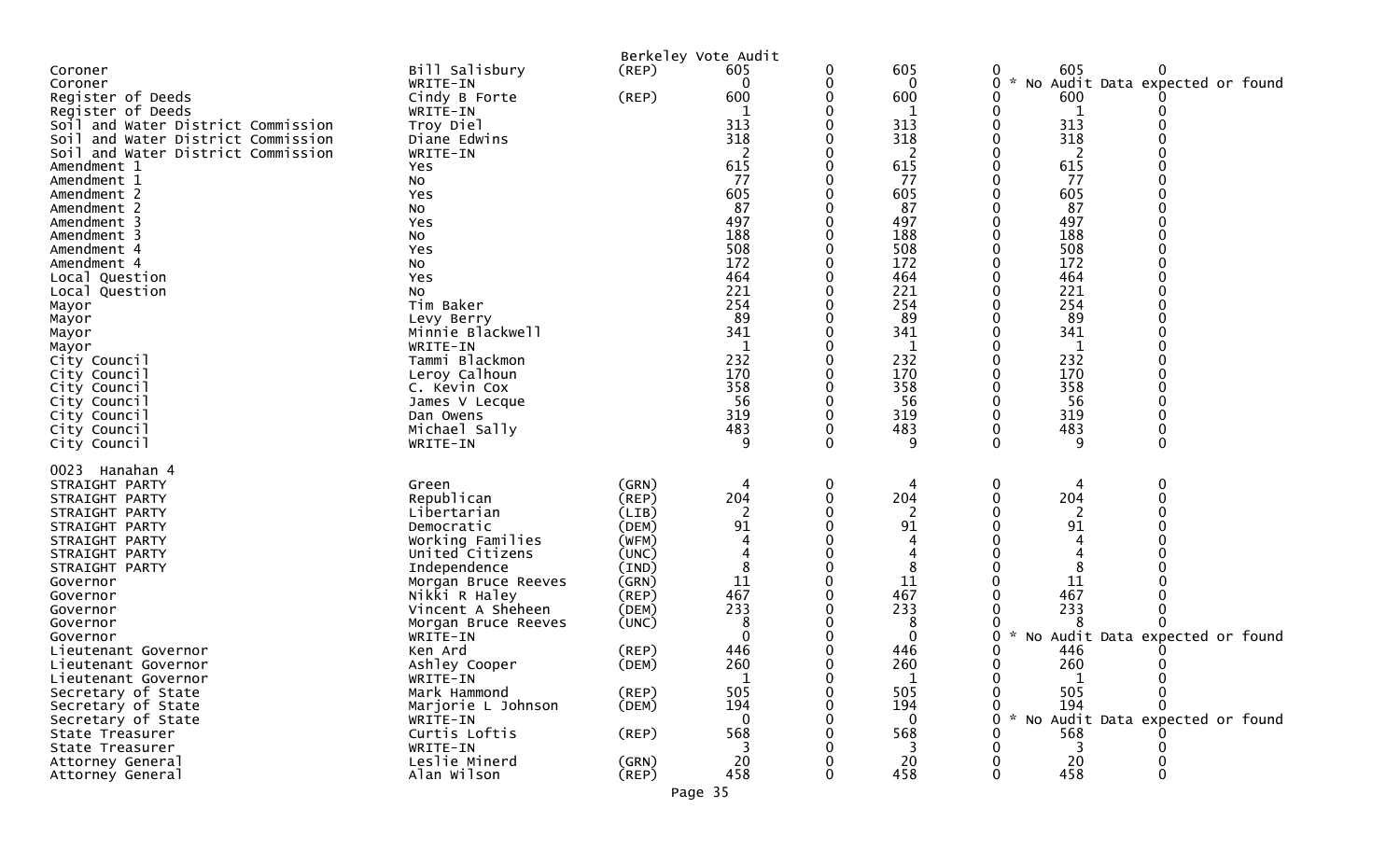|                                    |                                          |                | Berkeley Vote Audit      |   |              |   |               |                                 |
|------------------------------------|------------------------------------------|----------------|--------------------------|---|--------------|---|---------------|---------------------------------|
| Coroner                            | Bill Salisbury                           | $($ REP $)$    | 605                      | 0 | 605          |   | 605           |                                 |
| Coroner                            | WRITE-IN                                 |                | 0                        | 0 | 0            | 0 |               | No Audit Data expected or found |
| Register of Deeds                  | Cindy B Forte                            | (REP)          | 600                      |   | 600          |   | 600           |                                 |
| Register of Deeds                  | WRITE-IN                                 |                |                          |   | 1            |   |               |                                 |
| Soil and Water District Commission | Troy Diel                                |                | 313                      |   | 313          |   | 313           |                                 |
| Soil and Water District Commission | Diane Edwins                             |                | 318                      |   | 318          |   | 318           |                                 |
| Soil and Water District Commission | WRITE-IN                                 |                | $\overline{\phantom{a}}$ |   | 2            |   | 2             |                                 |
| Amendment 1                        | Yes                                      |                | 615                      |   | 615          |   | 615           |                                 |
| Amendment 1                        | No                                       |                | 77                       |   | 77           |   | 77            |                                 |
| Amendment 2                        | Yes                                      |                | 605<br>87                |   | 605<br>87    |   | 605<br>87     |                                 |
| Amendment 2                        | No                                       |                | 497                      |   | 497          |   | 497           |                                 |
| Amendment 3<br>Amendment 3         | Yes<br>No                                |                | 188                      |   | 188          |   | 188           |                                 |
| Amendment 4                        | Yes                                      |                | 508                      |   | 508          |   | 508           |                                 |
| Amendment 4                        | No                                       |                | 172                      |   | 172          |   | 172           |                                 |
| Local Question                     | Yes                                      |                | 464                      |   | 464          |   | 464           |                                 |
| Local Question                     | No                                       |                | 221                      |   | 221          |   | 221           |                                 |
| Mayor                              | Tim Baker                                |                | 254                      |   | 254          |   | 254           |                                 |
| Mayor                              | Levy Berry                               |                | 89                       |   | 89           |   | 89            |                                 |
| Mayor                              | Minnie Blackwell                         |                | 341                      |   | 341          |   | 341           |                                 |
| Mayor                              | WRITE-IN                                 |                | 1                        |   | 1            |   | 1             |                                 |
| City Council                       | Tammi Blackmon                           |                | 232                      |   | 232          |   | 232           |                                 |
| City Council                       | Leroy Calhoun                            |                | 170                      |   | 170          |   | 170           |                                 |
| City Council                       | C. Kevin Cox                             |                | 358                      |   | 358          |   | 358           |                                 |
| City Council                       | James V Lecque                           |                | 56                       |   | 56           |   | 56            |                                 |
| City Council                       | Dan Owens                                |                | 319                      |   | 319          |   | 319           |                                 |
| City Council                       | Michael Sally                            |                | 483                      |   | 483<br>9     |   | 483           |                                 |
| City Council                       | WRITE-IN                                 |                | 9                        |   |              |   | 9             |                                 |
| 0023 Hanahan 4                     |                                          |                |                          |   |              |   |               |                                 |
| STRAIGHT PARTY                     | Green                                    | (GRN)          | 4                        | 0 | 4            | 0 |               | 0                               |
| STRAIGHT PARTY                     | Republican                               | (REP)          | 204                      |   | 204          |   | 204           |                                 |
| STRAIGHT PARTY                     | Libertarian                              | (LIB)          | 2                        |   | 2            |   | 2             |                                 |
| STRAIGHT PARTY                     | Democratic                               | (DEM)          | 91                       |   | 91           |   | 91            |                                 |
| STRAIGHT PARTY                     | Working Families                         | (WFM)          |                          |   |              |   |               |                                 |
| STRAIGHT PARTY                     | United Citizens                          | (UNC)          |                          |   |              |   |               |                                 |
| STRAIGHT PARTY                     | Independence                             | (IND)          |                          |   |              |   |               |                                 |
| Governor                           | Morgan Bruce Reeves                      | (GRN)          | 11                       |   | 11           |   | 11            |                                 |
| Governor                           | Nikki R Haley                            | (REP)<br>(DEM) | 467<br>233               |   | 467<br>233   |   | 467<br>233    |                                 |
| Governor                           | Vincent A Sheheen<br>Morgan Bruce Reeves | (UNC)          | 8                        |   |              |   |               |                                 |
| Governor<br>Governor               | WRITE-IN                                 |                | $\Omega$                 |   | $\Omega$     |   | *             | No Audit Data expected or found |
| Lieutenant Governor                | Ken Ard                                  | $($ REP $)$    | 446                      |   | 446          |   | 446           |                                 |
| Lieutenant Governor                | Ashley Cooper                            | (DEM)          | 260                      |   | 260          |   | 260           |                                 |
| Lieutenant Governor                | WRITE-IN                                 |                | 1                        | 0 | $\mathbf{1}$ |   | 1             |                                 |
| Secretary of State                 | Mark Hammond                             | (REP)          | 505                      |   | 505          |   | 505           |                                 |
| Secretary of State                 | Marjorie L Johnson                       | (DEM)          | 194                      |   | 194          |   | 194           |                                 |
| Secretary of State                 | WRITE-IN                                 |                | $\Omega$                 |   | $\mathbf{0}$ |   | $\mathcal{H}$ | No Audit Data expected or found |
| State Treasurer                    | Curtis Loftis                            | $($ REP $)$    | 568                      |   | 568          |   | 568           |                                 |
| State Treasurer                    | WRITE-IN                                 |                | 3                        |   | 3            |   | 3             |                                 |
| Attorney General                   | Leslie Minerd                            | (GRN)          | 20                       |   | 20           |   | 20            |                                 |
| Attorney General                   | Alan Wilson                              | $($ REP $)$    | 458                      |   | 458          |   | 458           |                                 |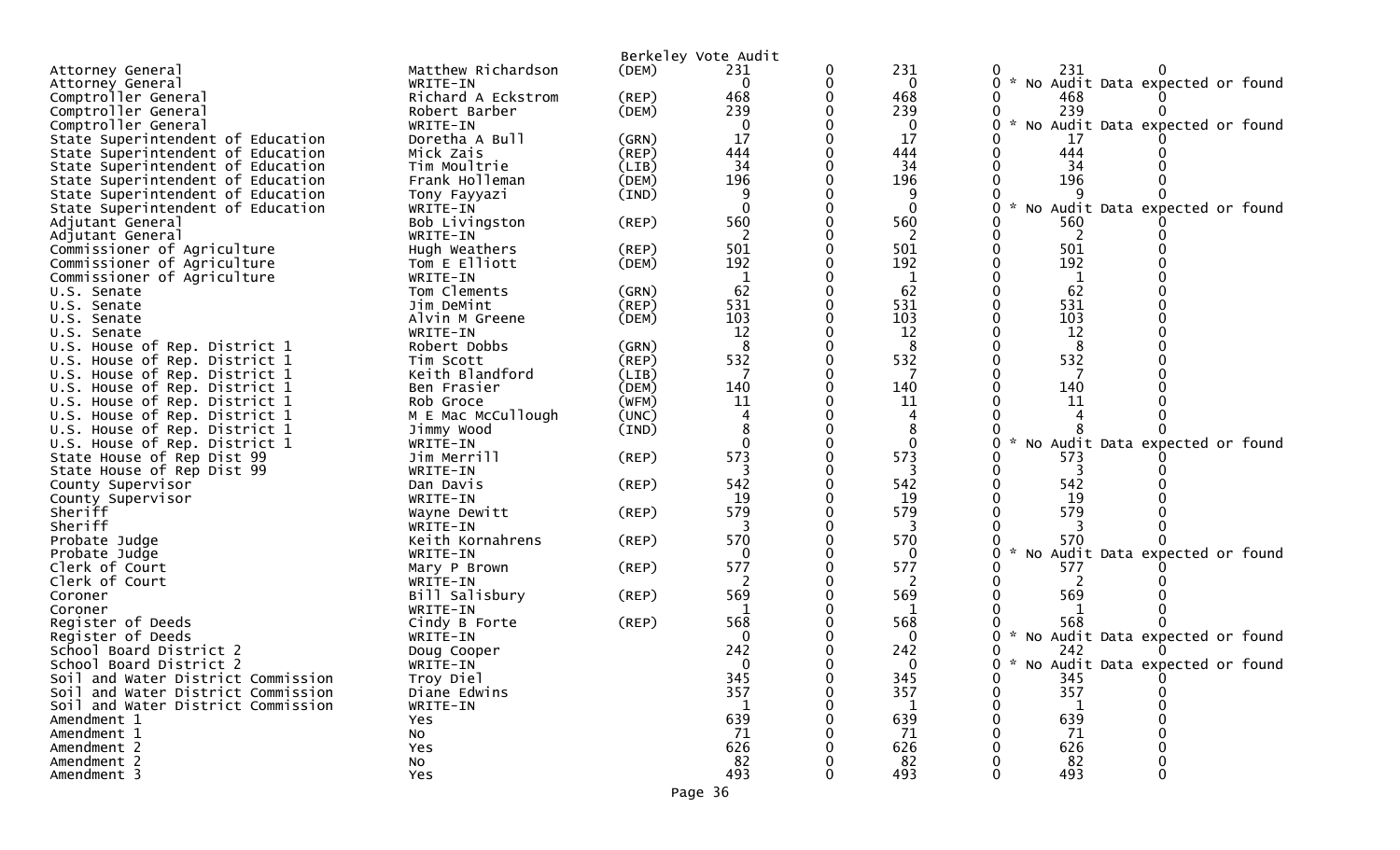|                                                             |                         |       | Berkeley Vote Audit |   |          |                                                  |
|-------------------------------------------------------------|-------------------------|-------|---------------------|---|----------|--------------------------------------------------|
| Attorney General                                            | Matthew Richardson      | (DEM) | 231                 | 0 | 231      | 231                                              |
| Attorney General                                            | WRITE-IN                |       | $\mathbf{0}$        | 0 | 0        | * No Audit Data expected or found<br>0           |
| Comptroller General                                         | Richard A Eckstrom      | (REP) | 468                 |   | 468      | 468                                              |
| Comptroller General                                         | Robert Barber           | (DEM) | 239                 |   | 239      | 239                                              |
| Comptroller General                                         | WRITE-IN                |       | $\Omega$            |   | 0        | $\mathcal{H}$<br>No Audit Data expected or found |
| State Superintendent of Education                           | Doretha A Bull          | (GRN) | 17                  |   | 17       | 17                                               |
| State Superintendent of Education                           | Mick Zais               | (REP) | 444                 |   | 444      | 444                                              |
| State Superintendent of Education                           | Tim Moultrie            | (LIB) | 34                  |   | 34       | 34                                               |
| State Superintendent of Education                           | Frank Holleman          | (DEM) | 196                 |   | 196      | 196                                              |
| State Superintendent of Education                           | Tony Fayyazi            | (IND) |                     |   | 9        |                                                  |
| State Superintendent of Education                           | WRITE-IN                |       | $\Omega$            |   | 0        | $\mathcal{H}$<br>No Audit Data expected or found |
| Adjutant General                                            | Bob Livingston          | (REP) | 560                 |   | 560      | 560                                              |
| Adjutant General                                            | WRITE-IN                |       | 2                   |   | 2        | 2                                                |
| Commissioner of Agriculture                                 | Hugh Weathers           | (REP) | 501                 |   | 501      | 501                                              |
| Commissioner of Agriculture                                 | Tom E Elliott           | (DEM) | 192                 |   | 192      | 192                                              |
| Commissioner of Agriculture                                 | WRITE-IN                |       |                     |   | 1        | 1                                                |
| U.S. Senate                                                 | Tom Clements            | (GRN) | 62                  |   | 62       | 62                                               |
| U.S. Senate                                                 | Jim DeMint              | (REP) | 531                 |   | 531      | 531                                              |
| U.S. Senate                                                 | Alvin M Greene          | (DEM) | 103                 |   | 103      | 103                                              |
| U.S. Senate                                                 | WRITE-IN                |       | 12                  |   | 12       | 12                                               |
| U.S. House of Rep. District 1                               | Robert Dobbs            | (GRN) | 8                   |   | 8        | 8                                                |
| U.S. House of Rep. District 1                               | Tim Scott               | (REP) | 532                 |   | 532      | 532                                              |
| U.S. House of Rep. District 1                               | Keith Blandford         | (LIB) |                     |   |          |                                                  |
| U.S. House of Rep. District 1                               | Ben Frasier             | (DEM) | 140                 |   | 140      | 140                                              |
| U.S. House of Rep. District 1                               | Rob Groce               | (WFM) | 11                  |   | 11       | 11                                               |
| U.S. House of Rep. District 1                               | M E Mac McCullough      | (UNC) |                     |   |          |                                                  |
| U.S. House of Rep. District 1                               | Jimmy Wood              | (IND) |                     |   | $\Omega$ | * No Audit Data expected or found                |
| U.S. House of Rep. District 1<br>State House of Rep Dist 99 | WRITE-IN<br>Jim Merrill | (REP) | 573                 |   | 573      | 573                                              |
| State House of Rep Dist 99                                  | WRITE-IN                |       |                     |   |          |                                                  |
| County Supervisor                                           | Dan Davis               | (REP) | 542                 |   | 542      | 542                                              |
| County Supervisor                                           | WRITE-IN                |       | 19                  |   | 19       | 19                                               |
| Sheriff                                                     | Wayne Dewitt            | (REP) | 579                 |   | 579      | 579                                              |
| Sheriff                                                     | WRITE-IN                |       |                     |   | 3        |                                                  |
| Probate Judge                                               | Keith Kornahrens        | (REP) | 570                 |   | 570      | 570                                              |
| Probate Judge                                               | WRITE-IN                |       | $\Omega$            |   | 0        | * No Audit Data expected or found                |
| Clerk of Court                                              | Mary P Brown            | (REP) | 577                 |   | 577      | 577                                              |
| Clerk of Court                                              | WRITE-IN                |       |                     |   | 2        | 2                                                |
| Coroner                                                     | Bill Salisbury          | (REP) | 569                 |   | 569      | 569                                              |
| Coroner                                                     | WRITE-IN                |       |                     |   | 1        |                                                  |
| Register of Deeds                                           | Cindy B Forte           | (REP) | 568                 |   | 568      | 568                                              |
| Register of Deeds                                           | WRITE-IN                |       | $\Omega$            |   | $\Omega$ | * No Audit Data expected or found                |
| School Board District 2                                     | Doug Cooper             |       | 242                 |   | 242      | 242                                              |
| School Board District 2                                     | WRITE-IN                |       | $\Omega$            |   |          | * No Audit Data expected or found                |
| Soil and Water District Commission                          | Troy Diel               |       | 345                 |   | 345      | 345<br>0                                         |
| Soil and Water District Commission                          | Diane Edwins            |       | 357                 |   | 357      | 357                                              |
| Soil and Water District Commission                          | WRITE-IN                |       |                     |   |          |                                                  |
| Amendment 1                                                 | Yes                     |       | 639                 |   | 639      | 639                                              |
| Amendment 1                                                 | NO.                     |       | 71                  |   | 71       | 71                                               |
| Amendment 2                                                 | Yes                     |       | 626                 |   | 626      | 626                                              |
| Amendment 2                                                 | No                      |       | 82                  |   | 82       | 82                                               |
| Amendment 3                                                 | Yes                     |       | 493                 |   | 493      | 493                                              |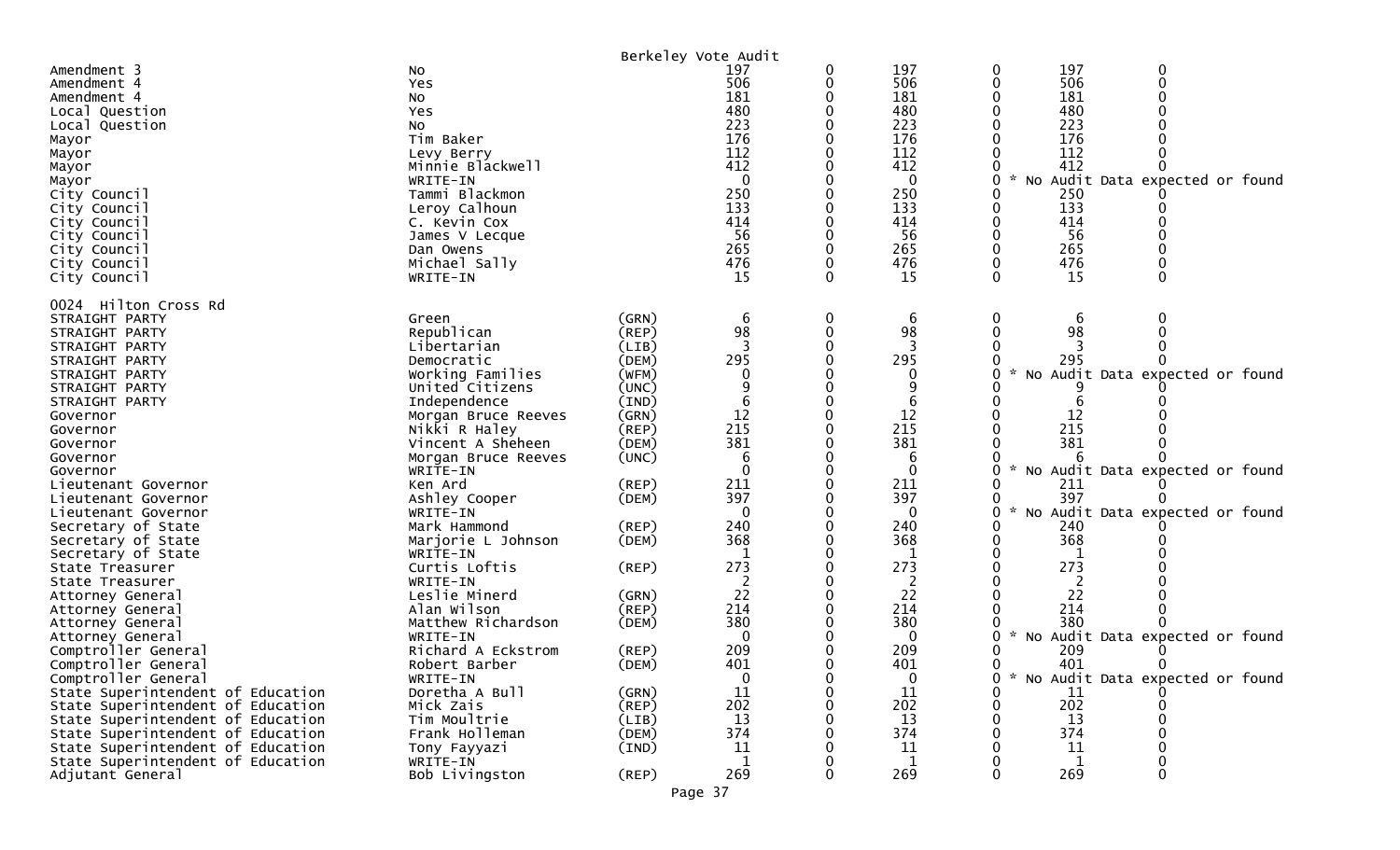|                                                                                                                                                                                                                                                                                                                                                                                                                 |                                                                                                                                                                                                                                                                                                                                                 |                                                                                                                                                       | Berkeley Vote Audit                                                                                             |             |                                                                                                                       |                                                                                                                                                                                                   |
|-----------------------------------------------------------------------------------------------------------------------------------------------------------------------------------------------------------------------------------------------------------------------------------------------------------------------------------------------------------------------------------------------------------------|-------------------------------------------------------------------------------------------------------------------------------------------------------------------------------------------------------------------------------------------------------------------------------------------------------------------------------------------------|-------------------------------------------------------------------------------------------------------------------------------------------------------|-----------------------------------------------------------------------------------------------------------------|-------------|-----------------------------------------------------------------------------------------------------------------------|---------------------------------------------------------------------------------------------------------------------------------------------------------------------------------------------------|
| Amendment 3<br>Amendment 4<br>Amendment 4<br>Local Question<br>Local Question<br>Mayor<br>Mayor<br>Mayor<br>Mayor<br>City Council<br>City Council<br>City Council<br>City Council<br>City Council<br>City Council<br>City Council                                                                                                                                                                               | No<br>Yes<br>NO.<br>Yes<br>No<br>Tim Baker<br>Levy Berry<br>Minnie Blackwell<br>WRITE-IN<br>Tammi Blackmon<br>Leroy Calhoun<br>C. Kevin Cox<br>James V Lecque<br>Dan Owens<br>Michael Sally<br>WRITE-IN                                                                                                                                         |                                                                                                                                                       | 197<br>506<br>181<br>480<br>223<br>176<br>112<br>412<br>$\Omega$<br>250<br>133<br>414<br>56<br>265<br>476<br>15 | 0<br>0<br>∩ | 197<br>506<br>181<br>480<br>223<br>176<br>112<br>412<br>$\mathbf{0}$<br>250<br>133<br>414<br>56<br>265<br>476<br>15   | 197<br>0<br>0<br>506<br>$\mathbf 0$<br>0<br>181<br>480<br>223<br>176<br>112<br>412<br>No Audit Data expected or found<br>0<br>250<br>133<br>414<br>56<br>265<br>476<br>$\Omega$<br>$\Omega$<br>15 |
| 0024 Hilton Cross Rd<br>STRAIGHT PARTY<br>STRAIGHT PARTY<br>STRAIGHT PARTY<br>STRAIGHT PARTY<br>STRAIGHT PARTY<br>STRAIGHT PARTY<br>STRAIGHT PARTY<br>Governor<br>Governor<br>Governor<br>Governor<br>Governor<br>Lieutenant Governor<br>Lieutenant Governor<br>Lieutenant Governor<br>Secretary of State<br>Secretary of State<br>Secretary of State<br>State Treasurer<br>State Treasurer<br>Attorney General | Green<br>Republican<br>Libertarian<br>Democratic<br>Working Families<br>United Citizens<br>Independence<br>Morgan Bruce Reeves<br>Nikki R Haley<br>Vincent A Sheheen<br>Morgan Bruce Reeves<br>WRITE-IN<br>Ken Ard<br>Ashley Cooper<br>WRITE-IN<br>Mark Hammond<br>Marjorie L Johnson<br>WRITE-IN<br>Curtis Loftis<br>WRITE-IN<br>Leslie Minerd | (GRN)<br>(REP)<br>(LIB)<br>(DEM)<br>(WFM)<br>(UNC)<br>(IND)<br>(GRN)<br>(REF)<br>(DEM)<br>(UNC)<br>(REP)<br>(DEM)<br>(REP)<br>(DEM)<br>(REP)<br>(GRN) | 6<br>98<br>295<br>12<br>215<br>381<br>6<br>211<br>397<br>240<br>368<br>273<br>22                                |             | 6<br>98<br>295<br>$\Omega$<br>9<br>6<br>12<br>215<br>381<br>6<br>0<br>211<br>397<br>0<br>240<br>368<br>273<br>2<br>22 | 0<br>6<br>98<br>295<br>No Audit Data expected or found<br>12<br>215<br>381<br>No Audit Data expected or found<br>211<br>397<br>No Audit Data expected or found<br>240<br>368<br>273<br>22         |
| Attorney General<br>Attorney General<br>Attorney General<br>Comptroller General<br>Comptroller General<br>Comptroller General                                                                                                                                                                                                                                                                                   | Alan Wilson<br>Matthew Richardson<br>WRITE-IN<br>Richard A Eckstrom<br>Robert Barber<br>WRITE-IN                                                                                                                                                                                                                                                | (REF)<br>(DEM)<br>(REP)<br>(DEM)                                                                                                                      | 214<br>380<br>209<br>401<br>0                                                                                   |             | 214<br>380<br>0<br>209<br>401<br>0                                                                                    | 214<br>380<br>$\sim$<br>No Audit Data expected or found<br>0<br>209<br>0<br>401<br>0<br>$\mathbf{0}$<br>0<br>* No Audit Data expected or found                                                    |
| State Superintendent of Education<br>State Superintendent of Education<br>State Superintendent of Education<br>State Superintendent of Education<br>State Superintendent of Education<br>State Superintendent of Education<br>Adjutant General                                                                                                                                                                  | Doretha A Bull<br>Mick Zais<br>Tim Moultrie<br>Frank Holleman<br>Tony Fayyazi<br>WRITE-IN<br>Bob Livingston                                                                                                                                                                                                                                     | (GRN)<br>$($ REP $)$<br>(LIB)<br>(DEM)<br>(IND)<br>(REP)                                                                                              | 11<br>202<br>13<br>374<br>11<br>269                                                                             |             | 11<br>202<br>13<br>374<br>11<br>269                                                                                   | 11<br>202<br>13<br>374<br>11<br>269                                                                                                                                                               |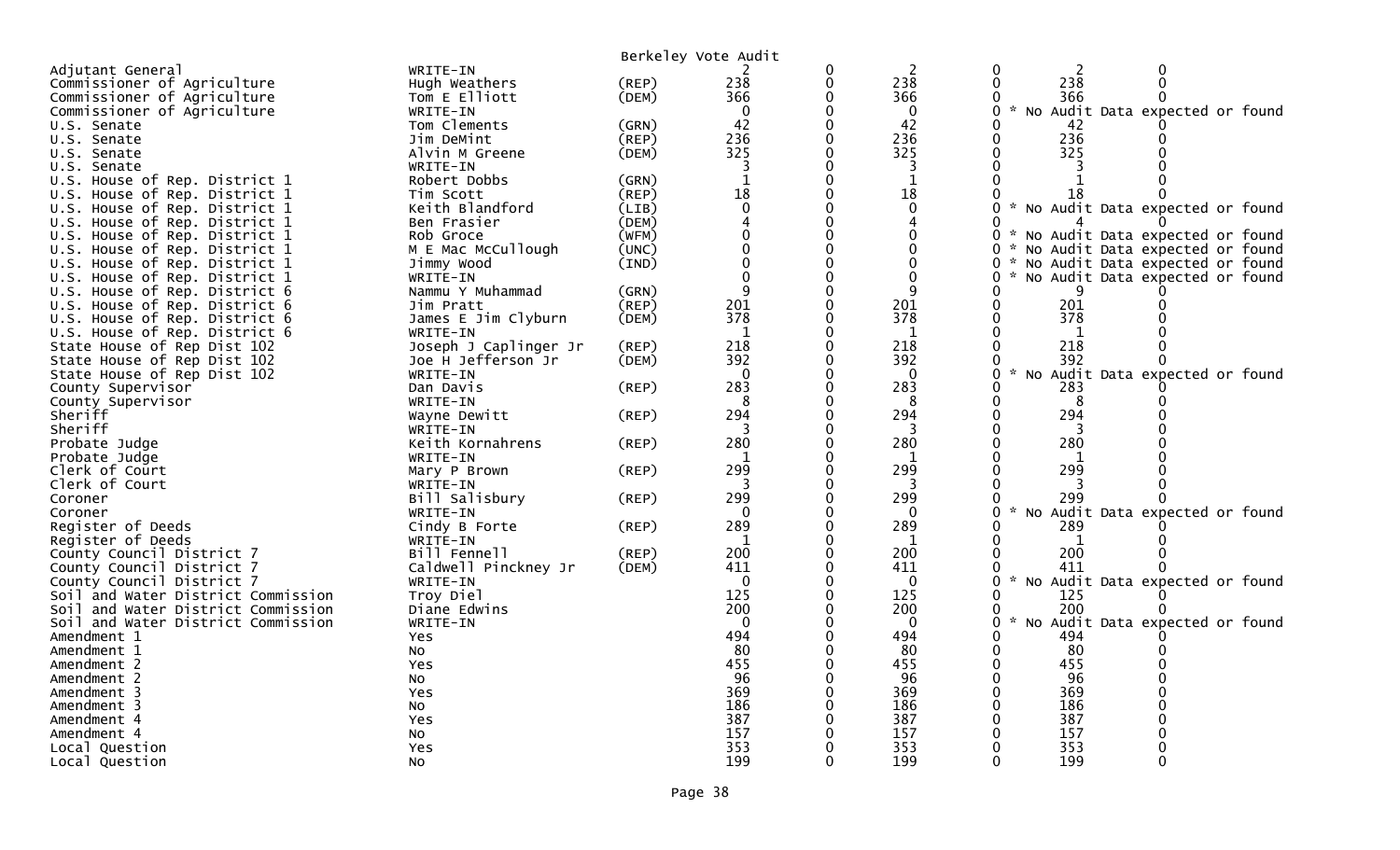|                                    |                       |       | Berkeley Vote Audit |   |              |                    |     |                                   |
|------------------------------------|-----------------------|-------|---------------------|---|--------------|--------------------|-----|-----------------------------------|
| Adjutant General                   | WRITE-IN              |       |                     | 0 | 2            | $\mathbf{0}$       | 2   | 0                                 |
| Commissioner of Agriculture        | Hugh Weathers         | (REP) | 238                 |   | 238          | $\Omega$           | 238 | $\Omega$                          |
| Commissioner of Agriculture        | Tom E Elliott         | (DEM) | 366                 |   | 366          |                    | 366 |                                   |
| Commissioner of Agriculture        | WRITE-IN              |       | $\Omega$            |   | $\mathbf{0}$ | 0                  |     | * No Audit Data expected or found |
| U.S. Senate                        | Tom Clements          | (GRN) | 42                  |   | 42           |                    | 42  |                                   |
| U.S. Senate                        | Jim DeMint            | (REP) | 236                 |   | 236          | $\mathbf{0}$       | 236 |                                   |
| U.S. Senate                        | Alvin M Greene        | (DEM) | 325                 |   | 325          | 0                  | 325 |                                   |
| U.S. Senate                        | WRITE-IN              |       | 3                   |   | 3            |                    |     |                                   |
| U.S. House of Rep. District 1      | Robert Dobbs          | (GRN) | $\mathbf{1}$        |   | $\mathbf{1}$ |                    |     |                                   |
| U.S. House of Rep. District 1      | Tim Scott             | (REP) | 18                  |   | 18           |                    | 18  |                                   |
| U.S. House of Rep. District 1      | Keith Blandford       | (LIB) | $\mathbf 0$         |   | $\mathbf 0$  | 0                  |     | * No Audit Data expected or found |
| U.S. House of Rep. District 1      | Ben Frasier           | (DEM) |                     |   | 4            |                    |     |                                   |
| U.S. House of Rep. District 1      | Rob Groce             | (WFM) |                     |   | 0            | $\mathcal{H}$<br>0 |     | No Audit Data expected or found   |
| U.S. House of Rep. District 1      | M E Mac McCullough    | (UNC) |                     |   | $\Omega$     | 0                  |     | * No Audit Data expected or found |
| U.S. House of Rep. District 1      | Jimmy Wood            | (IND) |                     |   | $\Omega$     | $\mathcal{H}$<br>0 |     | No Audit Data expected or found   |
| U.S. House of Rep. District 1      | WRITE-IN              |       |                     |   | $\mathbf{0}$ | 0                  |     | No Audit Data expected or found   |
| U.S. House of Rep. District 6      | Nammu Y Muhammad      | (GRN) | q                   |   | 9            |                    |     |                                   |
| U.S. House of Rep. District 6      | Jim Pratt             | (REP) | 201                 |   | 201          | 0                  | 201 |                                   |
| U.S. House of Rep. District 6      | James E Jim Clyburn   | (DEM) | 378                 |   | 378          | $\Omega$           | 378 |                                   |
| U.S. House of Rep. District 6      | WRITE-IN              |       | 1                   |   | 1            |                    | 1   |                                   |
| State House of Rep Dist 102        | Joseph J Caplinger Jr | (REP) | 218                 |   | 218          | 0                  | 218 |                                   |
| State House of Rep Dist 102        | Joe H Jefferson Jr    | (DEM) | 392                 |   | 392          | 0                  | 392 |                                   |
| State House of Rep Dist 102        | WRITE-IN              |       | $\Omega$            |   | $\mathbf{0}$ | $\mathbf{0}$       |     | * No Audit Data expected or found |
| County Supervisor                  | Dan Davis             | (REP) | 283                 |   | 283          |                    | 283 |                                   |
| County Supervisor                  | WRITE-IN              |       | 8                   |   | 8            | 0                  | 8   |                                   |
| Sheriff                            | Wayne Dewitt          | (REP) | 294                 |   | 294          | 0                  | 294 |                                   |
| Sheriff                            | WRITE-IN              |       |                     |   | 3            |                    |     |                                   |
| Probate Judge                      | Keith Kornahrens      | (REP) | 280                 |   | 280          |                    | 280 |                                   |
| Probate Judge                      | WRITE-IN              |       |                     |   |              |                    |     |                                   |
| Clerk of Court                     | Mary P Brown          | (REP) | 299                 |   | 299          |                    | 299 |                                   |
| Clerk of Court                     | WRITE-IN              |       |                     |   |              |                    |     |                                   |
| Coroner                            | Bill Salisbury        | (REP) | 299                 |   | 299          |                    | 299 |                                   |
| Coroner                            | WRITE-IN              |       | $\Omega$            |   | $\Omega$     | $\sim$<br>0        |     | No Audit Data expected or found   |
| Register of Deeds                  | Cindy B Forte         | (REP) | 289                 |   | 289          |                    | 289 |                                   |
| Register of Deeds                  | WRITE-IN              |       | $\mathbf{1}$        |   | 1            |                    | 1   |                                   |
| County Council District 7          | Bill Fennell          | (REP) | 200                 |   | 200          |                    | 200 |                                   |
| County Council District 7          | Caldwell Pinckney Jr  | (DEM) | 411                 |   | 411          |                    | 411 |                                   |
| County Council District 7          | WRITE-IN              |       | $\Omega$            |   | $\Omega$     | $\mathcal{H}$<br>0 |     | No Audit Data expected or found   |
| Soil and Water District Commission | Troy Diel             |       | 125                 |   | 125          | 0                  | 125 |                                   |
| Soil and Water District Commission | Diane Edwins          |       | 200                 |   | 200          | 0                  | 200 |                                   |
| Soil and Water District Commission | WRITE-IN              |       | $\Omega$            |   | $\mathbf 0$  | $\sim$<br>0        |     | No Audit Data expected or found   |
| Amendment 1                        | Yes                   |       | 494                 |   | 494          | 0                  | 494 |                                   |
| Amendment 1                        | NO.                   |       | -80                 |   | 80           | 0                  | 80  |                                   |
| Amendment 2                        | <b>Yes</b>            |       | 455                 |   | 455          |                    | 455 |                                   |
| Amendment 2                        | NO.                   |       | 96                  |   | 96           |                    | 96  |                                   |
| Amendment 3                        | Yes                   |       | 369                 |   | 369          |                    | 369 |                                   |
| Amendment 3                        | NO.                   |       | 186                 |   | 186          |                    | 186 |                                   |
| Amendment 4                        | Yes                   |       | 387                 |   | 387          |                    | 387 |                                   |
| Amendment 4                        | No                    |       | 157                 |   | 157          |                    | 157 |                                   |
| Local Question                     | Yes                   |       | 353                 |   | 353          |                    | 353 |                                   |
| Local Question                     | No                    |       | 199                 |   | 199          | $\Omega$           | 199 |                                   |
|                                    |                       |       |                     |   |              |                    |     |                                   |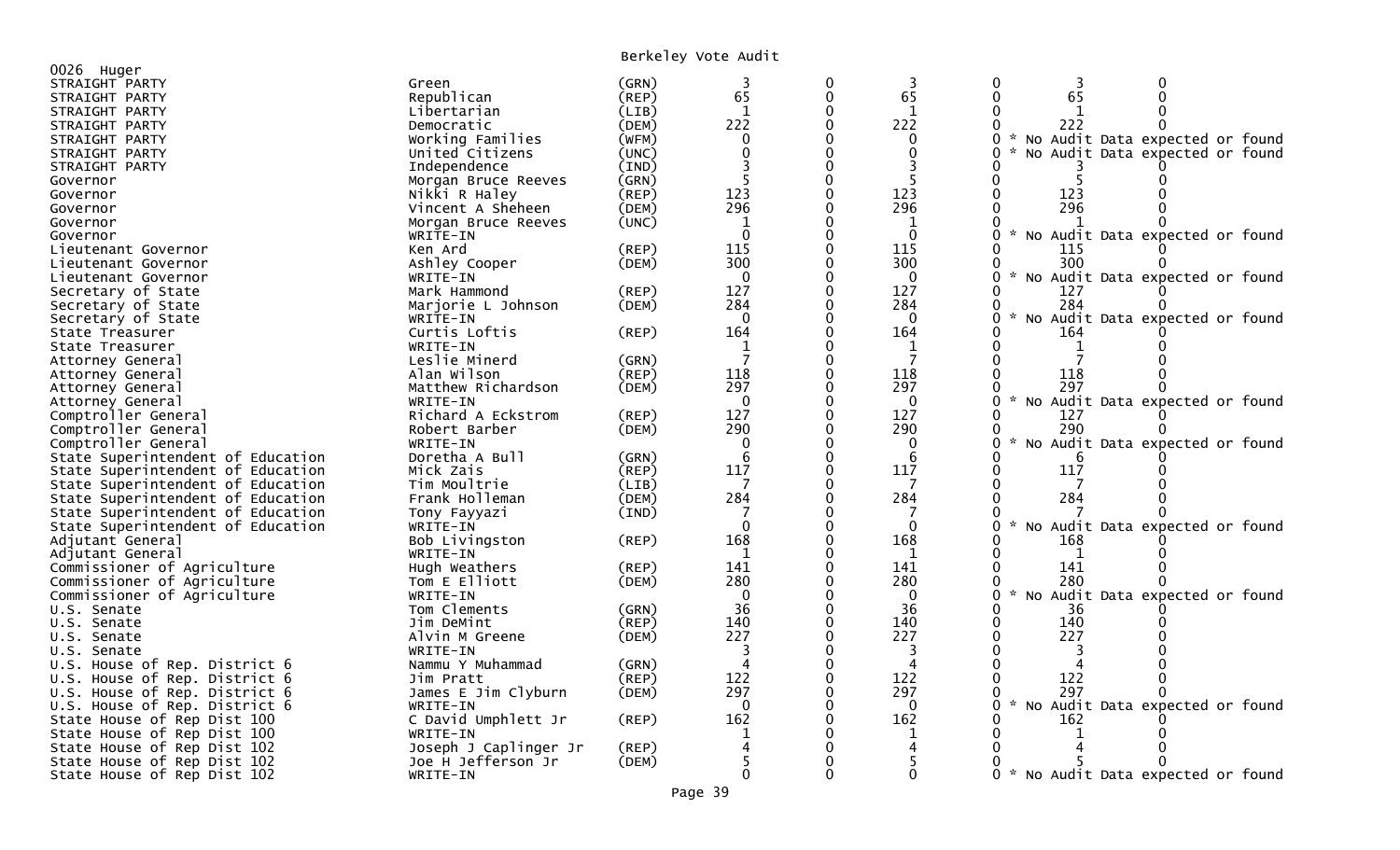Berkeley Vote Audit

| 0026 Huger                        |                       |             | DUINCICY VOLC AUGIC |        |              |                                                       |
|-----------------------------------|-----------------------|-------------|---------------------|--------|--------------|-------------------------------------------------------|
|                                   |                       |             |                     |        |              | 3<br>0                                                |
| STRAIGHT PARTY                    | Green<br>Republican   | (GRN)       | 3<br>65             | 0      | 3<br>65      | 0<br>65<br>$\Omega$<br>∩                              |
| STRAIGHT PARTY                    |                       | $($ REP $)$ |                     | 0<br>0 | $\mathbf{1}$ |                                                       |
| STRAIGHT PARTY                    | Libertarian           | (LIB)       | 1                   |        |              |                                                       |
| STRAIGHT PARTY                    | Democratic            | (DEM)       | 222                 | 0      | 222          | 222                                                   |
| STRAIGHT PARTY                    | Working Families      | (WFM)       | $\Omega$            |        | $\Omega$     | $0 *$<br>No Audit Data expected or found              |
| STRAIGHT PARTY                    | United Citizens       | (UNC)       | $\Omega$            |        | $\Omega$     | 0<br>No Audit Data expected or found                  |
| STRAIGHT PARTY                    | Independence          | (IND)       |                     | 0      |              |                                                       |
| Governor                          | Morgan Bruce Reeves   | (GRN)       |                     | O      |              | 0                                                     |
| Governor                          | Nikki R Haley         | (REP)       | 123                 | 0      | 123          | 123<br>0                                              |
| Governor                          | Vincent A Sheheen     | (DEM)       | 296                 | 0      | 296          | 296<br>0                                              |
| Governor                          | Morgan Bruce Reeves   | (UNC)       | $\mathbf{1}$        |        | $\mathbf{1}$ |                                                       |
| Governor                          | WRITE-IN              |             | $\Omega$            | 0      | $\Omega$     | * No Audit Data expected or found<br>0                |
| Lieutenant Governor               | Ken Ard               | (REP)       | 115                 |        | 115          | 115                                                   |
| Lieutenant Governor               | Ashley Cooper         | (DEM)       | 300                 |        | 300          | 300<br>0                                              |
| Lieutenant Governor               | WRITE-IN              |             | $\Omega$            |        | $\Omega$     | No Audit Data expected or found                       |
| Secretary of State                | Mark Hammond          | (REP)       | 127                 | 0      | 127          | 0<br>127                                              |
| Secretary of State                | Marjorie L Johnson    | (DEM)       | 284                 | 0      | 284          | 284<br>0                                              |
| Secretary of State                | WRITE-IN              |             | $\Omega$            |        | $\Omega$     | $\sim$<br>No Audit Data expected or found             |
| State Treasurer                   | Curtis Loftis         | (REP)       | 164                 | 0      | 164          | 164                                                   |
| State Treasurer                   | WRITE-IN              |             | 1                   |        | 1            |                                                       |
| Attorney General                  | Leslie Minerd         | (GRN)       |                     | 0      | 7            |                                                       |
| Attorney General                  | Alan Wilson           | (REF)       | 118                 |        | 118          | 118                                                   |
| Attorney General                  | Matthew Richardson    | (DEM)       | 297                 | ∩      | 297          | 297                                                   |
| Attorney General                  | WRITE-IN              |             | $\Omega$            | ∩      | $\Omega$     | $\sim$<br>0<br>No Audit Data expected or found        |
| Comptroller General               | Richard A Eckstrom    | (REP)       | 127                 | 0      | 127          | 127                                                   |
| Comptroller General               | Robert Barber         | (DEM)       | 290                 | 0      | 290          | 290<br>0                                              |
| Comptroller General               | WRITE-IN              |             | $\mathbf{0}$        |        | 0            | $\mathcal{H}$<br>0<br>No Audit Data expected or found |
| State Superintendent of Education | Doretha A Bull        | (GRN)       | 6                   | 0      | 6            |                                                       |
| State Superintendent of Education | Mick Zais             | (REP)       | 117                 |        | 117          | 0<br>117                                              |
| State Superintendent of Education | Tim Moultrie          | (LIB)       | 7                   | 0      | 7            | 0<br>7                                                |
| State Superintendent of Education | Frank Holleman        | (DEM)       | 284                 | 0      | 284          | 284<br>0                                              |
| State Superintendent of Education | Tony Fayyazi          | (IND)       |                     |        | 7            |                                                       |
| State Superintendent of Education | WRITE-IN              |             | $\Omega$            | 0      | $\mathbf{0}$ | Audit Data expected or found<br>0<br><b>NO</b>        |
| Adjutant General                  | Bob Livingston        | $($ REP $)$ | 168                 |        | 168          | 168                                                   |
| Adjutant General                  | WRITE-IN              |             | 1                   |        | -1           | -1                                                    |
| Commissioner of Agriculture       | Hugh Weathers         | (REP)       | 141                 |        | 141          | 141                                                   |
| Commissioner of Agriculture       | Tom E Elliott         | (DEM)       | 280                 | 0      | 280          | 280<br>0                                              |
| Commissioner of Agriculture       | WRITE-IN              |             | $\Omega$            |        | $\Omega$     | $\sim$<br>No Audit Data expected or found<br>0        |
| U.S. Senate                       | Tom Clements          | (GRN)       | 36                  | 0      | 36           | 36                                                    |
| U.S. Senate                       | Jim DeMint            | (REP)       | 140                 | 0      | 140          | 140<br>0                                              |
| U.S. Senate                       | Alvin M Greene        | (DEM)       | 227                 |        | 227          | 227<br>0                                              |
| U.S. Senate                       | WRITE-IN              |             | 3                   | 0      | 3            | 0                                                     |
| U.S. House of Rep. District 6     | Nammu Y Muhammad      | (GRN)       | Δ                   |        | Δ            |                                                       |
| U.S. House of Rep. District 6     | Jim Pratt             | (REP)       | 122                 | 0      | 122          | 122<br>0                                              |
| U.S. House of Rep. District 6     | James E Jim Clyburn   |             | 297                 |        | 297          | 297                                                   |
|                                   |                       | (DEM)       | $\Omega$            |        | $\mathbf{0}$ | $\sim$<br>0                                           |
| U.S. House of Rep. District 6     | WRITE-IN              |             |                     |        |              | No Audit Data expected or found                       |
| State House of Rep Dist 100       | C David Umphlett Jr   | (REP)       | 162                 |        | 162          | 162                                                   |
| State House of Rep Dist 100       | WRITE-IN              |             |                     |        | -1           |                                                       |
| State House of Rep Dist 102       | Joseph J Caplinger Jr | (REP)       |                     |        |              |                                                       |
| State House of Rep Dist 102       | Joe H Jefferson Jr    | (DEM)       |                     |        |              |                                                       |
| State House of Rep Dist 102       | WRITE-IN              |             |                     | 0      | $\Omega$     | 0 * No Audit Data expected or found                   |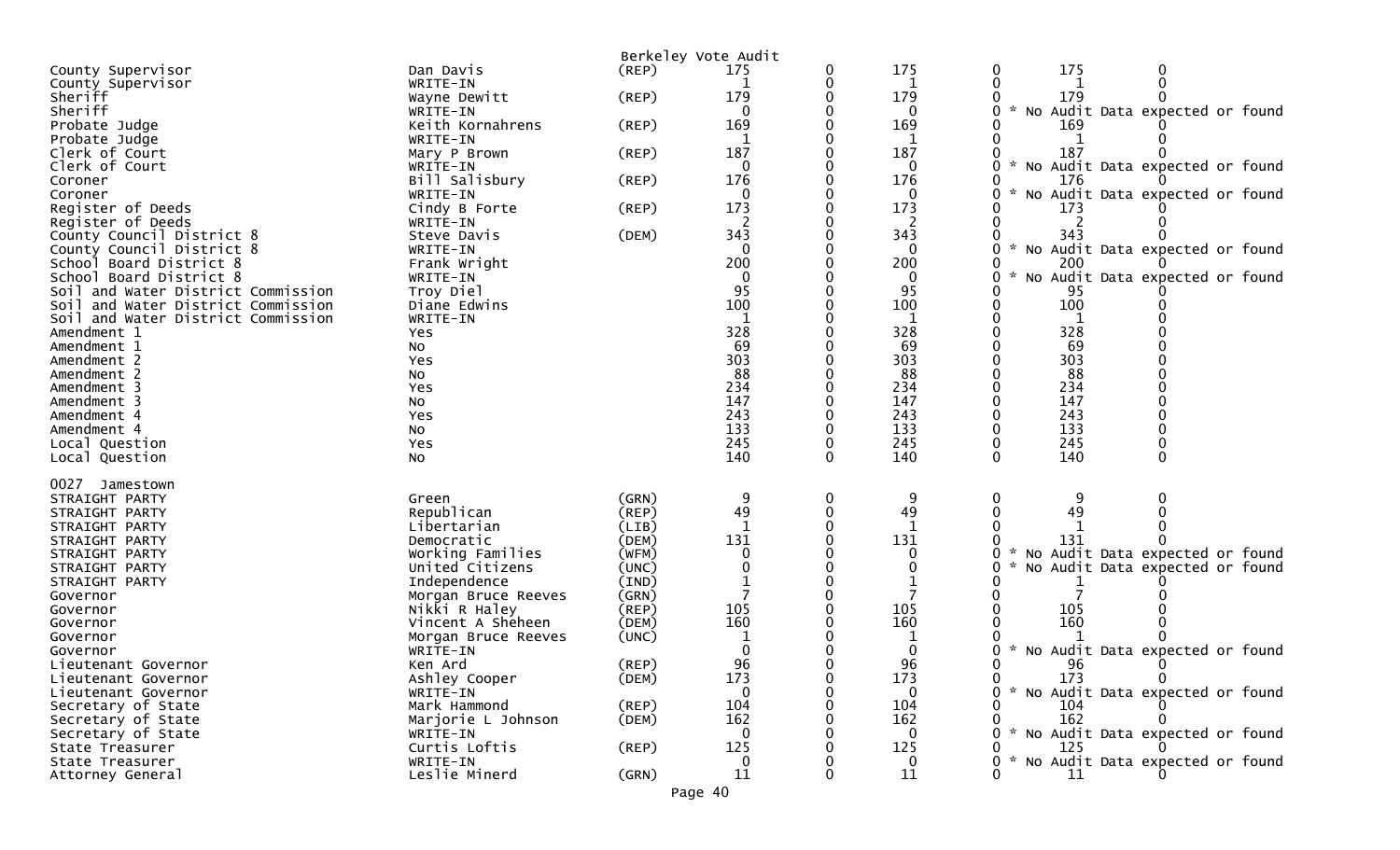| 175<br>175<br>County Supervisor<br>Dan Davis<br>(REP)<br>0<br>175<br>0<br>County Supervisor<br>WRITE-IN<br>1<br>179<br>Sheriff<br>179<br>179<br>(REP)<br>Wayne Dewitt<br>* No Audit Data expected or found<br>Sheriff<br>WRITE-IN<br>0<br>0<br>169<br>169<br>Keith Kornahrens<br>(REP)<br>169<br>Probate Judge<br>Probate Judge<br>WRITE-IN<br>187<br>187<br>Clerk of Court<br>187<br>Mary P Brown<br>(REP)<br>* No Audit Data expected or found<br>Clerk of Court<br>WRITE-IN<br>$\Omega$<br>0<br>176<br>176<br>Bill Salisbury<br>(REP)<br>176<br>Coroner<br>No Audit Data expected or found<br>WRITE-IN<br>$\mathbf{0}$<br>$\mathcal{H}$<br>Coroner<br>0<br>Register of Deeds<br>173<br>173<br>Cindy B Forte<br>(REP)<br>173<br>Register of Deeds<br>WRITE-IN<br>343<br>343<br>343<br>County Council District 8<br>Steve Davis<br>(DEM)<br>$\mathcal{H}$<br>County Council District 8<br>No Audit Data expected or found<br>WRITE-IN<br>$\Omega$<br>$\Omega$<br>200<br>200<br>School Board District 8<br>Frank Wright<br>200<br>No Audit Data expected or found<br>School Board District 8<br>WRITE-IN<br>$\Omega$<br>0<br>95<br>95<br>Soil and Water District Commission<br>Troy Diel<br>95<br>100<br>100<br>Soil and Water District Commission<br>Diane Edwins<br>100<br>Soil and Water District Commission<br>WRITE-IN<br>1<br>1<br>328<br>328<br>328<br>Amendment 1<br>Yes<br>69<br>69<br>69<br>Amendment 1<br>No<br>303<br>303<br>303<br>Amendment 2<br>Yes<br>88<br>88<br>88<br>Amendment 2<br>No<br>234<br>234<br>234<br>Amendment 3<br>Yes<br>147<br>147<br>147<br>Amendment 3<br>No<br>243<br>243<br>243<br>Amendment 4<br>Yes<br>133<br>133<br>133<br>Amendment 4<br>No<br>245<br>245<br>245<br>Local Question<br>Yes<br>140<br>140<br>140<br>No<br>0<br>Local Question<br>0027<br>Jamestown<br>(GRN)<br>9<br>0<br>9<br>STRAIGHT PARTY<br>Green<br>0<br>49<br>49<br>49<br>Republican<br>(REP)<br>STRAIGHT PARTY<br>Libertarian<br>(LIB)<br>STRAIGHT PARTY<br>131<br>131<br>131<br>STRAIGHT PARTY<br>Democratic<br>(DEM)<br>No Audit Data expected or found<br>Working Families<br>(WFM)<br>0<br>STRAIGHT PARTY<br>United Citizens<br>(UNC)<br>No Audit Data expected or found<br>STRAIGHT PARTY<br>0<br>STRAIGHT PARTY<br>Independence<br>(IND)<br>(GRN)<br>Governor<br>Morgan Bruce Reeves<br>105<br>Nikki R Haley<br>(REP)<br>105<br>105<br>Governor<br>160<br>160<br>160<br>Vincent A Sheheen<br>(DEM)<br>Governor<br>(UNC)<br>Governor<br>Morgan Bruce Reeves<br>* No Audit Data expected or found<br>0<br>WRITE-IN<br>Governor<br>96<br>96<br>(REP)<br>96<br>Lieutenant Governor<br>Ken Ard<br>173<br>173<br>173<br>(DEM)<br>$\Omega$<br>Ashley Cooper<br>Lieutenant Governor<br>WRITE-IN<br>* No Audit Data expected or found<br>Lieutenant Governor<br>$\Omega$<br>0<br>$($ REP $)$<br>104<br>104<br>104<br>Secretary of State<br>Mark Hammond<br>162<br>162<br>162<br>(DEM)<br>Secretary of State<br>Marjorie L Johnson<br>* No Audit Data expected or found<br>Secretary of State<br>$\Omega$<br>0<br>WRITE-IN<br>125<br>Curtis Loftis<br>(REP)<br>125<br>125<br>State Treasurer<br>* No Audit Data expected or found<br>WRITE-IN<br>0<br>State Treasurer<br>0<br>Leslie Minerd<br>11<br>11<br>11<br>(GRN)<br>Attorney General |  | Berkeley Vote Audit |  |  |
|-----------------------------------------------------------------------------------------------------------------------------------------------------------------------------------------------------------------------------------------------------------------------------------------------------------------------------------------------------------------------------------------------------------------------------------------------------------------------------------------------------------------------------------------------------------------------------------------------------------------------------------------------------------------------------------------------------------------------------------------------------------------------------------------------------------------------------------------------------------------------------------------------------------------------------------------------------------------------------------------------------------------------------------------------------------------------------------------------------------------------------------------------------------------------------------------------------------------------------------------------------------------------------------------------------------------------------------------------------------------------------------------------------------------------------------------------------------------------------------------------------------------------------------------------------------------------------------------------------------------------------------------------------------------------------------------------------------------------------------------------------------------------------------------------------------------------------------------------------------------------------------------------------------------------------------------------------------------------------------------------------------------------------------------------------------------------------------------------------------------------------------------------------------------------------------------------------------------------------------------------------------------------------------------------------------------------------------------------------------------------------------------------------------------------------------------------------------------------------------------------------------------------------------------------------------------------------------------------------------------------------------------------------------------------------------------------------------------------------------------------------------------------------------------------------------------------------------------------------------------------------------------------------------------------------------------------------------------------------------------------------------------------------------------------------------------------------------------------------------------------------------------------------------------------------------------------------------------------------------------------------|--|---------------------|--|--|
|                                                                                                                                                                                                                                                                                                                                                                                                                                                                                                                                                                                                                                                                                                                                                                                                                                                                                                                                                                                                                                                                                                                                                                                                                                                                                                                                                                                                                                                                                                                                                                                                                                                                                                                                                                                                                                                                                                                                                                                                                                                                                                                                                                                                                                                                                                                                                                                                                                                                                                                                                                                                                                                                                                                                                                                                                                                                                                                                                                                                                                                                                                                                                                                                                                                     |  |                     |  |  |
|                                                                                                                                                                                                                                                                                                                                                                                                                                                                                                                                                                                                                                                                                                                                                                                                                                                                                                                                                                                                                                                                                                                                                                                                                                                                                                                                                                                                                                                                                                                                                                                                                                                                                                                                                                                                                                                                                                                                                                                                                                                                                                                                                                                                                                                                                                                                                                                                                                                                                                                                                                                                                                                                                                                                                                                                                                                                                                                                                                                                                                                                                                                                                                                                                                                     |  |                     |  |  |
|                                                                                                                                                                                                                                                                                                                                                                                                                                                                                                                                                                                                                                                                                                                                                                                                                                                                                                                                                                                                                                                                                                                                                                                                                                                                                                                                                                                                                                                                                                                                                                                                                                                                                                                                                                                                                                                                                                                                                                                                                                                                                                                                                                                                                                                                                                                                                                                                                                                                                                                                                                                                                                                                                                                                                                                                                                                                                                                                                                                                                                                                                                                                                                                                                                                     |  |                     |  |  |
|                                                                                                                                                                                                                                                                                                                                                                                                                                                                                                                                                                                                                                                                                                                                                                                                                                                                                                                                                                                                                                                                                                                                                                                                                                                                                                                                                                                                                                                                                                                                                                                                                                                                                                                                                                                                                                                                                                                                                                                                                                                                                                                                                                                                                                                                                                                                                                                                                                                                                                                                                                                                                                                                                                                                                                                                                                                                                                                                                                                                                                                                                                                                                                                                                                                     |  |                     |  |  |
|                                                                                                                                                                                                                                                                                                                                                                                                                                                                                                                                                                                                                                                                                                                                                                                                                                                                                                                                                                                                                                                                                                                                                                                                                                                                                                                                                                                                                                                                                                                                                                                                                                                                                                                                                                                                                                                                                                                                                                                                                                                                                                                                                                                                                                                                                                                                                                                                                                                                                                                                                                                                                                                                                                                                                                                                                                                                                                                                                                                                                                                                                                                                                                                                                                                     |  |                     |  |  |
|                                                                                                                                                                                                                                                                                                                                                                                                                                                                                                                                                                                                                                                                                                                                                                                                                                                                                                                                                                                                                                                                                                                                                                                                                                                                                                                                                                                                                                                                                                                                                                                                                                                                                                                                                                                                                                                                                                                                                                                                                                                                                                                                                                                                                                                                                                                                                                                                                                                                                                                                                                                                                                                                                                                                                                                                                                                                                                                                                                                                                                                                                                                                                                                                                                                     |  |                     |  |  |
|                                                                                                                                                                                                                                                                                                                                                                                                                                                                                                                                                                                                                                                                                                                                                                                                                                                                                                                                                                                                                                                                                                                                                                                                                                                                                                                                                                                                                                                                                                                                                                                                                                                                                                                                                                                                                                                                                                                                                                                                                                                                                                                                                                                                                                                                                                                                                                                                                                                                                                                                                                                                                                                                                                                                                                                                                                                                                                                                                                                                                                                                                                                                                                                                                                                     |  |                     |  |  |
|                                                                                                                                                                                                                                                                                                                                                                                                                                                                                                                                                                                                                                                                                                                                                                                                                                                                                                                                                                                                                                                                                                                                                                                                                                                                                                                                                                                                                                                                                                                                                                                                                                                                                                                                                                                                                                                                                                                                                                                                                                                                                                                                                                                                                                                                                                                                                                                                                                                                                                                                                                                                                                                                                                                                                                                                                                                                                                                                                                                                                                                                                                                                                                                                                                                     |  |                     |  |  |
|                                                                                                                                                                                                                                                                                                                                                                                                                                                                                                                                                                                                                                                                                                                                                                                                                                                                                                                                                                                                                                                                                                                                                                                                                                                                                                                                                                                                                                                                                                                                                                                                                                                                                                                                                                                                                                                                                                                                                                                                                                                                                                                                                                                                                                                                                                                                                                                                                                                                                                                                                                                                                                                                                                                                                                                                                                                                                                                                                                                                                                                                                                                                                                                                                                                     |  |                     |  |  |
|                                                                                                                                                                                                                                                                                                                                                                                                                                                                                                                                                                                                                                                                                                                                                                                                                                                                                                                                                                                                                                                                                                                                                                                                                                                                                                                                                                                                                                                                                                                                                                                                                                                                                                                                                                                                                                                                                                                                                                                                                                                                                                                                                                                                                                                                                                                                                                                                                                                                                                                                                                                                                                                                                                                                                                                                                                                                                                                                                                                                                                                                                                                                                                                                                                                     |  |                     |  |  |
|                                                                                                                                                                                                                                                                                                                                                                                                                                                                                                                                                                                                                                                                                                                                                                                                                                                                                                                                                                                                                                                                                                                                                                                                                                                                                                                                                                                                                                                                                                                                                                                                                                                                                                                                                                                                                                                                                                                                                                                                                                                                                                                                                                                                                                                                                                                                                                                                                                                                                                                                                                                                                                                                                                                                                                                                                                                                                                                                                                                                                                                                                                                                                                                                                                                     |  |                     |  |  |
|                                                                                                                                                                                                                                                                                                                                                                                                                                                                                                                                                                                                                                                                                                                                                                                                                                                                                                                                                                                                                                                                                                                                                                                                                                                                                                                                                                                                                                                                                                                                                                                                                                                                                                                                                                                                                                                                                                                                                                                                                                                                                                                                                                                                                                                                                                                                                                                                                                                                                                                                                                                                                                                                                                                                                                                                                                                                                                                                                                                                                                                                                                                                                                                                                                                     |  |                     |  |  |
|                                                                                                                                                                                                                                                                                                                                                                                                                                                                                                                                                                                                                                                                                                                                                                                                                                                                                                                                                                                                                                                                                                                                                                                                                                                                                                                                                                                                                                                                                                                                                                                                                                                                                                                                                                                                                                                                                                                                                                                                                                                                                                                                                                                                                                                                                                                                                                                                                                                                                                                                                                                                                                                                                                                                                                                                                                                                                                                                                                                                                                                                                                                                                                                                                                                     |  |                     |  |  |
|                                                                                                                                                                                                                                                                                                                                                                                                                                                                                                                                                                                                                                                                                                                                                                                                                                                                                                                                                                                                                                                                                                                                                                                                                                                                                                                                                                                                                                                                                                                                                                                                                                                                                                                                                                                                                                                                                                                                                                                                                                                                                                                                                                                                                                                                                                                                                                                                                                                                                                                                                                                                                                                                                                                                                                                                                                                                                                                                                                                                                                                                                                                                                                                                                                                     |  |                     |  |  |
|                                                                                                                                                                                                                                                                                                                                                                                                                                                                                                                                                                                                                                                                                                                                                                                                                                                                                                                                                                                                                                                                                                                                                                                                                                                                                                                                                                                                                                                                                                                                                                                                                                                                                                                                                                                                                                                                                                                                                                                                                                                                                                                                                                                                                                                                                                                                                                                                                                                                                                                                                                                                                                                                                                                                                                                                                                                                                                                                                                                                                                                                                                                                                                                                                                                     |  |                     |  |  |
|                                                                                                                                                                                                                                                                                                                                                                                                                                                                                                                                                                                                                                                                                                                                                                                                                                                                                                                                                                                                                                                                                                                                                                                                                                                                                                                                                                                                                                                                                                                                                                                                                                                                                                                                                                                                                                                                                                                                                                                                                                                                                                                                                                                                                                                                                                                                                                                                                                                                                                                                                                                                                                                                                                                                                                                                                                                                                                                                                                                                                                                                                                                                                                                                                                                     |  |                     |  |  |
|                                                                                                                                                                                                                                                                                                                                                                                                                                                                                                                                                                                                                                                                                                                                                                                                                                                                                                                                                                                                                                                                                                                                                                                                                                                                                                                                                                                                                                                                                                                                                                                                                                                                                                                                                                                                                                                                                                                                                                                                                                                                                                                                                                                                                                                                                                                                                                                                                                                                                                                                                                                                                                                                                                                                                                                                                                                                                                                                                                                                                                                                                                                                                                                                                                                     |  |                     |  |  |
|                                                                                                                                                                                                                                                                                                                                                                                                                                                                                                                                                                                                                                                                                                                                                                                                                                                                                                                                                                                                                                                                                                                                                                                                                                                                                                                                                                                                                                                                                                                                                                                                                                                                                                                                                                                                                                                                                                                                                                                                                                                                                                                                                                                                                                                                                                                                                                                                                                                                                                                                                                                                                                                                                                                                                                                                                                                                                                                                                                                                                                                                                                                                                                                                                                                     |  |                     |  |  |
|                                                                                                                                                                                                                                                                                                                                                                                                                                                                                                                                                                                                                                                                                                                                                                                                                                                                                                                                                                                                                                                                                                                                                                                                                                                                                                                                                                                                                                                                                                                                                                                                                                                                                                                                                                                                                                                                                                                                                                                                                                                                                                                                                                                                                                                                                                                                                                                                                                                                                                                                                                                                                                                                                                                                                                                                                                                                                                                                                                                                                                                                                                                                                                                                                                                     |  |                     |  |  |
|                                                                                                                                                                                                                                                                                                                                                                                                                                                                                                                                                                                                                                                                                                                                                                                                                                                                                                                                                                                                                                                                                                                                                                                                                                                                                                                                                                                                                                                                                                                                                                                                                                                                                                                                                                                                                                                                                                                                                                                                                                                                                                                                                                                                                                                                                                                                                                                                                                                                                                                                                                                                                                                                                                                                                                                                                                                                                                                                                                                                                                                                                                                                                                                                                                                     |  |                     |  |  |
|                                                                                                                                                                                                                                                                                                                                                                                                                                                                                                                                                                                                                                                                                                                                                                                                                                                                                                                                                                                                                                                                                                                                                                                                                                                                                                                                                                                                                                                                                                                                                                                                                                                                                                                                                                                                                                                                                                                                                                                                                                                                                                                                                                                                                                                                                                                                                                                                                                                                                                                                                                                                                                                                                                                                                                                                                                                                                                                                                                                                                                                                                                                                                                                                                                                     |  |                     |  |  |
|                                                                                                                                                                                                                                                                                                                                                                                                                                                                                                                                                                                                                                                                                                                                                                                                                                                                                                                                                                                                                                                                                                                                                                                                                                                                                                                                                                                                                                                                                                                                                                                                                                                                                                                                                                                                                                                                                                                                                                                                                                                                                                                                                                                                                                                                                                                                                                                                                                                                                                                                                                                                                                                                                                                                                                                                                                                                                                                                                                                                                                                                                                                                                                                                                                                     |  |                     |  |  |
|                                                                                                                                                                                                                                                                                                                                                                                                                                                                                                                                                                                                                                                                                                                                                                                                                                                                                                                                                                                                                                                                                                                                                                                                                                                                                                                                                                                                                                                                                                                                                                                                                                                                                                                                                                                                                                                                                                                                                                                                                                                                                                                                                                                                                                                                                                                                                                                                                                                                                                                                                                                                                                                                                                                                                                                                                                                                                                                                                                                                                                                                                                                                                                                                                                                     |  |                     |  |  |
|                                                                                                                                                                                                                                                                                                                                                                                                                                                                                                                                                                                                                                                                                                                                                                                                                                                                                                                                                                                                                                                                                                                                                                                                                                                                                                                                                                                                                                                                                                                                                                                                                                                                                                                                                                                                                                                                                                                                                                                                                                                                                                                                                                                                                                                                                                                                                                                                                                                                                                                                                                                                                                                                                                                                                                                                                                                                                                                                                                                                                                                                                                                                                                                                                                                     |  |                     |  |  |
|                                                                                                                                                                                                                                                                                                                                                                                                                                                                                                                                                                                                                                                                                                                                                                                                                                                                                                                                                                                                                                                                                                                                                                                                                                                                                                                                                                                                                                                                                                                                                                                                                                                                                                                                                                                                                                                                                                                                                                                                                                                                                                                                                                                                                                                                                                                                                                                                                                                                                                                                                                                                                                                                                                                                                                                                                                                                                                                                                                                                                                                                                                                                                                                                                                                     |  |                     |  |  |
|                                                                                                                                                                                                                                                                                                                                                                                                                                                                                                                                                                                                                                                                                                                                                                                                                                                                                                                                                                                                                                                                                                                                                                                                                                                                                                                                                                                                                                                                                                                                                                                                                                                                                                                                                                                                                                                                                                                                                                                                                                                                                                                                                                                                                                                                                                                                                                                                                                                                                                                                                                                                                                                                                                                                                                                                                                                                                                                                                                                                                                                                                                                                                                                                                                                     |  |                     |  |  |
|                                                                                                                                                                                                                                                                                                                                                                                                                                                                                                                                                                                                                                                                                                                                                                                                                                                                                                                                                                                                                                                                                                                                                                                                                                                                                                                                                                                                                                                                                                                                                                                                                                                                                                                                                                                                                                                                                                                                                                                                                                                                                                                                                                                                                                                                                                                                                                                                                                                                                                                                                                                                                                                                                                                                                                                                                                                                                                                                                                                                                                                                                                                                                                                                                                                     |  |                     |  |  |
|                                                                                                                                                                                                                                                                                                                                                                                                                                                                                                                                                                                                                                                                                                                                                                                                                                                                                                                                                                                                                                                                                                                                                                                                                                                                                                                                                                                                                                                                                                                                                                                                                                                                                                                                                                                                                                                                                                                                                                                                                                                                                                                                                                                                                                                                                                                                                                                                                                                                                                                                                                                                                                                                                                                                                                                                                                                                                                                                                                                                                                                                                                                                                                                                                                                     |  |                     |  |  |
|                                                                                                                                                                                                                                                                                                                                                                                                                                                                                                                                                                                                                                                                                                                                                                                                                                                                                                                                                                                                                                                                                                                                                                                                                                                                                                                                                                                                                                                                                                                                                                                                                                                                                                                                                                                                                                                                                                                                                                                                                                                                                                                                                                                                                                                                                                                                                                                                                                                                                                                                                                                                                                                                                                                                                                                                                                                                                                                                                                                                                                                                                                                                                                                                                                                     |  |                     |  |  |
|                                                                                                                                                                                                                                                                                                                                                                                                                                                                                                                                                                                                                                                                                                                                                                                                                                                                                                                                                                                                                                                                                                                                                                                                                                                                                                                                                                                                                                                                                                                                                                                                                                                                                                                                                                                                                                                                                                                                                                                                                                                                                                                                                                                                                                                                                                                                                                                                                                                                                                                                                                                                                                                                                                                                                                                                                                                                                                                                                                                                                                                                                                                                                                                                                                                     |  |                     |  |  |
|                                                                                                                                                                                                                                                                                                                                                                                                                                                                                                                                                                                                                                                                                                                                                                                                                                                                                                                                                                                                                                                                                                                                                                                                                                                                                                                                                                                                                                                                                                                                                                                                                                                                                                                                                                                                                                                                                                                                                                                                                                                                                                                                                                                                                                                                                                                                                                                                                                                                                                                                                                                                                                                                                                                                                                                                                                                                                                                                                                                                                                                                                                                                                                                                                                                     |  |                     |  |  |
|                                                                                                                                                                                                                                                                                                                                                                                                                                                                                                                                                                                                                                                                                                                                                                                                                                                                                                                                                                                                                                                                                                                                                                                                                                                                                                                                                                                                                                                                                                                                                                                                                                                                                                                                                                                                                                                                                                                                                                                                                                                                                                                                                                                                                                                                                                                                                                                                                                                                                                                                                                                                                                                                                                                                                                                                                                                                                                                                                                                                                                                                                                                                                                                                                                                     |  |                     |  |  |
|                                                                                                                                                                                                                                                                                                                                                                                                                                                                                                                                                                                                                                                                                                                                                                                                                                                                                                                                                                                                                                                                                                                                                                                                                                                                                                                                                                                                                                                                                                                                                                                                                                                                                                                                                                                                                                                                                                                                                                                                                                                                                                                                                                                                                                                                                                                                                                                                                                                                                                                                                                                                                                                                                                                                                                                                                                                                                                                                                                                                                                                                                                                                                                                                                                                     |  |                     |  |  |
|                                                                                                                                                                                                                                                                                                                                                                                                                                                                                                                                                                                                                                                                                                                                                                                                                                                                                                                                                                                                                                                                                                                                                                                                                                                                                                                                                                                                                                                                                                                                                                                                                                                                                                                                                                                                                                                                                                                                                                                                                                                                                                                                                                                                                                                                                                                                                                                                                                                                                                                                                                                                                                                                                                                                                                                                                                                                                                                                                                                                                                                                                                                                                                                                                                                     |  |                     |  |  |
|                                                                                                                                                                                                                                                                                                                                                                                                                                                                                                                                                                                                                                                                                                                                                                                                                                                                                                                                                                                                                                                                                                                                                                                                                                                                                                                                                                                                                                                                                                                                                                                                                                                                                                                                                                                                                                                                                                                                                                                                                                                                                                                                                                                                                                                                                                                                                                                                                                                                                                                                                                                                                                                                                                                                                                                                                                                                                                                                                                                                                                                                                                                                                                                                                                                     |  |                     |  |  |
|                                                                                                                                                                                                                                                                                                                                                                                                                                                                                                                                                                                                                                                                                                                                                                                                                                                                                                                                                                                                                                                                                                                                                                                                                                                                                                                                                                                                                                                                                                                                                                                                                                                                                                                                                                                                                                                                                                                                                                                                                                                                                                                                                                                                                                                                                                                                                                                                                                                                                                                                                                                                                                                                                                                                                                                                                                                                                                                                                                                                                                                                                                                                                                                                                                                     |  |                     |  |  |
|                                                                                                                                                                                                                                                                                                                                                                                                                                                                                                                                                                                                                                                                                                                                                                                                                                                                                                                                                                                                                                                                                                                                                                                                                                                                                                                                                                                                                                                                                                                                                                                                                                                                                                                                                                                                                                                                                                                                                                                                                                                                                                                                                                                                                                                                                                                                                                                                                                                                                                                                                                                                                                                                                                                                                                                                                                                                                                                                                                                                                                                                                                                                                                                                                                                     |  |                     |  |  |
|                                                                                                                                                                                                                                                                                                                                                                                                                                                                                                                                                                                                                                                                                                                                                                                                                                                                                                                                                                                                                                                                                                                                                                                                                                                                                                                                                                                                                                                                                                                                                                                                                                                                                                                                                                                                                                                                                                                                                                                                                                                                                                                                                                                                                                                                                                                                                                                                                                                                                                                                                                                                                                                                                                                                                                                                                                                                                                                                                                                                                                                                                                                                                                                                                                                     |  |                     |  |  |
|                                                                                                                                                                                                                                                                                                                                                                                                                                                                                                                                                                                                                                                                                                                                                                                                                                                                                                                                                                                                                                                                                                                                                                                                                                                                                                                                                                                                                                                                                                                                                                                                                                                                                                                                                                                                                                                                                                                                                                                                                                                                                                                                                                                                                                                                                                                                                                                                                                                                                                                                                                                                                                                                                                                                                                                                                                                                                                                                                                                                                                                                                                                                                                                                                                                     |  |                     |  |  |
|                                                                                                                                                                                                                                                                                                                                                                                                                                                                                                                                                                                                                                                                                                                                                                                                                                                                                                                                                                                                                                                                                                                                                                                                                                                                                                                                                                                                                                                                                                                                                                                                                                                                                                                                                                                                                                                                                                                                                                                                                                                                                                                                                                                                                                                                                                                                                                                                                                                                                                                                                                                                                                                                                                                                                                                                                                                                                                                                                                                                                                                                                                                                                                                                                                                     |  |                     |  |  |
|                                                                                                                                                                                                                                                                                                                                                                                                                                                                                                                                                                                                                                                                                                                                                                                                                                                                                                                                                                                                                                                                                                                                                                                                                                                                                                                                                                                                                                                                                                                                                                                                                                                                                                                                                                                                                                                                                                                                                                                                                                                                                                                                                                                                                                                                                                                                                                                                                                                                                                                                                                                                                                                                                                                                                                                                                                                                                                                                                                                                                                                                                                                                                                                                                                                     |  |                     |  |  |
|                                                                                                                                                                                                                                                                                                                                                                                                                                                                                                                                                                                                                                                                                                                                                                                                                                                                                                                                                                                                                                                                                                                                                                                                                                                                                                                                                                                                                                                                                                                                                                                                                                                                                                                                                                                                                                                                                                                                                                                                                                                                                                                                                                                                                                                                                                                                                                                                                                                                                                                                                                                                                                                                                                                                                                                                                                                                                                                                                                                                                                                                                                                                                                                                                                                     |  |                     |  |  |
|                                                                                                                                                                                                                                                                                                                                                                                                                                                                                                                                                                                                                                                                                                                                                                                                                                                                                                                                                                                                                                                                                                                                                                                                                                                                                                                                                                                                                                                                                                                                                                                                                                                                                                                                                                                                                                                                                                                                                                                                                                                                                                                                                                                                                                                                                                                                                                                                                                                                                                                                                                                                                                                                                                                                                                                                                                                                                                                                                                                                                                                                                                                                                                                                                                                     |  |                     |  |  |
|                                                                                                                                                                                                                                                                                                                                                                                                                                                                                                                                                                                                                                                                                                                                                                                                                                                                                                                                                                                                                                                                                                                                                                                                                                                                                                                                                                                                                                                                                                                                                                                                                                                                                                                                                                                                                                                                                                                                                                                                                                                                                                                                                                                                                                                                                                                                                                                                                                                                                                                                                                                                                                                                                                                                                                                                                                                                                                                                                                                                                                                                                                                                                                                                                                                     |  |                     |  |  |
|                                                                                                                                                                                                                                                                                                                                                                                                                                                                                                                                                                                                                                                                                                                                                                                                                                                                                                                                                                                                                                                                                                                                                                                                                                                                                                                                                                                                                                                                                                                                                                                                                                                                                                                                                                                                                                                                                                                                                                                                                                                                                                                                                                                                                                                                                                                                                                                                                                                                                                                                                                                                                                                                                                                                                                                                                                                                                                                                                                                                                                                                                                                                                                                                                                                     |  |                     |  |  |
|                                                                                                                                                                                                                                                                                                                                                                                                                                                                                                                                                                                                                                                                                                                                                                                                                                                                                                                                                                                                                                                                                                                                                                                                                                                                                                                                                                                                                                                                                                                                                                                                                                                                                                                                                                                                                                                                                                                                                                                                                                                                                                                                                                                                                                                                                                                                                                                                                                                                                                                                                                                                                                                                                                                                                                                                                                                                                                                                                                                                                                                                                                                                                                                                                                                     |  |                     |  |  |
|                                                                                                                                                                                                                                                                                                                                                                                                                                                                                                                                                                                                                                                                                                                                                                                                                                                                                                                                                                                                                                                                                                                                                                                                                                                                                                                                                                                                                                                                                                                                                                                                                                                                                                                                                                                                                                                                                                                                                                                                                                                                                                                                                                                                                                                                                                                                                                                                                                                                                                                                                                                                                                                                                                                                                                                                                                                                                                                                                                                                                                                                                                                                                                                                                                                     |  |                     |  |  |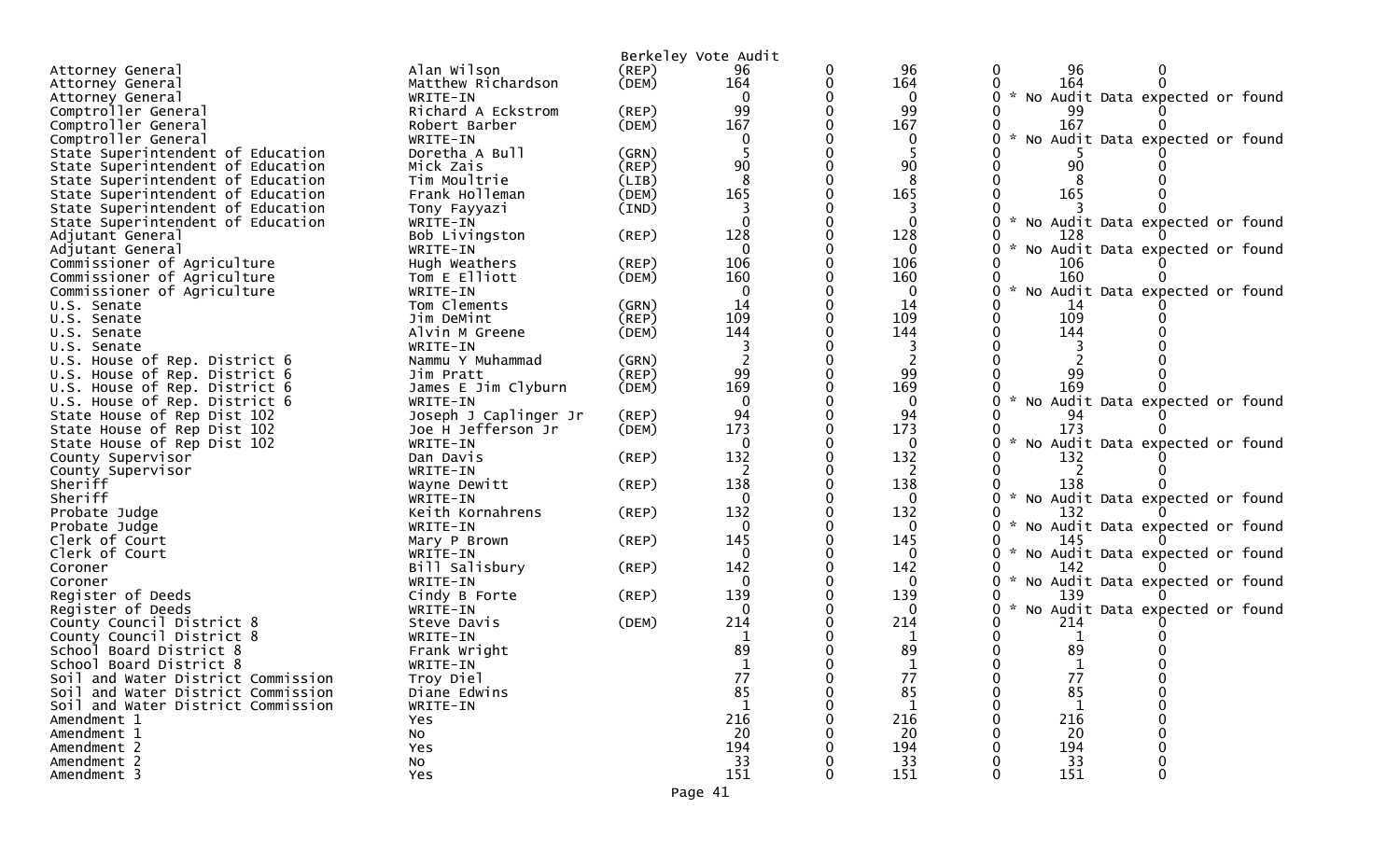|                                                            |                           |             | Berkeley Vote Audit |                 |                                                                     |
|------------------------------------------------------------|---------------------------|-------------|---------------------|-----------------|---------------------------------------------------------------------|
| Attorney General                                           | Alan Wilson               | $($ REP $)$ | 96                  | 96              | 96<br>$\bf{0}$                                                      |
| Attorney General                                           | Matthew Richardson        | (DEM)       | 164                 | 164             | 164                                                                 |
| Attorney General                                           | WRITE-IN                  |             |                     | $\Omega$        | * No Audit Data expected or found                                   |
| Comptroller General                                        | Richard A Eckstrom        | (REP)       | 99                  | 99              | 99                                                                  |
| Comptroller General                                        | Robert Barber             | (DEM)       | 167                 | 167             | 167                                                                 |
| Comptroller General                                        | WRITE-IN                  |             |                     |                 | $\sim$<br>No Audit Data expected or found                           |
| State Superintendent of Education                          | Doretha A Bull            | (GRN)       |                     | -5              |                                                                     |
| State Superintendent of Education                          | Mick Zais                 | $($ REP $)$ | 90                  | 90              | 90                                                                  |
| State Superintendent of Education                          | Tim Moultrie              | (LIB)       |                     |                 |                                                                     |
| State Superintendent of Education                          | Frank Holleman            | (DEM)       | 165                 | 165             | 165                                                                 |
| State Superintendent of Education                          | Tony Fayyazi              | (IND)       |                     |                 | $\mathcal{H}^{\pm}$                                                 |
| State Superintendent of Education                          | WRITE-IN                  |             |                     | $\Omega$        | No Audit Data expected or found<br>128                              |
| Adjutant General                                           | Bob Livingston            | (REP)       | 128<br>$\Omega$     | 128<br>$\Omega$ | $\sim$                                                              |
| Adjutant General                                           | WRITE-IN<br>Hugh Weathers | (REP)       | 106                 | 106             | No Audit Data expected or found<br>106                              |
| Commissioner of Agriculture<br>Commissioner of Agriculture | Tom E Elliott             | (DEM)       | 160                 | 160             | 160                                                                 |
| Commissioner of Agriculture                                | WRITE-IN                  |             |                     | 0               | $\sim$<br>No Audit Data expected or found                           |
| U.S. Senate                                                | Tom Clements              | (GRN)       | 14                  | 14              | 14                                                                  |
| U.S. Senate                                                | Jim DeMint                | $($ REP $)$ | 109                 | 109             | 109                                                                 |
| U.S. Senate                                                | Alvin M Greene            | (DEM)       | 144                 | 144             | 144                                                                 |
| U.S. Senate                                                | WRITE-IN                  |             |                     |                 |                                                                     |
| U.S. House of Rep. District 6                              | Nammu Y Muhammad          | (GRN)       |                     | 2               |                                                                     |
| U.S. House of Rep. District 6                              | Jim Pratt                 | $($ REP $)$ | 99                  | 99              | 99                                                                  |
| U.S. House of Rep. District 6                              | James E Jim Clyburn       | (DEM)       | 169                 | 169             | 169                                                                 |
| U.S. House of Rep. District 6                              | WRITE-IN                  |             | $\Omega$            | $\Omega$        | * No Audit Data expected or found                                   |
| State House of Rep Dist 102                                | Joseph J Caplinger Jr     | (REP)       | 94                  | 94              | 94                                                                  |
| State House of Rep Dist 102                                | Joe H Jefferson Jr        | (DEM)       | 173                 | 173             | 173                                                                 |
| State House of Rep Dist 102                                | WRITE-IN                  |             | $\Omega$            | $\Omega$        | * No Audit Data expected or found                                   |
| County Supervisor                                          | Dan Davis                 | $($ REP $)$ | 132                 | 132             | 132                                                                 |
| County Supervisor                                          | WRITE-IN                  |             |                     |                 |                                                                     |
| Sheriff                                                    | Wayne Dewitt              | $($ REP $)$ | 138                 | 138             | 138                                                                 |
| Sheriff                                                    | WRITE-IN                  |             |                     | $\Omega$        | $\mathcal{H}$<br>No Audit Data expected or found                    |
| Probate Judge                                              | Keith Kornahrens          | (REP)       | 132                 | 132             | 132                                                                 |
| Probate Judge                                              | WRITE-IN                  |             | 0                   | $\Omega$        | * No Audit Data expected or found                                   |
| Clerk of Court                                             | Mary P Brown              | $($ REP $)$ | 145                 | 145             | 145                                                                 |
| Clerk of Court                                             | WRITE-IN                  |             | ∩                   | $\Omega$        | $\mathcal{H}^{\mathcal{A}}$<br>No Audit Data expected or found<br>0 |
| Coroner                                                    | Bill Salisbury            | $($ REP $)$ | 142                 | 142             | 142                                                                 |
| Coroner                                                    | WRITE-IN                  |             |                     | 0               | * No Audit Data expected or found                                   |
| Register of Deeds                                          | Cindy B Forte             | (REP)       | 139                 | 139             | 139<br>$\mathcal{H}$                                                |
| Register of Deeds                                          | WRITE-IN                  | (DEM)       | 0<br>214            | $\Omega$<br>214 | No Audit Data expected or found<br>214                              |
| County Council District 8<br>County Council District 8     | Steve Davis<br>WRITE-IN   |             | 1                   | 1               |                                                                     |
| School Board District 8                                    | Frank Wright              |             | 89                  | 89              | 89                                                                  |
| School Board District 8                                    | WRITE-IN                  |             |                     |                 |                                                                     |
| Soil and Water District Commission                         | Troy Diel                 |             | 77                  | 77              | 77                                                                  |
| Soil and Water District Commission                         | Diane Edwins              |             | 85                  | 85              | 85                                                                  |
| Soil and Water District Commission                         | WRITE-IN                  |             |                     |                 |                                                                     |
| Amendment 1                                                | Yes                       |             | 216                 | 216             | 216                                                                 |
| Amendment 1                                                | <b>NO</b>                 |             | 20                  | 20              | 20                                                                  |
| Amendment 2                                                | Yes                       |             | 194                 | 194             | 194                                                                 |
| Amendment 2                                                | No                        |             | 33                  | 33              | 33                                                                  |
| Amendment 3                                                | Yes                       |             | 151                 | 151             | 151                                                                 |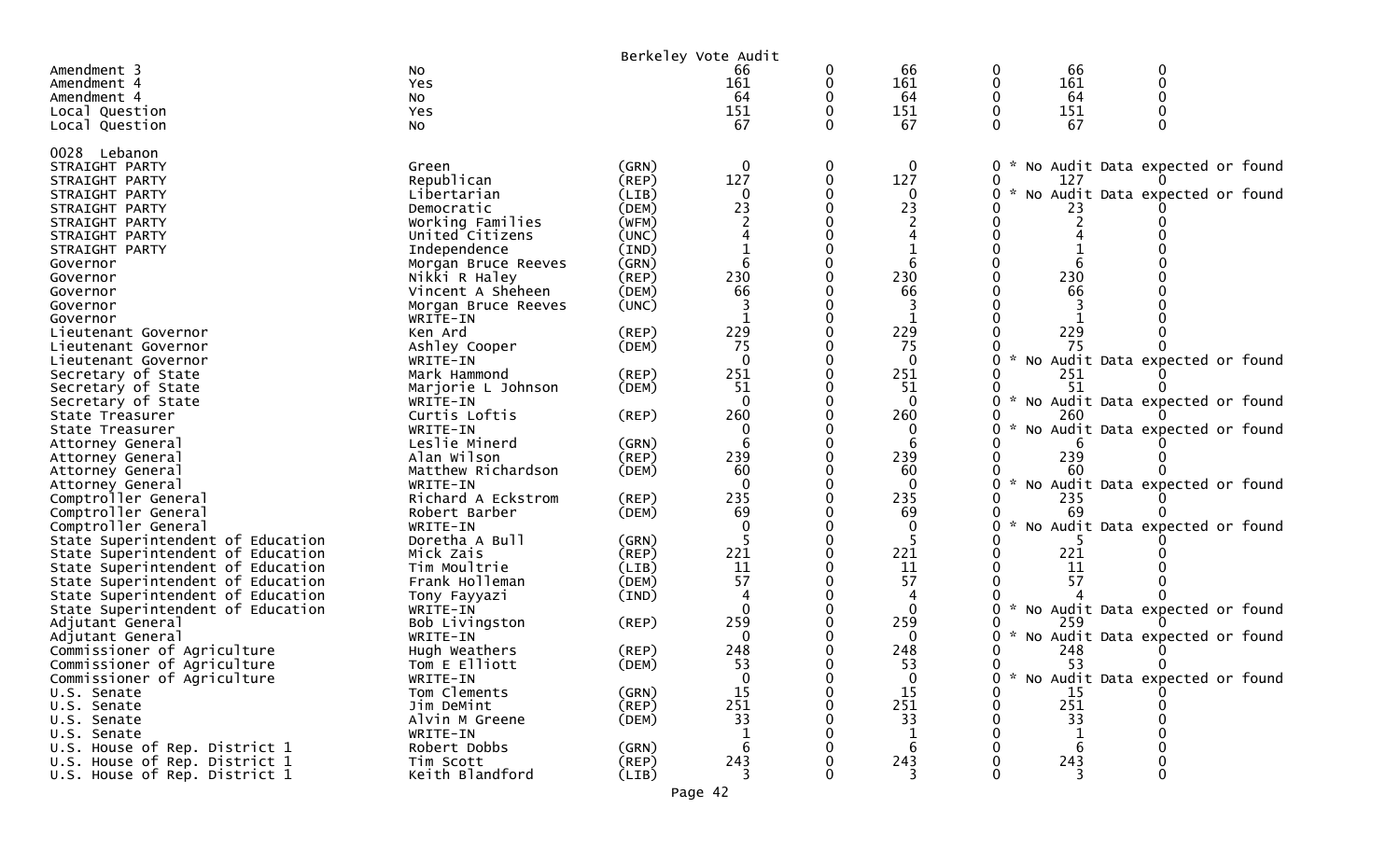|                                              |                           |                | Berkeley Vote Audit |   |              |               |     |                                   |  |
|----------------------------------------------|---------------------------|----------------|---------------------|---|--------------|---------------|-----|-----------------------------------|--|
| Amendment 3                                  | No                        |                | 66                  |   | 66           | 0             | 66  |                                   |  |
| Amendment 4                                  | Yes                       |                | 161                 |   | 161          |               | 161 |                                   |  |
| Amendment 4                                  | No                        |                | 64                  |   | 64           |               | 64  |                                   |  |
| Local Question                               | Yes                       |                | 151                 |   | 151          |               | 151 |                                   |  |
| Local Question                               | No                        |                | 67                  |   | 67           |               | 67  |                                   |  |
| 0028 Lebanon                                 |                           |                |                     |   |              |               |     |                                   |  |
| STRAIGHT PARTY                               | Green                     | (GRN)          | $\mathbf{0}$        | 0 | $\mathbf{0}$ | $\mathbf{0}$  |     | * No Audit Data expected or found |  |
| STRAIGHT PARTY                               | Republican                | $($ REP $)$    | 127                 |   | 127          | 0             | 127 |                                   |  |
| STRAIGHT PARTY                               | Libertarian               | (LIB)          | 0                   |   | $\Omega$     | 0             |     | No Audit Data expected or found   |  |
| STRAIGHT PARTY                               | Democratic                | (DEM)          | 23                  |   | 23           |               |     |                                   |  |
| STRAIGHT PARTY                               | Working Families          | (WFM)          |                     |   |              |               |     |                                   |  |
| STRAIGHT PARTY                               | United Citizens           | (UNC)          |                     |   |              |               |     |                                   |  |
| STRAIGHT PARTY                               | Independence              | (IND)          |                     |   |              |               |     |                                   |  |
| Governor                                     | Morgan Bruce Reeves       | (GRN)          |                     |   |              |               |     |                                   |  |
| Governor                                     | Nikki R Haley             | (REP)          | 230                 |   | 230          |               | 230 |                                   |  |
| Governor                                     | Vincent A Sheheen         | (DEM)          | 66                  |   | 66           |               | 66  |                                   |  |
| Governor                                     | Morgan Bruce Reeves       | (UNC)          |                     |   |              |               |     |                                   |  |
| Governor                                     | WRITE-IN                  |                |                     |   |              |               |     |                                   |  |
| Lieutenant Governor                          | Ken Ard                   | (REP)          | 229                 |   | 229          |               | 229 |                                   |  |
| Lieutenant Governor                          | Ashley Cooper             | (DEM)          | 75                  |   | 75           |               | 75  |                                   |  |
| Lieutenant Governor                          | WRITE-IN                  |                | $\Omega$            |   | $\Omega$     |               |     | * No Audit Data expected or found |  |
| Secretary of State                           | Mark Hammond              | $($ REP $)$    | 251                 |   | 251          |               | 251 |                                   |  |
| Secretary of State                           | Marjorie L Johnson        | (DEM)          | 51                  |   | -51          |               |     |                                   |  |
| Secretary of State                           | WRITE-IN                  |                | ∩                   |   | $\Omega$     |               |     | * No Audit Data expected or found |  |
| State Treasurer                              | Curtis Loftis             | $($ REP $)$    | 260                 |   | 260          |               | 260 |                                   |  |
| State Treasurer                              | WRITE-IN<br>Leslie Minerd |                |                     |   |              |               |     | No Audit Data expected or found   |  |
| Attorney General                             | Alan Wilson               | (GRN)<br>(REP) | 239                 |   | 239          |               | 239 |                                   |  |
| Attorney General<br>Attorney General         | Matthew Richardson        | (DEM)          | 60                  |   | 60           |               |     |                                   |  |
| Attorney General                             | WRITE-IN                  |                | $\Omega$            |   | $\Omega$     | $\mathcal{H}$ |     | No Audit Data expected or found   |  |
| Comptroller General                          | Richard A Eckstrom        | (REP)          | 235                 |   | 235          |               | 235 |                                   |  |
| Comptroller General                          | Robert Barber             | (DEM)          | 69                  |   | -69          |               | 69  |                                   |  |
| Comptroller General                          | WRITE-IN                  |                |                     |   | $\Omega$     |               |     | No Audit Data expected or found   |  |
| State Superintendent of Education            | Doretha A Bull            | (GRN)          |                     |   |              |               |     |                                   |  |
| State Superintendent of Education            | Mick Zais                 | (REP)          | 221                 |   | 221          |               | 221 |                                   |  |
| State Superintendent of Education            | Tim Moultrie              | (LIB)          | 11                  |   | 11           |               | 11  |                                   |  |
| State Superintendent of Education            | Frank Holleman            | (DEM)          | 57                  |   | 57           |               | 57  |                                   |  |
| State Superintendent of Education            | Tony Fayyazi              | (IND)          |                     |   |              |               |     |                                   |  |
| State Superintendent of Education            | WRITE-IN                  |                | $\Omega$            |   | $\Omega$     | $\mathcal{H}$ |     | No Audit Data expected or found   |  |
| Adjutant General                             | Bob Livingston            | (REP)          | 259                 |   | 259          |               | 259 |                                   |  |
| Adjutant General                             | WRITE-IN                  |                |                     |   |              | $\mathcal{H}$ |     | No Audit Data expected or found   |  |
| Commissioner of Agriculture                  | Hugh Weathers             | (REP)          | 248                 |   | 248          |               | 248 |                                   |  |
| Commissioner of Agriculture                  | Tom E Elliott             | (DEM)          | 53                  |   | 53           | 0             | 53  | $\Omega$                          |  |
| Commissioner of Agriculture                  | WRITE-IN                  |                | $\mathbf{0}$        |   | $\mathbf{0}$ | 0             |     | * No Audit Data expected or found |  |
| U.S. Senate                                  | Tom Clements              | (GRN)          | 15                  |   | 15           |               | 15  |                                   |  |
| U.S. Senate                                  | Jim DeMint                | $($ REP $)$    | 251                 |   | 251          |               | 251 |                                   |  |
| U.S. Senate                                  | Alvin M Greene            | (DEM)          | 33                  |   | 33           |               | 33  |                                   |  |
| U.S. Senate<br>U.S. House of Rep. District 1 | WRITE-IN<br>Robert Dobbs  |                |                     |   |              |               |     |                                   |  |
| U.S. House of Rep. District 1                | Tim Scott                 | (GRN)<br>(REP) | 243                 |   | 243          |               | 243 |                                   |  |
| U.S. House of Rep. District 1                | Keith Blandford           | (LIB)          | 3                   |   |              |               |     |                                   |  |
|                                              |                           |                | Page 42             |   |              |               |     |                                   |  |
|                                              |                           |                |                     |   |              |               |     |                                   |  |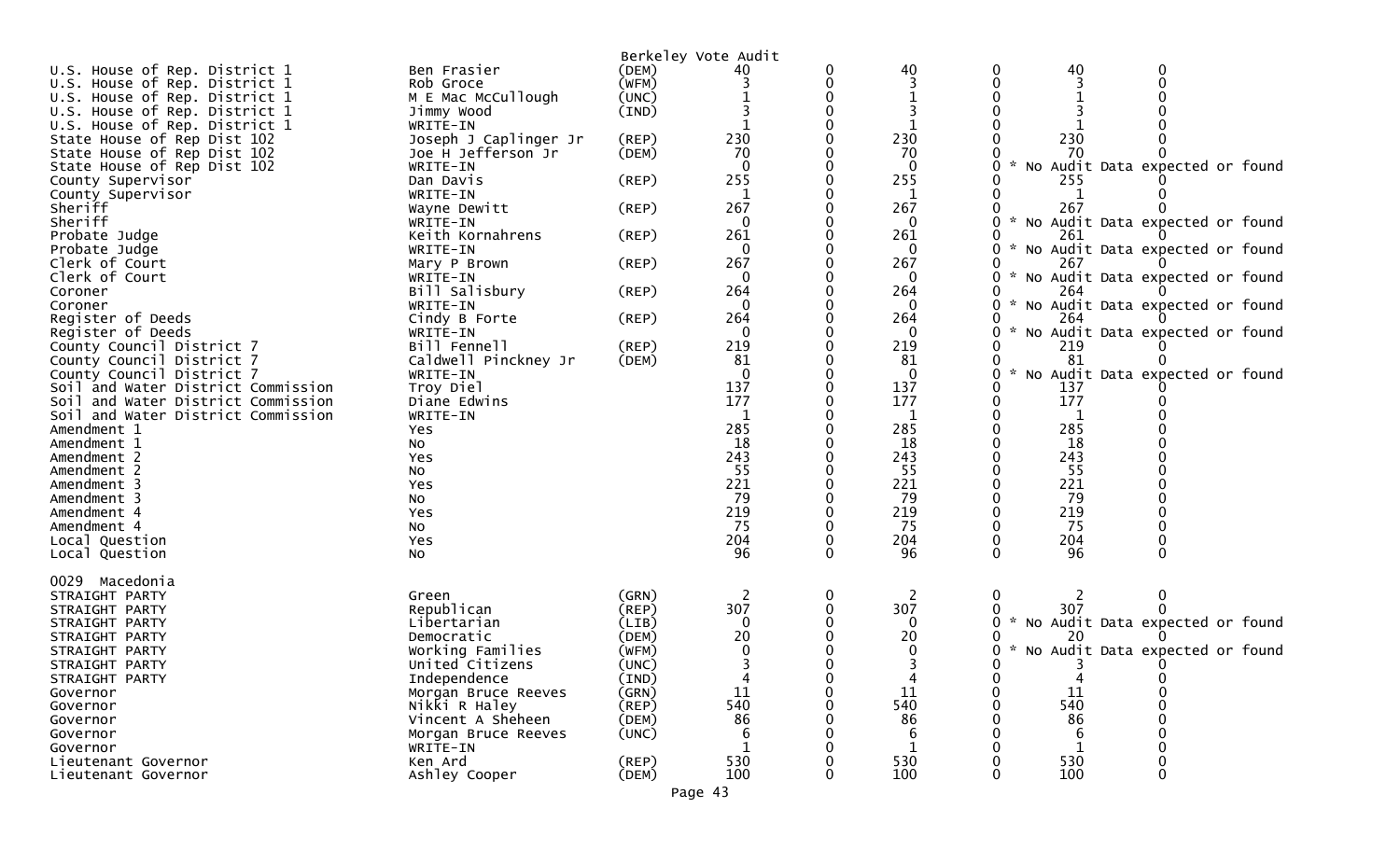|                                                                          |                          |             | Berkeley Vote Audit |          |              |                    |              |                                   |
|--------------------------------------------------------------------------|--------------------------|-------------|---------------------|----------|--------------|--------------------|--------------|-----------------------------------|
| U.S. House of Rep. District 1                                            | Ben Frasier              | (DEM)       | 40                  |          | 40           | 0                  | 40           | 0                                 |
| U.S. House of Rep. District 1                                            | Rob Groce                | (WFM)       |                     |          |              | 0                  |              |                                   |
| U.S. House of Rep. District 1                                            | M E Mac McCullough       | (UNC)       |                     |          |              | 0                  |              |                                   |
| U.S. House of Rep. District 1                                            | Jimmy Wood               | (IND)       |                     |          |              |                    |              |                                   |
| U.S. House of Rep. District 1                                            | WRITE-IN                 |             |                     |          |              |                    |              |                                   |
| State House of Rep Dist 102                                              | Joseph J Caplinger Jr    | (REP)       | 230                 |          | 230          |                    | 230          |                                   |
| State House of Rep Dist 102                                              | Joe H Jefferson Jr       | (DEM)       | 70                  |          | 70           |                    | 70           |                                   |
| State House of Rep Dist 102                                              | WRITE-IN                 |             |                     |          | 0            |                    |              | No Audit Data expected or found   |
| County Supervisor                                                        | Dan Davis                | (REP)       | 255                 |          | 255          |                    | 255          |                                   |
| County Supervisor                                                        | WRITE-IN                 |             |                     |          | 1            |                    |              |                                   |
| Sheriff                                                                  | Wayne Dewitt             | (REP)       | 267                 |          | 267          |                    | 267          |                                   |
| Sheriff                                                                  | WRITE-IN                 |             | $\Omega$            |          | $\mathbf{0}$ | 0                  |              | * No Audit Data expected or found |
| Probate Judge                                                            | Keith Kornahrens         | (REP)       | 261                 |          | 261          | ი                  | 261          |                                   |
| Probate Judge                                                            | WRITE-IN                 |             | $\Omega$            |          | 0            | 0                  |              | No Audit Data expected or found   |
| Clerk of Court                                                           | Mary P Brown             | (REP)       | 267                 |          | 267          |                    | 267          |                                   |
| Clerk of Court                                                           | WRITE-IN                 |             |                     |          | 0            | 0                  |              | * No Audit Data expected or found |
| Coroner                                                                  | Bill Salisbury           | (REP)       | 264                 |          | 264          |                    | 264          |                                   |
| Coroner                                                                  | WRITE-IN                 |             | $\Omega$            |          | $\mathbf 0$  | 0                  |              | * No Audit Data expected or found |
| Register of Deeds                                                        | Cindy B Forte            | (REP)       | 264                 |          | 264          |                    | 264          |                                   |
| Register of Deeds                                                        | WRITE-IN                 |             |                     |          | 0            | $\mathcal{H}$<br>O |              | No Audit Data expected or found   |
| County Council District 7                                                | Bill Fennell             | (REP)       | 219                 |          | 219          |                    | 219          |                                   |
| County Council District 7                                                | Caldwell Pinckney Jr     | (DEM)       | 81                  |          | 81           | $\mathbf{x}$       | 81           |                                   |
| County Council District 7                                                | WRITE-IN                 |             |                     |          | $\mathbf{0}$ | 0                  |              | No Audit Data expected or found   |
| Soil and Water District Commission                                       | Troy Diel                |             | 137<br>177          |          | 137<br>177   | 0<br>0             | 137<br>177   |                                   |
| Soil and Water District Commission<br>Soil and Water District Commission | Diane Edwins<br>WRITE-IN |             |                     |          |              | 0                  |              |                                   |
| Amendment 1                                                              | Yes                      |             | 285                 |          | 285          |                    | 285          |                                   |
| Amendment 1                                                              | No                       |             | 18                  |          | 18           |                    | 18           |                                   |
| Amendment 2                                                              | Yes                      |             | 243                 |          | 243          |                    | 243          |                                   |
| Amendment 2                                                              | No                       |             | 55                  |          | 55           |                    | 55           |                                   |
| Amendment 3                                                              | Yes                      |             | 221                 |          | 221          |                    | 221          |                                   |
| Amendment 3                                                              | No                       |             | 79                  |          | 79           | 0                  | 79           |                                   |
| Amendment 4                                                              | Yes                      |             | 219                 |          | 219          |                    | 219          |                                   |
| Amendment 4                                                              | No                       |             | 75                  |          | 75           |                    | 75           |                                   |
| Local Question                                                           | Yes                      |             | 204                 | 0        | 204          | 0                  | 204          |                                   |
| Local Question                                                           | No                       |             | 96                  | $\Omega$ | 96           | 0                  | 96           |                                   |
|                                                                          |                          |             |                     |          |              |                    |              |                                   |
| 0029<br>Macedonia                                                        |                          |             |                     |          |              |                    |              |                                   |
| STRAIGHT PARTY                                                           | Green                    | (GRN)       | 2                   | 0        | 2            | 0                  |              | 0                                 |
| STRAIGHT PARTY                                                           | Republican               | $($ REP $)$ | 307                 |          | 307          |                    | 307          |                                   |
| STRAIGHT PARTY                                                           | Libertarian              | (LIB)       | $\Omega$            |          | $\Omega$     | ж.,<br>0           |              | No Audit Data expected or found   |
| STRAIGHT PARTY                                                           | Democratic               | (DEM)       | 20                  |          | 20           |                    | 20           |                                   |
| STRAIGHT PARTY                                                           | Working Families         | (WFM)       |                     |          | 0            | 0                  |              | * No Audit Data expected or found |
| STRAIGHT PARTY                                                           | United Citizens          | (UNC)       |                     |          |              |                    |              |                                   |
| STRAIGHT PARTY                                                           | Independence             | (IND)       |                     | 0        | 4            | 0                  | 4            | 0                                 |
| Governor                                                                 | Morgan Bruce Reeves      | (GRN)       | 11                  |          | 11           |                    | 11           | 0                                 |
| Governor                                                                 | Nikki R Haley            | $($ REP $)$ | 540                 |          | 540          |                    | 540          |                                   |
| Governor                                                                 | Vincent A Sheheen        | (DEM)       | 86                  |          | 86           |                    | 86           |                                   |
| Governor                                                                 | Morgan Bruce Reeves      | (UNC)       | 6                   |          | 6            |                    | 6            |                                   |
| Governor                                                                 | WRITE-IN                 |             |                     |          | 1            |                    | $\mathbf{1}$ |                                   |
| Lieutenant Governor                                                      | Ken Ard                  | (REP)       | 530                 |          | 530          |                    | 530          |                                   |
| Lieutenant Governor                                                      | Ashley Cooper            | (DEM)       | 100                 | O        | 100          | 0                  | 100          | 0                                 |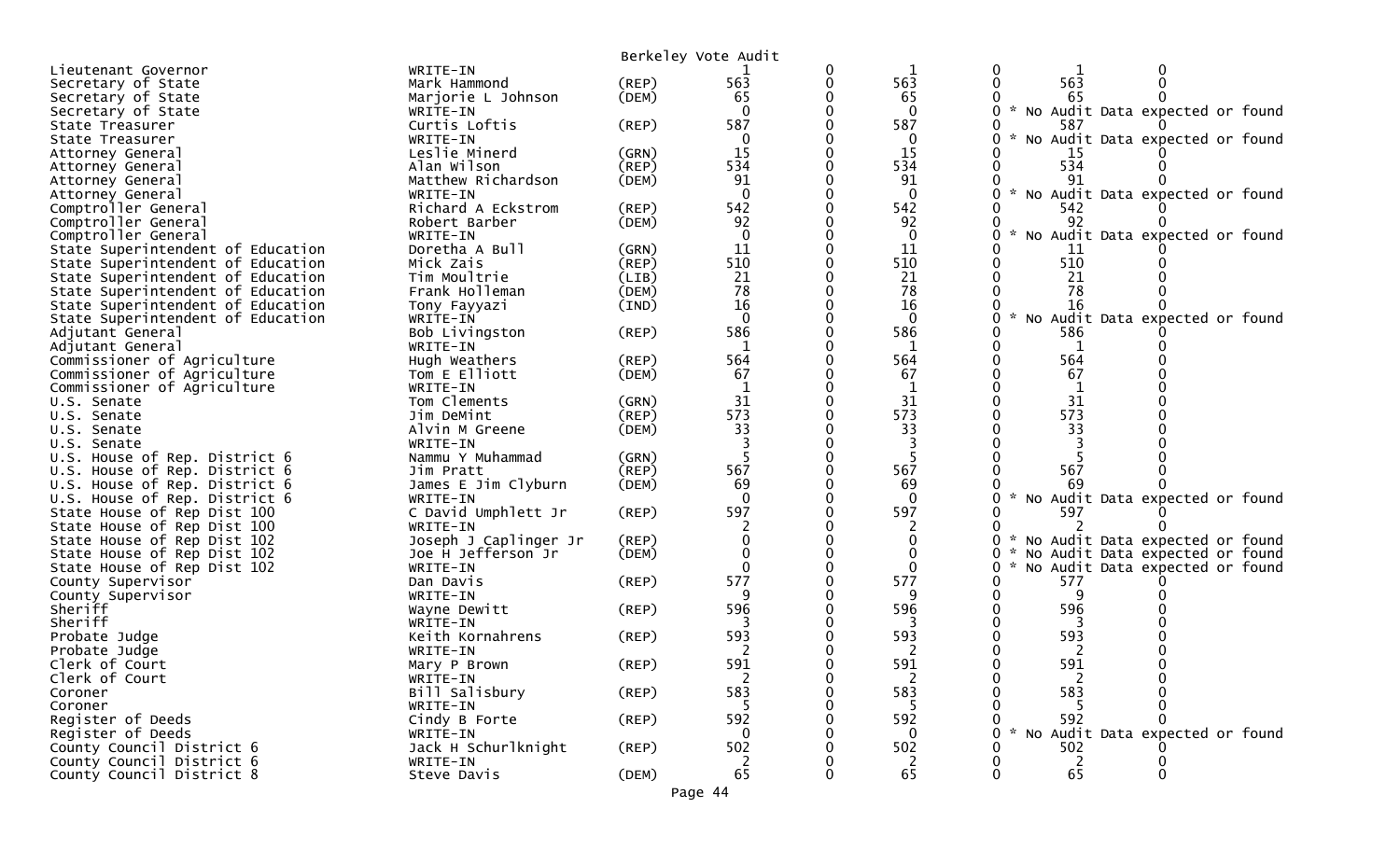|                                   |                       |             | Berkeley Vote Audit |   |              |                                                |
|-----------------------------------|-----------------------|-------------|---------------------|---|--------------|------------------------------------------------|
| Lieutenant Governor               | WRITE-IN              |             |                     | 0 | 1            | 0<br>0                                         |
| Secretary of State                | Mark Hammond          | (REP)       | 563                 | 0 | 563          | 563<br>$\mathbf{0}$<br>0                       |
| Secretary of State                | Marjorie L Johnson    | (DEM)       | 65                  |   | 65           | 65                                             |
| Secretary of State                | WRITE-IN              |             | $\Omega$            |   | $\mathbf{0}$ | No Audit Data expected or found                |
| State Treasurer                   | Curtis Loftis         | (REP)       | 587                 |   | 587          | 587                                            |
| State Treasurer                   | WRITE-IN              |             | $\Omega$            |   | 0            | $\sim$<br>0<br>No Audit Data expected or found |
| Attorney General                  | Leslie Minerd         | (GRN)       | 15                  |   | 15           | -15                                            |
| Attorney General                  | Alan Wilson           | (REP)       | 534                 |   | 534          | 534<br>0                                       |
| Attorney General                  | Matthew Richardson    | (DEM)       | 91                  |   | 91           | 91                                             |
| Attorney General                  | WRITE-IN              |             | $\Omega$            |   | $\mathbf{0}$ | $\sim$<br>No Audit Data expected or found      |
| Comptroller General               | Richard A Eckstrom    | $($ REP $)$ | 542                 |   | 542          | 542                                            |
| Comptroller General               | Robert Barber         | (DEM)       | 92                  |   | 92           | 92                                             |
| Comptroller General               | WRITE-IN              |             | $\Omega$            |   | 0            | No Audit Data expected or found                |
| State Superintendent of Education | Doretha A Bull        | (GRN)       | 11                  |   | 11           | 11                                             |
| State Superintendent of Education | Mick Zais             | (REP)       | 510                 |   | 510          | 510<br>0                                       |
| State Superintendent of Education | Tim Moultrie          | (LIB)       | 21                  |   | 21           | 21                                             |
| State Superintendent of Education | Frank Holleman        | (DEM)       | 78                  |   | 78           | 78                                             |
| State Superintendent of Education | Tony Fayyazi          | (IND)       | 16                  |   | 16           | 16                                             |
| State Superintendent of Education | WRITE-IN              |             | $\Omega$            |   | $\mathbf{0}$ | 0<br>No Audit Data expected or found           |
| Adjutant General                  | Bob Livingston        | (REP)       | 586                 |   | 586          | 586                                            |
| Adjutant General                  | WRITE-IN              |             | 1                   |   | 1            | 1                                              |
| Commissioner of Agriculture       | Hugh Weathers         | $($ REP $)$ | 564                 |   | 564          | 564                                            |
| Commissioner of Agriculture       | Tom E Elliott         | (DEM)       | 67                  |   | 67           | 67                                             |
| Commissioner of Agriculture       | WRITE-IN              |             | -1                  |   | 1            |                                                |
| U.S. Senate                       | Tom Clements          | (GRN)       | 31                  |   | 31           | 31                                             |
| U.S. Senate                       | Jim DeMint            | (REP)       | 573                 |   | 573          | 573                                            |
| U.S. Senate                       | Alvin M Greene        | (DEM)       | 33                  |   | 33           | 33                                             |
| U.S. Senate                       | WRITE-IN              |             |                     |   |              |                                                |
| U.S. House of Rep. District 6     | Nammu Y Muhammad      | (GRN)       | .5                  |   |              |                                                |
| U.S. House of Rep. District 6     | Jim Pratt             | (REP)       | 567                 |   | 567          | 567                                            |
| U.S. House of Rep. District 6     | James E Jim Clyburn   | (DEM)       | 69                  |   | 69           | 69                                             |
| U.S. House of Rep. District 6     | WRITE-IN              |             | $\Omega$            |   | $\mathbf{0}$ | No Audit Data expected or found                |
| State House of Rep Dist 100       | C David Umphlett Jr   | $($ REP $)$ | 597                 |   | 597          | 597                                            |
| State House of Rep Dist 100       | WRITE-IN              |             |                     |   |              |                                                |
| State House of Rep Dist 102       | Joseph J Caplinger Jr | (REP)       |                     |   |              | No Audit Data expected or found<br>**          |
| State House of Rep Dist 102       | Joe H Jefferson Jr    | (DEM)       |                     |   | 0            | 0<br>No Audit Data expected or found           |
| State House of Rep Dist 102       | WRITE-IN              |             | $\Omega$            |   | $\mathbf{0}$ | 0<br>No Audit Data expected or found           |
| County Supervisor                 | Dan Davis             | (REP)       | 577                 |   | 577          | 577                                            |
| County Supervisor                 | WRITE-IN              |             |                     |   | 9            | 9                                              |
| Sheriff                           | Wayne Dewitt          | $($ REP $)$ | 596                 |   | 596          | 596                                            |
| Sheriff                           | WRITE-IN              |             |                     |   | 3            |                                                |
| Probate Judge                     | Keith Kornahrens      | $($ REP $)$ | 593                 |   | 593          | 593                                            |
| Probate Judge                     | WRITE-IN              |             |                     |   | 2            | 2                                              |
| Clerk of Court                    | Mary P Brown          | $($ REP $)$ | 591                 |   | 591          | 591<br>0                                       |
| Clerk of Court                    | WRITE-IN              |             | 2                   | 0 | 2            | 2<br>0                                         |
| Coroner                           | Bill Salisbury        | $($ REP $)$ | 583                 |   | 583          | 583<br>0                                       |
| Coroner                           | WRITE-IN              |             | -5                  |   | 5            |                                                |
| Register of Deeds                 | Cindy B Forte         | $($ REP $)$ | 592                 |   | 592          | 592<br>$\sim$                                  |
| Register of Deeds                 | WRITE-IN              |             | $\Omega$            |   | $\mathbf{0}$ | No Audit Data expected or found<br>0           |
| County Council District 6         | Jack H Schurlknight   | $($ REP $)$ | 502                 |   | 502          | 502                                            |
| County Council District 6         | WRITE-IN              |             |                     |   |              | 2                                              |
| County Council District 8         | Steve Davis           | (DEM)       | 65                  |   | 65           | 65<br>0                                        |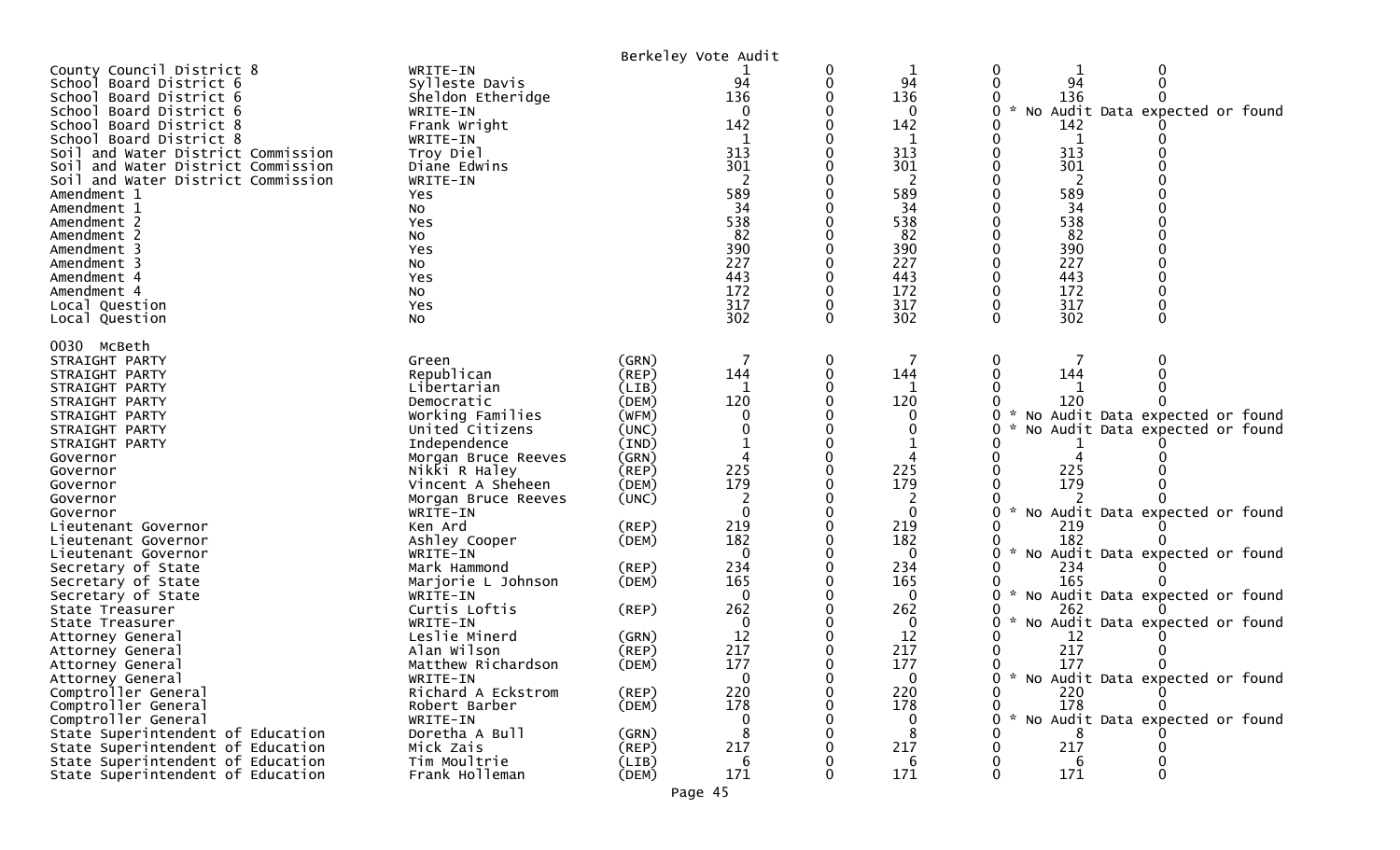| County Council District 8<br>WRITE-IN<br>0<br>1<br>94<br>94<br>94<br>Sylleste Davis<br>School Board District 6<br>136<br>Sheldon Etheridge<br>136<br>136<br>School Board District 6<br>$\sim$<br>Audit Data expected or found<br>School Board District 6<br>$\Omega$<br>0<br>WRITE-IN<br>0<br>No<br>142<br>142<br>142<br>School Board District 8<br>Frank Wright<br>School Board District 8<br>WRITE-IN<br>$\mathbf 1$<br>1<br>313<br>313<br>313<br>Soil and Water District Commission<br>Troy Diel<br>301<br>301<br>301<br>Diane Edwins<br>Soil and Water District Commission<br>Soil and Water District Commission<br>WRITE-IN<br>2<br>2<br>589<br>589<br>589<br>Amendment 1<br>Yes<br>34<br>34<br>34<br>Amendment 1<br>NO.<br>538<br>538<br>538<br>Amendment 2<br>Yes<br>82<br>82<br>82<br>Amendment 2<br>No<br>390<br>390<br>390<br>Amendment 3<br>Yes<br>227<br>227<br>227<br>Amendment 3<br>No<br>443<br>443<br>443<br>Amendment 4<br>Yes<br>172<br>172<br>172<br>Amendment 4<br>No<br>317<br>317<br>317<br>Local Question<br>Yes<br>302<br>302<br>302<br>0<br>0<br>0<br>No<br>Local Question<br>0030 McBeth<br>0<br>STRAIGHT PARTY<br>(GRN)<br>Green<br>Republican<br>144<br>144<br>144<br>(REP)<br>STRAIGHT PARTY<br>STRAIGHT PARTY<br>Libertarian<br>(LIB)<br>120<br>120<br>120<br>Democratic<br>(DEM)<br>STRAIGHT PARTY<br>Working Families<br>No Audit Data expected or found<br>STRAIGHT PARTY<br>(WFM)<br>0<br>United Citizens<br>(UNC)<br>STRAIGHT PARTY<br>No Audit Data expected or found<br>Independence<br>(IND)<br>STRAIGHT PARTY<br>(GRN)<br>Governor<br>Morgan Bruce Reeves<br>225<br>225<br>225<br>Nikki R Haley<br>(REP)<br>Governor<br>179<br>179<br>179<br>(DEM)<br>Vincent A Sheheen<br>Governor<br>(UNC)<br>Governor<br>Morgan Bruce Reeves<br>2<br>0<br>$\Omega$<br>No Audit Data expected or found<br>WRITE-IN<br>0<br>Governor<br>219<br>219<br>Ken Ard<br>(REP)<br>219<br>Lieutenant Governor<br>182<br>182<br>182<br>Ashley Cooper<br>(DEM)<br>Lieutenant Governor<br>$\Omega$<br>$\mathbf{0}$<br>No Audit Data expected or found<br>WRITE-IN<br>ი<br>Lieutenant Governor<br>234<br>234<br>(REP)<br>234<br>Secretary of State<br>Mark Hammond<br>165<br>165<br>165<br>(DEM)<br>Secretary of State<br>Marjorie L Johnson<br>$\sim$<br>∩<br>$\mathbf{0}$<br>No Audit Data expected or found<br>Secretary of State<br>WRITE-IN<br>0<br>Curtis Loftis<br>262<br>262<br>262<br>(REP)<br>State Treasurer<br>No Audit Data expected or found<br>State Treasurer<br>WRITE-IN<br>$\Omega$<br>0<br>12<br>Leslie Minerd<br>12<br>12<br>(GRN)<br>Attorney General<br>217<br>217<br>217<br>Alan Wilson<br>(REP)<br>Attorney General<br>177<br>177<br>177<br>0<br>Matthew Richardson<br>(DEM)<br>Attorney General<br>* No Audit Data expected or found<br>Attorney General<br>WRITE-IN<br>0<br>0<br>Comptroller General<br>220<br>220<br>220<br>Richard A Eckstrom<br>$($ REP $)$<br>178<br>178<br>178<br>Comptroller General<br>(DEM)<br>Robert Barber<br>0<br>$\mathcal{R}$<br>Comptroller General<br>No Audit Data expected or found<br>WRITE-IN<br>0<br>U<br>8<br>State Superintendent of Education<br>Doretha A Bull<br>8<br>(GRN)<br>8<br>State Superintendent of Education<br>217<br>Mick Zais<br>(REP)<br>217<br>217<br>Tim Moultrie<br>State Superintendent of Education<br>(LIB)<br>6<br>6<br>6<br>Frank Holleman<br>171<br>171<br>171<br>State Superintendent of Education<br>(DEM) |  | Berkeley Vote Audit |  |  |
|------------------------------------------------------------------------------------------------------------------------------------------------------------------------------------------------------------------------------------------------------------------------------------------------------------------------------------------------------------------------------------------------------------------------------------------------------------------------------------------------------------------------------------------------------------------------------------------------------------------------------------------------------------------------------------------------------------------------------------------------------------------------------------------------------------------------------------------------------------------------------------------------------------------------------------------------------------------------------------------------------------------------------------------------------------------------------------------------------------------------------------------------------------------------------------------------------------------------------------------------------------------------------------------------------------------------------------------------------------------------------------------------------------------------------------------------------------------------------------------------------------------------------------------------------------------------------------------------------------------------------------------------------------------------------------------------------------------------------------------------------------------------------------------------------------------------------------------------------------------------------------------------------------------------------------------------------------------------------------------------------------------------------------------------------------------------------------------------------------------------------------------------------------------------------------------------------------------------------------------------------------------------------------------------------------------------------------------------------------------------------------------------------------------------------------------------------------------------------------------------------------------------------------------------------------------------------------------------------------------------------------------------------------------------------------------------------------------------------------------------------------------------------------------------------------------------------------------------------------------------------------------------------------------------------------------------------------------------------------------------------------------------------------------------------------------------------------------------------------------------------------------------------------------------------------------------------------------------------------------------------------------------------------------------------------------------------------------------------------------------------------------------------------------|--|---------------------|--|--|
|                                                                                                                                                                                                                                                                                                                                                                                                                                                                                                                                                                                                                                                                                                                                                                                                                                                                                                                                                                                                                                                                                                                                                                                                                                                                                                                                                                                                                                                                                                                                                                                                                                                                                                                                                                                                                                                                                                                                                                                                                                                                                                                                                                                                                                                                                                                                                                                                                                                                                                                                                                                                                                                                                                                                                                                                                                                                                                                                                                                                                                                                                                                                                                                                                                                                                                                                                                                                                  |  |                     |  |  |
|                                                                                                                                                                                                                                                                                                                                                                                                                                                                                                                                                                                                                                                                                                                                                                                                                                                                                                                                                                                                                                                                                                                                                                                                                                                                                                                                                                                                                                                                                                                                                                                                                                                                                                                                                                                                                                                                                                                                                                                                                                                                                                                                                                                                                                                                                                                                                                                                                                                                                                                                                                                                                                                                                                                                                                                                                                                                                                                                                                                                                                                                                                                                                                                                                                                                                                                                                                                                                  |  |                     |  |  |
|                                                                                                                                                                                                                                                                                                                                                                                                                                                                                                                                                                                                                                                                                                                                                                                                                                                                                                                                                                                                                                                                                                                                                                                                                                                                                                                                                                                                                                                                                                                                                                                                                                                                                                                                                                                                                                                                                                                                                                                                                                                                                                                                                                                                                                                                                                                                                                                                                                                                                                                                                                                                                                                                                                                                                                                                                                                                                                                                                                                                                                                                                                                                                                                                                                                                                                                                                                                                                  |  |                     |  |  |
|                                                                                                                                                                                                                                                                                                                                                                                                                                                                                                                                                                                                                                                                                                                                                                                                                                                                                                                                                                                                                                                                                                                                                                                                                                                                                                                                                                                                                                                                                                                                                                                                                                                                                                                                                                                                                                                                                                                                                                                                                                                                                                                                                                                                                                                                                                                                                                                                                                                                                                                                                                                                                                                                                                                                                                                                                                                                                                                                                                                                                                                                                                                                                                                                                                                                                                                                                                                                                  |  |                     |  |  |
|                                                                                                                                                                                                                                                                                                                                                                                                                                                                                                                                                                                                                                                                                                                                                                                                                                                                                                                                                                                                                                                                                                                                                                                                                                                                                                                                                                                                                                                                                                                                                                                                                                                                                                                                                                                                                                                                                                                                                                                                                                                                                                                                                                                                                                                                                                                                                                                                                                                                                                                                                                                                                                                                                                                                                                                                                                                                                                                                                                                                                                                                                                                                                                                                                                                                                                                                                                                                                  |  |                     |  |  |
|                                                                                                                                                                                                                                                                                                                                                                                                                                                                                                                                                                                                                                                                                                                                                                                                                                                                                                                                                                                                                                                                                                                                                                                                                                                                                                                                                                                                                                                                                                                                                                                                                                                                                                                                                                                                                                                                                                                                                                                                                                                                                                                                                                                                                                                                                                                                                                                                                                                                                                                                                                                                                                                                                                                                                                                                                                                                                                                                                                                                                                                                                                                                                                                                                                                                                                                                                                                                                  |  |                     |  |  |
|                                                                                                                                                                                                                                                                                                                                                                                                                                                                                                                                                                                                                                                                                                                                                                                                                                                                                                                                                                                                                                                                                                                                                                                                                                                                                                                                                                                                                                                                                                                                                                                                                                                                                                                                                                                                                                                                                                                                                                                                                                                                                                                                                                                                                                                                                                                                                                                                                                                                                                                                                                                                                                                                                                                                                                                                                                                                                                                                                                                                                                                                                                                                                                                                                                                                                                                                                                                                                  |  |                     |  |  |
|                                                                                                                                                                                                                                                                                                                                                                                                                                                                                                                                                                                                                                                                                                                                                                                                                                                                                                                                                                                                                                                                                                                                                                                                                                                                                                                                                                                                                                                                                                                                                                                                                                                                                                                                                                                                                                                                                                                                                                                                                                                                                                                                                                                                                                                                                                                                                                                                                                                                                                                                                                                                                                                                                                                                                                                                                                                                                                                                                                                                                                                                                                                                                                                                                                                                                                                                                                                                                  |  |                     |  |  |
|                                                                                                                                                                                                                                                                                                                                                                                                                                                                                                                                                                                                                                                                                                                                                                                                                                                                                                                                                                                                                                                                                                                                                                                                                                                                                                                                                                                                                                                                                                                                                                                                                                                                                                                                                                                                                                                                                                                                                                                                                                                                                                                                                                                                                                                                                                                                                                                                                                                                                                                                                                                                                                                                                                                                                                                                                                                                                                                                                                                                                                                                                                                                                                                                                                                                                                                                                                                                                  |  |                     |  |  |
|                                                                                                                                                                                                                                                                                                                                                                                                                                                                                                                                                                                                                                                                                                                                                                                                                                                                                                                                                                                                                                                                                                                                                                                                                                                                                                                                                                                                                                                                                                                                                                                                                                                                                                                                                                                                                                                                                                                                                                                                                                                                                                                                                                                                                                                                                                                                                                                                                                                                                                                                                                                                                                                                                                                                                                                                                                                                                                                                                                                                                                                                                                                                                                                                                                                                                                                                                                                                                  |  |                     |  |  |
|                                                                                                                                                                                                                                                                                                                                                                                                                                                                                                                                                                                                                                                                                                                                                                                                                                                                                                                                                                                                                                                                                                                                                                                                                                                                                                                                                                                                                                                                                                                                                                                                                                                                                                                                                                                                                                                                                                                                                                                                                                                                                                                                                                                                                                                                                                                                                                                                                                                                                                                                                                                                                                                                                                                                                                                                                                                                                                                                                                                                                                                                                                                                                                                                                                                                                                                                                                                                                  |  |                     |  |  |
|                                                                                                                                                                                                                                                                                                                                                                                                                                                                                                                                                                                                                                                                                                                                                                                                                                                                                                                                                                                                                                                                                                                                                                                                                                                                                                                                                                                                                                                                                                                                                                                                                                                                                                                                                                                                                                                                                                                                                                                                                                                                                                                                                                                                                                                                                                                                                                                                                                                                                                                                                                                                                                                                                                                                                                                                                                                                                                                                                                                                                                                                                                                                                                                                                                                                                                                                                                                                                  |  |                     |  |  |
|                                                                                                                                                                                                                                                                                                                                                                                                                                                                                                                                                                                                                                                                                                                                                                                                                                                                                                                                                                                                                                                                                                                                                                                                                                                                                                                                                                                                                                                                                                                                                                                                                                                                                                                                                                                                                                                                                                                                                                                                                                                                                                                                                                                                                                                                                                                                                                                                                                                                                                                                                                                                                                                                                                                                                                                                                                                                                                                                                                                                                                                                                                                                                                                                                                                                                                                                                                                                                  |  |                     |  |  |
|                                                                                                                                                                                                                                                                                                                                                                                                                                                                                                                                                                                                                                                                                                                                                                                                                                                                                                                                                                                                                                                                                                                                                                                                                                                                                                                                                                                                                                                                                                                                                                                                                                                                                                                                                                                                                                                                                                                                                                                                                                                                                                                                                                                                                                                                                                                                                                                                                                                                                                                                                                                                                                                                                                                                                                                                                                                                                                                                                                                                                                                                                                                                                                                                                                                                                                                                                                                                                  |  |                     |  |  |
|                                                                                                                                                                                                                                                                                                                                                                                                                                                                                                                                                                                                                                                                                                                                                                                                                                                                                                                                                                                                                                                                                                                                                                                                                                                                                                                                                                                                                                                                                                                                                                                                                                                                                                                                                                                                                                                                                                                                                                                                                                                                                                                                                                                                                                                                                                                                                                                                                                                                                                                                                                                                                                                                                                                                                                                                                                                                                                                                                                                                                                                                                                                                                                                                                                                                                                                                                                                                                  |  |                     |  |  |
|                                                                                                                                                                                                                                                                                                                                                                                                                                                                                                                                                                                                                                                                                                                                                                                                                                                                                                                                                                                                                                                                                                                                                                                                                                                                                                                                                                                                                                                                                                                                                                                                                                                                                                                                                                                                                                                                                                                                                                                                                                                                                                                                                                                                                                                                                                                                                                                                                                                                                                                                                                                                                                                                                                                                                                                                                                                                                                                                                                                                                                                                                                                                                                                                                                                                                                                                                                                                                  |  |                     |  |  |
|                                                                                                                                                                                                                                                                                                                                                                                                                                                                                                                                                                                                                                                                                                                                                                                                                                                                                                                                                                                                                                                                                                                                                                                                                                                                                                                                                                                                                                                                                                                                                                                                                                                                                                                                                                                                                                                                                                                                                                                                                                                                                                                                                                                                                                                                                                                                                                                                                                                                                                                                                                                                                                                                                                                                                                                                                                                                                                                                                                                                                                                                                                                                                                                                                                                                                                                                                                                                                  |  |                     |  |  |
|                                                                                                                                                                                                                                                                                                                                                                                                                                                                                                                                                                                                                                                                                                                                                                                                                                                                                                                                                                                                                                                                                                                                                                                                                                                                                                                                                                                                                                                                                                                                                                                                                                                                                                                                                                                                                                                                                                                                                                                                                                                                                                                                                                                                                                                                                                                                                                                                                                                                                                                                                                                                                                                                                                                                                                                                                                                                                                                                                                                                                                                                                                                                                                                                                                                                                                                                                                                                                  |  |                     |  |  |
|                                                                                                                                                                                                                                                                                                                                                                                                                                                                                                                                                                                                                                                                                                                                                                                                                                                                                                                                                                                                                                                                                                                                                                                                                                                                                                                                                                                                                                                                                                                                                                                                                                                                                                                                                                                                                                                                                                                                                                                                                                                                                                                                                                                                                                                                                                                                                                                                                                                                                                                                                                                                                                                                                                                                                                                                                                                                                                                                                                                                                                                                                                                                                                                                                                                                                                                                                                                                                  |  |                     |  |  |
|                                                                                                                                                                                                                                                                                                                                                                                                                                                                                                                                                                                                                                                                                                                                                                                                                                                                                                                                                                                                                                                                                                                                                                                                                                                                                                                                                                                                                                                                                                                                                                                                                                                                                                                                                                                                                                                                                                                                                                                                                                                                                                                                                                                                                                                                                                                                                                                                                                                                                                                                                                                                                                                                                                                                                                                                                                                                                                                                                                                                                                                                                                                                                                                                                                                                                                                                                                                                                  |  |                     |  |  |
|                                                                                                                                                                                                                                                                                                                                                                                                                                                                                                                                                                                                                                                                                                                                                                                                                                                                                                                                                                                                                                                                                                                                                                                                                                                                                                                                                                                                                                                                                                                                                                                                                                                                                                                                                                                                                                                                                                                                                                                                                                                                                                                                                                                                                                                                                                                                                                                                                                                                                                                                                                                                                                                                                                                                                                                                                                                                                                                                                                                                                                                                                                                                                                                                                                                                                                                                                                                                                  |  |                     |  |  |
|                                                                                                                                                                                                                                                                                                                                                                                                                                                                                                                                                                                                                                                                                                                                                                                                                                                                                                                                                                                                                                                                                                                                                                                                                                                                                                                                                                                                                                                                                                                                                                                                                                                                                                                                                                                                                                                                                                                                                                                                                                                                                                                                                                                                                                                                                                                                                                                                                                                                                                                                                                                                                                                                                                                                                                                                                                                                                                                                                                                                                                                                                                                                                                                                                                                                                                                                                                                                                  |  |                     |  |  |
|                                                                                                                                                                                                                                                                                                                                                                                                                                                                                                                                                                                                                                                                                                                                                                                                                                                                                                                                                                                                                                                                                                                                                                                                                                                                                                                                                                                                                                                                                                                                                                                                                                                                                                                                                                                                                                                                                                                                                                                                                                                                                                                                                                                                                                                                                                                                                                                                                                                                                                                                                                                                                                                                                                                                                                                                                                                                                                                                                                                                                                                                                                                                                                                                                                                                                                                                                                                                                  |  |                     |  |  |
|                                                                                                                                                                                                                                                                                                                                                                                                                                                                                                                                                                                                                                                                                                                                                                                                                                                                                                                                                                                                                                                                                                                                                                                                                                                                                                                                                                                                                                                                                                                                                                                                                                                                                                                                                                                                                                                                                                                                                                                                                                                                                                                                                                                                                                                                                                                                                                                                                                                                                                                                                                                                                                                                                                                                                                                                                                                                                                                                                                                                                                                                                                                                                                                                                                                                                                                                                                                                                  |  |                     |  |  |
|                                                                                                                                                                                                                                                                                                                                                                                                                                                                                                                                                                                                                                                                                                                                                                                                                                                                                                                                                                                                                                                                                                                                                                                                                                                                                                                                                                                                                                                                                                                                                                                                                                                                                                                                                                                                                                                                                                                                                                                                                                                                                                                                                                                                                                                                                                                                                                                                                                                                                                                                                                                                                                                                                                                                                                                                                                                                                                                                                                                                                                                                                                                                                                                                                                                                                                                                                                                                                  |  |                     |  |  |
|                                                                                                                                                                                                                                                                                                                                                                                                                                                                                                                                                                                                                                                                                                                                                                                                                                                                                                                                                                                                                                                                                                                                                                                                                                                                                                                                                                                                                                                                                                                                                                                                                                                                                                                                                                                                                                                                                                                                                                                                                                                                                                                                                                                                                                                                                                                                                                                                                                                                                                                                                                                                                                                                                                                                                                                                                                                                                                                                                                                                                                                                                                                                                                                                                                                                                                                                                                                                                  |  |                     |  |  |
|                                                                                                                                                                                                                                                                                                                                                                                                                                                                                                                                                                                                                                                                                                                                                                                                                                                                                                                                                                                                                                                                                                                                                                                                                                                                                                                                                                                                                                                                                                                                                                                                                                                                                                                                                                                                                                                                                                                                                                                                                                                                                                                                                                                                                                                                                                                                                                                                                                                                                                                                                                                                                                                                                                                                                                                                                                                                                                                                                                                                                                                                                                                                                                                                                                                                                                                                                                                                                  |  |                     |  |  |
|                                                                                                                                                                                                                                                                                                                                                                                                                                                                                                                                                                                                                                                                                                                                                                                                                                                                                                                                                                                                                                                                                                                                                                                                                                                                                                                                                                                                                                                                                                                                                                                                                                                                                                                                                                                                                                                                                                                                                                                                                                                                                                                                                                                                                                                                                                                                                                                                                                                                                                                                                                                                                                                                                                                                                                                                                                                                                                                                                                                                                                                                                                                                                                                                                                                                                                                                                                                                                  |  |                     |  |  |
|                                                                                                                                                                                                                                                                                                                                                                                                                                                                                                                                                                                                                                                                                                                                                                                                                                                                                                                                                                                                                                                                                                                                                                                                                                                                                                                                                                                                                                                                                                                                                                                                                                                                                                                                                                                                                                                                                                                                                                                                                                                                                                                                                                                                                                                                                                                                                                                                                                                                                                                                                                                                                                                                                                                                                                                                                                                                                                                                                                                                                                                                                                                                                                                                                                                                                                                                                                                                                  |  |                     |  |  |
|                                                                                                                                                                                                                                                                                                                                                                                                                                                                                                                                                                                                                                                                                                                                                                                                                                                                                                                                                                                                                                                                                                                                                                                                                                                                                                                                                                                                                                                                                                                                                                                                                                                                                                                                                                                                                                                                                                                                                                                                                                                                                                                                                                                                                                                                                                                                                                                                                                                                                                                                                                                                                                                                                                                                                                                                                                                                                                                                                                                                                                                                                                                                                                                                                                                                                                                                                                                                                  |  |                     |  |  |
|                                                                                                                                                                                                                                                                                                                                                                                                                                                                                                                                                                                                                                                                                                                                                                                                                                                                                                                                                                                                                                                                                                                                                                                                                                                                                                                                                                                                                                                                                                                                                                                                                                                                                                                                                                                                                                                                                                                                                                                                                                                                                                                                                                                                                                                                                                                                                                                                                                                                                                                                                                                                                                                                                                                                                                                                                                                                                                                                                                                                                                                                                                                                                                                                                                                                                                                                                                                                                  |  |                     |  |  |
|                                                                                                                                                                                                                                                                                                                                                                                                                                                                                                                                                                                                                                                                                                                                                                                                                                                                                                                                                                                                                                                                                                                                                                                                                                                                                                                                                                                                                                                                                                                                                                                                                                                                                                                                                                                                                                                                                                                                                                                                                                                                                                                                                                                                                                                                                                                                                                                                                                                                                                                                                                                                                                                                                                                                                                                                                                                                                                                                                                                                                                                                                                                                                                                                                                                                                                                                                                                                                  |  |                     |  |  |
|                                                                                                                                                                                                                                                                                                                                                                                                                                                                                                                                                                                                                                                                                                                                                                                                                                                                                                                                                                                                                                                                                                                                                                                                                                                                                                                                                                                                                                                                                                                                                                                                                                                                                                                                                                                                                                                                                                                                                                                                                                                                                                                                                                                                                                                                                                                                                                                                                                                                                                                                                                                                                                                                                                                                                                                                                                                                                                                                                                                                                                                                                                                                                                                                                                                                                                                                                                                                                  |  |                     |  |  |
|                                                                                                                                                                                                                                                                                                                                                                                                                                                                                                                                                                                                                                                                                                                                                                                                                                                                                                                                                                                                                                                                                                                                                                                                                                                                                                                                                                                                                                                                                                                                                                                                                                                                                                                                                                                                                                                                                                                                                                                                                                                                                                                                                                                                                                                                                                                                                                                                                                                                                                                                                                                                                                                                                                                                                                                                                                                                                                                                                                                                                                                                                                                                                                                                                                                                                                                                                                                                                  |  |                     |  |  |
|                                                                                                                                                                                                                                                                                                                                                                                                                                                                                                                                                                                                                                                                                                                                                                                                                                                                                                                                                                                                                                                                                                                                                                                                                                                                                                                                                                                                                                                                                                                                                                                                                                                                                                                                                                                                                                                                                                                                                                                                                                                                                                                                                                                                                                                                                                                                                                                                                                                                                                                                                                                                                                                                                                                                                                                                                                                                                                                                                                                                                                                                                                                                                                                                                                                                                                                                                                                                                  |  |                     |  |  |
|                                                                                                                                                                                                                                                                                                                                                                                                                                                                                                                                                                                                                                                                                                                                                                                                                                                                                                                                                                                                                                                                                                                                                                                                                                                                                                                                                                                                                                                                                                                                                                                                                                                                                                                                                                                                                                                                                                                                                                                                                                                                                                                                                                                                                                                                                                                                                                                                                                                                                                                                                                                                                                                                                                                                                                                                                                                                                                                                                                                                                                                                                                                                                                                                                                                                                                                                                                                                                  |  |                     |  |  |
|                                                                                                                                                                                                                                                                                                                                                                                                                                                                                                                                                                                                                                                                                                                                                                                                                                                                                                                                                                                                                                                                                                                                                                                                                                                                                                                                                                                                                                                                                                                                                                                                                                                                                                                                                                                                                                                                                                                                                                                                                                                                                                                                                                                                                                                                                                                                                                                                                                                                                                                                                                                                                                                                                                                                                                                                                                                                                                                                                                                                                                                                                                                                                                                                                                                                                                                                                                                                                  |  |                     |  |  |
|                                                                                                                                                                                                                                                                                                                                                                                                                                                                                                                                                                                                                                                                                                                                                                                                                                                                                                                                                                                                                                                                                                                                                                                                                                                                                                                                                                                                                                                                                                                                                                                                                                                                                                                                                                                                                                                                                                                                                                                                                                                                                                                                                                                                                                                                                                                                                                                                                                                                                                                                                                                                                                                                                                                                                                                                                                                                                                                                                                                                                                                                                                                                                                                                                                                                                                                                                                                                                  |  |                     |  |  |
|                                                                                                                                                                                                                                                                                                                                                                                                                                                                                                                                                                                                                                                                                                                                                                                                                                                                                                                                                                                                                                                                                                                                                                                                                                                                                                                                                                                                                                                                                                                                                                                                                                                                                                                                                                                                                                                                                                                                                                                                                                                                                                                                                                                                                                                                                                                                                                                                                                                                                                                                                                                                                                                                                                                                                                                                                                                                                                                                                                                                                                                                                                                                                                                                                                                                                                                                                                                                                  |  |                     |  |  |
|                                                                                                                                                                                                                                                                                                                                                                                                                                                                                                                                                                                                                                                                                                                                                                                                                                                                                                                                                                                                                                                                                                                                                                                                                                                                                                                                                                                                                                                                                                                                                                                                                                                                                                                                                                                                                                                                                                                                                                                                                                                                                                                                                                                                                                                                                                                                                                                                                                                                                                                                                                                                                                                                                                                                                                                                                                                                                                                                                                                                                                                                                                                                                                                                                                                                                                                                                                                                                  |  |                     |  |  |
|                                                                                                                                                                                                                                                                                                                                                                                                                                                                                                                                                                                                                                                                                                                                                                                                                                                                                                                                                                                                                                                                                                                                                                                                                                                                                                                                                                                                                                                                                                                                                                                                                                                                                                                                                                                                                                                                                                                                                                                                                                                                                                                                                                                                                                                                                                                                                                                                                                                                                                                                                                                                                                                                                                                                                                                                                                                                                                                                                                                                                                                                                                                                                                                                                                                                                                                                                                                                                  |  |                     |  |  |
|                                                                                                                                                                                                                                                                                                                                                                                                                                                                                                                                                                                                                                                                                                                                                                                                                                                                                                                                                                                                                                                                                                                                                                                                                                                                                                                                                                                                                                                                                                                                                                                                                                                                                                                                                                                                                                                                                                                                                                                                                                                                                                                                                                                                                                                                                                                                                                                                                                                                                                                                                                                                                                                                                                                                                                                                                                                                                                                                                                                                                                                                                                                                                                                                                                                                                                                                                                                                                  |  |                     |  |  |
|                                                                                                                                                                                                                                                                                                                                                                                                                                                                                                                                                                                                                                                                                                                                                                                                                                                                                                                                                                                                                                                                                                                                                                                                                                                                                                                                                                                                                                                                                                                                                                                                                                                                                                                                                                                                                                                                                                                                                                                                                                                                                                                                                                                                                                                                                                                                                                                                                                                                                                                                                                                                                                                                                                                                                                                                                                                                                                                                                                                                                                                                                                                                                                                                                                                                                                                                                                                                                  |  |                     |  |  |
|                                                                                                                                                                                                                                                                                                                                                                                                                                                                                                                                                                                                                                                                                                                                                                                                                                                                                                                                                                                                                                                                                                                                                                                                                                                                                                                                                                                                                                                                                                                                                                                                                                                                                                                                                                                                                                                                                                                                                                                                                                                                                                                                                                                                                                                                                                                                                                                                                                                                                                                                                                                                                                                                                                                                                                                                                                                                                                                                                                                                                                                                                                                                                                                                                                                                                                                                                                                                                  |  |                     |  |  |
|                                                                                                                                                                                                                                                                                                                                                                                                                                                                                                                                                                                                                                                                                                                                                                                                                                                                                                                                                                                                                                                                                                                                                                                                                                                                                                                                                                                                                                                                                                                                                                                                                                                                                                                                                                                                                                                                                                                                                                                                                                                                                                                                                                                                                                                                                                                                                                                                                                                                                                                                                                                                                                                                                                                                                                                                                                                                                                                                                                                                                                                                                                                                                                                                                                                                                                                                                                                                                  |  |                     |  |  |
|                                                                                                                                                                                                                                                                                                                                                                                                                                                                                                                                                                                                                                                                                                                                                                                                                                                                                                                                                                                                                                                                                                                                                                                                                                                                                                                                                                                                                                                                                                                                                                                                                                                                                                                                                                                                                                                                                                                                                                                                                                                                                                                                                                                                                                                                                                                                                                                                                                                                                                                                                                                                                                                                                                                                                                                                                                                                                                                                                                                                                                                                                                                                                                                                                                                                                                                                                                                                                  |  |                     |  |  |
|                                                                                                                                                                                                                                                                                                                                                                                                                                                                                                                                                                                                                                                                                                                                                                                                                                                                                                                                                                                                                                                                                                                                                                                                                                                                                                                                                                                                                                                                                                                                                                                                                                                                                                                                                                                                                                                                                                                                                                                                                                                                                                                                                                                                                                                                                                                                                                                                                                                                                                                                                                                                                                                                                                                                                                                                                                                                                                                                                                                                                                                                                                                                                                                                                                                                                                                                                                                                                  |  |                     |  |  |
|                                                                                                                                                                                                                                                                                                                                                                                                                                                                                                                                                                                                                                                                                                                                                                                                                                                                                                                                                                                                                                                                                                                                                                                                                                                                                                                                                                                                                                                                                                                                                                                                                                                                                                                                                                                                                                                                                                                                                                                                                                                                                                                                                                                                                                                                                                                                                                                                                                                                                                                                                                                                                                                                                                                                                                                                                                                                                                                                                                                                                                                                                                                                                                                                                                                                                                                                                                                                                  |  |                     |  |  |
|                                                                                                                                                                                                                                                                                                                                                                                                                                                                                                                                                                                                                                                                                                                                                                                                                                                                                                                                                                                                                                                                                                                                                                                                                                                                                                                                                                                                                                                                                                                                                                                                                                                                                                                                                                                                                                                                                                                                                                                                                                                                                                                                                                                                                                                                                                                                                                                                                                                                                                                                                                                                                                                                                                                                                                                                                                                                                                                                                                                                                                                                                                                                                                                                                                                                                                                                                                                                                  |  |                     |  |  |
|                                                                                                                                                                                                                                                                                                                                                                                                                                                                                                                                                                                                                                                                                                                                                                                                                                                                                                                                                                                                                                                                                                                                                                                                                                                                                                                                                                                                                                                                                                                                                                                                                                                                                                                                                                                                                                                                                                                                                                                                                                                                                                                                                                                                                                                                                                                                                                                                                                                                                                                                                                                                                                                                                                                                                                                                                                                                                                                                                                                                                                                                                                                                                                                                                                                                                                                                                                                                                  |  |                     |  |  |
|                                                                                                                                                                                                                                                                                                                                                                                                                                                                                                                                                                                                                                                                                                                                                                                                                                                                                                                                                                                                                                                                                                                                                                                                                                                                                                                                                                                                                                                                                                                                                                                                                                                                                                                                                                                                                                                                                                                                                                                                                                                                                                                                                                                                                                                                                                                                                                                                                                                                                                                                                                                                                                                                                                                                                                                                                                                                                                                                                                                                                                                                                                                                                                                                                                                                                                                                                                                                                  |  |                     |  |  |
|                                                                                                                                                                                                                                                                                                                                                                                                                                                                                                                                                                                                                                                                                                                                                                                                                                                                                                                                                                                                                                                                                                                                                                                                                                                                                                                                                                                                                                                                                                                                                                                                                                                                                                                                                                                                                                                                                                                                                                                                                                                                                                                                                                                                                                                                                                                                                                                                                                                                                                                                                                                                                                                                                                                                                                                                                                                                                                                                                                                                                                                                                                                                                                                                                                                                                                                                                                                                                  |  |                     |  |  |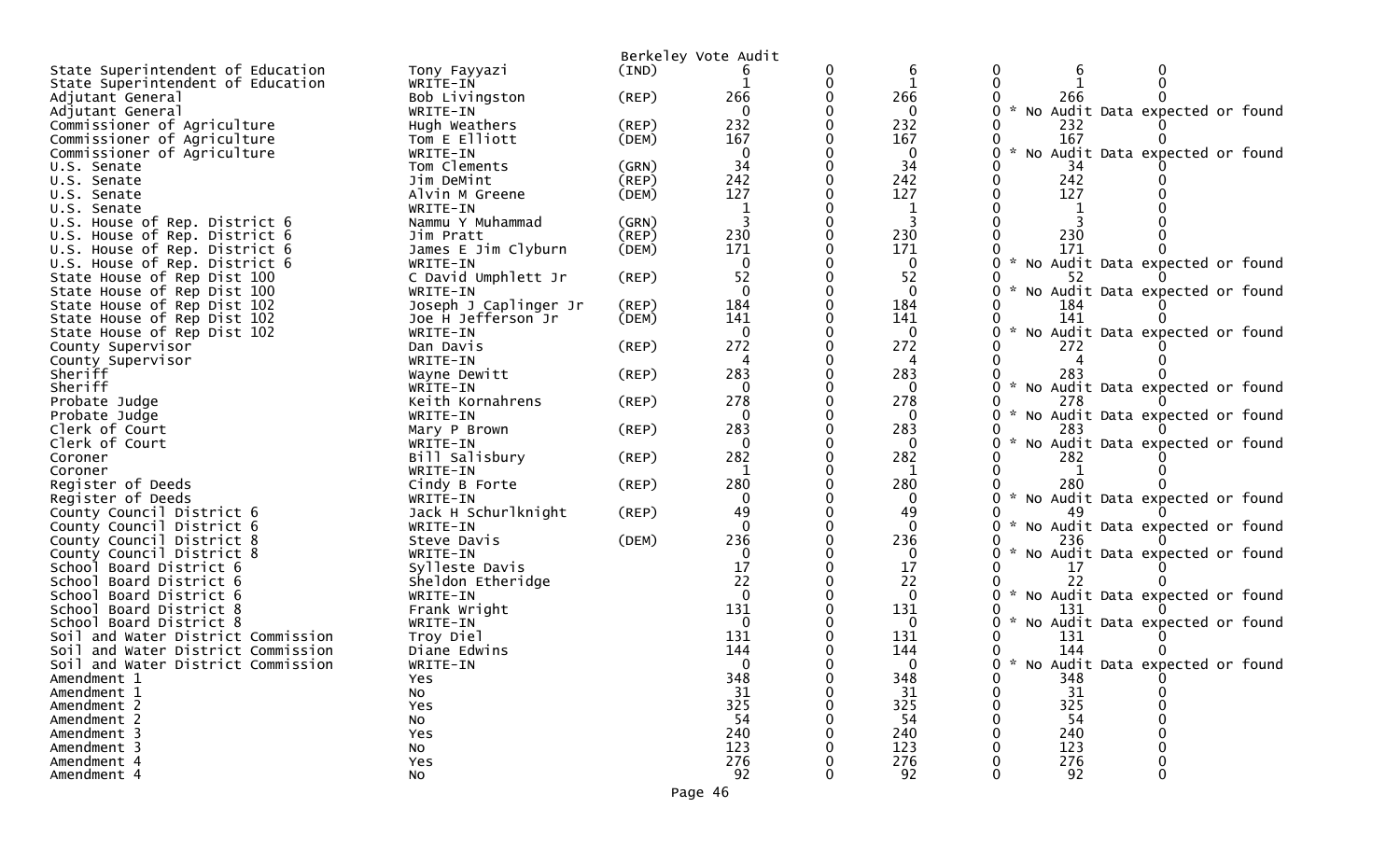| Berkeley Vote Audit<br>6<br>State Superintendent of Education<br>0<br>Tony Fayyazi<br>(IND)<br>0<br>$\Omega$<br>$\Omega$<br>State Superintendent of Education<br>WRITE-IN<br>266<br>266<br>Adjutant General<br>Bob Livingston<br>(REP)<br>0<br>266<br>$\mathbf{0}$<br>* No Audit Data expected or found<br>WRITE-IN<br>$\Omega$<br>Adjutant General<br>232<br>232<br>Commissioner of Agriculture<br>Hugh Weathers<br>(REP)<br>232<br>167<br>167<br>Commissioner of Agriculture<br>Tom E Elliott<br>167<br>(DEM)<br>Commissioner of Agriculture<br>$\mathbf{0}$<br>$\mathbf 0$<br>No Audit Data expected or found<br>WRITE-IN<br>0<br>34<br>34<br>Tom Clements<br>34<br>(GRN)<br>U.S. Senate<br>242<br>242<br>242<br>Jim DeMint<br>(REP)<br>U.S. Senate<br>127<br>127<br>127<br>(DEM)<br>Alvin M Greene<br>U.S. Senate<br>1<br>U.S. Senate<br>WRITE-IN<br>-1 |
|-------------------------------------------------------------------------------------------------------------------------------------------------------------------------------------------------------------------------------------------------------------------------------------------------------------------------------------------------------------------------------------------------------------------------------------------------------------------------------------------------------------------------------------------------------------------------------------------------------------------------------------------------------------------------------------------------------------------------------------------------------------------------------------------------------------------------------------------------------------|
|                                                                                                                                                                                                                                                                                                                                                                                                                                                                                                                                                                                                                                                                                                                                                                                                                                                             |
|                                                                                                                                                                                                                                                                                                                                                                                                                                                                                                                                                                                                                                                                                                                                                                                                                                                             |
|                                                                                                                                                                                                                                                                                                                                                                                                                                                                                                                                                                                                                                                                                                                                                                                                                                                             |
|                                                                                                                                                                                                                                                                                                                                                                                                                                                                                                                                                                                                                                                                                                                                                                                                                                                             |
|                                                                                                                                                                                                                                                                                                                                                                                                                                                                                                                                                                                                                                                                                                                                                                                                                                                             |
|                                                                                                                                                                                                                                                                                                                                                                                                                                                                                                                                                                                                                                                                                                                                                                                                                                                             |
|                                                                                                                                                                                                                                                                                                                                                                                                                                                                                                                                                                                                                                                                                                                                                                                                                                                             |
|                                                                                                                                                                                                                                                                                                                                                                                                                                                                                                                                                                                                                                                                                                                                                                                                                                                             |
|                                                                                                                                                                                                                                                                                                                                                                                                                                                                                                                                                                                                                                                                                                                                                                                                                                                             |
|                                                                                                                                                                                                                                                                                                                                                                                                                                                                                                                                                                                                                                                                                                                                                                                                                                                             |
| U.S. House of Rep. District 6<br>Nammu Y Muhammad<br>(GRN)                                                                                                                                                                                                                                                                                                                                                                                                                                                                                                                                                                                                                                                                                                                                                                                                  |
| 230<br>230<br>230<br>(REP)<br>U.S. House of Rep. District 6<br>Jim Pratt                                                                                                                                                                                                                                                                                                                                                                                                                                                                                                                                                                                                                                                                                                                                                                                    |
| 171<br>171<br>171<br>U.S. House of Rep. District 6<br>James E Jim Clyburn<br>(DEM)                                                                                                                                                                                                                                                                                                                                                                                                                                                                                                                                                                                                                                                                                                                                                                          |
| U.S. House of Rep. District 6<br>$\mathbf{0}$<br>$\mathbf 0$<br>No Audit Data expected or found<br>WRITE-IN                                                                                                                                                                                                                                                                                                                                                                                                                                                                                                                                                                                                                                                                                                                                                 |
| 52<br>52<br>State House of Rep Dist 100<br>C David Umphlett Jr<br>(REP)<br>52                                                                                                                                                                                                                                                                                                                                                                                                                                                                                                                                                                                                                                                                                                                                                                               |
| $\Omega$<br>$\mathbf{0}$<br>$\mathcal{H}$<br>No Audit Data expected or found<br>State House of Rep Dist 100<br>WRITE-IN                                                                                                                                                                                                                                                                                                                                                                                                                                                                                                                                                                                                                                                                                                                                     |
| 184<br>Joseph J Caplinger Jr<br>184<br>State House of Rep Dist 102<br>(REP)<br>184                                                                                                                                                                                                                                                                                                                                                                                                                                                                                                                                                                                                                                                                                                                                                                          |
| 141<br>State House of Rep Dist 102<br>141<br>141<br>Joe H Jefferson Jr<br>(DEM)                                                                                                                                                                                                                                                                                                                                                                                                                                                                                                                                                                                                                                                                                                                                                                             |
| No Audit Data expected or found<br>State House of Rep Dist 102<br>WRITE-IN<br>0<br>0                                                                                                                                                                                                                                                                                                                                                                                                                                                                                                                                                                                                                                                                                                                                                                        |
| 272<br>272<br>(REP)<br>Dan Davis<br>272<br>County Supervisor                                                                                                                                                                                                                                                                                                                                                                                                                                                                                                                                                                                                                                                                                                                                                                                                |
| County Supervisor<br>WRITE-IN<br>4<br>4                                                                                                                                                                                                                                                                                                                                                                                                                                                                                                                                                                                                                                                                                                                                                                                                                     |
| 283<br>283<br>Sheriff<br>$($ REP $)$<br>283<br>Wayne Dewitt                                                                                                                                                                                                                                                                                                                                                                                                                                                                                                                                                                                                                                                                                                                                                                                                 |
| $\sim$<br>Sheriff<br>0<br>0<br>No Audit Data expected or found<br>WRITE-IN                                                                                                                                                                                                                                                                                                                                                                                                                                                                                                                                                                                                                                                                                                                                                                                  |
| 278<br>278<br>Keith Kornahrens<br>278<br>Probate Judge<br>(REP)                                                                                                                                                                                                                                                                                                                                                                                                                                                                                                                                                                                                                                                                                                                                                                                             |
| No Audit Data expected or found<br>Probate Judge<br>WRITE-IN<br>0<br>$\Omega$                                                                                                                                                                                                                                                                                                                                                                                                                                                                                                                                                                                                                                                                                                                                                                               |
| 283<br>283<br>Clerk of Court<br>(REP)<br>283<br>Mary P Brown<br>$\Omega$<br>$\mathcal{H}$                                                                                                                                                                                                                                                                                                                                                                                                                                                                                                                                                                                                                                                                                                                                                                   |
| No Audit Data expected or found<br>Clerk of Court<br>$\mathbf{0}$<br>WRITE-IN<br>282<br>282<br>$($ REP $)$<br>282<br>Bill Salisbury<br>Coroner                                                                                                                                                                                                                                                                                                                                                                                                                                                                                                                                                                                                                                                                                                              |
| Coroner<br>1<br>WRITE-IN                                                                                                                                                                                                                                                                                                                                                                                                                                                                                                                                                                                                                                                                                                                                                                                                                                    |
| 280<br>280<br>Register of Deeds<br>280<br>Cindy B Forte<br>(REP)                                                                                                                                                                                                                                                                                                                                                                                                                                                                                                                                                                                                                                                                                                                                                                                            |
| Register of Deeds<br>$\mathcal{H}$<br>No Audit Data expected or found<br>0<br>0<br>WRITE-IN                                                                                                                                                                                                                                                                                                                                                                                                                                                                                                                                                                                                                                                                                                                                                                 |
| 49<br>Jack H Schurlknight<br>49<br>(REP)<br>County Council District 6                                                                                                                                                                                                                                                                                                                                                                                                                                                                                                                                                                                                                                                                                                                                                                                       |
| $\mathbf{0}$<br>$\Omega$<br>$\mathcal{H}$<br>No Audit Data expected or found<br>County Council District 6<br>WRITE-IN                                                                                                                                                                                                                                                                                                                                                                                                                                                                                                                                                                                                                                                                                                                                       |
| 236<br>(DEM)<br>236<br>County Council District 8<br>Steve Davis<br>236                                                                                                                                                                                                                                                                                                                                                                                                                                                                                                                                                                                                                                                                                                                                                                                      |
| $\sim$<br>No Audit Data expected or found<br>$\Omega$<br>$\Omega$<br>County Council District 8<br>WRITE-IN                                                                                                                                                                                                                                                                                                                                                                                                                                                                                                                                                                                                                                                                                                                                                  |
| 17<br>17<br>Sylleste Davis<br>School Board District 6<br>17                                                                                                                                                                                                                                                                                                                                                                                                                                                                                                                                                                                                                                                                                                                                                                                                 |
| 22<br>22<br>School Board District 6<br>Sheldon Etheridge<br>22                                                                                                                                                                                                                                                                                                                                                                                                                                                                                                                                                                                                                                                                                                                                                                                              |
| No Audit Data expected or found<br>$\Omega$<br>$\Omega$<br>Schoo <sub>1</sub><br>Board District 6<br>WRITE-IN                                                                                                                                                                                                                                                                                                                                                                                                                                                                                                                                                                                                                                                                                                                                               |
| 131<br>131<br>Frank Wright<br>131<br>School Board District 8                                                                                                                                                                                                                                                                                                                                                                                                                                                                                                                                                                                                                                                                                                                                                                                                |
| $\mathcal{H}$<br>No Audit Data expected or found<br>School Board District 8<br>WRITE-IN<br>$\Omega$<br>0                                                                                                                                                                                                                                                                                                                                                                                                                                                                                                                                                                                                                                                                                                                                                    |
| 131<br>131<br>Soil and Water District Commission<br>Troy Diel<br>131                                                                                                                                                                                                                                                                                                                                                                                                                                                                                                                                                                                                                                                                                                                                                                                        |
| 144<br>144<br>144<br>Soil and Water District Commission<br>Diane Edwins                                                                                                                                                                                                                                                                                                                                                                                                                                                                                                                                                                                                                                                                                                                                                                                     |
| 0 * No Audit Data expected or found<br>$\Omega$<br>Soil and Water District Commission<br>WRITE-IN<br>0                                                                                                                                                                                                                                                                                                                                                                                                                                                                                                                                                                                                                                                                                                                                                      |
| 348<br>348<br>348<br>0<br>Amendment 1<br>0<br>Yes                                                                                                                                                                                                                                                                                                                                                                                                                                                                                                                                                                                                                                                                                                                                                                                                           |
| 31<br>31<br>31<br>Amendment 1<br>No<br>325<br>325<br>325<br>Amendment 2                                                                                                                                                                                                                                                                                                                                                                                                                                                                                                                                                                                                                                                                                                                                                                                     |
| Yes<br>54<br>54<br>54<br>Amendment 2                                                                                                                                                                                                                                                                                                                                                                                                                                                                                                                                                                                                                                                                                                                                                                                                                        |
| No<br>240<br>240<br>240<br>Amendment 3<br>Yes                                                                                                                                                                                                                                                                                                                                                                                                                                                                                                                                                                                                                                                                                                                                                                                                               |
| 123<br>Amendment 3<br>123<br>123<br>No                                                                                                                                                                                                                                                                                                                                                                                                                                                                                                                                                                                                                                                                                                                                                                                                                      |
| 276<br>276<br>276<br>Amendment 4<br>Yes<br>0                                                                                                                                                                                                                                                                                                                                                                                                                                                                                                                                                                                                                                                                                                                                                                                                                |
| 92<br>92<br>92<br>$\Omega$<br>Amendment 4<br>No                                                                                                                                                                                                                                                                                                                                                                                                                                                                                                                                                                                                                                                                                                                                                                                                             |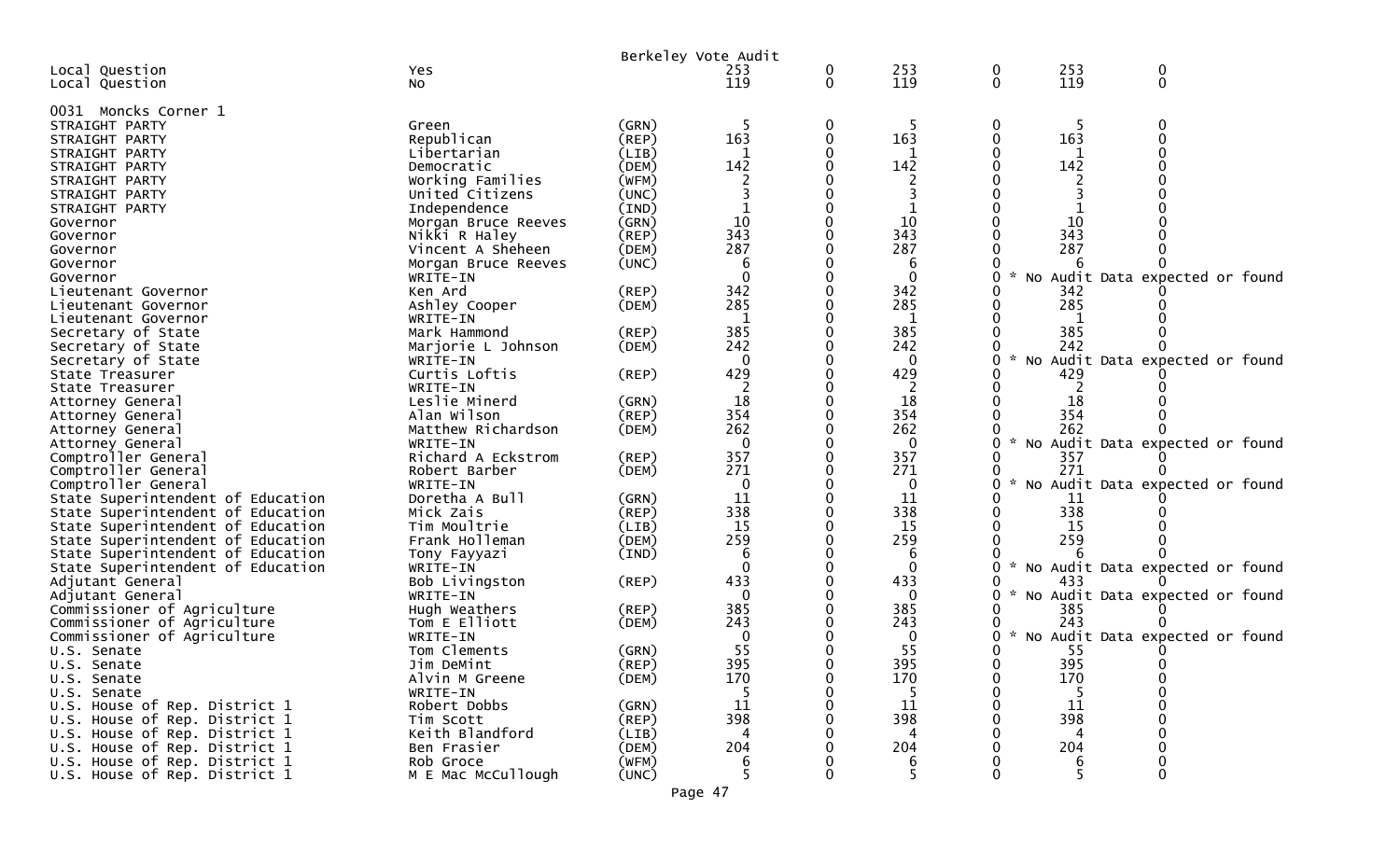|                                            |                              | Berkeley Vote Audit  |                 |              |                     |                    |            |                                 |  |
|--------------------------------------------|------------------------------|----------------------|-----------------|--------------|---------------------|--------------------|------------|---------------------------------|--|
| Local Question                             | Yes                          |                      | 253             | 0            | 253                 | 0                  | 253        | 0                               |  |
| Local Question                             | No                           |                      | 119             | $\mathbf{0}$ | 119                 | $\mathbf{0}$       | 119        | $\mathbf{0}$                    |  |
| 0031 Moncks Corner 1                       |                              |                      | -5              |              |                     |                    |            | 0                               |  |
| STRAIGHT PARTY<br>STRAIGHT PARTY           | Green<br>Republican          | (GRN)<br>(REP)       | 163             | 0<br>0       | 163                 | 0<br>0             | 163        | U                               |  |
| STRAIGHT PARTY                             | Libertarian                  | (LIB)                |                 |              |                     |                    |            |                                 |  |
| STRAIGHT PARTY                             | Democratic                   | (DEM)                | 142             |              | 142                 | 0                  | 142        |                                 |  |
| STRAIGHT PARTY                             | Working Families             | (WFM)                |                 |              |                     |                    |            |                                 |  |
| STRAIGHT PARTY                             | United Citizens              | (UNC)                |                 |              |                     |                    |            |                                 |  |
| STRAIGHT PARTY                             | Independence                 | (IND)                |                 |              |                     |                    |            |                                 |  |
| Governor                                   | Morgan Bruce Reeves          | (GRN)                | 10              |              | 10                  |                    | 10         |                                 |  |
| Governor                                   | Nikki R Haley                | (REP)                | 343             |              | 343                 |                    | 343        |                                 |  |
| Governor                                   | Vincent A Sheheen            | (DEM)                | 287             |              | 287                 |                    | 287        |                                 |  |
| Governor                                   | Morgan Bruce Reeves          | (UNC)                | 6               |              | 6                   |                    |            |                                 |  |
| Governor                                   | WRITE-IN                     |                      | $\Omega$<br>342 |              | $\mathbf{0}$<br>342 | 0                  | No         | Audit Data expected or found    |  |
| Lieutenant Governor                        | Ken Ard                      | (REP)<br>(DEM)       | 285             |              | 285                 |                    | 342<br>285 |                                 |  |
| Lieutenant Governor<br>Lieutenant Governor | Ashley Cooper<br>WRITE-IN    |                      | $\mathbf{1}$    |              | $\mathbf{1}$        |                    | -1         |                                 |  |
| Secretary of State                         | Mark Hammond                 | $($ REP $)$          | 385             |              | 385                 |                    | 385        |                                 |  |
| Secretary of State                         | Marjorie L Johnson           | (DEM)                | 242             |              | 242                 |                    | 242        |                                 |  |
| Secretary of State                         | WRITE-IN                     |                      | 0               |              | 0                   | $\sim$<br>0        | <b>NO</b>  | Audit Data expected or found    |  |
| State Treasurer                            | Curtis Loftis                | (REP)                | 429             |              | 429                 |                    | 429        |                                 |  |
| State Treasurer                            | WRITE-IN                     |                      |                 |              |                     |                    |            |                                 |  |
| Attorney General                           | Leslie Minerd                | (GRN)                | 18              |              | 18                  |                    | 18         |                                 |  |
| Attorney General                           | Alan Wilson                  | $($ REP $)$          | 354             |              | 354                 |                    | 354        |                                 |  |
| Attorney General                           | Matthew Richardson           | (DEM)                | 262             |              | 262                 |                    | 262        |                                 |  |
| Attorney General                           | WRITE-IN                     |                      | $\Omega$        |              | $\mathbf{0}$        | 0                  | <b>NO</b>  | Audit Data expected or found    |  |
| Comptroller General                        | Richard A Eckstrom           | (REP)                | 357             |              | 357                 |                    | 357        |                                 |  |
| Comptroller General<br>Comptroller General | Robert Barber                | (DEM)                | 271<br>$\Omega$ |              | 271<br>$\mathbf{0}$ | $\sim$<br>0        | 271        | No Audit Data expected or found |  |
| State Superintendent of Education          | WRITE-IN<br>Doretha A Bull   | (GRN)                | 11              |              | 11                  |                    | 11         |                                 |  |
| State Superintendent of Education          | Mick Zais                    | (REP)                | 338             |              | 338                 |                    | 338        |                                 |  |
| State Superintendent of Education          | Tim Moultrie                 | (LIB)                | 15              |              | 15                  |                    | 15         |                                 |  |
| State Superintendent of Education          | Frank Holleman               | (DEM)                | 259             |              | 259                 |                    | 259        |                                 |  |
| State Superintendent of Education          | Tony Fayyazi                 | (IND)                | 6               |              | 6                   |                    |            |                                 |  |
| State Superintendent of Education          | WRITE-IN                     |                      | $\Omega$        |              | $\mathbf{0}$        | 0<br>$\mathcal{H}$ |            | No Audit Data expected or found |  |
| Adjutant General                           | Bob Livingston               | $($ REP $)$          | 433             |              | 433                 |                    | 433        |                                 |  |
| Adjutant General                           | WRITE-IN                     |                      | $\Omega$        |              | 0                   | 0                  |            | No Audit Data expected or found |  |
| Commissioner of Agriculture                | Hugh Weathers                | $($ REP $)$          | 385             |              | 385                 | 0                  | 385        |                                 |  |
| Commissioner of Agriculture                | Tom E Elliott                | (DEM)                | 243             |              | 243                 |                    | 243        |                                 |  |
| Commissioner of Agriculture                | WRITE-IN                     |                      | 0               |              | 0                   | $\sim$<br>0        |            | No Audit Data expected or found |  |
| U.S. Senate                                | Tom Clements                 | (GRN)                | 55              |              | 55                  | 0                  | 55         |                                 |  |
| U.S. Senate                                | Jim DeMint<br>Alvin M Greene | $($ REP $)$<br>(DEM) | 395<br>170      | 0            | 395<br>170          | 0<br>0             | 395<br>170 | $\overline{0}$<br>0             |  |
| U.S. Senate<br>U.S. Senate                 | WRITE-IN                     |                      | -5              |              | 5                   |                    | -5         |                                 |  |
| U.S. House of Rep. District 1              | Robert Dobbs                 | (GRN)                | 11              |              | 11                  |                    | 11         |                                 |  |
| U.S. House of Rep. District 1              | Tim Scott                    | (REP)                | 398             |              | 398                 |                    | 398        |                                 |  |
| U.S. House of Rep. District 1              | Keith Blandford              | (LIB)                | 4               |              | 4                   |                    | 4          |                                 |  |
| U.S. House of Rep. District 1              | Ben Frasier                  | (DEM)                | 204             |              | 204                 |                    | 204        |                                 |  |
| U.S. House of Rep. District 1              | Rob Groce                    | (WFM)                | 6               |              | 6                   |                    | 6          |                                 |  |
| U.S. House of Rep. District 1              | M E Mac McCullough           | (UNC)                | 5.              |              | 5                   |                    | 5.         | 0                               |  |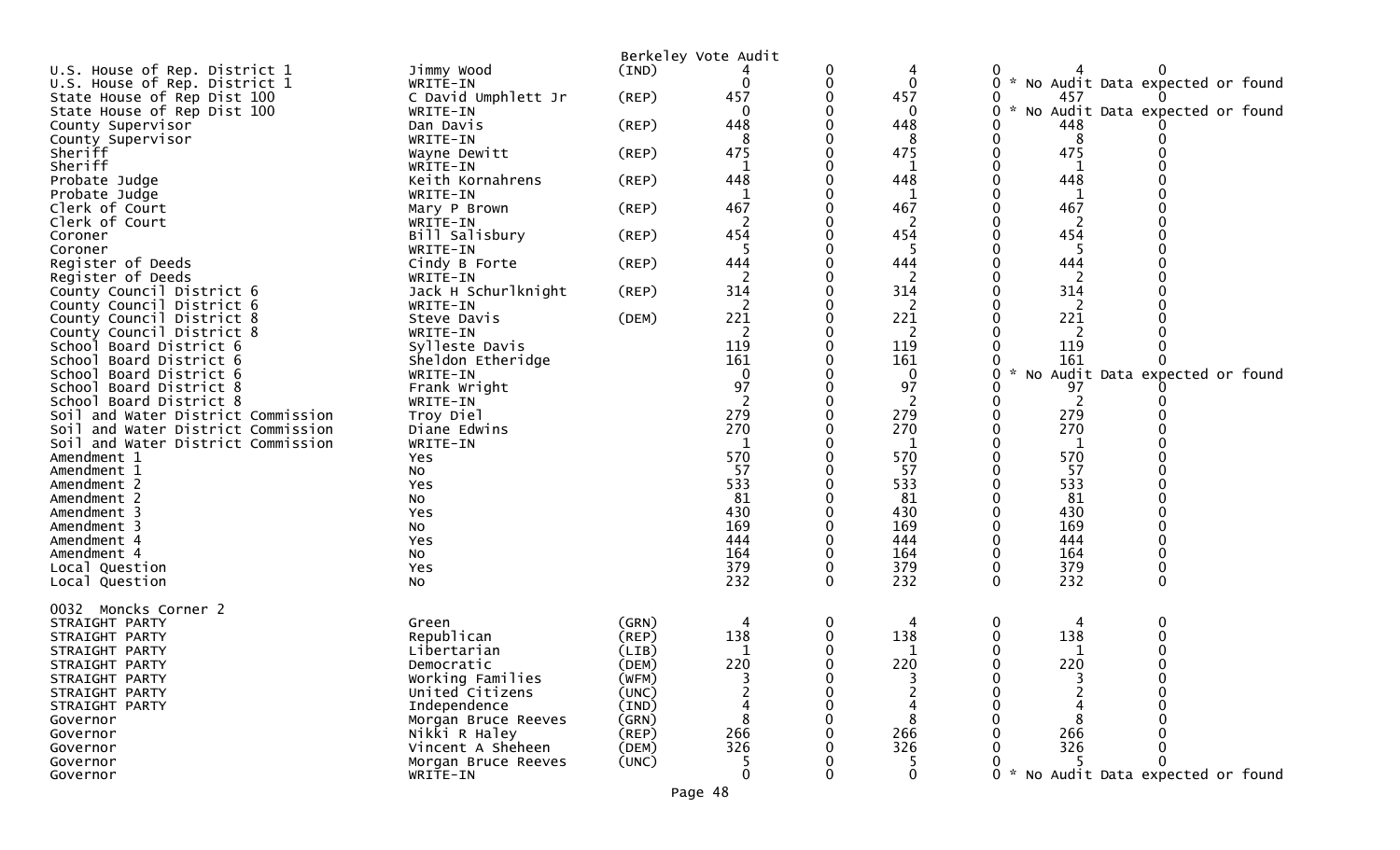|                                                               |                           |             | Berkeley Vote Audit |          |              |          |        |          |                                   |  |
|---------------------------------------------------------------|---------------------------|-------------|---------------------|----------|--------------|----------|--------|----------|-----------------------------------|--|
| U.S. House of Rep. District 1                                 | Jimmy Wood                | (IND)       |                     | 0        |              |          |        |          |                                   |  |
| U.S. House of Rep. District 1                                 | WRITE-IN                  |             | 0                   | 0        | $\mathbf{0}$ | 0        |        |          | * No Audit Data expected or found |  |
| State House of Rep Dist 100                                   | C David Umphlett Jr       | (REP)       | 457                 |          | 457          |          |        | 457      |                                   |  |
| State House of Rep Dist 100                                   | WRITE-IN                  |             | $\mathbf 0$         |          | 0            | 0        | W.     |          | No Audit Data expected or found   |  |
| County Supervisor                                             | Dan Davis                 | (REP)       | 448                 |          | 448          |          |        | 448      |                                   |  |
| County Supervisor                                             | WRITE-IN                  |             | 8                   |          | 8            |          |        | 8        |                                   |  |
| Sheriff                                                       | Wayne Dewitt              | (REP)       | 475                 |          | 475          |          |        | 475      |                                   |  |
| Sheriff                                                       | WRITE-IN                  |             |                     |          | 1            |          |        | 1        |                                   |  |
| Probate Judge                                                 | Keith Kornahrens          | (REP)       | 448                 |          | 448          |          |        | 448      |                                   |  |
| Probate Judge                                                 | WRITE-IN                  |             |                     |          | 1            |          |        |          |                                   |  |
| Clerk of Court                                                | Mary P Brown              | (REP)       | 467                 |          | 467          |          |        | 467      |                                   |  |
| Clerk of Court                                                | WRITE-IN                  |             | 2                   |          | 2            |          |        | 2        |                                   |  |
| Coroner                                                       | Bill Salisbury            | (REP)       | 454                 |          | 454          |          |        | 454      |                                   |  |
| Coroner                                                       | WRITE-IN                  |             | -5                  |          | -5           |          |        | 5        |                                   |  |
| Register of Deeds                                             | Cindy B Forte             | (REP)       | 444                 |          | 444          |          |        | 444      |                                   |  |
| Register of Deeds                                             | WRITE-IN                  |             | 2                   |          | 2            |          |        | 2        |                                   |  |
| County Council District 6                                     | Jack H Schurlknight       | (REP)       | 314                 |          | 314          |          |        | 314      |                                   |  |
| County Council District 6                                     | WRITE-IN                  |             | 2                   |          | 2            |          |        | 2        |                                   |  |
| County Council District 8                                     | Steve Davis               | (DEM)       | 221                 |          | 221          |          |        | 221      |                                   |  |
| County Council District 8                                     | WRITE-IN                  |             | 2                   |          | 2            |          |        | 2        |                                   |  |
| School Board District 6                                       | Sylleste Davis            |             | 119                 |          | 119          |          |        | 119      |                                   |  |
| School Board District 6                                       | Sheldon Etheridge         |             | 161                 |          | 161          |          | $\sim$ | 161      |                                   |  |
| Board District 6<br>School                                    | WRITE-IN                  |             | $\mathbf 0$<br>97   |          | $\mathbf 0$  |          |        |          | No Audit Data expected or found   |  |
| School Board District 8                                       | Frank Wright              |             |                     |          | 97           |          |        | 97       |                                   |  |
| School Board District 8<br>Soil and Water District Commission | WRITE-IN                  |             | 279                 |          | 2<br>279     |          |        | 2<br>279 |                                   |  |
| Soil and Water District Commission                            | Troy Diel<br>Diane Edwins |             | 270                 |          | 270          |          |        | 270      |                                   |  |
| Soil and Water District Commission                            | WRITE-IN                  |             |                     |          |              |          |        |          |                                   |  |
| Amendment 1                                                   | Yes                       |             | 570                 |          | 570          |          |        | 570      |                                   |  |
| Amendment 1                                                   | No                        |             | 57                  |          | 57           |          |        | 57       |                                   |  |
| Amendment 2                                                   | Yes                       |             | 533                 |          | 533          |          |        | 533      |                                   |  |
| Amendment 2                                                   | No                        |             | 81                  |          | 81           |          |        | 81       |                                   |  |
| Amendment 3                                                   | Yes                       |             | 430                 |          | 430          |          |        | 430      |                                   |  |
| Amendment 3                                                   | No                        |             | 169                 |          | 169          |          |        | 169      |                                   |  |
| Amendment 4                                                   | Yes                       |             | 444                 |          | 444          |          |        | 444      |                                   |  |
| Amendment 4                                                   | No                        |             | 164                 |          | 164          |          |        | 164      |                                   |  |
| Local Question                                                | Yes                       |             | 379                 |          | 379          |          |        | 379      |                                   |  |
| Local Question                                                | No                        |             | 232                 | $\Omega$ | 232          | $\Omega$ |        | 232      | $\Omega$                          |  |
|                                                               |                           |             |                     |          |              |          |        |          |                                   |  |
| 0032<br>Moncks Corner 2                                       |                           |             |                     |          |              |          |        |          |                                   |  |
| STRAIGHT PARTY                                                | Green                     | (GRN)       | 4                   | 0        |              |          |        |          | 0                                 |  |
| STRAIGHT PARTY                                                | Republican                | $($ REP $)$ | 138                 |          | 138          |          |        | 138      |                                   |  |
| STRAIGHT PARTY                                                | Libertarian               | (LIB)       | 1                   |          |              |          |        | 1        |                                   |  |
| STRAIGHT PARTY                                                | Democratic                | (DEM)       | 220                 |          | 220          |          |        | 220      |                                   |  |
| STRAIGHT PARTY                                                | Working Families          | (WFM)       |                     |          |              |          |        |          |                                   |  |
| STRAIGHT PARTY                                                | United Citizens           | (UNC)       |                     |          |              |          |        |          |                                   |  |
| STRAIGHT PARTY                                                | Independence              | (IND)       | 4                   |          |              |          |        |          |                                   |  |
| Governor                                                      | Morgan Bruce Reeves       | (GRN)       | 8                   |          |              |          |        |          |                                   |  |
| Governor                                                      | Nikki R Haley             | (REP)       | 266                 |          | 266          |          |        | 266      |                                   |  |
| Governor                                                      | Vincent A Sheheen         | (DEM)       | 326                 |          | 326          |          |        | 326      |                                   |  |
| Governor                                                      | Morgan Bruce Reeves       | (UNC)       |                     |          |              |          |        |          |                                   |  |
| Governor                                                      | WRITE-IN                  |             | $\mathbf{0}$        | 0        | $\mathbf{0}$ |          |        |          | * No Audit Data expected or found |  |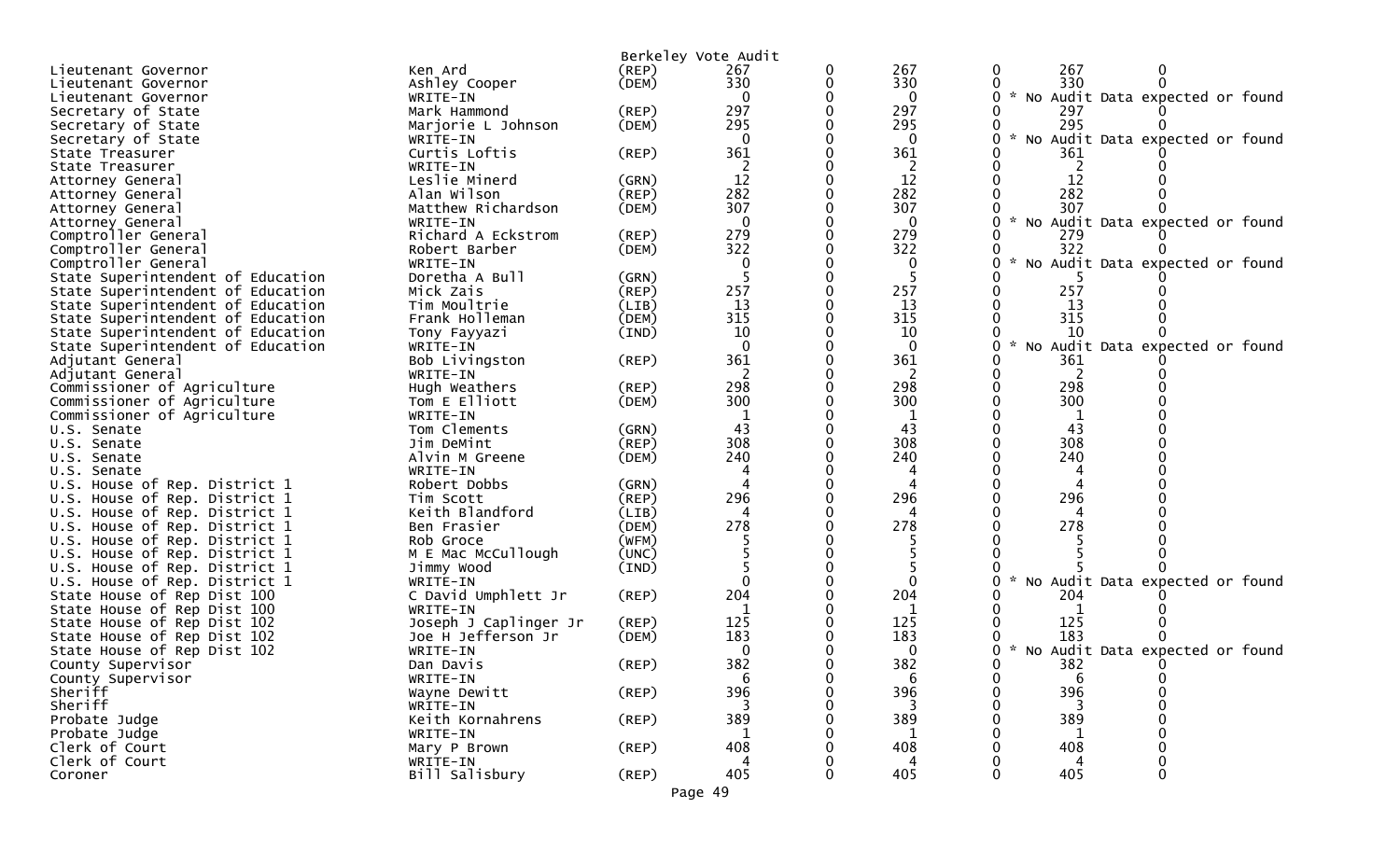| Ken Ard<br>$($ REP $)$<br>267<br>0<br>Lieutenant Governor<br>0<br>(DEM)<br>330<br>330<br>330<br>Ashley Cooper<br>Lieutenant Governor<br>$\mathbf 0$<br>$\mathbf{0}$<br>* No Audit Data expected or found<br>WRITE-IN<br>Lieutenant Governor<br>297<br>297<br>$($ REP $)$<br>Mark Hammond<br>Secretary of State<br>297<br>295<br>295<br>295<br>(DEM)<br>Secretary of State<br>Marjorie L Johnson<br>No Audit Data expected or found<br>$\mathbf 0$<br>Secretary of State<br>WRITE-IN<br>0<br>361<br>361<br>Curtis Loftis<br>$($ REP $)$<br>361<br>State Treasurer<br>2<br>WRITE-IN<br>State Treasurer<br>12<br>12<br>12<br>Leslie Minerd<br>(GRN)<br>Attorney General<br>282<br>282<br>282<br>(REP)<br>Alan Wilson<br>Attorney General<br>307<br>307<br>307<br>Matthew Richardson<br>(DEM)<br>Attorney General<br>$\Omega$<br>No Audit Data expected or found<br>Attorney General<br>WRITE-IN<br>0<br>279<br>279<br>Richard A Eckstrom<br>(REP)<br>279<br>Comptroller General<br>322<br>322<br>322<br>Robert Barber<br>(DEM)<br>Comptroller General<br>Comptroller General<br>No Audit Data expected or found<br>WRITE-IN<br>Doretha A Bull<br>(GRN)<br>State Superintendent of Education<br>257<br>257<br>257<br>State Superintendent of Education<br>Mick Zais<br>(REP)<br>13<br>State Superintendent of Education<br>Tim Moultrie<br>13<br>13<br>(LIB)<br>315<br>315<br>315<br>State Superintendent of Education<br>Frank Holleman<br>(DEM)<br>10<br>10<br>10<br>State Superintendent of Education<br>(IND)<br>Tony Fayyazi<br>$\sim$<br>State Superintendent of Education<br>$\Omega$<br>Audit Data expected or found<br>WRITE-IN<br>$\Omega$<br>NO<br>361<br>361<br>Bob Livingston<br>(REP)<br>361<br>Adjutant General<br>2<br>2<br>2<br>Adjutant General<br>WRITE-IN<br>298<br>298<br>298<br>Commissioner of Agriculture<br>Hugh Weathers<br>$($ REP $)$<br>300<br>300<br>300<br>Commissioner of Agriculture<br>Tom E Elliott<br>(DEM)<br>Commissioner of Agriculture<br>WRITE-IN<br>43<br>43<br>43<br>Tom Clements<br>(GRN)<br>U.S. Senate<br>308<br>308<br>308<br>Jim DeMint<br>(REP)<br>U.S. Senate<br>240<br>240<br>240<br>Alvin M Greene<br>(DEM)<br>U.S. Senate<br>WRITE-IN<br>U.S. Senate<br>U.S. House of Rep. District 1<br>Robert Dobbs<br>(GRN)<br>296<br>296<br>296<br>(REP)<br>U.S. House of Rep. District 1<br>Tim Scott<br>Keith Blandford<br>(LIB)<br>U.S. House of Rep. District 1<br>278<br>278<br>278<br>U.S. House of Rep. District 1<br>Ben Frasier<br>(DEM)<br>(WFM)<br>U.S. House of Rep. District 1<br>Rob Groce<br>M E Mac McCullough<br>U.S. House of Rep. District 1<br>(UNC)<br>U.S. House of Rep. District 1<br>Jimmy Wood<br>(IND)<br>No Audit Data expected or found<br>U.S. House of Rep. District 1<br>WRITE-IN<br>204<br>C David Umphlett Jr<br>204<br>(REP)<br>204<br>State House of Rep Dist 100<br>1<br>State House of Rep Dist 100<br>WRITE-IN<br>1<br>125<br>125<br>125<br>State House of Rep Dist 102<br>Joseph J Caplinger Jr<br>$($ REP $)$<br>183<br>183<br>183<br>State House of Rep Dist 102<br>Joe H Jefferson Jr<br>(DEM)<br>Audit Data expected or found<br>$*$ No<br>State House of Rep Dist 102<br>$\Omega$<br>0<br>WRITE-IN<br>382<br>382<br>382<br>$($ REP $)$<br>Dan Davis<br>County Supervisor<br>County Supervisor<br>WRITE-IN<br>6<br>0<br>b<br>b<br>396<br>396<br>396<br>Sheriff<br>$($ REP $)$<br>Wayne Dewitt<br>Sheriff<br>WRITE-IN<br>389<br>389<br>389<br>Probate Judge<br>Keith Kornahrens<br>$($ REP $)$<br>Probate Judge<br>-1<br>1<br>1<br>WRITE-IN<br>Clerk of Court<br>$($ REP $)$<br>408<br>408<br>408<br>Mary P Brown<br>Clerk of Court<br>WRITE-IN<br>Δ<br>4<br>4<br>405<br>405<br>405<br>Bill Salisbury<br>$($ REP $)$<br>0<br>Coroner<br>0<br>Page 49 |  | Berkeley Vote Audit |     |     |
|-------------------------------------------------------------------------------------------------------------------------------------------------------------------------------------------------------------------------------------------------------------------------------------------------------------------------------------------------------------------------------------------------------------------------------------------------------------------------------------------------------------------------------------------------------------------------------------------------------------------------------------------------------------------------------------------------------------------------------------------------------------------------------------------------------------------------------------------------------------------------------------------------------------------------------------------------------------------------------------------------------------------------------------------------------------------------------------------------------------------------------------------------------------------------------------------------------------------------------------------------------------------------------------------------------------------------------------------------------------------------------------------------------------------------------------------------------------------------------------------------------------------------------------------------------------------------------------------------------------------------------------------------------------------------------------------------------------------------------------------------------------------------------------------------------------------------------------------------------------------------------------------------------------------------------------------------------------------------------------------------------------------------------------------------------------------------------------------------------------------------------------------------------------------------------------------------------------------------------------------------------------------------------------------------------------------------------------------------------------------------------------------------------------------------------------------------------------------------------------------------------------------------------------------------------------------------------------------------------------------------------------------------------------------------------------------------------------------------------------------------------------------------------------------------------------------------------------------------------------------------------------------------------------------------------------------------------------------------------------------------------------------------------------------------------------------------------------------------------------------------------------------------------------------------------------------------------------------------------------------------------------------------------------------------------------------------------------------------------------------------------------------------------------------------------------------------------------------------------------------------------------------------------------------------------------------------------------------------------------------------------------------------------------------------------------------------------------------------------------|--|---------------------|-----|-----|
|                                                                                                                                                                                                                                                                                                                                                                                                                                                                                                                                                                                                                                                                                                                                                                                                                                                                                                                                                                                                                                                                                                                                                                                                                                                                                                                                                                                                                                                                                                                                                                                                                                                                                                                                                                                                                                                                                                                                                                                                                                                                                                                                                                                                                                                                                                                                                                                                                                                                                                                                                                                                                                                                                                                                                                                                                                                                                                                                                                                                                                                                                                                                                                                                                                                                                                                                                                                                                                                                                                                                                                                                                                                                                                                                     |  |                     | 267 | 267 |
|                                                                                                                                                                                                                                                                                                                                                                                                                                                                                                                                                                                                                                                                                                                                                                                                                                                                                                                                                                                                                                                                                                                                                                                                                                                                                                                                                                                                                                                                                                                                                                                                                                                                                                                                                                                                                                                                                                                                                                                                                                                                                                                                                                                                                                                                                                                                                                                                                                                                                                                                                                                                                                                                                                                                                                                                                                                                                                                                                                                                                                                                                                                                                                                                                                                                                                                                                                                                                                                                                                                                                                                                                                                                                                                                     |  |                     |     |     |
|                                                                                                                                                                                                                                                                                                                                                                                                                                                                                                                                                                                                                                                                                                                                                                                                                                                                                                                                                                                                                                                                                                                                                                                                                                                                                                                                                                                                                                                                                                                                                                                                                                                                                                                                                                                                                                                                                                                                                                                                                                                                                                                                                                                                                                                                                                                                                                                                                                                                                                                                                                                                                                                                                                                                                                                                                                                                                                                                                                                                                                                                                                                                                                                                                                                                                                                                                                                                                                                                                                                                                                                                                                                                                                                                     |  |                     |     |     |
|                                                                                                                                                                                                                                                                                                                                                                                                                                                                                                                                                                                                                                                                                                                                                                                                                                                                                                                                                                                                                                                                                                                                                                                                                                                                                                                                                                                                                                                                                                                                                                                                                                                                                                                                                                                                                                                                                                                                                                                                                                                                                                                                                                                                                                                                                                                                                                                                                                                                                                                                                                                                                                                                                                                                                                                                                                                                                                                                                                                                                                                                                                                                                                                                                                                                                                                                                                                                                                                                                                                                                                                                                                                                                                                                     |  |                     |     |     |
|                                                                                                                                                                                                                                                                                                                                                                                                                                                                                                                                                                                                                                                                                                                                                                                                                                                                                                                                                                                                                                                                                                                                                                                                                                                                                                                                                                                                                                                                                                                                                                                                                                                                                                                                                                                                                                                                                                                                                                                                                                                                                                                                                                                                                                                                                                                                                                                                                                                                                                                                                                                                                                                                                                                                                                                                                                                                                                                                                                                                                                                                                                                                                                                                                                                                                                                                                                                                                                                                                                                                                                                                                                                                                                                                     |  |                     |     |     |
|                                                                                                                                                                                                                                                                                                                                                                                                                                                                                                                                                                                                                                                                                                                                                                                                                                                                                                                                                                                                                                                                                                                                                                                                                                                                                                                                                                                                                                                                                                                                                                                                                                                                                                                                                                                                                                                                                                                                                                                                                                                                                                                                                                                                                                                                                                                                                                                                                                                                                                                                                                                                                                                                                                                                                                                                                                                                                                                                                                                                                                                                                                                                                                                                                                                                                                                                                                                                                                                                                                                                                                                                                                                                                                                                     |  |                     |     |     |
|                                                                                                                                                                                                                                                                                                                                                                                                                                                                                                                                                                                                                                                                                                                                                                                                                                                                                                                                                                                                                                                                                                                                                                                                                                                                                                                                                                                                                                                                                                                                                                                                                                                                                                                                                                                                                                                                                                                                                                                                                                                                                                                                                                                                                                                                                                                                                                                                                                                                                                                                                                                                                                                                                                                                                                                                                                                                                                                                                                                                                                                                                                                                                                                                                                                                                                                                                                                                                                                                                                                                                                                                                                                                                                                                     |  |                     |     |     |
|                                                                                                                                                                                                                                                                                                                                                                                                                                                                                                                                                                                                                                                                                                                                                                                                                                                                                                                                                                                                                                                                                                                                                                                                                                                                                                                                                                                                                                                                                                                                                                                                                                                                                                                                                                                                                                                                                                                                                                                                                                                                                                                                                                                                                                                                                                                                                                                                                                                                                                                                                                                                                                                                                                                                                                                                                                                                                                                                                                                                                                                                                                                                                                                                                                                                                                                                                                                                                                                                                                                                                                                                                                                                                                                                     |  |                     |     |     |
|                                                                                                                                                                                                                                                                                                                                                                                                                                                                                                                                                                                                                                                                                                                                                                                                                                                                                                                                                                                                                                                                                                                                                                                                                                                                                                                                                                                                                                                                                                                                                                                                                                                                                                                                                                                                                                                                                                                                                                                                                                                                                                                                                                                                                                                                                                                                                                                                                                                                                                                                                                                                                                                                                                                                                                                                                                                                                                                                                                                                                                                                                                                                                                                                                                                                                                                                                                                                                                                                                                                                                                                                                                                                                                                                     |  |                     |     |     |
|                                                                                                                                                                                                                                                                                                                                                                                                                                                                                                                                                                                                                                                                                                                                                                                                                                                                                                                                                                                                                                                                                                                                                                                                                                                                                                                                                                                                                                                                                                                                                                                                                                                                                                                                                                                                                                                                                                                                                                                                                                                                                                                                                                                                                                                                                                                                                                                                                                                                                                                                                                                                                                                                                                                                                                                                                                                                                                                                                                                                                                                                                                                                                                                                                                                                                                                                                                                                                                                                                                                                                                                                                                                                                                                                     |  |                     |     |     |
|                                                                                                                                                                                                                                                                                                                                                                                                                                                                                                                                                                                                                                                                                                                                                                                                                                                                                                                                                                                                                                                                                                                                                                                                                                                                                                                                                                                                                                                                                                                                                                                                                                                                                                                                                                                                                                                                                                                                                                                                                                                                                                                                                                                                                                                                                                                                                                                                                                                                                                                                                                                                                                                                                                                                                                                                                                                                                                                                                                                                                                                                                                                                                                                                                                                                                                                                                                                                                                                                                                                                                                                                                                                                                                                                     |  |                     |     |     |
|                                                                                                                                                                                                                                                                                                                                                                                                                                                                                                                                                                                                                                                                                                                                                                                                                                                                                                                                                                                                                                                                                                                                                                                                                                                                                                                                                                                                                                                                                                                                                                                                                                                                                                                                                                                                                                                                                                                                                                                                                                                                                                                                                                                                                                                                                                                                                                                                                                                                                                                                                                                                                                                                                                                                                                                                                                                                                                                                                                                                                                                                                                                                                                                                                                                                                                                                                                                                                                                                                                                                                                                                                                                                                                                                     |  |                     |     |     |
|                                                                                                                                                                                                                                                                                                                                                                                                                                                                                                                                                                                                                                                                                                                                                                                                                                                                                                                                                                                                                                                                                                                                                                                                                                                                                                                                                                                                                                                                                                                                                                                                                                                                                                                                                                                                                                                                                                                                                                                                                                                                                                                                                                                                                                                                                                                                                                                                                                                                                                                                                                                                                                                                                                                                                                                                                                                                                                                                                                                                                                                                                                                                                                                                                                                                                                                                                                                                                                                                                                                                                                                                                                                                                                                                     |  |                     |     |     |
|                                                                                                                                                                                                                                                                                                                                                                                                                                                                                                                                                                                                                                                                                                                                                                                                                                                                                                                                                                                                                                                                                                                                                                                                                                                                                                                                                                                                                                                                                                                                                                                                                                                                                                                                                                                                                                                                                                                                                                                                                                                                                                                                                                                                                                                                                                                                                                                                                                                                                                                                                                                                                                                                                                                                                                                                                                                                                                                                                                                                                                                                                                                                                                                                                                                                                                                                                                                                                                                                                                                                                                                                                                                                                                                                     |  |                     |     |     |
|                                                                                                                                                                                                                                                                                                                                                                                                                                                                                                                                                                                                                                                                                                                                                                                                                                                                                                                                                                                                                                                                                                                                                                                                                                                                                                                                                                                                                                                                                                                                                                                                                                                                                                                                                                                                                                                                                                                                                                                                                                                                                                                                                                                                                                                                                                                                                                                                                                                                                                                                                                                                                                                                                                                                                                                                                                                                                                                                                                                                                                                                                                                                                                                                                                                                                                                                                                                                                                                                                                                                                                                                                                                                                                                                     |  |                     |     |     |
|                                                                                                                                                                                                                                                                                                                                                                                                                                                                                                                                                                                                                                                                                                                                                                                                                                                                                                                                                                                                                                                                                                                                                                                                                                                                                                                                                                                                                                                                                                                                                                                                                                                                                                                                                                                                                                                                                                                                                                                                                                                                                                                                                                                                                                                                                                                                                                                                                                                                                                                                                                                                                                                                                                                                                                                                                                                                                                                                                                                                                                                                                                                                                                                                                                                                                                                                                                                                                                                                                                                                                                                                                                                                                                                                     |  |                     |     |     |
|                                                                                                                                                                                                                                                                                                                                                                                                                                                                                                                                                                                                                                                                                                                                                                                                                                                                                                                                                                                                                                                                                                                                                                                                                                                                                                                                                                                                                                                                                                                                                                                                                                                                                                                                                                                                                                                                                                                                                                                                                                                                                                                                                                                                                                                                                                                                                                                                                                                                                                                                                                                                                                                                                                                                                                                                                                                                                                                                                                                                                                                                                                                                                                                                                                                                                                                                                                                                                                                                                                                                                                                                                                                                                                                                     |  |                     |     |     |
|                                                                                                                                                                                                                                                                                                                                                                                                                                                                                                                                                                                                                                                                                                                                                                                                                                                                                                                                                                                                                                                                                                                                                                                                                                                                                                                                                                                                                                                                                                                                                                                                                                                                                                                                                                                                                                                                                                                                                                                                                                                                                                                                                                                                                                                                                                                                                                                                                                                                                                                                                                                                                                                                                                                                                                                                                                                                                                                                                                                                                                                                                                                                                                                                                                                                                                                                                                                                                                                                                                                                                                                                                                                                                                                                     |  |                     |     |     |
|                                                                                                                                                                                                                                                                                                                                                                                                                                                                                                                                                                                                                                                                                                                                                                                                                                                                                                                                                                                                                                                                                                                                                                                                                                                                                                                                                                                                                                                                                                                                                                                                                                                                                                                                                                                                                                                                                                                                                                                                                                                                                                                                                                                                                                                                                                                                                                                                                                                                                                                                                                                                                                                                                                                                                                                                                                                                                                                                                                                                                                                                                                                                                                                                                                                                                                                                                                                                                                                                                                                                                                                                                                                                                                                                     |  |                     |     |     |
|                                                                                                                                                                                                                                                                                                                                                                                                                                                                                                                                                                                                                                                                                                                                                                                                                                                                                                                                                                                                                                                                                                                                                                                                                                                                                                                                                                                                                                                                                                                                                                                                                                                                                                                                                                                                                                                                                                                                                                                                                                                                                                                                                                                                                                                                                                                                                                                                                                                                                                                                                                                                                                                                                                                                                                                                                                                                                                                                                                                                                                                                                                                                                                                                                                                                                                                                                                                                                                                                                                                                                                                                                                                                                                                                     |  |                     |     |     |
|                                                                                                                                                                                                                                                                                                                                                                                                                                                                                                                                                                                                                                                                                                                                                                                                                                                                                                                                                                                                                                                                                                                                                                                                                                                                                                                                                                                                                                                                                                                                                                                                                                                                                                                                                                                                                                                                                                                                                                                                                                                                                                                                                                                                                                                                                                                                                                                                                                                                                                                                                                                                                                                                                                                                                                                                                                                                                                                                                                                                                                                                                                                                                                                                                                                                                                                                                                                                                                                                                                                                                                                                                                                                                                                                     |  |                     |     |     |
|                                                                                                                                                                                                                                                                                                                                                                                                                                                                                                                                                                                                                                                                                                                                                                                                                                                                                                                                                                                                                                                                                                                                                                                                                                                                                                                                                                                                                                                                                                                                                                                                                                                                                                                                                                                                                                                                                                                                                                                                                                                                                                                                                                                                                                                                                                                                                                                                                                                                                                                                                                                                                                                                                                                                                                                                                                                                                                                                                                                                                                                                                                                                                                                                                                                                                                                                                                                                                                                                                                                                                                                                                                                                                                                                     |  |                     |     |     |
|                                                                                                                                                                                                                                                                                                                                                                                                                                                                                                                                                                                                                                                                                                                                                                                                                                                                                                                                                                                                                                                                                                                                                                                                                                                                                                                                                                                                                                                                                                                                                                                                                                                                                                                                                                                                                                                                                                                                                                                                                                                                                                                                                                                                                                                                                                                                                                                                                                                                                                                                                                                                                                                                                                                                                                                                                                                                                                                                                                                                                                                                                                                                                                                                                                                                                                                                                                                                                                                                                                                                                                                                                                                                                                                                     |  |                     |     |     |
|                                                                                                                                                                                                                                                                                                                                                                                                                                                                                                                                                                                                                                                                                                                                                                                                                                                                                                                                                                                                                                                                                                                                                                                                                                                                                                                                                                                                                                                                                                                                                                                                                                                                                                                                                                                                                                                                                                                                                                                                                                                                                                                                                                                                                                                                                                                                                                                                                                                                                                                                                                                                                                                                                                                                                                                                                                                                                                                                                                                                                                                                                                                                                                                                                                                                                                                                                                                                                                                                                                                                                                                                                                                                                                                                     |  |                     |     |     |
|                                                                                                                                                                                                                                                                                                                                                                                                                                                                                                                                                                                                                                                                                                                                                                                                                                                                                                                                                                                                                                                                                                                                                                                                                                                                                                                                                                                                                                                                                                                                                                                                                                                                                                                                                                                                                                                                                                                                                                                                                                                                                                                                                                                                                                                                                                                                                                                                                                                                                                                                                                                                                                                                                                                                                                                                                                                                                                                                                                                                                                                                                                                                                                                                                                                                                                                                                                                                                                                                                                                                                                                                                                                                                                                                     |  |                     |     |     |
|                                                                                                                                                                                                                                                                                                                                                                                                                                                                                                                                                                                                                                                                                                                                                                                                                                                                                                                                                                                                                                                                                                                                                                                                                                                                                                                                                                                                                                                                                                                                                                                                                                                                                                                                                                                                                                                                                                                                                                                                                                                                                                                                                                                                                                                                                                                                                                                                                                                                                                                                                                                                                                                                                                                                                                                                                                                                                                                                                                                                                                                                                                                                                                                                                                                                                                                                                                                                                                                                                                                                                                                                                                                                                                                                     |  |                     |     |     |
|                                                                                                                                                                                                                                                                                                                                                                                                                                                                                                                                                                                                                                                                                                                                                                                                                                                                                                                                                                                                                                                                                                                                                                                                                                                                                                                                                                                                                                                                                                                                                                                                                                                                                                                                                                                                                                                                                                                                                                                                                                                                                                                                                                                                                                                                                                                                                                                                                                                                                                                                                                                                                                                                                                                                                                                                                                                                                                                                                                                                                                                                                                                                                                                                                                                                                                                                                                                                                                                                                                                                                                                                                                                                                                                                     |  |                     |     |     |
|                                                                                                                                                                                                                                                                                                                                                                                                                                                                                                                                                                                                                                                                                                                                                                                                                                                                                                                                                                                                                                                                                                                                                                                                                                                                                                                                                                                                                                                                                                                                                                                                                                                                                                                                                                                                                                                                                                                                                                                                                                                                                                                                                                                                                                                                                                                                                                                                                                                                                                                                                                                                                                                                                                                                                                                                                                                                                                                                                                                                                                                                                                                                                                                                                                                                                                                                                                                                                                                                                                                                                                                                                                                                                                                                     |  |                     |     |     |
|                                                                                                                                                                                                                                                                                                                                                                                                                                                                                                                                                                                                                                                                                                                                                                                                                                                                                                                                                                                                                                                                                                                                                                                                                                                                                                                                                                                                                                                                                                                                                                                                                                                                                                                                                                                                                                                                                                                                                                                                                                                                                                                                                                                                                                                                                                                                                                                                                                                                                                                                                                                                                                                                                                                                                                                                                                                                                                                                                                                                                                                                                                                                                                                                                                                                                                                                                                                                                                                                                                                                                                                                                                                                                                                                     |  |                     |     |     |
|                                                                                                                                                                                                                                                                                                                                                                                                                                                                                                                                                                                                                                                                                                                                                                                                                                                                                                                                                                                                                                                                                                                                                                                                                                                                                                                                                                                                                                                                                                                                                                                                                                                                                                                                                                                                                                                                                                                                                                                                                                                                                                                                                                                                                                                                                                                                                                                                                                                                                                                                                                                                                                                                                                                                                                                                                                                                                                                                                                                                                                                                                                                                                                                                                                                                                                                                                                                                                                                                                                                                                                                                                                                                                                                                     |  |                     |     |     |
|                                                                                                                                                                                                                                                                                                                                                                                                                                                                                                                                                                                                                                                                                                                                                                                                                                                                                                                                                                                                                                                                                                                                                                                                                                                                                                                                                                                                                                                                                                                                                                                                                                                                                                                                                                                                                                                                                                                                                                                                                                                                                                                                                                                                                                                                                                                                                                                                                                                                                                                                                                                                                                                                                                                                                                                                                                                                                                                                                                                                                                                                                                                                                                                                                                                                                                                                                                                                                                                                                                                                                                                                                                                                                                                                     |  |                     |     |     |
|                                                                                                                                                                                                                                                                                                                                                                                                                                                                                                                                                                                                                                                                                                                                                                                                                                                                                                                                                                                                                                                                                                                                                                                                                                                                                                                                                                                                                                                                                                                                                                                                                                                                                                                                                                                                                                                                                                                                                                                                                                                                                                                                                                                                                                                                                                                                                                                                                                                                                                                                                                                                                                                                                                                                                                                                                                                                                                                                                                                                                                                                                                                                                                                                                                                                                                                                                                                                                                                                                                                                                                                                                                                                                                                                     |  |                     |     |     |
|                                                                                                                                                                                                                                                                                                                                                                                                                                                                                                                                                                                                                                                                                                                                                                                                                                                                                                                                                                                                                                                                                                                                                                                                                                                                                                                                                                                                                                                                                                                                                                                                                                                                                                                                                                                                                                                                                                                                                                                                                                                                                                                                                                                                                                                                                                                                                                                                                                                                                                                                                                                                                                                                                                                                                                                                                                                                                                                                                                                                                                                                                                                                                                                                                                                                                                                                                                                                                                                                                                                                                                                                                                                                                                                                     |  |                     |     |     |
|                                                                                                                                                                                                                                                                                                                                                                                                                                                                                                                                                                                                                                                                                                                                                                                                                                                                                                                                                                                                                                                                                                                                                                                                                                                                                                                                                                                                                                                                                                                                                                                                                                                                                                                                                                                                                                                                                                                                                                                                                                                                                                                                                                                                                                                                                                                                                                                                                                                                                                                                                                                                                                                                                                                                                                                                                                                                                                                                                                                                                                                                                                                                                                                                                                                                                                                                                                                                                                                                                                                                                                                                                                                                                                                                     |  |                     |     |     |
|                                                                                                                                                                                                                                                                                                                                                                                                                                                                                                                                                                                                                                                                                                                                                                                                                                                                                                                                                                                                                                                                                                                                                                                                                                                                                                                                                                                                                                                                                                                                                                                                                                                                                                                                                                                                                                                                                                                                                                                                                                                                                                                                                                                                                                                                                                                                                                                                                                                                                                                                                                                                                                                                                                                                                                                                                                                                                                                                                                                                                                                                                                                                                                                                                                                                                                                                                                                                                                                                                                                                                                                                                                                                                                                                     |  |                     |     |     |
|                                                                                                                                                                                                                                                                                                                                                                                                                                                                                                                                                                                                                                                                                                                                                                                                                                                                                                                                                                                                                                                                                                                                                                                                                                                                                                                                                                                                                                                                                                                                                                                                                                                                                                                                                                                                                                                                                                                                                                                                                                                                                                                                                                                                                                                                                                                                                                                                                                                                                                                                                                                                                                                                                                                                                                                                                                                                                                                                                                                                                                                                                                                                                                                                                                                                                                                                                                                                                                                                                                                                                                                                                                                                                                                                     |  |                     |     |     |
|                                                                                                                                                                                                                                                                                                                                                                                                                                                                                                                                                                                                                                                                                                                                                                                                                                                                                                                                                                                                                                                                                                                                                                                                                                                                                                                                                                                                                                                                                                                                                                                                                                                                                                                                                                                                                                                                                                                                                                                                                                                                                                                                                                                                                                                                                                                                                                                                                                                                                                                                                                                                                                                                                                                                                                                                                                                                                                                                                                                                                                                                                                                                                                                                                                                                                                                                                                                                                                                                                                                                                                                                                                                                                                                                     |  |                     |     |     |
|                                                                                                                                                                                                                                                                                                                                                                                                                                                                                                                                                                                                                                                                                                                                                                                                                                                                                                                                                                                                                                                                                                                                                                                                                                                                                                                                                                                                                                                                                                                                                                                                                                                                                                                                                                                                                                                                                                                                                                                                                                                                                                                                                                                                                                                                                                                                                                                                                                                                                                                                                                                                                                                                                                                                                                                                                                                                                                                                                                                                                                                                                                                                                                                                                                                                                                                                                                                                                                                                                                                                                                                                                                                                                                                                     |  |                     |     |     |
|                                                                                                                                                                                                                                                                                                                                                                                                                                                                                                                                                                                                                                                                                                                                                                                                                                                                                                                                                                                                                                                                                                                                                                                                                                                                                                                                                                                                                                                                                                                                                                                                                                                                                                                                                                                                                                                                                                                                                                                                                                                                                                                                                                                                                                                                                                                                                                                                                                                                                                                                                                                                                                                                                                                                                                                                                                                                                                                                                                                                                                                                                                                                                                                                                                                                                                                                                                                                                                                                                                                                                                                                                                                                                                                                     |  |                     |     |     |
|                                                                                                                                                                                                                                                                                                                                                                                                                                                                                                                                                                                                                                                                                                                                                                                                                                                                                                                                                                                                                                                                                                                                                                                                                                                                                                                                                                                                                                                                                                                                                                                                                                                                                                                                                                                                                                                                                                                                                                                                                                                                                                                                                                                                                                                                                                                                                                                                                                                                                                                                                                                                                                                                                                                                                                                                                                                                                                                                                                                                                                                                                                                                                                                                                                                                                                                                                                                                                                                                                                                                                                                                                                                                                                                                     |  |                     |     |     |
|                                                                                                                                                                                                                                                                                                                                                                                                                                                                                                                                                                                                                                                                                                                                                                                                                                                                                                                                                                                                                                                                                                                                                                                                                                                                                                                                                                                                                                                                                                                                                                                                                                                                                                                                                                                                                                                                                                                                                                                                                                                                                                                                                                                                                                                                                                                                                                                                                                                                                                                                                                                                                                                                                                                                                                                                                                                                                                                                                                                                                                                                                                                                                                                                                                                                                                                                                                                                                                                                                                                                                                                                                                                                                                                                     |  |                     |     |     |
|                                                                                                                                                                                                                                                                                                                                                                                                                                                                                                                                                                                                                                                                                                                                                                                                                                                                                                                                                                                                                                                                                                                                                                                                                                                                                                                                                                                                                                                                                                                                                                                                                                                                                                                                                                                                                                                                                                                                                                                                                                                                                                                                                                                                                                                                                                                                                                                                                                                                                                                                                                                                                                                                                                                                                                                                                                                                                                                                                                                                                                                                                                                                                                                                                                                                                                                                                                                                                                                                                                                                                                                                                                                                                                                                     |  |                     |     |     |
|                                                                                                                                                                                                                                                                                                                                                                                                                                                                                                                                                                                                                                                                                                                                                                                                                                                                                                                                                                                                                                                                                                                                                                                                                                                                                                                                                                                                                                                                                                                                                                                                                                                                                                                                                                                                                                                                                                                                                                                                                                                                                                                                                                                                                                                                                                                                                                                                                                                                                                                                                                                                                                                                                                                                                                                                                                                                                                                                                                                                                                                                                                                                                                                                                                                                                                                                                                                                                                                                                                                                                                                                                                                                                                                                     |  |                     |     |     |
|                                                                                                                                                                                                                                                                                                                                                                                                                                                                                                                                                                                                                                                                                                                                                                                                                                                                                                                                                                                                                                                                                                                                                                                                                                                                                                                                                                                                                                                                                                                                                                                                                                                                                                                                                                                                                                                                                                                                                                                                                                                                                                                                                                                                                                                                                                                                                                                                                                                                                                                                                                                                                                                                                                                                                                                                                                                                                                                                                                                                                                                                                                                                                                                                                                                                                                                                                                                                                                                                                                                                                                                                                                                                                                                                     |  |                     |     |     |
|                                                                                                                                                                                                                                                                                                                                                                                                                                                                                                                                                                                                                                                                                                                                                                                                                                                                                                                                                                                                                                                                                                                                                                                                                                                                                                                                                                                                                                                                                                                                                                                                                                                                                                                                                                                                                                                                                                                                                                                                                                                                                                                                                                                                                                                                                                                                                                                                                                                                                                                                                                                                                                                                                                                                                                                                                                                                                                                                                                                                                                                                                                                                                                                                                                                                                                                                                                                                                                                                                                                                                                                                                                                                                                                                     |  |                     |     |     |
|                                                                                                                                                                                                                                                                                                                                                                                                                                                                                                                                                                                                                                                                                                                                                                                                                                                                                                                                                                                                                                                                                                                                                                                                                                                                                                                                                                                                                                                                                                                                                                                                                                                                                                                                                                                                                                                                                                                                                                                                                                                                                                                                                                                                                                                                                                                                                                                                                                                                                                                                                                                                                                                                                                                                                                                                                                                                                                                                                                                                                                                                                                                                                                                                                                                                                                                                                                                                                                                                                                                                                                                                                                                                                                                                     |  |                     |     |     |
|                                                                                                                                                                                                                                                                                                                                                                                                                                                                                                                                                                                                                                                                                                                                                                                                                                                                                                                                                                                                                                                                                                                                                                                                                                                                                                                                                                                                                                                                                                                                                                                                                                                                                                                                                                                                                                                                                                                                                                                                                                                                                                                                                                                                                                                                                                                                                                                                                                                                                                                                                                                                                                                                                                                                                                                                                                                                                                                                                                                                                                                                                                                                                                                                                                                                                                                                                                                                                                                                                                                                                                                                                                                                                                                                     |  |                     |     |     |
|                                                                                                                                                                                                                                                                                                                                                                                                                                                                                                                                                                                                                                                                                                                                                                                                                                                                                                                                                                                                                                                                                                                                                                                                                                                                                                                                                                                                                                                                                                                                                                                                                                                                                                                                                                                                                                                                                                                                                                                                                                                                                                                                                                                                                                                                                                                                                                                                                                                                                                                                                                                                                                                                                                                                                                                                                                                                                                                                                                                                                                                                                                                                                                                                                                                                                                                                                                                                                                                                                                                                                                                                                                                                                                                                     |  |                     |     |     |
|                                                                                                                                                                                                                                                                                                                                                                                                                                                                                                                                                                                                                                                                                                                                                                                                                                                                                                                                                                                                                                                                                                                                                                                                                                                                                                                                                                                                                                                                                                                                                                                                                                                                                                                                                                                                                                                                                                                                                                                                                                                                                                                                                                                                                                                                                                                                                                                                                                                                                                                                                                                                                                                                                                                                                                                                                                                                                                                                                                                                                                                                                                                                                                                                                                                                                                                                                                                                                                                                                                                                                                                                                                                                                                                                     |  |                     |     |     |
|                                                                                                                                                                                                                                                                                                                                                                                                                                                                                                                                                                                                                                                                                                                                                                                                                                                                                                                                                                                                                                                                                                                                                                                                                                                                                                                                                                                                                                                                                                                                                                                                                                                                                                                                                                                                                                                                                                                                                                                                                                                                                                                                                                                                                                                                                                                                                                                                                                                                                                                                                                                                                                                                                                                                                                                                                                                                                                                                                                                                                                                                                                                                                                                                                                                                                                                                                                                                                                                                                                                                                                                                                                                                                                                                     |  |                     |     |     |
|                                                                                                                                                                                                                                                                                                                                                                                                                                                                                                                                                                                                                                                                                                                                                                                                                                                                                                                                                                                                                                                                                                                                                                                                                                                                                                                                                                                                                                                                                                                                                                                                                                                                                                                                                                                                                                                                                                                                                                                                                                                                                                                                                                                                                                                                                                                                                                                                                                                                                                                                                                                                                                                                                                                                                                                                                                                                                                                                                                                                                                                                                                                                                                                                                                                                                                                                                                                                                                                                                                                                                                                                                                                                                                                                     |  |                     |     |     |
|                                                                                                                                                                                                                                                                                                                                                                                                                                                                                                                                                                                                                                                                                                                                                                                                                                                                                                                                                                                                                                                                                                                                                                                                                                                                                                                                                                                                                                                                                                                                                                                                                                                                                                                                                                                                                                                                                                                                                                                                                                                                                                                                                                                                                                                                                                                                                                                                                                                                                                                                                                                                                                                                                                                                                                                                                                                                                                                                                                                                                                                                                                                                                                                                                                                                                                                                                                                                                                                                                                                                                                                                                                                                                                                                     |  |                     |     |     |
|                                                                                                                                                                                                                                                                                                                                                                                                                                                                                                                                                                                                                                                                                                                                                                                                                                                                                                                                                                                                                                                                                                                                                                                                                                                                                                                                                                                                                                                                                                                                                                                                                                                                                                                                                                                                                                                                                                                                                                                                                                                                                                                                                                                                                                                                                                                                                                                                                                                                                                                                                                                                                                                                                                                                                                                                                                                                                                                                                                                                                                                                                                                                                                                                                                                                                                                                                                                                                                                                                                                                                                                                                                                                                                                                     |  |                     |     |     |
|                                                                                                                                                                                                                                                                                                                                                                                                                                                                                                                                                                                                                                                                                                                                                                                                                                                                                                                                                                                                                                                                                                                                                                                                                                                                                                                                                                                                                                                                                                                                                                                                                                                                                                                                                                                                                                                                                                                                                                                                                                                                                                                                                                                                                                                                                                                                                                                                                                                                                                                                                                                                                                                                                                                                                                                                                                                                                                                                                                                                                                                                                                                                                                                                                                                                                                                                                                                                                                                                                                                                                                                                                                                                                                                                     |  |                     |     |     |
|                                                                                                                                                                                                                                                                                                                                                                                                                                                                                                                                                                                                                                                                                                                                                                                                                                                                                                                                                                                                                                                                                                                                                                                                                                                                                                                                                                                                                                                                                                                                                                                                                                                                                                                                                                                                                                                                                                                                                                                                                                                                                                                                                                                                                                                                                                                                                                                                                                                                                                                                                                                                                                                                                                                                                                                                                                                                                                                                                                                                                                                                                                                                                                                                                                                                                                                                                                                                                                                                                                                                                                                                                                                                                                                                     |  |                     |     |     |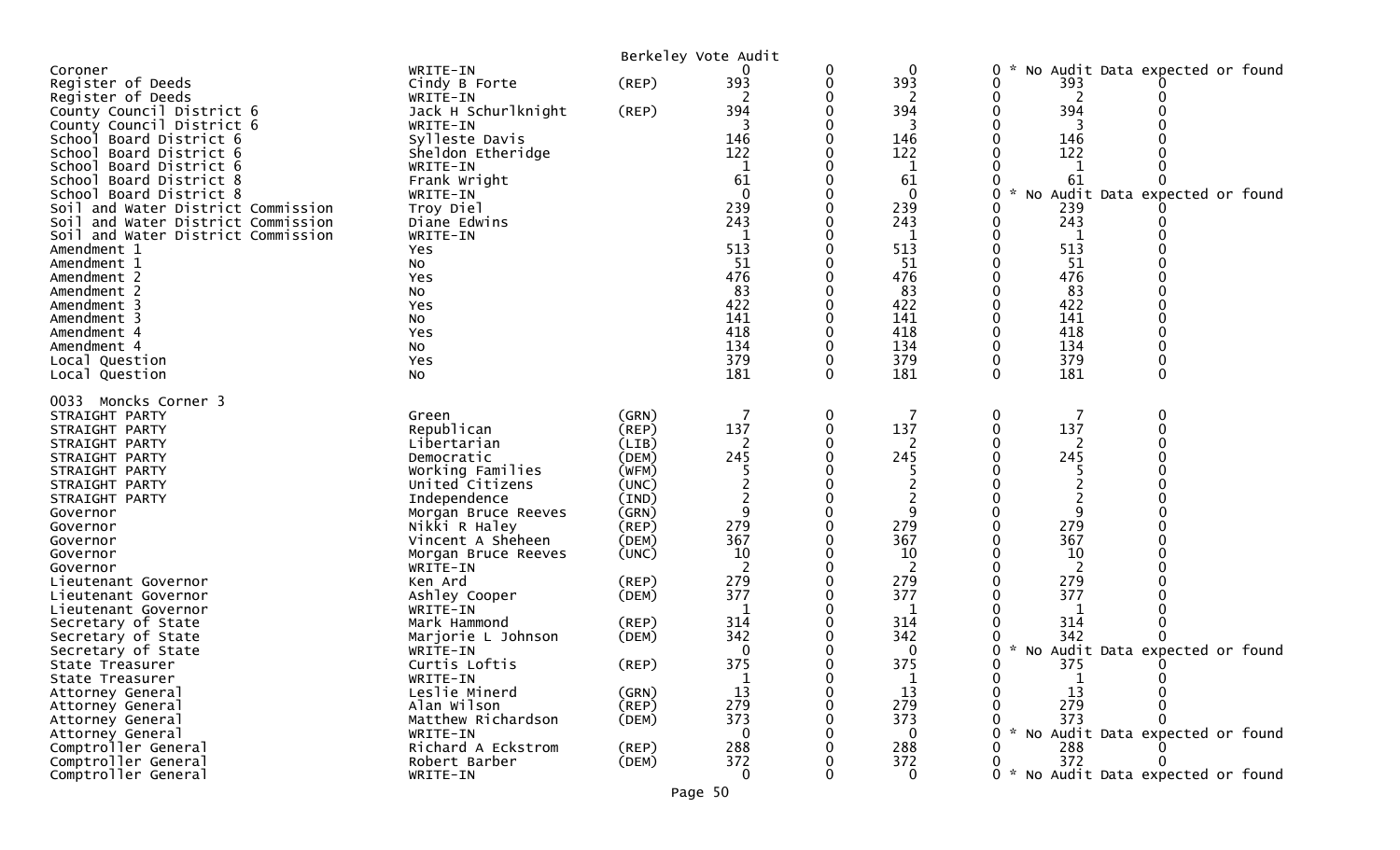|                                                   |                           | Berkeley Vote Audit |                |   |             |        |          |                                 |  |
|---------------------------------------------------|---------------------------|---------------------|----------------|---|-------------|--------|----------|---------------------------------|--|
| Coroner                                           | WRITE-IN                  |                     |                | 0 | 0           | 0      |          | No Audit Data expected or found |  |
| Register of Deeds                                 | Cindy B Forte             | (REP)               | 393            | 0 | 393         | 0      | 393      |                                 |  |
| Register of Deeds                                 | WRITE-IN                  |                     | ר              | 0 | 2           | 0      | 2        |                                 |  |
| County Council District 6                         | Jack H Schurlknight       | (REP)               | 394            |   | 394         |        | 394      |                                 |  |
| County Council District 6                         | WRITE-IN                  |                     |                |   |             |        |          |                                 |  |
| School Board District 6                           | Sylleste Davis            |                     | 146            |   | 146         | 0      | 146      |                                 |  |
| School Board District 6                           | Sheldon Etheridge         |                     | 122            |   | 122         |        | 122      |                                 |  |
| School Board District 6                           | WRITE-IN                  |                     | 1              |   | 1           | 0      |          |                                 |  |
| School Board District 8                           | Frank Wright              |                     | 61             |   | 61          | 0      | 61       |                                 |  |
| School Board District 8                           | WRITE-IN                  |                     | $\mathbf{0}$   |   | $\mathbf 0$ | 0      |          | No Audit Data expected or found |  |
| Soil and Water District Commission                | Troy Diel                 |                     | 239            | 0 | 239         | 0      | 239      |                                 |  |
| Soil and Water District Commission                | Diane Edwins              |                     | 243<br>1       |   | 243         | 0      | 243      |                                 |  |
| Soil and Water District Commission<br>Amendment 1 | WRITE-IN<br>Yes           |                     | 513            | 0 | -1<br>513   | 0      | 1<br>513 |                                 |  |
| Amendment 1                                       | No                        |                     | 51             |   | 51          |        | 51       |                                 |  |
| Amendment 2                                       | Yes                       |                     | 476            |   | 476         |        | 476      |                                 |  |
| Amendment 2                                       | No                        |                     | 83             |   | 83          |        | 83       |                                 |  |
| Amendment 3                                       | Yes                       |                     | 422            |   | 422         |        | 422      |                                 |  |
| Amendment 3                                       | No                        |                     | 141            |   | 141         |        | 141      |                                 |  |
| Amendment 4                                       | Yes                       |                     | 418            | 0 | 418         | 0      | 418      | ∩                               |  |
| Amendment 4                                       | No                        |                     | 134            | 0 | 134         | 0      | 134      |                                 |  |
| Local Question                                    | Yes                       |                     | 379            | 0 | 379         |        | 379      |                                 |  |
| Local Question                                    | No                        |                     | 181            | 0 | 181         | 0      | 181      | 0                               |  |
|                                                   |                           |                     |                |   |             |        |          |                                 |  |
| 0033<br>Moncks Corner 3                           |                           |                     |                |   |             |        |          |                                 |  |
| STRAIGHT PARTY                                    | Green                     | (GRN)               | 137            | 0 | 137         | 0      | 137      | 0                               |  |
| STRAIGHT PARTY<br>STRAIGHT PARTY                  | Republican<br>Libertarian | (REP)<br>(LIB)      | 2              | 0 | 2           | 0      |          |                                 |  |
| STRAIGHT PARTY                                    | Democratic                | (DEM)               | 245            | O | 245         | O      | 245      |                                 |  |
| STRAIGHT PARTY                                    | Working Families          | (WFM)               |                |   |             |        |          |                                 |  |
| STRAIGHT PARTY                                    | United Citizens           | (UNC)               |                |   |             |        |          |                                 |  |
| STRAIGHT PARTY                                    | Independence              | (IND)               |                |   |             |        |          |                                 |  |
| Governor                                          | Morgan Bruce Reeves       | (GRN)               | 9              | 0 | 9           | 0      | 9        |                                 |  |
| Governor                                          | Nikki R Haley             | (REP)               | 279            |   | 279         |        | 279      |                                 |  |
| Governor                                          | Vincent A Sheheen         | (DEM)               | 367            |   | 367         |        | 367      |                                 |  |
| Governor                                          | Morgan Bruce Reeves       | (UNC)               | 10             |   | 10          |        | 10       |                                 |  |
| Governor                                          | WRITE-IN                  |                     | $\overline{2}$ |   | 2           |        | 2        |                                 |  |
| Lieutenant Governor                               | Ken Ard                   | $($ REP $)$         | 279            |   | 279         |        | 279      |                                 |  |
| Lieutenant Governor                               | Ashley Cooper             | (DEM)               | 377            |   | 377         |        | 377      |                                 |  |
| Lieutenant Governor                               | WRITE-IN                  |                     | -1             |   | -1          |        |          |                                 |  |
| Secretary of State                                | Mark Hammond              | $($ REP $)$         | 314            |   | 314         |        | 314      |                                 |  |
| Secretary of State                                | Marjorie L Johnson        | (DEM)               | 342            |   | 342         |        | 342      |                                 |  |
| Secretary of State<br>State Treasurer             | WRITE-IN<br>Curtis Loftis |                     | 0<br>375       | 0 | 0<br>375    | 0<br>0 |          | No Audit Data expected or found |  |
| State Treasurer                                   | WRITE-IN                  | (REP)               | $\mathbf{1}$   | 0 | $\mathbf 1$ | 0      | 375      |                                 |  |
| Attorney General                                  | Leslie Minerd             | (GRN)               | 13             |   | 13          |        | 13       |                                 |  |
| Attorney General                                  | Alan Wilson               | (REP)               | 279            |   | 279         |        | 279      |                                 |  |
| Attorney General                                  | Matthew Richardson        | (DEM)               | 373            |   | 373         |        | 373      |                                 |  |
| Attorney General                                  | WRITE-IN                  |                     | 0              |   | $\Omega$    | O      |          | No Audit Data expected or found |  |
| Comptroller General                               | Richard A Eckstrom        | $($ REP $)$         | 288            |   | 288         |        | 288      |                                 |  |
| Comptroller General                               | Robert Barber             | (DEM)               | 372            |   | 372         | 0      | 372      |                                 |  |
| Comptroller General                               | WRITE-IN                  |                     | 0              |   | 0           | ი ∗    |          | No Audit Data expected or found |  |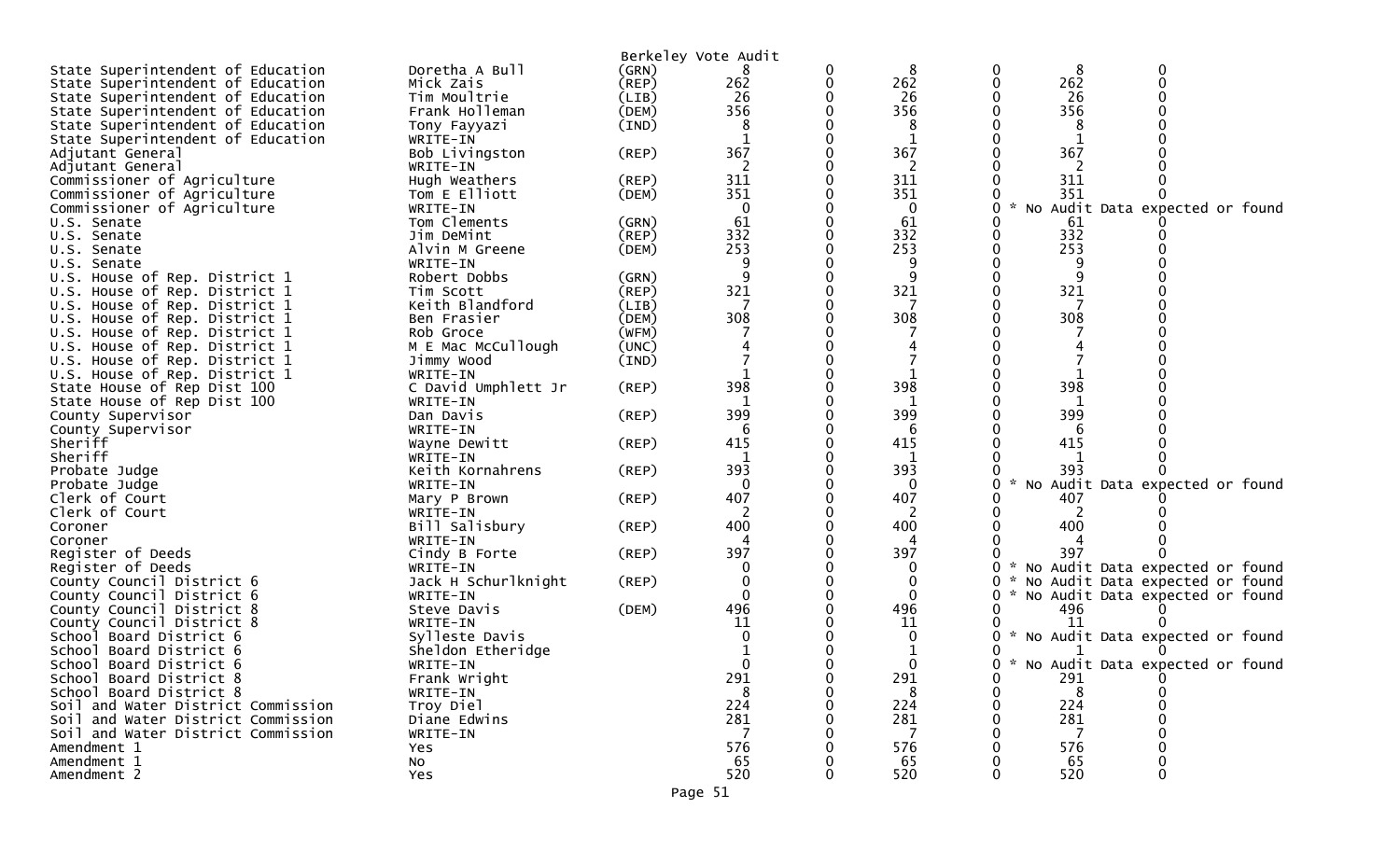| State Superintendent of Education  | Doretha A Bull                 | Berkeley Vote Audit<br>(GRN) |             | 0        | 8        |   | 8             |                                     |  |
|------------------------------------|--------------------------------|------------------------------|-------------|----------|----------|---|---------------|-------------------------------------|--|
| State Superintendent of Education  | Mick Zais                      | (REP)                        | 262         | 0        | 262      |   | 262           |                                     |  |
|                                    |                                |                              | 26          |          | 26       |   | 26            |                                     |  |
| State Superintendent of Education  | Tim Moultrie<br>Frank Holleman | (LIB)<br>(DEM)               | 356         |          | 356      |   | 356           |                                     |  |
| State Superintendent of Education  |                                |                              |             |          |          |   |               |                                     |  |
| State Superintendent of Education  | Tony Fayyazi                   | (IND)                        | 8           |          | 8        |   | 8             |                                     |  |
| State Superintendent of Education  | WRITE-IN                       |                              |             |          | 1        |   |               |                                     |  |
| Adjutant General                   | Bob Livingston                 | (REP)                        | 367         |          | 367      |   | 367           |                                     |  |
| Adjutant General                   | WRITE-IN                       |                              | 2           |          | 2        |   | 2             |                                     |  |
| Commissioner of Agriculture        | Hugh Weathers                  | (REP)                        | 311         |          | 311      |   | 311           |                                     |  |
| Commissioner of Agriculture        | Tom E Elliott                  | (DEM)                        | 351         |          | 351      |   | 351           |                                     |  |
| Commissioner of Agriculture        | WRITE-IN                       |                              | $\mathbf 0$ |          | 0        |   |               | * No Audit Data expected or found   |  |
| U.S. Senate                        | Tom Clements                   | (GRN)                        | 61          |          | 61       |   | 61            |                                     |  |
| U.S. Senate                        | Jim DeMint                     | (REP)                        | 332         |          | 332      |   | 332           |                                     |  |
| U.S. Senate                        | Alvin M Greene                 | (DEM)                        | 253         |          | 253      |   | 253           |                                     |  |
| U.S. Senate                        | WRITE-IN                       |                              |             |          |          |   |               |                                     |  |
| U.S. House of Rep. District 1      | Robert Dobbs                   | (GRN)                        | 9           |          | q        |   |               |                                     |  |
| U.S. House of Rep. District 1      | Tim Scott                      | (REP)                        | 321         |          | 321      |   | 321           |                                     |  |
| U.S. House of Rep. District 1      | Keith Blandford                | (LIB)                        |             |          |          |   |               |                                     |  |
| U.S. House of Rep. District 1      | Ben Frasier                    | (DEM)                        | 308         |          | 308      |   | 308           |                                     |  |
| U.S. House of Rep. District 1      | Rob Groce                      | (WFM)                        |             |          |          |   |               |                                     |  |
| U.S. House of Rep. District 1      | M E Mac McCullough             | (UNC)                        |             |          |          |   |               |                                     |  |
| U.S. House of Rep. District 1      | Jimmy Wood                     | (IND)                        |             |          |          |   |               |                                     |  |
| U.S. House of Rep. District 1      | WRITE-IN                       |                              |             |          |          |   |               |                                     |  |
| State House of Rep Dist 100        | C David Umphlett Jr            | (REP)                        | 398         |          | 398      |   | 398           |                                     |  |
| State House of Rep Dist 100        | WRITE-IN                       |                              | -1          |          | 1        |   |               |                                     |  |
| County Supervisor                  | Dan Davis                      | (REP)                        | 399         |          | 399      |   | 399           |                                     |  |
| County Supervisor                  | WRITE-IN                       |                              | 6           |          | 6        |   | b<br>415      |                                     |  |
| Sheriff<br>Sheriff                 | Wayne Dewitt<br>WRITE-IN       | (REP)                        | 415<br>1    |          | 415<br>1 |   |               |                                     |  |
| Probate Judge                      | Keith Kornahrens               | (REP)                        | 393         |          | 393      |   | 393           |                                     |  |
| Probate Judge                      | WRITE-IN                       |                              | $\Omega$    |          | 0        |   | $\mathcal{H}$ | No Audit Data expected or found     |  |
| Clerk of Court                     | Mary P Brown                   | (REP)                        | 407         |          | 407      |   | 407           |                                     |  |
| Clerk of Court                     | WRITE-IN                       |                              |             |          | 2        |   | 2             |                                     |  |
| Coroner                            | Bill Salisbury                 | (REP)                        | 400         |          | 400      |   | 400           |                                     |  |
| Coroner                            | WRITE-IN                       |                              | 4           |          | 4        |   |               |                                     |  |
| Register of Deeds                  | Cindy B Forte                  | (REP)                        | 397         |          | 397      |   | 397           |                                     |  |
| Register of Deeds                  | WRITE-IN                       |                              | $\Omega$    |          | 0        |   |               | * No Audit Data expected or found   |  |
| County Council District 6          | Jack H Schurlknight            | (REP)                        |             |          | 0        | 0 |               | * No Audit Data expected or found   |  |
| County Council District 6          | WRITE-IN                       |                              | $\Omega$    |          | $\Omega$ |   |               | * No Audit Data expected or found   |  |
| County Council District 8          | Steve Davis                    | (DEM)                        | 496         |          | 496      |   | 496           |                                     |  |
| County Council District 8          | WRITE-IN                       |                              | 11          |          | 11       |   | 11            |                                     |  |
| School Board District 6            | Sylleste Davis                 |                              |             |          |          |   |               | * No Audit Data expected or found   |  |
| School Board District 6            | Sheldon Etheridge              |                              |             | 0        |          |   |               |                                     |  |
| School Board District 6            | WRITE-IN                       |                              | $\Omega$    | $\Omega$ |          |   |               | 0 * No Audit Data expected or found |  |
| School Board District 8            | Frank Wright                   |                              | 291         |          | 291      |   | 291           |                                     |  |
| School Board District 8            | WRITE-IN                       |                              | 8           |          | 8        |   | 8             |                                     |  |
| Soil and Water District Commission | Troy Diel                      |                              | 224         |          | 224      |   | 224           |                                     |  |
| Soil and Water District Commission | Diane Edwins                   |                              | 281         |          | 281      |   | 281           |                                     |  |
| Soil and Water District Commission | WRITE-IN                       |                              | 7           |          | 7        |   | 7             |                                     |  |
| Amendment 1                        | Yes                            |                              | 576         |          | 576      |   | 576           |                                     |  |
| Amendment 1                        | NO.                            |                              | 65          |          | 65       |   | 65            |                                     |  |
| Amendment 2                        | Yes                            |                              | 520         |          | 520      |   | 520           |                                     |  |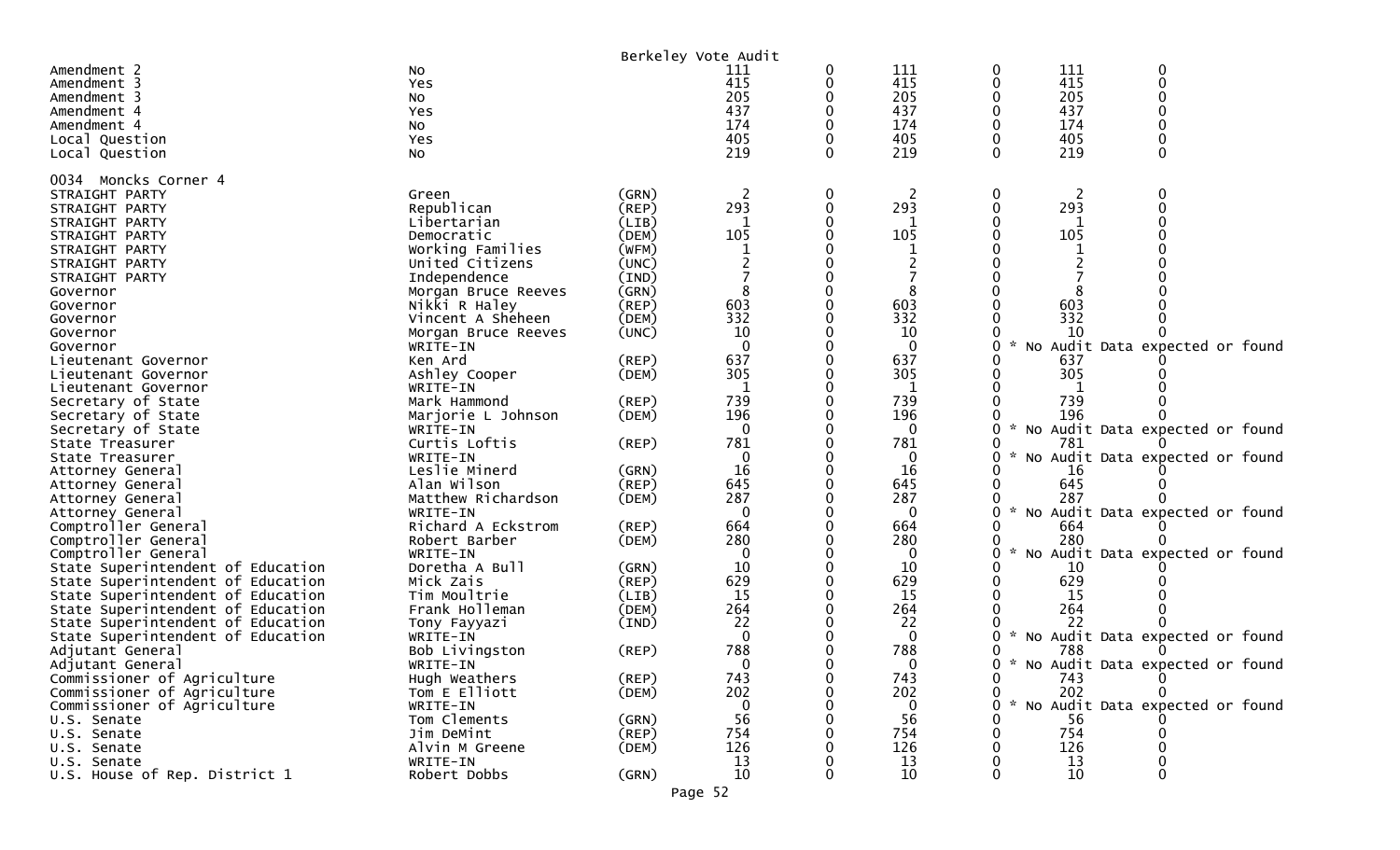| 111<br>0<br>Amendment 2<br>0<br>111<br>0<br>No<br>111<br>415<br>415<br>415<br>0<br>Amendment 3<br>Yes<br>0<br>0<br>205<br>205<br>205<br>O<br>Amendment 3<br>No<br>437<br>437<br>437<br>U<br>Amendment 4<br>Yes<br>174<br>174<br>174<br>$\Omega$<br>Amendment 4<br>No<br>405<br>405<br>405<br>Yes<br>Local Question<br>219<br>219<br>$\Omega$<br>$\Omega$<br>219<br>0<br>Local Question<br>NO.<br>0034 Moncks Corner 4<br>0<br>STRAIGHT PARTY<br>(GRN)<br>2<br>0<br>2<br>0<br>Green<br>293<br>293<br>293<br>Republican<br>$\mathbf{0}$<br>$($ REP $)$<br>0<br>0<br>STRAIGHT PARTY<br>STRAIGHT PARTY<br>Libertarian<br>-1<br>(LIB)<br>105<br>105<br>105<br>STRAIGHT PARTY<br>Democratic<br>(DEM)<br>Working Families<br>(WFM)<br>STRAIGHT PARTY<br>STRAIGHT PARTY<br>United Citizens<br>(UNC)<br>STRAIGHT PARTY<br>Independence<br>(IND)<br>(GRN)<br>0<br>8<br>Morgan Bruce Reeves<br>Governor<br>Nikki R Haley<br>$($ REP $)$<br>603<br>603<br>603<br>Governor<br>332<br>332<br>332<br>Vincent A Sheheen<br>(DEM)<br>Governor<br>10<br>(UNC)<br>10<br>10<br>Morgan Bruce Reeves<br>Governor<br>No Audit Data expected or found<br>$\Omega$<br>$\mathbf{0}$<br>Governor<br>WRITE-IN<br>637<br>637<br>Ken Ard<br>$($ REP $)$<br>637<br>Lieutenant Governor<br>305<br>305<br>305<br>Ashley Cooper<br>(DEM)<br>Lieutenant Governor<br>Lieutenant Governor<br>WRITE-IN<br>739<br>739<br>739<br>Mark Hammond<br>$($ REP $)$<br>Secretary of State<br>196<br>196<br>196<br>Secretary of State<br>Marjorie L Johnson<br>(DEM)<br>No Audit Data expected or found<br>Secretary of State<br>WRITE-IN<br>0<br>0<br>781<br>781<br>Curtis Loftis<br>781<br>(REP)<br>State Treasurer<br>$\mathcal{H}$<br>No Audit Data expected or found<br>WRITE-IN<br>0<br>0<br>State Treasurer<br>Leslie Minerd<br>16<br>(GRN)<br>16<br>16<br>Attorney General<br>645<br>645<br>645<br>(REP)<br>Alan Wilson<br>Attorney General<br>287<br>287<br>Matthew Richardson<br>287<br>(DEM)<br>Attorney General<br>$\mathcal{H}$<br>No Audit Data expected or found<br>WRITE-IN<br>$\Omega$<br>$\Omega$<br>Attorney General<br>664<br>664<br>Richard A Eckstrom<br>(REP)<br>664<br>Comptroller General<br>280<br>280<br>Comptroller General<br>Robert Barber<br>280<br>(DEM)<br>$\sim$<br>Comptroller General<br>No Audit Data expected or found<br>WRITE-IN<br>$\Omega$<br>0<br>10<br>Doretha A Bull<br>(GRN)<br>10<br>State Superintendent of Education<br>10<br>629<br>629<br>629<br>Mick Zais<br>State Superintendent of Education<br>(REP)<br>Tim Moultrie<br>15<br>15<br>State Superintendent of Education<br>(LIB)<br>15<br>264<br>264<br>264<br>State Superintendent of Education<br>Frank Holleman<br>(DEM)<br>22<br>22<br>22<br>State Superintendent of Education<br>Tony Fayyazi<br>(IND)<br>$\mathbf{0}$<br>$\mathbf{0}$<br>* No Audit Data expected or found<br>State Superintendent of Education<br>WRITE-IN<br>788<br>788<br>788<br>Adjutant General<br>Bob Livingston<br>(REP)<br>0<br>0 * No Audit Data expected or found<br>WRITE-IN<br>Adjutant General<br>0<br>0<br>743<br>Commissioner of Agriculture<br>Hugh Weathers<br>(REP)<br>743<br>0<br>0<br>743<br>202<br>202<br>202<br>Commissioner of Agriculture<br>Tom E Elliott<br>(DEM)<br>0<br>0<br>No Audit Data expected or found<br>Commissioner of Agriculture<br>$\Omega$<br>WRITE-IN<br>$\Omega$<br>56<br>56<br>Tom Clements<br>(GRN)<br>56<br>U.S. Senate<br>754<br>754<br>$($ REP $)$<br>754<br>Jim DeMint<br>U.S. Senate<br>126<br>126<br>126<br>Alvin M Greene<br>U.S. Senate<br>(DEM)<br>13<br>WRITE-IN<br>13<br>13<br>U.S. Senate<br>10<br>10<br>10<br>U.S. House of Rep. District 1<br>Robert Dobbs<br>(GRN)<br>0<br>0<br>0<br>Page 52 |  | Berkeley Vote Audit |  |  |  |
|-------------------------------------------------------------------------------------------------------------------------------------------------------------------------------------------------------------------------------------------------------------------------------------------------------------------------------------------------------------------------------------------------------------------------------------------------------------------------------------------------------------------------------------------------------------------------------------------------------------------------------------------------------------------------------------------------------------------------------------------------------------------------------------------------------------------------------------------------------------------------------------------------------------------------------------------------------------------------------------------------------------------------------------------------------------------------------------------------------------------------------------------------------------------------------------------------------------------------------------------------------------------------------------------------------------------------------------------------------------------------------------------------------------------------------------------------------------------------------------------------------------------------------------------------------------------------------------------------------------------------------------------------------------------------------------------------------------------------------------------------------------------------------------------------------------------------------------------------------------------------------------------------------------------------------------------------------------------------------------------------------------------------------------------------------------------------------------------------------------------------------------------------------------------------------------------------------------------------------------------------------------------------------------------------------------------------------------------------------------------------------------------------------------------------------------------------------------------------------------------------------------------------------------------------------------------------------------------------------------------------------------------------------------------------------------------------------------------------------------------------------------------------------------------------------------------------------------------------------------------------------------------------------------------------------------------------------------------------------------------------------------------------------------------------------------------------------------------------------------------------------------------------------------------------------------------------------------------------------------------------------------------------------------------------------------------------------------------------------------------------------------------------------------------------------------------------------------------------------------------------------------------------------------------------------------------------------------------------------------------------------------------------------------------------------------|--|---------------------|--|--|--|
|                                                                                                                                                                                                                                                                                                                                                                                                                                                                                                                                                                                                                                                                                                                                                                                                                                                                                                                                                                                                                                                                                                                                                                                                                                                                                                                                                                                                                                                                                                                                                                                                                                                                                                                                                                                                                                                                                                                                                                                                                                                                                                                                                                                                                                                                                                                                                                                                                                                                                                                                                                                                                                                                                                                                                                                                                                                                                                                                                                                                                                                                                                                                                                                                                                                                                                                                                                                                                                                                                                                                                                                                                                                                                     |  |                     |  |  |  |
|                                                                                                                                                                                                                                                                                                                                                                                                                                                                                                                                                                                                                                                                                                                                                                                                                                                                                                                                                                                                                                                                                                                                                                                                                                                                                                                                                                                                                                                                                                                                                                                                                                                                                                                                                                                                                                                                                                                                                                                                                                                                                                                                                                                                                                                                                                                                                                                                                                                                                                                                                                                                                                                                                                                                                                                                                                                                                                                                                                                                                                                                                                                                                                                                                                                                                                                                                                                                                                                                                                                                                                                                                                                                                     |  |                     |  |  |  |
|                                                                                                                                                                                                                                                                                                                                                                                                                                                                                                                                                                                                                                                                                                                                                                                                                                                                                                                                                                                                                                                                                                                                                                                                                                                                                                                                                                                                                                                                                                                                                                                                                                                                                                                                                                                                                                                                                                                                                                                                                                                                                                                                                                                                                                                                                                                                                                                                                                                                                                                                                                                                                                                                                                                                                                                                                                                                                                                                                                                                                                                                                                                                                                                                                                                                                                                                                                                                                                                                                                                                                                                                                                                                                     |  |                     |  |  |  |
|                                                                                                                                                                                                                                                                                                                                                                                                                                                                                                                                                                                                                                                                                                                                                                                                                                                                                                                                                                                                                                                                                                                                                                                                                                                                                                                                                                                                                                                                                                                                                                                                                                                                                                                                                                                                                                                                                                                                                                                                                                                                                                                                                                                                                                                                                                                                                                                                                                                                                                                                                                                                                                                                                                                                                                                                                                                                                                                                                                                                                                                                                                                                                                                                                                                                                                                                                                                                                                                                                                                                                                                                                                                                                     |  |                     |  |  |  |
|                                                                                                                                                                                                                                                                                                                                                                                                                                                                                                                                                                                                                                                                                                                                                                                                                                                                                                                                                                                                                                                                                                                                                                                                                                                                                                                                                                                                                                                                                                                                                                                                                                                                                                                                                                                                                                                                                                                                                                                                                                                                                                                                                                                                                                                                                                                                                                                                                                                                                                                                                                                                                                                                                                                                                                                                                                                                                                                                                                                                                                                                                                                                                                                                                                                                                                                                                                                                                                                                                                                                                                                                                                                                                     |  |                     |  |  |  |
|                                                                                                                                                                                                                                                                                                                                                                                                                                                                                                                                                                                                                                                                                                                                                                                                                                                                                                                                                                                                                                                                                                                                                                                                                                                                                                                                                                                                                                                                                                                                                                                                                                                                                                                                                                                                                                                                                                                                                                                                                                                                                                                                                                                                                                                                                                                                                                                                                                                                                                                                                                                                                                                                                                                                                                                                                                                                                                                                                                                                                                                                                                                                                                                                                                                                                                                                                                                                                                                                                                                                                                                                                                                                                     |  |                     |  |  |  |
|                                                                                                                                                                                                                                                                                                                                                                                                                                                                                                                                                                                                                                                                                                                                                                                                                                                                                                                                                                                                                                                                                                                                                                                                                                                                                                                                                                                                                                                                                                                                                                                                                                                                                                                                                                                                                                                                                                                                                                                                                                                                                                                                                                                                                                                                                                                                                                                                                                                                                                                                                                                                                                                                                                                                                                                                                                                                                                                                                                                                                                                                                                                                                                                                                                                                                                                                                                                                                                                                                                                                                                                                                                                                                     |  |                     |  |  |  |
|                                                                                                                                                                                                                                                                                                                                                                                                                                                                                                                                                                                                                                                                                                                                                                                                                                                                                                                                                                                                                                                                                                                                                                                                                                                                                                                                                                                                                                                                                                                                                                                                                                                                                                                                                                                                                                                                                                                                                                                                                                                                                                                                                                                                                                                                                                                                                                                                                                                                                                                                                                                                                                                                                                                                                                                                                                                                                                                                                                                                                                                                                                                                                                                                                                                                                                                                                                                                                                                                                                                                                                                                                                                                                     |  |                     |  |  |  |
|                                                                                                                                                                                                                                                                                                                                                                                                                                                                                                                                                                                                                                                                                                                                                                                                                                                                                                                                                                                                                                                                                                                                                                                                                                                                                                                                                                                                                                                                                                                                                                                                                                                                                                                                                                                                                                                                                                                                                                                                                                                                                                                                                                                                                                                                                                                                                                                                                                                                                                                                                                                                                                                                                                                                                                                                                                                                                                                                                                                                                                                                                                                                                                                                                                                                                                                                                                                                                                                                                                                                                                                                                                                                                     |  |                     |  |  |  |
|                                                                                                                                                                                                                                                                                                                                                                                                                                                                                                                                                                                                                                                                                                                                                                                                                                                                                                                                                                                                                                                                                                                                                                                                                                                                                                                                                                                                                                                                                                                                                                                                                                                                                                                                                                                                                                                                                                                                                                                                                                                                                                                                                                                                                                                                                                                                                                                                                                                                                                                                                                                                                                                                                                                                                                                                                                                                                                                                                                                                                                                                                                                                                                                                                                                                                                                                                                                                                                                                                                                                                                                                                                                                                     |  |                     |  |  |  |
|                                                                                                                                                                                                                                                                                                                                                                                                                                                                                                                                                                                                                                                                                                                                                                                                                                                                                                                                                                                                                                                                                                                                                                                                                                                                                                                                                                                                                                                                                                                                                                                                                                                                                                                                                                                                                                                                                                                                                                                                                                                                                                                                                                                                                                                                                                                                                                                                                                                                                                                                                                                                                                                                                                                                                                                                                                                                                                                                                                                                                                                                                                                                                                                                                                                                                                                                                                                                                                                                                                                                                                                                                                                                                     |  |                     |  |  |  |
|                                                                                                                                                                                                                                                                                                                                                                                                                                                                                                                                                                                                                                                                                                                                                                                                                                                                                                                                                                                                                                                                                                                                                                                                                                                                                                                                                                                                                                                                                                                                                                                                                                                                                                                                                                                                                                                                                                                                                                                                                                                                                                                                                                                                                                                                                                                                                                                                                                                                                                                                                                                                                                                                                                                                                                                                                                                                                                                                                                                                                                                                                                                                                                                                                                                                                                                                                                                                                                                                                                                                                                                                                                                                                     |  |                     |  |  |  |
|                                                                                                                                                                                                                                                                                                                                                                                                                                                                                                                                                                                                                                                                                                                                                                                                                                                                                                                                                                                                                                                                                                                                                                                                                                                                                                                                                                                                                                                                                                                                                                                                                                                                                                                                                                                                                                                                                                                                                                                                                                                                                                                                                                                                                                                                                                                                                                                                                                                                                                                                                                                                                                                                                                                                                                                                                                                                                                                                                                                                                                                                                                                                                                                                                                                                                                                                                                                                                                                                                                                                                                                                                                                                                     |  |                     |  |  |  |
|                                                                                                                                                                                                                                                                                                                                                                                                                                                                                                                                                                                                                                                                                                                                                                                                                                                                                                                                                                                                                                                                                                                                                                                                                                                                                                                                                                                                                                                                                                                                                                                                                                                                                                                                                                                                                                                                                                                                                                                                                                                                                                                                                                                                                                                                                                                                                                                                                                                                                                                                                                                                                                                                                                                                                                                                                                                                                                                                                                                                                                                                                                                                                                                                                                                                                                                                                                                                                                                                                                                                                                                                                                                                                     |  |                     |  |  |  |
|                                                                                                                                                                                                                                                                                                                                                                                                                                                                                                                                                                                                                                                                                                                                                                                                                                                                                                                                                                                                                                                                                                                                                                                                                                                                                                                                                                                                                                                                                                                                                                                                                                                                                                                                                                                                                                                                                                                                                                                                                                                                                                                                                                                                                                                                                                                                                                                                                                                                                                                                                                                                                                                                                                                                                                                                                                                                                                                                                                                                                                                                                                                                                                                                                                                                                                                                                                                                                                                                                                                                                                                                                                                                                     |  |                     |  |  |  |
|                                                                                                                                                                                                                                                                                                                                                                                                                                                                                                                                                                                                                                                                                                                                                                                                                                                                                                                                                                                                                                                                                                                                                                                                                                                                                                                                                                                                                                                                                                                                                                                                                                                                                                                                                                                                                                                                                                                                                                                                                                                                                                                                                                                                                                                                                                                                                                                                                                                                                                                                                                                                                                                                                                                                                                                                                                                                                                                                                                                                                                                                                                                                                                                                                                                                                                                                                                                                                                                                                                                                                                                                                                                                                     |  |                     |  |  |  |
|                                                                                                                                                                                                                                                                                                                                                                                                                                                                                                                                                                                                                                                                                                                                                                                                                                                                                                                                                                                                                                                                                                                                                                                                                                                                                                                                                                                                                                                                                                                                                                                                                                                                                                                                                                                                                                                                                                                                                                                                                                                                                                                                                                                                                                                                                                                                                                                                                                                                                                                                                                                                                                                                                                                                                                                                                                                                                                                                                                                                                                                                                                                                                                                                                                                                                                                                                                                                                                                                                                                                                                                                                                                                                     |  |                     |  |  |  |
|                                                                                                                                                                                                                                                                                                                                                                                                                                                                                                                                                                                                                                                                                                                                                                                                                                                                                                                                                                                                                                                                                                                                                                                                                                                                                                                                                                                                                                                                                                                                                                                                                                                                                                                                                                                                                                                                                                                                                                                                                                                                                                                                                                                                                                                                                                                                                                                                                                                                                                                                                                                                                                                                                                                                                                                                                                                                                                                                                                                                                                                                                                                                                                                                                                                                                                                                                                                                                                                                                                                                                                                                                                                                                     |  |                     |  |  |  |
|                                                                                                                                                                                                                                                                                                                                                                                                                                                                                                                                                                                                                                                                                                                                                                                                                                                                                                                                                                                                                                                                                                                                                                                                                                                                                                                                                                                                                                                                                                                                                                                                                                                                                                                                                                                                                                                                                                                                                                                                                                                                                                                                                                                                                                                                                                                                                                                                                                                                                                                                                                                                                                                                                                                                                                                                                                                                                                                                                                                                                                                                                                                                                                                                                                                                                                                                                                                                                                                                                                                                                                                                                                                                                     |  |                     |  |  |  |
|                                                                                                                                                                                                                                                                                                                                                                                                                                                                                                                                                                                                                                                                                                                                                                                                                                                                                                                                                                                                                                                                                                                                                                                                                                                                                                                                                                                                                                                                                                                                                                                                                                                                                                                                                                                                                                                                                                                                                                                                                                                                                                                                                                                                                                                                                                                                                                                                                                                                                                                                                                                                                                                                                                                                                                                                                                                                                                                                                                                                                                                                                                                                                                                                                                                                                                                                                                                                                                                                                                                                                                                                                                                                                     |  |                     |  |  |  |
|                                                                                                                                                                                                                                                                                                                                                                                                                                                                                                                                                                                                                                                                                                                                                                                                                                                                                                                                                                                                                                                                                                                                                                                                                                                                                                                                                                                                                                                                                                                                                                                                                                                                                                                                                                                                                                                                                                                                                                                                                                                                                                                                                                                                                                                                                                                                                                                                                                                                                                                                                                                                                                                                                                                                                                                                                                                                                                                                                                                                                                                                                                                                                                                                                                                                                                                                                                                                                                                                                                                                                                                                                                                                                     |  |                     |  |  |  |
|                                                                                                                                                                                                                                                                                                                                                                                                                                                                                                                                                                                                                                                                                                                                                                                                                                                                                                                                                                                                                                                                                                                                                                                                                                                                                                                                                                                                                                                                                                                                                                                                                                                                                                                                                                                                                                                                                                                                                                                                                                                                                                                                                                                                                                                                                                                                                                                                                                                                                                                                                                                                                                                                                                                                                                                                                                                                                                                                                                                                                                                                                                                                                                                                                                                                                                                                                                                                                                                                                                                                                                                                                                                                                     |  |                     |  |  |  |
|                                                                                                                                                                                                                                                                                                                                                                                                                                                                                                                                                                                                                                                                                                                                                                                                                                                                                                                                                                                                                                                                                                                                                                                                                                                                                                                                                                                                                                                                                                                                                                                                                                                                                                                                                                                                                                                                                                                                                                                                                                                                                                                                                                                                                                                                                                                                                                                                                                                                                                                                                                                                                                                                                                                                                                                                                                                                                                                                                                                                                                                                                                                                                                                                                                                                                                                                                                                                                                                                                                                                                                                                                                                                                     |  |                     |  |  |  |
|                                                                                                                                                                                                                                                                                                                                                                                                                                                                                                                                                                                                                                                                                                                                                                                                                                                                                                                                                                                                                                                                                                                                                                                                                                                                                                                                                                                                                                                                                                                                                                                                                                                                                                                                                                                                                                                                                                                                                                                                                                                                                                                                                                                                                                                                                                                                                                                                                                                                                                                                                                                                                                                                                                                                                                                                                                                                                                                                                                                                                                                                                                                                                                                                                                                                                                                                                                                                                                                                                                                                                                                                                                                                                     |  |                     |  |  |  |
|                                                                                                                                                                                                                                                                                                                                                                                                                                                                                                                                                                                                                                                                                                                                                                                                                                                                                                                                                                                                                                                                                                                                                                                                                                                                                                                                                                                                                                                                                                                                                                                                                                                                                                                                                                                                                                                                                                                                                                                                                                                                                                                                                                                                                                                                                                                                                                                                                                                                                                                                                                                                                                                                                                                                                                                                                                                                                                                                                                                                                                                                                                                                                                                                                                                                                                                                                                                                                                                                                                                                                                                                                                                                                     |  |                     |  |  |  |
|                                                                                                                                                                                                                                                                                                                                                                                                                                                                                                                                                                                                                                                                                                                                                                                                                                                                                                                                                                                                                                                                                                                                                                                                                                                                                                                                                                                                                                                                                                                                                                                                                                                                                                                                                                                                                                                                                                                                                                                                                                                                                                                                                                                                                                                                                                                                                                                                                                                                                                                                                                                                                                                                                                                                                                                                                                                                                                                                                                                                                                                                                                                                                                                                                                                                                                                                                                                                                                                                                                                                                                                                                                                                                     |  |                     |  |  |  |
|                                                                                                                                                                                                                                                                                                                                                                                                                                                                                                                                                                                                                                                                                                                                                                                                                                                                                                                                                                                                                                                                                                                                                                                                                                                                                                                                                                                                                                                                                                                                                                                                                                                                                                                                                                                                                                                                                                                                                                                                                                                                                                                                                                                                                                                                                                                                                                                                                                                                                                                                                                                                                                                                                                                                                                                                                                                                                                                                                                                                                                                                                                                                                                                                                                                                                                                                                                                                                                                                                                                                                                                                                                                                                     |  |                     |  |  |  |
|                                                                                                                                                                                                                                                                                                                                                                                                                                                                                                                                                                                                                                                                                                                                                                                                                                                                                                                                                                                                                                                                                                                                                                                                                                                                                                                                                                                                                                                                                                                                                                                                                                                                                                                                                                                                                                                                                                                                                                                                                                                                                                                                                                                                                                                                                                                                                                                                                                                                                                                                                                                                                                                                                                                                                                                                                                                                                                                                                                                                                                                                                                                                                                                                                                                                                                                                                                                                                                                                                                                                                                                                                                                                                     |  |                     |  |  |  |
|                                                                                                                                                                                                                                                                                                                                                                                                                                                                                                                                                                                                                                                                                                                                                                                                                                                                                                                                                                                                                                                                                                                                                                                                                                                                                                                                                                                                                                                                                                                                                                                                                                                                                                                                                                                                                                                                                                                                                                                                                                                                                                                                                                                                                                                                                                                                                                                                                                                                                                                                                                                                                                                                                                                                                                                                                                                                                                                                                                                                                                                                                                                                                                                                                                                                                                                                                                                                                                                                                                                                                                                                                                                                                     |  |                     |  |  |  |
|                                                                                                                                                                                                                                                                                                                                                                                                                                                                                                                                                                                                                                                                                                                                                                                                                                                                                                                                                                                                                                                                                                                                                                                                                                                                                                                                                                                                                                                                                                                                                                                                                                                                                                                                                                                                                                                                                                                                                                                                                                                                                                                                                                                                                                                                                                                                                                                                                                                                                                                                                                                                                                                                                                                                                                                                                                                                                                                                                                                                                                                                                                                                                                                                                                                                                                                                                                                                                                                                                                                                                                                                                                                                                     |  |                     |  |  |  |
|                                                                                                                                                                                                                                                                                                                                                                                                                                                                                                                                                                                                                                                                                                                                                                                                                                                                                                                                                                                                                                                                                                                                                                                                                                                                                                                                                                                                                                                                                                                                                                                                                                                                                                                                                                                                                                                                                                                                                                                                                                                                                                                                                                                                                                                                                                                                                                                                                                                                                                                                                                                                                                                                                                                                                                                                                                                                                                                                                                                                                                                                                                                                                                                                                                                                                                                                                                                                                                                                                                                                                                                                                                                                                     |  |                     |  |  |  |
|                                                                                                                                                                                                                                                                                                                                                                                                                                                                                                                                                                                                                                                                                                                                                                                                                                                                                                                                                                                                                                                                                                                                                                                                                                                                                                                                                                                                                                                                                                                                                                                                                                                                                                                                                                                                                                                                                                                                                                                                                                                                                                                                                                                                                                                                                                                                                                                                                                                                                                                                                                                                                                                                                                                                                                                                                                                                                                                                                                                                                                                                                                                                                                                                                                                                                                                                                                                                                                                                                                                                                                                                                                                                                     |  |                     |  |  |  |
|                                                                                                                                                                                                                                                                                                                                                                                                                                                                                                                                                                                                                                                                                                                                                                                                                                                                                                                                                                                                                                                                                                                                                                                                                                                                                                                                                                                                                                                                                                                                                                                                                                                                                                                                                                                                                                                                                                                                                                                                                                                                                                                                                                                                                                                                                                                                                                                                                                                                                                                                                                                                                                                                                                                                                                                                                                                                                                                                                                                                                                                                                                                                                                                                                                                                                                                                                                                                                                                                                                                                                                                                                                                                                     |  |                     |  |  |  |
|                                                                                                                                                                                                                                                                                                                                                                                                                                                                                                                                                                                                                                                                                                                                                                                                                                                                                                                                                                                                                                                                                                                                                                                                                                                                                                                                                                                                                                                                                                                                                                                                                                                                                                                                                                                                                                                                                                                                                                                                                                                                                                                                                                                                                                                                                                                                                                                                                                                                                                                                                                                                                                                                                                                                                                                                                                                                                                                                                                                                                                                                                                                                                                                                                                                                                                                                                                                                                                                                                                                                                                                                                                                                                     |  |                     |  |  |  |
|                                                                                                                                                                                                                                                                                                                                                                                                                                                                                                                                                                                                                                                                                                                                                                                                                                                                                                                                                                                                                                                                                                                                                                                                                                                                                                                                                                                                                                                                                                                                                                                                                                                                                                                                                                                                                                                                                                                                                                                                                                                                                                                                                                                                                                                                                                                                                                                                                                                                                                                                                                                                                                                                                                                                                                                                                                                                                                                                                                                                                                                                                                                                                                                                                                                                                                                                                                                                                                                                                                                                                                                                                                                                                     |  |                     |  |  |  |
|                                                                                                                                                                                                                                                                                                                                                                                                                                                                                                                                                                                                                                                                                                                                                                                                                                                                                                                                                                                                                                                                                                                                                                                                                                                                                                                                                                                                                                                                                                                                                                                                                                                                                                                                                                                                                                                                                                                                                                                                                                                                                                                                                                                                                                                                                                                                                                                                                                                                                                                                                                                                                                                                                                                                                                                                                                                                                                                                                                                                                                                                                                                                                                                                                                                                                                                                                                                                                                                                                                                                                                                                                                                                                     |  |                     |  |  |  |
|                                                                                                                                                                                                                                                                                                                                                                                                                                                                                                                                                                                                                                                                                                                                                                                                                                                                                                                                                                                                                                                                                                                                                                                                                                                                                                                                                                                                                                                                                                                                                                                                                                                                                                                                                                                                                                                                                                                                                                                                                                                                                                                                                                                                                                                                                                                                                                                                                                                                                                                                                                                                                                                                                                                                                                                                                                                                                                                                                                                                                                                                                                                                                                                                                                                                                                                                                                                                                                                                                                                                                                                                                                                                                     |  |                     |  |  |  |
|                                                                                                                                                                                                                                                                                                                                                                                                                                                                                                                                                                                                                                                                                                                                                                                                                                                                                                                                                                                                                                                                                                                                                                                                                                                                                                                                                                                                                                                                                                                                                                                                                                                                                                                                                                                                                                                                                                                                                                                                                                                                                                                                                                                                                                                                                                                                                                                                                                                                                                                                                                                                                                                                                                                                                                                                                                                                                                                                                                                                                                                                                                                                                                                                                                                                                                                                                                                                                                                                                                                                                                                                                                                                                     |  |                     |  |  |  |
|                                                                                                                                                                                                                                                                                                                                                                                                                                                                                                                                                                                                                                                                                                                                                                                                                                                                                                                                                                                                                                                                                                                                                                                                                                                                                                                                                                                                                                                                                                                                                                                                                                                                                                                                                                                                                                                                                                                                                                                                                                                                                                                                                                                                                                                                                                                                                                                                                                                                                                                                                                                                                                                                                                                                                                                                                                                                                                                                                                                                                                                                                                                                                                                                                                                                                                                                                                                                                                                                                                                                                                                                                                                                                     |  |                     |  |  |  |
|                                                                                                                                                                                                                                                                                                                                                                                                                                                                                                                                                                                                                                                                                                                                                                                                                                                                                                                                                                                                                                                                                                                                                                                                                                                                                                                                                                                                                                                                                                                                                                                                                                                                                                                                                                                                                                                                                                                                                                                                                                                                                                                                                                                                                                                                                                                                                                                                                                                                                                                                                                                                                                                                                                                                                                                                                                                                                                                                                                                                                                                                                                                                                                                                                                                                                                                                                                                                                                                                                                                                                                                                                                                                                     |  |                     |  |  |  |
|                                                                                                                                                                                                                                                                                                                                                                                                                                                                                                                                                                                                                                                                                                                                                                                                                                                                                                                                                                                                                                                                                                                                                                                                                                                                                                                                                                                                                                                                                                                                                                                                                                                                                                                                                                                                                                                                                                                                                                                                                                                                                                                                                                                                                                                                                                                                                                                                                                                                                                                                                                                                                                                                                                                                                                                                                                                                                                                                                                                                                                                                                                                                                                                                                                                                                                                                                                                                                                                                                                                                                                                                                                                                                     |  |                     |  |  |  |
|                                                                                                                                                                                                                                                                                                                                                                                                                                                                                                                                                                                                                                                                                                                                                                                                                                                                                                                                                                                                                                                                                                                                                                                                                                                                                                                                                                                                                                                                                                                                                                                                                                                                                                                                                                                                                                                                                                                                                                                                                                                                                                                                                                                                                                                                                                                                                                                                                                                                                                                                                                                                                                                                                                                                                                                                                                                                                                                                                                                                                                                                                                                                                                                                                                                                                                                                                                                                                                                                                                                                                                                                                                                                                     |  |                     |  |  |  |
|                                                                                                                                                                                                                                                                                                                                                                                                                                                                                                                                                                                                                                                                                                                                                                                                                                                                                                                                                                                                                                                                                                                                                                                                                                                                                                                                                                                                                                                                                                                                                                                                                                                                                                                                                                                                                                                                                                                                                                                                                                                                                                                                                                                                                                                                                                                                                                                                                                                                                                                                                                                                                                                                                                                                                                                                                                                                                                                                                                                                                                                                                                                                                                                                                                                                                                                                                                                                                                                                                                                                                                                                                                                                                     |  |                     |  |  |  |
|                                                                                                                                                                                                                                                                                                                                                                                                                                                                                                                                                                                                                                                                                                                                                                                                                                                                                                                                                                                                                                                                                                                                                                                                                                                                                                                                                                                                                                                                                                                                                                                                                                                                                                                                                                                                                                                                                                                                                                                                                                                                                                                                                                                                                                                                                                                                                                                                                                                                                                                                                                                                                                                                                                                                                                                                                                                                                                                                                                                                                                                                                                                                                                                                                                                                                                                                                                                                                                                                                                                                                                                                                                                                                     |  |                     |  |  |  |
|                                                                                                                                                                                                                                                                                                                                                                                                                                                                                                                                                                                                                                                                                                                                                                                                                                                                                                                                                                                                                                                                                                                                                                                                                                                                                                                                                                                                                                                                                                                                                                                                                                                                                                                                                                                                                                                                                                                                                                                                                                                                                                                                                                                                                                                                                                                                                                                                                                                                                                                                                                                                                                                                                                                                                                                                                                                                                                                                                                                                                                                                                                                                                                                                                                                                                                                                                                                                                                                                                                                                                                                                                                                                                     |  |                     |  |  |  |
|                                                                                                                                                                                                                                                                                                                                                                                                                                                                                                                                                                                                                                                                                                                                                                                                                                                                                                                                                                                                                                                                                                                                                                                                                                                                                                                                                                                                                                                                                                                                                                                                                                                                                                                                                                                                                                                                                                                                                                                                                                                                                                                                                                                                                                                                                                                                                                                                                                                                                                                                                                                                                                                                                                                                                                                                                                                                                                                                                                                                                                                                                                                                                                                                                                                                                                                                                                                                                                                                                                                                                                                                                                                                                     |  |                     |  |  |  |
|                                                                                                                                                                                                                                                                                                                                                                                                                                                                                                                                                                                                                                                                                                                                                                                                                                                                                                                                                                                                                                                                                                                                                                                                                                                                                                                                                                                                                                                                                                                                                                                                                                                                                                                                                                                                                                                                                                                                                                                                                                                                                                                                                                                                                                                                                                                                                                                                                                                                                                                                                                                                                                                                                                                                                                                                                                                                                                                                                                                                                                                                                                                                                                                                                                                                                                                                                                                                                                                                                                                                                                                                                                                                                     |  |                     |  |  |  |
|                                                                                                                                                                                                                                                                                                                                                                                                                                                                                                                                                                                                                                                                                                                                                                                                                                                                                                                                                                                                                                                                                                                                                                                                                                                                                                                                                                                                                                                                                                                                                                                                                                                                                                                                                                                                                                                                                                                                                                                                                                                                                                                                                                                                                                                                                                                                                                                                                                                                                                                                                                                                                                                                                                                                                                                                                                                                                                                                                                                                                                                                                                                                                                                                                                                                                                                                                                                                                                                                                                                                                                                                                                                                                     |  |                     |  |  |  |
|                                                                                                                                                                                                                                                                                                                                                                                                                                                                                                                                                                                                                                                                                                                                                                                                                                                                                                                                                                                                                                                                                                                                                                                                                                                                                                                                                                                                                                                                                                                                                                                                                                                                                                                                                                                                                                                                                                                                                                                                                                                                                                                                                                                                                                                                                                                                                                                                                                                                                                                                                                                                                                                                                                                                                                                                                                                                                                                                                                                                                                                                                                                                                                                                                                                                                                                                                                                                                                                                                                                                                                                                                                                                                     |  |                     |  |  |  |
|                                                                                                                                                                                                                                                                                                                                                                                                                                                                                                                                                                                                                                                                                                                                                                                                                                                                                                                                                                                                                                                                                                                                                                                                                                                                                                                                                                                                                                                                                                                                                                                                                                                                                                                                                                                                                                                                                                                                                                                                                                                                                                                                                                                                                                                                                                                                                                                                                                                                                                                                                                                                                                                                                                                                                                                                                                                                                                                                                                                                                                                                                                                                                                                                                                                                                                                                                                                                                                                                                                                                                                                                                                                                                     |  |                     |  |  |  |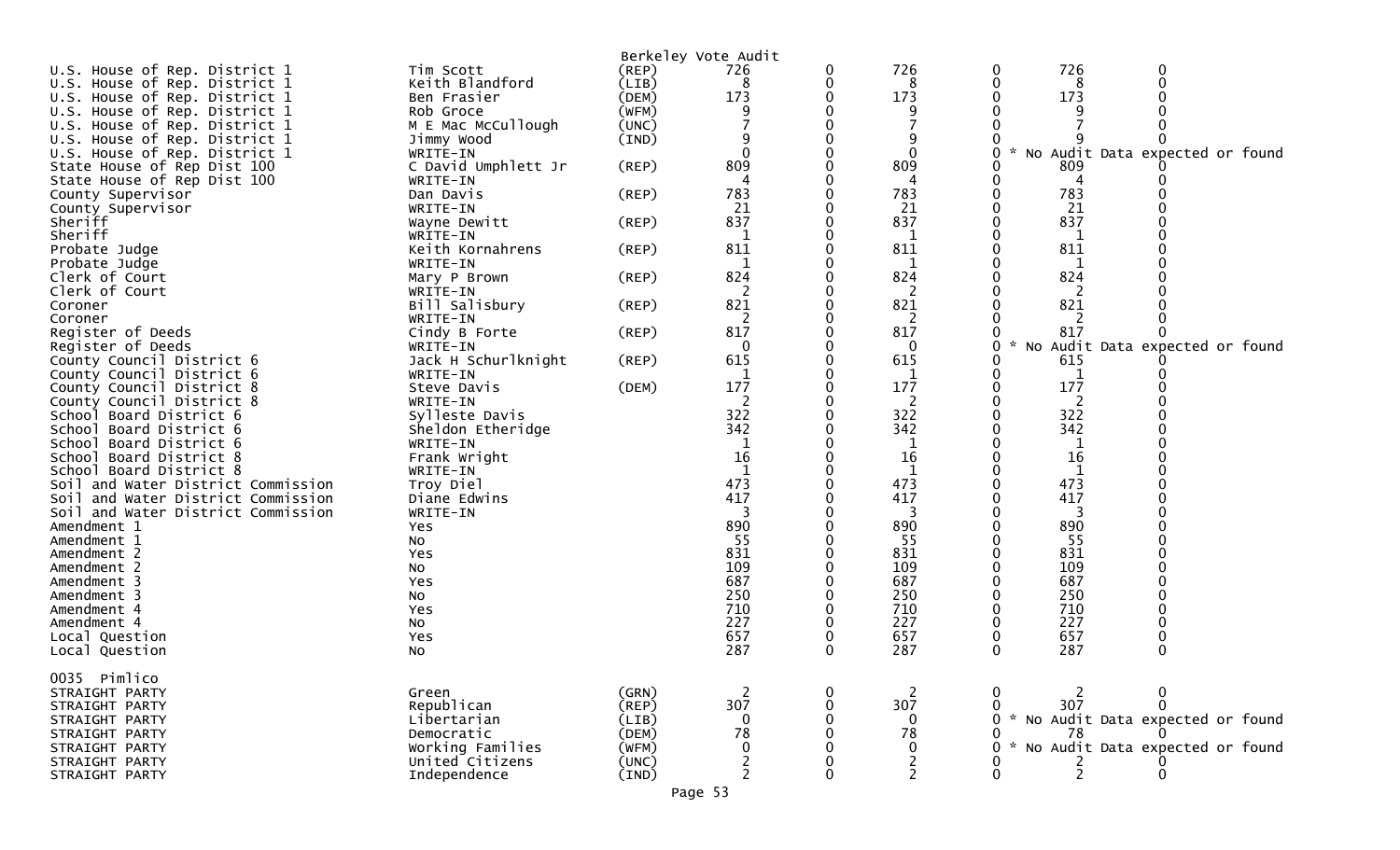| U.S. House of Rep. District 1      | Tim Scott                           | Berkeley Vote Audit<br>(REP) | 726               | 0        | 726                              |             | 726         |                                   |  |
|------------------------------------|-------------------------------------|------------------------------|-------------------|----------|----------------------------------|-------------|-------------|-----------------------------------|--|
| U.S. House of Rep. District 1      | Keith Blandford                     | (LIB)                        | 8                 | 0        | 8                                |             | 8           |                                   |  |
| U.S. House of Rep. District 1      | Ben Frasier                         | (DEM)                        | 173               |          | 173                              |             | 173         |                                   |  |
| U.S. House of Rep. District 1      | Rob Groce                           | (WFM)                        |                   |          |                                  |             |             |                                   |  |
| U.S. House of Rep. District 1      | M E Mac McCullough                  | (UNC)                        |                   |          |                                  |             |             |                                   |  |
| U.S. House of Rep. District 1      | Jimmy Wood                          | (IND)                        |                   |          |                                  |             |             |                                   |  |
| U.S. House of Rep. District 1      | WRITE-IN                            |                              | $\Omega$          |          | $\Omega$                         | *           |             | No Audit Data expected or found   |  |
| State House of Rep Dist 100        | C David Umphlett Jr                 | (REP)                        | 809               |          | 809                              |             | 809         |                                   |  |
| State House of Rep Dist 100        | WRITE-IN                            |                              |                   |          | 4                                |             | 4           |                                   |  |
| County Supervisor                  | Dan Davis                           | (REP)                        | 783               |          | 783                              |             | 783         |                                   |  |
| County Supervisor                  | WRITE-IN                            |                              | 21                |          | 21                               |             | 21          |                                   |  |
| Sheriff                            | Wayne Dewitt                        | (REP)                        | 837               |          | 837                              |             | 837         |                                   |  |
| Sheriff                            | WRITE-IN                            |                              | -1                |          | 1                                |             |             |                                   |  |
| Probate Judge                      | Keith Kornahrens                    | (REP)                        | 811               |          | 811                              |             | 811         |                                   |  |
| Probate Judge                      | WRITE-IN                            |                              | 1                 |          | 1                                |             |             |                                   |  |
| Clerk of Court                     | Mary P Brown                        | (REP)                        | 824               |          | 824                              |             | 824         |                                   |  |
| Clerk of Court                     | WRITE-IN                            |                              | 2                 |          | 2                                |             | 2           |                                   |  |
| Coroner                            | Bill Salisbury                      | (REP)                        | 821               |          | 821                              |             | 821         |                                   |  |
| Coroner                            | WRITE-IN                            |                              | 2                 |          | 2                                |             | 2           |                                   |  |
| Register of Deeds                  | Cindy B Forte                       | (REP)                        | 817               |          | 817                              |             | 817         |                                   |  |
| Register of Deeds                  | WRITE-IN                            |                              | 0                 |          | 0                                |             |             | No Audit Data expected or found   |  |
| County Council District 6          | Jack H Schurlknight                 | (REP)                        | 615               |          | 615                              |             | 615         |                                   |  |
| County Council District 6          | WRITE-IN                            |                              |                   |          | 1                                |             | 1           |                                   |  |
| County Council District 8          | Steve Davis                         | (DEM)                        | 177               |          | 177                              |             | 177         |                                   |  |
| County Council District 8          | WRITE-IN                            |                              | 2                 |          | 2                                |             | 2           |                                   |  |
| School Board District 6            | Sylleste Davis                      |                              | 322               |          | 322                              |             | 322         |                                   |  |
| School Board District 6            | Sheldon Etheridge                   |                              | 342               |          | 342                              |             | 342         |                                   |  |
| School Board District 6            | WRITE-IN                            |                              | 1                 |          | 1                                |             | 1           |                                   |  |
| School Board District 8            | Frank Wright                        |                              | 16                |          | 16                               |             | 16          |                                   |  |
| School Board District 8            | WRITE-IN                            |                              |                   |          |                                  |             |             |                                   |  |
| Soil and Water District Commission | Troy Diel                           |                              | 473               |          | 473                              |             | 473         |                                   |  |
| Soil and Water District Commission | Diane Edwins                        |                              | 417               |          | 417                              |             | 417         |                                   |  |
| Soil and Water District Commission | WRITE-IN                            |                              |                   |          | 3                                |             | 3           |                                   |  |
| Amendment 1                        | Yes                                 |                              | 890               |          | 890                              |             | 890         |                                   |  |
| Amendment 1                        | NO.                                 |                              | 55                |          | 55                               |             | 55          |                                   |  |
| Amendment 2                        | Yes                                 |                              | 831               |          | 831                              |             | 831         |                                   |  |
| Amendment 2                        | NO.                                 |                              | 109               |          | 109                              |             | 109         |                                   |  |
| Amendment 3                        | Yes                                 |                              | 687               |          | 687                              |             | 687         |                                   |  |
| Amendment 3                        | NO.                                 |                              | 250               |          | 250                              |             | 250         |                                   |  |
| Amendment 4                        | Yes                                 |                              | 710               |          | 710                              |             | 710         |                                   |  |
| Amendment 4                        | No                                  |                              | 227               |          | 227                              |             | 227         |                                   |  |
| Local Question                     | Yes                                 |                              | 657               |          | 657                              |             | 657         |                                   |  |
| Local Question                     | No                                  |                              | 287               | 0        | 287                              | $\mathbf 0$ | 287         |                                   |  |
|                                    |                                     |                              |                   |          |                                  |             |             |                                   |  |
| 0035 Pimlico                       |                                     |                              |                   |          |                                  |             |             |                                   |  |
| STRAIGHT PARTY                     | Green                               | (GRN)                        |                   | 0        |                                  |             |             |                                   |  |
| STRAIGHT PARTY                     | Republican                          | (REP)                        | 307               |          | 307                              |             | 307         |                                   |  |
| STRAIGHT PARTY                     | Libertarian                         | (LIB)                        | $\mathbf 0$<br>78 |          | 0<br>78                          |             |             | * No Audit Data expected or found |  |
| STRAIGHT PARTY                     | Democratic                          | (DEM)                        | 0                 |          | 0                                |             | 78          |                                   |  |
| STRAIGHT PARTY                     | Working Families<br>United Citizens | (WFM)                        |                   |          |                                  |             |             | No Audit Data expected or found   |  |
| STRAIGHT PARTY                     |                                     | (UNC)                        | 2                 | $\Omega$ | $\overline{c}$<br>$\overline{2}$ |             | $rac{2}{2}$ | $\Omega$                          |  |
| STRAIGHT PARTY                     | Independence                        | (IND)                        |                   |          |                                  |             |             |                                   |  |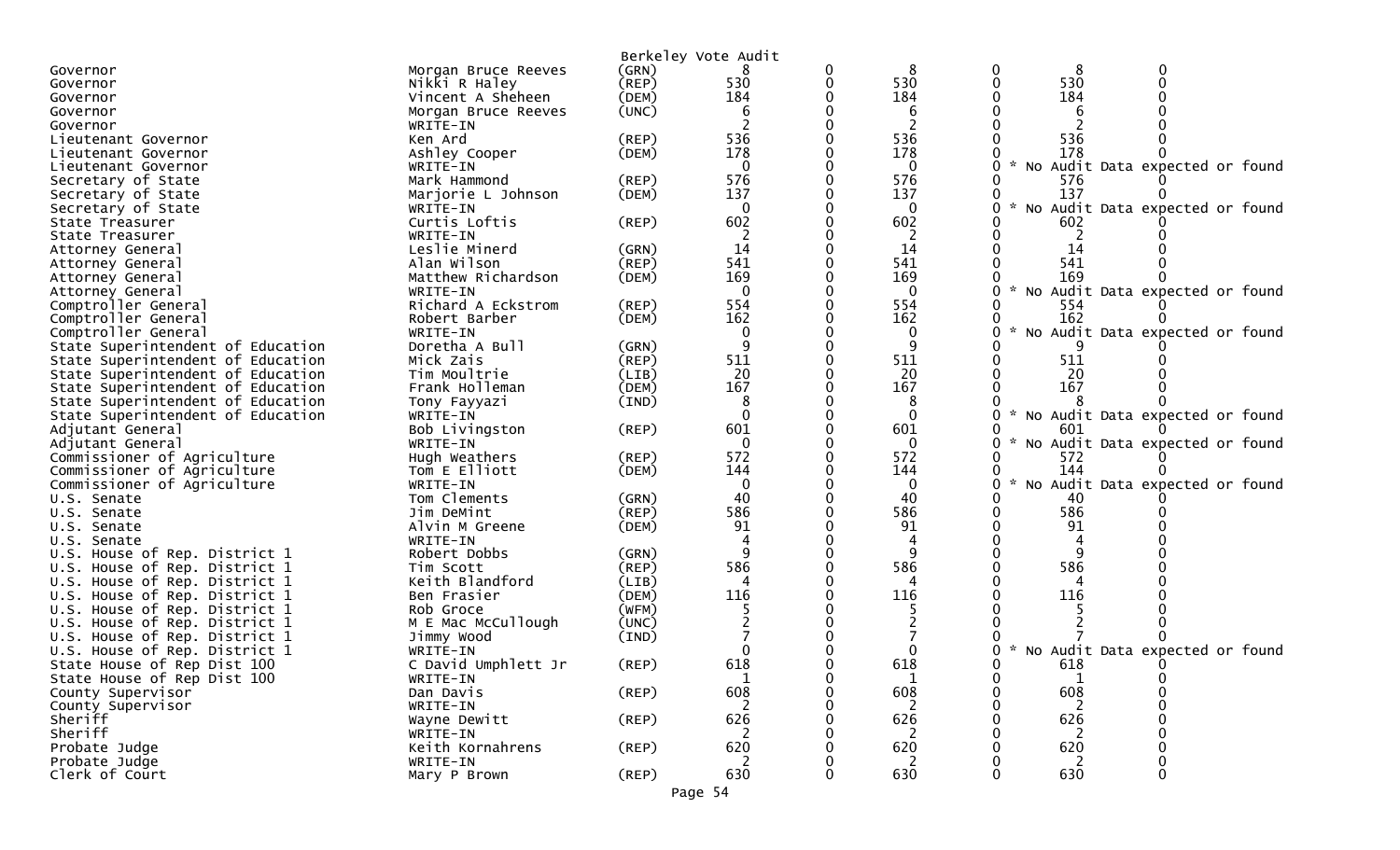|                                                                |                                 |             | Berkeley Vote Audit |   |             |                                                       |
|----------------------------------------------------------------|---------------------------------|-------------|---------------------|---|-------------|-------------------------------------------------------|
| Governor                                                       | Morgan Bruce Reeves             | (GRN)       |                     | 0 | 8           | 8                                                     |
| Governor                                                       | Nikki R Haley                   | $($ REP $)$ | 530                 | 0 | 530         | 530                                                   |
| Governor                                                       | Vincent A Sheheen               | (DEM)       | 184                 |   | 184         | 184                                                   |
| Governor                                                       | Morgan Bruce Reeves             | (UNC)       |                     |   | b           |                                                       |
| Governor                                                       | WRITE-IN                        |             |                     |   | 2           |                                                       |
| Lieutenant Governor                                            | Ken Ard                         | (REP)       | 536                 |   | 536         | 536                                                   |
| Lieutenant Governor                                            | Ashley Cooper                   | (DEM)       | 178                 |   | 178         | 178                                                   |
| Lieutenant Governor                                            | WRITE-IN                        |             | $\Omega$            |   | $\Omega$    | * No Audit Data expected or found                     |
| Secretary of State                                             | Mark Hammond                    | (REP)       | 576                 |   | 576         | 576                                                   |
| Secretary of State                                             | Marjorie L Johnson              | (DEM)       | 137                 |   | 137         | 137                                                   |
| Secretary of State                                             | WRITE-IN                        |             | $\Omega$            |   | $\bf{0}$    | $\mathcal{H}$<br>No Audit Data expected or found<br>0 |
| State Treasurer                                                | Curtis Loftis                   | $($ REP $)$ | 602                 |   | 602         | 602                                                   |
| State Treasurer                                                | WRITE-IN                        |             |                     |   |             |                                                       |
| Attorney General                                               | Leslie Minerd                   | (GRN)       | 14                  |   | 14          | 14                                                    |
| Attorney General                                               | Alan Wilson                     | (REP)       | 541                 |   | 541         | 541                                                   |
| Attorney General                                               | Matthew Richardson              | (DEM)       | 169                 |   | 169         | 169                                                   |
| Attorney General                                               | WRITE-IN                        |             | $\mathbf 0$         |   | $\mathbf 0$ | * No Audit Data expected or found                     |
| Comptroller General                                            | Richard A Eckstrom              | (REP)       | 554                 |   | 554         | 554                                                   |
| Comptroller General                                            | Robert Barber                   | (DEM)       | 162                 |   | 162         | 162                                                   |
| Comptroller General                                            | WRITE-IN                        |             | 0                   |   | 0           | $\sim$<br>No Audit Data expected or found             |
| State Superintendent of Education                              | Doretha A Bull                  | (GRN)       | 9                   |   | q           |                                                       |
| State Superintendent of Education                              | Mick Zais                       | (REP)       | 511                 |   | 511         | 511                                                   |
| State Superintendent of Education                              | Tim Moultrie                    | (LIB)       | 20                  |   | 20          | 20                                                    |
| State Superintendent of Education                              | Frank Holleman                  | (DEM)       | 167                 |   | 167         | 167                                                   |
| State Superintendent of Education                              | Tony Fayyazi                    | (IND)       |                     |   |             |                                                       |
| State Superintendent of Education                              | WRITE-IN                        |             | $\Omega$            |   | $\Omega$    | * No Audit Data expected or found                     |
| Adjutant General                                               | Bob Livingston                  | (REP)       | 601                 |   | 601         | 601                                                   |
| Adjutant General                                               | WRITE-IN                        |             | $\Omega$            |   | $\Omega$    | $\mathcal{H}$<br>No Audit Data expected or found      |
| Commissioner of Agriculture                                    | Hugh Weathers                   | (REP)       | 572                 |   | 572         | 572                                                   |
| Commissioner of Agriculture                                    | Tom E Elliott                   | (DEM)       | 144                 |   | 144         | 144                                                   |
| Commissioner of Agriculture                                    | WRITE-IN                        |             | $\mathbf{0}$        |   | 0           | $\sim$<br>No Audit Data expected or found<br>0        |
| U.S. Senate                                                    | Tom Clements                    | (GRN)       | 40                  |   | 40          | 40                                                    |
| U.S. Senate                                                    | Jim DeMint                      | $($ REP $)$ | 586                 |   | 586         | 586                                                   |
| U.S. Senate                                                    | Alvin M Greene                  | (DEM)       | 91                  |   | 91          | 91                                                    |
| U.S. Senate                                                    | WRITE-IN                        |             |                     |   |             |                                                       |
| U.S. House of Rep. District 1                                  | Robert Dobbs                    | (GRN)       |                     |   |             |                                                       |
| U.S. House of Rep. District 1                                  | Tim Scott                       | (REP)       | 586                 |   | 586         | 586                                                   |
| U.S. House of Rep. District 1                                  | Keith Blandford                 | (LIB)       |                     |   |             |                                                       |
| U.S. House of Rep. District 1                                  | Ben Frasier                     | (DEM)       | 116                 |   | 116         | 116                                                   |
| U.S. House of Rep. District 1                                  | Rob Groce                       | (WFM)       |                     |   |             |                                                       |
| U.S. House of Rep. District 1                                  | M E Mac McCullough              | (UNC)       |                     |   |             |                                                       |
| U.S. House of Rep. District 1<br>U.S. House of Rep. District 1 | Jimmy Wood                      | (IND)       |                     |   |             |                                                       |
|                                                                | WRITE-IN<br>C David Umphlett Jr |             | 618                 |   | 618         | * No Audit Data expected or found                     |
| State House of Rep Dist 100<br>State House of Rep Dist 100     | WRITE-IN                        | $($ REP $)$ |                     |   |             | 618                                                   |
| County Supervisor                                              | Dan Davis                       | (REP)       | 608                 |   | 608         | 608                                                   |
| County Supervisor                                              | WRITE-IN                        |             | 2                   |   | 2           | 2                                                     |
| Sheriff                                                        | Wayne Dewitt                    | (REP)       | 626                 |   | 626         | 626                                                   |
| Sheriff                                                        | WRITE-IN                        |             | 2                   |   | 2           | 2                                                     |
| Probate Judge                                                  | Keith Kornahrens                | $($ REP $)$ | 620                 |   | 620         | 620                                                   |
| Probate Judge                                                  | WRITE-IN                        |             |                     |   | 2           |                                                       |
| Clerk of Court                                                 | Mary P Brown                    | $($ REP $)$ | 630                 |   | 630         | 630<br>0                                              |
|                                                                |                                 |             |                     |   |             |                                                       |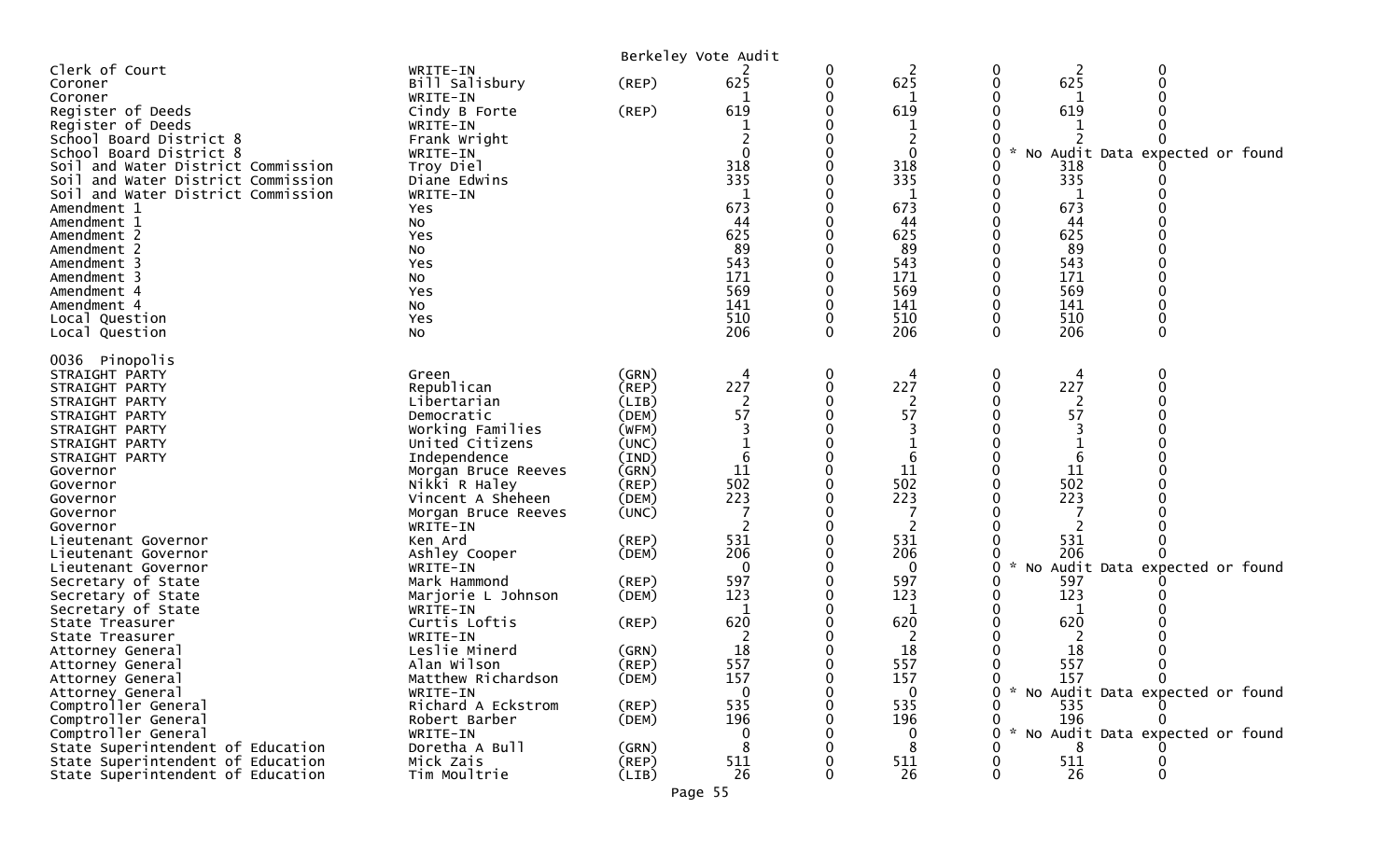|                                                                                                                                                                                                                                                                                                                                                                                                                                                                                                                                                                                                                                                           |                                                                                                                                                                                                                                                                                                                                                                                                                                                                                                    |                                                                                                                                                                                                                                        | Berkeley Vote Audit                                                                                                                                  |                                              |                                                                                                                                                                    |                                                                                                                                                                                                                                                                          |
|-----------------------------------------------------------------------------------------------------------------------------------------------------------------------------------------------------------------------------------------------------------------------------------------------------------------------------------------------------------------------------------------------------------------------------------------------------------------------------------------------------------------------------------------------------------------------------------------------------------------------------------------------------------|----------------------------------------------------------------------------------------------------------------------------------------------------------------------------------------------------------------------------------------------------------------------------------------------------------------------------------------------------------------------------------------------------------------------------------------------------------------------------------------------------|----------------------------------------------------------------------------------------------------------------------------------------------------------------------------------------------------------------------------------------|------------------------------------------------------------------------------------------------------------------------------------------------------|----------------------------------------------|--------------------------------------------------------------------------------------------------------------------------------------------------------------------|--------------------------------------------------------------------------------------------------------------------------------------------------------------------------------------------------------------------------------------------------------------------------|
| Clerk of Court<br>Coroner<br>Coroner<br>Register of Deeds<br>Register of Deeds<br>School Board District 8<br>School Board District 8<br>Soil and Water District Commission<br>Soil and Water District Commission<br>Soil and Water District Commission<br>Amendment 1<br>Amendment 1<br>Amendment 2<br>Amendment 2<br>Amendment 3<br>Amendment 3<br>Amendment 4<br>Amendment 4<br>Local Question<br>Local Question                                                                                                                                                                                                                                        | WRITE-IN<br>Bill Salisbury<br>WRITE-IN<br>Cindy B Forte<br>WRITE-IN<br>Frank Wright<br>WRITE-IN<br>Troy Diel<br>Diane Edwins<br>WRITE-IN<br>Yes<br>No<br>Yes<br>No<br>Yes<br>No<br>Yes<br>No<br>Yes<br>No                                                                                                                                                                                                                                                                                          | (REP)<br>$($ REP $)$                                                                                                                                                                                                                   | 625<br>619<br>$\mathbf{0}$<br>318<br>335<br>1<br>673<br>44<br>625<br>89<br>543<br>171<br>569<br>141<br>510<br>206                                    | $\bf{0}$<br>0<br>$\mathbf 0$<br>$\mathbf{0}$ | 2<br>625<br>619<br>0<br>318<br>335<br>1<br>673<br>44<br>625<br>89<br>543<br>171<br>569<br>141<br>510<br>206                                                        | 2<br>0<br>0<br>625<br>619<br>No Audit Data expected or found<br>318<br>335<br>673<br>44<br>625<br>89<br>543<br>171<br>569<br>141<br>510<br>206<br>$\Omega$<br>$\Omega$                                                                                                   |
| 0036 Pinopolis<br>STRAIGHT PARTY<br>STRAIGHT PARTY<br>STRAIGHT PARTY<br>STRAIGHT PARTY<br>STRAIGHT PARTY<br>STRAIGHT PARTY<br>STRAIGHT PARTY<br>Governor<br>Governor<br>Governor<br>Governor<br>Governor<br>Lieutenant Governor<br>Lieutenant Governor<br>Lieutenant Governor<br>Secretary of State<br>Secretary of State<br>Secretary of State<br>State Treasurer<br>State Treasurer<br>Attorney General<br>Attorney General<br>Attorney General<br>Attorney General<br>Comptroller General<br>Comptroller General<br>Comptroller General<br>State Superintendent of Education<br>State Superintendent of Education<br>State Superintendent of Education | Green<br>Republican<br>Libertarian<br>Democratic<br>Working Families<br>United Citizens<br>Independence<br>Morgan Bruce Reeves<br>Nikki R Haley<br>Vincent A Sheheen<br>Morgan Bruce Reeves<br>WRITE-IN<br>Ken Ard<br>Ashley Cooper<br>WRITE-IN<br>Mark Hammond<br>Marjorie L Johnson<br>WRITE-IN<br>Curtis Loftis<br>WRITE-IN<br>Leslie Minerd<br>Alan Wilson<br>Matthew Richardson<br>WRITE-IN<br>Richard A Eckstrom<br>Robert Barber<br>WRITE-IN<br>Doretha A Bull<br>Mick Zais<br>Tim Moultrie | (GRN)<br>(REP)<br>(LIB)<br>(DEM)<br>(WFM)<br>(UNC)<br>(IND)<br>(GRN)<br>(REP)<br>(DEM)<br>(UNC)<br>$($ REP $)$<br>(DEM)<br>$($ REP $)$<br>(DEM)<br>(REP)<br>(GRN)<br>(REP)<br>(DEM)<br>$($ REP $)$<br>(DEM)<br>(GRN)<br>(REP)<br>(LIB) | 4<br>227<br>57<br>11<br>502<br>223<br>531<br>206<br>$\Omega$<br>597<br>123<br>1<br>620<br>2<br>18<br>557<br>157<br>535<br>196<br>0<br>8<br>511<br>26 | $\mathbf 0$<br>$\mathbf{0}$<br>0<br>0        | 4<br>227<br>2<br>57<br>11<br>502<br>223<br>531<br>206<br>$\mathbf{0}$<br>597<br>123<br>1<br>620<br>2<br>18<br>557<br>157<br>0<br>535<br>196<br>0<br>8<br>511<br>26 | 0<br>227<br>2<br>57<br>11<br>502<br>223<br>531<br>206<br>* No Audit Data expected or found<br>597<br>123<br>1<br>620<br>2<br>18<br>557<br>157<br>$\Omega$<br>$\Omega$<br>* No Audit Data expected or found<br>535<br>196<br>No Audit Data expected or found<br>511<br>26 |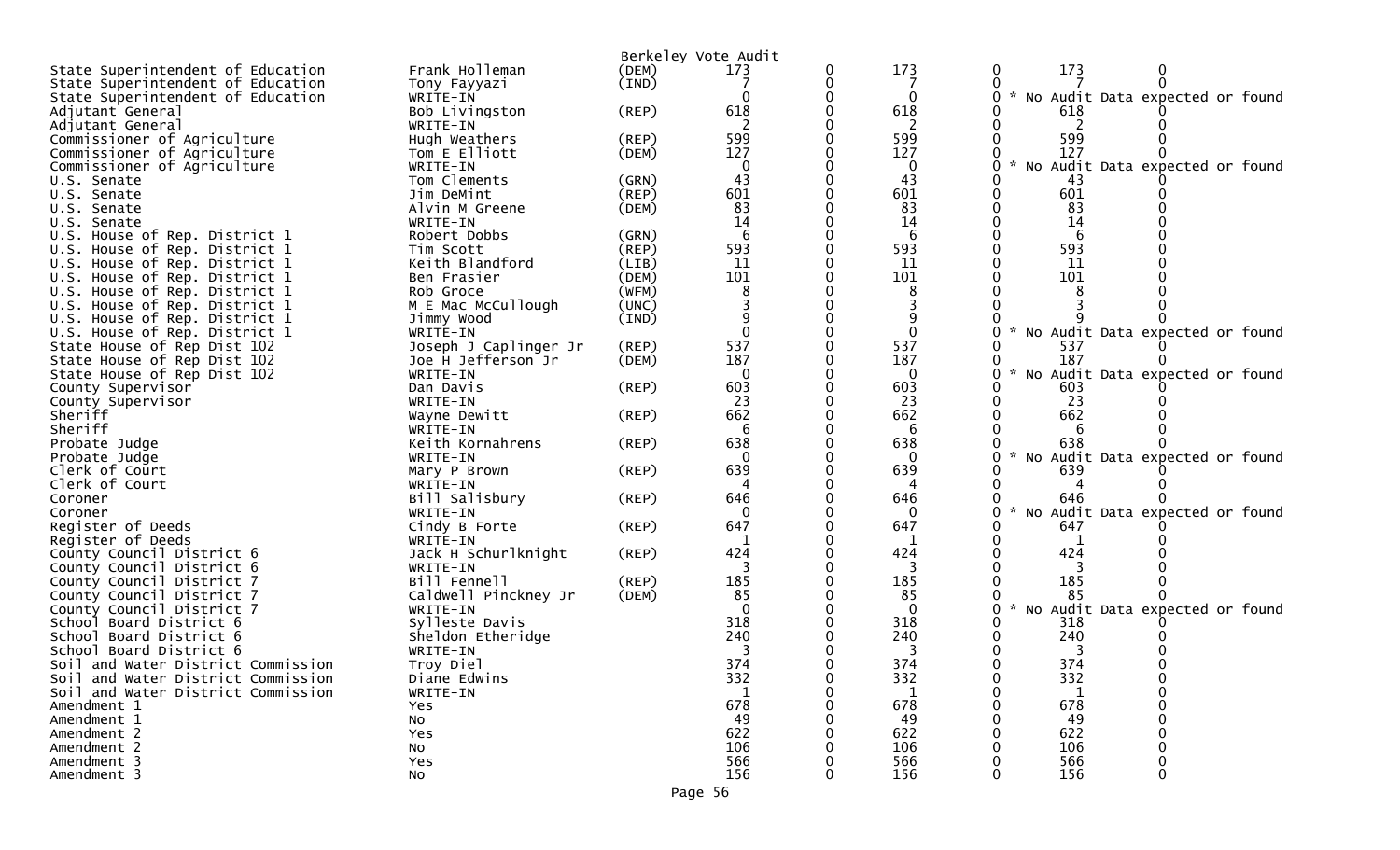|                                                                |                              |                      | Berkeley Vote Audit |   |                 |                                                  |
|----------------------------------------------------------------|------------------------------|----------------------|---------------------|---|-----------------|--------------------------------------------------|
| State Superintendent of Education                              | Frank Holleman               | (DEM)                | 173                 | 0 | 173             | 173<br>$\bf{0}$                                  |
| State Superintendent of Education                              | Tony Fayyazi                 | (IND)                |                     | 0 |                 |                                                  |
| State Superintendent of Education                              | WRITE-IN                     |                      |                     |   | $\Omega$        | * No Audit Data expected or found                |
| Adjutant General                                               | Bob Livingston               | $($ REP $)$          | 618                 |   | 618             | 618                                              |
| Adjutant General                                               | WRITE-IN                     |                      |                     |   |                 |                                                  |
| Commissioner of Agriculture                                    | Hugh Weathers                | $($ REP $)$          | 599                 |   | 599             | 599                                              |
| Commissioner of Agriculture                                    | Tom E Elliott                | (DEM)                | 127                 |   | 127             | 127                                              |
| Commissioner of Agriculture                                    | WRITE-IN                     |                      |                     |   | $\Omega$        | $\mathcal{R}$<br>No Audit Data expected or found |
| U.S. Senate                                                    | Tom Clements                 | (GRN)                | 43                  |   | 43              | -43                                              |
| U.S. Senate                                                    | Jim DeMint                   | (REP)                | 601                 |   | 601             | 601                                              |
| U.S. Senate                                                    | Alvin M Greene               | (DEM)                | 83                  |   | 83              | 83                                               |
| U.S. Senate                                                    | WRITE-IN<br>Robert Dobbs     |                      | 14<br>6             |   | 14<br>6         | 14<br>6                                          |
| U.S. House of Rep. District 1                                  |                              | (GRN)<br>$($ REP $)$ | 593                 |   | 593             | 593                                              |
| U.S. House of Rep. District 1<br>U.S. House of Rep. District 1 | Tim Scott<br>Keith Blandford | (LIB)                | 11                  |   | 11              | 11                                               |
| U.S. House of Rep. District 1                                  | Ben Frasier                  | (DEM)                | 101                 |   | 101             | 101                                              |
| U.S. House of Rep. District 1                                  | Rob Groce                    | (WFM)                |                     |   |                 |                                                  |
| U.S. House of Rep. District 1                                  | M E Mac McCullough           | (UNC)                |                     |   |                 |                                                  |
| U.S. House of Rep. District 1                                  | Jimmy Wood                   | (IND)                |                     |   |                 |                                                  |
| U.S. House of Rep. District 1                                  | WRITE-IN                     |                      |                     |   | 0               | $\mathcal{H}$<br>No Audit Data expected or found |
| State House of Rep Dist 102                                    | Joseph J Caplinger Jr        | (REP)                | 537                 |   | 537             | 537                                              |
| State House of Rep Dist 102                                    | Joe H Jefferson Jr           | (DEM)                | 187                 |   | 187             | 187                                              |
| State House of Rep Dist 102                                    | WRITE-IN                     |                      | $\Omega$            |   | $\Omega$        | $\mathcal{H}$<br>No Audit Data expected or found |
| County Supervisor                                              | Dan Davis                    | (REP)                | 603                 |   | 603             | 603                                              |
| County Supervisor                                              | WRITE-IN                     |                      | 23                  |   | 23              | 23                                               |
| Sheriff                                                        | Wayne Dewitt                 | $($ REP $)$          | 662                 |   | 662             | 662                                              |
| Sheriff                                                        | WRITE-IN                     |                      | 6                   |   | 6               |                                                  |
| Probate Judge                                                  | Keith Kornahrens             | $($ REP $)$          | 638                 |   | 638             | 638                                              |
| Probate Judge                                                  | WRITE-IN                     |                      |                     |   |                 | * No Audit Data expected or found                |
| Clerk of Court                                                 | Mary P Brown                 | (REP)                | 639                 |   | 639             | 639                                              |
| Clerk of Court                                                 | WRITE-IN                     |                      |                     |   | 4               |                                                  |
| Coroner                                                        | Bill Salisbury               | $($ REP $)$          | 646                 |   | 646             | 646                                              |
| Coroner                                                        | WRITE-IN                     |                      | 0<br>647            |   | $\Omega$<br>647 | * No Audit Data expected or found<br>647         |
| Register of Deeds<br>Register of Deeds                         | Cindy B Forte<br>WRITE-IN    | $($ REP $)$          |                     |   |                 |                                                  |
| County Council District 6                                      | Jack H Schurlknight          | $($ REP $)$          | 424                 |   | 424             | 424                                              |
| County Council District 6                                      | WRITE-IN                     |                      |                     |   |                 |                                                  |
| County Council District 7                                      | Bill Fennell                 | (REP)                | 185                 |   | 185             | 185                                              |
| County Council District 7                                      | Caldwell Pinckney Jr         | (DEM)                | 85                  |   | 85              | 85                                               |
| County Council District 7                                      | WRITE-IN                     |                      | $\Omega$            |   | $\mathbf 0$     | * No Audit Data expected or found                |
| School Board District 6                                        | Sylleste Davis               |                      | 318                 |   | 318             | 318                                              |
| School Board District 6                                        | Sheldon Etheridge            |                      | 240                 |   | 240             | 240                                              |
| School Board District 6                                        | WRITE-IN                     |                      |                     |   |                 |                                                  |
| Soil and Water District Commission                             | Troy Diel                    |                      | 374                 |   | 374             | 374                                              |
| Soil and Water District Commission                             | Diane Edwins                 |                      | 332                 | 0 | 332             | 332                                              |
| Soil and Water District Commission                             | WRITE-IN                     |                      |                     |   | 1               |                                                  |
| Amendment 1                                                    | Yes                          |                      | 678                 |   | 678             | 678                                              |
| Amendment 1                                                    | No                           |                      | 49                  |   | 49              | 49                                               |
| Amendment 2                                                    | Yes                          |                      | 622                 |   | 622             | 622                                              |
| Amendment 2                                                    | No                           |                      | 106                 |   | 106             | 106                                              |
| Amendment 3                                                    | Yes                          |                      | 566                 |   | 566             | 566                                              |
| Amendment 3                                                    | No                           |                      | 156                 |   | 156             | 156                                              |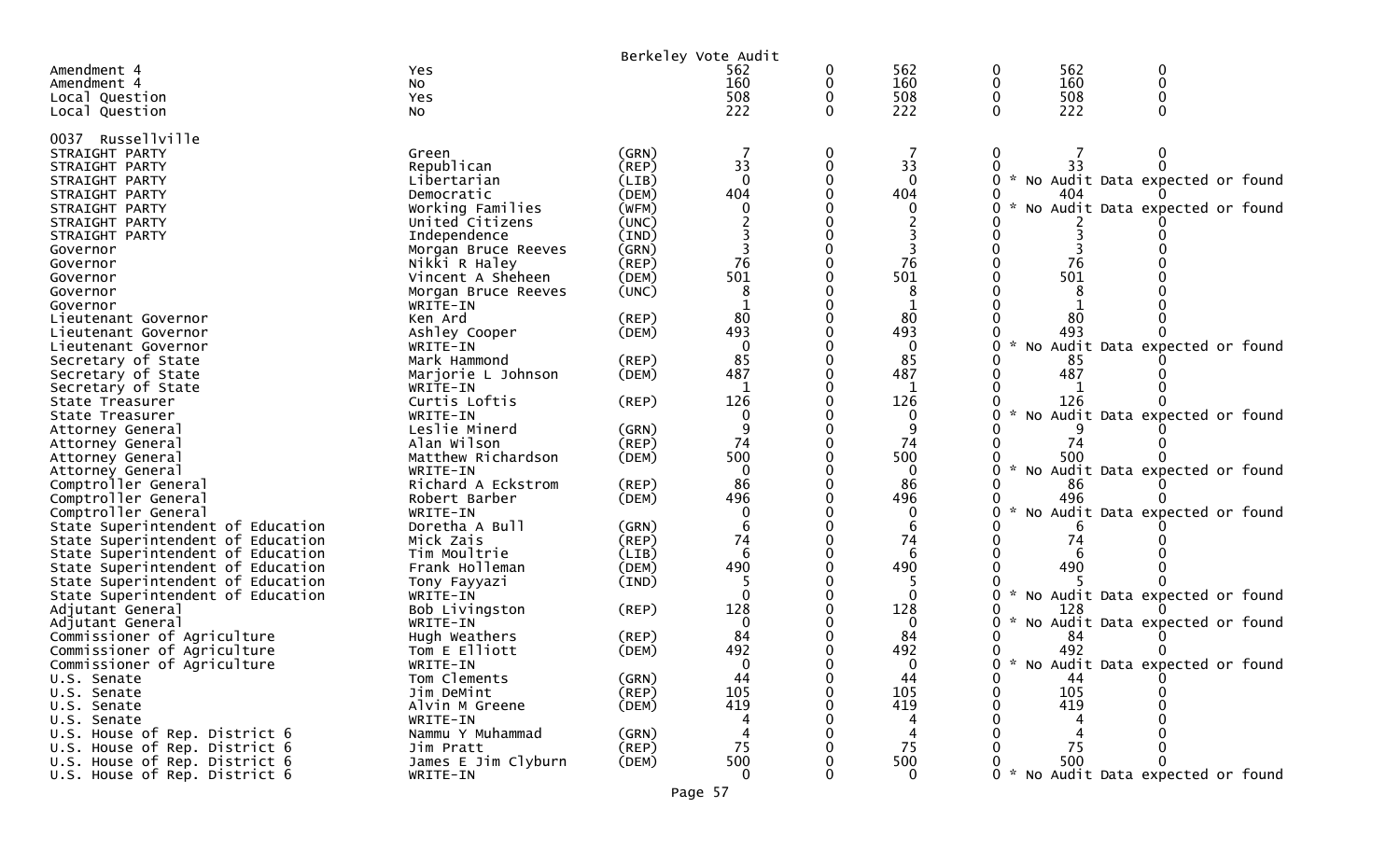|                                         |                                          | Berkeley Vote Audit |          |   |                |                    |           |                                     |  |
|-----------------------------------------|------------------------------------------|---------------------|----------|---|----------------|--------------------|-----------|-------------------------------------|--|
| Amendment 4                             | Yes.                                     |                     | 562      | 0 | 562            | 0                  | 562       | 0                                   |  |
| Amendment 4                             | No                                       |                     | 160      | 0 | 160            | 0                  | 160       | 0                                   |  |
| Local Question                          | Yes                                      |                     | 508      | 0 | 508            | 0                  | 508       | 0                                   |  |
| Local Question                          | NO.                                      |                     | 222      | 0 | 222            | 0                  | 222       | $\Omega$                            |  |
| 0037 Russellville                       |                                          |                     |          |   |                |                    |           |                                     |  |
| STRAIGHT PARTY                          | Green                                    | (GRN)               |          | 0 |                | 0                  |           |                                     |  |
| STRAIGHT PARTY                          | Republican                               | (REP)               | 33       | 0 | 33             | 0                  | 33        | 0                                   |  |
| STRAIGHT PARTY                          | Libertarian                              | (LIB)               | $\Omega$ |   | $\Omega$       | 0<br>$\mathcal{H}$ |           | No Audit Data expected or found     |  |
| STRAIGHT PARTY                          | Democratic                               | (DEM)               | 404      |   | 404            |                    | 404       |                                     |  |
| STRAIGHT PARTY                          | Working Families                         | (WFM)               |          |   | 0              | $\mathcal{H}$      |           | No Audit Data expected or found     |  |
| STRAIGHT PARTY                          | United Citizens                          | (UNC)               |          |   |                |                    |           |                                     |  |
| STRAIGHT PARTY                          | Independence                             | (IND)               |          |   |                |                    |           |                                     |  |
| Governor                                | Morgan Bruce Reeves                      | (GRN)               | 76       |   |                |                    |           |                                     |  |
| Governor                                | Nikki R Haley                            | (REP)               | 501      |   | 76<br>501      |                    | 76<br>501 |                                     |  |
| Governor<br>Governor                    | Vincent A Sheheen<br>Morgan Bruce Reeves | (DEM)<br>(UNC)      | 8        |   | 8              |                    |           |                                     |  |
| Governor                                | WRITE-IN                                 |                     |          |   |                |                    |           |                                     |  |
| Lieutenant Governor                     | Ken Ard                                  | $($ REP $)$         | 80       |   | 80             |                    | 80        |                                     |  |
| Lieutenant Governor                     | Ashley Cooper                            | (DEM)               | 493      |   | 493            |                    | 493       |                                     |  |
| Lieutenant Governor                     | WRITE-IN                                 |                     | $\Omega$ |   | 0              | 0                  |           | No Audit Data expected or found     |  |
| Secretary of State                      | Mark Hammond                             | $($ REP $)$         | 85       |   | 85             |                    | 85        |                                     |  |
| Secretary of State                      | Marjorie L Johnson                       | (DEM)               | 487      |   | 487            |                    | 487       |                                     |  |
| Secretary of State                      | WRITE-IN                                 |                     |          |   |                |                    |           |                                     |  |
| State Treasurer                         | Curtis Loftis                            | $($ REP $)$         | 126      |   | 126            |                    | 126       |                                     |  |
| State Treasurer                         | WRITE-IN                                 |                     | 0        |   | 0              |                    |           | No Audit Data expected or found     |  |
| Attorney General                        | Leslie Minerd                            | (GRN)               |          |   | 9              |                    |           |                                     |  |
| Attorney General                        | Alan Wilson                              | (REP)               | 74       |   | 74             |                    | 74        |                                     |  |
| Attorney General                        | Matthew Richardson                       | (DEM)               | 500      |   | 500            | $\sim$             | 500       |                                     |  |
| Attorney General<br>Comptroller General | WRITE-IN<br>Richard A Eckstrom           | (REP)               | 86       |   | $\Omega$<br>86 |                    | 86        | No Audit Data expected or found     |  |
| Comptroller General                     | Robert Barber                            | (DEM)               | 496      |   | 496            |                    | 496       |                                     |  |
| Comptroller General                     | WRITE-IN                                 |                     |          |   | 0              | 0                  |           | No Audit Data expected or found     |  |
| State Superintendent of Education       | Doretha A Bull                           | (GRN)               | 6        |   | 6              |                    |           |                                     |  |
| State Superintendent of Education       | Mick Zais                                | (REP)               | 74       |   | 74             |                    | 74        |                                     |  |
| State Superintendent of Education       | Tim Moultrie                             | (LIB)               | 6        |   | 6              |                    |           |                                     |  |
| State Superintendent of Education       | Frank Holleman                           | (DEM)               | 490      |   | 490            |                    | 490       |                                     |  |
| State Superintendent of Education       | Tony Fayyazi                             | (IND)               |          |   |                |                    |           |                                     |  |
| State Superintendent of Education       | WRITE-IN                                 |                     |          |   | $\Omega$       | 0                  |           | No Audit Data expected or found     |  |
| Adjutant General                        | Bob Livingston                           | $($ REP $)$         | 128      |   | 128            |                    | 128       |                                     |  |
| Adjutant General                        | WRITE-IN                                 |                     | $\Omega$ |   | $\Omega$       | $\mathcal{H}$      |           | No Audit Data expected or found     |  |
| Commissioner of Agriculture             | Hugh Weathers                            | (REP)               | 84       |   | 84             |                    | 84        |                                     |  |
| Commissioner of Agriculture             | Tom E Elliott                            | (DEM)               | 492      |   | 492            | 0                  | 492       |                                     |  |
| Commissioner of Agriculture             | WRITE-IN<br>Tom Clements                 | (GRN)               | 0<br>44  |   | 44             | 0                  | 44        | 0 * No Audit Data expected or found |  |
| U.S. Senate<br>U.S. Senate              | Jim DeMint                               | (REP)               | 105      |   | 105            | 0                  | 105       |                                     |  |
| U.S. Senate                             | Alvin M Greene                           | (DEM)               | 419      |   | 419            |                    | 419       |                                     |  |
| U.S. Senate                             | WRITE-IN                                 |                     |          |   | 4              |                    |           |                                     |  |
| U.S. House of Rep. District 6           | Nammu Y Muhammad                         | (GRN)               |          |   | 4              |                    |           |                                     |  |
| U.S. House of Rep. District 6           | Jim Pratt                                | $($ REP $)$         | 75       |   | 75             |                    | 75        |                                     |  |
| U.S. House of Rep. District 6           | James E Jim Clyburn                      | (DEM)               | 500      |   | 500            |                    | 500       | 0                                   |  |
| U.S. House of Rep. District 6           | WRITE-IN                                 |                     | $\Omega$ |   | $\Omega$       |                    |           | 0 * No Audit Data expected or found |  |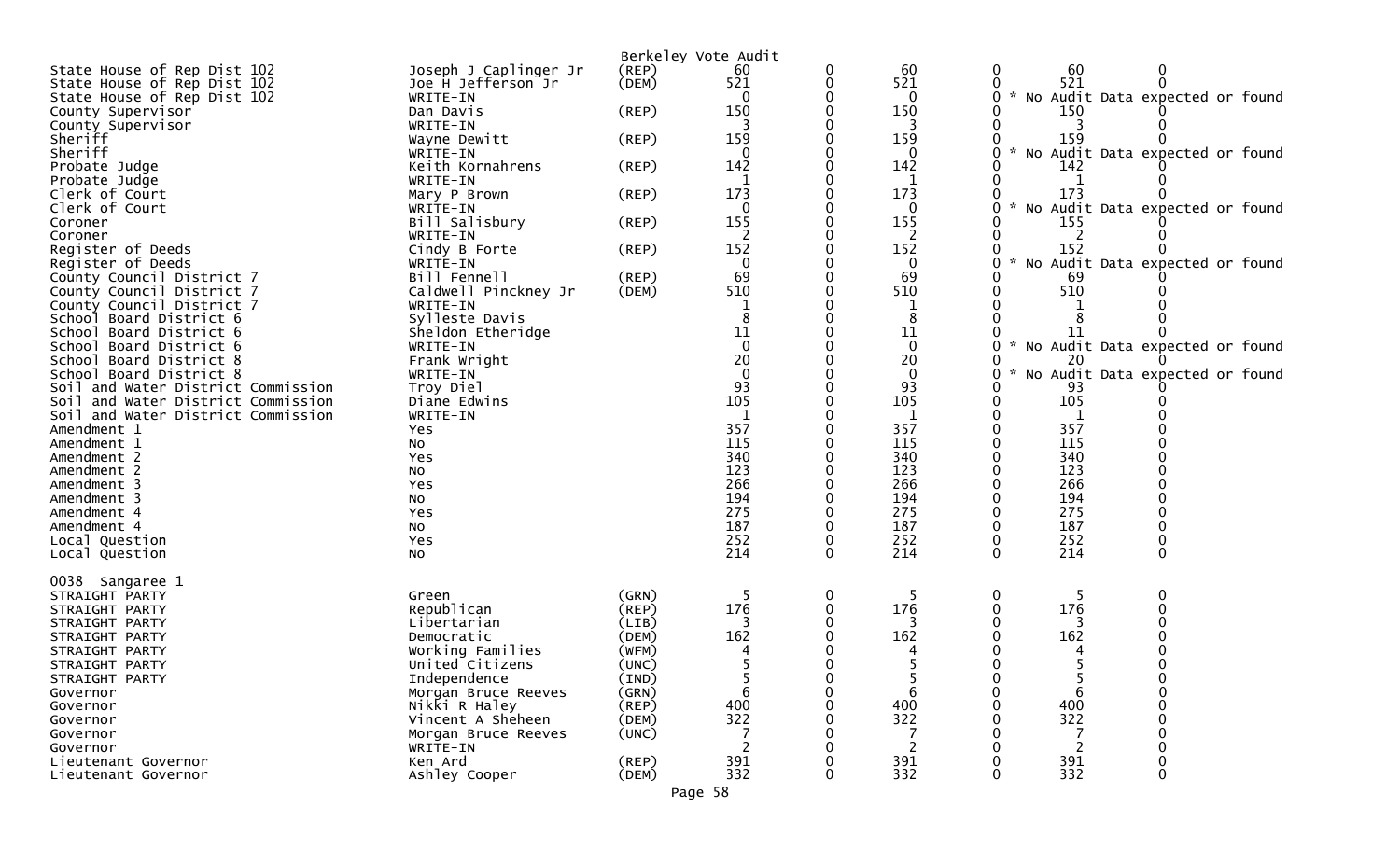|                                    |                          | Berkeley Vote Audit |                          |   |             |               |            |                                   |
|------------------------------------|--------------------------|---------------------|--------------------------|---|-------------|---------------|------------|-----------------------------------|
| State House of Rep Dist 102        | Joseph J Caplinger Jr    | $($ REP $)$         | 60                       |   | 60          | 0             | 60         | 0                                 |
| State House of Rep Dist 102        | Joe H Jefferson Jr       | (DEM)               | 521                      | 0 | 521         |               | 521        |                                   |
| State House of Rep Dist 102        | WRITE-IN                 |                     | $\Omega$                 |   | 0           | 0             |            | * No Audit Data expected or found |
| County Supervisor                  | Dan Davis                | $($ REP $)$         | 150                      |   | 150         |               | 150        |                                   |
| County Supervisor                  | WRITE-IN                 |                     |                          |   | 3           |               |            |                                   |
| Sheriff                            | Wayne Dewitt             | $($ REP $)$         | 159                      |   | 159         | $\mathcal{H}$ | 159        |                                   |
| Sheriff                            | WRITE-IN                 |                     | 0                        |   | 0           | 0             |            | No Audit Data expected or found   |
| Probate Judge                      | Keith Kornahrens         | $($ REP $)$         | 142                      |   | 142         |               | 142        |                                   |
| Probate Judge<br>Clerk of Court    | WRITE-IN                 | $($ REP $)$         | 1<br>173                 |   | 1<br>173    |               | -1<br>173  |                                   |
| Clerk of Court                     | Mary P Brown<br>WRITE-IN |                     |                          |   | 0           |               |            | * No Audit Data expected or found |
| Coroner                            | Bill Salisbury           | $($ REP $)$         | 155                      |   | 155         |               | 155        |                                   |
| Coroner                            | WRITE-IN                 |                     | 2                        |   | 2           |               | 2          |                                   |
| Register of Deeds                  | Cindy B Forte            | $($ REP $)$         | 152                      |   | 152         |               | 152        |                                   |
| Register of Deeds                  | WRITE-IN                 |                     | 0                        |   | $\bf{0}$    | 0             |            | * No Audit Data expected or found |
| County Council District 7          | Bill Fennell             | (REP)               | 69                       |   | 69          |               | 69         |                                   |
| County Council District 7          | Caldwell Pinckney Jr     | (DEM)               | 510                      |   | 510         |               | 510        |                                   |
| County Council District 7          | WRITE-IN                 |                     |                          |   | 1           |               |            |                                   |
| School Board District 6            | Sylleste Davis           |                     |                          |   | 8           |               |            |                                   |
| School Board District 6            | Sheldon Etheridge        |                     | 11                       |   | 11          |               | 11         |                                   |
| School Board District 6            | WRITE-IN                 |                     | $\Omega$                 |   | $\mathbf 0$ | 0             |            | * No Audit Data expected or found |
| School Board District 8            | Frank Wright             |                     | 20                       |   | 20          |               | 20         |                                   |
| School Board District 8            | WRITE-IN                 |                     | $\overline{0}$           |   | $\mathbf 0$ | Ω             |            | * No Audit Data expected or found |
| Soil and Water District Commission | Troy Diel                |                     | 93                       |   | 93          |               | 93         |                                   |
| Soil and Water District Commission | Diane Edwins             |                     | 105                      |   | 105         | 0             | 105        |                                   |
| Soil and Water District Commission | WRITE-IN                 |                     |                          |   |             |               |            |                                   |
| Amendment 1                        | Yes                      |                     | 357                      |   | 357         |               | 357        |                                   |
| Amendment 1<br>Amendment 2         | No                       |                     | 115<br>340               |   | 115<br>340  |               | 115<br>340 |                                   |
| Amendment 2                        | Yes                      |                     | 123                      |   | 123         |               | 123        |                                   |
| Amendment 3                        | No<br>Yes                |                     | 266                      |   | 266         |               | 266        |                                   |
| Amendment 3                        | No                       |                     | 194                      |   | 194         |               | 194        |                                   |
| Amendment 4                        | Yes                      |                     | 275                      |   | 275         |               | 275        |                                   |
| Amendment 4                        | No                       |                     | 187                      |   | 187         |               | 187        |                                   |
| Local Question                     | Yes                      |                     | 252                      | 0 | 252         | 0             | 252        |                                   |
| Local Question                     | No                       |                     | 214                      | 0 | 214         | 0             | 214        | 0                                 |
|                                    |                          |                     |                          |   |             |               |            |                                   |
| 0038 Sangaree 1                    |                          |                     |                          |   |             |               |            |                                   |
| STRAIGHT PARTY                     | Green                    | (GRN)               |                          | 0 | 5           | 0             | 5          |                                   |
| STRAIGHT PARTY                     | Republican               | $($ REP $)$         | 176                      |   | 176         |               | 176        |                                   |
| STRAIGHT PARTY                     | Libertarian              | (LIB)               |                          |   |             |               |            |                                   |
| STRAIGHT PARTY                     | Democratic               | (DEM)               | 162                      |   | 162         |               | 162        |                                   |
| STRAIGHT PARTY                     | Working Families         | (WFM)               |                          |   |             |               |            |                                   |
| STRAIGHT PARTY                     | United Citizens          | (UNC)               |                          |   |             |               |            |                                   |
| STRAIGHT PARTY                     | Independence             | (IND)               | 5                        | 0 | 5           | 0             |            | 0                                 |
| Governor                           | Morgan Bruce Reeves      | (GRN)               | 6                        |   | 6           | 0             | 6          |                                   |
| Governor                           | Nikki R Haley            | (REP)               | 400                      |   | 400         |               | 400        |                                   |
| Governor                           | Vincent A Sheheen        | (DEM)               | 322                      |   | 322         |               | 322        |                                   |
| Governor                           | Morgan Bruce Reeves      | (UNC)               |                          |   |             |               |            |                                   |
| Governor                           | WRITE-IN                 |                     | $\overline{\phantom{a}}$ |   | 2           |               | 2          |                                   |
| Lieutenant Governor                | Ken Ard                  | (REP)               | 391                      |   | 391         |               | 391        |                                   |
| Lieutenant Governor                | Ashley Cooper            | (DEM)               | 332                      | 0 | 332         | 0             | 332        | 0                                 |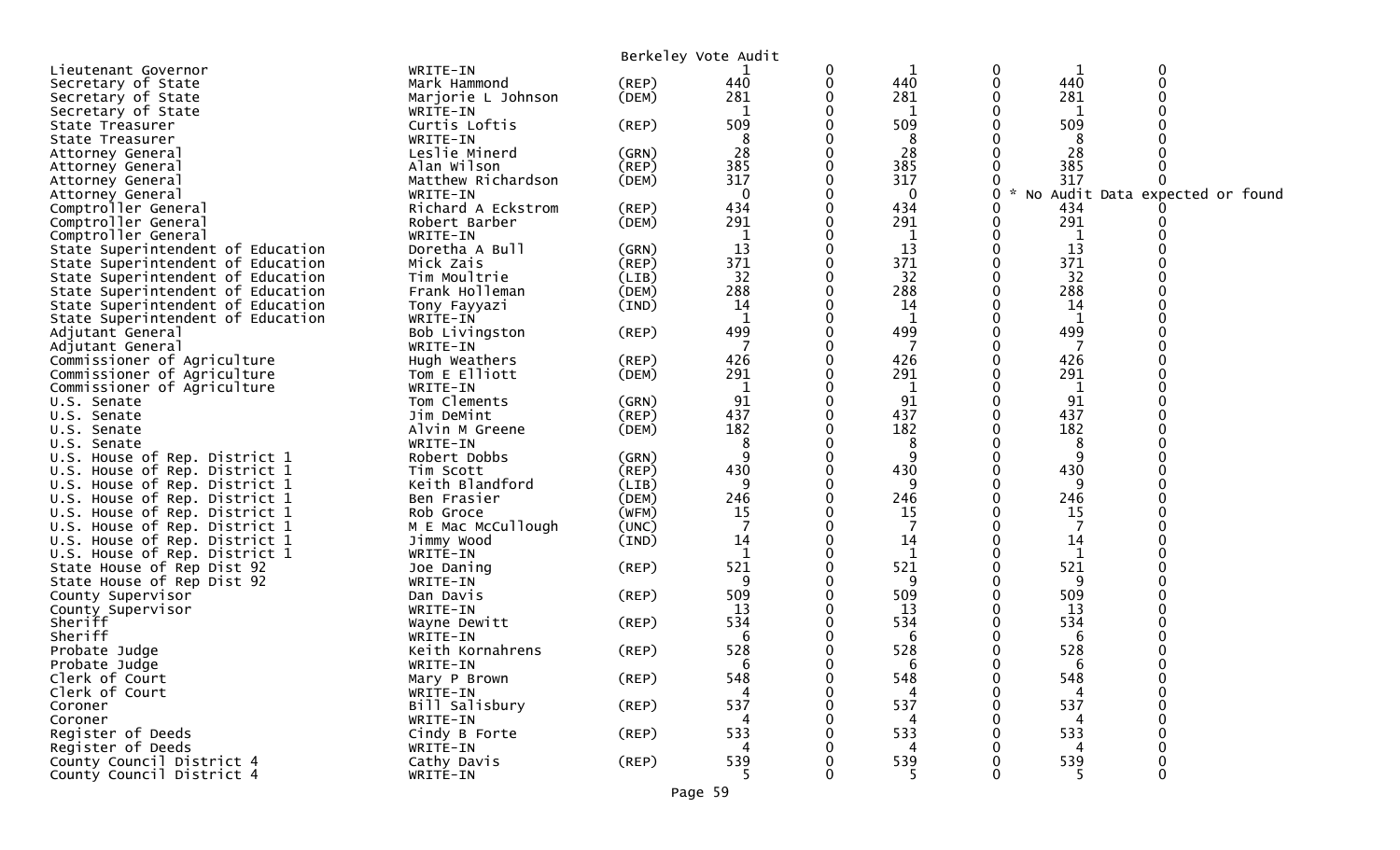|                                                             |                       |             | Berkeley Vote Audit |   |         |             |         |                                 |  |
|-------------------------------------------------------------|-----------------------|-------------|---------------------|---|---------|-------------|---------|---------------------------------|--|
| Lieutenant Governor                                         | WRITE-IN              |             |                     | 0 | 1       | 0           | 1       | $\Omega$                        |  |
| Secretary of State                                          | Mark Hammond          | (REP)       | 440                 | 0 | 440     | 0           | 440     | $\Omega$                        |  |
| Secretary of State                                          | Marjorie L Johnson    | (DEM)       | 281                 |   | 281     |             | 281     |                                 |  |
| Secretary of State                                          | WRITE-IN              |             | 1                   | 0 | 1       |             | 1       |                                 |  |
| State Treasurer                                             | Curtis Loftis         | $($ REP $)$ | 509                 |   | 509     |             | 509     |                                 |  |
| State Treasurer                                             | WRITE-IN              |             | 8                   |   | 8       |             | 8       |                                 |  |
| Attorney General                                            | Leslie Minerd         | (GRN)       | 28                  |   | 28      |             | 28      |                                 |  |
| Attorney General                                            | Alan Wilson           | (REP)       | 385                 |   | 385     |             | 385     |                                 |  |
| Attorney General                                            | Matthew Richardson    | (DEM)       | 317                 |   | 317     |             | 317     |                                 |  |
| Attorney General                                            | WRITE-IN              |             | $\mathbf 0$         | 0 | 0       | 0           | $\sim$  | No Audit Data expected or found |  |
| Comptroller General                                         | Richard A Eckstrom    | (REP)       | 434                 |   | 434     |             | 434     |                                 |  |
| Comptroller General                                         | Robert Barber         | (DEM)       | 291                 |   | 291     |             | 291     |                                 |  |
| Comptroller General                                         | WRITE-IN              |             | 1                   | 0 | 1       |             | 1       |                                 |  |
| State Superintendent of Education                           | Doretha A Bull        | (GRN)       | 13                  |   | 13      | 0           | 13      |                                 |  |
| State Superintendent of Education                           | Mick Zais             | (REP)       | 371                 | 0 | 371     |             | 371     |                                 |  |
| State Superintendent of Education                           | Tim Moultrie          | (LIB)       | 32                  | 0 | 32      |             | 32      |                                 |  |
| State Superintendent of Education                           | Frank Holleman        | (DEM)       | 288                 |   | 288     |             | 288     |                                 |  |
| State Superintendent of Education                           | Tony Fayyazi          | (IND)       | 14                  |   | 14      |             | 14      |                                 |  |
| State Superintendent of Education                           | WRITE-IN              |             | $\mathbf 1$         | 0 | 1       |             | 1       |                                 |  |
| Adjutant General                                            | Bob Livingston        | (REP)       | 499                 | 0 | 499     |             | 499     |                                 |  |
| Adjutant General                                            | WRITE-IN              |             |                     |   | 7       |             | -7      |                                 |  |
| Commissioner of Agriculture                                 | Hugh Weathers         | (REP)       | 426                 |   | 426     |             | 426     |                                 |  |
| Commissioner of Agriculture                                 | Tom E Elliott         | (DEM)       | 291                 |   | 291     |             | 291     |                                 |  |
| Commissioner of Agriculture                                 | WRITE-IN              |             |                     |   | 1       |             |         |                                 |  |
| U.S. Senate                                                 | Tom Clements          | (GRN)       | 91                  |   | 91      |             | 91      |                                 |  |
| U.S. Senate                                                 | Jim DeMint            | $($ REP $)$ | 437                 |   | 437     |             | 437     |                                 |  |
| U.S. Senate                                                 | Alvin M Greene        | (DEM)       | 182                 |   | 182     |             | 182     |                                 |  |
| U.S. Senate                                                 | WRITE-IN              |             | 8                   |   | 8       |             | 8       |                                 |  |
| U.S. House of Rep. District 1                               | Robert Dobbs          | (GRN)       | 9                   |   | 9       |             | 9       |                                 |  |
| U.S. House of Rep. District 1                               | Tim Scott             | $($ REP $)$ | 430                 | 0 | 430     | 0           | 430     |                                 |  |
| U.S. House of Rep. District 1                               | Keith Blandford       | (LIB)       | 9                   | 0 | 9       |             | 9       |                                 |  |
| U.S. House of Rep. District 1                               | Ben Frasier           | (DEM)       | 246                 |   | 246     |             | 246     |                                 |  |
| U.S. House of Rep. District 1                               | Rob Groce             | (WFM)       | 15                  |   | 15      |             | 15      |                                 |  |
| U.S. House of Rep. District 1                               | M E Mac McCullough    | (UNC)       | 7                   | 0 | 7       |             | 7       |                                 |  |
| U.S. House of Rep. District 1                               | Jimmy Wood            | (IND)       | 14                  |   | 14<br>1 |             | 14<br>1 |                                 |  |
| U.S. House of Rep. District 1<br>State House of Rep Dist 92 | WRITE-IN              |             | 521                 |   | 521     |             | 521     |                                 |  |
| State House of Rep Dist 92                                  | Joe Daning            | $($ REP $)$ | 9                   |   | 9       |             | 9       |                                 |  |
| County Supervisor                                           | WRITE-IN<br>Dan Davis | $($ REP $)$ | 509                 |   | 509     |             | 509     |                                 |  |
| County Supervisor                                           | WRITE-IN              |             | 13                  | 0 | 13      |             | 13      |                                 |  |
| Sheriff                                                     | Wayne Dewitt          | $($ REP $)$ | 534                 |   | 534     |             | 534     |                                 |  |
| Sheriff                                                     | WRITE-IN              |             | 6                   |   | 6       |             | 6       |                                 |  |
| Probate Judge                                               | Keith Kornahrens      | $($ REP $)$ | 528                 |   | 528     |             | 528     |                                 |  |
| Probate Judge                                               | WRITE-IN              |             |                     |   |         |             |         |                                 |  |
| Clerk of Court                                              | Mary P Brown          | (REP)       | 548                 | 0 | 548     | $\mathbf 0$ | 548     | $\Omega$                        |  |
| Clerk of Court                                              | WRITE-IN              |             |                     |   | 4       |             |         |                                 |  |
| Coroner                                                     | Bill Salisbury        | $($ REP $)$ | 537                 |   | 537     |             | 537     |                                 |  |
| Coroner                                                     | WRITE-IN              |             |                     |   | 4       |             |         |                                 |  |
| Register of Deeds                                           | Cindy B Forte         | $($ REP $)$ | 533                 |   | 533     |             | 533     |                                 |  |
| Register of Deeds                                           | WRITE-IN              |             |                     |   |         |             |         |                                 |  |
| County Council District 4                                   | Cathy Davis           | $($ REP $)$ | 539                 |   | 539     |             | 539     |                                 |  |
| County Council District 4                                   | WRITE-IN              |             | 5.                  |   |         | 0           |         | $\Omega$                        |  |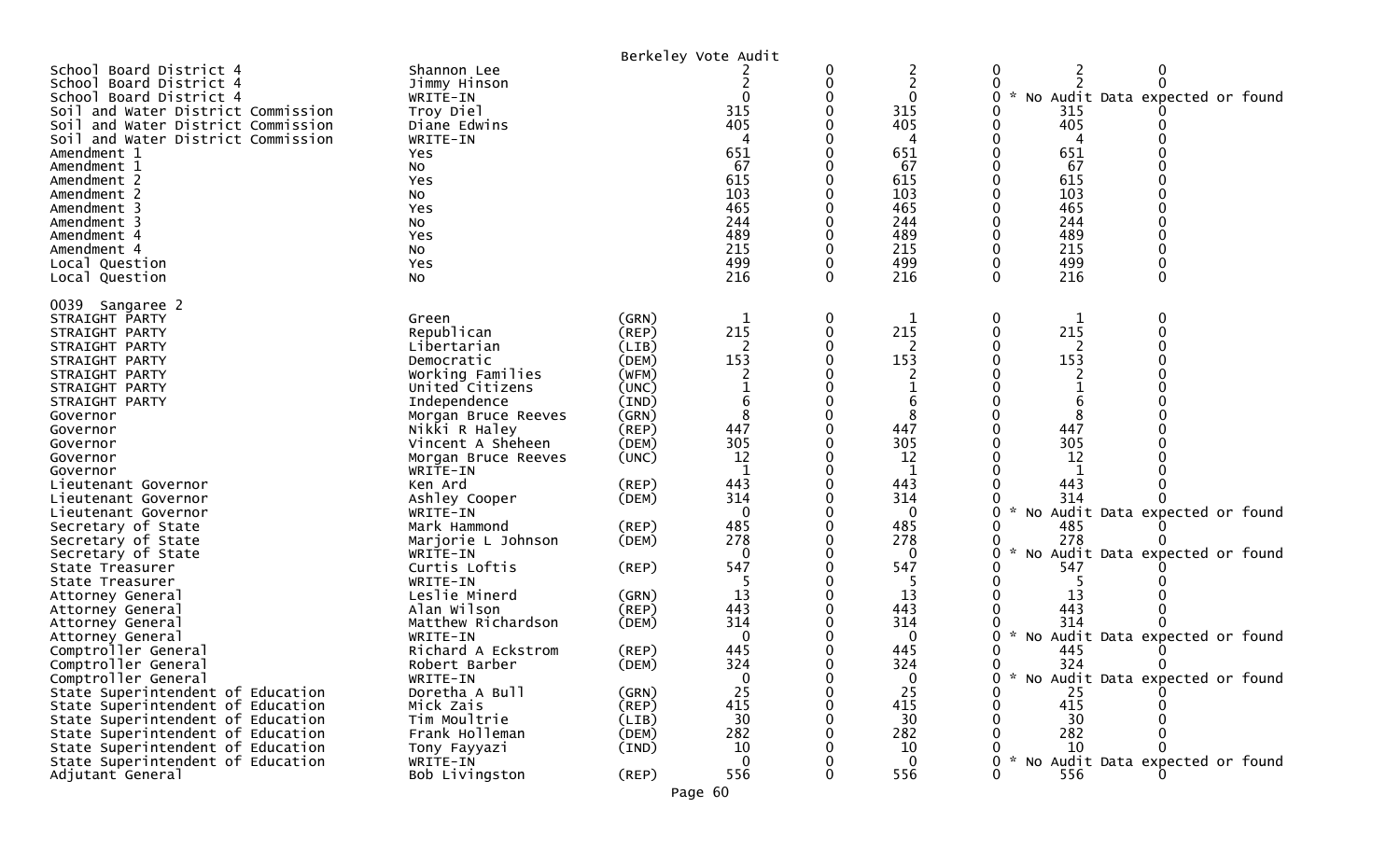| Jimmy Hinson<br>WRITE-IN<br>Troy Diel<br>Diane Edwins<br>WRITE-IN<br>Yes<br>No<br>Yes<br>No<br>Yes<br>NO.<br>Yes<br>No<br>Yes<br>No                                                                                                                                                                                                                                                                                                                                                                                                              |                                                                                                                                                                                                                                              | $\Omega$<br>315<br>405<br>651<br>67<br>615<br>103<br>465<br>244<br>489<br>215<br>499<br>216                                                                                                                           | 0                                     | 2<br>$\overline{c}$<br>0<br>315<br>405<br>651<br>67<br>615<br>103<br>465<br>244<br>489<br>215<br>499<br>216                                                                                                 | 0<br>*<br>0                                                    | No Audit Data expected or found<br>0                                                                                                                                                                                          |
|--------------------------------------------------------------------------------------------------------------------------------------------------------------------------------------------------------------------------------------------------------------------------------------------------------------------------------------------------------------------------------------------------------------------------------------------------------------------------------------------------------------------------------------------------|----------------------------------------------------------------------------------------------------------------------------------------------------------------------------------------------------------------------------------------------|-----------------------------------------------------------------------------------------------------------------------------------------------------------------------------------------------------------------------|---------------------------------------|-------------------------------------------------------------------------------------------------------------------------------------------------------------------------------------------------------------|----------------------------------------------------------------|-------------------------------------------------------------------------------------------------------------------------------------------------------------------------------------------------------------------------------|
| Green<br>Republican<br>Libertarian<br>Democratic<br>Working Families<br>United Citizens<br>Independence<br>Morgan Bruce Reeves<br>Nikki R Haley<br>Vincent A Sheheen<br>Morgan Bruce Reeves<br>WRITE-IN<br>Ken Ard<br>Ashley Cooper<br>WRITE-IN<br>Mark Hammond<br>Marjorie L Johnson<br>WRITE-IN<br>Curtis Loftis<br>WRITE-IN<br>Leslie Minerd<br>Alan Wilson<br>Matthew Richardson<br>WRITE-IN<br>Richard A Eckstrom<br>Robert Barber<br>WRITE-IN<br>Doretha A Bull<br>Mick Zais<br>Tim Moultrie<br>Frank Holleman<br>Tony Fayyazi<br>WRITE-IN | (GRN)<br>(REP)<br>(LIB)<br>(DEM)<br>(WFM)<br>(UNC)<br>(IND)<br>(GRN)<br>(REP)<br>(DEM)<br>(UNC)<br>(REP)<br>(DEM)<br>(REP)<br>(DEM)<br>(REP)<br>(GRN)<br>(REP)<br>(DEM)<br>(REP)<br>(DEM)<br>(GRN)<br>$($ REP $)$<br>(LIB)<br>(DEM)<br>(IND) | 215<br>2<br>153<br>8<br>447<br>305<br>12<br>$\mathbf 1$<br>443<br>314<br>$\mathbf{0}$<br>485<br>278<br>$\Omega$<br>547<br>13<br>443<br>314<br>$\Omega$<br>445<br>324<br>0<br>25<br>415<br>30<br>282<br>10<br>$\Omega$ | 0<br>0                                | 215<br>153<br>6<br>447<br>305<br>12<br>1<br>443<br>314<br>0<br>485<br>278<br>$\Omega$<br>547<br>5<br>13<br>443<br>314<br>$\Omega$<br>445<br>324<br>$\mathbf{0}$<br>25<br>415<br>30<br>282<br>10<br>$\Omega$ | 0<br>$\mathcal{H}$<br>$\sim$<br>$\mathcal{H}$<br>∩<br>$\Omega$ | No Audit Data expected or found<br>No Audit Data expected or found<br>No Audit Data expected or found<br>0<br>* No Audit Data expected or found<br>* No Audit Data expected or found                                          |
|                                                                                                                                                                                                                                                                                                                                                                                                                                                                                                                                                  |                                                                                                                                                                                                                                              |                                                                                                                                                                                                                       |                                       |                                                                                                                                                                                                             |                                                                |                                                                                                                                                                                                                               |
|                                                                                                                                                                                                                                                                                                                                                                                                                                                                                                                                                  | Shannon Lee<br>Bob Livingston                                                                                                                                                                                                                | (REP)                                                                                                                                                                                                                 | Berkeley Vote Audit<br>556<br>Page 60 |                                                                                                                                                                                                             | 556                                                            | 315<br>405<br>651<br>67<br>615<br>103<br>465<br>244<br>489<br>215<br>499<br>216<br>215<br>153<br>447<br>305<br>12<br>443<br>314<br>485<br>278<br>547<br>13<br>443<br>314<br>445<br>324<br>25<br>415<br>30<br>282<br>10<br>556 |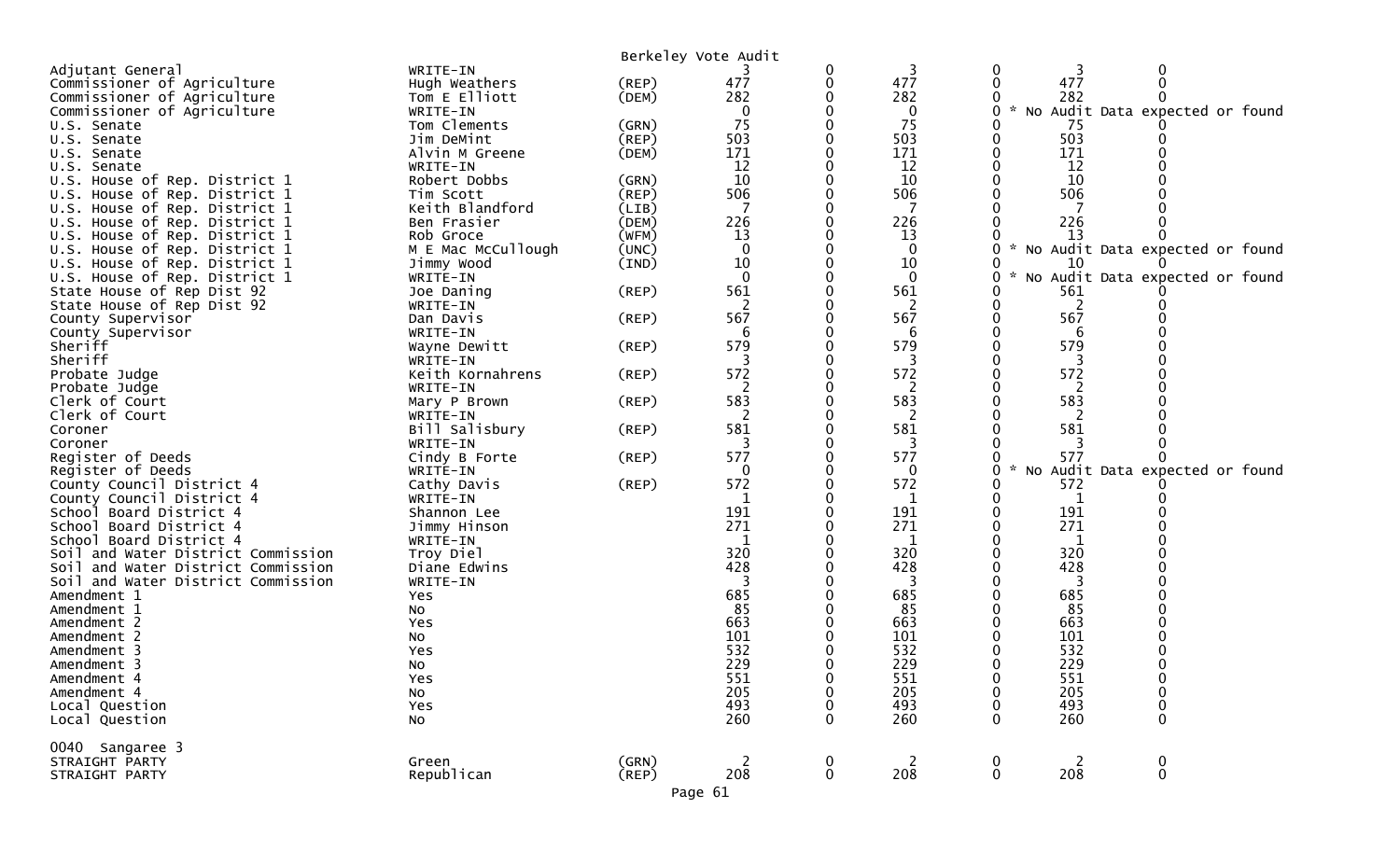|                                    |                    |             | Berkeley Vote Audit |             |              |                  |            |                                              |  |
|------------------------------------|--------------------|-------------|---------------------|-------------|--------------|------------------|------------|----------------------------------------------|--|
| Adjutant General                   | WRITE-IN           |             |                     | 0           | 3            | 0                | 3          | 0                                            |  |
| Commissioner of Agriculture        | Hugh Weathers      | $($ REP $)$ | 477                 | 0           | 477          | $\mathbf{0}$     | 477        | $\Omega$                                     |  |
| Commissioner of Agriculture        | Tom E Elliott      | (DEM)       | 282                 |             | 282          |                  | 282        |                                              |  |
| Commissioner of Agriculture        | WRITE-IN           |             | 0                   |             | $\mathbf 0$  | 0                |            | No Audit Data expected or found              |  |
| U.S. Senate                        | Tom Clements       | (GRN)       | 75                  |             | 75           |                  | 75         |                                              |  |
| U.S. Senate                        | Jim DeMint         | (REP)       | 503                 |             | 503          |                  | 503        |                                              |  |
| U.S. Senate                        | Alvin M Greene     | (DEM)       | 171                 |             | 171          |                  | 171        |                                              |  |
| U.S. Senate                        | WRITE-IN           |             | 12                  |             | 12           |                  | 12         |                                              |  |
| U.S. House of Rep. District 1      | Robert Dobbs       | (GRN)       | 10                  |             | 10           |                  | 10         |                                              |  |
| U.S. House of Rep. District 1      | Tim Scott          | (REP)       | 506                 |             | 506          |                  | 506        |                                              |  |
| U.S. House of Rep. District 1      | Keith Blandford    | (LIB)       | 7                   |             | -7           |                  | 7          |                                              |  |
| U.S. House of Rep. District 1      | Ben Frasier        | (DEM)       | 226                 |             | 226          |                  | 226        |                                              |  |
| U.S. House of Rep. District 1      | Rob Groce          | (WFM)       | 13                  |             | 13           |                  | 13         |                                              |  |
| U.S. House of Rep. District 1      | M E Mac McCullough | (UNC)       | $\overline{0}$      |             | $\mathbf 0$  |                  |            | * No Audit Data expected or found            |  |
| U.S. House of Rep. District 1      | Jimmy Wood         | (IND)       | 10                  |             | 10           |                  | 10         |                                              |  |
| U.S. House of Rep. District 1      | WRITE-IN           |             | $\Omega$            |             | $\mathbf{0}$ | 0                |            | No Audit Data expected or found              |  |
| State House of Rep Dist 92         | Joe Daning         | $($ REP $)$ | 561                 |             | 561          |                  | 561        |                                              |  |
| State House of Rep Dist 92         | WRITE-IN           |             |                     |             | 2            |                  |            |                                              |  |
| County Supervisor                  | Dan Davis          | $($ REP $)$ | 567                 |             | 567          | 0                | 567        |                                              |  |
| County Supervisor                  | WRITE-IN           |             | 6                   |             | 6            |                  | 6          |                                              |  |
| Sheriff                            | Wayne Dewitt       | $($ REP $)$ | 579                 |             | 579          |                  | 579        |                                              |  |
| Sheriff                            | WRITE-IN           |             |                     |             | 3            |                  | 3          |                                              |  |
| Probate Judge                      | Keith Kornahrens   | (REP)       | 572                 |             | 572          |                  | 572        |                                              |  |
| Probate Judge                      | WRITE-IN           |             | 2                   |             | 2            |                  | 2          |                                              |  |
| Clerk of Court                     | Mary P Brown       | (REP)       | 583                 |             | 583          |                  | 583        |                                              |  |
| Clerk of Court                     | WRITE-IN           |             | 2                   |             | 2            |                  | 2          |                                              |  |
| Coroner                            | Bill Salisbury     | $($ REP $)$ | 581                 |             | 581          |                  | 581        |                                              |  |
| Coroner                            | WRITE-IN           |             | 3                   |             | 3            |                  | 3          |                                              |  |
| Register of Deeds                  | Cindy B Forte      | (REP)       | 577                 |             | 577          |                  | 577        |                                              |  |
| Register of Deeds                  | WRITE-IN           |             | $\Omega$            |             | 0            |                  |            | No Audit Data expected or found              |  |
| County Council District 4          | Cathy Davis        | $($ REP $)$ | 572                 |             | 572          |                  | 572        |                                              |  |
| County Council District 4          | WRITE-IN           |             |                     |             | 1            |                  | 1          |                                              |  |
| School Board District 4            | Shannon Lee        |             | 191                 |             | 191          |                  | 191        |                                              |  |
| School Board District 4            | Jimmy Hinson       |             | 271                 |             | 271          |                  | 271        |                                              |  |
| School Board District 4            | WRITE-IN           |             |                     |             | 1            |                  | 1          |                                              |  |
| Soil and Water District Commission | Troy Diel          |             | 320                 |             | 320          |                  | 320        |                                              |  |
| Soil and Water District Commission | Diane Edwins       |             | 428                 |             | 428          |                  | 428        |                                              |  |
| Soil and Water District Commission | WRITE-IN           |             |                     |             | 3            |                  | 3          |                                              |  |
| Amendment 1                        | Yes                |             | 685                 |             | 685          |                  | 685        |                                              |  |
| Amendment 1                        | No                 |             | 85                  |             | 85           |                  | 85         |                                              |  |
| Amendment 2                        | Yes                |             | 663                 |             | 663          |                  | 663        |                                              |  |
| Amendment 2                        | No                 |             | 101                 |             | 101          |                  | 101        |                                              |  |
| Amendment 3                        | Yes                |             | 532                 |             | 532          |                  | 532        |                                              |  |
| Amendment 3                        | No                 |             | 229                 |             | 229          |                  | 229        |                                              |  |
| Amendment 4                        | Yes                |             | 551<br>205          | 0           | 551<br>205   | 0                | 551        | 0                                            |  |
| Amendment 4                        | No                 |             | 493                 |             | 493          |                  | 205<br>493 | 0                                            |  |
| Local Question                     | Yes                |             | 260                 | $\Omega$    | 260          | $\Omega$         | 260        | 0                                            |  |
| Local Question                     | No                 |             |                     |             |              |                  |            | 0                                            |  |
| 0040 Sangaree 3                    |                    |             |                     |             |              |                  |            |                                              |  |
| STRAIGHT PARTY                     | Green              | (GRN)       | 2                   | $\mathbf 0$ | 2            | $\boldsymbol{0}$ | 2          | $\begin{smallmatrix} 0\\0 \end{smallmatrix}$ |  |
| STRAIGHT PARTY                     | Republican         | $($ REP $)$ | 208                 | $\mathbf 0$ | 208          | $\mathbf 0$      | 208        |                                              |  |
|                                    |                    |             | Page 61             |             |              |                  |            |                                              |  |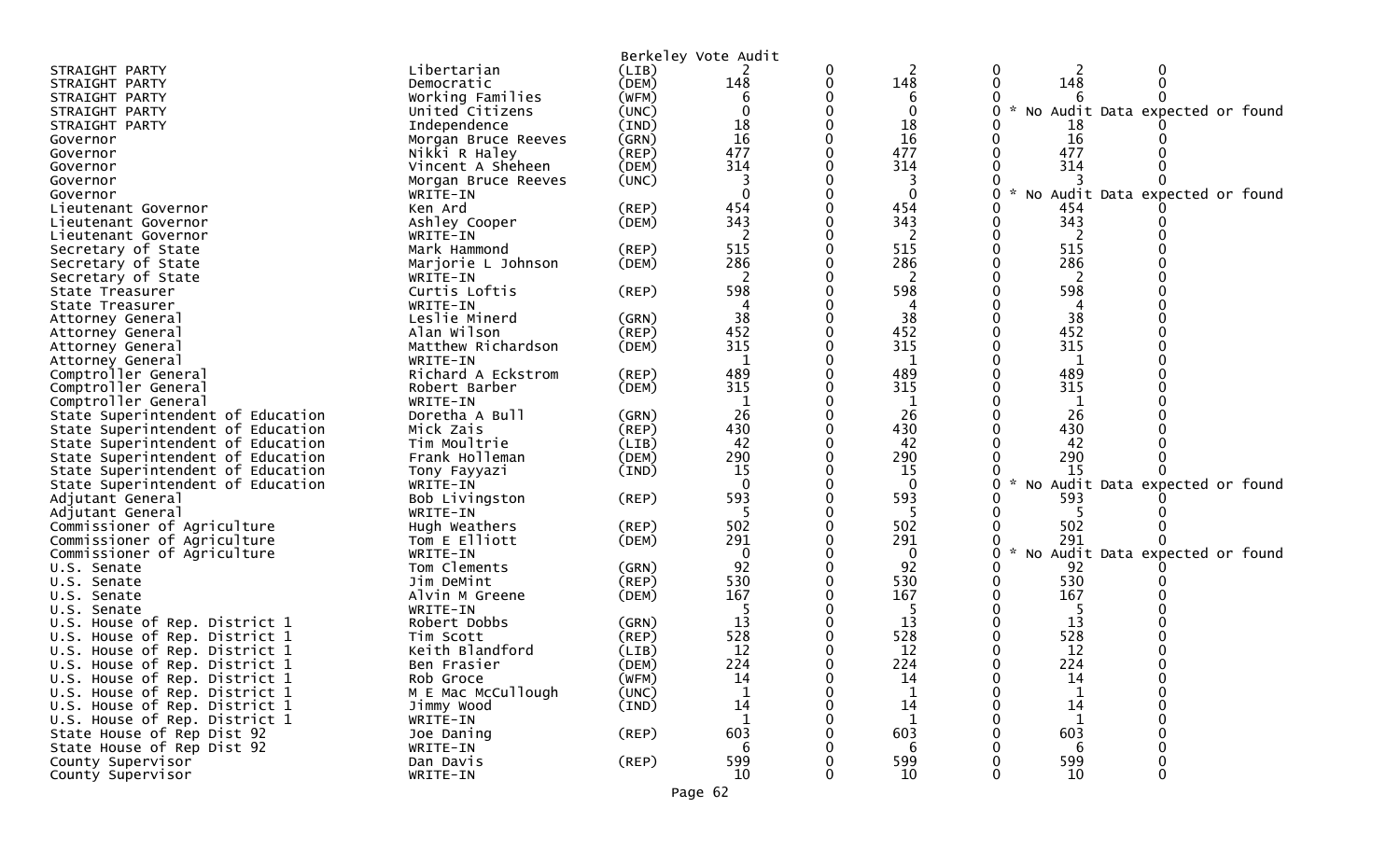|                                      |                            |             | Berkeley Vote Audit |                    |   |               |                                   |  |
|--------------------------------------|----------------------------|-------------|---------------------|--------------------|---|---------------|-----------------------------------|--|
| STRAIGHT PARTY                       | Libertarian                | (LIB)       |                     | 2                  | 0 | 2             | 0                                 |  |
| STRAIGHT PARTY                       | Democratic                 | (DEM)       | 148                 | 148                |   | 148           |                                   |  |
| STRAIGHT PARTY                       | Working Families           | (WFM)       | 6                   | 6                  |   |               |                                   |  |
| STRAIGHT PARTY                       | United Citizens            | (UNC)       |                     | 0                  | 0 |               | * No Audit Data expected or found |  |
| STRAIGHT PARTY                       | Independence               | (IND)       | 18                  | 18                 |   | 18            |                                   |  |
| Governor                             | Morgan Bruce Reeves        | (GRN)       | 16                  | 16                 |   | 16            |                                   |  |
| Governor                             | Nikki R Haley              | $($ REP $)$ | 477                 | 477                |   | 477           |                                   |  |
| Governor                             | Vincent A Sheheen          | (DEM)       | 314                 | 314                |   | 314           |                                   |  |
| Governor                             | Morgan Bruce Reeves        | (UNC)       |                     |                    |   |               |                                   |  |
| Governor                             | WRITE-IN                   |             |                     | $\mathbf 0$        | 0 | $\mathcal{H}$ | No Audit Data expected or found   |  |
| Lieutenant Governor                  | Ken Ard                    | (REP)       | 454                 | 454                |   | 454           |                                   |  |
| Lieutenant Governor                  | Ashley Cooper              | (DEM)       | 343                 | 343                |   | 343           |                                   |  |
| Lieutenant Governor                  | WRITE-IN                   |             | 2                   | 2                  |   | 2             |                                   |  |
| Secretary of State                   | Mark Hammond               | (REP)       | 515                 | 515                |   | 515           |                                   |  |
| Secretary of State                   | Marjorie L Johnson         | (DEM)       | 286                 | 286                |   | 286           |                                   |  |
| Secretary of State                   | WRITE-IN                   |             | 2                   | 2                  |   | 2             |                                   |  |
| State Treasurer                      | Curtis Loftis              | $($ REP $)$ | 598                 | 598                |   | 598           |                                   |  |
| State Treasurer                      | WRITE-IN                   |             |                     |                    |   |               |                                   |  |
| Attorney General                     | Leslie Minerd              | (GRN)       | 38                  | 38                 |   | 38            |                                   |  |
| Attorney General                     | Alan Wilson                | $($ REP $)$ | 452                 | 452                |   | 452           |                                   |  |
| Attorney General                     | Matthew Richardson         | (DEM)       | 315                 | 315                |   | 315           |                                   |  |
| Attorney General                     | WRITE-IN                   |             | 1                   | 1                  |   | 1             |                                   |  |
| Comptroller General                  | Richard A Eckstrom         | (REP)       | 489                 | 489                |   | 489           |                                   |  |
| Comptroller General                  | Robert Barber              | (DEM)       | 315                 | 315                |   | 315           |                                   |  |
| Comptroller General                  | WRITE-IN                   |             |                     | 1                  |   |               |                                   |  |
| State Superintendent of Education    | Doretha A Bull             | (GRN)       | 26                  | 26                 |   | 26            |                                   |  |
| State Superintendent of Education    | Mick Zais                  | (REP)       | 430                 | 430                |   | 430           |                                   |  |
| State Superintendent of Education    | Tim Moultrie               | (LIB)       | 42                  | 42                 |   | 42            |                                   |  |
| State Superintendent of Education    | Frank Holleman             | (DEM)       | 290                 | 290                |   | 290           |                                   |  |
| State Superintendent of Education    | Tony Fayyazi               | (IND)       | 15<br>$\Omega$      | 15<br>$\mathbf{0}$ | 0 | 15<br>$\sim$  | No Audit Data expected or found   |  |
| State Superintendent of Education    | WRITE-IN                   | (REP)       | 593                 | 593                |   | 593           |                                   |  |
| Adjutant General<br>Adjutant General | Bob Livingston<br>WRITE-IN |             |                     |                    |   |               |                                   |  |
| Commissioner of Agriculture          | Hugh Weathers              | $($ REP $)$ | 502                 | 502                |   | 502           |                                   |  |
| Commissioner of Agriculture          | Tom E Elliott              | (DEM)       | 291                 | 291                |   | 291           |                                   |  |
| Commissioner of Agriculture          | WRITE-IN                   |             | $\Omega$            | 0                  | 0 | $\sim$        | No Audit Data expected or found   |  |
| U.S. Senate                          | Tom Clements               | (GRN)       | 92                  | 92                 |   | 92            |                                   |  |
| U.S. Senate                          | Jim DeMint                 | (REP)       | 530                 | 530                |   | 530           |                                   |  |
| U.S. Senate                          | Alvin M Greene             | (DEM)       | 167                 | 167                |   | 167           |                                   |  |
| U.S. Senate                          | WRITE-IN                   |             |                     |                    |   |               |                                   |  |
| U.S. House of Rep. District 1        | Robert Dobbs               | (GRN)       | 13                  | 13                 |   | 13            |                                   |  |
| U.S. House of Rep. District 1        | Tim Scott                  | (REP)       | 528                 | 528                |   | 528           |                                   |  |
| U.S. House of Rep. District 1        | Keith Blandford            | (LIB)       | 12                  | 12                 |   | 12            |                                   |  |
| U.S. House of Rep. District 1        | Ben Frasier                | (DEM)       | 224                 | 224                |   | 224           |                                   |  |
| U.S. House of Rep. District 1        | Rob Groce                  | (WFM)       | 14                  | 14                 | 0 | 14            |                                   |  |
| U.S. House of Rep. District 1        | M E Mac McCullough         | (UNC)       |                     |                    |   |               |                                   |  |
| U.S. House of Rep. District 1        | Jimmy Wood                 | (IND)       | 14                  | 14                 |   | 14            |                                   |  |
| U.S. House of Rep. District 1        | WRITE-IN                   |             | 1                   | $\mathbf{1}$       |   | 1             |                                   |  |
| State House of Rep Dist 92           | Joe Daning                 | $($ REP $)$ | 603                 | 603                |   | 603           |                                   |  |
| State House of Rep Dist 92           | WRITE-IN                   |             | 6                   | 6                  |   | -6            |                                   |  |
| County Supervisor                    | Dan Davis                  | $($ REP $)$ | 599                 | 599                |   | 599           |                                   |  |
| County Supervisor                    | WRITE-IN                   |             | 10                  | 10                 |   | 10            |                                   |  |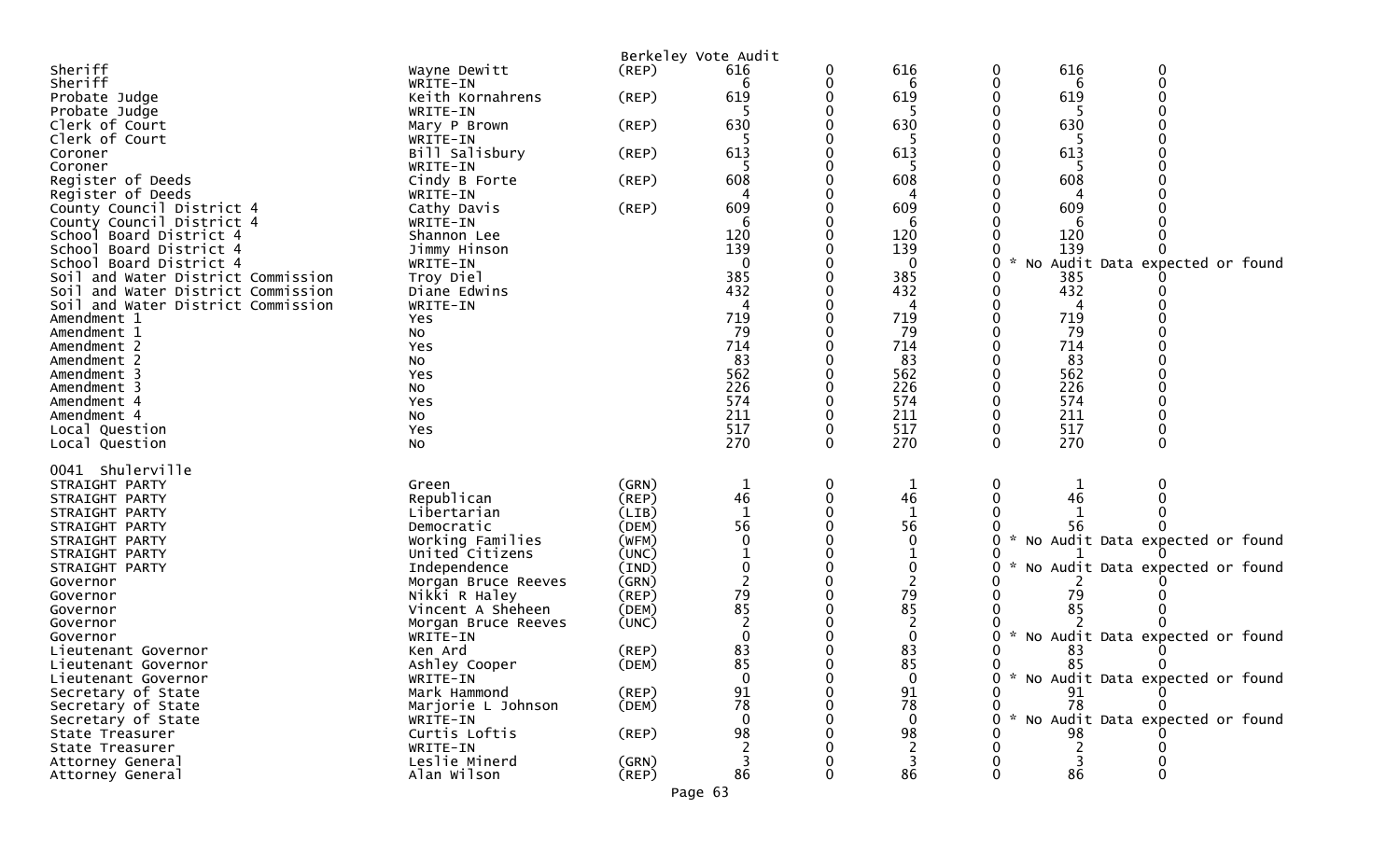|                                                                          |                           |             | Berkeley Vote Audit |          |              |                                   |
|--------------------------------------------------------------------------|---------------------------|-------------|---------------------|----------|--------------|-----------------------------------|
| Sheriff                                                                  | Wayne Dewitt              | $($ REP $)$ | 616                 |          | 616          | 616<br>0<br>0                     |
| Sheriff                                                                  | WRITE-IN                  |             |                     |          | 6            | $\mathbf 0$<br>6                  |
| Probate Judge                                                            | Keith Kornahrens          | $($ REP $)$ | 619                 |          | 619          | 619                               |
| Probate Judge                                                            | WRITE-IN                  |             |                     |          |              |                                   |
| Clerk of Court                                                           | Mary P Brown              | (REP)       | 630                 |          | 630          | 630                               |
| Clerk of Court                                                           | WRITE-IN                  |             |                     |          |              |                                   |
| Coroner                                                                  | Bill Salisbury            | (REP)       | 613                 |          | 613          | 613                               |
| Coroner                                                                  | WRITE-IN                  |             |                     |          |              |                                   |
| Register of Deeds                                                        | Cindy B Forte             | $($ REP $)$ | 608                 |          | 608          | 608                               |
| Register of Deeds                                                        | WRITE-IN                  |             |                     |          |              |                                   |
| County Council District 4                                                | Cathy Davis               | (REP)       | 609                 |          | 609          | 609                               |
| County Council District 4                                                | WRITE-IN                  |             |                     |          | 6            |                                   |
| School Board District 4                                                  | Shannon Lee               |             | 120                 |          | 120          | 120                               |
| School Board District 4                                                  | Jimmy Hinson              |             | 139                 |          | 139          | 139                               |
| School Board District 4                                                  | WRITE-IN                  |             |                     |          | 0            | No Audit Data expected or found   |
|                                                                          |                           |             | 385                 |          | 385          | 385                               |
| Soil and Water District Commission<br>Soil and Water District Commission | Troy Diel<br>Diane Edwins |             | 432                 |          | 432          | 432                               |
|                                                                          |                           |             |                     |          |              |                                   |
| Soil and Water District Commission                                       | WRITE-IN                  |             |                     |          | 4            |                                   |
| Amendment 1                                                              | Yes                       |             | 719                 |          | 719          | 719                               |
| Amendment 1                                                              | No                        |             | 79                  |          | 79           | 79                                |
| Amendment 2                                                              | Yes                       |             | 714                 |          | 714          | 714                               |
| Amendment 2                                                              | No                        |             | 83                  |          | 83           | 83                                |
| Amendment 3                                                              | Yes                       |             | 562                 |          | 562          | 562                               |
| Amendment 3                                                              | No                        |             | 226                 |          | 226          | 226                               |
| Amendment 4                                                              | Yes                       |             | 574                 |          | 574          | 574                               |
| Amendment 4                                                              | No                        |             | 211                 |          | 211          | 211                               |
| Local Question                                                           | Yes                       |             | 517                 |          | 517          | 517                               |
| Local Question                                                           | No                        |             | 270                 | $\Omega$ | 270          | 270<br>$\Omega$<br>0              |
|                                                                          |                           |             |                     |          |              |                                   |
| 0041 Shulerville                                                         |                           |             |                     |          |              |                                   |
| STRAIGHT PARTY                                                           | Green                     | (GRN)       | $\mathbf 1$         |          | $\mathbf{1}$ | 0                                 |
| STRAIGHT PARTY                                                           | Republican                | $($ REP $)$ | 46                  |          | 46           | 46                                |
| STRAIGHT PARTY                                                           | Libertarian               | (LIB)       | $\mathbf{1}$        |          |              |                                   |
| STRAIGHT PARTY                                                           | Democratic                | (DEM)       | 56                  |          | 56           | 56                                |
| STRAIGHT PARTY                                                           | Working Families          | (WFM)       |                     |          | $\mathbf 0$  | No Audit Data expected or found   |
| STRAIGHT PARTY                                                           | United Citizens           | (UNC)       |                     |          |              |                                   |
| STRAIGHT PARTY                                                           | Independence              | (IND)       |                     |          | 0            | No Audit Data expected or found   |
| Governor                                                                 | Morgan Bruce Reeves       | (GRN)       |                     |          |              |                                   |
| Governor                                                                 | Nikki R Haley             | (REP)       | 79                  |          | 79           | 79                                |
| Governor                                                                 | Vincent A Sheheen         | (DEM)       | 85                  |          | 85           | 85                                |
| Governor                                                                 | Morgan Bruce Reeves       | (UNC)       |                     |          | 2            |                                   |
| Governor                                                                 | WRITE-IN                  |             |                     |          | 0            | No Audit Data expected or found   |
| Lieutenant Governor                                                      | Ken Ard                   | $($ REP $)$ | 83                  |          | 83           | 83                                |
| Lieutenant Governor                                                      | Ashley Cooper             | (DEM)       | 85                  |          | 85           | 85<br>0                           |
| Lieutenant Governor                                                      | WRITE-IN                  |             |                     |          | 0            | * No Audit Data expected or found |
| Secretary of State                                                       | Mark Hammond              | $($ REP $)$ | 91                  |          | 91           | 91                                |
| Secretary of State                                                       | Marjorie L Johnson        | (DEM)       | 78                  |          | 78           | 78                                |
| Secretary of State                                                       | WRITE-IN                  |             |                     |          | $\mathbf{0}$ | No Audit Data expected or found   |
| State Treasurer                                                          | Curtis Loftis             | $($ REP $)$ | 98                  |          | 98           | 98                                |
| State Treasurer                                                          | WRITE-IN                  |             |                     |          | 2            | 2                                 |
| Attorney General                                                         | Leslie Minerd             | (GRN)       | 3                   |          | 3            |                                   |
| Attorney General                                                         | Alan Wilson               | $($ REP $)$ | 86                  |          | 86           | 86                                |
|                                                                          |                           |             |                     |          |              |                                   |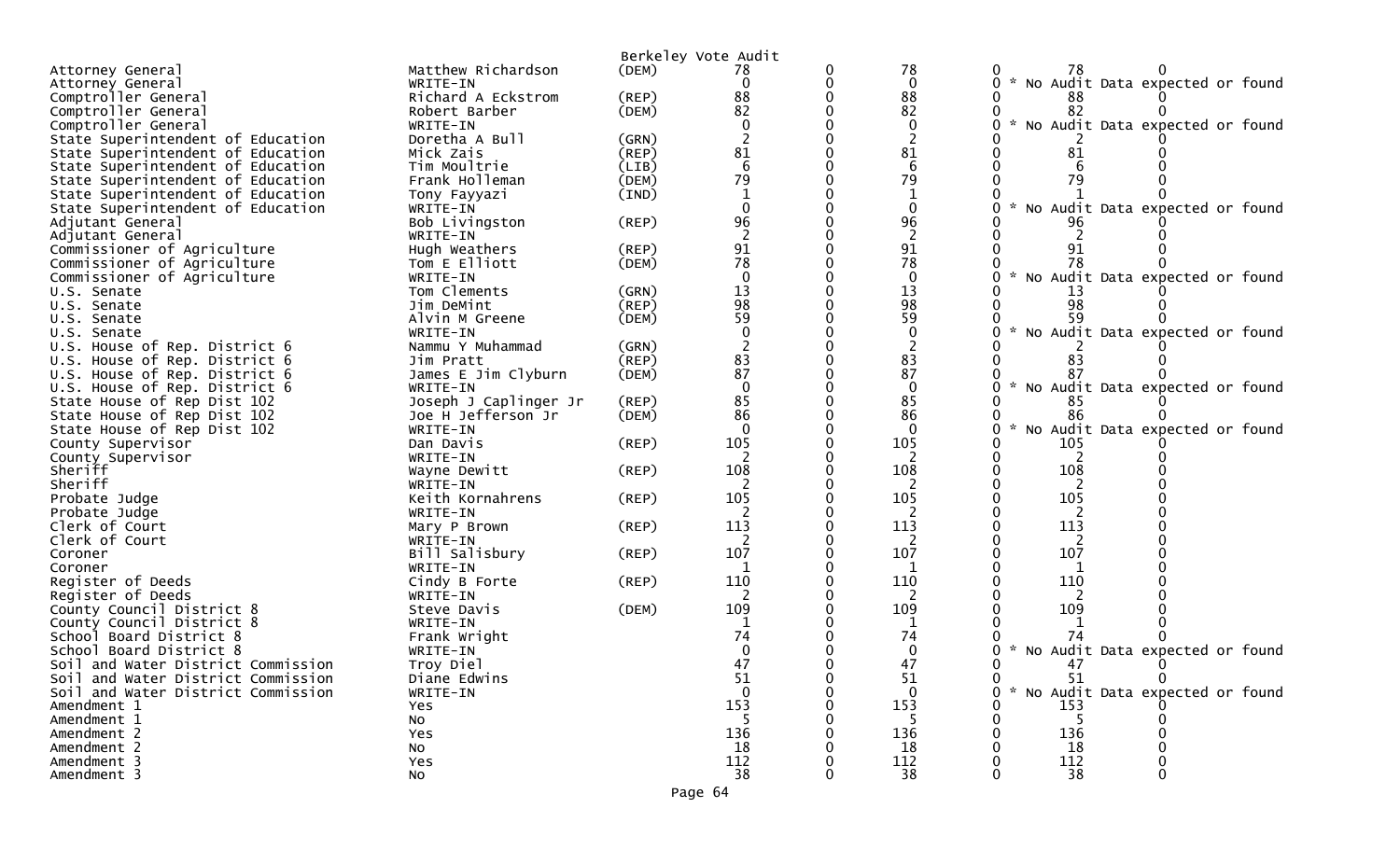| Berkeley Vote Audit                                                                                                       |  |
|---------------------------------------------------------------------------------------------------------------------------|--|
| 78<br>Matthew Richardson<br>(DEM)<br>Attorney General<br>78<br>0<br>78                                                    |  |
| * No Audit Data expected or found<br>$\mathbf{0}$<br>$\mathbf{0}$<br>0<br>Attorney General<br>WRITE-IN                    |  |
| 88<br>88<br>Comptroller General<br>Richard A Eckstrom<br>(REP)<br>88                                                      |  |
| 82<br>82<br>82<br>Comptroller General<br>(DEM)<br>Robert Barber                                                           |  |
| No Audit Data expected or found<br>$\sim$<br>Comptroller General<br>0<br>WRITE-IN                                         |  |
| Doretha A Bull<br>State Superintendent of Education<br>(GRN)                                                              |  |
| 81<br>81<br>State Superintendent of Education<br>Mick Zais<br>(REP)<br>81                                                 |  |
| 6<br>State Superintendent of Education<br>Tim Moultrie<br>(LIB)                                                           |  |
| 79<br>79<br>79<br>Frank Holleman<br>(DEM)<br>State Superintendent of Education                                            |  |
| $\mathbf{1}$<br>State Superintendent of Education<br>(IND)<br>Tony Fayyazi                                                |  |
| $\mathbf{0}$<br>* No Audit Data expected or found<br>State Superintendent of Education<br>WRITE-IN                        |  |
| 96<br>96<br>Bob Livingston<br>$($ REP $)$<br>Adjutant General                                                             |  |
| $\overline{2}$<br>Adjutant General<br>WRITE-IN                                                                            |  |
| 91<br>91<br>Commissioner of Agriculture<br>Hugh Weathers<br>(REP)<br>78<br>78<br>78                                       |  |
| (DEM)<br>Commissioner of Agriculture<br>Tom E Elliott<br>$\mathbf{0}$                                                     |  |
| $\mathbf 0$<br>* No Audit Data expected or found<br>Commissioner of Agriculture<br>WRITE-IN<br>13<br>Tom Clements         |  |
| 13<br>(GRN)<br>U.S. Senate<br>98<br>98<br>(REP)<br>98                                                                     |  |
| Jim DeMint<br>U.S. Senate<br>59<br>59<br>59<br>Alvin M Greene<br>(DEM)                                                    |  |
| U.S. Senate<br>No Audit Data expected or found<br>WRITE-IN<br>U.S. Senate                                                 |  |
| U.S. House of Rep. District 6<br>Nammu Y Muhammad<br>(GRN)                                                                |  |
| 83<br>83<br>(REP)<br>U.S. House of Rep. District 6<br>Jim Pratt<br>83                                                     |  |
| 87<br>87<br>James E Jim Clyburn<br>U.S. House of Rep. District 6<br>(DEM)                                                 |  |
| $\Omega$<br>$\mathbf{0}$<br>* No Audit Data expected or found<br>U.S. House of Rep. District 6<br>WRITE-IN                |  |
| 85<br>85<br>State House of Rep Dist 102<br>Joseph J Caplinger Jr<br>(REP)<br>85                                           |  |
| 86<br>Joe H Jefferson Jr<br>86<br>State House of Rep Dist 102<br>(DEM)<br>86                                              |  |
| * No Audit Data expected or found<br>$\Omega$<br>$\mathbf{0}$<br>State House of Rep Dist 102<br>WRITE-IN                  |  |
| 105<br>105<br>Dan Davis<br>$($ REP $)$<br>105<br>County Supervisor                                                        |  |
| County Supervisor<br>WRITE-IN<br>2                                                                                        |  |
| 108<br>108<br>108<br>Sheriff<br>Wayne Dewitt<br>$($ REP $)$                                                               |  |
| Sheriff<br>WRITE-IN                                                                                                       |  |
| 105<br>105<br>105<br>Probate Judge<br>Keith Kornahrens<br>(REP)                                                           |  |
| Probate Judge<br>WRITE-IN<br>2<br>2<br>2                                                                                  |  |
| 113<br>113<br>113<br>Clerk of Court<br>(REP)<br>Mary P Brown                                                              |  |
| Clerk of Court<br>WRITE-IN                                                                                                |  |
| 107<br>107<br>107<br>Bill Salisbury<br>(REP)<br>Coroner                                                                   |  |
| Coroner<br>WRITE-IN<br>1                                                                                                  |  |
| Register of Deeds<br>110<br>110<br>110<br>$($ REP $)$<br>Cindy B Forte                                                    |  |
| Register of Deeds<br>2<br>2<br>WRITE-IN<br>2                                                                              |  |
| 109<br>109<br>109<br>(DEM)<br>County Council District 8<br>Steve Davis                                                    |  |
| County Council District 8<br>WRITE-IN                                                                                     |  |
| 74<br>74<br>74<br>School Board District 8<br>Frank Wright                                                                 |  |
| School Board District 8<br>* No Audit Data expected or found<br>WRITE-IN<br>47<br>47                                      |  |
| Soil and Water District Commission<br>Troy Diel<br>47<br>$\Omega$<br>51<br>51<br>51<br>Diane Edwins                       |  |
| Soil and Water District Commission<br>* No Audit Data expected or found<br>Soil and Water District Commission<br>WRITE-IN |  |
| Amendment 1<br>153<br>153<br>153<br>Yes                                                                                   |  |
| Amendment 1<br>NO.<br>-5<br>5                                                                                             |  |
| 136<br>136<br>136<br>Amendment 2<br>Yes                                                                                   |  |
| Amendment 2<br>18<br>18<br>18<br>NO.                                                                                      |  |
| Amendment 3<br>112<br>112<br>112<br>Yes                                                                                   |  |
| 38<br>38<br>38<br>Amendment 3<br>NO.                                                                                      |  |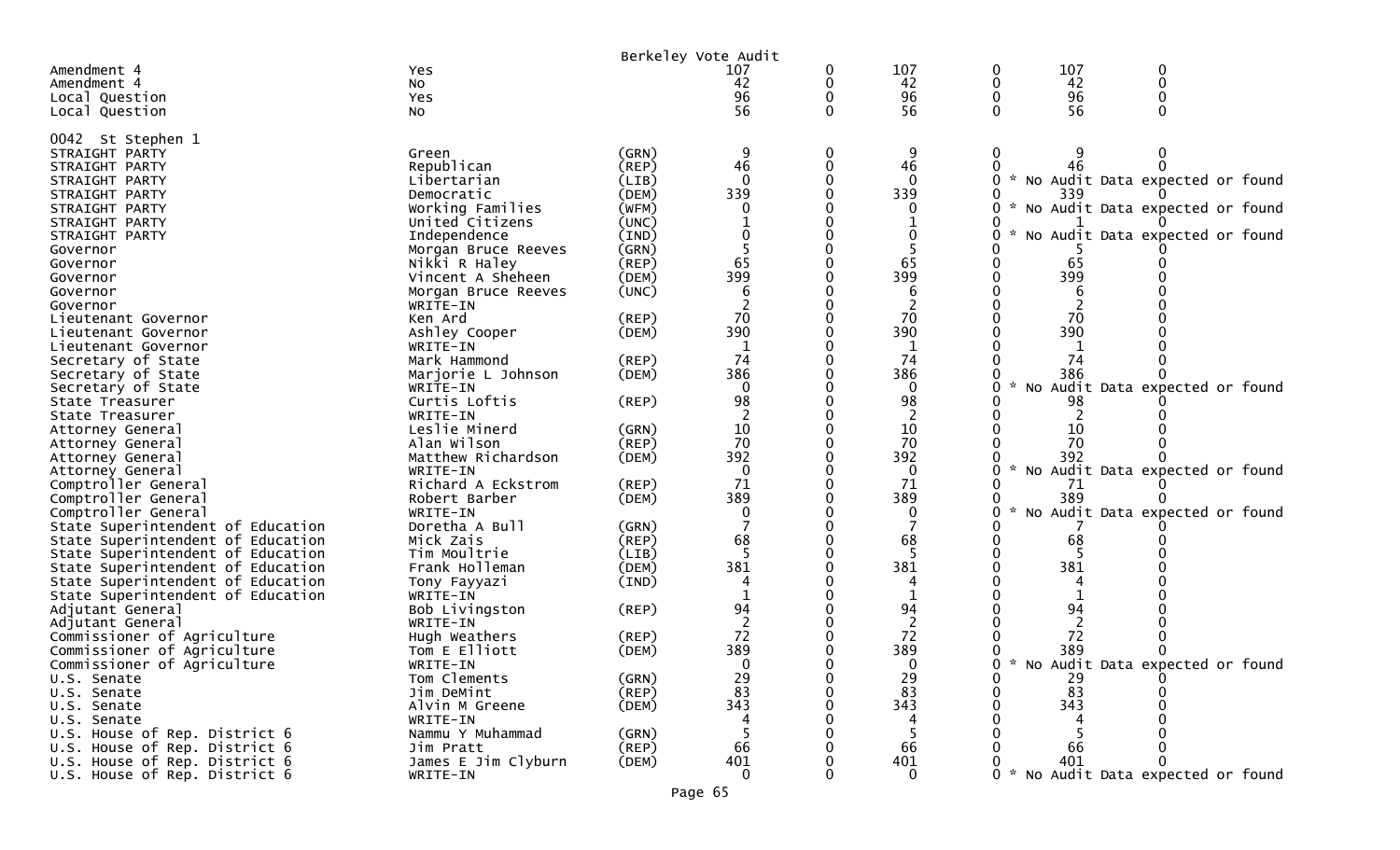|                                              |                                   |                      | Berkeley Vote Audit |   |             |                                     |  |  |  |
|----------------------------------------------|-----------------------------------|----------------------|---------------------|---|-------------|-------------------------------------|--|--|--|
| Amendment 4                                  | Yes                               |                      | 107                 | 0 | 107         | 107<br>0<br>0                       |  |  |  |
| Amendment 4                                  | No                                |                      | 42                  | 0 | 42          | 42                                  |  |  |  |
| Local Question                               | Yes                               |                      | 96                  |   | 96          | 96                                  |  |  |  |
| Local Question                               | No                                |                      | 56                  | 0 | 56          | 56                                  |  |  |  |
|                                              |                                   |                      |                     |   |             |                                     |  |  |  |
| 0042 St Stephen 1<br>STRAIGHT PARTY          | Green                             | (GRN)                |                     | 0 |             |                                     |  |  |  |
| STRAIGHT PARTY                               | Republican                        | (REP)                | 46                  |   | 46          |                                     |  |  |  |
| STRAIGHT PARTY                               | Libertarian                       | (LIB)                | $\mathbf{0}$        |   | $\Omega$    | * No Audit Data expected or found   |  |  |  |
| STRAIGHT PARTY                               | Democratic                        | (DEM)                | 339                 |   | 339         | 339                                 |  |  |  |
| STRAIGHT PARTY                               | Working Families                  | (WFM)                |                     |   |             | * No Audit Data expected or found   |  |  |  |
| STRAIGHT PARTY                               | United Citizens                   | (UNC)                |                     |   |             |                                     |  |  |  |
| STRAIGHT PARTY                               | Independence                      | (IND)                |                     |   |             | No Audit Data expected or found     |  |  |  |
| Governor                                     | Morgan Bruce Reeves               | (GRN)                |                     |   |             |                                     |  |  |  |
| Governor                                     | Nikki R Haley                     | (REP)                | 65                  |   | 65          | 65                                  |  |  |  |
| Governor                                     | Vincent A Sheheen                 | (DEM)                | 399                 |   | 399         | 399                                 |  |  |  |
| Governor                                     | Morgan Bruce Reeves               | (UNC)                |                     |   |             |                                     |  |  |  |
| Governor                                     | WRITE-IN                          |                      |                     |   |             |                                     |  |  |  |
| Lieutenant Governor                          | Ken Ard                           | $($ REP $)$          | 70                  |   | 70          | 70                                  |  |  |  |
| Lieutenant Governor                          | Ashley Cooper                     | (DEM)                | 390                 |   | 390         | 390                                 |  |  |  |
| Lieutenant Governor                          | WRITE-IN                          |                      |                     |   |             |                                     |  |  |  |
| Secretary of State                           | Mark Hammond                      | (REP)                | 74                  |   | 74          | 74                                  |  |  |  |
| Secretary of State                           | Marjorie L Johnson                | (DEM)                | 386                 |   | 386         | 386                                 |  |  |  |
| Secretary of State                           | WRITE-IN                          |                      | $\Omega$            |   | $\Omega$    | No Audit Data expected or found     |  |  |  |
| State Treasurer                              | Curtis Loftis                     | (REP)                | 98                  |   | 98          | 98                                  |  |  |  |
| State Treasurer                              | WRITE-IN                          |                      |                     |   |             |                                     |  |  |  |
| Attorney General                             | Leslie Minerd                     | (GRN)                | 10<br>70            |   | 10<br>70    | 10<br>70                            |  |  |  |
| Attorney General                             | Alan Wilson<br>Matthew Richardson | $($ REP $)$<br>(DEM) | 392                 |   | 392         | 392                                 |  |  |  |
| Attorney General<br>Attorney General         | WRITE-IN                          |                      | $\mathbf{0}$        |   | $\mathbf 0$ | No Audit Data expected or found     |  |  |  |
| Comptroller General                          | Richard A Eckstrom                | (REP)                | 71                  |   | 71          | 71                                  |  |  |  |
| Comptroller General                          | Robert Barber                     | (DEM)                | 389                 |   | 389         | 389                                 |  |  |  |
| Comptroller General                          | WRITE-IN                          |                      | 0                   |   | 0           | No Audit Data expected or found     |  |  |  |
| State Superintendent of Education            | Doretha A Bull                    | (GRN)                |                     |   |             |                                     |  |  |  |
| State Superintendent of Education            | Mick Zais                         | (REP)                | 68                  |   | 68          | 68                                  |  |  |  |
| State Superintendent of Education            | Tim Moultrie                      | (LIB)                |                     |   |             |                                     |  |  |  |
| State Superintendent of Education            | Frank Holleman                    | (DEM)                | 381                 |   | 381         | 381                                 |  |  |  |
| State Superintendent of Education            | Tony Fayyazi                      | (IND)                |                     |   |             |                                     |  |  |  |
| State Superintendent of Education            | WRITE-IN                          |                      |                     |   |             |                                     |  |  |  |
| Adjutant General                             | Bob Livingston                    | (REP)                | 94                  |   | 94          | 94                                  |  |  |  |
| Adjutant General                             | WRITE-IN                          |                      |                     |   | 2           |                                     |  |  |  |
| Commissioner of Agriculture                  | Hugh Weathers                     | $($ REP $)$          | 72                  |   | 72          | 72                                  |  |  |  |
| Commissioner of Agriculture                  | Tom E Elliott                     | (DEM)                | 389                 |   | 389         | 389                                 |  |  |  |
| Commissioner of Agriculture                  | WRITE-IN                          |                      | <sup>0</sup>        |   | ∩           | * No Audit Data expected or found   |  |  |  |
| U.S. Senate                                  | Tom Clements                      | (GRN)                | 29                  |   | 29          | 29                                  |  |  |  |
| U.S. Senate                                  | Jim DeMint                        | (REP)                | 83                  |   | 83          | 83                                  |  |  |  |
| U.S. Senate                                  | Alvin M Greene                    | (DEM)                | 343                 |   | 343<br>4    | 343                                 |  |  |  |
| U.S. Senate<br>U.S. House of Rep. District 6 | WRITE-IN<br>Nammu Y Muhammad      | (GRN)                |                     |   |             |                                     |  |  |  |
| U.S. House of Rep. District 6                | Jim Pratt                         | (REP)                | 66                  |   | 66          | 66                                  |  |  |  |
| U.S. House of Rep. District 6                | James E Jim Clyburn               | (DEM)                | 401                 |   | 401         | 401                                 |  |  |  |
| U.S. House of Rep. District 6                | WRITE-IN                          |                      | 0                   |   | 0           | 0 * No Audit Data expected or found |  |  |  |
|                                              |                                   |                      |                     |   |             |                                     |  |  |  |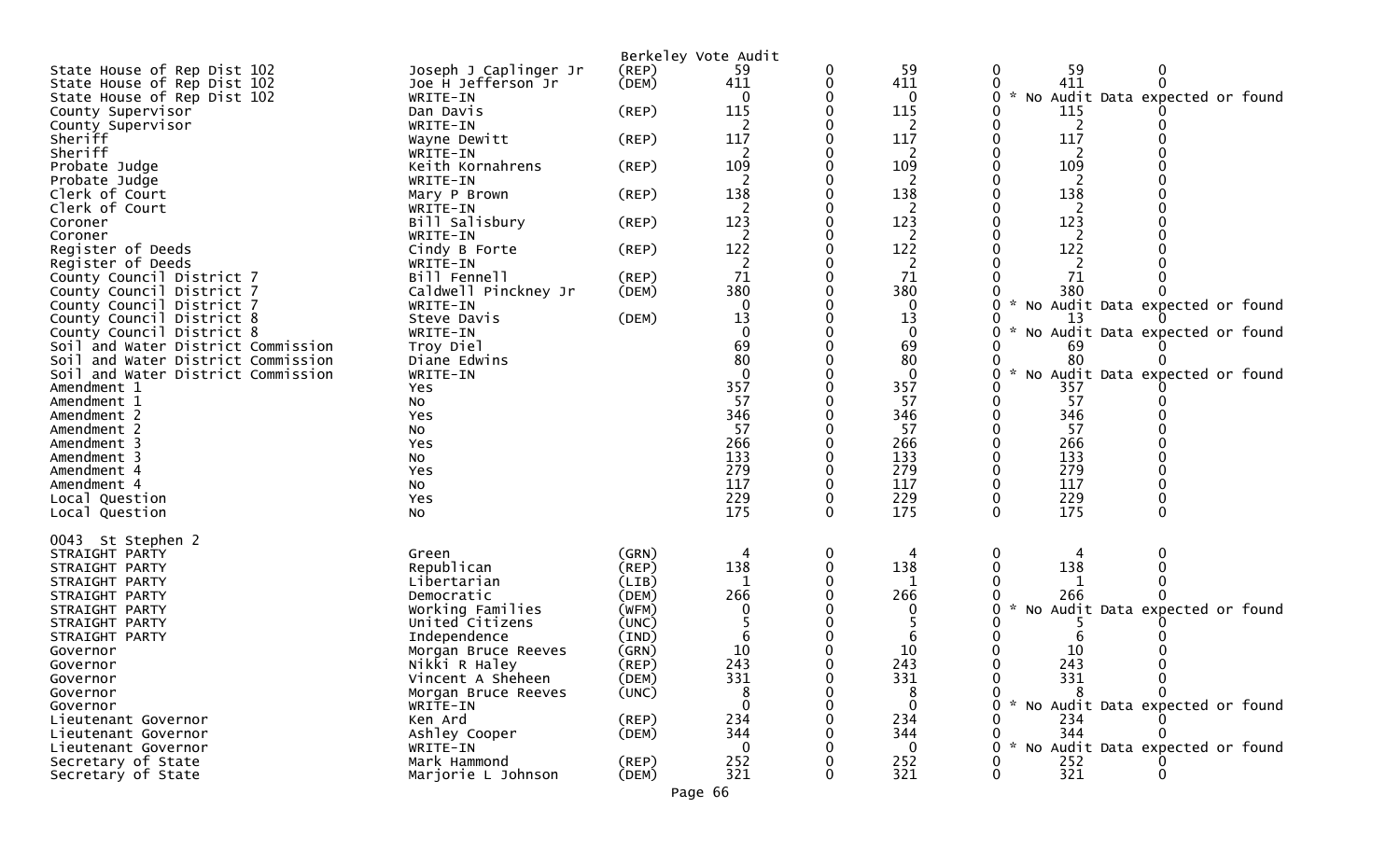|                                                                 |                                     | Berkeley Vote Audit     |           |          |                 |                                                  |
|-----------------------------------------------------------------|-------------------------------------|-------------------------|-----------|----------|-----------------|--------------------------------------------------|
| State House of Rep Dist 102                                     | Joseph J Caplinger Jr               | (REP)                   | 59        |          | 59              | 59<br>$\mathbf 0$<br>0                           |
| State House of Rep Dist 102                                     | Joe H Jefferson Jr                  | (DEM)                   | 411       |          | 411             | $\Omega$<br>411                                  |
| State House of Rep Dist 102                                     | WRITE-IN                            |                         |           |          | 0               | No Audit Data expected or found<br><b>A</b><br>0 |
| County Supervisor<br>County Supervisor                          | Dan Davis<br>WRITE-IN               | $($ REP $)$             | 115       |          | 115<br>2        | 115<br>2                                         |
| Sheriff                                                         | Wayne Dewitt                        | $($ REP $)$             | 117       |          | 117             | 117<br>0                                         |
| Sheriff                                                         | WRITE-IN                            |                         | 2         |          | 2               | 2                                                |
| Probate Judge                                                   | Keith Kornahrens                    | $($ REP $)$             | 109       |          | 109             | 109                                              |
| Probate Judge                                                   | WRITE-IN                            |                         |           |          | 2               | 2                                                |
| Clerk of Court                                                  | Mary P Brown                        | $($ REP $)$             | 138       |          | 138             | 138                                              |
| Clerk of Court                                                  | WRITE-IN<br>Bill Salisbury          |                         | 123       |          | 2<br>123        | 2<br>123                                         |
| Coroner<br>Coroner                                              | WRITE-IN                            | (REP)                   | 2         |          | 2               | $\overline{2}$                                   |
| Register of Deeds                                               | Cindy B Forte                       | (REP)                   | 122       |          | 122             | 122                                              |
| Register of Deeds                                               | WRITE-IN                            |                         |           |          | 2               |                                                  |
| County Council District 7                                       | Bill Fennell                        | (REP)                   | 71        |          | 71              | 71                                               |
| County Council District 7                                       | Caldwell Pinckney Jr                | (DEM)                   | 380       |          | 380             | 380                                              |
| County Council District 7                                       | WRITE-IN                            |                         |           |          | 0               | No Audit Data expected or found                  |
| County Council District 8                                       | Steve Davis                         | (DEM)                   | 13        |          | 13<br>0         | 13                                               |
| County Council District 8<br>Soil and Water District Commission | WRITE-IN<br>Troy Diel               |                         | 69        |          | 69              | No Audit Data expected or found<br>69            |
| Soil and Water District Commission                              | Diane Edwins                        |                         | 80        |          | 80              | 80                                               |
| Soil and Water District Commission                              | WRITE-IN                            |                         |           |          | $\mathbf{0}$    | $\mathcal{H}$<br>No Audit Data expected or found |
| Amendment 1                                                     | Yes                                 |                         | 357       |          | 357             | 357                                              |
| Amendment 1                                                     | No                                  |                         | 57        |          | 57              | 57                                               |
| Amendment 2                                                     | Yes                                 |                         | 346       |          | 346             | 346                                              |
| Amendment 2                                                     | No                                  |                         | 57<br>266 |          | 57<br>266       | 57<br>266                                        |
| Amendment 3<br>Amendment 3                                      | Yes<br>No                           |                         | 133       |          | 133             | 133                                              |
| Amendment 4                                                     | Yes                                 |                         | 279       |          | 279             | 279                                              |
| Amendment 4                                                     | NO.                                 |                         | 117       |          | 117             | 117                                              |
| Local Question                                                  | Yes                                 |                         | 229       |          | 229             | 229                                              |
| Local Question                                                  | NO.                                 |                         | 175       | $\Omega$ | 175             | 175<br>$\Omega$<br>$\Omega$                      |
|                                                                 |                                     |                         |           |          |                 |                                                  |
| 0043 St Stephen 2<br>STRAIGHT PARTY                             | Green                               | (GRN)                   | 4         |          | 4               | 0                                                |
| STRAIGHT PARTY                                                  | Republican                          | $($ REP $)$             | 138       |          | 138             | 138                                              |
| STRAIGHT PARTY                                                  | Libertarian                         | (LIB)                   |           |          |                 |                                                  |
| STRAIGHT PARTY                                                  | Democratic                          | (DEM)                   | 266       |          | 266             | 266                                              |
| STRAIGHT PARTY                                                  | Working Families                    | (WFM)                   |           |          | 0               | No Audit Data expected or found                  |
| STRAIGHT PARTY                                                  | United Citizens                     | (UNC)                   |           |          |                 |                                                  |
| STRAIGHT PARTY<br>Governor                                      | Independence<br>Morgan Bruce Reeves | $(\text{IND})$<br>(GRN) | 10        |          | 6<br>10         | 10                                               |
| Governor                                                        | Nikki R Haley                       | (REP)                   | 243       |          | 243             | 243<br><sup>0</sup>                              |
| Governor                                                        | Vincent A Sheheen                   | (DEM)                   | 331       |          | 331             | 331<br>0                                         |
| Governor                                                        | Morgan Bruce Reeves                 | (UNC)                   |           |          | 8               |                                                  |
| Governor                                                        | WRITE-IN                            |                         |           |          | 0               | * No Audit Data expected or found                |
| Lieutenant Governor                                             | Ken Ard                             | (REP)                   | 234       |          | 234             | 234                                              |
| Lieutenant Governor                                             | Ashley Cooper                       | (DEM)                   | 344       |          | 344             | 344                                              |
| Lieutenant Governor<br>Secretary of State                       | WRITE-IN<br>Mark Hammond            | $($ REP $)$             | 252       |          | $\Omega$<br>252 | * No Audit Data expected or found<br>252         |
| Secretary of State                                              | Marjorie L Johnson                  | (DEM)                   | 321       |          | 321             | 321                                              |
|                                                                 |                                     |                         |           |          |                 |                                                  |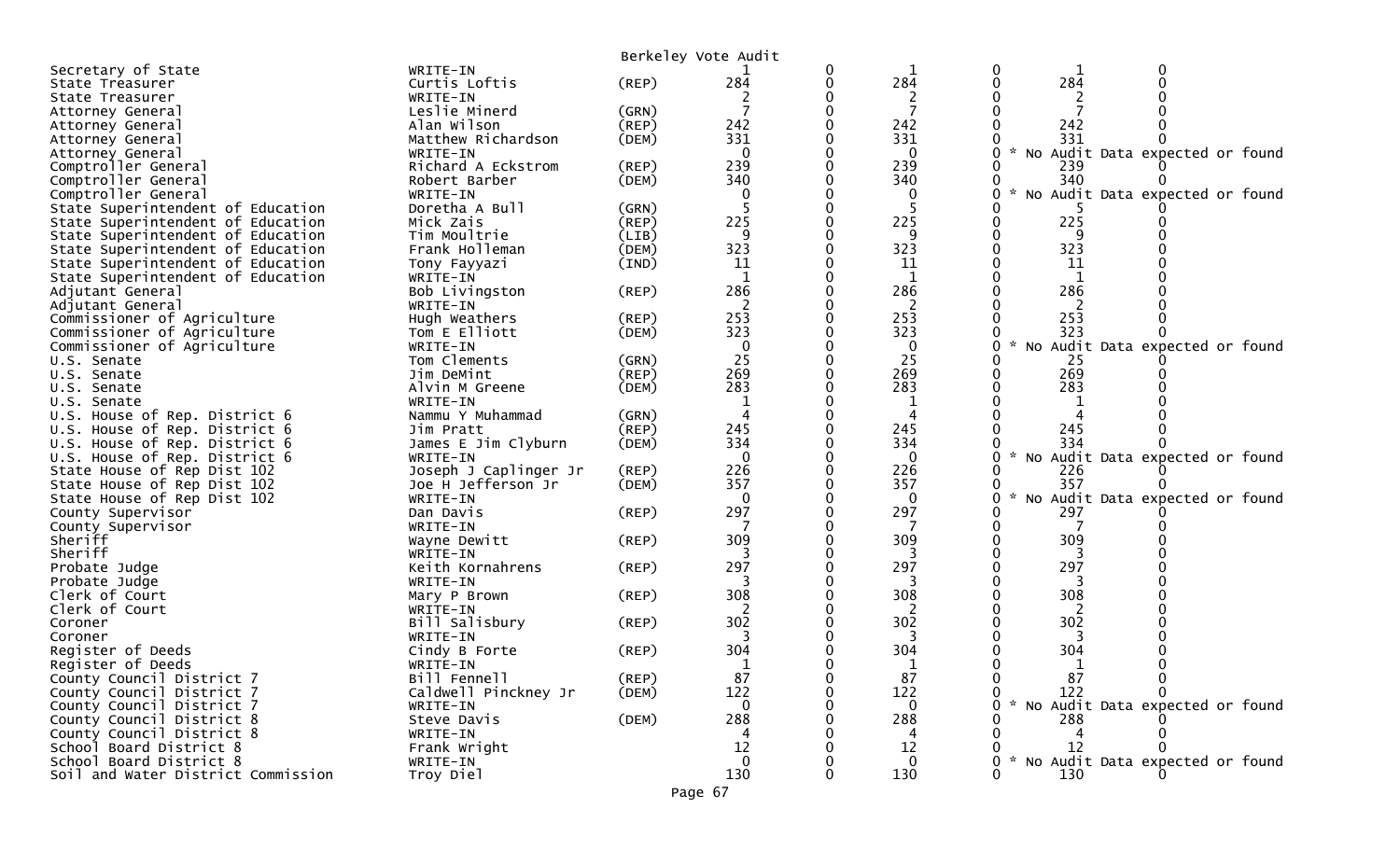|                                    |                            |                | Berkeley Vote Audit |             |            |                                           |
|------------------------------------|----------------------------|----------------|---------------------|-------------|------------|-------------------------------------------|
| Secretary of State                 | WRITE-IN                   |                |                     | $\bf{0}$    |            |                                           |
| State Treasurer                    | Curtis Loftis              | (REP)          | 284                 | $\mathbf 0$ | 284        | 284                                       |
| State Treasurer                    | WRITE-IN                   |                |                     |             | 2          |                                           |
| Attorney General                   | Leslie Minerd              | (GRN)          |                     |             |            |                                           |
| Attorney General                   | Alan Wilson                | (REP)          | 242                 |             | 242        | 242                                       |
| Attorney General                   | Matthew Richardson         | (DEM)          | 331                 |             | 331        | 331                                       |
| Attorney General                   | WRITE-IN                   |                | $\Omega$            |             | $\Omega$   | * No Audit Data expected or found         |
| Comptroller General                | Richard A Eckstrom         | (REP)          | 239                 |             | 239        | 239                                       |
| Comptroller General                | Robert Barber              | (DEM)          | 340                 |             | 340        | 340                                       |
| Comptroller General                | WRITE-IN                   |                | $\Omega$            |             | 0          | * No Audit Data expected or found         |
| State Superintendent of Education  | Doretha A Bull             | (GRN)          |                     |             |            |                                           |
| State Superintendent of Education  | Mick Zais                  | $($ REP $)$    | 225                 |             | 225        | 225                                       |
| State Superintendent of Education  | Tim Moultrie               | (LIB)          | 9                   |             | -9         | 9                                         |
| State Superintendent of Education  | Frank Holleman             | (DEM)          | 323                 |             | 323        | 323                                       |
| State Superintendent of Education  | Tony Fayyazi               | $(\text{IND})$ | 11                  |             | 11         | 11                                        |
| State Superintendent of Education  | WRITE-IN                   |                | 1                   | 0           | 1          | 1                                         |
| Adjutant General                   | Bob Livingston             | (REP)          | 286                 |             | 286        | 286                                       |
| Adjutant General                   | WRITE-IN                   |                |                     |             | 2          |                                           |
| Commissioner of Agriculture        | Hugh Weathers              | $($ REP $)$    | 253                 | 0           | 253        | 253                                       |
| Commissioner of Agriculture        | Tom E Elliott              | (DEM)          | 323                 |             | 323        | 323                                       |
| Commissioner of Agriculture        | WRITE-IN                   |                | $\mathbf 0$         |             | 0          | $\sim$<br>No Audit Data expected or found |
| U.S. Senate                        | Tom Clements               | (GRN)          | 25                  |             | 25         | 25                                        |
| U.S. Senate                        | Jim DeMint                 | (REP)          | 269                 |             | 269        | 269                                       |
| U.S. Senate                        | Alvin M Greene             | (DEM)          | 283                 |             | 283        | 283                                       |
| U.S. Senate                        | WRITE-IN                   |                |                     |             | 1          |                                           |
| U.S. House of Rep. District 6      | Nammu Y Muhammad           | (GRN)          | 4                   |             | 4          |                                           |
| U.S. House of Rep. District 6      | Jim Pratt                  | (REP)          | 245                 |             | 245        | 245                                       |
| U.S. House of Rep. District 6      | James E Jim Clyburn        | (DEM)          | 334                 |             | 334        | 334                                       |
| U.S. House of Rep. District 6      | WRITE-IN                   |                | 0                   |             | 0          | * No Audit Data expected or found         |
| State House of Rep Dist 102        | Joseph J Caplinger Jr      | $($ REP $)$    | 226                 |             | 226        | 226                                       |
| State House of Rep Dist 102        | Joe H Jefferson Jr         | (DEM)          | 357                 |             | 357        | 357                                       |
| State House of Rep Dist 102        | WRITE-IN                   |                | $\Omega$            |             | $\Omega$   | No Audit Data expected or found           |
| County Supervisor                  | Dan Davis                  | (REP)          | 297                 |             | 297        | 297                                       |
| County Supervisor                  | WRITE-IN                   |                |                     |             |            |                                           |
| Sheriff                            | Wayne Dewitt               | $($ REP $)$    | 309                 |             | 309        | 309                                       |
| Sheriff                            | WRITE-IN                   |                |                     |             |            | 297                                       |
| Probate Judge<br>Probate Judge     | Keith Kornahrens           | (REP)          | 297                 |             | 297        |                                           |
|                                    | WRITE-IN                   |                | 308                 |             | 308        | 308                                       |
| Clerk of Court<br>Clerk of Court   | Mary P Brown               | (REP)          |                     |             | 2          | 2                                         |
| Coroner                            | WRITE-IN<br>Bill Salisbury | $($ REP $)$    | 302                 |             | 302        | 302                                       |
| Coroner                            | WRITE-IN                   |                |                     |             |            |                                           |
| Register of Deeds                  | Cindy B Forte              | (REP)          | 304                 |             | 304        | 304                                       |
| Register of Deeds                  | WRITE-IN                   |                |                     |             |            |                                           |
| County Council District 7          | Bill Fennell               | $($ REP $)$    | 87                  |             | _ 그녀<br>87 | 87                                        |
| County Council District 7          | Caldwell Pinckney Jr       | (DEM)          | 122                 |             | 122        | 122                                       |
| County Council District 7          | WRITE-IN                   |                | $\Omega$            |             | 0          | * No Audit Data expected or found         |
| County Council District 8          | Steve Davis                | (DEM)          | 288                 |             | 288        | 288                                       |
| County Council District 8          | WRITE-IN                   |                | 4                   |             |            |                                           |
| School Board District 8            | Frank Wright               |                | 12                  |             | 12         | 12                                        |
| School Board District 8            | WRITE-IN                   |                | $\Omega$            |             | $\Omega$   | * No Audit Data expected or found         |
| Soil and Water District Commission | Troy Diel                  |                | 130                 |             | 130        | 130                                       |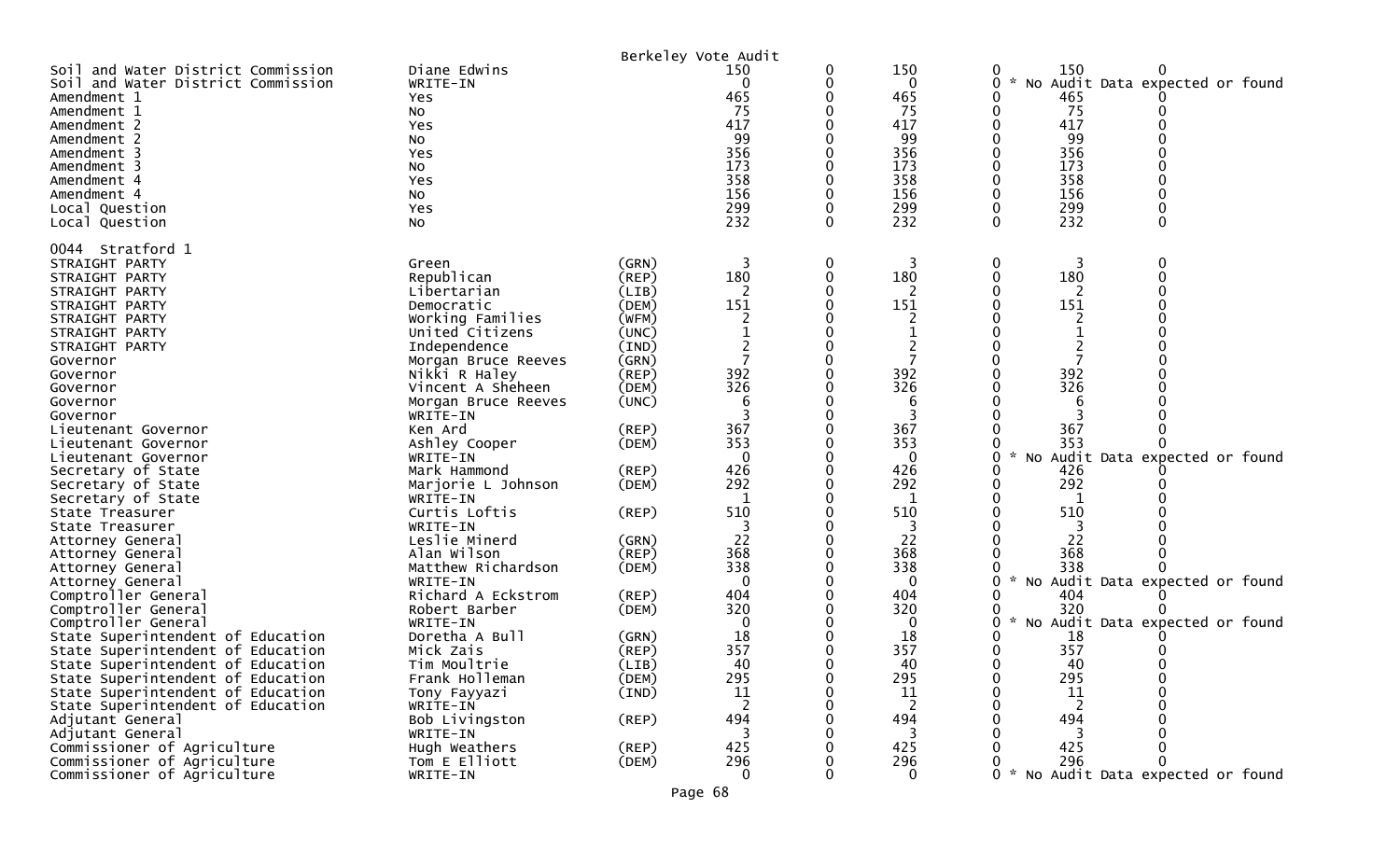|                                                                                                                                                                                                                                                                                                                                                                                         |                                                                                                                                                                                                                                                                                                                                |                                                                                                                                                          | Berkeley Vote Audit                                                                                  |             |                                                                                                  |                                                                                                                                                             |
|-----------------------------------------------------------------------------------------------------------------------------------------------------------------------------------------------------------------------------------------------------------------------------------------------------------------------------------------------------------------------------------------|--------------------------------------------------------------------------------------------------------------------------------------------------------------------------------------------------------------------------------------------------------------------------------------------------------------------------------|----------------------------------------------------------------------------------------------------------------------------------------------------------|------------------------------------------------------------------------------------------------------|-------------|--------------------------------------------------------------------------------------------------|-------------------------------------------------------------------------------------------------------------------------------------------------------------|
| Soil and Water District Commission<br>Soil and Water District Commission<br>Amendment 1<br>Amendment 1<br>Amendment 2<br>Amendment 2<br>Amendment 3<br>Amendment 3<br>Amendment 4<br>Amendment 4<br>Local Question<br>Local Question                                                                                                                                                    | Diane Edwins<br>WRITE-IN<br>Yes<br>NO.<br>Yes<br>NO.<br>Yes<br>No<br>Yes<br>NO.<br>Yes<br>No                                                                                                                                                                                                                                   |                                                                                                                                                          | 150<br>0<br>465<br>-75<br>417<br>99<br>356<br>173<br>358<br>156<br>299<br>232                        | 0<br>0<br>0 | 150<br>$\mathbf{0}$<br>465<br>75<br>417<br>99<br>356<br>173<br>358<br>156<br>299<br>232          | 150<br>0<br>0<br>$\mathcal{H}$<br>No Audit Data expected or found<br>465<br>75<br>417<br>99<br>0<br>356<br>173<br>358<br>156<br>299<br>232<br>0<br>$\Omega$ |
|                                                                                                                                                                                                                                                                                                                                                                                         |                                                                                                                                                                                                                                                                                                                                |                                                                                                                                                          |                                                                                                      |             |                                                                                                  |                                                                                                                                                             |
| 0044 Stratford 1<br>STRAIGHT PARTY<br>STRAIGHT PARTY<br>STRAIGHT PARTY<br>STRAIGHT PARTY<br>STRAIGHT PARTY<br>STRAIGHT PARTY<br>STRAIGHT PARTY<br>Governor<br>Governor<br>Governor<br>Governor<br>Governor<br>Lieutenant Governor<br>Lieutenant Governor<br>Lieutenant Governor<br>Secretary of State<br>Secretary of State<br>Secretary of State<br>State Treasurer<br>State Treasurer | Green<br>Republican<br>Libertarian<br>Democratic<br>Working Families<br>United Citizens<br>Independence<br>Morgan Bruce Reeves<br>Nikki R Haley<br>Vincent A Sheheen<br>Morgan Bruce Reeves<br>WRITE-IN<br>Ken Ard<br>Ashley Cooper<br>WRITE-IN<br>Mark Hammond<br>Marjorie L Johnson<br>WRITE-IN<br>Curtis Loftis<br>WRITE-IN | (GRN)<br>(REP)<br>(LIB)<br>(DEM)<br>(WFM)<br>(UNC)<br>(IND)<br>(GRN)<br>(REP)<br>(DEM)<br>(UNC)<br>$($ REP $)$<br>(DEM)<br>$($ REP $)$<br>(DEM)<br>(REP) | 3<br>180<br>-2<br>151<br>2<br>392<br>326<br>6<br>367<br>353<br>$\mathbf 0$<br>426<br>292<br>510<br>3 | 0<br>0<br>0 | 3<br>180<br>151<br>2<br>392<br>326<br>6<br>367<br>353<br>$\Omega$<br>426<br>292<br>1<br>510<br>3 | 0<br>3<br>0<br>180<br>0<br>2<br>151<br>392<br>326<br>6<br>367<br>353<br>No Audit Data expected or found<br>0<br>426<br>292<br>0<br>-1<br>510                |
| Attorney General<br>Attorney General                                                                                                                                                                                                                                                                                                                                                    | Leslie Minerd<br>Alan Wilson                                                                                                                                                                                                                                                                                                   | (GRN)<br>(REP)                                                                                                                                           | 22<br>368                                                                                            |             | 22<br>368                                                                                        | 22<br>368                                                                                                                                                   |
| Attorney General<br>Attorney General<br>Comptroller General<br>Comptroller General                                                                                                                                                                                                                                                                                                      | Matthew Richardson<br>WRITE-IN<br>Richard A Eckstrom<br>Robert Barber                                                                                                                                                                                                                                                          | (DEM)<br>$($ REP $)$<br>(DEM)                                                                                                                            | 338<br>$\Omega$<br>404<br>320                                                                        |             | 338<br>$\Omega$<br>404<br>320                                                                    | 338<br>0<br>$\mathcal{H}$<br>No Audit Data expected or found<br>404<br>320                                                                                  |
| Comptroller General<br>State Superintendent of Education<br>State Superintendent of Education<br>State Superintendent of Education<br>State Superintendent of Education<br>State Superintendent of Education<br>State Superintendent of Education                                                                                                                                       | WRITE-IN<br>Doretha A Bull<br>Mick Zais<br>Tim Moultrie<br>Frank Holleman<br>Tony Fayyazi<br>WRITE-IN                                                                                                                                                                                                                          | (GRN)<br>(REP)<br>(LIB)<br>(DEM)<br>(IND)                                                                                                                | 0<br>18<br>357<br>40<br>295<br>11                                                                    | 0           | 0<br>18<br>357<br>40<br>295<br>11<br>-2                                                          | $\sim$<br>No Audit Data expected or found<br>0<br>18<br>357<br>40<br>0<br>ŋ<br>295<br>0<br>11                                                               |
| Adjutant General<br>Adjutant General                                                                                                                                                                                                                                                                                                                                                    | Bob Livingston<br>WRITE-IN                                                                                                                                                                                                                                                                                                     | (REP)                                                                                                                                                    | 494                                                                                                  |             | 494<br>$\overline{3}$                                                                            | 494                                                                                                                                                         |
| Commissioner of Agriculture                                                                                                                                                                                                                                                                                                                                                             | Hugh Weathers                                                                                                                                                                                                                                                                                                                  | (REP)                                                                                                                                                    | 425                                                                                                  |             | 425                                                                                              | 425                                                                                                                                                         |
| Commissioner of Agriculture<br>Commissioner of Agriculture                                                                                                                                                                                                                                                                                                                              | Tom E Elliott<br>WRITE-IN                                                                                                                                                                                                                                                                                                      | (DEM)                                                                                                                                                    | 296<br>$\Omega$                                                                                      |             | 296<br>$\Omega$                                                                                  | 296<br>No Audit Data expected or found                                                                                                                      |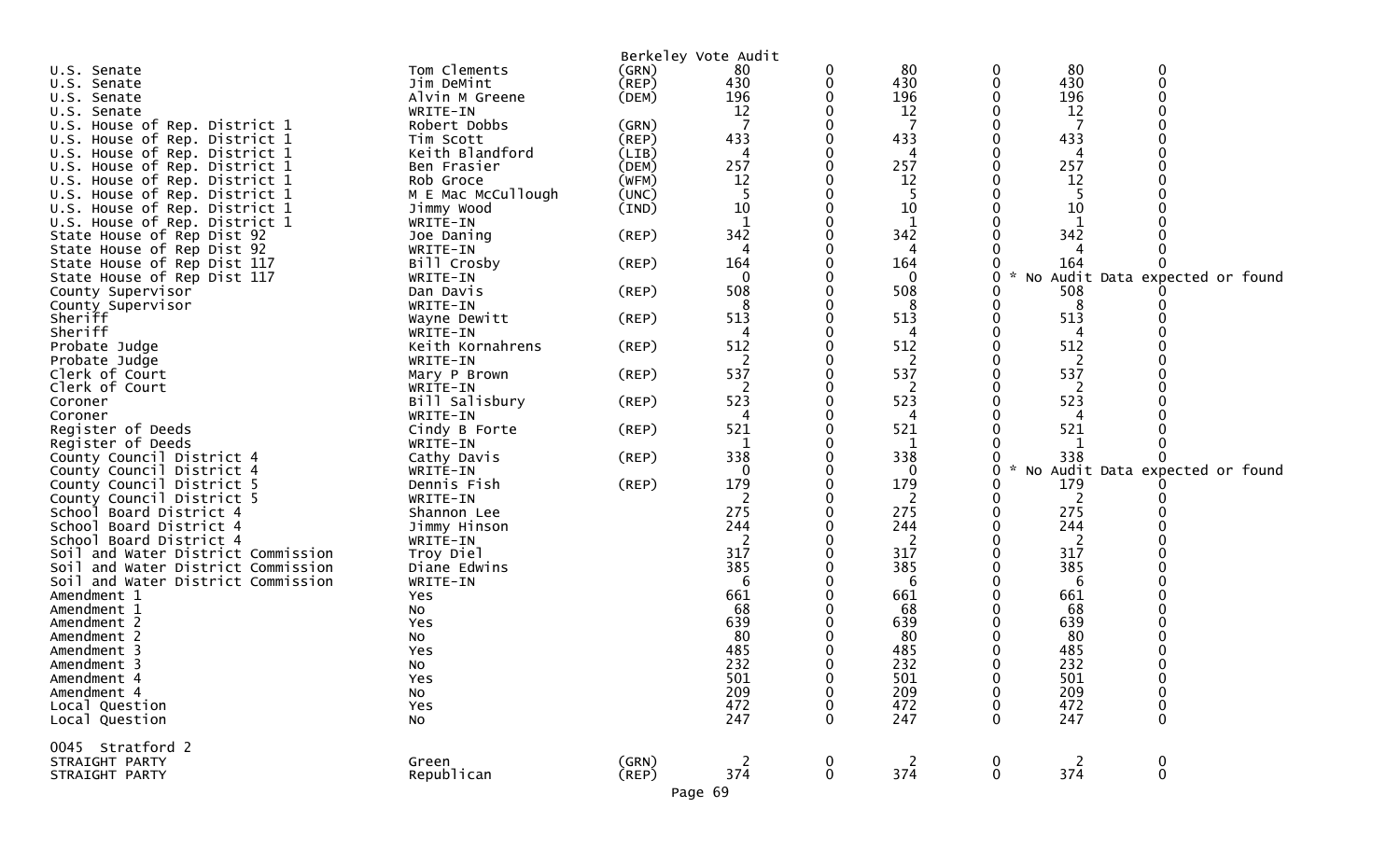| U.S. Senate                                       | Tom Clements       | (GRN)       | Berkeley Vote Audit<br>80 | 0           | 80         |                  | 80                    |                                 |  |
|---------------------------------------------------|--------------------|-------------|---------------------------|-------------|------------|------------------|-----------------------|---------------------------------|--|
| U.S. Senate                                       | Jim DeMint         | $($ REP $)$ | 430                       | 0           | 430        |                  | 430                   |                                 |  |
| U.S. Senate                                       | Alvin M Greene     | (DEM)       | 196                       |             | 196        |                  | 196                   |                                 |  |
| U.S. Senate                                       | WRITE-IN           |             | 12                        |             | 12         |                  | 12                    |                                 |  |
| U.S. House of Rep. District 1                     | Robert Dobbs       | (GRN)       |                           |             | 7          |                  | 7                     |                                 |  |
| U.S. House of Rep. District 1                     | Tim Scott          | $($ REP $)$ | 433                       |             | 433        |                  | 433                   |                                 |  |
| U.S. House of Rep. District 1                     | Keith Blandford    | (LIB)       | 4                         |             |            |                  |                       |                                 |  |
| U.S. House of Rep. District 1                     | Ben Frasier        | (DEM)       | 257                       |             | 257        |                  | 257                   |                                 |  |
| U.S. House of Rep. District 1                     | Rob Groce          | (WFM)       | 12                        |             | 12         |                  | 12                    |                                 |  |
| U.S. House of Rep. District 1                     | M E Mac McCullough | (UNC)       | 5                         |             | 5          |                  |                       |                                 |  |
| U.S. House of Rep. District 1                     | Jimmy Wood         | (IND)       | 10                        |             | 10         |                  | 10                    |                                 |  |
| U.S. House of Rep. District 1                     | WRITE-IN           |             |                           |             | 1          |                  |                       |                                 |  |
| State House of Rep Dist 92                        | Joe Daning         | (REP)       | 342                       |             | 342        |                  | 342                   |                                 |  |
| State House of Rep Dist 92                        | WRITE-IN           |             |                           |             | 4          |                  |                       |                                 |  |
| State House of Rep Dist 117                       | Bill Crosby        | $($ REP $)$ | 164                       |             | 164        |                  | 164                   |                                 |  |
| State House of Rep Dist 117                       | WRITE-IN           |             | $\Omega$                  |             | 0          | 0                |                       | No Audit Data expected or found |  |
| County Supervisor                                 | Dan Davis          | (REP)       | 508                       |             | 508        |                  | 508                   |                                 |  |
| County Supervisor                                 | WRITE-IN           |             |                           |             | 8          |                  | 8                     |                                 |  |
| Sheriff                                           | Wayne Dewitt       | (REP)       | 513                       |             | 513        |                  | 513                   |                                 |  |
| Sheriff                                           | WRITE-IN           |             |                           |             | 4          |                  | 4                     |                                 |  |
| Probate Judge                                     | Keith Kornahrens   | (REP)       | 512                       |             | 512        |                  | 512                   |                                 |  |
| Probate Judge                                     | WRITE-IN           |             | 2                         |             | 2          |                  | 2                     |                                 |  |
| Clerk of Court                                    | Mary P Brown       | (REP)       | 537                       |             | 537        |                  | 537                   |                                 |  |
| Clerk of Court                                    | WRITE-IN           |             |                           |             | 2          |                  | 2                     |                                 |  |
| Coroner                                           | Bill Salisbury     | (REP)       | 523                       |             | 523        |                  | 523                   |                                 |  |
| Coroner                                           | WRITE-IN           |             | 4                         |             | 4          |                  | 4                     |                                 |  |
| Register of Deeds                                 | Cindy B Forte      | (REP)       | 521                       |             | 521        |                  | 521                   |                                 |  |
| Register of Deeds                                 | WRITE-IN           |             | 1                         |             | 1          |                  | 1                     |                                 |  |
| County Council District 4                         | Cathy Davis        | (REP)       | 338                       |             | 338        |                  | 338                   |                                 |  |
| County Council District 4                         | WRITE-IN           |             | $\Omega$                  |             | 0          | $\mathcal{H}$    |                       | No Audit Data expected or found |  |
| County Council District 5                         | Dennis Fish        | (REP)       | 179                       |             | 179        |                  | 179                   |                                 |  |
| County Council District 5                         | WRITE-IN           |             |                           |             | 2          |                  | 2                     |                                 |  |
| School Board District 4                           | Shannon Lee        |             | 275                       |             | 275        |                  | 275                   |                                 |  |
| School Board District 4                           | Jimmy Hinson       |             | 244                       |             | 244        |                  | 244                   |                                 |  |
| School Board District 4                           | WRITE-IN           |             | 2                         |             | 2          |                  | 2                     |                                 |  |
| Soil and Water District Commission                | Troy Diel          |             | 317<br>385                |             | 317<br>385 |                  | 317<br>385            |                                 |  |
| Soil and Water District Commission                | Diane Edwins       |             | 6                         |             | 6          |                  | 6                     |                                 |  |
| Soil and Water District Commission<br>Amendment 1 | WRITE-IN<br>Yes    |             | 661                       |             | 661        |                  | 661                   |                                 |  |
| Amendment 1                                       | No                 |             | 68                        |             | 68         |                  | 68                    |                                 |  |
| Amendment 2                                       | Yes                |             | 639                       |             | 639        |                  | 639                   |                                 |  |
| Amendment 2                                       | NO.                |             | 80                        |             | 80         |                  | 80                    |                                 |  |
| Amendment 3                                       | Yes                |             | 485                       |             | 485        |                  | 485                   |                                 |  |
| Amendment 3                                       | No                 |             | 232                       |             | 232        |                  | 232                   |                                 |  |
| Amendment 4                                       | Yes                |             | 501                       |             | 501        |                  | 501                   |                                 |  |
| Amendment 4                                       | No                 |             | 209                       |             | 209        |                  | 209                   |                                 |  |
| Local Question                                    | Yes                |             | 472                       |             | 472        |                  | 472                   |                                 |  |
| Local Question                                    | NO.                |             | 247                       | 0           | 247        | 0                | 247                   | 0                               |  |
|                                                   |                    |             |                           |             |            |                  |                       |                                 |  |
| 0045 Stratford 2                                  |                    |             |                           |             |            |                  |                       |                                 |  |
| STRAIGHT PARTY                                    | Green              | (GRN)       | 2                         | 0           | 2<br>374   | 0<br>$\mathbf 0$ | $\overline{c}$<br>374 | 0<br>$\mathbf 0$                |  |
| STRAIGHT PARTY                                    | Republican         | (REP)       | 374                       | $\mathbf 0$ |            |                  |                       |                                 |  |
|                                                   |                    |             | Page 69                   |             |            |                  |                       |                                 |  |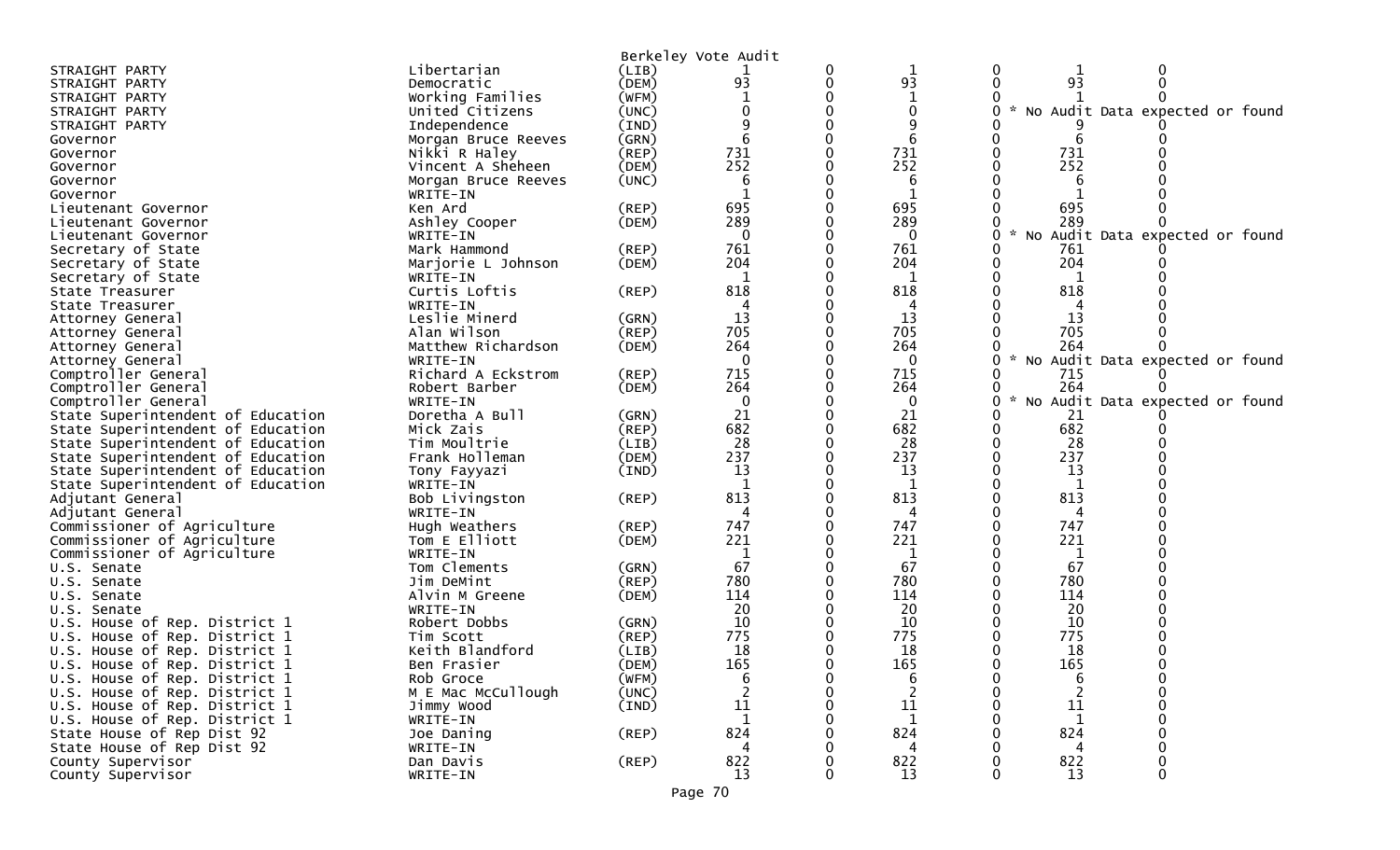|                                      |                            |             | Berkeley Vote Audit |              |   |                                   |                                 |  |
|--------------------------------------|----------------------------|-------------|---------------------|--------------|---|-----------------------------------|---------------------------------|--|
| STRAIGHT PARTY                       | Libertarian                | (LIB)       |                     | $\mathbf 1$  | 0 | 1                                 | 0                               |  |
| STRAIGHT PARTY                       | Democratic                 | (DEM)       | 93                  | 93           |   | 93                                |                                 |  |
| STRAIGHT PARTY                       | Working Families           | (WFM)       |                     |              |   |                                   |                                 |  |
| STRAIGHT PARTY                       | United Citizens            | (UNC)       |                     | 0            |   | $\sim$                            | No Audit Data expected or found |  |
| STRAIGHT PARTY                       | Independence               | (IND)       |                     |              |   |                                   |                                 |  |
| Governor                             | Morgan Bruce Reeves        | (GRN)       |                     |              |   | 6                                 |                                 |  |
| Governor                             | Nikki R Haley              | $($ REP $)$ | 731                 | 731          |   | 731                               |                                 |  |
| Governor                             | Vincent A Sheheen          | (DEM)       | 252                 | 252          |   | 252                               |                                 |  |
| Governor                             | Morgan Bruce Reeves        | (UNC)       | b                   | 6            |   | 6                                 |                                 |  |
| Governor                             | WRITE-IN                   |             |                     | 1            |   |                                   |                                 |  |
| Lieutenant Governor                  | Ken Ard                    | (REP)       | 695                 | 695          |   | 695                               |                                 |  |
| Lieutenant Governor                  | Ashley Cooper              | (DEM)       | 289                 | 289          |   | 289                               |                                 |  |
| Lieutenant Governor                  | WRITE-IN                   |             | $\Omega$            | $\mathbf{0}$ | 0 | $\sim$                            | No Audit Data expected or found |  |
| Secretary of State                   | Mark Hammond               | (REP)       | 761                 | 761          |   | 761                               |                                 |  |
| Secretary of State                   | Marjorie L Johnson         | (DEM)       | 204                 | 204          |   | 204                               |                                 |  |
| Secretary of State                   | WRITE-IN                   |             | 1                   | 1            |   | 1                                 |                                 |  |
| State Treasurer                      | Curtis Loftis              | $($ REP $)$ | 818                 | 818          |   | 818                               |                                 |  |
| State Treasurer                      | WRITE-IN                   |             |                     |              |   |                                   |                                 |  |
| Attorney General                     | Leslie Minerd              | (GRN)       | 13                  | 13           |   | 13                                |                                 |  |
| Attorney General                     | Alan Wilson                | (REP)       | 705                 | 705          |   | 705                               |                                 |  |
| Attorney General                     | Matthew Richardson         | (DEM)       | 264                 | 264          |   | 264                               |                                 |  |
| Attorney General                     | WRITE-IN                   |             | $\Omega$            | 0            | 0 | * No Audit Data expected or found |                                 |  |
| Comptroller General                  | Richard A Eckstrom         | (REP)       | 715                 | 715          |   | 715                               |                                 |  |
| Comptroller General                  | Robert Barber              | (DEM)       | 264                 | 264          |   | 264                               |                                 |  |
| Comptroller General                  | WRITE-IN                   |             | $\Omega$            | 0            | 0 |                                   | No Audit Data expected or found |  |
| State Superintendent of Education    | Doretha A Bull             | (GRN)       | 21                  | 21           |   | 21                                |                                 |  |
| State Superintendent of Education    | Mick Zais                  | (REP)       | 682                 | 682          | 0 | 682                               |                                 |  |
| State Superintendent of Education    | Tim Moultrie               | (LIB)       | 28                  | 28           |   | 28                                |                                 |  |
| State Superintendent of Education    | Frank Holleman             | (DEM)       | 237                 | 237          |   | 237                               |                                 |  |
| State Superintendent of Education    | Tony Fayyazi               | (IND)       | 13                  | 13<br>1      |   | 13                                |                                 |  |
| State Superintendent of Education    | WRITE-IN                   |             | 813                 | 813          |   | 1<br>813                          |                                 |  |
| Adjutant General<br>Adjutant General | Bob Livingston<br>WRITE-IN | (REP)       |                     | 4            |   |                                   |                                 |  |
| Commissioner of Agriculture          | Hugh Weathers              | (REP)       | 747                 | 747          |   | 747                               |                                 |  |
| Commissioner of Agriculture          | Tom E Elliott              | (DEM)       | 221                 | 221          |   | 221                               |                                 |  |
| Commissioner of Agriculture          | WRITE-IN                   |             | 1                   |              |   |                                   |                                 |  |
| U.S. Senate                          | Tom Clements               | (GRN)       | 67                  | 67           |   | 67                                |                                 |  |
| U.S. Senate                          | Jim DeMint                 | $($ REP $)$ | 780                 | 780          |   | 780                               |                                 |  |
| U.S. Senate                          | Alvin M Greene             | (DEM)       | 114                 | 114          |   | 114                               |                                 |  |
| U.S. Senate                          | WRITE-IN                   |             | 20                  | 20           |   | 20                                |                                 |  |
| U.S. House of Rep. District 1        | Robert Dobbs               | (GRN)       | 10                  | 10           |   | 10                                |                                 |  |
| U.S. House of Rep. District 1        | Tim Scott                  | (REP)       | 775                 | 775          |   | 775                               |                                 |  |
| U.S. House of Rep. District 1        | Keith Blandford            | (LIB)       | 18                  | 18           |   | 18                                |                                 |  |
| U.S. House of Rep. District 1        | Ben Frasier                | (DEM)       | 165                 | 165          |   | 165                               |                                 |  |
| U.S. House of Rep. District 1        | Rob Groce                  | (WFM)       | 6                   | 6            | 0 | 6                                 | 0                               |  |
| U.S. House of Rep. District 1        | M E Mac McCullough         | (UNC)       |                     |              |   |                                   |                                 |  |
| U.S. House of Rep. District 1        | Jimmy Wood                 | (IND)       | 11                  | 11           |   | 11                                |                                 |  |
| U.S. House of Rep. District 1        | WRITE-IN                   |             |                     | 1            |   |                                   |                                 |  |
| State House of Rep Dist 92           | Joe Daning                 | $($ REP $)$ | 824                 | 824          |   | 824                               |                                 |  |
| State House of Rep Dist 92           | WRITE-IN                   |             |                     | 4            |   |                                   |                                 |  |
| County Supervisor                    | Dan Davis                  | $($ REP $)$ | 822                 | 822          |   | 822                               |                                 |  |
| County Supervisor                    | WRITE-IN                   |             | 13                  | 13           |   | 13                                |                                 |  |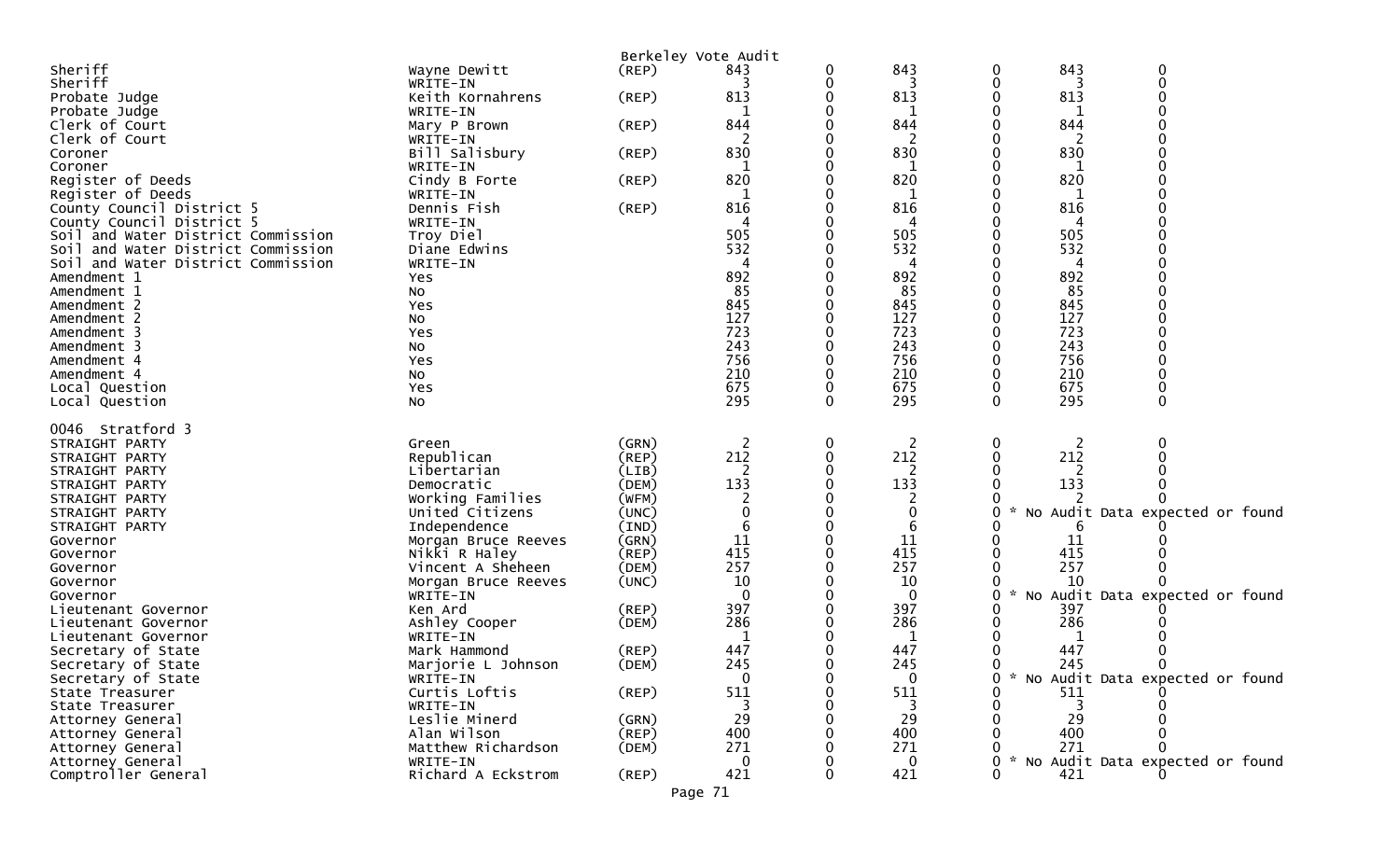|                                            |                            |       | Berkeley Vote Audit |              |                     |               |            |                                   |
|--------------------------------------------|----------------------------|-------|---------------------|--------------|---------------------|---------------|------------|-----------------------------------|
| Sheriff                                    | Wayne Dewitt               | (REP) | 843                 | 0            | 843                 | 0             | 843        | 0                                 |
| Sheriff                                    | WRITE-IN                   |       |                     | 0            | 3                   | 0             | 3          | $\mathbf 0$                       |
| Probate Judge                              | Keith Kornahrens           | (REP) | 813                 |              | 813                 | 0             | 813        |                                   |
| Probate Judge                              | WRITE-IN                   |       |                     |              |                     | 0             |            |                                   |
| Clerk of Court                             | Mary P Brown               | (REP) | 844                 | 0            | 844                 | 0             | 844        |                                   |
| Clerk of Court                             | WRITE-IN                   |       |                     |              | 2                   | 0             | 2          |                                   |
| Coroner<br>Coroner                         | Bill Salisbury<br>WRITE-IN | (REP) | 830<br>1            |              | 830<br>1            |               | 830        |                                   |
| Register of Deeds                          | Cindy B Forte              | (REP) | 820                 |              | 820                 |               | 820        |                                   |
| Register of Deeds                          | WRITE-IN                   |       |                     |              |                     |               |            |                                   |
| County Council District 5                  | Dennis Fish                | (REP) | 816                 | 0            | 816                 |               | 816        |                                   |
| County Council District 5                  | WRITE-IN                   |       |                     |              | 4                   |               | 4          |                                   |
| Soil and Water District Commission         | Troy Diel                  |       | 505                 |              | 505                 |               | 505        |                                   |
| Soil and Water District Commission         | Diane Edwins               |       | 532                 |              | 532                 |               | 532        |                                   |
| Soil and Water District Commission         | WRITE-IN                   |       |                     |              | 4                   |               | 4          |                                   |
| Amendment 1                                | Yes                        |       | 892                 |              | 892                 |               | 892        |                                   |
| Amendment 1                                | NO.                        |       | 85                  |              | 85                  |               | 85         |                                   |
| Amendment 2                                | Yes                        |       | 845                 |              | 845                 |               | 845        |                                   |
| Amendment 2                                | No                         |       | 127                 |              | 127                 |               | 127        |                                   |
| Amendment 3                                | Yes                        |       | 723                 |              | 723                 |               | 723        |                                   |
| Amendment 3                                | No                         |       | 243                 |              | 243                 |               | 243        |                                   |
| Amendment 4                                | Yes                        |       | 756                 |              | 756                 |               | 756        |                                   |
| Amendment 4                                | No<br>Yes                  |       | 210<br>675          | 0            | 210<br>675          | 0<br>0        | 210<br>675 |                                   |
| Local Question<br>Local Question           | No                         |       | 295                 | $\mathbf{0}$ | 295                 | $\Omega$      | 295        | $\Omega$                          |
|                                            |                            |       |                     |              |                     |               |            |                                   |
| 0046 Stratford 3                           |                            |       |                     |              |                     |               |            |                                   |
| STRAIGHT PARTY                             | Green                      | (GRN) | 2                   | 0            | 2                   | 0             | 2          | 0                                 |
| STRAIGHT PARTY                             | Republican                 | (REP) | 212                 | 0            | 212                 | 0             | 212        |                                   |
| STRAIGHT PARTY                             | Libertarian                | (LIB) | 2                   |              | 2                   |               |            |                                   |
| STRAIGHT PARTY                             | Democratic                 | (DEM) | 133                 |              | 133                 |               | 133        |                                   |
| STRAIGHT PARTY                             | Working Families           | (WFM) |                     |              | 2                   |               |            |                                   |
| STRAIGHT PARTY                             | United Citizens            | (UNC) |                     |              | 0                   |               |            | No Audit Data expected or found   |
| STRAIGHT PARTY                             | Independence               | (IND) | 6                   |              | 6                   |               |            |                                   |
| Governor                                   | Morgan Bruce Reeves        | (GRN) | 11                  |              | 11                  |               | 11         |                                   |
| Governor                                   | Nikki R Haley              | (REP) | 415                 |              | 415                 |               | 415        |                                   |
| Governor                                   | Vincent A Sheheen          | (DEM) | 257                 |              | 257                 |               | 257        |                                   |
| Governor                                   | Morgan Bruce Reeves        | (UNC) | 10                  |              | 10                  | $\mathcal{H}$ | 10         |                                   |
| Governor                                   | WRITE-IN<br>Ken Ard        | (REP) | $\Omega$<br>397     |              | $\mathbf{0}$<br>397 | 0<br>0        | 397        | No Audit Data expected or found   |
| Lieutenant Governor<br>Lieutenant Governor | Ashley Cooper              | (DEM) | 286                 |              | 286                 |               | 286        |                                   |
| Lieutenant Governor                        | WRITE-IN                   |       |                     |              | 1                   |               |            |                                   |
| Secretary of State                         | Mark Hammond               | (REP) | 447                 |              | 447                 |               | 447        |                                   |
| Secretary of State                         | Marjorie L Johnson         | (DEM) | 245                 | 0            | 245                 | 0             | 245        | $\Omega$                          |
| Secretary of State                         | WRITE-IN                   |       | $\mathbf 0$         | O            | 0                   | 0             |            | * No Audit Data expected or found |
| State Treasurer                            | Curtis Loftis              | (REP) | 511                 |              | 511                 | 0             | 511        |                                   |
| State Treasurer                            | WRITE-IN                   |       |                     |              |                     |               |            |                                   |
| Attorney General                           | Leslie Minerd              | (GRN) | 29                  |              | 29                  |               | 29         |                                   |
| Attorney General                           | Alan Wilson                | (REP) | 400                 |              | 400                 |               | 400        |                                   |
| Attorney General                           | Matthew Richardson         | (DEM) | 271                 |              | 271                 |               | 271        |                                   |
| Attorney General                           | WRITE-IN                   |       | $\mathbf{0}$        |              | $\mathbf{0}$        | U             |            | * No Audit Data expected or found |
| Comptroller General                        | Richard A Eckstrom         | (REP) | 421                 | 0            | 421                 | 0             | 421        |                                   |
|                                            |                            |       | Page 71             |              |                     |               |            |                                   |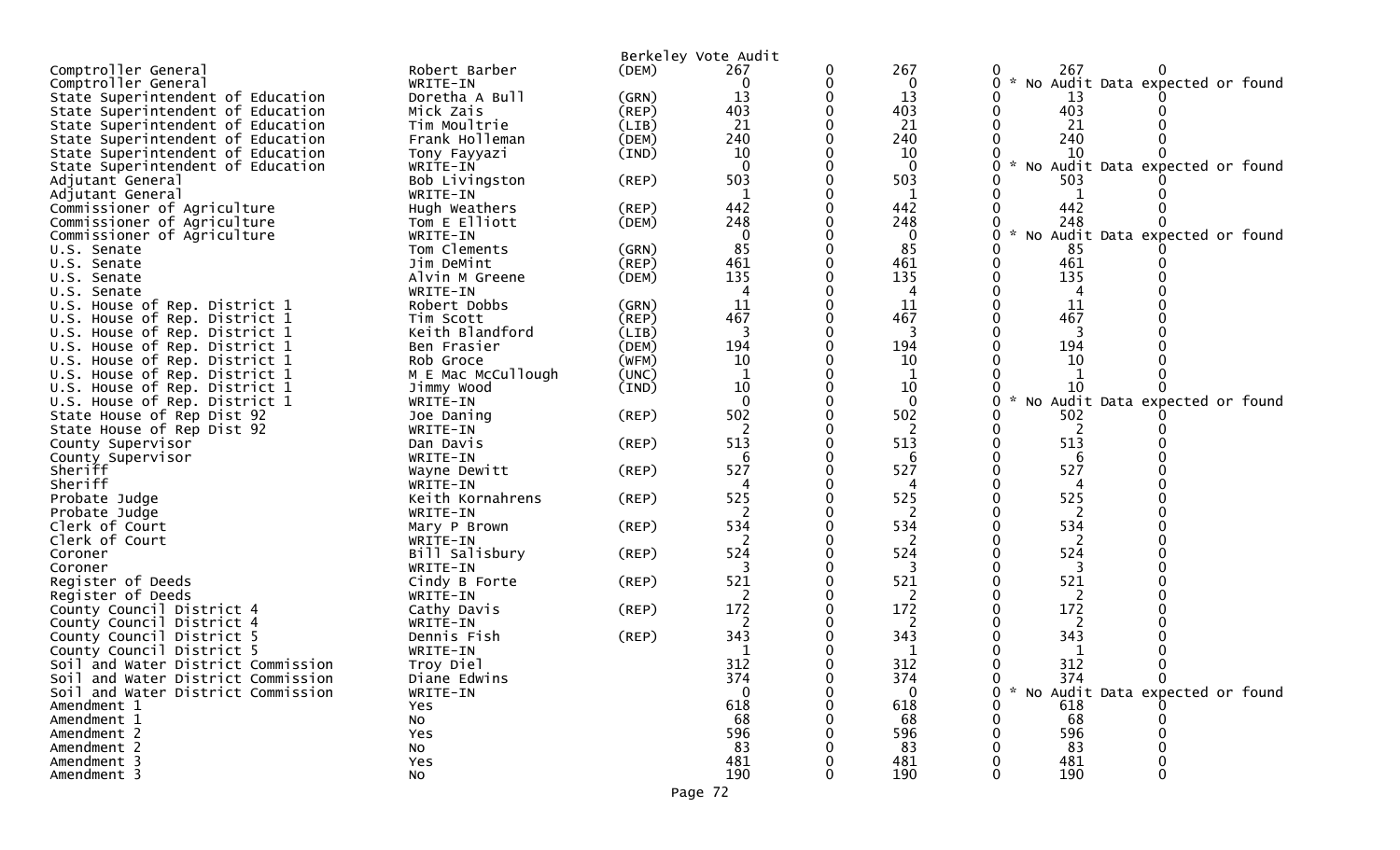|                                    |                              |             | Berkeley Vote Audit |              |                                                |
|------------------------------------|------------------------------|-------------|---------------------|--------------|------------------------------------------------|
| Comptroller General                | Robert Barber                | (DEM)       | 267                 | 267          | 267                                            |
| Comptroller General                | WRITE-IN                     |             | 0                   | 0            | $\sim$<br>No Audit Data expected or found<br>0 |
| State Superintendent of Education  | Doretha A Bull               | (GRN)       | 13                  | 13           | 13                                             |
| State Superintendent of Education  | Mick Zais                    | (REP)       | 403                 | 403          | 403<br>0                                       |
| State Superintendent of Education  | Tim Moultrie                 | (LIB)       | 21                  | 21           | 21                                             |
| State Superintendent of Education  | Frank Holleman               | (DEM)       | 240                 | 240          | 240                                            |
| State Superintendent of Education  | Tony Fayyazi                 | (IND)       | 10                  | 10           | 10                                             |
| State Superintendent of Education  | WRITE-IN                     |             |                     | $\Omega$     | No Audit Data expected or found                |
| Adjutant General                   | Bob Livingston               | (REP)       | 503                 | 503          | 503                                            |
| Adjutant General                   | WRITE-IN                     |             | 1                   | 1            | 1                                              |
| Commissioner of Agriculture        | Hugh Weathers                | (REP)       | 442                 | 442          | 442                                            |
| Commissioner of Agriculture        | Tom E Elliott                | (DEM)       | 248                 | 248          | 248                                            |
| Commissioner of Agriculture        | WRITE-IN                     |             | $\mathbf 0$         | $\mathbf{0}$ | * No Audit Data expected or found<br>0         |
| U.S. Senate                        | Tom Clements                 | (GRN)       | 85                  | 85           | 85                                             |
| U.S. Senate                        | Jim DeMint                   | $($ REP $)$ | 461                 | 461          | 461<br>0                                       |
| U.S. Senate                        | Alvin M Greene               | (DEM)       | 135                 | 135          | 135                                            |
| U.S. Senate                        | WRITE-IN                     |             |                     | 4            | 4                                              |
| U.S. House of Rep. District 1      | Robert Dobbs                 | (GRN)       | 11                  | 11           | 11                                             |
| U.S. House of Rep. District 1      | Tim Scott                    | $($ REP $)$ | 467                 | 467          | 467                                            |
| U.S. House of Rep. District 1      | Keith Blandford              | (LIB)       | 3                   | 3            | 3                                              |
| U.S. House of Rep. District 1      | Ben Frasier                  | (DEM)       | 194                 | 194          | 194                                            |
| U.S. House of Rep. District 1      | Rob Groce                    | (WFM)       | 10                  | 10           | 10                                             |
| U.S. House of Rep. District 1      | M E Mac McCullough           | (UNC)       |                     |              |                                                |
| U.S. House of Rep. District 1      | Jimmy Wood                   | (IND)       | 10                  | 10           | 10                                             |
| U.S. House of Rep. District 1      | WRITE-IN                     |             | $\Omega$            | $\mathbf 0$  | No Audit Data expected or found<br>0           |
| State House of Rep Dist 92         | Joe Daning                   | (REP)       | 502                 | 502          | 502                                            |
| State House of Rep Dist 92         | WRITE-IN                     |             | 2                   | 2            | 2                                              |
| County Supervisor                  | Dan Davis                    | $($ REP $)$ | 513                 | 513          | 513                                            |
| County Supervisor                  | WRITE-IN                     |             | 527                 | 6<br>527     | 6<br>527                                       |
| Sheriff<br>Sheriff                 | Wayne Dewitt                 | $($ REP $)$ |                     | 4            | 4                                              |
|                                    | WRITE-IN                     |             | 525                 | 525          | 525                                            |
| Probate Judge<br>Probate Judge     | Keith Kornahrens<br>WRITE-IN | (REP)       | 2                   | 2            | 2                                              |
| Clerk of Court                     | Mary P Brown                 | $($ REP $)$ | 534                 | 534          | 534                                            |
| Clerk of Court                     | WRITE-IN                     |             |                     | 2            | 2                                              |
| Coroner                            | Bill Salisbury               | (REP)       | 524                 | 524          | 524                                            |
| Coroner                            | WRITE-IN                     |             | 3                   | 3            | 3                                              |
| Register of Deeds                  | Cindy B Forte                | (REP)       | 521                 | 521          | 521                                            |
| Register of Deeds                  | WRITE-IN                     |             | 2                   | 2            | 2                                              |
| County Council District 4          | Cathy Davis                  | $($ REP $)$ | 172                 | 172          | 172                                            |
| County Council District 4          | WRITE-IN                     |             |                     | 2            | 2                                              |
| County Council District 5          | Dennis Fish                  | (REP)       | 343                 | 343          | 343                                            |
| County Council District 5          | WRITE-IN                     |             |                     |              |                                                |
| Soil and Water District Commission | Troy Diel                    |             | 312                 | 312          | 312                                            |
| Soil and Water District Commission | Diane Edwins                 |             | 374                 | 374          | 374<br>$\Omega$                                |
| Soil and Water District Commission | WRITE-IN                     |             |                     |              | * No Audit Data expected or found              |
| Amendment 1                        | Yes                          |             | 618                 | 618          | 618                                            |
| Amendment 1                        | No                           |             | 68                  | 68           | 68                                             |
| Amendment 2                        | Yes                          |             | 596                 | 596          | 596                                            |
| Amendment 2                        | NO.                          |             | 83                  | 83           | 83                                             |
| Amendment 3                        | Yes                          |             | 481                 | 481          | 481                                            |
| Amendment 3                        | <b>NO</b>                    |             | 190                 | 190          | 190                                            |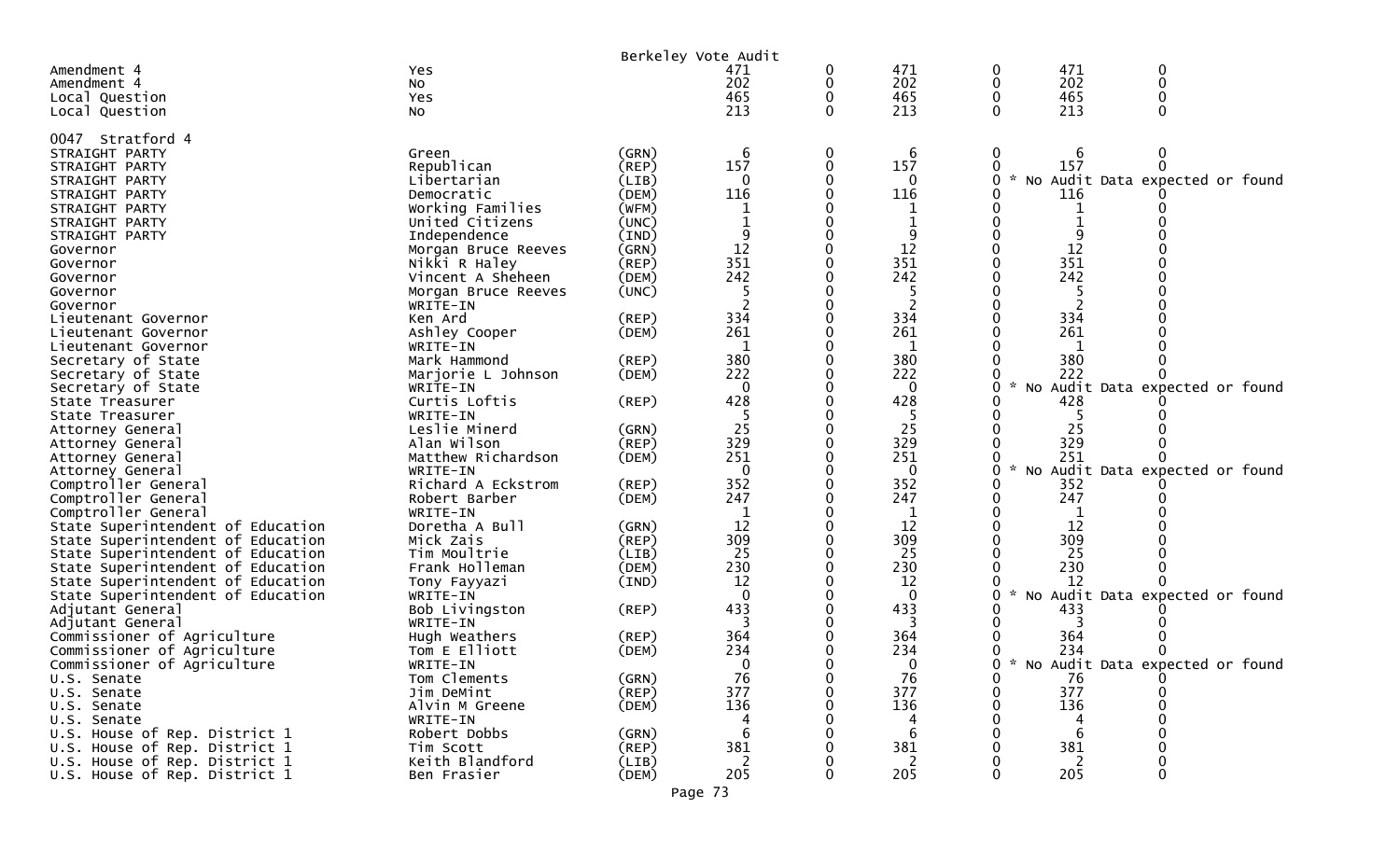| Berkeley Vote Audit                                                    |                            |             |                |              |                         |               |     |                                     |  |
|------------------------------------------------------------------------|----------------------------|-------------|----------------|--------------|-------------------------|---------------|-----|-------------------------------------|--|
| Amendment 4                                                            | Yes                        |             | 471            | 0            | 471                     |               | 471 |                                     |  |
| Amendment 4                                                            | No                         |             | 202            | 0            | 202                     |               | 202 | 0                                   |  |
| Local Question                                                         | Yes                        |             | 465            |              | 465                     |               | 465 |                                     |  |
| Local Question                                                         | NO.                        |             | 213            | $\Omega$     | 213                     |               | 213 |                                     |  |
| 0047 Stratford 4                                                       |                            |             |                |              |                         |               |     |                                     |  |
| STRAIGHT PARTY                                                         | Green                      | (GRN)       | 6              | 0            | 6                       | 0             | 6   |                                     |  |
| STRAIGHT PARTY                                                         | Republican                 | (REP)       | 157            | 0            | 157                     |               | 157 |                                     |  |
| STRAIGHT PARTY                                                         | Libertarian                | (LIB)       | 0              |              | 0                       | $\sim$        |     | No Audit Data expected or found     |  |
| STRAIGHT PARTY                                                         | Democratic                 | (DEM)       | 116            |              | 116                     |               | 116 |                                     |  |
| STRAIGHT PARTY                                                         | Working Families           | (WFM)       |                |              |                         |               |     |                                     |  |
| STRAIGHT PARTY                                                         | United Citizens            | (UNC)       |                |              |                         |               |     |                                     |  |
| STRAIGHT PARTY                                                         | Independence               | (IND)       |                |              |                         |               |     |                                     |  |
| Governor                                                               | Morgan Bruce Reeves        | (GRN)       | 12             |              | 12                      |               | 12  |                                     |  |
| Governor                                                               | Nikki R Haley              | $($ REP $)$ | 351            |              | 351                     |               | 351 |                                     |  |
| Governor                                                               | Vincent A Sheheen          | (DEM)       | 242            |              | 242                     |               | 242 |                                     |  |
| Governor                                                               | Morgan Bruce Reeves        | (UNC)       |                |              |                         |               |     |                                     |  |
| Governor                                                               | WRITE-IN                   |             |                |              |                         |               |     |                                     |  |
| Lieutenant Governor                                                    | Ken Ard                    | $($ REP $)$ | 334            |              | 334                     |               | 334 |                                     |  |
| Lieutenant Governor                                                    | Ashley Cooper              | (DEM)       | 261            |              | 261                     |               | 261 |                                     |  |
| Lieutenant Governor                                                    | WRITE-IN                   |             |                |              | 1                       |               |     |                                     |  |
| Secretary of State                                                     | Mark Hammond               | (REP)       | 380            |              | 380                     |               | 380 |                                     |  |
| Secretary of State                                                     | Marjorie L Johnson         | (DEM)       | 222            |              | 222                     |               | 222 |                                     |  |
| Secretary of State                                                     | WRITE-IN                   |             | $\mathbf{0}$   |              | $\Omega$                |               |     | No Audit Data expected or found     |  |
| State Treasurer                                                        | Curtis Loftis              | (REP)       | 428            |              | 428                     |               | 428 |                                     |  |
| State Treasurer                                                        | WRITE-IN                   |             |                |              |                         |               |     |                                     |  |
| Attorney General                                                       | Leslie Minerd              | (GRN)       | 25             |              | 25                      |               | 25  |                                     |  |
| Attorney General                                                       | Alan Wilson                | $($ REP $)$ | 329            |              | 329                     |               | 329 |                                     |  |
| Attorney General                                                       | Matthew Richardson         | (DEM)       | 251            |              | 251                     |               | 251 |                                     |  |
| Attorney General                                                       | WRITE-IN                   |             | $\Omega$       |              | $\Omega$                |               |     | No Audit Data expected or found     |  |
| Comptroller General                                                    | Richard A Eckstrom         | (REP)       | 352            |              | 352                     |               | 352 |                                     |  |
| Comptroller General                                                    | Robert Barber              | (DEM)       | 247            |              | 247                     |               | 247 |                                     |  |
| Comptroller General                                                    | WRITE-IN<br>Doretha A Bull | (GRN)       | 12             |              | 12                      |               | 12  |                                     |  |
| State Superintendent of Education                                      | Mick Zais                  | (REP)       | 309            |              | 309                     |               | 309 |                                     |  |
| State Superintendent of Education<br>State Superintendent of Education | Tim Moultrie               | (LIB)       | 25             |              | 25                      |               | 25  |                                     |  |
| State Superintendent of Education                                      | Frank Holleman             | (DEM)       | 230            |              | 230                     |               | 230 |                                     |  |
| State Superintendent of Education                                      | Tony Fayyazi               | (IND)       | 12             |              | 12                      |               | 12  |                                     |  |
| State Superintendent of Education                                      | WRITE-IN                   |             | $\Omega$       |              | $\Omega$                | $\mathcal{R}$ |     | No Audit Data expected or found     |  |
| Adjutant General                                                       | Bob Livingston             | (REP)       | 433            |              | 433                     |               | 433 |                                     |  |
| Adjutant General                                                       | WRITE-IN                   |             |                |              | 3                       |               |     |                                     |  |
| Commissioner of Agriculture                                            | Hugh Weathers              | $($ REP $)$ | 364            |              | 364                     |               | 364 |                                     |  |
| Commissioner of Agriculture                                            | Tom E Elliott              | (DEM)       | 234            |              | 234                     |               | 234 |                                     |  |
| Commissioner of Agriculture                                            | WRITE-IN                   |             | $\overline{0}$ | <sup>n</sup> | $\overline{\mathbf{0}}$ |               |     | 0 * No Audit Data expected or found |  |
| U.S. Senate                                                            | Tom Clements               | (GRN)       | 76             |              | 76                      |               | 76  |                                     |  |
| U.S. Senate                                                            | Jim DeMint                 | (REP)       | 377            |              | 377                     |               | 377 |                                     |  |
| U.S. Senate                                                            | Alvin M Greene             | (DEM)       | 136            |              | 136                     |               | 136 |                                     |  |
| U.S. Senate                                                            | WRITE-IN                   |             |                |              |                         |               |     |                                     |  |
| U.S. House of Rep. District 1                                          | Robert Dobbs               | (GRN)       | -6             |              | 6                       |               | 6   |                                     |  |
| U.S. House of Rep. District 1                                          | Tim Scott                  | $($ REP $)$ | 381            |              | 381                     |               | 381 |                                     |  |
| U.S. House of Rep. District 1                                          | Keith Blandford            | (LIB)       | 2              |              | 2                       |               | 2   |                                     |  |
| U.S. House of Rep. District 1                                          | Ben Frasier                | (DEM)       | 205            |              | 205                     |               | 205 |                                     |  |
|                                                                        |                            | Page 73     |                |              |                         |               |     |                                     |  |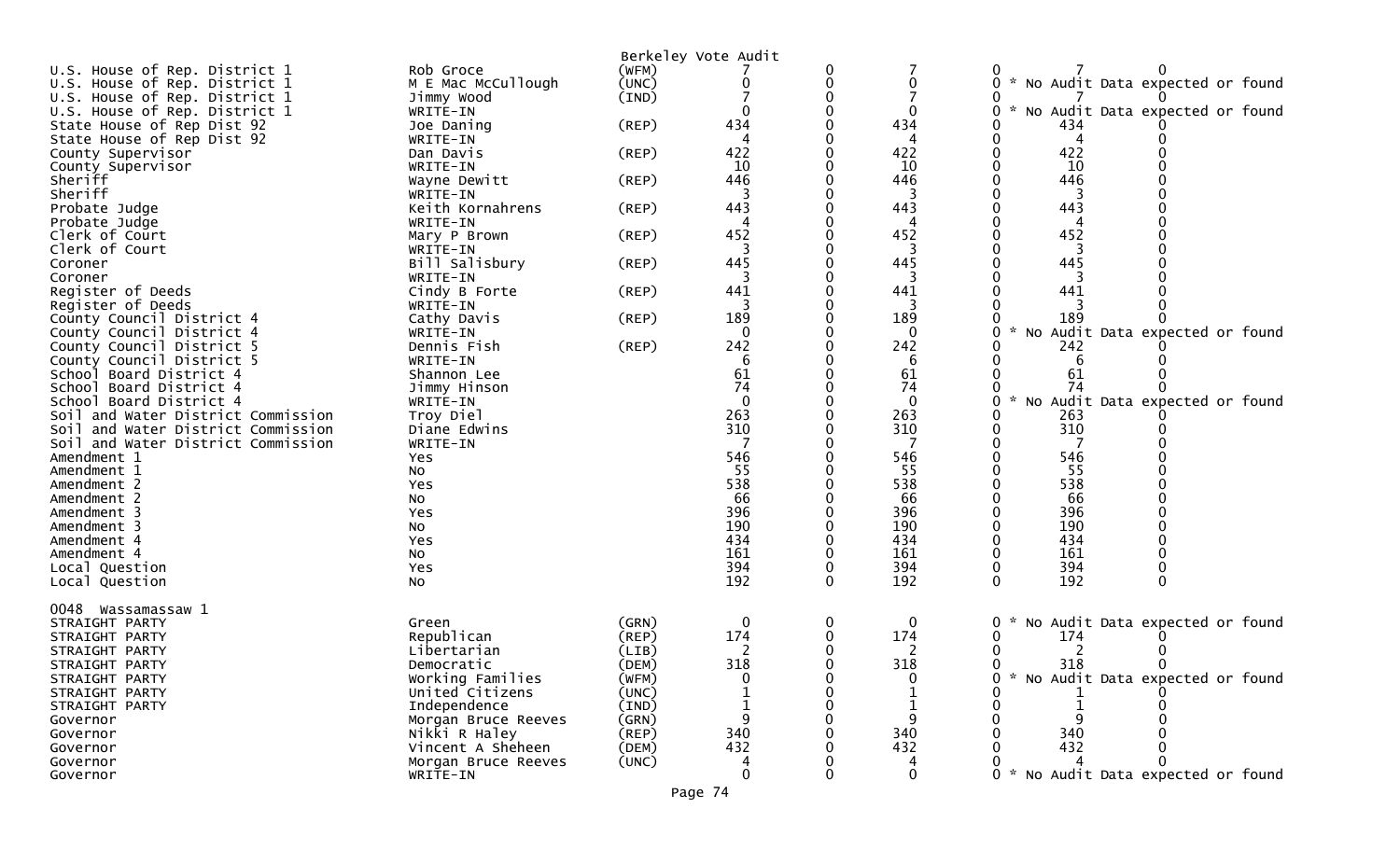|                                    |                     |                | Berkeley Vote Audit |          |              |                                        |
|------------------------------------|---------------------|----------------|---------------------|----------|--------------|----------------------------------------|
| U.S. House of Rep. District 1      | Rob Groce           | (WFM)          |                     | 0        |              |                                        |
| U.S. House of Rep. District 1      | M E Mac McCullough  | (UNC)          | 0                   | 0        |              | * No Audit Data expected or found      |
| U.S. House of Rep. District 1      | Jimmy Wood          | (IND)          |                     |          |              |                                        |
| U.S. House of Rep. District 1      | WRITE-IN            |                |                     |          | 0            | * No Audit Data expected or found      |
| State House of Rep Dist 92         | Joe Daning          | $($ REP $)$    | 434                 |          | 434          | 434                                    |
| State House of Rep Dist 92         | WRITE-IN            |                | 4                   |          | 4            | 4                                      |
| County Supervisor                  | Dan Davis           | (REP)          | 422                 |          | 422          | 422                                    |
| County Supervisor                  | WRITE-IN            |                | 10                  |          | 10           | 10                                     |
| Sheriff                            | Wayne Dewitt        | $($ REP $)$    | 446                 |          | 446          | 446                                    |
| Sheriff                            | WRITE-IN            |                |                     |          |              |                                        |
| Probate Judge                      | Keith Kornahrens    | (REP)          | 443                 |          | 443          | 443                                    |
| Probate Judge                      | WRITE-IN            |                |                     |          |              |                                        |
| Clerk of Court                     | Mary P Brown        | (REP)          | 452                 |          | 452          | 452                                    |
| Clerk of Court                     | WRITE-IN            |                |                     |          | 3            |                                        |
| Coroner                            | Bill Salisbury      | $($ REP $)$    | 445                 |          | 445          | 445                                    |
| Coroner                            | WRITE-IN            |                |                     |          |              |                                        |
| Register of Deeds                  | Cindy B Forte       | $($ REP $)$    | 441                 |          | 441          | 441                                    |
| Register of Deeds                  | WRITE-IN            |                |                     |          | 3            |                                        |
| County Council District 4          | Cathy Davis         | (REP)          | 189                 |          | 189          | 189                                    |
| County Council District 4          | WRITE-IN            |                | 0                   |          | 0            | No Audit Data expected or found        |
| County Council District 5          | Dennis Fish         | $($ REP $)$    | 242                 |          | 242          | 242                                    |
| County Council District 5          | WRITE-IN            |                | 6                   |          | 6            | 6                                      |
| School Board District 4            | Shannon Lee         |                | 61                  |          | 61           | 61                                     |
| School Board District 4            | Jimmy Hinson        |                | 74                  |          | 74           | 74                                     |
| School Board District 4            | WRITE-IN            |                | $\Omega$            |          | $\mathbf{0}$ | No Audit Data expected or found        |
| Soil and Water District Commission | Troy Diel           |                | 263                 |          | 263          | 263                                    |
| Soil and Water District Commission | Diane Edwins        |                | 310                 |          | 310          | 310                                    |
| Soil and Water District Commission | WRITE-IN            |                |                     |          |              |                                        |
| Amendment 1                        | Yes                 |                | 546                 |          | 546          | 546                                    |
| Amendment 1                        | No                  |                | 55                  |          | 55           | 55                                     |
| Amendment 2                        | Yes                 |                | 538                 |          | 538          | 538                                    |
| Amendment 2                        | No                  |                | 66                  |          | 66           | 66                                     |
| Amendment 3                        | Yes                 |                | 396                 |          | 396          | 396                                    |
| Amendment 3                        | No                  |                | 190                 |          | 190          | 190                                    |
| Amendment 4                        | Yes                 |                | 434                 |          | 434          | 434                                    |
| Amendment 4                        | No                  |                | 161                 |          | 161          | 161                                    |
| Local Question                     | Yes                 |                | 394                 |          | 394          | 394                                    |
| Local Question                     | No                  |                | 192                 | $\Omega$ | 192          | 192<br>$\Omega$<br>0                   |
| 0048                               |                     |                |                     |          |              |                                        |
| Wassamassaw 1<br>STRAIGHT PARTY    |                     |                | 0                   | 0        | 0            | 0                                      |
| STRAIGHT PARTY                     | Green<br>Republican | (GRN)<br>(REP) | 174                 | 0        | 174          | No Audit Data expected or found<br>174 |
| STRAIGHT PARTY                     | Libertarian         | (LIB)          |                     |          |              |                                        |
| STRAIGHT PARTY                     | Democratic          | (DEM)          | 318                 |          | 318          | 318                                    |
| STRAIGHT PARTY                     | Working Families    | (WFM)          |                     |          |              | No Audit Data expected or found        |
| STRAIGHT PARTY                     | United Citizens     | (UNC)          |                     |          |              |                                        |
| STRAIGHT PARTY                     | Independence        | (IND)          |                     |          |              |                                        |
| Governor                           | Morgan Bruce Reeves | (GRN)          | 9                   |          | 9            |                                        |
| Governor                           | Nikki R Haley       | (REP)          | 340                 |          | 340          | 340                                    |
| Governor                           | Vincent A Sheheen   | (DEM)          | 432                 |          | 432          | 432                                    |
| Governor                           | Morgan Bruce Reeves | (UNC)          |                     |          |              |                                        |
| Governor                           | WRITE-IN            |                | 0                   |          | $\mathbf{0}$ | No Audit Data expected or found        |
|                                    |                     |                |                     |          |              |                                        |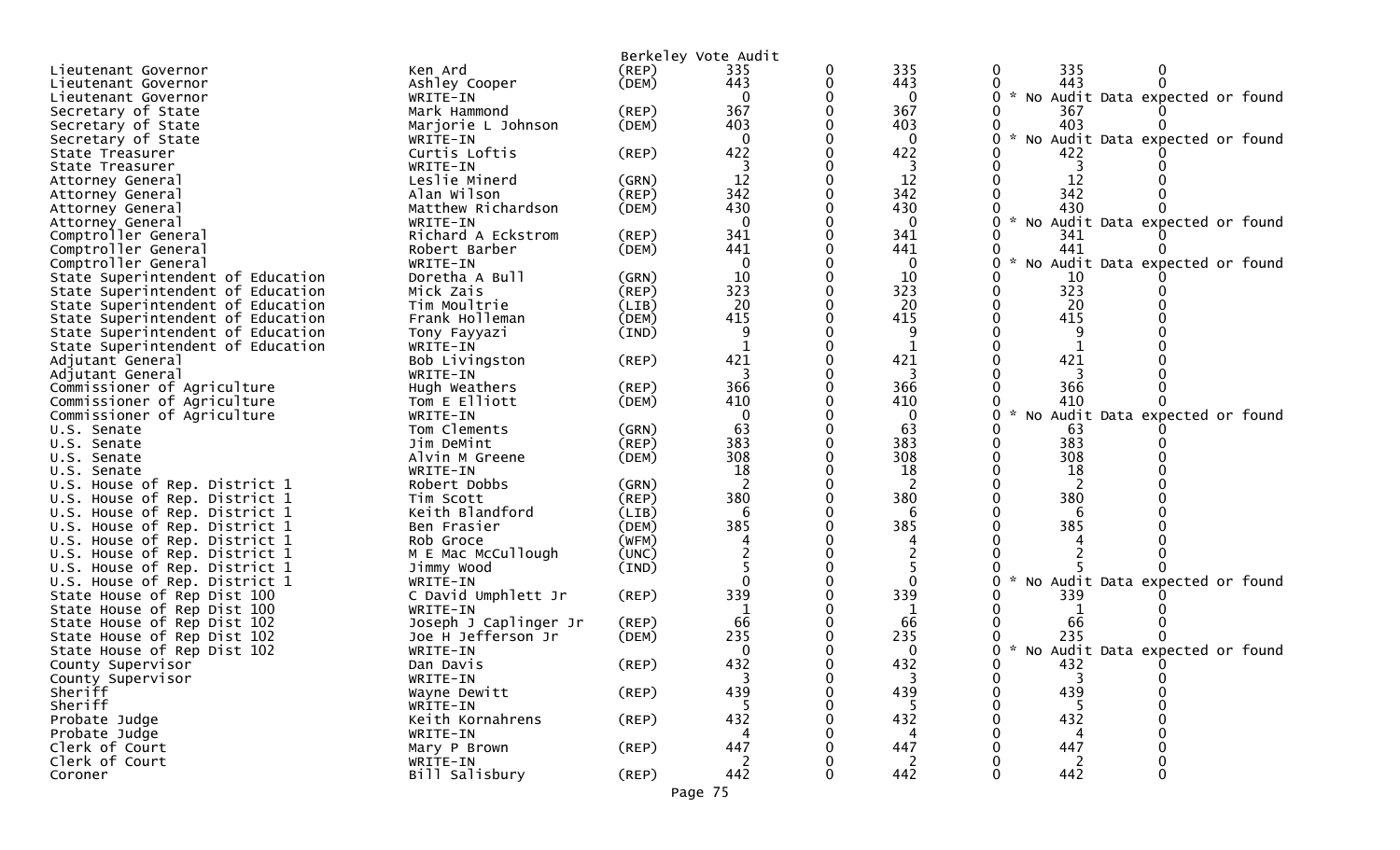|                                   |                       |             | Berkeley Vote Audit |   |              |                                   |
|-----------------------------------|-----------------------|-------------|---------------------|---|--------------|-----------------------------------|
| Lieutenant Governor               | Ken Ard               | $($ REP $)$ | 335                 | 0 | 335          | 335<br>0                          |
| Lieutenant Governor               | Ashley Cooper         | (DEM)       | 443                 |   | 443          | 443                               |
| Lieutenant Governor               | WRITE-IN              |             | $\mathbf{0}$        |   | $\mathbf{0}$ | * No Audit Data expected or found |
| Secretary of State                | Mark Hammond          | $($ REP $)$ | 367                 |   | 367          | 367                               |
| Secretary of State                | Marjorie L Johnson    | (DEM)       | 403                 |   | 403          | 403                               |
| Secretary of State                | WRITE-IN              |             | $\Omega$            |   | 0            | No Audit Data expected or found   |
| State Treasurer                   | Curtis Loftis         | $($ REP $)$ | 422                 |   | 422          | 422                               |
| State Treasurer                   | WRITE-IN              |             | 3                   |   | 3            | 3                                 |
| Attorney General                  | Leslie Minerd         | (GRN)       | 12                  |   | 12           | 12                                |
|                                   | Alan Wilson           | (REP)       | 342                 |   | 342          | 342                               |
| Attorney General                  |                       |             | 430                 |   | 430          | 430                               |
| Attorney General                  | Matthew Richardson    | (DEM)       |                     |   |              |                                   |
| Attorney General                  | WRITE-IN              |             | $\Omega$            |   | 0            | No Audit Data expected or found   |
| Comptroller General               | Richard A Eckstrom    | (REP)       | 341                 |   | 341          | 341                               |
| Comptroller General               | Robert Barber         | (DEM)       | 441                 |   | 441          | 441                               |
| Comptroller General               | WRITE-IN              |             | $\mathbf{0}$        |   | 0            | No Audit Data expected or found   |
| State Superintendent of Education | Doretha A Bull        | (GRN)       | 10                  |   | 10           | 10                                |
| State Superintendent of Education | Mick Zais             | (REP)       | 323                 |   | 323          | 323                               |
| State Superintendent of Education | Tim Moultrie          | (LIB)       | 20                  |   | 20           | 20                                |
| State Superintendent of Education | Frank Holleman        | (DEM)       | 415                 |   | 415          | 415                               |
| State Superintendent of Education | Tony Fayyazi          | (IND)       | 9                   |   | 9            |                                   |
| State Superintendent of Education | WRITE-IN              |             |                     |   |              |                                   |
| Adjutant General                  | Bob Livingston        | (REP)       | 421                 |   | 421          | 421                               |
| Adjutant General                  | WRITE-IN              |             |                     |   | 3            |                                   |
| Commissioner of Agriculture       | Hugh Weathers         | (REP)       | 366                 |   | 366          | 366                               |
| Commissioner of Agriculture       | Tom E Elliott         | (DEM)       | 410                 |   | 410          | 410                               |
| Commissioner of Agriculture       | WRITE-IN              |             |                     |   | 0            | No Audit Data expected or found   |
| U.S. Senate                       | Tom Clements          | (GRN)       | 63                  |   | 63           | 63                                |
| U.S. Senate                       | Jim DeMint            | (REP)       | 383                 |   | 383          | 383                               |
| U.S. Senate                       | Alvin M Greene        | (DEM)       | 308                 |   | 308          | 308                               |
| U.S. Senate                       | WRITE-IN              |             | 18                  |   | 18           | 18                                |
| U.S. House of Rep. District 1     | Robert Dobbs          | (GRN)       | $\overline{2}$      |   | 2            | 2                                 |
| U.S. House of Rep. District 1     | Tim Scott             | (REP)       | 380                 |   | 380          | 380                               |
| U.S. House of Rep. District 1     | Keith Blandford       | (LIB)       |                     |   |              |                                   |
| U.S. House of Rep. District 1     | Ben Frasier           | (DEM)       | 385                 |   | 385          | 385                               |
| U.S. House of Rep. District 1     | Rob Groce             | (WFM)       |                     |   |              |                                   |
| U.S. House of Rep. District 1     | M E Mac McCullough    | (UNC)       |                     |   |              |                                   |
| U.S. House of Rep. District 1     | Jimmy Wood            | (IND)       |                     |   |              |                                   |
| U.S. House of Rep. District 1     | WRITE-IN              |             |                     |   |              | No Audit Data expected or found   |
|                                   |                       |             | 339                 |   | 339          |                                   |
| State House of Rep Dist 100       | C David Umphlett Jr   | (REP)       |                     |   |              | 339                               |
| State House of Rep Dist 100       | WRITE-IN              |             |                     |   |              |                                   |
| State House of Rep Dist 102       | Joseph J Caplinger Jr | (REP)       | 66                  |   | 66           | 66                                |
| State House of Rep Dist 102       | Joe H Jefferson Jr    | (DEM)       | 235                 |   | 235          | 235                               |
| State House of Rep Dist 102       | WRITE-IN              |             | $\mathbf{0}$        |   | 0            | * No Audit Data expected or found |
| County Supervisor                 | Dan Davis             | $($ REP $)$ | 432                 |   | 432          | 432                               |
| County Supervisor                 | WRITE-IN              |             | 3                   | 0 | -5           | ാ                                 |
| Sheriff                           | Wayne Dewitt          | $($ REP $)$ | 439                 |   | 439          | 439                               |
| Sheriff                           | WRITE-IN              |             |                     |   |              |                                   |
| Probate Judge                     | Keith Kornahrens      | $($ REP $)$ | 432                 |   | 432          | 432                               |
| Probate Judge                     | WRITE-IN              |             | Δ                   |   | 4            | 4                                 |
| Clerk of Court                    | Mary P Brown          | $($ REP $)$ | 447                 |   | 447          | 447                               |
| Clerk of Court                    | WRITE-IN              |             | 2                   |   | 2            | 2                                 |
| Coroner                           | Bill Salisbury        | $($ REP $)$ | 442                 | 0 | 442          | 442<br>0                          |
|                                   |                       |             | Page 75             |   |              |                                   |
|                                   |                       |             |                     |   |              |                                   |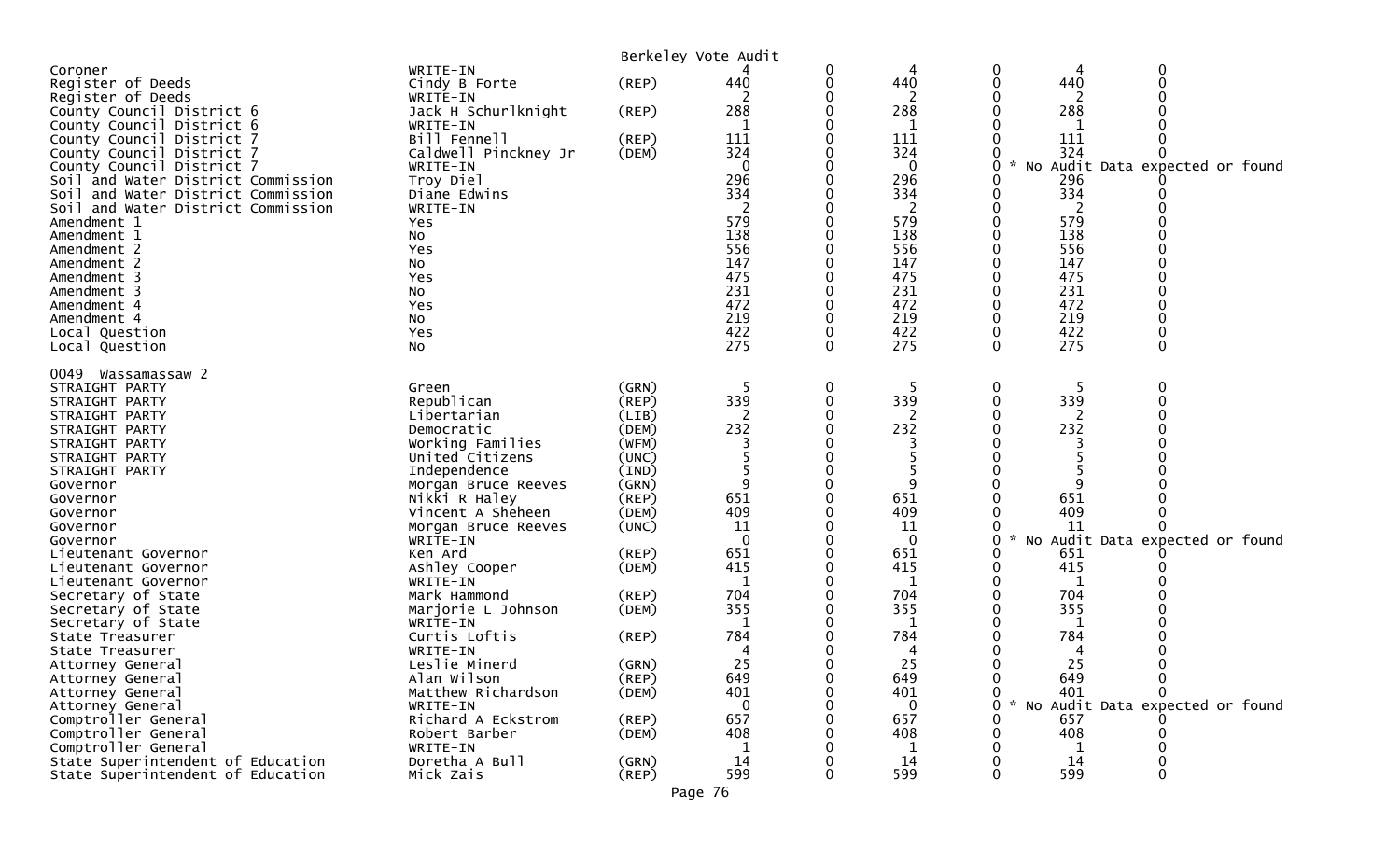|                                            |                                    | Berkeley Vote Audit |                |   |             |                    |                                 |
|--------------------------------------------|------------------------------------|---------------------|----------------|---|-------------|--------------------|---------------------------------|
| Coroner                                    | WRITE-IN                           |                     |                |   |             | 0                  | 0<br>4                          |
| Register of Deeds                          | Cindy B Forte                      | (REP)               | 440            |   | 440         | 440<br>0           |                                 |
| Register of Deeds                          | WRITE-IN                           |                     |                |   | 2           |                    |                                 |
| County Council District 6                  | Jack H Schurlknight                | $($ REP $)$         | 288            |   | 288         | 288                |                                 |
| County Council District 6                  | WRITE-IN                           |                     | 1              |   | 1           |                    | 1                               |
| County Council District 7                  | Bill Fennell                       | (REP)               | 111            |   | 111         | 111                |                                 |
| County Council District 7                  | Caldwell Pinckney Jr               | (DEM)               | 324            |   | 324         | 324                |                                 |
| County Council District 7                  | WRITE-IN                           |                     | $\overline{0}$ |   | $\mathbf 0$ | $\mathcal{H}$<br>0 | No Audit Data expected or found |
| Soil and Water District Commission         | Troy Diel                          |                     | 296            |   | 296         | 296                |                                 |
| Soil and Water District Commission         | Diane Edwins                       |                     | 334            |   | 334         | 334                |                                 |
| Soil and Water District Commission         | WRITE-IN                           |                     | 2              |   | 2           |                    | 2                               |
| Amendment 1                                | Yes                                |                     | 579            |   | 579         | 579                |                                 |
| Amendment 1                                | No                                 |                     | 138<br>556     |   | 138<br>556  | 138                |                                 |
| Amendment 2<br>Amendment 2                 | Yes<br>No                          |                     | 147            |   | 147         | 147                | 556                             |
| Amendment 3                                | Yes                                |                     | 475            |   | 475         | 475                |                                 |
| Amendment 3                                | NO.                                |                     | 231            |   | 231         | 231                |                                 |
| Amendment 4                                | Yes                                |                     | 472            |   | 472         | 472                |                                 |
| Amendment 4                                | No                                 |                     | 219            |   | 219         | 219                |                                 |
| Local Question                             | Yes                                |                     | 422            |   | 422         | 422<br>0           |                                 |
| Local Question                             | No                                 |                     | 275            |   | 275         | 275<br>$\Omega$    | $\Omega$                        |
|                                            |                                    |                     |                |   |             |                    |                                 |
| 0049 Wassamassaw 2                         |                                    |                     |                |   |             |                    |                                 |
| STRAIGHT PARTY                             | Green                              | (GRN)               | 5              | 0 | -5          | 0                  | 5                               |
| STRAIGHT PARTY                             | Republican                         | (REP)               | 339            |   | 339         | 339                |                                 |
| STRAIGHT PARTY                             | Libertarian                        | (LIB)               |                |   |             |                    |                                 |
| STRAIGHT PARTY                             | Democratic                         | (DEM)               | 232            |   | 232         | 232                |                                 |
| STRAIGHT PARTY                             | Working Families                   | (WFM)               |                |   |             |                    |                                 |
| STRAIGHT PARTY                             | United Citizens                    | (UNC)               |                |   |             |                    |                                 |
| STRAIGHT PARTY                             | Independence                       | (IND)               | q              |   |             |                    |                                 |
| Governor<br>Governor                       | Morgan Bruce Reeves                | (GRN)<br>(REP)      | 651            |   | 651         | 651                |                                 |
| Governor                                   | Nikki R Haley<br>Vincent A Sheheen | (DEM)               | 409            |   | 409         | 409                |                                 |
| Governor                                   | Morgan Bruce Reeves                | (UNC)               | 11             |   | 11          |                    | 11                              |
| Governor                                   | WRITE-IN                           |                     | $\Omega$       |   | $\mathbf 0$ | $\mathcal{H}$<br>0 | No Audit Data expected or found |
| Lieutenant Governor                        | Ken Ard                            | (REP)               | 651            |   | 651         | 651                |                                 |
| Lieutenant Governor                        | Ashley Cooper                      | (DEM)               | 415            |   | 415         | 415                |                                 |
| Lieutenant Governor                        | WRITE-IN                           |                     | -1             |   | 1           |                    |                                 |
| Secretary of State                         | Mark Hammond                       | (REP)               | 704            |   | 704         | 704                |                                 |
| Secretary of State                         | Marjorie L Johnson                 | (DEM)               | 355            |   | 355         | 355                |                                 |
| Secretary of State                         | WRITE-IN                           |                     | 1              |   | 1           |                    |                                 |
| State Treasurer                            | Curtis Loftis                      | $($ REP $)$         | 784            |   | 784         | 784                |                                 |
| State Treasurer                            | WRITE-IN                           |                     | 4              |   | 4           |                    | 4                               |
| Attorney General                           | Leslie Minerd                      | (GRN)               | 25             |   | 25          |                    | 25                              |
| Attorney General                           | Alan Wilson                        | (REP)               | 649            |   | 649         | 649<br>0           |                                 |
| Attorney General                           | Matthew Richardson                 | (DEM)               | 401            |   | 401         | 401                |                                 |
| Attorney General                           | WRITE-IN                           |                     | $\Omega$       |   | $\Omega$    |                    | No Audit Data expected or found |
| Comptroller General                        | Richard A Eckstrom                 | (REP)               | 657            |   | 657         | 657<br>408         |                                 |
| Comptroller General<br>Comptroller General | Robert Barber<br>WRITE-IN          | (DEM)               | 408            |   | 408         |                    |                                 |
| State Superintendent of Education          | Doretha A Bull                     | (GRN)               | 14             |   | 14          |                    | 14                              |
| State Superintendent of Education          | Mick Zais                          | $($ REP $)$         | 599            |   | 599         |                    | 599                             |
|                                            |                                    |                     | Page 76        |   |             |                    |                                 |
|                                            |                                    |                     |                |   |             |                    |                                 |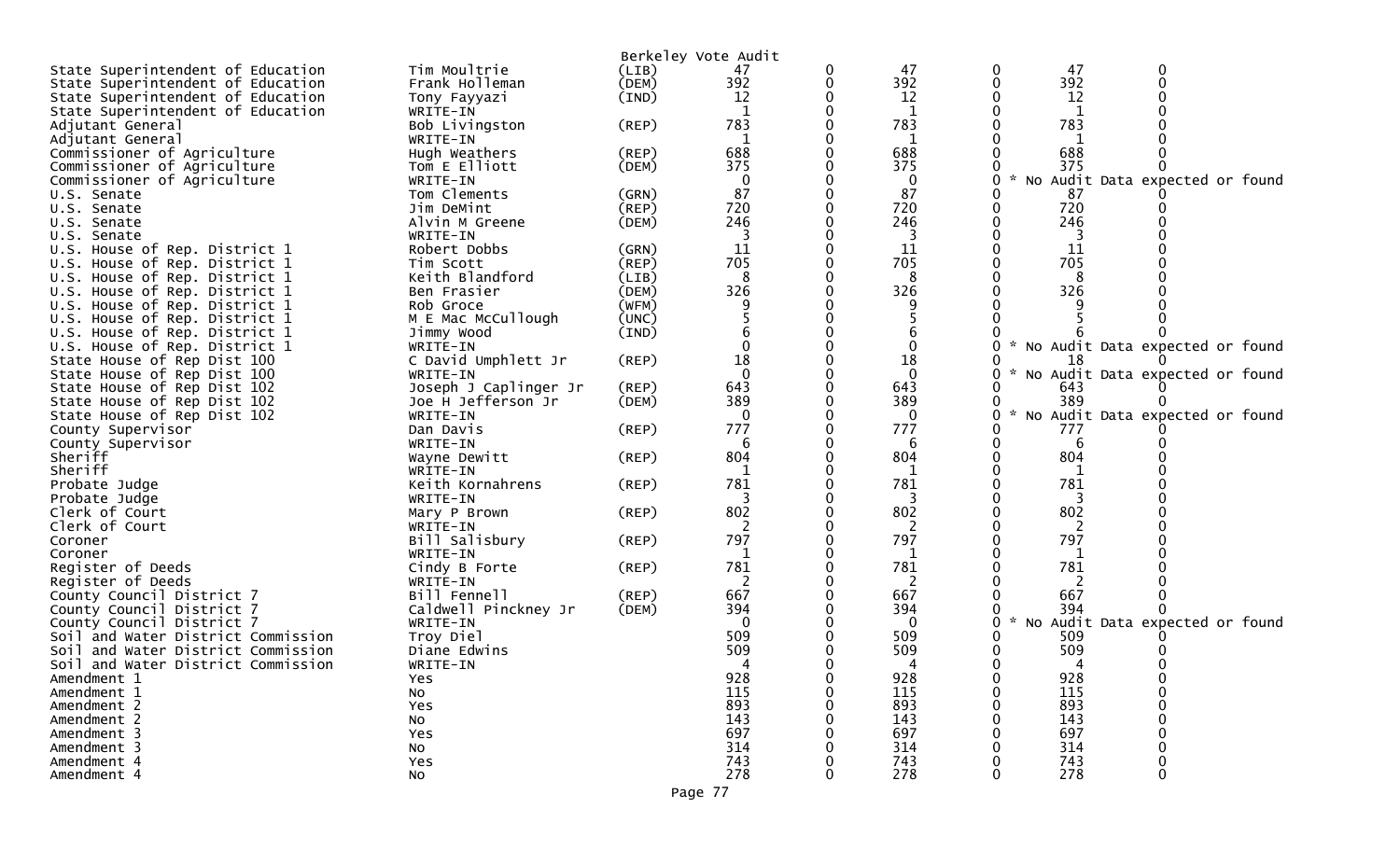|                                    |                           |                | Berkeley Vote Audit |   |              |   |                                   |                                 |   |  |
|------------------------------------|---------------------------|----------------|---------------------|---|--------------|---|-----------------------------------|---------------------------------|---|--|
| State Superintendent of Education  | Tim Moultrie              | (LIB)          | 47                  | 0 | 47           |   | 47<br>0                           |                                 | 0 |  |
| State Superintendent of Education  | Frank Holleman            | (DEM)          | 392                 | 0 | 392          |   | 392<br>0                          |                                 | 0 |  |
|                                    |                           |                | 12                  |   | 12           |   | 12                                |                                 |   |  |
| State Superintendent of Education  | Tony Fayyazi              | (IND)          |                     |   | 1            |   |                                   |                                 |   |  |
| State Superintendent of Education  | WRITE-IN                  |                |                     |   |              |   |                                   |                                 |   |  |
| Adjutant General                   | Bob Livingston            | (REP)          | 783                 |   | 783          |   | 783                               |                                 |   |  |
| Adjutant General                   | WRITE-IN                  |                |                     |   |              |   |                                   |                                 |   |  |
| Commissioner of Agriculture        | Hugh Weathers             | (REP)          | 688                 |   | 688          |   | 688                               |                                 |   |  |
| Commissioner of Agriculture        | Tom E Elliott             | (DEM)          | 375                 |   | 375          |   | 375                               |                                 |   |  |
| Commissioner of Agriculture        | WRITE-IN                  |                | 0                   |   | 0            |   | 0                                 | No Audit Data expected or found |   |  |
| U.S. Senate                        | Tom Clements              | (GRN)          | 87                  |   | 87           |   | 87                                |                                 |   |  |
| U.S. Senate                        | Jim DeMint                | (REP)          | 720                 |   | 720          |   | 720                               |                                 |   |  |
| U.S. Senate                        | Alvin M Greene            | (DEM)          | 246                 |   | 246          |   | 246                               |                                 |   |  |
| U.S. Senate                        | WRITE-IN                  |                |                     |   |              |   |                                   |                                 |   |  |
| U.S. House of Rep. District 1      | Robert Dobbs              | (GRN)          | 11                  |   | 11           |   | 11                                |                                 |   |  |
| U.S. House of Rep. District 1      | Tim Scott                 | (REP)          | 705                 |   | 705          |   | 705                               |                                 |   |  |
| U.S. House of Rep. District 1      | Keith Blandford           | (LIB)          | 8                   |   | 8            |   | 8                                 |                                 |   |  |
| U.S. House of Rep. District 1      | Ben Frasier               | (DEM)          | 326                 |   | 326          |   | 326                               |                                 |   |  |
| U.S. House of Rep. District 1      | Rob Groce                 | (WFM)          |                     |   |              |   |                                   |                                 |   |  |
| U.S. House of Rep. District 1      | M E Mac McCullough        | (UNC)          |                     |   |              |   |                                   |                                 |   |  |
| U.S. House of Rep. District 1      | Jimmy Wood                | (IND)          |                     |   |              |   |                                   |                                 |   |  |
| U.S. House of Rep. District 1      | WRITE-IN                  |                |                     |   |              |   | * No Audit Data expected or found |                                 |   |  |
| State House of Rep Dist 100        | C David Umphlett Jr       | $($ REP $)$    | 18                  |   | 18           |   | 18                                |                                 |   |  |
| State House of Rep Dist 100        | WRITE-IN                  |                | $\Omega$            |   | $\mathbf{0}$ |   | * No Audit Data expected or found |                                 |   |  |
| State House of Rep Dist 102        | Joseph J Caplinger Jr     | (REP)          | 643                 |   | 643          |   | 643                               |                                 |   |  |
| State House of Rep Dist 102        | Joe H Jefferson Jr        | (DEM)          | 389                 |   | 389          |   | 389                               |                                 |   |  |
| State House of Rep Dist 102        | WRITE-IN                  |                | $\Omega$            |   | $\mathbf 0$  |   | $\mathcal{H}$<br>0                | No Audit Data expected or found |   |  |
| County Supervisor                  | Dan Davis                 | (REP)          | 777                 |   | 777          |   | 777                               |                                 |   |  |
| County Supervisor                  | WRITE-IN                  |                | 6                   |   | 6            |   | 6                                 |                                 |   |  |
| Sheriff                            | Wayne Dewitt              | $($ REP $)$    | 804                 |   | 804          |   | 804                               |                                 |   |  |
| Sheriff                            | WRITE-IN                  |                |                     |   |              |   |                                   |                                 |   |  |
| Probate Judge                      | Keith Kornahrens          | $($ REP $)$    | 781                 |   | 781          |   | 781                               |                                 |   |  |
| Probate Judge                      | WRITE-IN                  |                |                     |   | 3            |   | 3                                 |                                 |   |  |
| Clerk of Court                     | Mary P Brown              | (REP)          | 802                 |   | 802          |   | 802                               |                                 |   |  |
| Clerk of Court                     | WRITE-IN                  |                | 2                   |   | 2            |   | 2                                 |                                 |   |  |
| Coroner                            | Bill Salisbury            | (REP)          | 797                 |   | 797          |   | 797                               |                                 |   |  |
| Coroner                            | WRITE-IN                  |                |                     |   | 1            |   |                                   |                                 |   |  |
| Register of Deeds                  |                           | $($ REP $)$    | 781                 |   | 781          |   | 781                               |                                 |   |  |
| Register of Deeds                  | Cindy B Forte<br>WRITE-IN |                |                     |   |              |   |                                   |                                 |   |  |
| County Council District 7          | Bill Fennell              |                | 667                 |   | 667          |   | 667                               |                                 |   |  |
|                                    |                           | (REP)<br>(DEM) | 394                 |   | 394          |   | 394                               |                                 |   |  |
| County Council District 7          | Caldwell Pinckney Jr      |                | $\Omega$            |   | $\Omega$     |   | $\mathcal{H}$                     |                                 |   |  |
| County Council District 7          | WRITE-IN<br>Troy Diel     |                | 509                 |   | 509          |   |                                   | No Audit Data expected or found |   |  |
| Soil and Water District Commission |                           |                | 509                 |   |              |   | 509                               |                                 |   |  |
| Soil and Water District Commission | Diane Edwins              |                |                     |   | 509          |   | 509                               |                                 |   |  |
| Soil and Water District Commission | WRITE-IN                  |                |                     |   |              |   |                                   |                                 |   |  |
| Amendment 1                        | Yes.                      |                | 928                 |   | 928          | 0 | 928                               |                                 |   |  |
| Amendment 1                        | No                        |                | 115                 |   | 115          |   | 115                               |                                 | 0 |  |
| Amendment 2                        | Yes                       |                | 893                 |   | 893          |   | 893                               |                                 |   |  |
| Amendment 2                        | No                        |                | 143                 |   | 143          |   | 143                               |                                 |   |  |
| Amendment 3                        | Yes                       |                | 697                 |   | 697          |   | 697                               |                                 |   |  |
| Amendment 3                        | No                        |                | 314                 |   | 314          |   | 314                               |                                 |   |  |
| Amendment 4                        | Yes                       |                | 743                 |   | 743          |   | 743                               |                                 |   |  |
| Amendment 4                        | No                        |                | 278                 |   | 278          |   | 278                               |                                 | 0 |  |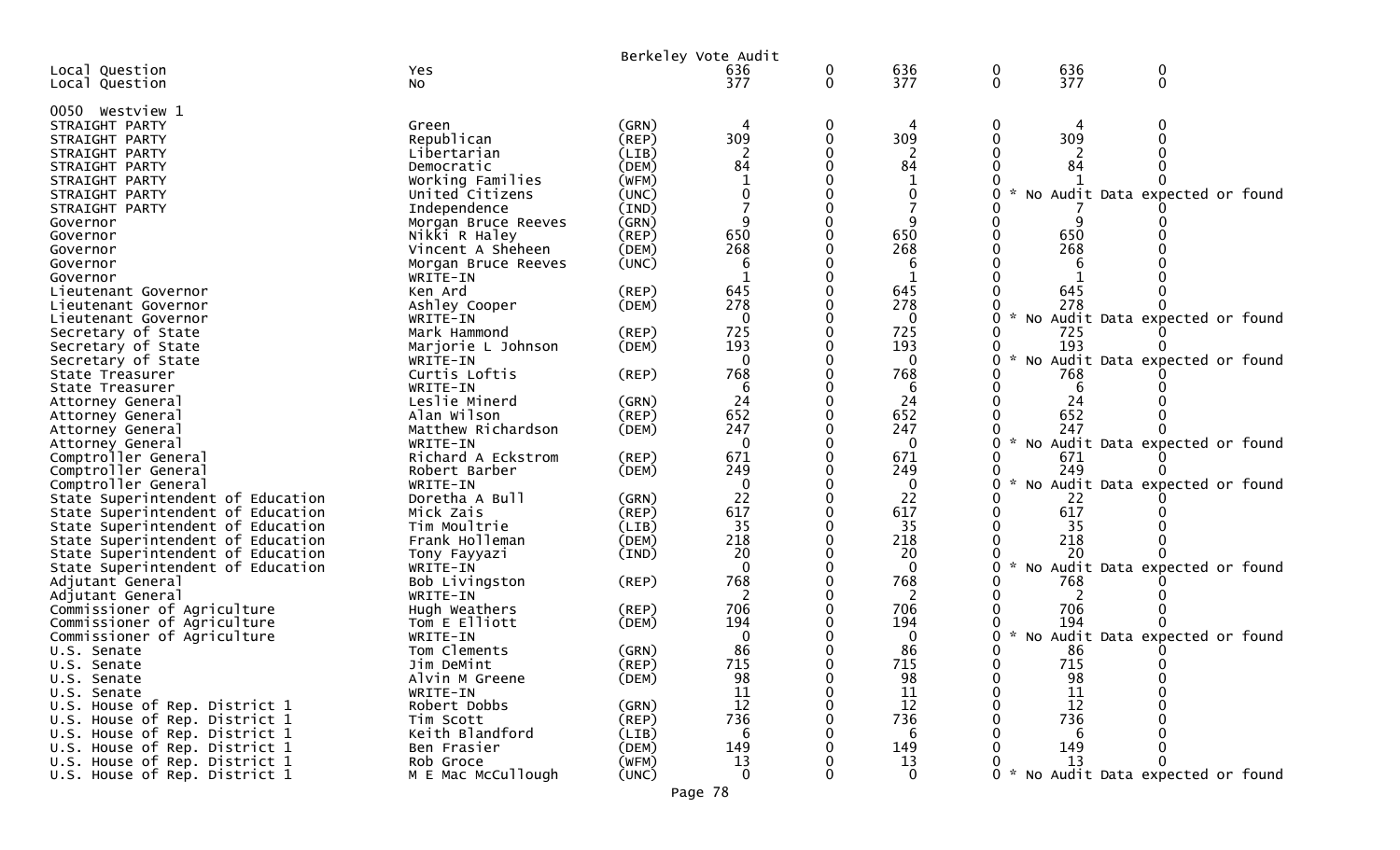|                                            |                                | Berkeley Vote Audit |                 |              |                 |                                 |     |                                     |  |
|--------------------------------------------|--------------------------------|---------------------|-----------------|--------------|-----------------|---------------------------------|-----|-------------------------------------|--|
| Local Question                             | Yes                            |                     | 636             | 0            | 636             | 0                               | 636 | 0                                   |  |
| Local Question                             | NO.                            |                     | 377             | $\mathbf{0}$ | 377             | $\mathbf{0}$                    | 377 | $\mathbf{0}$                        |  |
| 0050 Westview 1                            |                                |                     |                 |              |                 |                                 |     |                                     |  |
| STRAIGHT PARTY                             | Green                          | (GRN)               |                 | 0            |                 | 0                               |     |                                     |  |
| STRAIGHT PARTY                             | Republican                     | (REP)               | 309             | $\Omega$     | 309             | 0                               | 309 |                                     |  |
| STRAIGHT PARTY                             | Libertarian                    | (LIB)               |                 |              |                 |                                 |     |                                     |  |
| STRAIGHT PARTY                             | Democratic                     | (DEM)               | 84              | $\Omega$     | 84              |                                 | 84  |                                     |  |
| STRAIGHT PARTY                             | Working Families               | (WFM)               |                 |              | 1               |                                 |     |                                     |  |
| STRAIGHT PARTY                             | United Citizens                | (UNC)               | ∩               |              | 0               |                                 |     | No Audit Data expected or found     |  |
| STRAIGHT PARTY                             | Independence                   | (IND)               |                 | 0            |                 |                                 |     |                                     |  |
| Governor                                   | Morgan Bruce Reeves            | (GRN)               | q               |              | q               |                                 |     |                                     |  |
| Governor                                   | Nikki R Haley                  | (REP)               | 650             |              | 650             |                                 | 650 |                                     |  |
| Governor                                   | Vincent A Sheheen              | (DEM)               | 268             |              | 268             |                                 | 268 |                                     |  |
| Governor                                   | Morgan Bruce Reeves            | (UNC)               | 6               |              | 6               |                                 |     |                                     |  |
| Governor                                   | WRITE-IN                       |                     |                 |              | -1              |                                 |     |                                     |  |
| Lieutenant Governor                        | Ken Ard                        | (REP)               | 645             |              | 645             |                                 | 645 |                                     |  |
| Lieutenant Governor                        | Ashley Cooper                  | (DEM)               | 278             |              | 278             |                                 | 278 |                                     |  |
| Lieutenant Governor                        | WRITE-IN                       |                     | $\Omega$        |              | $\Omega$        | <b>NO</b>                       |     | Audit Data expected or found        |  |
| Secretary of State                         | Mark Hammond                   | (REP)               | 725             |              | 725             |                                 | 725 |                                     |  |
| Secretary of State                         | Marjorie L Johnson             | (DEM)               | 193             |              | 193             |                                 | 193 |                                     |  |
| Secretary of State                         | WRITE-IN                       |                     | $\Omega$        |              | 0               | 0                               |     | No Audit Data expected or found     |  |
| State Treasurer                            | Curtis Loftis                  | (REP)               | 768             |              | 768             |                                 | 768 |                                     |  |
| State Treasurer                            | WRITE-IN                       |                     | 6               |              | -6              |                                 | 6   |                                     |  |
| Attorney General                           | Leslie Minerd                  | (GRN)               | 24              |              | 24              |                                 | 24  |                                     |  |
| Attorney General                           | Alan Wilson                    | (REP)               | 652             |              | 652             |                                 | 652 |                                     |  |
| Attorney General                           | Matthew Richardson             | (DEM)               | 247             |              | 247             | $\sim$                          | 247 |                                     |  |
| Attorney General                           | WRITE-IN<br>Richard A Eckstrom |                     | $\Omega$<br>671 |              | $\Omega$<br>671 |                                 | 671 | No Audit Data expected or found     |  |
| Comptroller General<br>Comptroller General |                                | (REP)               | 249             |              | 249             |                                 | 249 |                                     |  |
| Comptroller General                        | Robert Barber<br>WRITE-IN      | (DEM)               | 0               |              | 0               | $\sim$<br>0                     |     | No Audit Data expected or found     |  |
| State Superintendent of Education          | Doretha A Bull                 | (GRN)               | 22              |              | 22              |                                 | 22  |                                     |  |
| State Superintendent of Education          | Mick Zais                      | (REP)               | 617             | 0            | 617             |                                 | 617 |                                     |  |
| State Superintendent of Education          | Tim Moultrie                   | (LIB)               | 35              |              | 35              |                                 | 35  |                                     |  |
| State Superintendent of Education          | Frank Holleman                 | (DEM)               | 218             |              | 218             |                                 | 218 |                                     |  |
| State Superintendent of Education          | Tony Fayyazi                   | (IND)               | 20              |              | 20              |                                 | 20  |                                     |  |
| State Superintendent of Education          | WRITE-IN                       |                     | $\Omega$        |              | $\mathbf{0}$    | $\mathcal{H}$<br>0<br><b>NO</b> |     | Audit Data expected or found        |  |
| Adjutant General                           | Bob Livingston                 | (REP)               | 768             |              | 768             |                                 | 768 |                                     |  |
| Adjutant General                           | WRITE-IN                       |                     |                 |              |                 |                                 |     |                                     |  |
| Commissioner of Agriculture                | Hugh Weathers                  | (REP)               | 706             |              | 706             |                                 | 706 |                                     |  |
| Commissioner of Agriculture                | Tom E Elliott                  | (DEM)               | 194             |              | 194             |                                 | 194 |                                     |  |
| Commissioner of Agriculture                | WRITE-IN                       |                     | 0               |              | 0               | $\sim$                          |     | No Audit Data expected or found     |  |
| U.S. Senate                                | Tom Clements                   | (GRN)               | 86              |              | 86              | 0                               | 86  |                                     |  |
| U.S. Senate                                | Jim DeMint                     | $($ REP $)$         | 715             |              | 715             | 0                               | 715 | $\Omega$                            |  |
| U.S. Senate                                | Alvin M Greene                 | (DEM)               | 98              |              | 98              | 0                               | 98  |                                     |  |
| U.S. Senate                                | WRITE-IN                       |                     | 11              |              | 11              | 0                               | 11  |                                     |  |
| U.S. House of Rep. District 1              | Robert Dobbs                   | (GRN)               | 12              |              | 12              |                                 | 12  |                                     |  |
| U.S. House of Rep. District 1              | Tim Scott                      | (REP)               | 736             |              | 736             |                                 | 736 |                                     |  |
| U.S. House of Rep. District 1              | Keith Blandford                | (LIB)               | 6               |              | -6              |                                 | 6   |                                     |  |
| U.S. House of Rep. District 1              | Ben Frasier                    | (DEM)               | 149             |              | 149             |                                 | 149 |                                     |  |
| U.S. House of Rep. District 1              | Rob Groce                      | (WFM)               | 13              |              | 13              |                                 | 13  | 0                                   |  |
| U.S. House of Rep. District 1              | M E Mac McCullough             | (UNC)               | $\Omega$        |              | $\Omega$        |                                 |     | 0 * No Audit Data expected or found |  |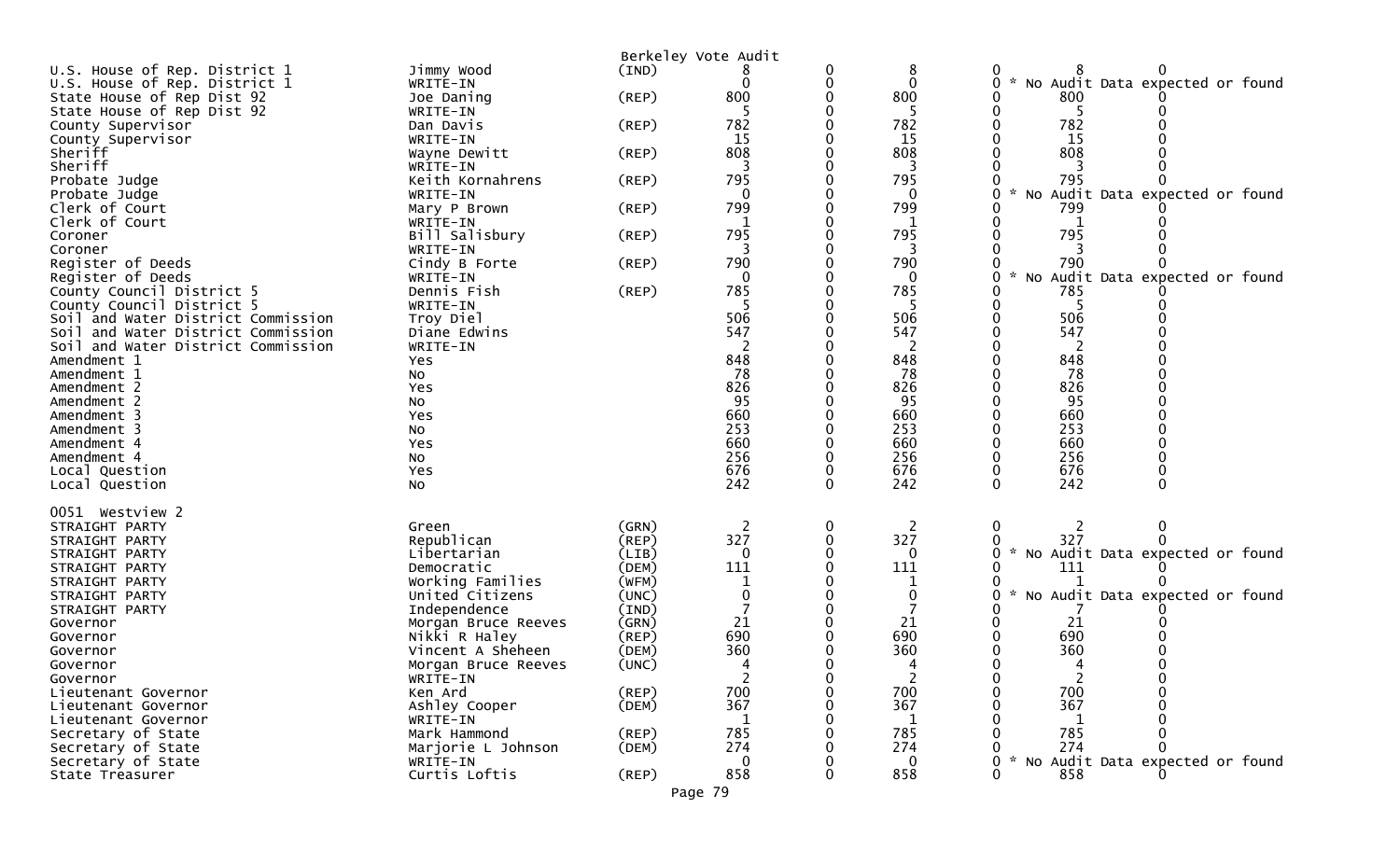|                                    |                                      |                | Berkeley Vote Audit |   |                |                                                              |
|------------------------------------|--------------------------------------|----------------|---------------------|---|----------------|--------------------------------------------------------------|
| U.S. House of Rep. District 1      | Jimmy Wood                           | (IND)          |                     |   | 8              |                                                              |
| U.S. House of Rep. District 1      | WRITE-IN                             |                |                     |   | $\mathbf{0}$   | 0<br>No Audit Data expected or found                         |
| State House of Rep Dist 92         | Joe Daning                           | $($ REP $)$    | 800                 |   | 800            | 800                                                          |
| State House of Rep Dist 92         | WRITE-IN                             |                |                     |   | 5              | 5                                                            |
| County Supervisor                  | Dan Davis                            | $($ REP $)$    | 782                 |   | 782            | 782                                                          |
| County Supervisor                  | WRITE-IN                             |                | 15                  |   | 15             | 15                                                           |
| Sheriff                            | Wayne Dewitt                         | (REP)          | 808                 |   | 808            | 808                                                          |
| Sheriff                            | WRITE-IN                             |                |                     |   | 795            |                                                              |
| Probate Judge                      | Keith Kornahrens                     | $($ REP $)$    | 795<br>0            |   | $\mathbf 0$    | 795<br>No Audit Data expected or found<br>$\mathcal{H}$<br>0 |
| Probate Judge<br>Clerk of Court    | WRITE-IN<br>Mary P Brown             | (REP)          | 799                 |   | 799            | 799                                                          |
| Clerk of Court                     | WRITE-IN                             |                |                     |   |                |                                                              |
| Coroner                            | Bill Salisbury                       | (REP)          | 795                 |   | 795            | 795                                                          |
| Coroner                            | WRITE-IN                             |                |                     |   | 3              |                                                              |
| Register of Deeds                  | Cindy B Forte                        | $($ REP $)$    | 790                 |   | 790            | 790                                                          |
| Register of Deeds                  | WRITE-IN                             |                | $\Omega$            |   | 0              | No Audit Data expected or found<br>0                         |
| County Council District 5          | Dennis Fish                          | (REP)          | 785                 |   | 785            | 785                                                          |
| County Council District 5          | WRITE-IN                             |                |                     |   |                | 5                                                            |
| Soil and Water District Commission | Troy Diel                            |                | 506                 |   | 506            | 506                                                          |
| Soil and Water District Commission | Diane Edwins                         |                | 547                 |   | 547            | 547                                                          |
| Soil and Water District Commission | WRITE-IN                             |                |                     |   |                |                                                              |
| Amendment 1                        | Yes                                  |                | 848                 |   | 848            | 848                                                          |
| Amendment 1                        | No                                   |                | 78                  |   | 78             | 78                                                           |
| Amendment 2                        | Yes                                  |                | 826                 |   | 826            | 826                                                          |
| Amendment 2                        | No                                   |                | 95                  |   | 95             | 95                                                           |
| Amendment 3                        | Yes                                  |                | 660                 |   | 660            | 660                                                          |
| Amendment 3                        | No                                   |                | 253<br>660          |   | 253<br>660     | 253<br>660                                                   |
| Amendment 4<br>Amendment 4         | Yes<br>No                            |                | 256                 |   | 256            | 256                                                          |
| Local Question                     | Yes                                  |                | 676                 |   | 676            | 676<br>0                                                     |
| Local Question                     | No                                   |                | 242                 | 0 | 242            | 242<br>$\Omega$<br>0                                         |
|                                    |                                      |                |                     |   |                |                                                              |
| 0051 Westview 2                    |                                      |                |                     |   |                |                                                              |
| STRAIGHT PARTY                     | Green                                | (GRN)          | 2                   | 0 | $\overline{2}$ | 0<br>0<br>2                                                  |
| STRAIGHT PARTY                     | Republican                           | (REP)          | 327                 |   | 327            | 327                                                          |
| STRAIGHT PARTY                     | Libertarian                          | (LIB)          | $\Omega$            |   | 0              | $\sim$<br>No Audit Data expected or found<br>0               |
| STRAIGHT PARTY                     | Democratic                           | (DEM)          | 111                 |   | 111            | 111                                                          |
| STRAIGHT PARTY                     | Working Families                     | (WFM)          |                     |   |                |                                                              |
| STRAIGHT PARTY                     | United Citizens                      | (UNC)          |                     |   | 0              | No Audit Data expected or found<br>0                         |
| STRAIGHT PARTY                     | Independence                         | (IND)          |                     |   |                |                                                              |
| Governor                           | Morgan Bruce Reeves<br>Nikki R Haley | (GRN)<br>(REP) | 21<br>690           |   | 21<br>690      | 21<br>690                                                    |
| Governor<br>Governor               | Vincent A Sheheen                    | (DEM)          | 360                 |   | 360            | 360                                                          |
| Governor                           | Morgan Bruce Reeves                  | (UNC)          |                     |   |                | ∩                                                            |
| Governor                           | WRITE-IN                             |                |                     |   | $\overline{2}$ | 2<br>0                                                       |
| Lieutenant Governor                | Ken Ard                              | (REP)          | 700                 |   | 700            | 700                                                          |
| Lieutenant Governor                | Ashley Cooper                        | (DEM)          | 367                 |   | 367            | 367                                                          |
| Lieutenant Governor                | WRITE-IN                             |                | 1                   |   | 1              | -1                                                           |
| Secretary of State                 | Mark Hammond                         | (REP)          | 785                 |   | 785            | 785                                                          |
| Secretary of State                 | Marjorie L Johnson                   | (DEM)          | 274                 |   | 274            | 274                                                          |
| Secretary of State                 | WRITE-IN                             |                | $\mathbf 0$         |   | $\mathbf 0$    | No Audit Data expected or found<br>0                         |
| State Treasurer                    | Curtis Loftis                        | $($ REP $)$    | 858                 |   | 858            | 0<br>858                                                     |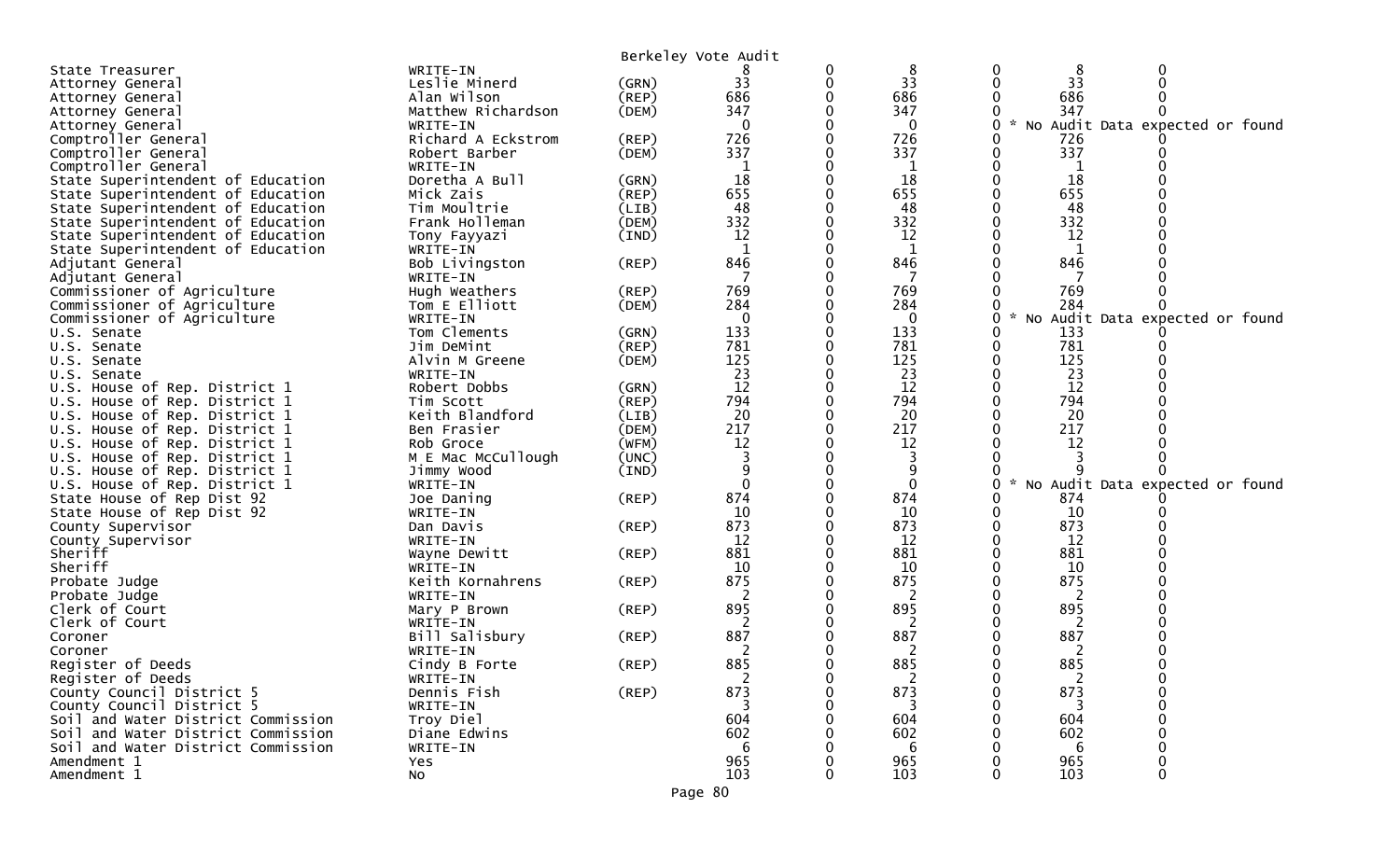|                                    |                       | Berkeley Vote Audit |             |   |                   |               |     |                                   |  |
|------------------------------------|-----------------------|---------------------|-------------|---|-------------------|---------------|-----|-----------------------------------|--|
| State Treasurer                    | WRITE-IN              |                     |             |   | 8                 | 0             | 8   | 0                                 |  |
| Attorney General                   | Leslie Minerd         | (GRN)               | 33          | 0 | 33                | 0             | 33  |                                   |  |
| Attorney General                   | Alan Wilson           | $($ REP $)$         | 686         |   | 686               |               | 686 |                                   |  |
| Attorney General                   | Matthew Richardson    | (DEM)               | 347         |   | 347               |               | 347 |                                   |  |
| Attorney General                   | WRITE-IN              |                     | $\Omega$    |   | $\mathbf 0$       | 0             |     | * No Audit Data expected or found |  |
| Comptroller General                | Richard A Eckstrom    | (REP)               | 726         |   | 726               |               | 726 |                                   |  |
| Comptroller General                | Robert Barber         | (DEM)               | 337         |   | 337               | 0             | 337 |                                   |  |
| Comptroller General                | WRITE-IN              |                     | 1           |   | 1                 |               | 1   |                                   |  |
| State Superintendent of Education  | Doretha A Bull        | (GRN)               | 18          |   | 18                |               | 18  |                                   |  |
| State Superintendent of Education  | Mick Zais             | $($ REP $)$         | 655         |   | 655               |               | 655 |                                   |  |
| State Superintendent of Education  | Tim Moultrie          | (LIB)               | 48          |   | 48                |               | 48  |                                   |  |
| State Superintendent of Education  | Frank Holleman        | (DEM)               | 332         |   | 332               |               | 332 |                                   |  |
| State Superintendent of Education  | Tony Fayyazi          | (IND)               | 12          |   | 12                |               | 12  |                                   |  |
| State Superintendent of Education  | WRITE-IN              |                     | $\mathbf 1$ |   | 1                 |               | 1   |                                   |  |
| Adjutant General                   | Bob Livingston        | (REP)               | 846         |   | 846               |               | 846 |                                   |  |
| Adjutant General                   | WRITE-IN              |                     |             |   |                   |               |     |                                   |  |
| Commissioner of Agriculture        | Hugh Weathers         | (REP)               | 769         |   | 769               |               | 769 |                                   |  |
| Commissioner of Agriculture        | Tom E Elliott         | (DEM)               | 284         |   | 284               |               | 284 |                                   |  |
| Commissioner of Agriculture        | WRITE-IN              |                     | $\Omega$    |   | $\mathbf{0}$      | <b>A</b><br>0 |     | No Audit Data expected or found   |  |
| U.S. Senate                        | Tom Clements          | (GRN)               | 133         |   | 133               | 0             | 133 |                                   |  |
| U.S. Senate                        | Jim DeMint            | $($ REP $)$         | 781         |   | 781               | 0             | 781 |                                   |  |
| U.S. Senate                        | Alvin M Greene        | (DEM)               | 125         |   | 125               |               | 125 |                                   |  |
| U.S. Senate                        | WRITE-IN              |                     | 23          |   | 23                |               | 23  |                                   |  |
| U.S. House of Rep. District 1      | Robert Dobbs          | (GRN)               | 12          |   | 12                |               | 12  |                                   |  |
| U.S. House of Rep. District 1      | Tim Scott             | $($ REP $)$         | 794         |   | 794               |               | 794 |                                   |  |
| U.S. House of Rep. District 1      | Keith Blandford       | (LIB)               | 20          |   | 20                |               | 20  |                                   |  |
| U.S. House of Rep. District 1      | Ben Frasier           | (DEM)               | 217         |   | 217               |               | 217 |                                   |  |
| U.S. House of Rep. District 1      | Rob Groce             | (WFM)               | 12          |   | 12                |               | 12  |                                   |  |
| U.S. House of Rep. District 1      | M E Mac McCullough    | (UNC)               |             |   | 3                 |               |     |                                   |  |
| U.S. House of Rep. District 1      | Jimmy Wood            | (IND)               |             |   | 9<br>$\mathbf{0}$ | $\mathcal{H}$ |     |                                   |  |
| U.S. House of Rep. District 1      | WRITE-IN              |                     | 874         |   | 874               | 0             | 874 | No Audit Data expected or found   |  |
| State House of Rep Dist 92         | Joe Daning            | (REP)               | 10          |   | 10                | 0             | 10  |                                   |  |
| State House of Rep Dist 92         | WRITE-IN<br>Dan Davis | (REP)               | 873         |   | 873               |               | 873 |                                   |  |
| County Supervisor                  | WRITE-IN              |                     | 12          |   | 12                |               | 12  |                                   |  |
| County Supervisor<br>Sheriff       | Wayne Dewitt          | $($ REP $)$         | 881         |   | 881               |               | 881 |                                   |  |
| Sheriff                            | WRITE-IN              |                     | 10          |   | 10                |               | 10  |                                   |  |
| Probate Judge                      | Keith Kornahrens      | $($ REP $)$         | 875         |   | 875               |               | 875 |                                   |  |
| Probate Judge                      | WRITE-IN              |                     |             |   | 2                 |               | 2   |                                   |  |
| Clerk of Court                     | Mary P Brown          | $($ REP $)$         | 895         |   | 895               |               | 895 |                                   |  |
| Clerk of Court                     | WRITE-IN              |                     |             |   | 2                 |               |     |                                   |  |
| Coroner                            | Bill Salisbury        | (REP)               | 887         |   | 887               |               | 887 |                                   |  |
| Coroner                            | WRITE-IN              |                     | 2           |   | 2                 |               | 2   |                                   |  |
| Register of Deeds                  | Cindy B Forte         | $($ REP $)$         | 885         |   | 885               |               | 885 |                                   |  |
| Register of Deeds                  | WRITE-IN              |                     | 2           |   | 2                 | 0             | 2   |                                   |  |
| County Council District 5          | Dennis Fish           | (REP)               | 873         |   | 873               |               | 873 |                                   |  |
| County Council District 5          | WRITE-IN              |                     | 3           |   |                   |               |     |                                   |  |
| Soil and Water District Commission | Troy Diel             |                     | 604         |   | 604               |               | 604 |                                   |  |
| Soil and Water District Commission | Diane Edwins          |                     | 602         |   | 602               |               | 602 |                                   |  |
| Soil and Water District Commission | WRITE-IN              |                     | 6           |   | -6                |               | 6   |                                   |  |
| Amendment 1                        | Yes                   |                     | 965         |   | 965               |               | 965 |                                   |  |
| Amendment 1                        | <b>NO</b>             |                     | 103         |   | 103               |               | 103 |                                   |  |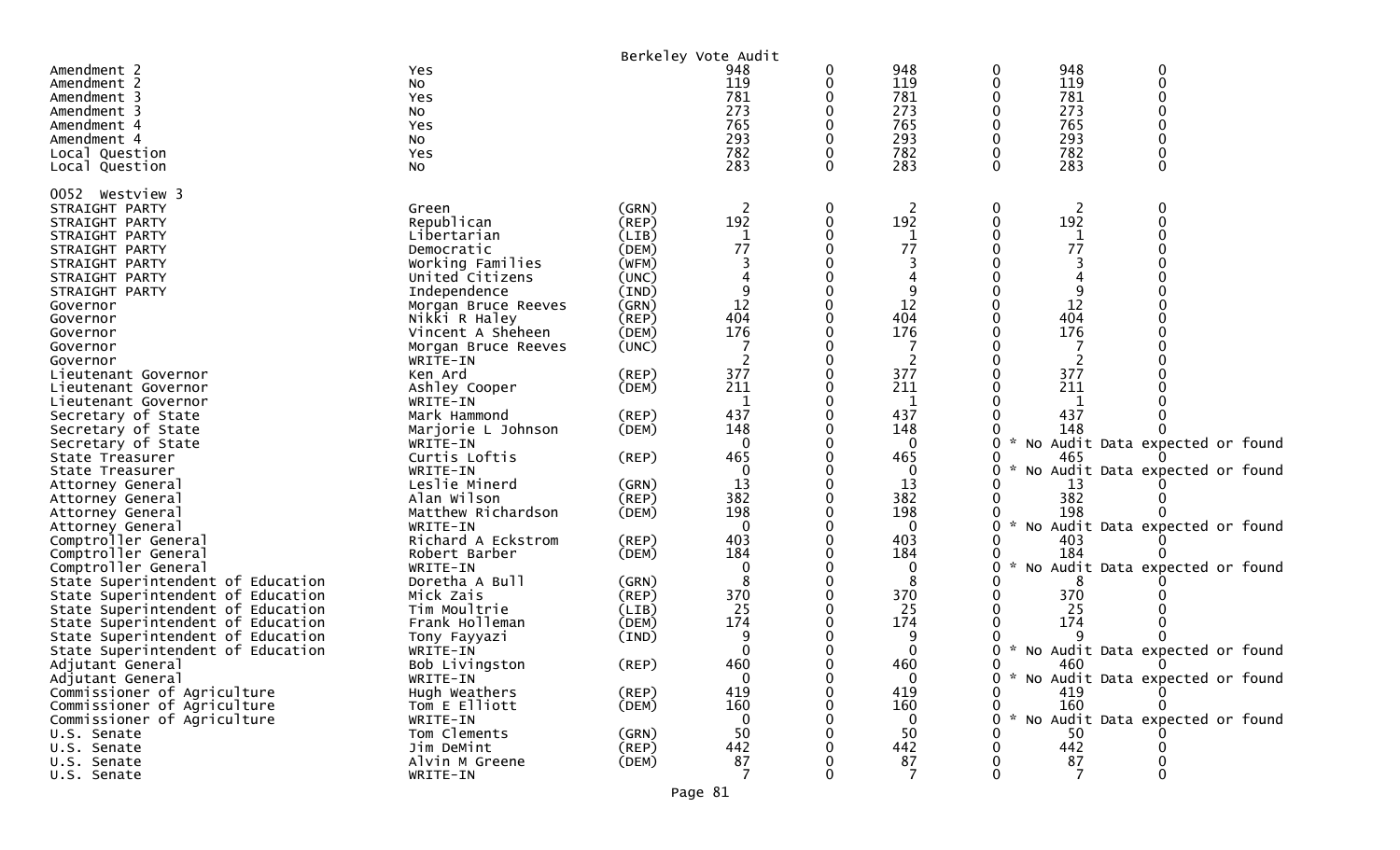| 0<br>Amendment 2<br>948<br>0<br>0<br>Yes<br>119<br>119<br>119<br>0<br>0<br>Amendment 2<br>0<br>No<br>781<br>781<br>781<br>0<br>Yes<br>Amendment 3<br>273<br>273<br>273<br>O<br>Amendment 3<br>No<br>765<br>765<br>765<br>0<br>Amendment 4<br>Yes<br>293<br>293<br>293<br>0<br>No<br>Amendment 4<br>782<br>782<br>782<br>Local Question<br>Yes<br>283<br>283<br>283<br>0<br>0<br>0<br>Local Question<br>No<br>0052 Westview 3<br>$\overline{2}$<br>0<br>$\overline{c}$<br>0<br>$\overline{2}$<br>0<br>(GRN)<br>STRAIGHT PARTY<br>Green<br>192<br>192<br>192<br>Republican<br>0<br>$\Omega$<br>(REP)<br>0<br>STRAIGHT PARTY<br>0<br>Libertarian<br>(LIB)<br>1<br>1<br>STRAIGHT PARTY<br>1<br>77<br>77<br>77<br>(DEM)<br>Democratic<br>STRAIGHT PARTY<br>Working Families<br>(WFM)<br>STRAIGHT PARTY<br>United Citizens<br>(UNC)<br>STRAIGHT PARTY<br>9<br>9<br>(IND)<br>STRAIGHT PARTY<br>Independence<br>12<br>12<br>12<br>0<br>Morgan Bruce Reeves<br>(GRN)<br>Governor<br>404<br>404<br>404<br>Nikki R Haley<br>(REP)<br>Governor<br>176<br>176<br>176<br>(DEM)<br>Vincent A Sheheen<br>Governor<br>Morgan Bruce Reeves<br>(UNC)<br>Governor<br>2<br>WRITE-IN<br>Governor<br>377<br>377<br>377<br>Ken Ard<br>(REP)<br>Lieutenant Governor<br>211<br>211<br>211<br>Ashley Cooper<br>(DEM)<br>Lieutenant Governor<br>1<br>1<br>1<br>WRITE-IN<br>Lieutenant Governor<br>437<br>437<br>437<br>Mark Hammond<br>(REP)<br>Secretary of State<br>148<br>148<br>148<br>Secretary of State<br>Marjorie L Johnson<br>(DEM)<br>$\mathbf{0}$<br>$\mathbf{0}$<br>No Audit Data expected or found<br>0<br>*<br>Secretary of State<br>WRITE-IN<br>Curtis Loftis<br>465<br>465<br>$($ REP $)$<br>465<br>State Treasurer<br>No Audit Data expected or found<br>WRITE-IN<br>$\mathbf 0$<br>State Treasurer<br>$\Omega$<br>13<br>13<br>Leslie Minerd<br>(GRN)<br>13<br>Attorney General<br>382<br>382<br>382<br>Alan Wilson<br>$($ REP $)$<br>Attorney General<br>198<br>198<br>198<br>Matthew Richardson<br>(DEM)<br>0<br>Attorney General<br>$\mathbf 0$<br>$\mathbf 0$<br>No Audit Data expected or found<br>0<br>WRITE-IN<br>Attorney General<br>403<br>403<br>Richard A Eckstrom<br>403<br>Comptroller General<br>$($ REP $)$<br>184<br>Comptroller General<br>(DEM)<br>0<br>184<br>184<br>Robert Barber<br>0<br>No Audit Data expected or found<br>Comptroller General<br>$\mathbf 0$<br>0<br>WRITE-IN<br>0<br>Doretha A Bull<br>8<br>State Superintendent of Education<br>(GRN)<br>8<br>370<br>370<br>370<br>State Superintendent of Education<br>Mick Zais<br>(REP)<br>0<br>25<br>25<br>25<br>Tim Moultrie<br>State Superintendent of Education<br>(LIB)<br>174<br>174<br>174<br>Frank Holleman<br>State Superintendent of Education<br>(DEM)<br>9<br>State Superintendent of Education<br>(IND)<br>Tony Fayyazi<br>Audit Data expected or found<br>$\mathbf 0$<br>$\mathbf 0$<br>State Superintendent of Education<br>WRITE-IN<br>0<br><b>NO</b><br>460<br>460<br>$($ REP $)$<br>460<br>Adjutant General<br>Bob Livingston |  | Berkeley Vote Audit |  |     |     |  |
|------------------------------------------------------------------------------------------------------------------------------------------------------------------------------------------------------------------------------------------------------------------------------------------------------------------------------------------------------------------------------------------------------------------------------------------------------------------------------------------------------------------------------------------------------------------------------------------------------------------------------------------------------------------------------------------------------------------------------------------------------------------------------------------------------------------------------------------------------------------------------------------------------------------------------------------------------------------------------------------------------------------------------------------------------------------------------------------------------------------------------------------------------------------------------------------------------------------------------------------------------------------------------------------------------------------------------------------------------------------------------------------------------------------------------------------------------------------------------------------------------------------------------------------------------------------------------------------------------------------------------------------------------------------------------------------------------------------------------------------------------------------------------------------------------------------------------------------------------------------------------------------------------------------------------------------------------------------------------------------------------------------------------------------------------------------------------------------------------------------------------------------------------------------------------------------------------------------------------------------------------------------------------------------------------------------------------------------------------------------------------------------------------------------------------------------------------------------------------------------------------------------------------------------------------------------------------------------------------------------------------------------------------------------------------------------------------------------------------------------------------------------------------------------------------------------------------------------------------------------------------------------------------------------------------------------------------------------------------------------------------------------|--|---------------------|--|-----|-----|--|
|                                                                                                                                                                                                                                                                                                                                                                                                                                                                                                                                                                                                                                                                                                                                                                                                                                                                                                                                                                                                                                                                                                                                                                                                                                                                                                                                                                                                                                                                                                                                                                                                                                                                                                                                                                                                                                                                                                                                                                                                                                                                                                                                                                                                                                                                                                                                                                                                                                                                                                                                                                                                                                                                                                                                                                                                                                                                                                                                                                                                                  |  |                     |  | 948 | 948 |  |
|                                                                                                                                                                                                                                                                                                                                                                                                                                                                                                                                                                                                                                                                                                                                                                                                                                                                                                                                                                                                                                                                                                                                                                                                                                                                                                                                                                                                                                                                                                                                                                                                                                                                                                                                                                                                                                                                                                                                                                                                                                                                                                                                                                                                                                                                                                                                                                                                                                                                                                                                                                                                                                                                                                                                                                                                                                                                                                                                                                                                                  |  |                     |  |     |     |  |
|                                                                                                                                                                                                                                                                                                                                                                                                                                                                                                                                                                                                                                                                                                                                                                                                                                                                                                                                                                                                                                                                                                                                                                                                                                                                                                                                                                                                                                                                                                                                                                                                                                                                                                                                                                                                                                                                                                                                                                                                                                                                                                                                                                                                                                                                                                                                                                                                                                                                                                                                                                                                                                                                                                                                                                                                                                                                                                                                                                                                                  |  |                     |  |     |     |  |
|                                                                                                                                                                                                                                                                                                                                                                                                                                                                                                                                                                                                                                                                                                                                                                                                                                                                                                                                                                                                                                                                                                                                                                                                                                                                                                                                                                                                                                                                                                                                                                                                                                                                                                                                                                                                                                                                                                                                                                                                                                                                                                                                                                                                                                                                                                                                                                                                                                                                                                                                                                                                                                                                                                                                                                                                                                                                                                                                                                                                                  |  |                     |  |     |     |  |
|                                                                                                                                                                                                                                                                                                                                                                                                                                                                                                                                                                                                                                                                                                                                                                                                                                                                                                                                                                                                                                                                                                                                                                                                                                                                                                                                                                                                                                                                                                                                                                                                                                                                                                                                                                                                                                                                                                                                                                                                                                                                                                                                                                                                                                                                                                                                                                                                                                                                                                                                                                                                                                                                                                                                                                                                                                                                                                                                                                                                                  |  |                     |  |     |     |  |
|                                                                                                                                                                                                                                                                                                                                                                                                                                                                                                                                                                                                                                                                                                                                                                                                                                                                                                                                                                                                                                                                                                                                                                                                                                                                                                                                                                                                                                                                                                                                                                                                                                                                                                                                                                                                                                                                                                                                                                                                                                                                                                                                                                                                                                                                                                                                                                                                                                                                                                                                                                                                                                                                                                                                                                                                                                                                                                                                                                                                                  |  |                     |  |     |     |  |
|                                                                                                                                                                                                                                                                                                                                                                                                                                                                                                                                                                                                                                                                                                                                                                                                                                                                                                                                                                                                                                                                                                                                                                                                                                                                                                                                                                                                                                                                                                                                                                                                                                                                                                                                                                                                                                                                                                                                                                                                                                                                                                                                                                                                                                                                                                                                                                                                                                                                                                                                                                                                                                                                                                                                                                                                                                                                                                                                                                                                                  |  |                     |  |     |     |  |
|                                                                                                                                                                                                                                                                                                                                                                                                                                                                                                                                                                                                                                                                                                                                                                                                                                                                                                                                                                                                                                                                                                                                                                                                                                                                                                                                                                                                                                                                                                                                                                                                                                                                                                                                                                                                                                                                                                                                                                                                                                                                                                                                                                                                                                                                                                                                                                                                                                                                                                                                                                                                                                                                                                                                                                                                                                                                                                                                                                                                                  |  |                     |  |     |     |  |
|                                                                                                                                                                                                                                                                                                                                                                                                                                                                                                                                                                                                                                                                                                                                                                                                                                                                                                                                                                                                                                                                                                                                                                                                                                                                                                                                                                                                                                                                                                                                                                                                                                                                                                                                                                                                                                                                                                                                                                                                                                                                                                                                                                                                                                                                                                                                                                                                                                                                                                                                                                                                                                                                                                                                                                                                                                                                                                                                                                                                                  |  |                     |  |     |     |  |
|                                                                                                                                                                                                                                                                                                                                                                                                                                                                                                                                                                                                                                                                                                                                                                                                                                                                                                                                                                                                                                                                                                                                                                                                                                                                                                                                                                                                                                                                                                                                                                                                                                                                                                                                                                                                                                                                                                                                                                                                                                                                                                                                                                                                                                                                                                                                                                                                                                                                                                                                                                                                                                                                                                                                                                                                                                                                                                                                                                                                                  |  |                     |  |     |     |  |
|                                                                                                                                                                                                                                                                                                                                                                                                                                                                                                                                                                                                                                                                                                                                                                                                                                                                                                                                                                                                                                                                                                                                                                                                                                                                                                                                                                                                                                                                                                                                                                                                                                                                                                                                                                                                                                                                                                                                                                                                                                                                                                                                                                                                                                                                                                                                                                                                                                                                                                                                                                                                                                                                                                                                                                                                                                                                                                                                                                                                                  |  |                     |  |     |     |  |
|                                                                                                                                                                                                                                                                                                                                                                                                                                                                                                                                                                                                                                                                                                                                                                                                                                                                                                                                                                                                                                                                                                                                                                                                                                                                                                                                                                                                                                                                                                                                                                                                                                                                                                                                                                                                                                                                                                                                                                                                                                                                                                                                                                                                                                                                                                                                                                                                                                                                                                                                                                                                                                                                                                                                                                                                                                                                                                                                                                                                                  |  |                     |  |     |     |  |
|                                                                                                                                                                                                                                                                                                                                                                                                                                                                                                                                                                                                                                                                                                                                                                                                                                                                                                                                                                                                                                                                                                                                                                                                                                                                                                                                                                                                                                                                                                                                                                                                                                                                                                                                                                                                                                                                                                                                                                                                                                                                                                                                                                                                                                                                                                                                                                                                                                                                                                                                                                                                                                                                                                                                                                                                                                                                                                                                                                                                                  |  |                     |  |     |     |  |
|                                                                                                                                                                                                                                                                                                                                                                                                                                                                                                                                                                                                                                                                                                                                                                                                                                                                                                                                                                                                                                                                                                                                                                                                                                                                                                                                                                                                                                                                                                                                                                                                                                                                                                                                                                                                                                                                                                                                                                                                                                                                                                                                                                                                                                                                                                                                                                                                                                                                                                                                                                                                                                                                                                                                                                                                                                                                                                                                                                                                                  |  |                     |  |     |     |  |
|                                                                                                                                                                                                                                                                                                                                                                                                                                                                                                                                                                                                                                                                                                                                                                                                                                                                                                                                                                                                                                                                                                                                                                                                                                                                                                                                                                                                                                                                                                                                                                                                                                                                                                                                                                                                                                                                                                                                                                                                                                                                                                                                                                                                                                                                                                                                                                                                                                                                                                                                                                                                                                                                                                                                                                                                                                                                                                                                                                                                                  |  |                     |  |     |     |  |
|                                                                                                                                                                                                                                                                                                                                                                                                                                                                                                                                                                                                                                                                                                                                                                                                                                                                                                                                                                                                                                                                                                                                                                                                                                                                                                                                                                                                                                                                                                                                                                                                                                                                                                                                                                                                                                                                                                                                                                                                                                                                                                                                                                                                                                                                                                                                                                                                                                                                                                                                                                                                                                                                                                                                                                                                                                                                                                                                                                                                                  |  |                     |  |     |     |  |
|                                                                                                                                                                                                                                                                                                                                                                                                                                                                                                                                                                                                                                                                                                                                                                                                                                                                                                                                                                                                                                                                                                                                                                                                                                                                                                                                                                                                                                                                                                                                                                                                                                                                                                                                                                                                                                                                                                                                                                                                                                                                                                                                                                                                                                                                                                                                                                                                                                                                                                                                                                                                                                                                                                                                                                                                                                                                                                                                                                                                                  |  |                     |  |     |     |  |
|                                                                                                                                                                                                                                                                                                                                                                                                                                                                                                                                                                                                                                                                                                                                                                                                                                                                                                                                                                                                                                                                                                                                                                                                                                                                                                                                                                                                                                                                                                                                                                                                                                                                                                                                                                                                                                                                                                                                                                                                                                                                                                                                                                                                                                                                                                                                                                                                                                                                                                                                                                                                                                                                                                                                                                                                                                                                                                                                                                                                                  |  |                     |  |     |     |  |
|                                                                                                                                                                                                                                                                                                                                                                                                                                                                                                                                                                                                                                                                                                                                                                                                                                                                                                                                                                                                                                                                                                                                                                                                                                                                                                                                                                                                                                                                                                                                                                                                                                                                                                                                                                                                                                                                                                                                                                                                                                                                                                                                                                                                                                                                                                                                                                                                                                                                                                                                                                                                                                                                                                                                                                                                                                                                                                                                                                                                                  |  |                     |  |     |     |  |
|                                                                                                                                                                                                                                                                                                                                                                                                                                                                                                                                                                                                                                                                                                                                                                                                                                                                                                                                                                                                                                                                                                                                                                                                                                                                                                                                                                                                                                                                                                                                                                                                                                                                                                                                                                                                                                                                                                                                                                                                                                                                                                                                                                                                                                                                                                                                                                                                                                                                                                                                                                                                                                                                                                                                                                                                                                                                                                                                                                                                                  |  |                     |  |     |     |  |
|                                                                                                                                                                                                                                                                                                                                                                                                                                                                                                                                                                                                                                                                                                                                                                                                                                                                                                                                                                                                                                                                                                                                                                                                                                                                                                                                                                                                                                                                                                                                                                                                                                                                                                                                                                                                                                                                                                                                                                                                                                                                                                                                                                                                                                                                                                                                                                                                                                                                                                                                                                                                                                                                                                                                                                                                                                                                                                                                                                                                                  |  |                     |  |     |     |  |
|                                                                                                                                                                                                                                                                                                                                                                                                                                                                                                                                                                                                                                                                                                                                                                                                                                                                                                                                                                                                                                                                                                                                                                                                                                                                                                                                                                                                                                                                                                                                                                                                                                                                                                                                                                                                                                                                                                                                                                                                                                                                                                                                                                                                                                                                                                                                                                                                                                                                                                                                                                                                                                                                                                                                                                                                                                                                                                                                                                                                                  |  |                     |  |     |     |  |
|                                                                                                                                                                                                                                                                                                                                                                                                                                                                                                                                                                                                                                                                                                                                                                                                                                                                                                                                                                                                                                                                                                                                                                                                                                                                                                                                                                                                                                                                                                                                                                                                                                                                                                                                                                                                                                                                                                                                                                                                                                                                                                                                                                                                                                                                                                                                                                                                                                                                                                                                                                                                                                                                                                                                                                                                                                                                                                                                                                                                                  |  |                     |  |     |     |  |
|                                                                                                                                                                                                                                                                                                                                                                                                                                                                                                                                                                                                                                                                                                                                                                                                                                                                                                                                                                                                                                                                                                                                                                                                                                                                                                                                                                                                                                                                                                                                                                                                                                                                                                                                                                                                                                                                                                                                                                                                                                                                                                                                                                                                                                                                                                                                                                                                                                                                                                                                                                                                                                                                                                                                                                                                                                                                                                                                                                                                                  |  |                     |  |     |     |  |
|                                                                                                                                                                                                                                                                                                                                                                                                                                                                                                                                                                                                                                                                                                                                                                                                                                                                                                                                                                                                                                                                                                                                                                                                                                                                                                                                                                                                                                                                                                                                                                                                                                                                                                                                                                                                                                                                                                                                                                                                                                                                                                                                                                                                                                                                                                                                                                                                                                                                                                                                                                                                                                                                                                                                                                                                                                                                                                                                                                                                                  |  |                     |  |     |     |  |
|                                                                                                                                                                                                                                                                                                                                                                                                                                                                                                                                                                                                                                                                                                                                                                                                                                                                                                                                                                                                                                                                                                                                                                                                                                                                                                                                                                                                                                                                                                                                                                                                                                                                                                                                                                                                                                                                                                                                                                                                                                                                                                                                                                                                                                                                                                                                                                                                                                                                                                                                                                                                                                                                                                                                                                                                                                                                                                                                                                                                                  |  |                     |  |     |     |  |
|                                                                                                                                                                                                                                                                                                                                                                                                                                                                                                                                                                                                                                                                                                                                                                                                                                                                                                                                                                                                                                                                                                                                                                                                                                                                                                                                                                                                                                                                                                                                                                                                                                                                                                                                                                                                                                                                                                                                                                                                                                                                                                                                                                                                                                                                                                                                                                                                                                                                                                                                                                                                                                                                                                                                                                                                                                                                                                                                                                                                                  |  |                     |  |     |     |  |
|                                                                                                                                                                                                                                                                                                                                                                                                                                                                                                                                                                                                                                                                                                                                                                                                                                                                                                                                                                                                                                                                                                                                                                                                                                                                                                                                                                                                                                                                                                                                                                                                                                                                                                                                                                                                                                                                                                                                                                                                                                                                                                                                                                                                                                                                                                                                                                                                                                                                                                                                                                                                                                                                                                                                                                                                                                                                                                                                                                                                                  |  |                     |  |     |     |  |
|                                                                                                                                                                                                                                                                                                                                                                                                                                                                                                                                                                                                                                                                                                                                                                                                                                                                                                                                                                                                                                                                                                                                                                                                                                                                                                                                                                                                                                                                                                                                                                                                                                                                                                                                                                                                                                                                                                                                                                                                                                                                                                                                                                                                                                                                                                                                                                                                                                                                                                                                                                                                                                                                                                                                                                                                                                                                                                                                                                                                                  |  |                     |  |     |     |  |
|                                                                                                                                                                                                                                                                                                                                                                                                                                                                                                                                                                                                                                                                                                                                                                                                                                                                                                                                                                                                                                                                                                                                                                                                                                                                                                                                                                                                                                                                                                                                                                                                                                                                                                                                                                                                                                                                                                                                                                                                                                                                                                                                                                                                                                                                                                                                                                                                                                                                                                                                                                                                                                                                                                                                                                                                                                                                                                                                                                                                                  |  |                     |  |     |     |  |
|                                                                                                                                                                                                                                                                                                                                                                                                                                                                                                                                                                                                                                                                                                                                                                                                                                                                                                                                                                                                                                                                                                                                                                                                                                                                                                                                                                                                                                                                                                                                                                                                                                                                                                                                                                                                                                                                                                                                                                                                                                                                                                                                                                                                                                                                                                                                                                                                                                                                                                                                                                                                                                                                                                                                                                                                                                                                                                                                                                                                                  |  |                     |  |     |     |  |
|                                                                                                                                                                                                                                                                                                                                                                                                                                                                                                                                                                                                                                                                                                                                                                                                                                                                                                                                                                                                                                                                                                                                                                                                                                                                                                                                                                                                                                                                                                                                                                                                                                                                                                                                                                                                                                                                                                                                                                                                                                                                                                                                                                                                                                                                                                                                                                                                                                                                                                                                                                                                                                                                                                                                                                                                                                                                                                                                                                                                                  |  |                     |  |     |     |  |
|                                                                                                                                                                                                                                                                                                                                                                                                                                                                                                                                                                                                                                                                                                                                                                                                                                                                                                                                                                                                                                                                                                                                                                                                                                                                                                                                                                                                                                                                                                                                                                                                                                                                                                                                                                                                                                                                                                                                                                                                                                                                                                                                                                                                                                                                                                                                                                                                                                                                                                                                                                                                                                                                                                                                                                                                                                                                                                                                                                                                                  |  |                     |  |     |     |  |
|                                                                                                                                                                                                                                                                                                                                                                                                                                                                                                                                                                                                                                                                                                                                                                                                                                                                                                                                                                                                                                                                                                                                                                                                                                                                                                                                                                                                                                                                                                                                                                                                                                                                                                                                                                                                                                                                                                                                                                                                                                                                                                                                                                                                                                                                                                                                                                                                                                                                                                                                                                                                                                                                                                                                                                                                                                                                                                                                                                                                                  |  |                     |  |     |     |  |
|                                                                                                                                                                                                                                                                                                                                                                                                                                                                                                                                                                                                                                                                                                                                                                                                                                                                                                                                                                                                                                                                                                                                                                                                                                                                                                                                                                                                                                                                                                                                                                                                                                                                                                                                                                                                                                                                                                                                                                                                                                                                                                                                                                                                                                                                                                                                                                                                                                                                                                                                                                                                                                                                                                                                                                                                                                                                                                                                                                                                                  |  |                     |  |     |     |  |
|                                                                                                                                                                                                                                                                                                                                                                                                                                                                                                                                                                                                                                                                                                                                                                                                                                                                                                                                                                                                                                                                                                                                                                                                                                                                                                                                                                                                                                                                                                                                                                                                                                                                                                                                                                                                                                                                                                                                                                                                                                                                                                                                                                                                                                                                                                                                                                                                                                                                                                                                                                                                                                                                                                                                                                                                                                                                                                                                                                                                                  |  |                     |  |     |     |  |
|                                                                                                                                                                                                                                                                                                                                                                                                                                                                                                                                                                                                                                                                                                                                                                                                                                                                                                                                                                                                                                                                                                                                                                                                                                                                                                                                                                                                                                                                                                                                                                                                                                                                                                                                                                                                                                                                                                                                                                                                                                                                                                                                                                                                                                                                                                                                                                                                                                                                                                                                                                                                                                                                                                                                                                                                                                                                                                                                                                                                                  |  |                     |  |     |     |  |
|                                                                                                                                                                                                                                                                                                                                                                                                                                                                                                                                                                                                                                                                                                                                                                                                                                                                                                                                                                                                                                                                                                                                                                                                                                                                                                                                                                                                                                                                                                                                                                                                                                                                                                                                                                                                                                                                                                                                                                                                                                                                                                                                                                                                                                                                                                                                                                                                                                                                                                                                                                                                                                                                                                                                                                                                                                                                                                                                                                                                                  |  |                     |  |     |     |  |
|                                                                                                                                                                                                                                                                                                                                                                                                                                                                                                                                                                                                                                                                                                                                                                                                                                                                                                                                                                                                                                                                                                                                                                                                                                                                                                                                                                                                                                                                                                                                                                                                                                                                                                                                                                                                                                                                                                                                                                                                                                                                                                                                                                                                                                                                                                                                                                                                                                                                                                                                                                                                                                                                                                                                                                                                                                                                                                                                                                                                                  |  |                     |  |     |     |  |
|                                                                                                                                                                                                                                                                                                                                                                                                                                                                                                                                                                                                                                                                                                                                                                                                                                                                                                                                                                                                                                                                                                                                                                                                                                                                                                                                                                                                                                                                                                                                                                                                                                                                                                                                                                                                                                                                                                                                                                                                                                                                                                                                                                                                                                                                                                                                                                                                                                                                                                                                                                                                                                                                                                                                                                                                                                                                                                                                                                                                                  |  |                     |  |     |     |  |
|                                                                                                                                                                                                                                                                                                                                                                                                                                                                                                                                                                                                                                                                                                                                                                                                                                                                                                                                                                                                                                                                                                                                                                                                                                                                                                                                                                                                                                                                                                                                                                                                                                                                                                                                                                                                                                                                                                                                                                                                                                                                                                                                                                                                                                                                                                                                                                                                                                                                                                                                                                                                                                                                                                                                                                                                                                                                                                                                                                                                                  |  |                     |  |     |     |  |
|                                                                                                                                                                                                                                                                                                                                                                                                                                                                                                                                                                                                                                                                                                                                                                                                                                                                                                                                                                                                                                                                                                                                                                                                                                                                                                                                                                                                                                                                                                                                                                                                                                                                                                                                                                                                                                                                                                                                                                                                                                                                                                                                                                                                                                                                                                                                                                                                                                                                                                                                                                                                                                                                                                                                                                                                                                                                                                                                                                                                                  |  |                     |  |     |     |  |
|                                                                                                                                                                                                                                                                                                                                                                                                                                                                                                                                                                                                                                                                                                                                                                                                                                                                                                                                                                                                                                                                                                                                                                                                                                                                                                                                                                                                                                                                                                                                                                                                                                                                                                                                                                                                                                                                                                                                                                                                                                                                                                                                                                                                                                                                                                                                                                                                                                                                                                                                                                                                                                                                                                                                                                                                                                                                                                                                                                                                                  |  |                     |  |     |     |  |
|                                                                                                                                                                                                                                                                                                                                                                                                                                                                                                                                                                                                                                                                                                                                                                                                                                                                                                                                                                                                                                                                                                                                                                                                                                                                                                                                                                                                                                                                                                                                                                                                                                                                                                                                                                                                                                                                                                                                                                                                                                                                                                                                                                                                                                                                                                                                                                                                                                                                                                                                                                                                                                                                                                                                                                                                                                                                                                                                                                                                                  |  |                     |  |     |     |  |
|                                                                                                                                                                                                                                                                                                                                                                                                                                                                                                                                                                                                                                                                                                                                                                                                                                                                                                                                                                                                                                                                                                                                                                                                                                                                                                                                                                                                                                                                                                                                                                                                                                                                                                                                                                                                                                                                                                                                                                                                                                                                                                                                                                                                                                                                                                                                                                                                                                                                                                                                                                                                                                                                                                                                                                                                                                                                                                                                                                                                                  |  |                     |  |     |     |  |
| Adjutant General<br>WRITE-IN<br>0<br>0<br>$\bf{0}$<br>No Audit Data expected or found                                                                                                                                                                                                                                                                                                                                                                                                                                                                                                                                                                                                                                                                                                                                                                                                                                                                                                                                                                                                                                                                                                                                                                                                                                                                                                                                                                                                                                                                                                                                                                                                                                                                                                                                                                                                                                                                                                                                                                                                                                                                                                                                                                                                                                                                                                                                                                                                                                                                                                                                                                                                                                                                                                                                                                                                                                                                                                                            |  |                     |  |     |     |  |
| 419<br>419<br>Commissioner of Agriculture<br>Hugh Weathers<br>$($ REP $)$<br>419<br>0<br>0                                                                                                                                                                                                                                                                                                                                                                                                                                                                                                                                                                                                                                                                                                                                                                                                                                                                                                                                                                                                                                                                                                                                                                                                                                                                                                                                                                                                                                                                                                                                                                                                                                                                                                                                                                                                                                                                                                                                                                                                                                                                                                                                                                                                                                                                                                                                                                                                                                                                                                                                                                                                                                                                                                                                                                                                                                                                                                                       |  |                     |  |     |     |  |
| 160<br>160<br>160<br>Commissioner of Agriculture<br>Tom E Elliott<br>(DEM)<br>0                                                                                                                                                                                                                                                                                                                                                                                                                                                                                                                                                                                                                                                                                                                                                                                                                                                                                                                                                                                                                                                                                                                                                                                                                                                                                                                                                                                                                                                                                                                                                                                                                                                                                                                                                                                                                                                                                                                                                                                                                                                                                                                                                                                                                                                                                                                                                                                                                                                                                                                                                                                                                                                                                                                                                                                                                                                                                                                                  |  |                     |  |     |     |  |
| No Audit Data expected or found<br>Commissioner of Agriculture<br>WRITE-IN<br>0<br>$\mathbf{0}$<br>∩                                                                                                                                                                                                                                                                                                                                                                                                                                                                                                                                                                                                                                                                                                                                                                                                                                                                                                                                                                                                                                                                                                                                                                                                                                                                                                                                                                                                                                                                                                                                                                                                                                                                                                                                                                                                                                                                                                                                                                                                                                                                                                                                                                                                                                                                                                                                                                                                                                                                                                                                                                                                                                                                                                                                                                                                                                                                                                             |  |                     |  |     |     |  |
| Tom Clements<br>50<br>50<br>50<br>(GRN)<br>U.S. Senate                                                                                                                                                                                                                                                                                                                                                                                                                                                                                                                                                                                                                                                                                                                                                                                                                                                                                                                                                                                                                                                                                                                                                                                                                                                                                                                                                                                                                                                                                                                                                                                                                                                                                                                                                                                                                                                                                                                                                                                                                                                                                                                                                                                                                                                                                                                                                                                                                                                                                                                                                                                                                                                                                                                                                                                                                                                                                                                                                           |  |                     |  |     |     |  |
| 442<br>Jim DeMint<br>442<br>442<br>(REP)<br>U.S. Senate                                                                                                                                                                                                                                                                                                                                                                                                                                                                                                                                                                                                                                                                                                                                                                                                                                                                                                                                                                                                                                                                                                                                                                                                                                                                                                                                                                                                                                                                                                                                                                                                                                                                                                                                                                                                                                                                                                                                                                                                                                                                                                                                                                                                                                                                                                                                                                                                                                                                                                                                                                                                                                                                                                                                                                                                                                                                                                                                                          |  |                     |  |     |     |  |
| $\begin{array}{c} 87 \\ 7 \end{array}$<br>Alvin M Greene<br>(DEM)<br>87<br>87<br>U.S. Senate                                                                                                                                                                                                                                                                                                                                                                                                                                                                                                                                                                                                                                                                                                                                                                                                                                                                                                                                                                                                                                                                                                                                                                                                                                                                                                                                                                                                                                                                                                                                                                                                                                                                                                                                                                                                                                                                                                                                                                                                                                                                                                                                                                                                                                                                                                                                                                                                                                                                                                                                                                                                                                                                                                                                                                                                                                                                                                                     |  |                     |  |     |     |  |
| $\overline{7}$<br>7<br>$\Omega$<br>0<br>U.S. Senate<br>WRITE-IN<br>0                                                                                                                                                                                                                                                                                                                                                                                                                                                                                                                                                                                                                                                                                                                                                                                                                                                                                                                                                                                                                                                                                                                                                                                                                                                                                                                                                                                                                                                                                                                                                                                                                                                                                                                                                                                                                                                                                                                                                                                                                                                                                                                                                                                                                                                                                                                                                                                                                                                                                                                                                                                                                                                                                                                                                                                                                                                                                                                                             |  |                     |  |     |     |  |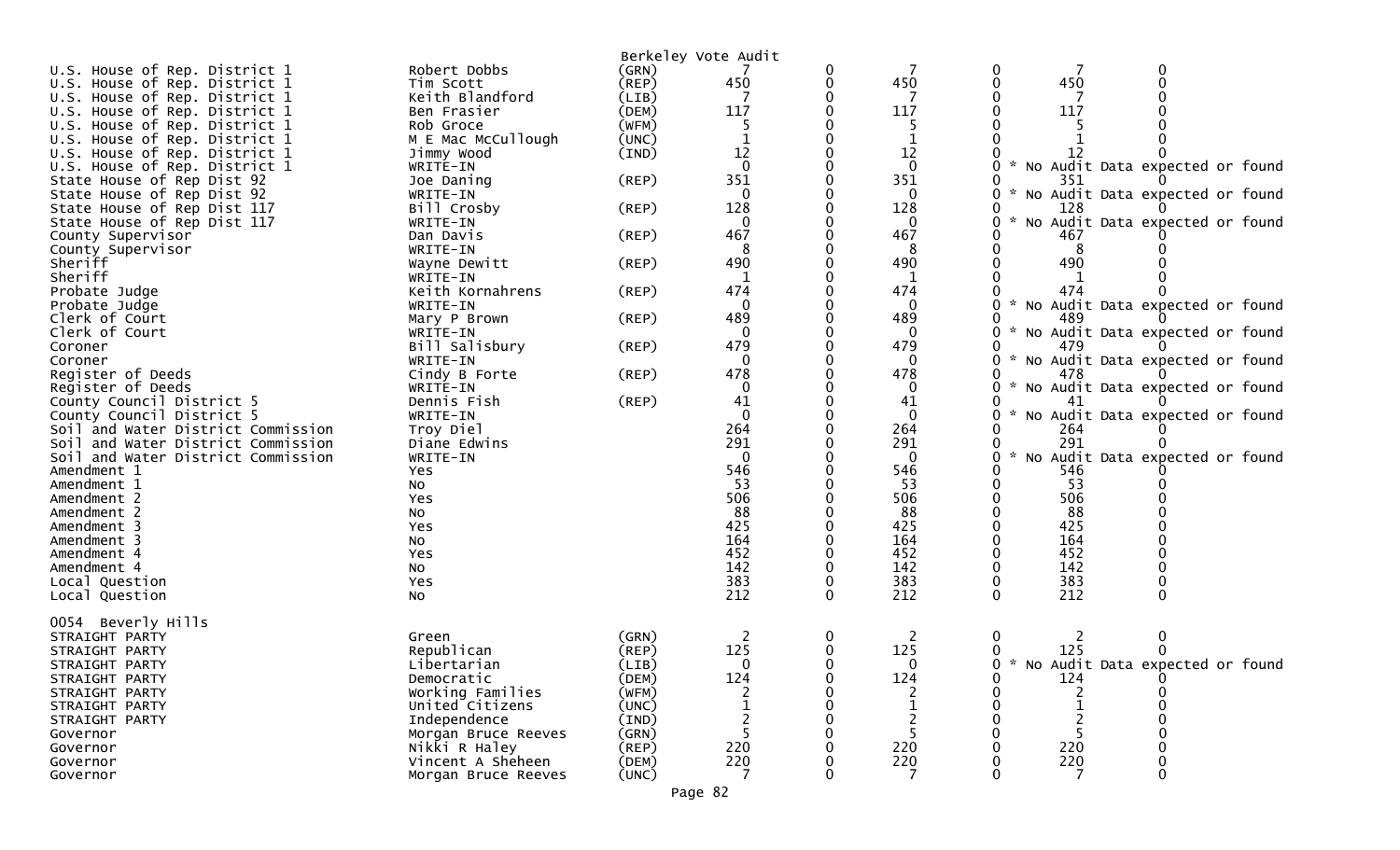|                                    |                              |             | Berkeley Vote Audit |             |              |                                                       |  |
|------------------------------------|------------------------------|-------------|---------------------|-------------|--------------|-------------------------------------------------------|--|
| U.S. House of Rep. District 1      | Robert Dobbs                 | (GRN)       |                     | 0           |              |                                                       |  |
| U.S. House of Rep. District 1      | Tim Scott                    | $($ REP $)$ | 450                 | $\mathbf 0$ | 450          | 450                                                   |  |
| U.S. House of Rep. District 1      | Keith Blandford              | (LIB)       |                     |             |              |                                                       |  |
| U.S. House of Rep. District 1      | Ben Frasier                  | (DEM)       | 117                 |             | 117          | 117                                                   |  |
| U.S. House of Rep. District 1      | Rob Groce                    | (WFM)       |                     |             | 5            |                                                       |  |
| U.S. House of Rep. District 1      | M E Mac McCullough           | (UNC)       |                     |             |              |                                                       |  |
| U.S. House of Rep. District 1      | Jimmy Wood                   | (IND)       | 12                  |             | 12           |                                                       |  |
| U.S. House of Rep. District 1      | WRITE-IN                     |             | $\Omega$            |             | $\Omega$     | * No Audit Data expected or found                     |  |
| State House of Rep Dist 92         | Joe Daning                   | $($ REP $)$ | 351                 |             | 351          | 351                                                   |  |
| State House of Rep Dist 92         | WRITE-IN                     |             | $\mathbf{0}$        |             | 0            | * No Audit Data expected or found                     |  |
| State House of Rep Dist 117        | Bill Crosby                  | (REP)       | 128                 |             | 128          | 128                                                   |  |
| State House of Rep Dist 117        | WRITE-IN                     |             | $\Omega$            |             |              | $\mathcal{H}$<br>No Audit Data expected or found<br>0 |  |
| County Supervisor                  | Dan Davis                    | (REP)       | 467                 |             | 467          | 467                                                   |  |
|                                    | WRITE-IN                     |             |                     |             | 8            |                                                       |  |
| County Supervisor<br>Sheriff       | Wayne Dewitt                 | $($ REP $)$ | 490                 |             | 490          | 490                                                   |  |
| Sheriff                            |                              |             |                     |             |              |                                                       |  |
|                                    | WRITE-IN<br>Keith Kornahrens |             | 474                 |             | 1<br>474     | 474                                                   |  |
| Probate Judge                      |                              | $($ REP $)$ | $\Omega$            |             |              |                                                       |  |
| Probate Judge                      | WRITE-IN                     |             |                     |             | $\Omega$     | * No Audit Data expected or found                     |  |
| Clerk of Court                     | Mary P Brown                 | (REP)       | 489                 |             | 489          | 489                                                   |  |
| Clerk of Court                     | WRITE-IN                     |             | $\Omega$            |             | 0            | * No Audit Data expected or found                     |  |
| Coroner                            | Bill Salisbury               | $($ REP $)$ | 479                 |             | 479          | 479                                                   |  |
| Coroner                            | WRITE-IN                     |             | 0                   |             | 0            | * No Audit Data expected or found                     |  |
| Register of Deeds                  | Cindy B Forte                | (REP)       | 478                 |             | 478          | 478                                                   |  |
| Register of Deeds                  | WRITE-IN                     |             | 0                   |             | 0            | No Audit Data expected or found                       |  |
| County Council District 5          | Dennis Fish                  | $($ REP $)$ | 41                  |             | 41           | 41                                                    |  |
| County Council District 5          | WRITE-IN                     |             | $\Omega$            |             | $\mathbf{0}$ | $\mathcal{H}$<br>No Audit Data expected or found      |  |
| Soil and Water District Commission | Troy Diel                    |             | 264                 |             | 264          | 264                                                   |  |
| Soil and Water District Commission | Diane Edwins                 |             | 291                 |             | 291          | 291                                                   |  |
| Soil and Water District Commission | WRITE-IN                     |             | $\Omega$            |             | $\Omega$     | $\mathcal{H}$<br>No Audit Data expected or found      |  |
| Amendment 1                        | Yes                          |             | 546                 |             | 546          | 546                                                   |  |
| Amendment 1                        | NO.                          |             | 53                  |             | 53           | 53                                                    |  |
| Amendment 2                        | Yes                          |             | 506                 |             | 506          | 506                                                   |  |
| Amendment 2                        | No                           |             | 88                  |             | 88           | 88                                                    |  |
| Amendment 3                        | Yes                          |             | 425                 |             | 425          | 425                                                   |  |
| Amendment 3                        | No                           |             | 164                 |             | 164          | 164                                                   |  |
| Amendment 4                        | Yes                          |             | 452                 |             | 452          | 452                                                   |  |
| Amendment 4                        | No                           |             | 142                 |             | 142          | 142                                                   |  |
| Local Question                     | Yes                          |             | 383                 |             | 383          | 383                                                   |  |
| Local Question                     | <b>NO</b>                    |             | 212                 | $\Omega$    | 212          | 212<br>$\Omega$                                       |  |
|                                    |                              |             |                     |             |              |                                                       |  |
| Beverly Hills<br>0054              |                              |             |                     |             |              |                                                       |  |
| STRAIGHT PARTY                     | Green                        | (GRN)       |                     | 0           | 2            | 0<br>2                                                |  |
| STRAIGHT PARTY                     | Republican                   | (REP)       | 125                 | 0           | 125          | 125                                                   |  |
| STRAIGHT PARTY                     | Libertarian                  | (LIB)       | 0                   | 0           | $\Omega$     | 0 * No Audit Data expected or found                   |  |
| STRAIGHT PARTY                     | Democratic                   | (DEM)       | 124                 |             | 124          | 124<br>0                                              |  |
| STRAIGHT PARTY                     | Working Families             | (WFM)       |                     |             |              |                                                       |  |
| STRAIGHT PARTY                     | United Citizens              | (UNC)       |                     |             |              |                                                       |  |
| STRAIGHT PARTY                     | Independence                 | (IND)       |                     |             |              |                                                       |  |
| Governor                           | Morgan Bruce Reeves          | (GRN)       |                     |             |              |                                                       |  |
| Governor                           | Nikki R Haley                | (REP)       | 220                 |             | 220          | 220                                                   |  |
| Governor                           | Vincent A Sheheen            | (DEM)       | 220                 |             | 220          | 220                                                   |  |
| Governor                           | Morgan Bruce Reeves          | (UNC)       |                     |             |              |                                                       |  |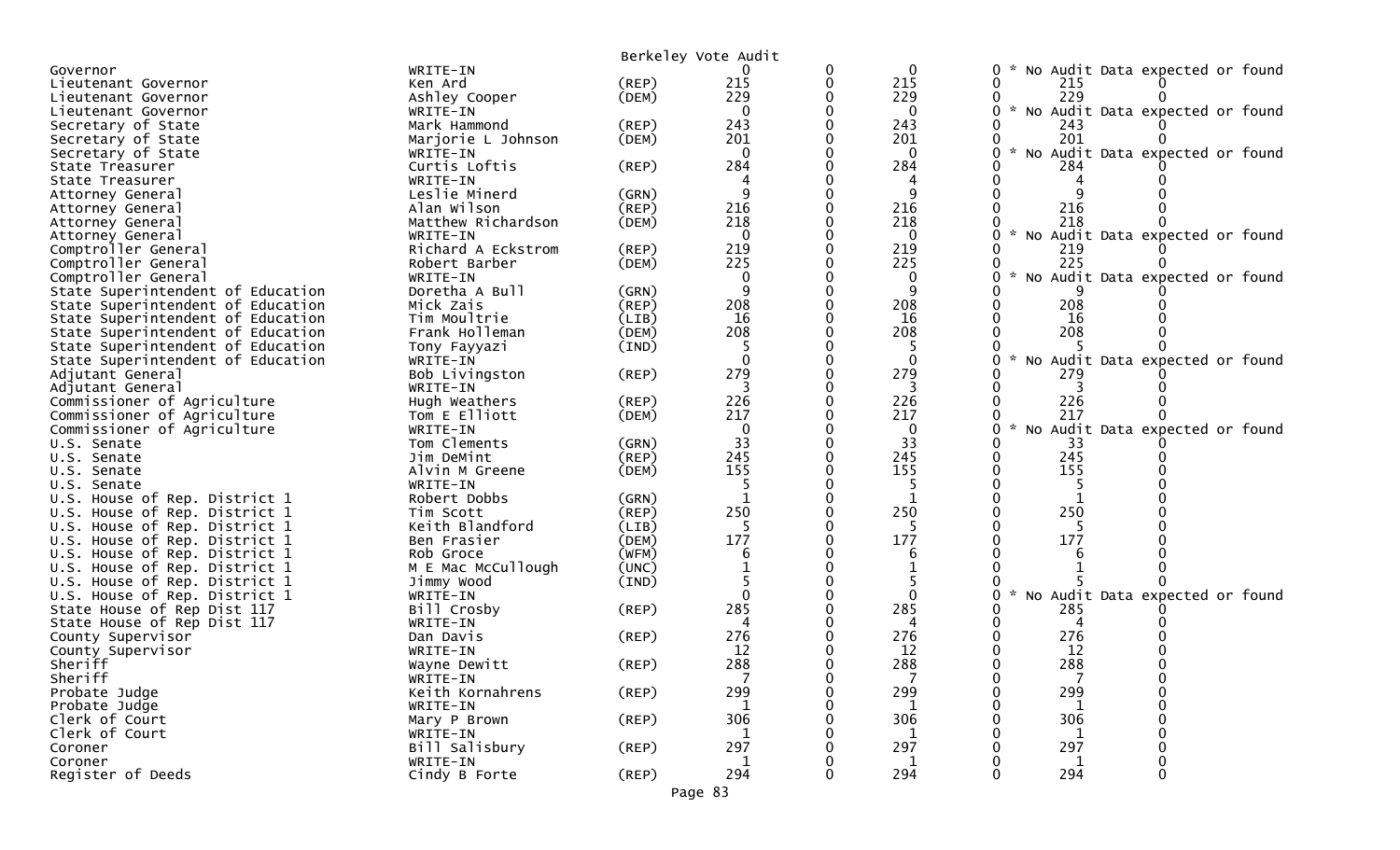| 0<br>$\mathbf{0}$<br>No Audit Data expected or found<br>WRITE-IN<br>Governor<br>215<br>215<br>$\Omega$<br>Lieutenant Governor<br>Ken Ard<br>(REP)<br>215<br>229<br>229<br>229<br>(DEM)<br>Ashley Cooper<br>Lieutenant Governor<br>* No Audit Data expected or found<br>$\mathbf{0}$<br>WRITE-IN<br>$\Omega$<br>Lieutenant Governor<br>243<br>Mark Hammond<br>243<br>Secretary of State<br>(REP)<br>243<br>201<br>201<br>201<br>(DEM)<br>Marjorie L Johnson<br>Secretary of State<br>No Audit Data expected or found<br>$\Omega$<br>$\mathbf 0$<br>Secretary of State<br>WRITE-IN<br>Curtis Loftis<br>284<br>284<br>$($ REP $)$<br>284<br>State Treasurer<br>WRITE-IN<br>State Treasurer<br>4<br>9<br>Leslie Minerd<br>(GRN)<br>Attorney General<br>216<br>216<br>Alan Wilson<br>216<br>(REP)<br>Attorney General<br>218<br>218<br>218<br>Matthew Richardson<br>(DEM)<br>Attorney General<br>No Audit Data expected or found<br>WRITE-IN<br>$\Omega$<br>$\Omega$<br>Attorney General<br>Comptroller General<br>Richard A Eckstrom<br>219<br>219<br>219<br>(REP)<br>225<br>225<br>225<br>Comptroller General<br>(DEM)<br>Robert Barber<br>$\mathcal{R}$<br>No Audit Data expected or found<br>Comptroller General<br>WRITE-IN<br>Doretha A Bull<br>State Superintendent of Education<br>(GRN)<br>208<br>208<br>208<br>State Superintendent of Education<br>Mick Zais<br>$($ REP $)$<br>16<br>16<br>State Superintendent of Education<br>Tim Moultrie<br>(LIB)<br>16<br>208<br>208<br>208<br>State Superintendent of Education<br>Frank Holleman<br>(DEM)<br>State Superintendent of Education<br>(IND)<br>Tony Fayyazi<br>$\sim$<br>No Audit Data expected or found<br>State Superintendent of Education<br>WRITE-IN<br>$\Omega$<br>279<br>279<br>Bob Livingston<br>(REP)<br>279<br>Adjutant General<br>Adjutant General<br>WRITE-IN<br>3<br>3<br>3<br>226<br>226<br>226<br>Commissioner of Agriculture<br>Hugh Weathers<br>(REP)<br>217<br>217<br>217<br>Commissioner of Agriculture<br>Tom E Elliott<br>(DEM)<br>* No Audit Data expected or found<br>Commissioner of Agriculture<br>WRITE-IN<br>$\mathbf{0}$<br>0<br>33<br>33<br>Tom Clements<br>33<br>(GRN)<br>U.S. Senate<br>245<br>245<br>245<br>(REP)<br>Jim DeMint<br>U.S. Senate<br>155<br>155<br>155<br>Alvin M Greene<br>(DEM)<br>U.S. Senate<br>WRITE-IN<br>U.S. Senate<br>U.S. House of Rep. District 1<br>Robert Dobbs<br>(GRN)<br>250<br>250<br>250<br>U.S. House of Rep. District 1<br>(REP)<br>Tim Scott<br>Keith Blandford<br>U.S. House of Rep. District 1<br>(LIB)<br>177<br>177<br>177<br>(DEM)<br>U.S. House of Rep. District 1<br>Ben Frasier<br>(WFM)<br>U.S. House of Rep. District 1<br>Rob Groce<br>6<br>6<br>U.S. House of Rep. District 1<br>M E Mac McCullough<br>(UNC)<br>U.S. House of Rep. District 1<br>Jimmy Wood<br>(IND)<br>No Audit Data expected or found<br>U.S. House of Rep. District 1<br>$\mathcal{H}$<br>WRITE-IN<br>285<br>285<br>State House of Rep Dist 117<br>Bill Crosby<br>$($ REP $)$<br>285<br>State House of Rep Dist 117<br>WRITE-IN<br>276<br>276<br>276<br>County Supervisor<br>Dan Davis<br>(REP)<br>12<br>12<br>12<br>County Supervisor<br>WRITE-IN<br>288<br>288<br>288<br>Sheriff<br>(REP)<br>Wayne Dewitt<br>$\overline{7}$<br>$\overline{7}$<br>Sheriff<br>0<br>WRITE-IN<br>299<br>299<br>299<br>Probate Judge<br>Keith Kornahrens<br>$($ REP $)$<br>Probate Judge<br>WRITE-IN<br>1<br>1<br>Clerk of Court<br>$($ REP $)$<br>306<br>306<br>306<br>Mary P Brown<br>Clerk of Court<br>WRITE-IN<br>297<br>297<br>297<br>Coroner<br>Bill Salisbury<br>(REP)<br>Coroner<br>WRITE-IN<br>1<br>1<br>294<br>294<br>Register of Deeds<br>294<br>Cindy B Forte<br>$($ REP $)$<br>0<br>Page 83 |  | Berkeley Vote Audit |  |  |
|-------------------------------------------------------------------------------------------------------------------------------------------------------------------------------------------------------------------------------------------------------------------------------------------------------------------------------------------------------------------------------------------------------------------------------------------------------------------------------------------------------------------------------------------------------------------------------------------------------------------------------------------------------------------------------------------------------------------------------------------------------------------------------------------------------------------------------------------------------------------------------------------------------------------------------------------------------------------------------------------------------------------------------------------------------------------------------------------------------------------------------------------------------------------------------------------------------------------------------------------------------------------------------------------------------------------------------------------------------------------------------------------------------------------------------------------------------------------------------------------------------------------------------------------------------------------------------------------------------------------------------------------------------------------------------------------------------------------------------------------------------------------------------------------------------------------------------------------------------------------------------------------------------------------------------------------------------------------------------------------------------------------------------------------------------------------------------------------------------------------------------------------------------------------------------------------------------------------------------------------------------------------------------------------------------------------------------------------------------------------------------------------------------------------------------------------------------------------------------------------------------------------------------------------------------------------------------------------------------------------------------------------------------------------------------------------------------------------------------------------------------------------------------------------------------------------------------------------------------------------------------------------------------------------------------------------------------------------------------------------------------------------------------------------------------------------------------------------------------------------------------------------------------------------------------------------------------------------------------------------------------------------------------------------------------------------------------------------------------------------------------------------------------------------------------------------------------------------------------------------------------------------------------------------------------------------------------------------------------------------------------------------------------------------------------------------------|--|---------------------|--|--|
|                                                                                                                                                                                                                                                                                                                                                                                                                                                                                                                                                                                                                                                                                                                                                                                                                                                                                                                                                                                                                                                                                                                                                                                                                                                                                                                                                                                                                                                                                                                                                                                                                                                                                                                                                                                                                                                                                                                                                                                                                                                                                                                                                                                                                                                                                                                                                                                                                                                                                                                                                                                                                                                                                                                                                                                                                                                                                                                                                                                                                                                                                                                                                                                                                                                                                                                                                                                                                                                                                                                                                                                                                                                                                                 |  |                     |  |  |
|                                                                                                                                                                                                                                                                                                                                                                                                                                                                                                                                                                                                                                                                                                                                                                                                                                                                                                                                                                                                                                                                                                                                                                                                                                                                                                                                                                                                                                                                                                                                                                                                                                                                                                                                                                                                                                                                                                                                                                                                                                                                                                                                                                                                                                                                                                                                                                                                                                                                                                                                                                                                                                                                                                                                                                                                                                                                                                                                                                                                                                                                                                                                                                                                                                                                                                                                                                                                                                                                                                                                                                                                                                                                                                 |  |                     |  |  |
|                                                                                                                                                                                                                                                                                                                                                                                                                                                                                                                                                                                                                                                                                                                                                                                                                                                                                                                                                                                                                                                                                                                                                                                                                                                                                                                                                                                                                                                                                                                                                                                                                                                                                                                                                                                                                                                                                                                                                                                                                                                                                                                                                                                                                                                                                                                                                                                                                                                                                                                                                                                                                                                                                                                                                                                                                                                                                                                                                                                                                                                                                                                                                                                                                                                                                                                                                                                                                                                                                                                                                                                                                                                                                                 |  |                     |  |  |
|                                                                                                                                                                                                                                                                                                                                                                                                                                                                                                                                                                                                                                                                                                                                                                                                                                                                                                                                                                                                                                                                                                                                                                                                                                                                                                                                                                                                                                                                                                                                                                                                                                                                                                                                                                                                                                                                                                                                                                                                                                                                                                                                                                                                                                                                                                                                                                                                                                                                                                                                                                                                                                                                                                                                                                                                                                                                                                                                                                                                                                                                                                                                                                                                                                                                                                                                                                                                                                                                                                                                                                                                                                                                                                 |  |                     |  |  |
|                                                                                                                                                                                                                                                                                                                                                                                                                                                                                                                                                                                                                                                                                                                                                                                                                                                                                                                                                                                                                                                                                                                                                                                                                                                                                                                                                                                                                                                                                                                                                                                                                                                                                                                                                                                                                                                                                                                                                                                                                                                                                                                                                                                                                                                                                                                                                                                                                                                                                                                                                                                                                                                                                                                                                                                                                                                                                                                                                                                                                                                                                                                                                                                                                                                                                                                                                                                                                                                                                                                                                                                                                                                                                                 |  |                     |  |  |
|                                                                                                                                                                                                                                                                                                                                                                                                                                                                                                                                                                                                                                                                                                                                                                                                                                                                                                                                                                                                                                                                                                                                                                                                                                                                                                                                                                                                                                                                                                                                                                                                                                                                                                                                                                                                                                                                                                                                                                                                                                                                                                                                                                                                                                                                                                                                                                                                                                                                                                                                                                                                                                                                                                                                                                                                                                                                                                                                                                                                                                                                                                                                                                                                                                                                                                                                                                                                                                                                                                                                                                                                                                                                                                 |  |                     |  |  |
|                                                                                                                                                                                                                                                                                                                                                                                                                                                                                                                                                                                                                                                                                                                                                                                                                                                                                                                                                                                                                                                                                                                                                                                                                                                                                                                                                                                                                                                                                                                                                                                                                                                                                                                                                                                                                                                                                                                                                                                                                                                                                                                                                                                                                                                                                                                                                                                                                                                                                                                                                                                                                                                                                                                                                                                                                                                                                                                                                                                                                                                                                                                                                                                                                                                                                                                                                                                                                                                                                                                                                                                                                                                                                                 |  |                     |  |  |
|                                                                                                                                                                                                                                                                                                                                                                                                                                                                                                                                                                                                                                                                                                                                                                                                                                                                                                                                                                                                                                                                                                                                                                                                                                                                                                                                                                                                                                                                                                                                                                                                                                                                                                                                                                                                                                                                                                                                                                                                                                                                                                                                                                                                                                                                                                                                                                                                                                                                                                                                                                                                                                                                                                                                                                                                                                                                                                                                                                                                                                                                                                                                                                                                                                                                                                                                                                                                                                                                                                                                                                                                                                                                                                 |  |                     |  |  |
|                                                                                                                                                                                                                                                                                                                                                                                                                                                                                                                                                                                                                                                                                                                                                                                                                                                                                                                                                                                                                                                                                                                                                                                                                                                                                                                                                                                                                                                                                                                                                                                                                                                                                                                                                                                                                                                                                                                                                                                                                                                                                                                                                                                                                                                                                                                                                                                                                                                                                                                                                                                                                                                                                                                                                                                                                                                                                                                                                                                                                                                                                                                                                                                                                                                                                                                                                                                                                                                                                                                                                                                                                                                                                                 |  |                     |  |  |
|                                                                                                                                                                                                                                                                                                                                                                                                                                                                                                                                                                                                                                                                                                                                                                                                                                                                                                                                                                                                                                                                                                                                                                                                                                                                                                                                                                                                                                                                                                                                                                                                                                                                                                                                                                                                                                                                                                                                                                                                                                                                                                                                                                                                                                                                                                                                                                                                                                                                                                                                                                                                                                                                                                                                                                                                                                                                                                                                                                                                                                                                                                                                                                                                                                                                                                                                                                                                                                                                                                                                                                                                                                                                                                 |  |                     |  |  |
|                                                                                                                                                                                                                                                                                                                                                                                                                                                                                                                                                                                                                                                                                                                                                                                                                                                                                                                                                                                                                                                                                                                                                                                                                                                                                                                                                                                                                                                                                                                                                                                                                                                                                                                                                                                                                                                                                                                                                                                                                                                                                                                                                                                                                                                                                                                                                                                                                                                                                                                                                                                                                                                                                                                                                                                                                                                                                                                                                                                                                                                                                                                                                                                                                                                                                                                                                                                                                                                                                                                                                                                                                                                                                                 |  |                     |  |  |
|                                                                                                                                                                                                                                                                                                                                                                                                                                                                                                                                                                                                                                                                                                                                                                                                                                                                                                                                                                                                                                                                                                                                                                                                                                                                                                                                                                                                                                                                                                                                                                                                                                                                                                                                                                                                                                                                                                                                                                                                                                                                                                                                                                                                                                                                                                                                                                                                                                                                                                                                                                                                                                                                                                                                                                                                                                                                                                                                                                                                                                                                                                                                                                                                                                                                                                                                                                                                                                                                                                                                                                                                                                                                                                 |  |                     |  |  |
|                                                                                                                                                                                                                                                                                                                                                                                                                                                                                                                                                                                                                                                                                                                                                                                                                                                                                                                                                                                                                                                                                                                                                                                                                                                                                                                                                                                                                                                                                                                                                                                                                                                                                                                                                                                                                                                                                                                                                                                                                                                                                                                                                                                                                                                                                                                                                                                                                                                                                                                                                                                                                                                                                                                                                                                                                                                                                                                                                                                                                                                                                                                                                                                                                                                                                                                                                                                                                                                                                                                                                                                                                                                                                                 |  |                     |  |  |
|                                                                                                                                                                                                                                                                                                                                                                                                                                                                                                                                                                                                                                                                                                                                                                                                                                                                                                                                                                                                                                                                                                                                                                                                                                                                                                                                                                                                                                                                                                                                                                                                                                                                                                                                                                                                                                                                                                                                                                                                                                                                                                                                                                                                                                                                                                                                                                                                                                                                                                                                                                                                                                                                                                                                                                                                                                                                                                                                                                                                                                                                                                                                                                                                                                                                                                                                                                                                                                                                                                                                                                                                                                                                                                 |  |                     |  |  |
|                                                                                                                                                                                                                                                                                                                                                                                                                                                                                                                                                                                                                                                                                                                                                                                                                                                                                                                                                                                                                                                                                                                                                                                                                                                                                                                                                                                                                                                                                                                                                                                                                                                                                                                                                                                                                                                                                                                                                                                                                                                                                                                                                                                                                                                                                                                                                                                                                                                                                                                                                                                                                                                                                                                                                                                                                                                                                                                                                                                                                                                                                                                                                                                                                                                                                                                                                                                                                                                                                                                                                                                                                                                                                                 |  |                     |  |  |
|                                                                                                                                                                                                                                                                                                                                                                                                                                                                                                                                                                                                                                                                                                                                                                                                                                                                                                                                                                                                                                                                                                                                                                                                                                                                                                                                                                                                                                                                                                                                                                                                                                                                                                                                                                                                                                                                                                                                                                                                                                                                                                                                                                                                                                                                                                                                                                                                                                                                                                                                                                                                                                                                                                                                                                                                                                                                                                                                                                                                                                                                                                                                                                                                                                                                                                                                                                                                                                                                                                                                                                                                                                                                                                 |  |                     |  |  |
|                                                                                                                                                                                                                                                                                                                                                                                                                                                                                                                                                                                                                                                                                                                                                                                                                                                                                                                                                                                                                                                                                                                                                                                                                                                                                                                                                                                                                                                                                                                                                                                                                                                                                                                                                                                                                                                                                                                                                                                                                                                                                                                                                                                                                                                                                                                                                                                                                                                                                                                                                                                                                                                                                                                                                                                                                                                                                                                                                                                                                                                                                                                                                                                                                                                                                                                                                                                                                                                                                                                                                                                                                                                                                                 |  |                     |  |  |
|                                                                                                                                                                                                                                                                                                                                                                                                                                                                                                                                                                                                                                                                                                                                                                                                                                                                                                                                                                                                                                                                                                                                                                                                                                                                                                                                                                                                                                                                                                                                                                                                                                                                                                                                                                                                                                                                                                                                                                                                                                                                                                                                                                                                                                                                                                                                                                                                                                                                                                                                                                                                                                                                                                                                                                                                                                                                                                                                                                                                                                                                                                                                                                                                                                                                                                                                                                                                                                                                                                                                                                                                                                                                                                 |  |                     |  |  |
|                                                                                                                                                                                                                                                                                                                                                                                                                                                                                                                                                                                                                                                                                                                                                                                                                                                                                                                                                                                                                                                                                                                                                                                                                                                                                                                                                                                                                                                                                                                                                                                                                                                                                                                                                                                                                                                                                                                                                                                                                                                                                                                                                                                                                                                                                                                                                                                                                                                                                                                                                                                                                                                                                                                                                                                                                                                                                                                                                                                                                                                                                                                                                                                                                                                                                                                                                                                                                                                                                                                                                                                                                                                                                                 |  |                     |  |  |
|                                                                                                                                                                                                                                                                                                                                                                                                                                                                                                                                                                                                                                                                                                                                                                                                                                                                                                                                                                                                                                                                                                                                                                                                                                                                                                                                                                                                                                                                                                                                                                                                                                                                                                                                                                                                                                                                                                                                                                                                                                                                                                                                                                                                                                                                                                                                                                                                                                                                                                                                                                                                                                                                                                                                                                                                                                                                                                                                                                                                                                                                                                                                                                                                                                                                                                                                                                                                                                                                                                                                                                                                                                                                                                 |  |                     |  |  |
|                                                                                                                                                                                                                                                                                                                                                                                                                                                                                                                                                                                                                                                                                                                                                                                                                                                                                                                                                                                                                                                                                                                                                                                                                                                                                                                                                                                                                                                                                                                                                                                                                                                                                                                                                                                                                                                                                                                                                                                                                                                                                                                                                                                                                                                                                                                                                                                                                                                                                                                                                                                                                                                                                                                                                                                                                                                                                                                                                                                                                                                                                                                                                                                                                                                                                                                                                                                                                                                                                                                                                                                                                                                                                                 |  |                     |  |  |
|                                                                                                                                                                                                                                                                                                                                                                                                                                                                                                                                                                                                                                                                                                                                                                                                                                                                                                                                                                                                                                                                                                                                                                                                                                                                                                                                                                                                                                                                                                                                                                                                                                                                                                                                                                                                                                                                                                                                                                                                                                                                                                                                                                                                                                                                                                                                                                                                                                                                                                                                                                                                                                                                                                                                                                                                                                                                                                                                                                                                                                                                                                                                                                                                                                                                                                                                                                                                                                                                                                                                                                                                                                                                                                 |  |                     |  |  |
|                                                                                                                                                                                                                                                                                                                                                                                                                                                                                                                                                                                                                                                                                                                                                                                                                                                                                                                                                                                                                                                                                                                                                                                                                                                                                                                                                                                                                                                                                                                                                                                                                                                                                                                                                                                                                                                                                                                                                                                                                                                                                                                                                                                                                                                                                                                                                                                                                                                                                                                                                                                                                                                                                                                                                                                                                                                                                                                                                                                                                                                                                                                                                                                                                                                                                                                                                                                                                                                                                                                                                                                                                                                                                                 |  |                     |  |  |
|                                                                                                                                                                                                                                                                                                                                                                                                                                                                                                                                                                                                                                                                                                                                                                                                                                                                                                                                                                                                                                                                                                                                                                                                                                                                                                                                                                                                                                                                                                                                                                                                                                                                                                                                                                                                                                                                                                                                                                                                                                                                                                                                                                                                                                                                                                                                                                                                                                                                                                                                                                                                                                                                                                                                                                                                                                                                                                                                                                                                                                                                                                                                                                                                                                                                                                                                                                                                                                                                                                                                                                                                                                                                                                 |  |                     |  |  |
|                                                                                                                                                                                                                                                                                                                                                                                                                                                                                                                                                                                                                                                                                                                                                                                                                                                                                                                                                                                                                                                                                                                                                                                                                                                                                                                                                                                                                                                                                                                                                                                                                                                                                                                                                                                                                                                                                                                                                                                                                                                                                                                                                                                                                                                                                                                                                                                                                                                                                                                                                                                                                                                                                                                                                                                                                                                                                                                                                                                                                                                                                                                                                                                                                                                                                                                                                                                                                                                                                                                                                                                                                                                                                                 |  |                     |  |  |
|                                                                                                                                                                                                                                                                                                                                                                                                                                                                                                                                                                                                                                                                                                                                                                                                                                                                                                                                                                                                                                                                                                                                                                                                                                                                                                                                                                                                                                                                                                                                                                                                                                                                                                                                                                                                                                                                                                                                                                                                                                                                                                                                                                                                                                                                                                                                                                                                                                                                                                                                                                                                                                                                                                                                                                                                                                                                                                                                                                                                                                                                                                                                                                                                                                                                                                                                                                                                                                                                                                                                                                                                                                                                                                 |  |                     |  |  |
|                                                                                                                                                                                                                                                                                                                                                                                                                                                                                                                                                                                                                                                                                                                                                                                                                                                                                                                                                                                                                                                                                                                                                                                                                                                                                                                                                                                                                                                                                                                                                                                                                                                                                                                                                                                                                                                                                                                                                                                                                                                                                                                                                                                                                                                                                                                                                                                                                                                                                                                                                                                                                                                                                                                                                                                                                                                                                                                                                                                                                                                                                                                                                                                                                                                                                                                                                                                                                                                                                                                                                                                                                                                                                                 |  |                     |  |  |
|                                                                                                                                                                                                                                                                                                                                                                                                                                                                                                                                                                                                                                                                                                                                                                                                                                                                                                                                                                                                                                                                                                                                                                                                                                                                                                                                                                                                                                                                                                                                                                                                                                                                                                                                                                                                                                                                                                                                                                                                                                                                                                                                                                                                                                                                                                                                                                                                                                                                                                                                                                                                                                                                                                                                                                                                                                                                                                                                                                                                                                                                                                                                                                                                                                                                                                                                                                                                                                                                                                                                                                                                                                                                                                 |  |                     |  |  |
|                                                                                                                                                                                                                                                                                                                                                                                                                                                                                                                                                                                                                                                                                                                                                                                                                                                                                                                                                                                                                                                                                                                                                                                                                                                                                                                                                                                                                                                                                                                                                                                                                                                                                                                                                                                                                                                                                                                                                                                                                                                                                                                                                                                                                                                                                                                                                                                                                                                                                                                                                                                                                                                                                                                                                                                                                                                                                                                                                                                                                                                                                                                                                                                                                                                                                                                                                                                                                                                                                                                                                                                                                                                                                                 |  |                     |  |  |
|                                                                                                                                                                                                                                                                                                                                                                                                                                                                                                                                                                                                                                                                                                                                                                                                                                                                                                                                                                                                                                                                                                                                                                                                                                                                                                                                                                                                                                                                                                                                                                                                                                                                                                                                                                                                                                                                                                                                                                                                                                                                                                                                                                                                                                                                                                                                                                                                                                                                                                                                                                                                                                                                                                                                                                                                                                                                                                                                                                                                                                                                                                                                                                                                                                                                                                                                                                                                                                                                                                                                                                                                                                                                                                 |  |                     |  |  |
|                                                                                                                                                                                                                                                                                                                                                                                                                                                                                                                                                                                                                                                                                                                                                                                                                                                                                                                                                                                                                                                                                                                                                                                                                                                                                                                                                                                                                                                                                                                                                                                                                                                                                                                                                                                                                                                                                                                                                                                                                                                                                                                                                                                                                                                                                                                                                                                                                                                                                                                                                                                                                                                                                                                                                                                                                                                                                                                                                                                                                                                                                                                                                                                                                                                                                                                                                                                                                                                                                                                                                                                                                                                                                                 |  |                     |  |  |
|                                                                                                                                                                                                                                                                                                                                                                                                                                                                                                                                                                                                                                                                                                                                                                                                                                                                                                                                                                                                                                                                                                                                                                                                                                                                                                                                                                                                                                                                                                                                                                                                                                                                                                                                                                                                                                                                                                                                                                                                                                                                                                                                                                                                                                                                                                                                                                                                                                                                                                                                                                                                                                                                                                                                                                                                                                                                                                                                                                                                                                                                                                                                                                                                                                                                                                                                                                                                                                                                                                                                                                                                                                                                                                 |  |                     |  |  |
|                                                                                                                                                                                                                                                                                                                                                                                                                                                                                                                                                                                                                                                                                                                                                                                                                                                                                                                                                                                                                                                                                                                                                                                                                                                                                                                                                                                                                                                                                                                                                                                                                                                                                                                                                                                                                                                                                                                                                                                                                                                                                                                                                                                                                                                                                                                                                                                                                                                                                                                                                                                                                                                                                                                                                                                                                                                                                                                                                                                                                                                                                                                                                                                                                                                                                                                                                                                                                                                                                                                                                                                                                                                                                                 |  |                     |  |  |
|                                                                                                                                                                                                                                                                                                                                                                                                                                                                                                                                                                                                                                                                                                                                                                                                                                                                                                                                                                                                                                                                                                                                                                                                                                                                                                                                                                                                                                                                                                                                                                                                                                                                                                                                                                                                                                                                                                                                                                                                                                                                                                                                                                                                                                                                                                                                                                                                                                                                                                                                                                                                                                                                                                                                                                                                                                                                                                                                                                                                                                                                                                                                                                                                                                                                                                                                                                                                                                                                                                                                                                                                                                                                                                 |  |                     |  |  |
|                                                                                                                                                                                                                                                                                                                                                                                                                                                                                                                                                                                                                                                                                                                                                                                                                                                                                                                                                                                                                                                                                                                                                                                                                                                                                                                                                                                                                                                                                                                                                                                                                                                                                                                                                                                                                                                                                                                                                                                                                                                                                                                                                                                                                                                                                                                                                                                                                                                                                                                                                                                                                                                                                                                                                                                                                                                                                                                                                                                                                                                                                                                                                                                                                                                                                                                                                                                                                                                                                                                                                                                                                                                                                                 |  |                     |  |  |
|                                                                                                                                                                                                                                                                                                                                                                                                                                                                                                                                                                                                                                                                                                                                                                                                                                                                                                                                                                                                                                                                                                                                                                                                                                                                                                                                                                                                                                                                                                                                                                                                                                                                                                                                                                                                                                                                                                                                                                                                                                                                                                                                                                                                                                                                                                                                                                                                                                                                                                                                                                                                                                                                                                                                                                                                                                                                                                                                                                                                                                                                                                                                                                                                                                                                                                                                                                                                                                                                                                                                                                                                                                                                                                 |  |                     |  |  |
|                                                                                                                                                                                                                                                                                                                                                                                                                                                                                                                                                                                                                                                                                                                                                                                                                                                                                                                                                                                                                                                                                                                                                                                                                                                                                                                                                                                                                                                                                                                                                                                                                                                                                                                                                                                                                                                                                                                                                                                                                                                                                                                                                                                                                                                                                                                                                                                                                                                                                                                                                                                                                                                                                                                                                                                                                                                                                                                                                                                                                                                                                                                                                                                                                                                                                                                                                                                                                                                                                                                                                                                                                                                                                                 |  |                     |  |  |
|                                                                                                                                                                                                                                                                                                                                                                                                                                                                                                                                                                                                                                                                                                                                                                                                                                                                                                                                                                                                                                                                                                                                                                                                                                                                                                                                                                                                                                                                                                                                                                                                                                                                                                                                                                                                                                                                                                                                                                                                                                                                                                                                                                                                                                                                                                                                                                                                                                                                                                                                                                                                                                                                                                                                                                                                                                                                                                                                                                                                                                                                                                                                                                                                                                                                                                                                                                                                                                                                                                                                                                                                                                                                                                 |  |                     |  |  |
|                                                                                                                                                                                                                                                                                                                                                                                                                                                                                                                                                                                                                                                                                                                                                                                                                                                                                                                                                                                                                                                                                                                                                                                                                                                                                                                                                                                                                                                                                                                                                                                                                                                                                                                                                                                                                                                                                                                                                                                                                                                                                                                                                                                                                                                                                                                                                                                                                                                                                                                                                                                                                                                                                                                                                                                                                                                                                                                                                                                                                                                                                                                                                                                                                                                                                                                                                                                                                                                                                                                                                                                                                                                                                                 |  |                     |  |  |
|                                                                                                                                                                                                                                                                                                                                                                                                                                                                                                                                                                                                                                                                                                                                                                                                                                                                                                                                                                                                                                                                                                                                                                                                                                                                                                                                                                                                                                                                                                                                                                                                                                                                                                                                                                                                                                                                                                                                                                                                                                                                                                                                                                                                                                                                                                                                                                                                                                                                                                                                                                                                                                                                                                                                                                                                                                                                                                                                                                                                                                                                                                                                                                                                                                                                                                                                                                                                                                                                                                                                                                                                                                                                                                 |  |                     |  |  |
|                                                                                                                                                                                                                                                                                                                                                                                                                                                                                                                                                                                                                                                                                                                                                                                                                                                                                                                                                                                                                                                                                                                                                                                                                                                                                                                                                                                                                                                                                                                                                                                                                                                                                                                                                                                                                                                                                                                                                                                                                                                                                                                                                                                                                                                                                                                                                                                                                                                                                                                                                                                                                                                                                                                                                                                                                                                                                                                                                                                                                                                                                                                                                                                                                                                                                                                                                                                                                                                                                                                                                                                                                                                                                                 |  |                     |  |  |
|                                                                                                                                                                                                                                                                                                                                                                                                                                                                                                                                                                                                                                                                                                                                                                                                                                                                                                                                                                                                                                                                                                                                                                                                                                                                                                                                                                                                                                                                                                                                                                                                                                                                                                                                                                                                                                                                                                                                                                                                                                                                                                                                                                                                                                                                                                                                                                                                                                                                                                                                                                                                                                                                                                                                                                                                                                                                                                                                                                                                                                                                                                                                                                                                                                                                                                                                                                                                                                                                                                                                                                                                                                                                                                 |  |                     |  |  |
|                                                                                                                                                                                                                                                                                                                                                                                                                                                                                                                                                                                                                                                                                                                                                                                                                                                                                                                                                                                                                                                                                                                                                                                                                                                                                                                                                                                                                                                                                                                                                                                                                                                                                                                                                                                                                                                                                                                                                                                                                                                                                                                                                                                                                                                                                                                                                                                                                                                                                                                                                                                                                                                                                                                                                                                                                                                                                                                                                                                                                                                                                                                                                                                                                                                                                                                                                                                                                                                                                                                                                                                                                                                                                                 |  |                     |  |  |
|                                                                                                                                                                                                                                                                                                                                                                                                                                                                                                                                                                                                                                                                                                                                                                                                                                                                                                                                                                                                                                                                                                                                                                                                                                                                                                                                                                                                                                                                                                                                                                                                                                                                                                                                                                                                                                                                                                                                                                                                                                                                                                                                                                                                                                                                                                                                                                                                                                                                                                                                                                                                                                                                                                                                                                                                                                                                                                                                                                                                                                                                                                                                                                                                                                                                                                                                                                                                                                                                                                                                                                                                                                                                                                 |  |                     |  |  |
|                                                                                                                                                                                                                                                                                                                                                                                                                                                                                                                                                                                                                                                                                                                                                                                                                                                                                                                                                                                                                                                                                                                                                                                                                                                                                                                                                                                                                                                                                                                                                                                                                                                                                                                                                                                                                                                                                                                                                                                                                                                                                                                                                                                                                                                                                                                                                                                                                                                                                                                                                                                                                                                                                                                                                                                                                                                                                                                                                                                                                                                                                                                                                                                                                                                                                                                                                                                                                                                                                                                                                                                                                                                                                                 |  |                     |  |  |
|                                                                                                                                                                                                                                                                                                                                                                                                                                                                                                                                                                                                                                                                                                                                                                                                                                                                                                                                                                                                                                                                                                                                                                                                                                                                                                                                                                                                                                                                                                                                                                                                                                                                                                                                                                                                                                                                                                                                                                                                                                                                                                                                                                                                                                                                                                                                                                                                                                                                                                                                                                                                                                                                                                                                                                                                                                                                                                                                                                                                                                                                                                                                                                                                                                                                                                                                                                                                                                                                                                                                                                                                                                                                                                 |  |                     |  |  |
|                                                                                                                                                                                                                                                                                                                                                                                                                                                                                                                                                                                                                                                                                                                                                                                                                                                                                                                                                                                                                                                                                                                                                                                                                                                                                                                                                                                                                                                                                                                                                                                                                                                                                                                                                                                                                                                                                                                                                                                                                                                                                                                                                                                                                                                                                                                                                                                                                                                                                                                                                                                                                                                                                                                                                                                                                                                                                                                                                                                                                                                                                                                                                                                                                                                                                                                                                                                                                                                                                                                                                                                                                                                                                                 |  |                     |  |  |
|                                                                                                                                                                                                                                                                                                                                                                                                                                                                                                                                                                                                                                                                                                                                                                                                                                                                                                                                                                                                                                                                                                                                                                                                                                                                                                                                                                                                                                                                                                                                                                                                                                                                                                                                                                                                                                                                                                                                                                                                                                                                                                                                                                                                                                                                                                                                                                                                                                                                                                                                                                                                                                                                                                                                                                                                                                                                                                                                                                                                                                                                                                                                                                                                                                                                                                                                                                                                                                                                                                                                                                                                                                                                                                 |  |                     |  |  |
|                                                                                                                                                                                                                                                                                                                                                                                                                                                                                                                                                                                                                                                                                                                                                                                                                                                                                                                                                                                                                                                                                                                                                                                                                                                                                                                                                                                                                                                                                                                                                                                                                                                                                                                                                                                                                                                                                                                                                                                                                                                                                                                                                                                                                                                                                                                                                                                                                                                                                                                                                                                                                                                                                                                                                                                                                                                                                                                                                                                                                                                                                                                                                                                                                                                                                                                                                                                                                                                                                                                                                                                                                                                                                                 |  |                     |  |  |
|                                                                                                                                                                                                                                                                                                                                                                                                                                                                                                                                                                                                                                                                                                                                                                                                                                                                                                                                                                                                                                                                                                                                                                                                                                                                                                                                                                                                                                                                                                                                                                                                                                                                                                                                                                                                                                                                                                                                                                                                                                                                                                                                                                                                                                                                                                                                                                                                                                                                                                                                                                                                                                                                                                                                                                                                                                                                                                                                                                                                                                                                                                                                                                                                                                                                                                                                                                                                                                                                                                                                                                                                                                                                                                 |  |                     |  |  |
|                                                                                                                                                                                                                                                                                                                                                                                                                                                                                                                                                                                                                                                                                                                                                                                                                                                                                                                                                                                                                                                                                                                                                                                                                                                                                                                                                                                                                                                                                                                                                                                                                                                                                                                                                                                                                                                                                                                                                                                                                                                                                                                                                                                                                                                                                                                                                                                                                                                                                                                                                                                                                                                                                                                                                                                                                                                                                                                                                                                                                                                                                                                                                                                                                                                                                                                                                                                                                                                                                                                                                                                                                                                                                                 |  |                     |  |  |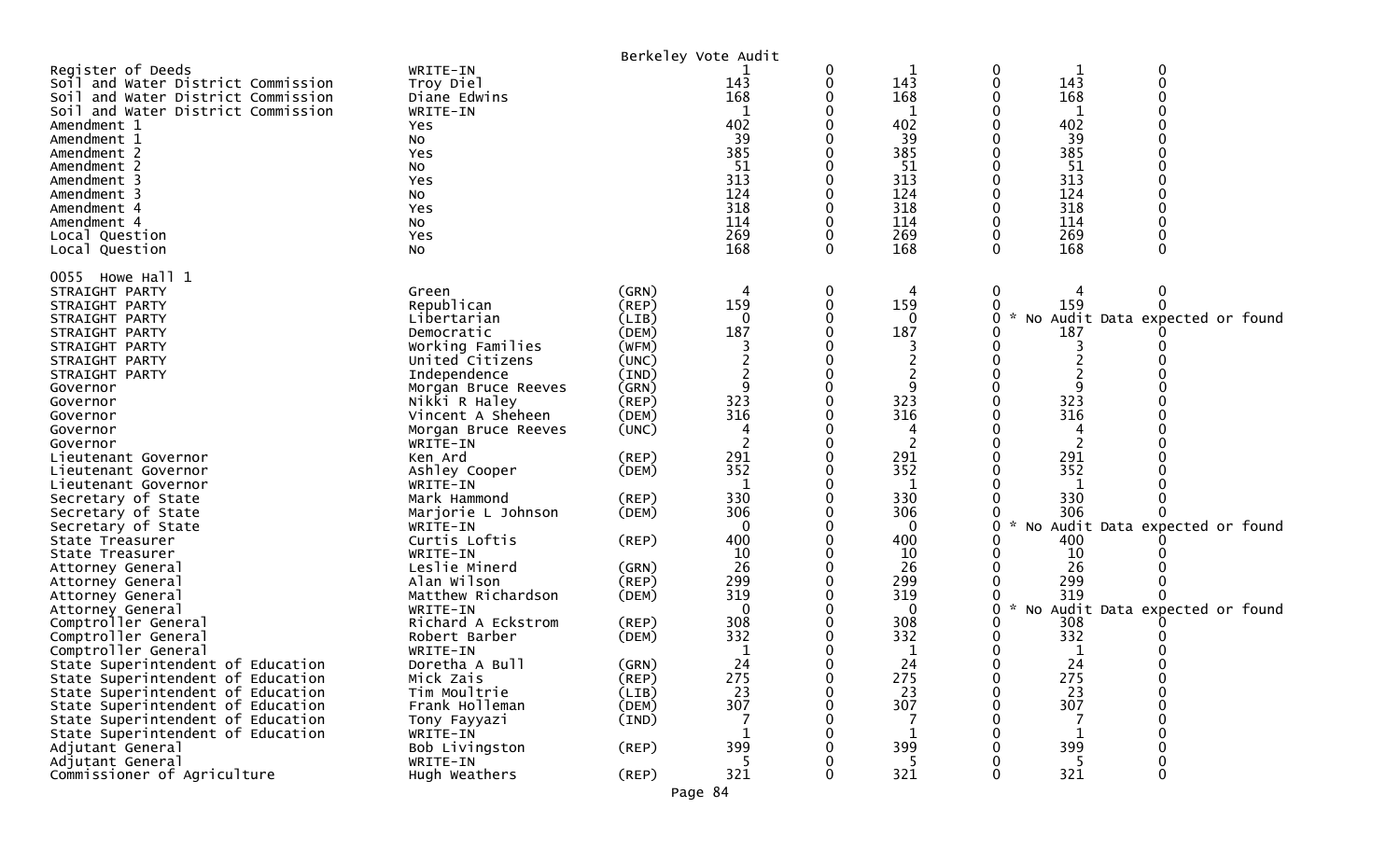|                                                                                                                                                                                                                                                                                                 |                                                                                                                                |                                                                      | Berkeley Vote Audit                                                            |             |                                                                                          |                                                                                                      |                                           |
|-------------------------------------------------------------------------------------------------------------------------------------------------------------------------------------------------------------------------------------------------------------------------------------------------|--------------------------------------------------------------------------------------------------------------------------------|----------------------------------------------------------------------|--------------------------------------------------------------------------------|-------------|------------------------------------------------------------------------------------------|------------------------------------------------------------------------------------------------------|-------------------------------------------|
| Register of Deeds<br>Soil and Water District Commission<br>Soil and Water District Commission<br>Soil and Water District Commission<br>Amendment 1<br>Amendment 1<br>Amendment 2<br>Amendment 2<br>Amendment 3<br>Amendment 3<br>Amendment 4<br>Amendment 4<br>Local Question<br>Local Question | WRITE-IN<br>Troy Diel<br>Diane Edwins<br>WRITE-IN<br>Yes<br>No<br>Yes<br>No<br>Yes<br>No<br>Yes<br>No<br>Yes<br>No             |                                                                      | 143<br>168<br>402<br>39<br>385<br>51<br>313<br>124<br>318<br>114<br>269<br>168 | 0<br>0<br>0 | 1<br>143<br>168<br>1<br>402<br>39<br>385<br>51<br>313<br>124<br>318<br>114<br>269<br>168 | 0<br>143<br>0<br>168<br>402<br>39<br>385<br>51<br>313<br>124<br>318<br>114<br>269<br>168<br>$\Omega$ | 0<br>∩                                    |
| 0055 Howe Hall 1<br>STRAIGHT PARTY<br>STRAIGHT PARTY<br>STRAIGHT PARTY<br>STRAIGHT PARTY<br>STRAIGHT PARTY<br>STRAIGHT PARTY<br>STRAIGHT PARTY<br>Governor                                                                                                                                      | Green<br>Republican<br>Libertarian<br>Democratic<br>Working Families<br>United Citizens<br>Independence<br>Morgan Bruce Reeves | (GRN)<br>(REP)<br>(LIB)<br>(DEM)<br>(WFM)<br>(UNC)<br>(IND)<br>(GRN) | 159<br>$\Omega$<br>187                                                         | 0           | 4<br>159<br>0<br>187<br>2<br>9                                                           | 0<br>159<br>0<br>O<br>187<br>9                                                                       | 0<br>0<br>No Audit Data expected or found |
| Governor<br>Governor<br>Governor<br>Governor<br>Lieutenant Governor<br>Lieutenant Governor                                                                                                                                                                                                      | Nikki R Haley<br>Vincent A Sheheen<br>Morgan Bruce Reeves<br>WRITE-IN<br>Ken Ard<br>Ashley Cooper                              | (REP)<br>(DEM)<br>(UNC)<br>(REP)<br>(DEM)                            | 323<br>316<br>291<br>352                                                       |             | 323<br>316<br>2<br>291<br>352                                                            | 323<br>316<br>291<br>352                                                                             |                                           |
| Lieutenant Governor<br>Secretary of State<br>Secretary of State<br>Secretary of State<br>State Treasurer                                                                                                                                                                                        | WRITE-IN<br>Mark Hammond<br>Marjorie L Johnson<br>WRITE-IN<br>Curtis Loftis                                                    | (REP)<br>(DEM)<br>$($ REP $)$                                        | 1<br>330<br>306<br>0<br>400                                                    |             | 1<br>330<br>306<br>$\mathbf{0}$<br>400                                                   | -1<br>330<br>306<br>0<br>400                                                                         | No Audit Data expected or found           |
| State Treasurer<br>Attorney General<br>Attorney General<br>Attorney General<br>Attorney General<br>Comptroller General                                                                                                                                                                          | WRITE-IN<br>Leslie Minerd<br>Alan Wilson<br>Matthew Richardson<br>WRITE-IN<br>Richard A Eckstrom                               | (GRN)<br>(REP)<br>(DEM)<br>(REP)                                     | 10<br>26<br>299<br>319<br>0<br>308                                             |             | 10<br>26<br>299<br>319<br>0<br>308                                                       | 10<br>26<br>299<br>319<br>0<br>308                                                                   | No Audit Data expected or found           |
| Comptroller General<br>Comptroller General<br>State Superintendent of Education<br>State Superintendent of Education<br>State Superintendent of Education<br>State Superintendent of Education                                                                                                  | Robert Barber<br>WRITE-IN<br>Doretha A Bull<br>Mick Zais<br>Tim Moultrie<br>Frank Holleman                                     | (DEM)<br>(GRN)<br>(REP)<br>(LIB)<br>(DEM)                            | 332<br>24<br>275<br>23<br>307                                                  | 0           | 332<br>1<br>24<br>275<br>23<br>307                                                       | 332<br>24<br>0<br>275<br>0<br>23<br>307                                                              | 0<br>0                                    |
| State Superintendent of Education<br>State Superintendent of Education<br>Adjutant General<br>Adjutant General<br>Commissioner of Agriculture                                                                                                                                                   | Tony Fayyazi<br>WRITE-IN<br>Bob Livingston<br>WRITE-IN<br>Hugh Weathers                                                        | (IND)<br>$($ REP $)$<br>$($ REP $)$                                  | 399<br>321                                                                     |             | 1<br>399<br>321                                                                          | 399<br>321<br>O                                                                                      | 0<br>0                                    |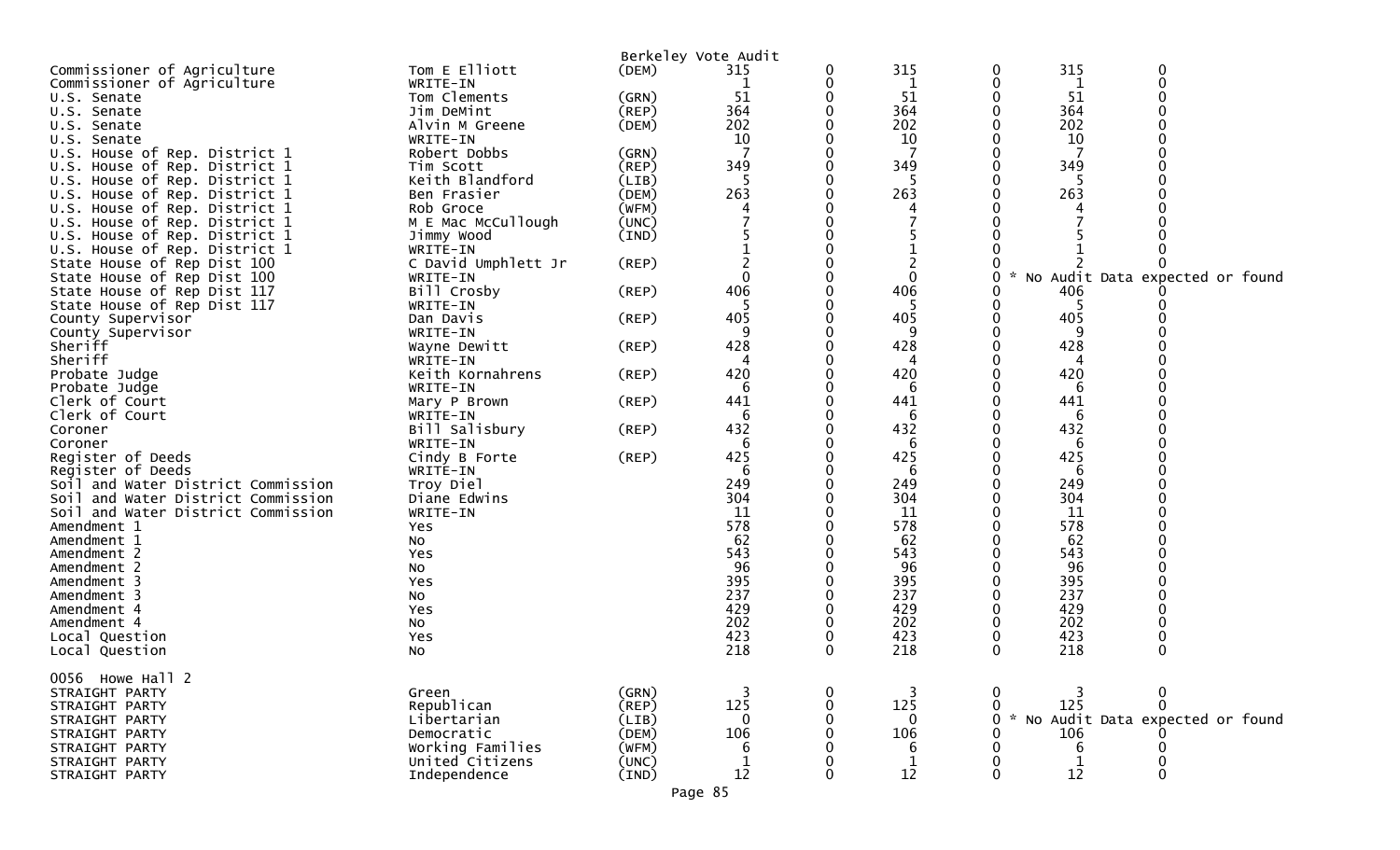| 0<br>Commissioner of Agriculture<br>0<br>WRITE-IN<br>0<br>1<br>1<br>Tom Clements<br>51<br>51<br>51<br>(GRN)<br>U.S. Senate<br>364<br>Jim DeMint<br>(REP)<br>364<br>364<br>U.S. Senate<br>202<br>202<br>202<br>Alvin M Greene<br>(DEM)<br>U.S. Senate<br>10<br>10<br>10<br>WRITE-IN<br>U.S.<br>Senate<br>U.S. House of Rep. District 1<br>Robert Dobbs<br>(GRN)<br>349<br>349<br>349<br>$($ REP $)$<br>House of Rep. District 1<br>Tim Scott<br>Keith Blandford<br>House of Rep. District 1<br>5<br>(LIB)<br>5<br>U.S.<br>263<br>263<br>263<br>U.S. House of Rep. District 1<br>(DEM)<br>Ben Frasier<br>(WFM)<br>U.S. House of Rep. District 1<br>Rob Groce<br>4<br>House of Rep. District 1<br>M E Mac McCullough<br>(UNC)<br>U.S.<br>U.S. House of Rep. District 1<br>Jimmy Wood<br>(IND)<br>U.S. House of Rep. District 1<br>WRITE-IN<br>$\overline{2}$<br>C David Umphlett Jr<br>State House of Rep Dist 100<br>$($ REP $)$<br>$\mathbf 0$<br>$\Omega$<br>No Audit Data expected or<br>found<br>State House of Rep Dist 100<br>WRITE-IN<br>0<br>406<br>406<br>Bill Crosby<br>$($ REP $)$<br>406<br>State House of Rep Dist 117<br>State House of Rep Dist 117<br>WRITE-IN<br>405<br>405<br>405<br>County Supervisor<br>Dan Davis<br>(REP)<br>9<br>9<br>9<br>County Supervisor<br>WRITE-IN<br>428<br>428<br>Sheriff<br>Wayne Dewitt<br>$($ REP $)$<br>428<br>Sheriff<br>WRITE-IN<br>4<br>4<br>4<br>420<br>420<br>420<br>Keith Kornahrens<br>(REP)<br>Probate Judge<br>Probate Judge<br>WRITE-IN<br>6<br>6<br>6<br>441<br>441<br>441<br>(REP)<br>Clerk of Court<br>Mary P Brown<br>Clerk of Court<br>6<br>6<br>6<br>WRITE-IN<br>432<br>432<br>432<br>Bill Salisbury<br>Coroner<br>(REP)<br>6<br>6<br>6<br>Coroner<br>WRITE-IN<br>425<br>425<br>425<br>Register of Deeds<br>$($ REP $)$<br>Cindy B Forte<br>Register of Deeds<br>WRITE-IN<br>6<br>6<br>6<br>249<br>249<br>249<br>Soil and Water District Commission<br>Troy Diel<br>304<br>304<br>304<br>Soil and Water District Commission<br>Diane Edwins<br>WRITE-IN<br>11<br>11<br>11<br>Soil and Water District Commission<br>578<br>578<br>578<br>Amendment 1<br>Yes<br>62<br>62<br>62<br>Amendment 1<br>NO.<br>543<br>543<br>543<br>Amendment 2<br>Yes<br>96<br>96<br>96<br>Amendment 2<br>No<br>395<br>395<br>395<br>Amendment 3<br>Yes<br>237<br>237<br>237<br>Amendment 3<br>No<br>429<br>429<br>429<br>Amendment 4<br>Yes<br>202<br>202<br>202<br>Amendment 4<br>No<br>423<br>423<br>423<br>Local Question<br>Yes<br>218<br>218<br>218<br>0<br>$\mathbf 0$<br>$\Omega$<br>NO<br>Local Question<br>0056 Howe Hall 2<br>(GRN)<br>STRAIGHT PARTY<br>Green<br>125<br>125<br>Republican<br>125<br>$($ REP $)$<br>STRAIGHT PARTY<br>No Audit Data expected or found<br>Libertarian<br>(LIB)<br>$\mathbf 0$<br>$\mathbf 0$<br>$\mathcal{H}$<br>STRAIGHT PARTY<br>0<br>106<br>106<br>106<br>Democratic<br>(DEM)<br>STRAIGHT PARTY<br>Working Families<br>(WFM)<br>6<br>STRAIGHT PARTY<br>6<br>6<br>United Citizens<br>(UNC)<br>$\mathbf 1$<br>STRAIGHT PARTY<br>12<br>12<br>12<br>$\Omega$<br>Independence<br>$(\text{IND})$<br>STRAIGHT PARTY<br>Page 85 | Commissioner of Agriculture | Tom E Elliott | (DEM) | Berkeley Vote Audit<br>315 | 0 | 315 | 0 | 315 | 0 |
|--------------------------------------------------------------------------------------------------------------------------------------------------------------------------------------------------------------------------------------------------------------------------------------------------------------------------------------------------------------------------------------------------------------------------------------------------------------------------------------------------------------------------------------------------------------------------------------------------------------------------------------------------------------------------------------------------------------------------------------------------------------------------------------------------------------------------------------------------------------------------------------------------------------------------------------------------------------------------------------------------------------------------------------------------------------------------------------------------------------------------------------------------------------------------------------------------------------------------------------------------------------------------------------------------------------------------------------------------------------------------------------------------------------------------------------------------------------------------------------------------------------------------------------------------------------------------------------------------------------------------------------------------------------------------------------------------------------------------------------------------------------------------------------------------------------------------------------------------------------------------------------------------------------------------------------------------------------------------------------------------------------------------------------------------------------------------------------------------------------------------------------------------------------------------------------------------------------------------------------------------------------------------------------------------------------------------------------------------------------------------------------------------------------------------------------------------------------------------------------------------------------------------------------------------------------------------------------------------------------------------------------------------------------------------------------------------------------------------------------------------------------------------------------------------------------------------------------------------------------------------------------------------------------------------------------------------------------------------------------------------------------------------------------------------------------------------------------------------------------|-----------------------------|---------------|-------|----------------------------|---|-----|---|-----|---|
|                                                                                                                                                                                                                                                                                                                                                                                                                                                                                                                                                                                                                                                                                                                                                                                                                                                                                                                                                                                                                                                                                                                                                                                                                                                                                                                                                                                                                                                                                                                                                                                                                                                                                                                                                                                                                                                                                                                                                                                                                                                                                                                                                                                                                                                                                                                                                                                                                                                                                                                                                                                                                                                                                                                                                                                                                                                                                                                                                                                                                                                                                                              |                             |               |       |                            |   |     |   |     |   |
|                                                                                                                                                                                                                                                                                                                                                                                                                                                                                                                                                                                                                                                                                                                                                                                                                                                                                                                                                                                                                                                                                                                                                                                                                                                                                                                                                                                                                                                                                                                                                                                                                                                                                                                                                                                                                                                                                                                                                                                                                                                                                                                                                                                                                                                                                                                                                                                                                                                                                                                                                                                                                                                                                                                                                                                                                                                                                                                                                                                                                                                                                                              |                             |               |       |                            |   |     |   |     |   |
|                                                                                                                                                                                                                                                                                                                                                                                                                                                                                                                                                                                                                                                                                                                                                                                                                                                                                                                                                                                                                                                                                                                                                                                                                                                                                                                                                                                                                                                                                                                                                                                                                                                                                                                                                                                                                                                                                                                                                                                                                                                                                                                                                                                                                                                                                                                                                                                                                                                                                                                                                                                                                                                                                                                                                                                                                                                                                                                                                                                                                                                                                                              |                             |               |       |                            |   |     |   |     |   |
|                                                                                                                                                                                                                                                                                                                                                                                                                                                                                                                                                                                                                                                                                                                                                                                                                                                                                                                                                                                                                                                                                                                                                                                                                                                                                                                                                                                                                                                                                                                                                                                                                                                                                                                                                                                                                                                                                                                                                                                                                                                                                                                                                                                                                                                                                                                                                                                                                                                                                                                                                                                                                                                                                                                                                                                                                                                                                                                                                                                                                                                                                                              |                             |               |       |                            |   |     |   |     |   |
|                                                                                                                                                                                                                                                                                                                                                                                                                                                                                                                                                                                                                                                                                                                                                                                                                                                                                                                                                                                                                                                                                                                                                                                                                                                                                                                                                                                                                                                                                                                                                                                                                                                                                                                                                                                                                                                                                                                                                                                                                                                                                                                                                                                                                                                                                                                                                                                                                                                                                                                                                                                                                                                                                                                                                                                                                                                                                                                                                                                                                                                                                                              |                             |               |       |                            |   |     |   |     |   |
|                                                                                                                                                                                                                                                                                                                                                                                                                                                                                                                                                                                                                                                                                                                                                                                                                                                                                                                                                                                                                                                                                                                                                                                                                                                                                                                                                                                                                                                                                                                                                                                                                                                                                                                                                                                                                                                                                                                                                                                                                                                                                                                                                                                                                                                                                                                                                                                                                                                                                                                                                                                                                                                                                                                                                                                                                                                                                                                                                                                                                                                                                                              |                             |               |       |                            |   |     |   |     |   |
|                                                                                                                                                                                                                                                                                                                                                                                                                                                                                                                                                                                                                                                                                                                                                                                                                                                                                                                                                                                                                                                                                                                                                                                                                                                                                                                                                                                                                                                                                                                                                                                                                                                                                                                                                                                                                                                                                                                                                                                                                                                                                                                                                                                                                                                                                                                                                                                                                                                                                                                                                                                                                                                                                                                                                                                                                                                                                                                                                                                                                                                                                                              |                             |               |       |                            |   |     |   |     |   |
|                                                                                                                                                                                                                                                                                                                                                                                                                                                                                                                                                                                                                                                                                                                                                                                                                                                                                                                                                                                                                                                                                                                                                                                                                                                                                                                                                                                                                                                                                                                                                                                                                                                                                                                                                                                                                                                                                                                                                                                                                                                                                                                                                                                                                                                                                                                                                                                                                                                                                                                                                                                                                                                                                                                                                                                                                                                                                                                                                                                                                                                                                                              |                             |               |       |                            |   |     |   |     |   |
|                                                                                                                                                                                                                                                                                                                                                                                                                                                                                                                                                                                                                                                                                                                                                                                                                                                                                                                                                                                                                                                                                                                                                                                                                                                                                                                                                                                                                                                                                                                                                                                                                                                                                                                                                                                                                                                                                                                                                                                                                                                                                                                                                                                                                                                                                                                                                                                                                                                                                                                                                                                                                                                                                                                                                                                                                                                                                                                                                                                                                                                                                                              |                             |               |       |                            |   |     |   |     |   |
|                                                                                                                                                                                                                                                                                                                                                                                                                                                                                                                                                                                                                                                                                                                                                                                                                                                                                                                                                                                                                                                                                                                                                                                                                                                                                                                                                                                                                                                                                                                                                                                                                                                                                                                                                                                                                                                                                                                                                                                                                                                                                                                                                                                                                                                                                                                                                                                                                                                                                                                                                                                                                                                                                                                                                                                                                                                                                                                                                                                                                                                                                                              |                             |               |       |                            |   |     |   |     |   |
|                                                                                                                                                                                                                                                                                                                                                                                                                                                                                                                                                                                                                                                                                                                                                                                                                                                                                                                                                                                                                                                                                                                                                                                                                                                                                                                                                                                                                                                                                                                                                                                                                                                                                                                                                                                                                                                                                                                                                                                                                                                                                                                                                                                                                                                                                                                                                                                                                                                                                                                                                                                                                                                                                                                                                                                                                                                                                                                                                                                                                                                                                                              |                             |               |       |                            |   |     |   |     |   |
|                                                                                                                                                                                                                                                                                                                                                                                                                                                                                                                                                                                                                                                                                                                                                                                                                                                                                                                                                                                                                                                                                                                                                                                                                                                                                                                                                                                                                                                                                                                                                                                                                                                                                                                                                                                                                                                                                                                                                                                                                                                                                                                                                                                                                                                                                                                                                                                                                                                                                                                                                                                                                                                                                                                                                                                                                                                                                                                                                                                                                                                                                                              |                             |               |       |                            |   |     |   |     |   |
|                                                                                                                                                                                                                                                                                                                                                                                                                                                                                                                                                                                                                                                                                                                                                                                                                                                                                                                                                                                                                                                                                                                                                                                                                                                                                                                                                                                                                                                                                                                                                                                                                                                                                                                                                                                                                                                                                                                                                                                                                                                                                                                                                                                                                                                                                                                                                                                                                                                                                                                                                                                                                                                                                                                                                                                                                                                                                                                                                                                                                                                                                                              |                             |               |       |                            |   |     |   |     |   |
|                                                                                                                                                                                                                                                                                                                                                                                                                                                                                                                                                                                                                                                                                                                                                                                                                                                                                                                                                                                                                                                                                                                                                                                                                                                                                                                                                                                                                                                                                                                                                                                                                                                                                                                                                                                                                                                                                                                                                                                                                                                                                                                                                                                                                                                                                                                                                                                                                                                                                                                                                                                                                                                                                                                                                                                                                                                                                                                                                                                                                                                                                                              |                             |               |       |                            |   |     |   |     |   |
|                                                                                                                                                                                                                                                                                                                                                                                                                                                                                                                                                                                                                                                                                                                                                                                                                                                                                                                                                                                                                                                                                                                                                                                                                                                                                                                                                                                                                                                                                                                                                                                                                                                                                                                                                                                                                                                                                                                                                                                                                                                                                                                                                                                                                                                                                                                                                                                                                                                                                                                                                                                                                                                                                                                                                                                                                                                                                                                                                                                                                                                                                                              |                             |               |       |                            |   |     |   |     |   |
|                                                                                                                                                                                                                                                                                                                                                                                                                                                                                                                                                                                                                                                                                                                                                                                                                                                                                                                                                                                                                                                                                                                                                                                                                                                                                                                                                                                                                                                                                                                                                                                                                                                                                                                                                                                                                                                                                                                                                                                                                                                                                                                                                                                                                                                                                                                                                                                                                                                                                                                                                                                                                                                                                                                                                                                                                                                                                                                                                                                                                                                                                                              |                             |               |       |                            |   |     |   |     |   |
|                                                                                                                                                                                                                                                                                                                                                                                                                                                                                                                                                                                                                                                                                                                                                                                                                                                                                                                                                                                                                                                                                                                                                                                                                                                                                                                                                                                                                                                                                                                                                                                                                                                                                                                                                                                                                                                                                                                                                                                                                                                                                                                                                                                                                                                                                                                                                                                                                                                                                                                                                                                                                                                                                                                                                                                                                                                                                                                                                                                                                                                                                                              |                             |               |       |                            |   |     |   |     |   |
|                                                                                                                                                                                                                                                                                                                                                                                                                                                                                                                                                                                                                                                                                                                                                                                                                                                                                                                                                                                                                                                                                                                                                                                                                                                                                                                                                                                                                                                                                                                                                                                                                                                                                                                                                                                                                                                                                                                                                                                                                                                                                                                                                                                                                                                                                                                                                                                                                                                                                                                                                                                                                                                                                                                                                                                                                                                                                                                                                                                                                                                                                                              |                             |               |       |                            |   |     |   |     |   |
|                                                                                                                                                                                                                                                                                                                                                                                                                                                                                                                                                                                                                                                                                                                                                                                                                                                                                                                                                                                                                                                                                                                                                                                                                                                                                                                                                                                                                                                                                                                                                                                                                                                                                                                                                                                                                                                                                                                                                                                                                                                                                                                                                                                                                                                                                                                                                                                                                                                                                                                                                                                                                                                                                                                                                                                                                                                                                                                                                                                                                                                                                                              |                             |               |       |                            |   |     |   |     |   |
|                                                                                                                                                                                                                                                                                                                                                                                                                                                                                                                                                                                                                                                                                                                                                                                                                                                                                                                                                                                                                                                                                                                                                                                                                                                                                                                                                                                                                                                                                                                                                                                                                                                                                                                                                                                                                                                                                                                                                                                                                                                                                                                                                                                                                                                                                                                                                                                                                                                                                                                                                                                                                                                                                                                                                                                                                                                                                                                                                                                                                                                                                                              |                             |               |       |                            |   |     |   |     |   |
|                                                                                                                                                                                                                                                                                                                                                                                                                                                                                                                                                                                                                                                                                                                                                                                                                                                                                                                                                                                                                                                                                                                                                                                                                                                                                                                                                                                                                                                                                                                                                                                                                                                                                                                                                                                                                                                                                                                                                                                                                                                                                                                                                                                                                                                                                                                                                                                                                                                                                                                                                                                                                                                                                                                                                                                                                                                                                                                                                                                                                                                                                                              |                             |               |       |                            |   |     |   |     |   |
|                                                                                                                                                                                                                                                                                                                                                                                                                                                                                                                                                                                                                                                                                                                                                                                                                                                                                                                                                                                                                                                                                                                                                                                                                                                                                                                                                                                                                                                                                                                                                                                                                                                                                                                                                                                                                                                                                                                                                                                                                                                                                                                                                                                                                                                                                                                                                                                                                                                                                                                                                                                                                                                                                                                                                                                                                                                                                                                                                                                                                                                                                                              |                             |               |       |                            |   |     |   |     |   |
|                                                                                                                                                                                                                                                                                                                                                                                                                                                                                                                                                                                                                                                                                                                                                                                                                                                                                                                                                                                                                                                                                                                                                                                                                                                                                                                                                                                                                                                                                                                                                                                                                                                                                                                                                                                                                                                                                                                                                                                                                                                                                                                                                                                                                                                                                                                                                                                                                                                                                                                                                                                                                                                                                                                                                                                                                                                                                                                                                                                                                                                                                                              |                             |               |       |                            |   |     |   |     |   |
|                                                                                                                                                                                                                                                                                                                                                                                                                                                                                                                                                                                                                                                                                                                                                                                                                                                                                                                                                                                                                                                                                                                                                                                                                                                                                                                                                                                                                                                                                                                                                                                                                                                                                                                                                                                                                                                                                                                                                                                                                                                                                                                                                                                                                                                                                                                                                                                                                                                                                                                                                                                                                                                                                                                                                                                                                                                                                                                                                                                                                                                                                                              |                             |               |       |                            |   |     |   |     |   |
|                                                                                                                                                                                                                                                                                                                                                                                                                                                                                                                                                                                                                                                                                                                                                                                                                                                                                                                                                                                                                                                                                                                                                                                                                                                                                                                                                                                                                                                                                                                                                                                                                                                                                                                                                                                                                                                                                                                                                                                                                                                                                                                                                                                                                                                                                                                                                                                                                                                                                                                                                                                                                                                                                                                                                                                                                                                                                                                                                                                                                                                                                                              |                             |               |       |                            |   |     |   |     |   |
|                                                                                                                                                                                                                                                                                                                                                                                                                                                                                                                                                                                                                                                                                                                                                                                                                                                                                                                                                                                                                                                                                                                                                                                                                                                                                                                                                                                                                                                                                                                                                                                                                                                                                                                                                                                                                                                                                                                                                                                                                                                                                                                                                                                                                                                                                                                                                                                                                                                                                                                                                                                                                                                                                                                                                                                                                                                                                                                                                                                                                                                                                                              |                             |               |       |                            |   |     |   |     |   |
|                                                                                                                                                                                                                                                                                                                                                                                                                                                                                                                                                                                                                                                                                                                                                                                                                                                                                                                                                                                                                                                                                                                                                                                                                                                                                                                                                                                                                                                                                                                                                                                                                                                                                                                                                                                                                                                                                                                                                                                                                                                                                                                                                                                                                                                                                                                                                                                                                                                                                                                                                                                                                                                                                                                                                                                                                                                                                                                                                                                                                                                                                                              |                             |               |       |                            |   |     |   |     |   |
|                                                                                                                                                                                                                                                                                                                                                                                                                                                                                                                                                                                                                                                                                                                                                                                                                                                                                                                                                                                                                                                                                                                                                                                                                                                                                                                                                                                                                                                                                                                                                                                                                                                                                                                                                                                                                                                                                                                                                                                                                                                                                                                                                                                                                                                                                                                                                                                                                                                                                                                                                                                                                                                                                                                                                                                                                                                                                                                                                                                                                                                                                                              |                             |               |       |                            |   |     |   |     |   |
|                                                                                                                                                                                                                                                                                                                                                                                                                                                                                                                                                                                                                                                                                                                                                                                                                                                                                                                                                                                                                                                                                                                                                                                                                                                                                                                                                                                                                                                                                                                                                                                                                                                                                                                                                                                                                                                                                                                                                                                                                                                                                                                                                                                                                                                                                                                                                                                                                                                                                                                                                                                                                                                                                                                                                                                                                                                                                                                                                                                                                                                                                                              |                             |               |       |                            |   |     |   |     |   |
|                                                                                                                                                                                                                                                                                                                                                                                                                                                                                                                                                                                                                                                                                                                                                                                                                                                                                                                                                                                                                                                                                                                                                                                                                                                                                                                                                                                                                                                                                                                                                                                                                                                                                                                                                                                                                                                                                                                                                                                                                                                                                                                                                                                                                                                                                                                                                                                                                                                                                                                                                                                                                                                                                                                                                                                                                                                                                                                                                                                                                                                                                                              |                             |               |       |                            |   |     |   |     |   |
|                                                                                                                                                                                                                                                                                                                                                                                                                                                                                                                                                                                                                                                                                                                                                                                                                                                                                                                                                                                                                                                                                                                                                                                                                                                                                                                                                                                                                                                                                                                                                                                                                                                                                                                                                                                                                                                                                                                                                                                                                                                                                                                                                                                                                                                                                                                                                                                                                                                                                                                                                                                                                                                                                                                                                                                                                                                                                                                                                                                                                                                                                                              |                             |               |       |                            |   |     |   |     |   |
|                                                                                                                                                                                                                                                                                                                                                                                                                                                                                                                                                                                                                                                                                                                                                                                                                                                                                                                                                                                                                                                                                                                                                                                                                                                                                                                                                                                                                                                                                                                                                                                                                                                                                                                                                                                                                                                                                                                                                                                                                                                                                                                                                                                                                                                                                                                                                                                                                                                                                                                                                                                                                                                                                                                                                                                                                                                                                                                                                                                                                                                                                                              |                             |               |       |                            |   |     |   |     |   |
|                                                                                                                                                                                                                                                                                                                                                                                                                                                                                                                                                                                                                                                                                                                                                                                                                                                                                                                                                                                                                                                                                                                                                                                                                                                                                                                                                                                                                                                                                                                                                                                                                                                                                                                                                                                                                                                                                                                                                                                                                                                                                                                                                                                                                                                                                                                                                                                                                                                                                                                                                                                                                                                                                                                                                                                                                                                                                                                                                                                                                                                                                                              |                             |               |       |                            |   |     |   |     |   |
|                                                                                                                                                                                                                                                                                                                                                                                                                                                                                                                                                                                                                                                                                                                                                                                                                                                                                                                                                                                                                                                                                                                                                                                                                                                                                                                                                                                                                                                                                                                                                                                                                                                                                                                                                                                                                                                                                                                                                                                                                                                                                                                                                                                                                                                                                                                                                                                                                                                                                                                                                                                                                                                                                                                                                                                                                                                                                                                                                                                                                                                                                                              |                             |               |       |                            |   |     |   |     |   |
|                                                                                                                                                                                                                                                                                                                                                                                                                                                                                                                                                                                                                                                                                                                                                                                                                                                                                                                                                                                                                                                                                                                                                                                                                                                                                                                                                                                                                                                                                                                                                                                                                                                                                                                                                                                                                                                                                                                                                                                                                                                                                                                                                                                                                                                                                                                                                                                                                                                                                                                                                                                                                                                                                                                                                                                                                                                                                                                                                                                                                                                                                                              |                             |               |       |                            |   |     |   |     |   |
|                                                                                                                                                                                                                                                                                                                                                                                                                                                                                                                                                                                                                                                                                                                                                                                                                                                                                                                                                                                                                                                                                                                                                                                                                                                                                                                                                                                                                                                                                                                                                                                                                                                                                                                                                                                                                                                                                                                                                                                                                                                                                                                                                                                                                                                                                                                                                                                                                                                                                                                                                                                                                                                                                                                                                                                                                                                                                                                                                                                                                                                                                                              |                             |               |       |                            |   |     |   |     |   |
|                                                                                                                                                                                                                                                                                                                                                                                                                                                                                                                                                                                                                                                                                                                                                                                                                                                                                                                                                                                                                                                                                                                                                                                                                                                                                                                                                                                                                                                                                                                                                                                                                                                                                                                                                                                                                                                                                                                                                                                                                                                                                                                                                                                                                                                                                                                                                                                                                                                                                                                                                                                                                                                                                                                                                                                                                                                                                                                                                                                                                                                                                                              |                             |               |       |                            |   |     |   |     |   |
|                                                                                                                                                                                                                                                                                                                                                                                                                                                                                                                                                                                                                                                                                                                                                                                                                                                                                                                                                                                                                                                                                                                                                                                                                                                                                                                                                                                                                                                                                                                                                                                                                                                                                                                                                                                                                                                                                                                                                                                                                                                                                                                                                                                                                                                                                                                                                                                                                                                                                                                                                                                                                                                                                                                                                                                                                                                                                                                                                                                                                                                                                                              |                             |               |       |                            |   |     |   |     |   |
|                                                                                                                                                                                                                                                                                                                                                                                                                                                                                                                                                                                                                                                                                                                                                                                                                                                                                                                                                                                                                                                                                                                                                                                                                                                                                                                                                                                                                                                                                                                                                                                                                                                                                                                                                                                                                                                                                                                                                                                                                                                                                                                                                                                                                                                                                                                                                                                                                                                                                                                                                                                                                                                                                                                                                                                                                                                                                                                                                                                                                                                                                                              |                             |               |       |                            |   |     |   |     |   |
|                                                                                                                                                                                                                                                                                                                                                                                                                                                                                                                                                                                                                                                                                                                                                                                                                                                                                                                                                                                                                                                                                                                                                                                                                                                                                                                                                                                                                                                                                                                                                                                                                                                                                                                                                                                                                                                                                                                                                                                                                                                                                                                                                                                                                                                                                                                                                                                                                                                                                                                                                                                                                                                                                                                                                                                                                                                                                                                                                                                                                                                                                                              |                             |               |       |                            |   |     |   |     |   |
|                                                                                                                                                                                                                                                                                                                                                                                                                                                                                                                                                                                                                                                                                                                                                                                                                                                                                                                                                                                                                                                                                                                                                                                                                                                                                                                                                                                                                                                                                                                                                                                                                                                                                                                                                                                                                                                                                                                                                                                                                                                                                                                                                                                                                                                                                                                                                                                                                                                                                                                                                                                                                                                                                                                                                                                                                                                                                                                                                                                                                                                                                                              |                             |               |       |                            |   |     |   |     |   |
|                                                                                                                                                                                                                                                                                                                                                                                                                                                                                                                                                                                                                                                                                                                                                                                                                                                                                                                                                                                                                                                                                                                                                                                                                                                                                                                                                                                                                                                                                                                                                                                                                                                                                                                                                                                                                                                                                                                                                                                                                                                                                                                                                                                                                                                                                                                                                                                                                                                                                                                                                                                                                                                                                                                                                                                                                                                                                                                                                                                                                                                                                                              |                             |               |       |                            |   |     |   |     |   |
|                                                                                                                                                                                                                                                                                                                                                                                                                                                                                                                                                                                                                                                                                                                                                                                                                                                                                                                                                                                                                                                                                                                                                                                                                                                                                                                                                                                                                                                                                                                                                                                                                                                                                                                                                                                                                                                                                                                                                                                                                                                                                                                                                                                                                                                                                                                                                                                                                                                                                                                                                                                                                                                                                                                                                                                                                                                                                                                                                                                                                                                                                                              |                             |               |       |                            |   |     |   |     |   |
|                                                                                                                                                                                                                                                                                                                                                                                                                                                                                                                                                                                                                                                                                                                                                                                                                                                                                                                                                                                                                                                                                                                                                                                                                                                                                                                                                                                                                                                                                                                                                                                                                                                                                                                                                                                                                                                                                                                                                                                                                                                                                                                                                                                                                                                                                                                                                                                                                                                                                                                                                                                                                                                                                                                                                                                                                                                                                                                                                                                                                                                                                                              |                             |               |       |                            |   |     |   |     |   |
|                                                                                                                                                                                                                                                                                                                                                                                                                                                                                                                                                                                                                                                                                                                                                                                                                                                                                                                                                                                                                                                                                                                                                                                                                                                                                                                                                                                                                                                                                                                                                                                                                                                                                                                                                                                                                                                                                                                                                                                                                                                                                                                                                                                                                                                                                                                                                                                                                                                                                                                                                                                                                                                                                                                                                                                                                                                                                                                                                                                                                                                                                                              |                             |               |       |                            |   |     |   |     |   |
|                                                                                                                                                                                                                                                                                                                                                                                                                                                                                                                                                                                                                                                                                                                                                                                                                                                                                                                                                                                                                                                                                                                                                                                                                                                                                                                                                                                                                                                                                                                                                                                                                                                                                                                                                                                                                                                                                                                                                                                                                                                                                                                                                                                                                                                                                                                                                                                                                                                                                                                                                                                                                                                                                                                                                                                                                                                                                                                                                                                                                                                                                                              |                             |               |       |                            |   |     |   |     |   |
|                                                                                                                                                                                                                                                                                                                                                                                                                                                                                                                                                                                                                                                                                                                                                                                                                                                                                                                                                                                                                                                                                                                                                                                                                                                                                                                                                                                                                                                                                                                                                                                                                                                                                                                                                                                                                                                                                                                                                                                                                                                                                                                                                                                                                                                                                                                                                                                                                                                                                                                                                                                                                                                                                                                                                                                                                                                                                                                                                                                                                                                                                                              |                             |               |       |                            |   |     |   |     |   |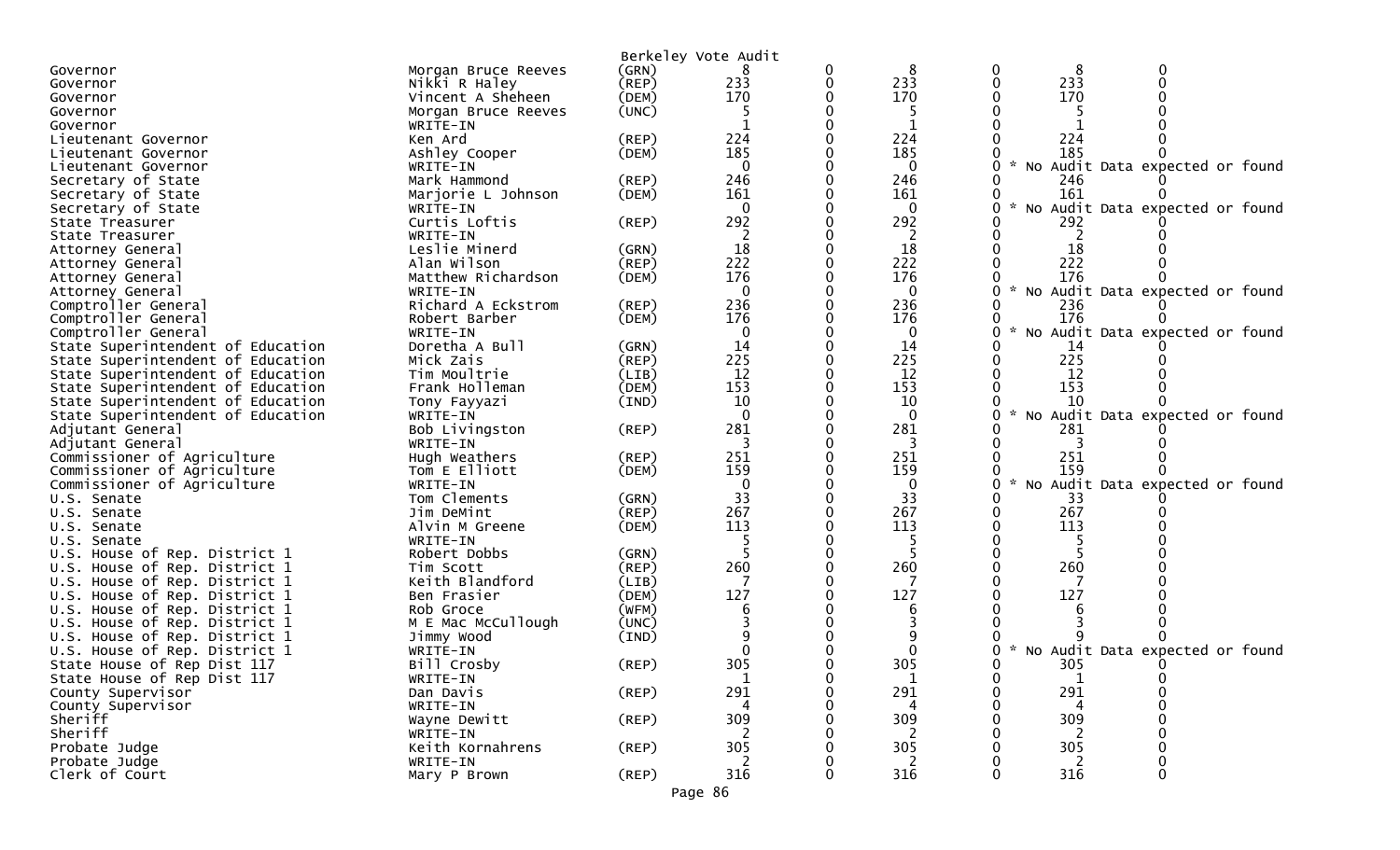|                                   |                          |             | Berkeley Vote Audit |   |                |        |                                   |
|-----------------------------------|--------------------------|-------------|---------------------|---|----------------|--------|-----------------------------------|
| Governor                          | Morgan Bruce Reeves      | (GRN)       |                     | 0 | 8              | 8      |                                   |
| Governor                          | Nikki R Haley            | $($ REP $)$ | 233                 | 0 | 233            | 233    |                                   |
| Governor                          | Vincent A Sheheen        | (DEM)       | 170                 |   | 170            | 170    |                                   |
| Governor                          | Morgan Bruce Reeves      | (UNC)       |                     |   |                |        |                                   |
|                                   |                          |             |                     |   |                |        |                                   |
| Governor<br>Lieutenant Governor   | WRITE-IN<br>Ken Ard      | (REP)       | 224                 |   | 224            | 224    |                                   |
|                                   |                          |             | 185                 |   | 185            | 185    |                                   |
| Lieutenant Governor               | Ashley Cooper            | (DEM)       | $\Omega$            |   | $\mathbf{0}$   |        |                                   |
| Lieutenant Governor               | WRITE-IN<br>Mark Hammond |             |                     |   |                |        | * No Audit Data expected or found |
| Secretary of State                |                          | $($ REP $)$ | 246                 |   | 246            | 246    |                                   |
| Secretary of State                | Marjorie L Johnson       | (DEM)       | 161                 |   | 161            | 161    |                                   |
| Secretary of State                | WRITE-IN                 |             | $\Omega$            |   | $\bf{0}$       |        | * No Audit Data expected or found |
| State Treasurer                   | Curtis Loftis            | (REP)       | 292                 |   | 292            | 292    |                                   |
| State Treasurer                   | WRITE-IN                 |             | 2                   |   |                |        |                                   |
| Attorney General                  | Leslie Minerd            | (GRN)       | 18                  |   | 18             | 18     |                                   |
| Attorney General                  | Alan Wilson              | (REP)       | 222                 |   | 222            | 222    |                                   |
| Attorney General                  | Matthew Richardson       | (DEM)       | 176                 |   | 176            | 176    |                                   |
| Attorney General                  | WRITE-IN                 |             | $\mathbf{0}$        |   | $\mathbf 0$    |        | * No Audit Data expected or found |
| Comptroller General               | Richard A Eckstrom       | (REP)       | 236                 |   | 236            | 236    |                                   |
| Comptroller General               | Robert Barber            | (DEM)       | 176                 |   | 176            | 176    |                                   |
| Comptroller General               | WRITE-IN                 |             | 0                   |   | 0              | $\sim$ | No Audit Data expected or found   |
| State Superintendent of Education | Doretha A Bull           | (GRN)       | 14                  |   | 14             | 14     |                                   |
| State Superintendent of Education | Mick Zais                | (REP)       | 225                 |   | 225            | 225    |                                   |
| State Superintendent of Education | Tim Moultrie             | (LIB)       | 12                  |   | 12             | 12     |                                   |
| State Superintendent of Education | Frank Holleman           | (DEM)       | 153                 |   | 153            | 153    |                                   |
| State Superintendent of Education | Tony Fayyazi             | (IND)       | 10                  |   | 10             | 10     |                                   |
| State Superintendent of Education | WRITE-IN                 |             | $\Omega$            |   | $\overline{0}$ | $\sim$ | No Audit Data expected or found   |
| Adjutant General                  | Bob Livingston           | (REP)       | 281                 |   | 281            | 281    |                                   |
| Adjutant General                  | WRITE-IN                 |             |                     |   | 3              |        |                                   |
| Commissioner of Agriculture       | Hugh Weathers            | (REP)       | 251                 |   | 251            | 251    |                                   |
| Commissioner of Agriculture       | Tom E Elliott            | (DEM)       | 159                 |   | 159            | 159    |                                   |
| Commissioner of Agriculture       | WRITE-IN                 |             | $\mathbf{0}$        |   | 0              | $\sim$ | No Audit Data expected or found   |
| U.S. Senate                       | Tom Clements             | (GRN)       | 33                  |   | 33             | 33     |                                   |
| U.S. Senate                       | Jim DeMint               | $($ REP $)$ | 267                 |   | 267            | 267    |                                   |
| U.S. Senate                       | Alvin M Greene           | (DEM)       | 113                 |   | 113            | 113    |                                   |
| U.S. Senate                       | WRITE-IN                 |             |                     |   |                |        |                                   |
| U.S. House of Rep. District 1     | Robert Dobbs             | (GRN)       |                     |   |                |        |                                   |
| U.S. House of Rep. District 1     | Tim Scott                | (REP)       | 260                 |   | 260            | 260    |                                   |
| U.S. House of Rep. District 1     | Keith Blandford          | (LIB)       |                     |   |                |        |                                   |
| U.S. House of Rep. District 1     | Ben Frasier              | (DEM)       | 127                 |   | 127            | 127    |                                   |
| U.S. House of Rep. District 1     | Rob Groce                | (WFM)       |                     |   |                |        |                                   |
| U.S. House of Rep. District 1     | M E Mac McCullough       | (UNC)       |                     |   |                |        |                                   |
| U.S. House of Rep. District 1     | Jimmy Wood               | (IND)       |                     |   |                |        |                                   |
| U.S. House of Rep. District 1     | WRITE-IN                 |             |                     |   |                |        | * No Audit Data expected or found |
| State House of Rep Dist 117       | Bill Crosby              | (REP)       | 305                 |   | 305            | 305    |                                   |
| State House of Rep Dist 117       | WRITE-IN                 |             | 1                   |   | 1              |        |                                   |
| County Supervisor                 | Dan Davis                | $($ REP $)$ | 291                 |   | 291            | 291    |                                   |
| County Supervisor                 | WRITE-IN                 |             | 4                   |   | 4              | 4      |                                   |
| Sheriff                           | Wayne Dewitt             | $($ REP $)$ | 309                 |   | 309            | 309    |                                   |
| Sheriff                           | WRITE-IN                 |             | 2                   |   | 2              | 2      |                                   |
| Probate Judge                     | Keith Kornahrens         | $($ REP $)$ | 305                 |   | 305            | 305    |                                   |
| Probate Judge                     | WRITE-IN                 |             |                     |   |                |        |                                   |
| Clerk of Court                    | Mary P Brown             | (REP)       | 316                 |   | 316            | 316    | 0                                 |
|                                   |                          |             |                     |   |                |        |                                   |

Page 86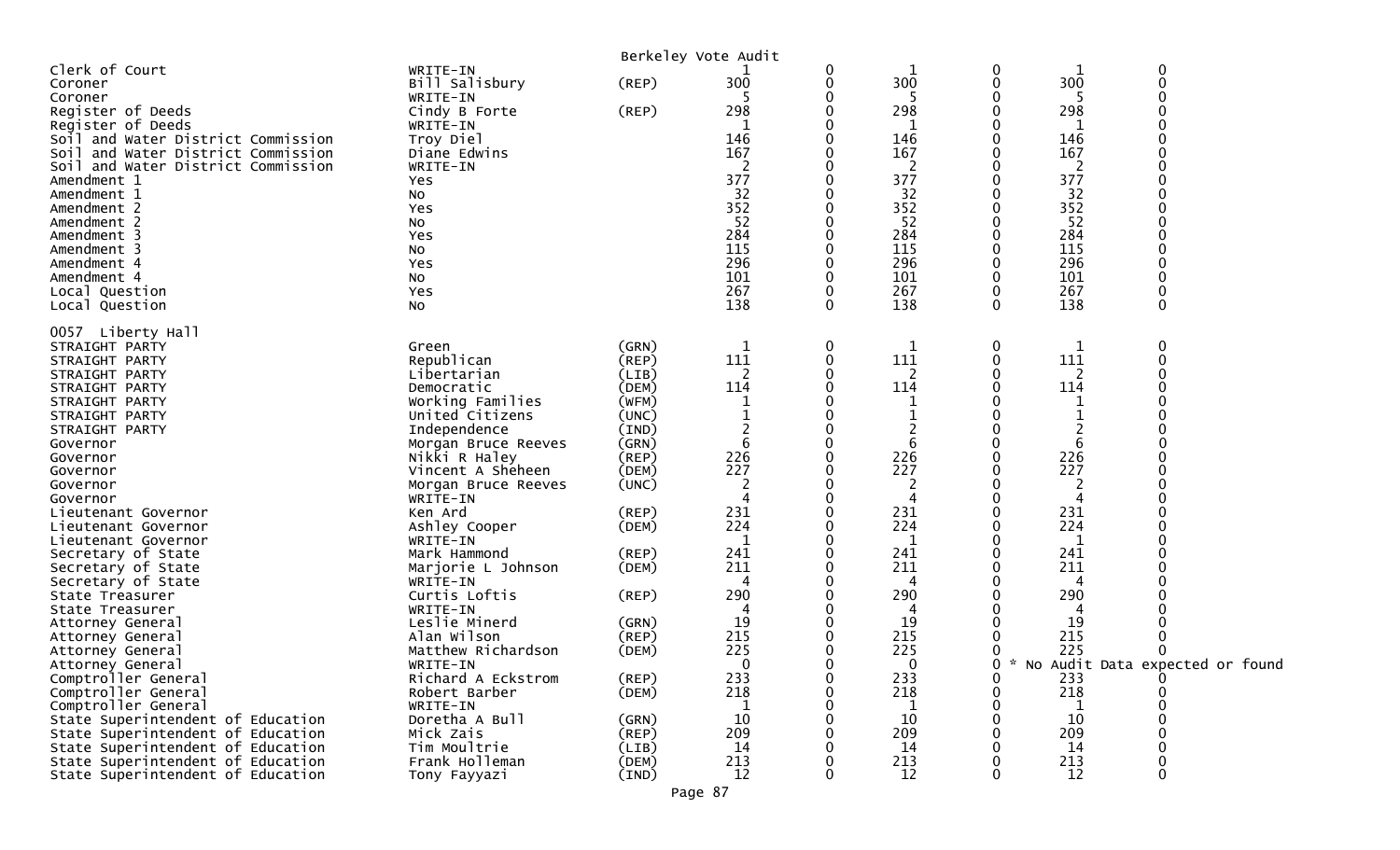|                                                                                                                                                                                                                                                                                                                                                                                                                                                                                                                                                                                                                                                                                                                                        |                                                                                                                                                                                                                                                                                                                                                                                                                                                                                                                                      |                                                                                                                                                                                                                                                                     | Berkeley Vote Audit                                                                                                                                                                                        |                                      |                                                                                                                                                                                                             |                                            |                                                                                                                                                                   |                                                           |
|----------------------------------------------------------------------------------------------------------------------------------------------------------------------------------------------------------------------------------------------------------------------------------------------------------------------------------------------------------------------------------------------------------------------------------------------------------------------------------------------------------------------------------------------------------------------------------------------------------------------------------------------------------------------------------------------------------------------------------------|--------------------------------------------------------------------------------------------------------------------------------------------------------------------------------------------------------------------------------------------------------------------------------------------------------------------------------------------------------------------------------------------------------------------------------------------------------------------------------------------------------------------------------------|---------------------------------------------------------------------------------------------------------------------------------------------------------------------------------------------------------------------------------------------------------------------|------------------------------------------------------------------------------------------------------------------------------------------------------------------------------------------------------------|--------------------------------------|-------------------------------------------------------------------------------------------------------------------------------------------------------------------------------------------------------------|--------------------------------------------|-------------------------------------------------------------------------------------------------------------------------------------------------------------------|-----------------------------------------------------------|
| Clerk of Court<br>Coroner<br>Coroner<br>Register of Deeds<br>Register of Deeds<br>Soil and Water District Commission<br>Soil and Water District Commission<br>Soil and Water District Commission<br>Amendment 1<br>Amendment 1<br>Amendment 2<br>Amendment 2<br>Amendment 3<br>Amendment 3<br>Amendment 4<br>Amendment 4<br>Local Question<br>Local Question                                                                                                                                                                                                                                                                                                                                                                           | WRITE-IN<br>Bill Salisbury<br>WRITE-IN<br>Cindy B Forte<br>WRITE-IN<br>Troy Diel<br>Diane Edwins<br>WRITE-IN<br>Yes<br>No<br>Yes<br>No<br>Yes<br>No<br>Yes<br>No<br>Yes<br>No                                                                                                                                                                                                                                                                                                                                                        | $($ REP $)$<br>(REP)                                                                                                                                                                                                                                                | 300<br>298<br>146<br>167<br>377<br>32<br>352<br>52<br>284<br>115<br>296<br>101<br>267<br>138                                                                                                               | 0<br>0<br>0<br>0<br>0<br>0           | 300<br>5<br>298<br>$\mathbf{1}$<br>146<br>167<br>2<br>377<br>32<br>352<br>52<br>284<br>115<br>296<br>101<br>267<br>138                                                                                      | 0<br>$\boldsymbol{0}$<br>0<br>$\mathbf{0}$ | 300<br>298<br>146<br>167<br>2<br>377<br>32<br>352<br>52<br>284<br>115<br>296<br>101<br>267<br>138                                                                 | $\mathbf 0$<br>$\mathbf 0$<br>$\Omega$                    |
| 0057 Liberty Hall<br>STRAIGHT PARTY<br>STRAIGHT PARTY<br>STRAIGHT PARTY<br>STRAIGHT PARTY<br>STRAIGHT PARTY<br>STRAIGHT PARTY<br>STRAIGHT PARTY<br>Governor<br>Governor<br>Governor<br>Governor<br>Governor<br>Lieutenant Governor<br>Lieutenant Governor<br>Lieutenant Governor<br>Secretary of State<br>Secretary of State<br>Secretary of State<br>State Treasurer<br>State Treasurer<br>Attorney General<br>Attorney General<br>Attorney General<br>Attorney General<br>Comptroller General<br>Comptroller General<br>Comptroller General<br>State Superintendent of Education<br>State Superintendent of Education<br>State Superintendent of Education<br>State Superintendent of Education<br>State Superintendent of Education | Green<br>Republican<br>Libertarian<br>Democratic<br>Working Families<br>United Citizens<br>Independence<br>Morgan Bruce Reeves<br>Nikki R Haley<br>Vincent A Sheheen<br>Morgan Bruce Reeves<br>WRITE-IN<br>Ken Ard<br>Ashley Cooper<br>WRITE-IN<br>Mark Hammond<br>Marjorie L Johnson<br>WRITE-IN<br>Curtis Loftis<br>WRITE-IN<br>Leslie Minerd<br>Alan Wilson<br>Matthew Richardson<br>WRITE-IN<br>Richard A Eckstrom<br>Robert Barber<br>WRITE-IN<br>Doretha A Bull<br>Mick Zais<br>Tim Moultrie<br>Frank Holleman<br>Tony Fayyazi | (GRN)<br>(REP)<br>(LIB)<br>(DEM)<br>(WFM)<br>(UNC)<br>(IND)<br>(GRN)<br>(REP)<br>(DEM)<br>(UNC)<br>(REP)<br>(DEM)<br>$($ REP $)$<br>(DEM)<br>$($ REP $)$<br>(GRN)<br>(REP)<br>(DEM)<br>(REP)<br>(DEM)<br>(GRN)<br>$($ REP $)$<br>(LIB)<br>(DEM)<br>$(\texttt{IND})$ | $\mathbf 1$<br>111<br>2<br>114<br>6<br>226<br>227<br>2<br>231<br>224<br>1<br>241<br>211<br>4<br>290<br>4<br>19<br>215<br>225<br>$\mathbf{0}$<br>233<br>218<br>1<br>10<br>209<br>14<br>213<br>12<br>Page 87 | 0<br>0<br>0<br>0<br>0<br>0<br>0<br>0 | 1<br>111<br>$\overline{2}$<br>114<br>1<br>6<br>226<br>227<br>2<br>4<br>231<br>224<br>1<br>241<br>211<br>4<br>290<br>4<br>19<br>215<br>225<br>$\mathbf 0$<br>233<br>218<br>1<br>10<br>209<br>14<br>213<br>12 | 0<br>0<br>0<br>0<br>0<br>$\Omega$          | 111<br>2<br>114<br>6<br>226<br>227<br>2<br>231<br>224<br>1<br>241<br>211<br>4<br>290<br>4<br>19<br>215<br>225<br>233<br>218<br>-1<br>10<br>209<br>14<br>213<br>12 | $\Omega$<br>0<br>0 * No Audit Data expected or found<br>0 |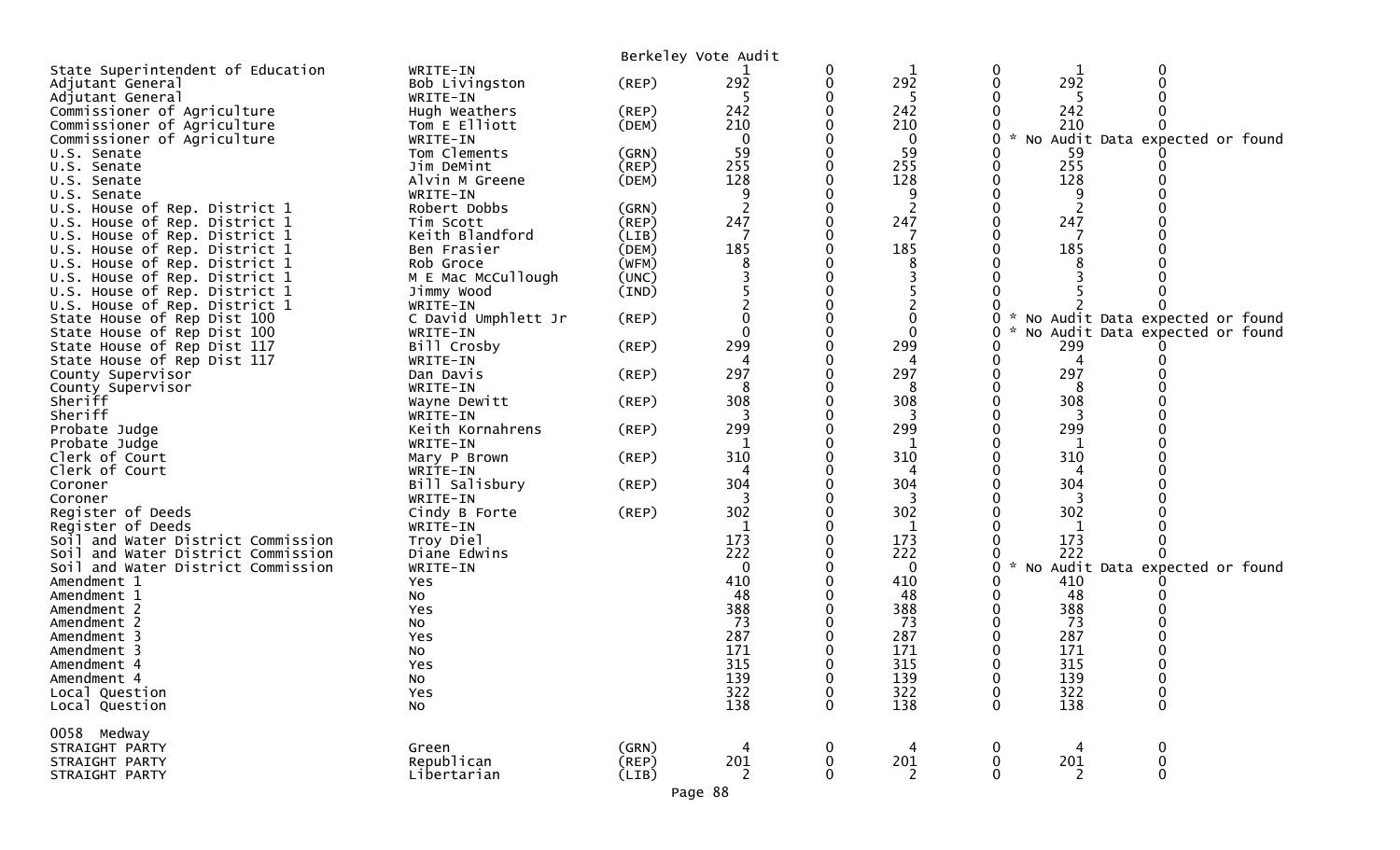|                                                                          |                              |                      | Berkeley Vote Audit |        |             |                   |            |                                   |  |
|--------------------------------------------------------------------------|------------------------------|----------------------|---------------------|--------|-------------|-------------------|------------|-----------------------------------|--|
| State Superintendent of Education                                        | WRITE-IN                     |                      |                     | 0      | 1           | 0                 |            |                                   |  |
| Adjutant General                                                         | Bob Livingston               | (REP)                | 292                 | 0      | 292         |                   | 292        |                                   |  |
| Adjutant General                                                         | WRITE-IN                     |                      | -5                  |        | -5          |                   |            |                                   |  |
| Commissioner of Agriculture                                              | Hugh Weathers                | (REP)                | 242                 |        | 242         |                   | 242        |                                   |  |
| Commissioner of Agriculture                                              | Tom E Elliott                | (DEM)                | 210                 |        | 210         |                   | 210        |                                   |  |
| Commissioner of Agriculture                                              | WRITE-IN                     |                      | $\mathbf 0$         |        | 0           | $\mathcal{H}$     |            | No Audit Data expected or found   |  |
| U.S. Senate                                                              | Tom Clements                 | (GRN)                | 59                  |        | 59          |                   | 59         |                                   |  |
| U.S. Senate                                                              | Jim DeMint                   | (REP)                | 255                 |        | 255         |                   | 255        |                                   |  |
| U.S. Senate                                                              | Alvin M Greene               | (DEM)                | 128                 |        | 128         |                   | 128        |                                   |  |
| U.S. Senate                                                              | WRITE-IN<br>Robert Dobbs     |                      | 9                   |        | 9<br>2      |                   | 9<br>2     |                                   |  |
| U.S. House of Rep. District 1                                            |                              | (GRN)<br>(REP)       | 247                 |        | 247         |                   | 247        |                                   |  |
| U.S. House of Rep. District 1<br>U.S. House of Rep. District 1           | Tim Scott<br>Keith Blandford | (LIB)                | 7                   |        | 7           |                   |            |                                   |  |
| U.S. House of Rep. District 1                                            | Ben Frasier                  | (DEM)                | 185                 |        | 185         |                   | 185        |                                   |  |
| U.S. House of Rep. District 1                                            | Rob Groce                    | (WFM)                |                     |        |             |                   |            |                                   |  |
| U.S. House of Rep. District 1                                            | M E Mac McCullough           | (UNC)                |                     |        | 3           |                   |            |                                   |  |
| U.S. House of Rep. District 1                                            | Jimmy Wood                   | (IND)                |                     |        |             |                   |            |                                   |  |
| U.S. House of Rep. District 1                                            | WRITE-IN                     |                      |                     |        |             |                   |            |                                   |  |
| State House of Rep Dist 100                                              | C David Umphlett Jr          | (REP)                |                     |        |             |                   |            | * No Audit Data expected or found |  |
| State House of Rep Dist 100                                              | WRITE-IN                     |                      | $\Omega$            |        | $\Omega$    |                   |            | No Audit Data expected or found   |  |
| State House of Rep Dist 117                                              | Bill Crosby                  | (REP)                | 299                 |        | 299         |                   | 299        |                                   |  |
| State House of Rep Dist 117                                              | WRITE-IN                     |                      |                     |        | 4           |                   | 4          |                                   |  |
| County Supervisor                                                        | Dan Davis                    | (REP)                | 297                 |        | 297         |                   | 297        |                                   |  |
| County Supervisor                                                        | WRITE-IN                     |                      |                     |        |             |                   |            |                                   |  |
| Sheriff                                                                  | Wayne Dewitt                 | (REP)                | 308                 |        | 308         |                   | 308        |                                   |  |
| Sheriff                                                                  | WRITE-IN                     |                      |                     |        |             |                   |            |                                   |  |
| Probate Judge                                                            | Keith Kornahrens             | (REP)                | 299                 |        | 299         |                   | 299        |                                   |  |
| Probate Judge                                                            | WRITE-IN                     |                      |                     |        | 1           |                   | 1          |                                   |  |
| Clerk of Court                                                           | Mary P Brown                 | (REP)                | 310                 |        | 310         |                   | 310        |                                   |  |
| Clerk of Court                                                           | WRITE-IN                     |                      |                     |        |             |                   |            |                                   |  |
| Coroner                                                                  | Bill Salisbury               | (REP)                | 304                 |        | 304         |                   | 304        |                                   |  |
| Coroner                                                                  | WRITE-IN                     |                      |                     |        | 3           |                   |            |                                   |  |
| Register of Deeds                                                        | Cindy B Forte                | (REP)                | 302                 |        | 302         |                   | 302        |                                   |  |
| Register of Deeds                                                        | WRITE-IN                     |                      |                     |        | 1           |                   |            |                                   |  |
| Soil and Water District Commission                                       | Troy Diel                    |                      | 173<br>222          |        | 173<br>222  |                   | 173<br>222 |                                   |  |
| Soil and Water District Commission<br>Soil and Water District Commission | Diane Edwins<br>WRITE-IN     |                      | $\mathbf{0}$        |        | $\mathbf 0$ | $\mathcal{H}$     |            | No Audit Data expected or found   |  |
| Amendment 1                                                              | Yes                          |                      | 410                 |        | 410         |                   | 410        |                                   |  |
| Amendment 1                                                              | NO.                          |                      | 48                  |        | 48          |                   | 48         |                                   |  |
| Amendment 2                                                              | Yes                          |                      | 388                 |        | 388         |                   | 388        |                                   |  |
| Amendment 2                                                              | No                           |                      | 73                  |        | 73          |                   | 73         |                                   |  |
| Amendment 3                                                              | Yes                          |                      | 287                 |        | 287         |                   | 287        |                                   |  |
| Amendment 3                                                              | No                           |                      | 171                 |        | 171         |                   | 171        |                                   |  |
| Amendment 4                                                              | Yes                          |                      | 315                 |        | 315         |                   | 315        |                                   |  |
| Amendment 4                                                              | No                           |                      | 139                 | 0      | 139         | 0                 | 139        | 0                                 |  |
| Local Question                                                           | Yes                          |                      | 322                 | 0      | 322         |                   | 322        |                                   |  |
| Local Question                                                           | No                           |                      | 138                 | 0      | 138         | $\Omega$          | 138        | 0                                 |  |
|                                                                          |                              |                      |                     |        |             |                   |            |                                   |  |
| 0058 Medway                                                              |                              |                      |                     |        |             |                   |            |                                   |  |
| STRAIGHT PARTY                                                           | Green<br>Republican          | (GRN)                | 4<br>201            | 0      | 4           | 0                 |            | 0                                 |  |
| STRAIGHT PARTY<br>STRAIGHT PARTY                                         | Libertarian                  | $($ REP $)$<br>(LIB) | 2                   | 0<br>0 | 201<br>2    | 0<br>$\mathbf{0}$ | 201<br>2   | $\mathbf 0$<br>$\mathbf 0$        |  |
|                                                                          |                              |                      |                     |        |             |                   |            |                                   |  |
|                                                                          |                              |                      | Page 88             |        |             |                   |            |                                   |  |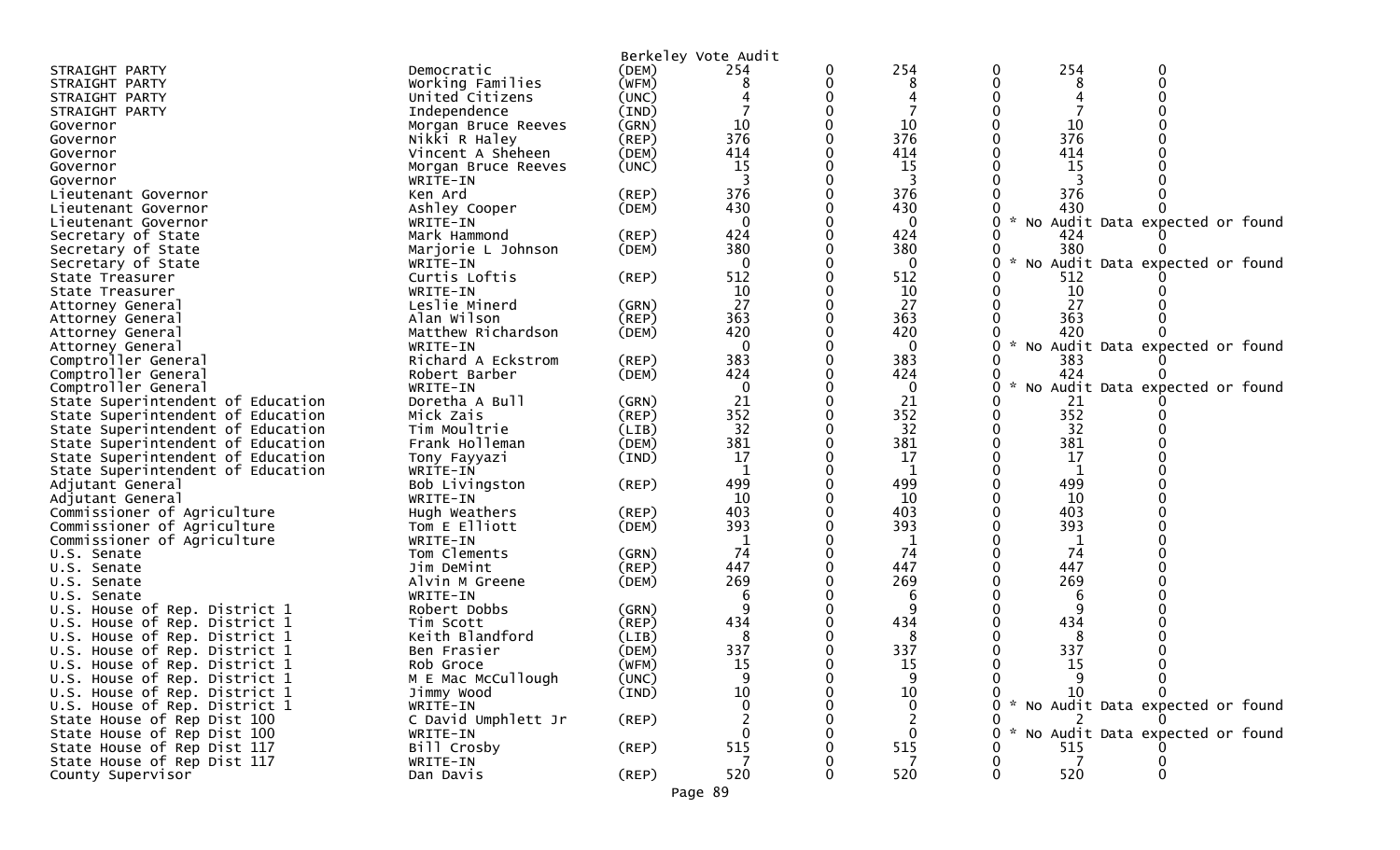| 254<br>254<br>Democratic<br>STRAIGHT PARTY<br>(DEM)<br>254<br>0<br>Working Families<br>(WFM)<br>8<br>0<br>STRAIGHT PARTY<br>United Citizens<br>0<br>(UNC)<br>STRAIGHT PARTY<br>(IND)<br>Independence<br>STRAIGHT PARTY<br>10<br>10<br>10<br>(GRN)<br>Governor<br>Morgan Bruce Reeves<br>376<br>376<br>376<br>(REP)<br>Nikki R Haley<br>Governor<br>414<br>414<br>414<br>Vincent A Sheheen<br>(DEM)<br>Governor<br>15<br>15<br>(UNC)<br><b>15</b><br>Morgan Bruce Reeves<br>Governor<br>3<br>3<br>Governor<br>WRITE-IN<br>376<br>376<br>376<br>Ken Ard<br>$($ REP $)$<br>Lieutenant Governor<br>430<br>430<br>430<br>Ashley Cooper<br>(DEM)<br>Lieutenant Governor<br>$\Omega$<br>$\Omega$<br>No Audit Data expected or found<br>Lieutenant Governor<br>WRITE-IN<br>424<br>424<br>Mark Hammond<br>(REP)<br>424<br>Secretary of State<br>380<br>380<br>Secretary of State<br>(DEM)<br>380<br>Marjorie L Johnson<br>$\sim$<br>No Audit Data expected or found<br>$\Omega$<br>0<br>Secretary of State<br>WRITE-IN<br>Curtis Loftis<br>512<br>512<br>(REP)<br>512<br>State Treasurer<br>10<br>10<br>10<br>State Treasurer<br>WRITE-IN<br>27<br>27<br>27<br>Leslie Minerd<br>(GRN)<br>Attorney General<br>363<br>363<br>363<br>Alan Wilson<br>$($ REP $)$<br>Attorney General<br>420<br>420<br>420<br>Matthew Richardson<br>(DEM)<br>Attorney General<br>$\Omega$<br>$\mathcal{H}$<br>$\Omega$<br>No Audit Data expected or found<br>Attorney General<br>WRITE-IN<br>383<br>Richard A Eckstrom<br>(REP)<br>383<br>383<br>Comptroller General<br>424<br>Comptroller General<br>424<br>424<br>Robert Barber<br>(DEM)<br>$\mathbf{0}$<br>Comptroller General<br>$\mathbf{0}$<br>$\mathcal{H}$<br>No Audit Data expected or found<br>WRITE-IN<br>21<br>21<br>State Superintendent of Education<br>Doretha A Bull<br>(GRN)<br>21<br>352<br>352<br>352<br>State Superintendent of Education<br>Mick Zais<br>(REP)<br>32<br>32<br>32<br>State Superintendent of Education<br>Tim Moultrie<br>(LIB)<br>381<br>381<br>381<br>State Superintendent of Education<br>Frank Holleman<br>(DEM)<br>17<br>17<br>State Superintendent of Education<br>17<br>(IND)<br>Tony Fayyazi<br>$\mathbf{1}$<br>State Superintendent of Education<br>1<br>1<br>WRITE-IN<br>499<br>499<br>499<br>Adjutant General<br>Bob Livingston<br>(REP)<br>WRITE-IN<br>10<br>10<br>10<br>Adjutant General<br>403<br>403<br>403<br>Commissioner of Agriculture<br>(REP)<br>Hugh Weathers<br>393<br>393<br>393<br>Commissioner of Agriculture<br>Tom E Elliott<br>(DEM)<br>Commissioner of Agriculture<br>WRITE-IN<br>74<br>74<br>74<br>Tom Clements<br>(GRN)<br>U.S. Senate<br>447<br>447<br>447<br>$($ REP $)$<br>Jim DeMint<br>U.S. Senate<br>269<br>269<br>269<br>Alvin M Greene<br>(DEM)<br>U.S. Senate<br>WRITE-IN<br>6<br>6<br>6<br>U.S. Senate<br>9<br>Robert Dobbs<br>q<br>U.S. House of Rep. District 1<br>(GRN)<br>434<br>434<br>U.S. House of Rep. District 1<br>(REP)<br>434<br>Tim Scott<br>8<br>Keith Blandford<br>8<br>U.S. House of Rep. District 1<br>(LIB)<br>8<br>337<br>337<br>337<br>U.S. House of Rep. District 1<br>Ben Frasier<br>(DEM)<br>U.S. House of Rep. District 1<br>(WFM)<br>15<br>15<br>15<br>Rob Groce<br>9<br>9<br>9<br>M E Mac McCullough<br>(UNC)<br>U.S. House of Rep. District 1<br>10<br>10<br>U.S. House of Rep. District 1<br>Jimmy Wood<br>10<br>(IND)<br>* No Audit Data expected or found<br>U.S. House of Rep. District 1<br>WRITE-IN<br>0<br>State House of Rep Dist 100<br>C David Umphlett Jr<br>(REP)<br><sup>2</sup><br>State House of Rep Dist 100<br>No Audit Data expected or found<br>0<br>WRITE-IN<br>State House of Rep Dist 117<br>Bill Crosby<br>$($ REP $)$<br>515<br>515<br>515<br>-7<br>State House of Rep Dist 117<br>WRITE-IN<br>520<br>520<br>520<br>(REP)<br>Dan Davis<br>County Supervisor<br>Page 89 |  | Berkeley Vote Audit |  |  |  |
|---------------------------------------------------------------------------------------------------------------------------------------------------------------------------------------------------------------------------------------------------------------------------------------------------------------------------------------------------------------------------------------------------------------------------------------------------------------------------------------------------------------------------------------------------------------------------------------------------------------------------------------------------------------------------------------------------------------------------------------------------------------------------------------------------------------------------------------------------------------------------------------------------------------------------------------------------------------------------------------------------------------------------------------------------------------------------------------------------------------------------------------------------------------------------------------------------------------------------------------------------------------------------------------------------------------------------------------------------------------------------------------------------------------------------------------------------------------------------------------------------------------------------------------------------------------------------------------------------------------------------------------------------------------------------------------------------------------------------------------------------------------------------------------------------------------------------------------------------------------------------------------------------------------------------------------------------------------------------------------------------------------------------------------------------------------------------------------------------------------------------------------------------------------------------------------------------------------------------------------------------------------------------------------------------------------------------------------------------------------------------------------------------------------------------------------------------------------------------------------------------------------------------------------------------------------------------------------------------------------------------------------------------------------------------------------------------------------------------------------------------------------------------------------------------------------------------------------------------------------------------------------------------------------------------------------------------------------------------------------------------------------------------------------------------------------------------------------------------------------------------------------------------------------------------------------------------------------------------------------------------------------------------------------------------------------------------------------------------------------------------------------------------------------------------------------------------------------------------------------------------------------------------------------------------------------------------------------------------------------------------------------------------------------------------------------------------------------------------------------------------------------------------------------------------------------------------|--|---------------------|--|--|--|
|                                                                                                                                                                                                                                                                                                                                                                                                                                                                                                                                                                                                                                                                                                                                                                                                                                                                                                                                                                                                                                                                                                                                                                                                                                                                                                                                                                                                                                                                                                                                                                                                                                                                                                                                                                                                                                                                                                                                                                                                                                                                                                                                                                                                                                                                                                                                                                                                                                                                                                                                                                                                                                                                                                                                                                                                                                                                                                                                                                                                                                                                                                                                                                                                                                                                                                                                                                                                                                                                                                                                                                                                                                                                                                                                                                                                                           |  |                     |  |  |  |
|                                                                                                                                                                                                                                                                                                                                                                                                                                                                                                                                                                                                                                                                                                                                                                                                                                                                                                                                                                                                                                                                                                                                                                                                                                                                                                                                                                                                                                                                                                                                                                                                                                                                                                                                                                                                                                                                                                                                                                                                                                                                                                                                                                                                                                                                                                                                                                                                                                                                                                                                                                                                                                                                                                                                                                                                                                                                                                                                                                                                                                                                                                                                                                                                                                                                                                                                                                                                                                                                                                                                                                                                                                                                                                                                                                                                                           |  |                     |  |  |  |
|                                                                                                                                                                                                                                                                                                                                                                                                                                                                                                                                                                                                                                                                                                                                                                                                                                                                                                                                                                                                                                                                                                                                                                                                                                                                                                                                                                                                                                                                                                                                                                                                                                                                                                                                                                                                                                                                                                                                                                                                                                                                                                                                                                                                                                                                                                                                                                                                                                                                                                                                                                                                                                                                                                                                                                                                                                                                                                                                                                                                                                                                                                                                                                                                                                                                                                                                                                                                                                                                                                                                                                                                                                                                                                                                                                                                                           |  |                     |  |  |  |
|                                                                                                                                                                                                                                                                                                                                                                                                                                                                                                                                                                                                                                                                                                                                                                                                                                                                                                                                                                                                                                                                                                                                                                                                                                                                                                                                                                                                                                                                                                                                                                                                                                                                                                                                                                                                                                                                                                                                                                                                                                                                                                                                                                                                                                                                                                                                                                                                                                                                                                                                                                                                                                                                                                                                                                                                                                                                                                                                                                                                                                                                                                                                                                                                                                                                                                                                                                                                                                                                                                                                                                                                                                                                                                                                                                                                                           |  |                     |  |  |  |
|                                                                                                                                                                                                                                                                                                                                                                                                                                                                                                                                                                                                                                                                                                                                                                                                                                                                                                                                                                                                                                                                                                                                                                                                                                                                                                                                                                                                                                                                                                                                                                                                                                                                                                                                                                                                                                                                                                                                                                                                                                                                                                                                                                                                                                                                                                                                                                                                                                                                                                                                                                                                                                                                                                                                                                                                                                                                                                                                                                                                                                                                                                                                                                                                                                                                                                                                                                                                                                                                                                                                                                                                                                                                                                                                                                                                                           |  |                     |  |  |  |
|                                                                                                                                                                                                                                                                                                                                                                                                                                                                                                                                                                                                                                                                                                                                                                                                                                                                                                                                                                                                                                                                                                                                                                                                                                                                                                                                                                                                                                                                                                                                                                                                                                                                                                                                                                                                                                                                                                                                                                                                                                                                                                                                                                                                                                                                                                                                                                                                                                                                                                                                                                                                                                                                                                                                                                                                                                                                                                                                                                                                                                                                                                                                                                                                                                                                                                                                                                                                                                                                                                                                                                                                                                                                                                                                                                                                                           |  |                     |  |  |  |
|                                                                                                                                                                                                                                                                                                                                                                                                                                                                                                                                                                                                                                                                                                                                                                                                                                                                                                                                                                                                                                                                                                                                                                                                                                                                                                                                                                                                                                                                                                                                                                                                                                                                                                                                                                                                                                                                                                                                                                                                                                                                                                                                                                                                                                                                                                                                                                                                                                                                                                                                                                                                                                                                                                                                                                                                                                                                                                                                                                                                                                                                                                                                                                                                                                                                                                                                                                                                                                                                                                                                                                                                                                                                                                                                                                                                                           |  |                     |  |  |  |
|                                                                                                                                                                                                                                                                                                                                                                                                                                                                                                                                                                                                                                                                                                                                                                                                                                                                                                                                                                                                                                                                                                                                                                                                                                                                                                                                                                                                                                                                                                                                                                                                                                                                                                                                                                                                                                                                                                                                                                                                                                                                                                                                                                                                                                                                                                                                                                                                                                                                                                                                                                                                                                                                                                                                                                                                                                                                                                                                                                                                                                                                                                                                                                                                                                                                                                                                                                                                                                                                                                                                                                                                                                                                                                                                                                                                                           |  |                     |  |  |  |
|                                                                                                                                                                                                                                                                                                                                                                                                                                                                                                                                                                                                                                                                                                                                                                                                                                                                                                                                                                                                                                                                                                                                                                                                                                                                                                                                                                                                                                                                                                                                                                                                                                                                                                                                                                                                                                                                                                                                                                                                                                                                                                                                                                                                                                                                                                                                                                                                                                                                                                                                                                                                                                                                                                                                                                                                                                                                                                                                                                                                                                                                                                                                                                                                                                                                                                                                                                                                                                                                                                                                                                                                                                                                                                                                                                                                                           |  |                     |  |  |  |
|                                                                                                                                                                                                                                                                                                                                                                                                                                                                                                                                                                                                                                                                                                                                                                                                                                                                                                                                                                                                                                                                                                                                                                                                                                                                                                                                                                                                                                                                                                                                                                                                                                                                                                                                                                                                                                                                                                                                                                                                                                                                                                                                                                                                                                                                                                                                                                                                                                                                                                                                                                                                                                                                                                                                                                                                                                                                                                                                                                                                                                                                                                                                                                                                                                                                                                                                                                                                                                                                                                                                                                                                                                                                                                                                                                                                                           |  |                     |  |  |  |
|                                                                                                                                                                                                                                                                                                                                                                                                                                                                                                                                                                                                                                                                                                                                                                                                                                                                                                                                                                                                                                                                                                                                                                                                                                                                                                                                                                                                                                                                                                                                                                                                                                                                                                                                                                                                                                                                                                                                                                                                                                                                                                                                                                                                                                                                                                                                                                                                                                                                                                                                                                                                                                                                                                                                                                                                                                                                                                                                                                                                                                                                                                                                                                                                                                                                                                                                                                                                                                                                                                                                                                                                                                                                                                                                                                                                                           |  |                     |  |  |  |
|                                                                                                                                                                                                                                                                                                                                                                                                                                                                                                                                                                                                                                                                                                                                                                                                                                                                                                                                                                                                                                                                                                                                                                                                                                                                                                                                                                                                                                                                                                                                                                                                                                                                                                                                                                                                                                                                                                                                                                                                                                                                                                                                                                                                                                                                                                                                                                                                                                                                                                                                                                                                                                                                                                                                                                                                                                                                                                                                                                                                                                                                                                                                                                                                                                                                                                                                                                                                                                                                                                                                                                                                                                                                                                                                                                                                                           |  |                     |  |  |  |
|                                                                                                                                                                                                                                                                                                                                                                                                                                                                                                                                                                                                                                                                                                                                                                                                                                                                                                                                                                                                                                                                                                                                                                                                                                                                                                                                                                                                                                                                                                                                                                                                                                                                                                                                                                                                                                                                                                                                                                                                                                                                                                                                                                                                                                                                                                                                                                                                                                                                                                                                                                                                                                                                                                                                                                                                                                                                                                                                                                                                                                                                                                                                                                                                                                                                                                                                                                                                                                                                                                                                                                                                                                                                                                                                                                                                                           |  |                     |  |  |  |
|                                                                                                                                                                                                                                                                                                                                                                                                                                                                                                                                                                                                                                                                                                                                                                                                                                                                                                                                                                                                                                                                                                                                                                                                                                                                                                                                                                                                                                                                                                                                                                                                                                                                                                                                                                                                                                                                                                                                                                                                                                                                                                                                                                                                                                                                                                                                                                                                                                                                                                                                                                                                                                                                                                                                                                                                                                                                                                                                                                                                                                                                                                                                                                                                                                                                                                                                                                                                                                                                                                                                                                                                                                                                                                                                                                                                                           |  |                     |  |  |  |
|                                                                                                                                                                                                                                                                                                                                                                                                                                                                                                                                                                                                                                                                                                                                                                                                                                                                                                                                                                                                                                                                                                                                                                                                                                                                                                                                                                                                                                                                                                                                                                                                                                                                                                                                                                                                                                                                                                                                                                                                                                                                                                                                                                                                                                                                                                                                                                                                                                                                                                                                                                                                                                                                                                                                                                                                                                                                                                                                                                                                                                                                                                                                                                                                                                                                                                                                                                                                                                                                                                                                                                                                                                                                                                                                                                                                                           |  |                     |  |  |  |
|                                                                                                                                                                                                                                                                                                                                                                                                                                                                                                                                                                                                                                                                                                                                                                                                                                                                                                                                                                                                                                                                                                                                                                                                                                                                                                                                                                                                                                                                                                                                                                                                                                                                                                                                                                                                                                                                                                                                                                                                                                                                                                                                                                                                                                                                                                                                                                                                                                                                                                                                                                                                                                                                                                                                                                                                                                                                                                                                                                                                                                                                                                                                                                                                                                                                                                                                                                                                                                                                                                                                                                                                                                                                                                                                                                                                                           |  |                     |  |  |  |
|                                                                                                                                                                                                                                                                                                                                                                                                                                                                                                                                                                                                                                                                                                                                                                                                                                                                                                                                                                                                                                                                                                                                                                                                                                                                                                                                                                                                                                                                                                                                                                                                                                                                                                                                                                                                                                                                                                                                                                                                                                                                                                                                                                                                                                                                                                                                                                                                                                                                                                                                                                                                                                                                                                                                                                                                                                                                                                                                                                                                                                                                                                                                                                                                                                                                                                                                                                                                                                                                                                                                                                                                                                                                                                                                                                                                                           |  |                     |  |  |  |
|                                                                                                                                                                                                                                                                                                                                                                                                                                                                                                                                                                                                                                                                                                                                                                                                                                                                                                                                                                                                                                                                                                                                                                                                                                                                                                                                                                                                                                                                                                                                                                                                                                                                                                                                                                                                                                                                                                                                                                                                                                                                                                                                                                                                                                                                                                                                                                                                                                                                                                                                                                                                                                                                                                                                                                                                                                                                                                                                                                                                                                                                                                                                                                                                                                                                                                                                                                                                                                                                                                                                                                                                                                                                                                                                                                                                                           |  |                     |  |  |  |
|                                                                                                                                                                                                                                                                                                                                                                                                                                                                                                                                                                                                                                                                                                                                                                                                                                                                                                                                                                                                                                                                                                                                                                                                                                                                                                                                                                                                                                                                                                                                                                                                                                                                                                                                                                                                                                                                                                                                                                                                                                                                                                                                                                                                                                                                                                                                                                                                                                                                                                                                                                                                                                                                                                                                                                                                                                                                                                                                                                                                                                                                                                                                                                                                                                                                                                                                                                                                                                                                                                                                                                                                                                                                                                                                                                                                                           |  |                     |  |  |  |
|                                                                                                                                                                                                                                                                                                                                                                                                                                                                                                                                                                                                                                                                                                                                                                                                                                                                                                                                                                                                                                                                                                                                                                                                                                                                                                                                                                                                                                                                                                                                                                                                                                                                                                                                                                                                                                                                                                                                                                                                                                                                                                                                                                                                                                                                                                                                                                                                                                                                                                                                                                                                                                                                                                                                                                                                                                                                                                                                                                                                                                                                                                                                                                                                                                                                                                                                                                                                                                                                                                                                                                                                                                                                                                                                                                                                                           |  |                     |  |  |  |
|                                                                                                                                                                                                                                                                                                                                                                                                                                                                                                                                                                                                                                                                                                                                                                                                                                                                                                                                                                                                                                                                                                                                                                                                                                                                                                                                                                                                                                                                                                                                                                                                                                                                                                                                                                                                                                                                                                                                                                                                                                                                                                                                                                                                                                                                                                                                                                                                                                                                                                                                                                                                                                                                                                                                                                                                                                                                                                                                                                                                                                                                                                                                                                                                                                                                                                                                                                                                                                                                                                                                                                                                                                                                                                                                                                                                                           |  |                     |  |  |  |
|                                                                                                                                                                                                                                                                                                                                                                                                                                                                                                                                                                                                                                                                                                                                                                                                                                                                                                                                                                                                                                                                                                                                                                                                                                                                                                                                                                                                                                                                                                                                                                                                                                                                                                                                                                                                                                                                                                                                                                                                                                                                                                                                                                                                                                                                                                                                                                                                                                                                                                                                                                                                                                                                                                                                                                                                                                                                                                                                                                                                                                                                                                                                                                                                                                                                                                                                                                                                                                                                                                                                                                                                                                                                                                                                                                                                                           |  |                     |  |  |  |
|                                                                                                                                                                                                                                                                                                                                                                                                                                                                                                                                                                                                                                                                                                                                                                                                                                                                                                                                                                                                                                                                                                                                                                                                                                                                                                                                                                                                                                                                                                                                                                                                                                                                                                                                                                                                                                                                                                                                                                                                                                                                                                                                                                                                                                                                                                                                                                                                                                                                                                                                                                                                                                                                                                                                                                                                                                                                                                                                                                                                                                                                                                                                                                                                                                                                                                                                                                                                                                                                                                                                                                                                                                                                                                                                                                                                                           |  |                     |  |  |  |
|                                                                                                                                                                                                                                                                                                                                                                                                                                                                                                                                                                                                                                                                                                                                                                                                                                                                                                                                                                                                                                                                                                                                                                                                                                                                                                                                                                                                                                                                                                                                                                                                                                                                                                                                                                                                                                                                                                                                                                                                                                                                                                                                                                                                                                                                                                                                                                                                                                                                                                                                                                                                                                                                                                                                                                                                                                                                                                                                                                                                                                                                                                                                                                                                                                                                                                                                                                                                                                                                                                                                                                                                                                                                                                                                                                                                                           |  |                     |  |  |  |
|                                                                                                                                                                                                                                                                                                                                                                                                                                                                                                                                                                                                                                                                                                                                                                                                                                                                                                                                                                                                                                                                                                                                                                                                                                                                                                                                                                                                                                                                                                                                                                                                                                                                                                                                                                                                                                                                                                                                                                                                                                                                                                                                                                                                                                                                                                                                                                                                                                                                                                                                                                                                                                                                                                                                                                                                                                                                                                                                                                                                                                                                                                                                                                                                                                                                                                                                                                                                                                                                                                                                                                                                                                                                                                                                                                                                                           |  |                     |  |  |  |
|                                                                                                                                                                                                                                                                                                                                                                                                                                                                                                                                                                                                                                                                                                                                                                                                                                                                                                                                                                                                                                                                                                                                                                                                                                                                                                                                                                                                                                                                                                                                                                                                                                                                                                                                                                                                                                                                                                                                                                                                                                                                                                                                                                                                                                                                                                                                                                                                                                                                                                                                                                                                                                                                                                                                                                                                                                                                                                                                                                                                                                                                                                                                                                                                                                                                                                                                                                                                                                                                                                                                                                                                                                                                                                                                                                                                                           |  |                     |  |  |  |
|                                                                                                                                                                                                                                                                                                                                                                                                                                                                                                                                                                                                                                                                                                                                                                                                                                                                                                                                                                                                                                                                                                                                                                                                                                                                                                                                                                                                                                                                                                                                                                                                                                                                                                                                                                                                                                                                                                                                                                                                                                                                                                                                                                                                                                                                                                                                                                                                                                                                                                                                                                                                                                                                                                                                                                                                                                                                                                                                                                                                                                                                                                                                                                                                                                                                                                                                                                                                                                                                                                                                                                                                                                                                                                                                                                                                                           |  |                     |  |  |  |
|                                                                                                                                                                                                                                                                                                                                                                                                                                                                                                                                                                                                                                                                                                                                                                                                                                                                                                                                                                                                                                                                                                                                                                                                                                                                                                                                                                                                                                                                                                                                                                                                                                                                                                                                                                                                                                                                                                                                                                                                                                                                                                                                                                                                                                                                                                                                                                                                                                                                                                                                                                                                                                                                                                                                                                                                                                                                                                                                                                                                                                                                                                                                                                                                                                                                                                                                                                                                                                                                                                                                                                                                                                                                                                                                                                                                                           |  |                     |  |  |  |
|                                                                                                                                                                                                                                                                                                                                                                                                                                                                                                                                                                                                                                                                                                                                                                                                                                                                                                                                                                                                                                                                                                                                                                                                                                                                                                                                                                                                                                                                                                                                                                                                                                                                                                                                                                                                                                                                                                                                                                                                                                                                                                                                                                                                                                                                                                                                                                                                                                                                                                                                                                                                                                                                                                                                                                                                                                                                                                                                                                                                                                                                                                                                                                                                                                                                                                                                                                                                                                                                                                                                                                                                                                                                                                                                                                                                                           |  |                     |  |  |  |
|                                                                                                                                                                                                                                                                                                                                                                                                                                                                                                                                                                                                                                                                                                                                                                                                                                                                                                                                                                                                                                                                                                                                                                                                                                                                                                                                                                                                                                                                                                                                                                                                                                                                                                                                                                                                                                                                                                                                                                                                                                                                                                                                                                                                                                                                                                                                                                                                                                                                                                                                                                                                                                                                                                                                                                                                                                                                                                                                                                                                                                                                                                                                                                                                                                                                                                                                                                                                                                                                                                                                                                                                                                                                                                                                                                                                                           |  |                     |  |  |  |
|                                                                                                                                                                                                                                                                                                                                                                                                                                                                                                                                                                                                                                                                                                                                                                                                                                                                                                                                                                                                                                                                                                                                                                                                                                                                                                                                                                                                                                                                                                                                                                                                                                                                                                                                                                                                                                                                                                                                                                                                                                                                                                                                                                                                                                                                                                                                                                                                                                                                                                                                                                                                                                                                                                                                                                                                                                                                                                                                                                                                                                                                                                                                                                                                                                                                                                                                                                                                                                                                                                                                                                                                                                                                                                                                                                                                                           |  |                     |  |  |  |
|                                                                                                                                                                                                                                                                                                                                                                                                                                                                                                                                                                                                                                                                                                                                                                                                                                                                                                                                                                                                                                                                                                                                                                                                                                                                                                                                                                                                                                                                                                                                                                                                                                                                                                                                                                                                                                                                                                                                                                                                                                                                                                                                                                                                                                                                                                                                                                                                                                                                                                                                                                                                                                                                                                                                                                                                                                                                                                                                                                                                                                                                                                                                                                                                                                                                                                                                                                                                                                                                                                                                                                                                                                                                                                                                                                                                                           |  |                     |  |  |  |
|                                                                                                                                                                                                                                                                                                                                                                                                                                                                                                                                                                                                                                                                                                                                                                                                                                                                                                                                                                                                                                                                                                                                                                                                                                                                                                                                                                                                                                                                                                                                                                                                                                                                                                                                                                                                                                                                                                                                                                                                                                                                                                                                                                                                                                                                                                                                                                                                                                                                                                                                                                                                                                                                                                                                                                                                                                                                                                                                                                                                                                                                                                                                                                                                                                                                                                                                                                                                                                                                                                                                                                                                                                                                                                                                                                                                                           |  |                     |  |  |  |
|                                                                                                                                                                                                                                                                                                                                                                                                                                                                                                                                                                                                                                                                                                                                                                                                                                                                                                                                                                                                                                                                                                                                                                                                                                                                                                                                                                                                                                                                                                                                                                                                                                                                                                                                                                                                                                                                                                                                                                                                                                                                                                                                                                                                                                                                                                                                                                                                                                                                                                                                                                                                                                                                                                                                                                                                                                                                                                                                                                                                                                                                                                                                                                                                                                                                                                                                                                                                                                                                                                                                                                                                                                                                                                                                                                                                                           |  |                     |  |  |  |
|                                                                                                                                                                                                                                                                                                                                                                                                                                                                                                                                                                                                                                                                                                                                                                                                                                                                                                                                                                                                                                                                                                                                                                                                                                                                                                                                                                                                                                                                                                                                                                                                                                                                                                                                                                                                                                                                                                                                                                                                                                                                                                                                                                                                                                                                                                                                                                                                                                                                                                                                                                                                                                                                                                                                                                                                                                                                                                                                                                                                                                                                                                                                                                                                                                                                                                                                                                                                                                                                                                                                                                                                                                                                                                                                                                                                                           |  |                     |  |  |  |
|                                                                                                                                                                                                                                                                                                                                                                                                                                                                                                                                                                                                                                                                                                                                                                                                                                                                                                                                                                                                                                                                                                                                                                                                                                                                                                                                                                                                                                                                                                                                                                                                                                                                                                                                                                                                                                                                                                                                                                                                                                                                                                                                                                                                                                                                                                                                                                                                                                                                                                                                                                                                                                                                                                                                                                                                                                                                                                                                                                                                                                                                                                                                                                                                                                                                                                                                                                                                                                                                                                                                                                                                                                                                                                                                                                                                                           |  |                     |  |  |  |
|                                                                                                                                                                                                                                                                                                                                                                                                                                                                                                                                                                                                                                                                                                                                                                                                                                                                                                                                                                                                                                                                                                                                                                                                                                                                                                                                                                                                                                                                                                                                                                                                                                                                                                                                                                                                                                                                                                                                                                                                                                                                                                                                                                                                                                                                                                                                                                                                                                                                                                                                                                                                                                                                                                                                                                                                                                                                                                                                                                                                                                                                                                                                                                                                                                                                                                                                                                                                                                                                                                                                                                                                                                                                                                                                                                                                                           |  |                     |  |  |  |
|                                                                                                                                                                                                                                                                                                                                                                                                                                                                                                                                                                                                                                                                                                                                                                                                                                                                                                                                                                                                                                                                                                                                                                                                                                                                                                                                                                                                                                                                                                                                                                                                                                                                                                                                                                                                                                                                                                                                                                                                                                                                                                                                                                                                                                                                                                                                                                                                                                                                                                                                                                                                                                                                                                                                                                                                                                                                                                                                                                                                                                                                                                                                                                                                                                                                                                                                                                                                                                                                                                                                                                                                                                                                                                                                                                                                                           |  |                     |  |  |  |
|                                                                                                                                                                                                                                                                                                                                                                                                                                                                                                                                                                                                                                                                                                                                                                                                                                                                                                                                                                                                                                                                                                                                                                                                                                                                                                                                                                                                                                                                                                                                                                                                                                                                                                                                                                                                                                                                                                                                                                                                                                                                                                                                                                                                                                                                                                                                                                                                                                                                                                                                                                                                                                                                                                                                                                                                                                                                                                                                                                                                                                                                                                                                                                                                                                                                                                                                                                                                                                                                                                                                                                                                                                                                                                                                                                                                                           |  |                     |  |  |  |
|                                                                                                                                                                                                                                                                                                                                                                                                                                                                                                                                                                                                                                                                                                                                                                                                                                                                                                                                                                                                                                                                                                                                                                                                                                                                                                                                                                                                                                                                                                                                                                                                                                                                                                                                                                                                                                                                                                                                                                                                                                                                                                                                                                                                                                                                                                                                                                                                                                                                                                                                                                                                                                                                                                                                                                                                                                                                                                                                                                                                                                                                                                                                                                                                                                                                                                                                                                                                                                                                                                                                                                                                                                                                                                                                                                                                                           |  |                     |  |  |  |
|                                                                                                                                                                                                                                                                                                                                                                                                                                                                                                                                                                                                                                                                                                                                                                                                                                                                                                                                                                                                                                                                                                                                                                                                                                                                                                                                                                                                                                                                                                                                                                                                                                                                                                                                                                                                                                                                                                                                                                                                                                                                                                                                                                                                                                                                                                                                                                                                                                                                                                                                                                                                                                                                                                                                                                                                                                                                                                                                                                                                                                                                                                                                                                                                                                                                                                                                                                                                                                                                                                                                                                                                                                                                                                                                                                                                                           |  |                     |  |  |  |
|                                                                                                                                                                                                                                                                                                                                                                                                                                                                                                                                                                                                                                                                                                                                                                                                                                                                                                                                                                                                                                                                                                                                                                                                                                                                                                                                                                                                                                                                                                                                                                                                                                                                                                                                                                                                                                                                                                                                                                                                                                                                                                                                                                                                                                                                                                                                                                                                                                                                                                                                                                                                                                                                                                                                                                                                                                                                                                                                                                                                                                                                                                                                                                                                                                                                                                                                                                                                                                                                                                                                                                                                                                                                                                                                                                                                                           |  |                     |  |  |  |
|                                                                                                                                                                                                                                                                                                                                                                                                                                                                                                                                                                                                                                                                                                                                                                                                                                                                                                                                                                                                                                                                                                                                                                                                                                                                                                                                                                                                                                                                                                                                                                                                                                                                                                                                                                                                                                                                                                                                                                                                                                                                                                                                                                                                                                                                                                                                                                                                                                                                                                                                                                                                                                                                                                                                                                                                                                                                                                                                                                                                                                                                                                                                                                                                                                                                                                                                                                                                                                                                                                                                                                                                                                                                                                                                                                                                                           |  |                     |  |  |  |
|                                                                                                                                                                                                                                                                                                                                                                                                                                                                                                                                                                                                                                                                                                                                                                                                                                                                                                                                                                                                                                                                                                                                                                                                                                                                                                                                                                                                                                                                                                                                                                                                                                                                                                                                                                                                                                                                                                                                                                                                                                                                                                                                                                                                                                                                                                                                                                                                                                                                                                                                                                                                                                                                                                                                                                                                                                                                                                                                                                                                                                                                                                                                                                                                                                                                                                                                                                                                                                                                                                                                                                                                                                                                                                                                                                                                                           |  |                     |  |  |  |
|                                                                                                                                                                                                                                                                                                                                                                                                                                                                                                                                                                                                                                                                                                                                                                                                                                                                                                                                                                                                                                                                                                                                                                                                                                                                                                                                                                                                                                                                                                                                                                                                                                                                                                                                                                                                                                                                                                                                                                                                                                                                                                                                                                                                                                                                                                                                                                                                                                                                                                                                                                                                                                                                                                                                                                                                                                                                                                                                                                                                                                                                                                                                                                                                                                                                                                                                                                                                                                                                                                                                                                                                                                                                                                                                                                                                                           |  |                     |  |  |  |
|                                                                                                                                                                                                                                                                                                                                                                                                                                                                                                                                                                                                                                                                                                                                                                                                                                                                                                                                                                                                                                                                                                                                                                                                                                                                                                                                                                                                                                                                                                                                                                                                                                                                                                                                                                                                                                                                                                                                                                                                                                                                                                                                                                                                                                                                                                                                                                                                                                                                                                                                                                                                                                                                                                                                                                                                                                                                                                                                                                                                                                                                                                                                                                                                                                                                                                                                                                                                                                                                                                                                                                                                                                                                                                                                                                                                                           |  |                     |  |  |  |
|                                                                                                                                                                                                                                                                                                                                                                                                                                                                                                                                                                                                                                                                                                                                                                                                                                                                                                                                                                                                                                                                                                                                                                                                                                                                                                                                                                                                                                                                                                                                                                                                                                                                                                                                                                                                                                                                                                                                                                                                                                                                                                                                                                                                                                                                                                                                                                                                                                                                                                                                                                                                                                                                                                                                                                                                                                                                                                                                                                                                                                                                                                                                                                                                                                                                                                                                                                                                                                                                                                                                                                                                                                                                                                                                                                                                                           |  |                     |  |  |  |
|                                                                                                                                                                                                                                                                                                                                                                                                                                                                                                                                                                                                                                                                                                                                                                                                                                                                                                                                                                                                                                                                                                                                                                                                                                                                                                                                                                                                                                                                                                                                                                                                                                                                                                                                                                                                                                                                                                                                                                                                                                                                                                                                                                                                                                                                                                                                                                                                                                                                                                                                                                                                                                                                                                                                                                                                                                                                                                                                                                                                                                                                                                                                                                                                                                                                                                                                                                                                                                                                                                                                                                                                                                                                                                                                                                                                                           |  |                     |  |  |  |
|                                                                                                                                                                                                                                                                                                                                                                                                                                                                                                                                                                                                                                                                                                                                                                                                                                                                                                                                                                                                                                                                                                                                                                                                                                                                                                                                                                                                                                                                                                                                                                                                                                                                                                                                                                                                                                                                                                                                                                                                                                                                                                                                                                                                                                                                                                                                                                                                                                                                                                                                                                                                                                                                                                                                                                                                                                                                                                                                                                                                                                                                                                                                                                                                                                                                                                                                                                                                                                                                                                                                                                                                                                                                                                                                                                                                                           |  |                     |  |  |  |
|                                                                                                                                                                                                                                                                                                                                                                                                                                                                                                                                                                                                                                                                                                                                                                                                                                                                                                                                                                                                                                                                                                                                                                                                                                                                                                                                                                                                                                                                                                                                                                                                                                                                                                                                                                                                                                                                                                                                                                                                                                                                                                                                                                                                                                                                                                                                                                                                                                                                                                                                                                                                                                                                                                                                                                                                                                                                                                                                                                                                                                                                                                                                                                                                                                                                                                                                                                                                                                                                                                                                                                                                                                                                                                                                                                                                                           |  |                     |  |  |  |
|                                                                                                                                                                                                                                                                                                                                                                                                                                                                                                                                                                                                                                                                                                                                                                                                                                                                                                                                                                                                                                                                                                                                                                                                                                                                                                                                                                                                                                                                                                                                                                                                                                                                                                                                                                                                                                                                                                                                                                                                                                                                                                                                                                                                                                                                                                                                                                                                                                                                                                                                                                                                                                                                                                                                                                                                                                                                                                                                                                                                                                                                                                                                                                                                                                                                                                                                                                                                                                                                                                                                                                                                                                                                                                                                                                                                                           |  |                     |  |  |  |
|                                                                                                                                                                                                                                                                                                                                                                                                                                                                                                                                                                                                                                                                                                                                                                                                                                                                                                                                                                                                                                                                                                                                                                                                                                                                                                                                                                                                                                                                                                                                                                                                                                                                                                                                                                                                                                                                                                                                                                                                                                                                                                                                                                                                                                                                                                                                                                                                                                                                                                                                                                                                                                                                                                                                                                                                                                                                                                                                                                                                                                                                                                                                                                                                                                                                                                                                                                                                                                                                                                                                                                                                                                                                                                                                                                                                                           |  |                     |  |  |  |
|                                                                                                                                                                                                                                                                                                                                                                                                                                                                                                                                                                                                                                                                                                                                                                                                                                                                                                                                                                                                                                                                                                                                                                                                                                                                                                                                                                                                                                                                                                                                                                                                                                                                                                                                                                                                                                                                                                                                                                                                                                                                                                                                                                                                                                                                                                                                                                                                                                                                                                                                                                                                                                                                                                                                                                                                                                                                                                                                                                                                                                                                                                                                                                                                                                                                                                                                                                                                                                                                                                                                                                                                                                                                                                                                                                                                                           |  |                     |  |  |  |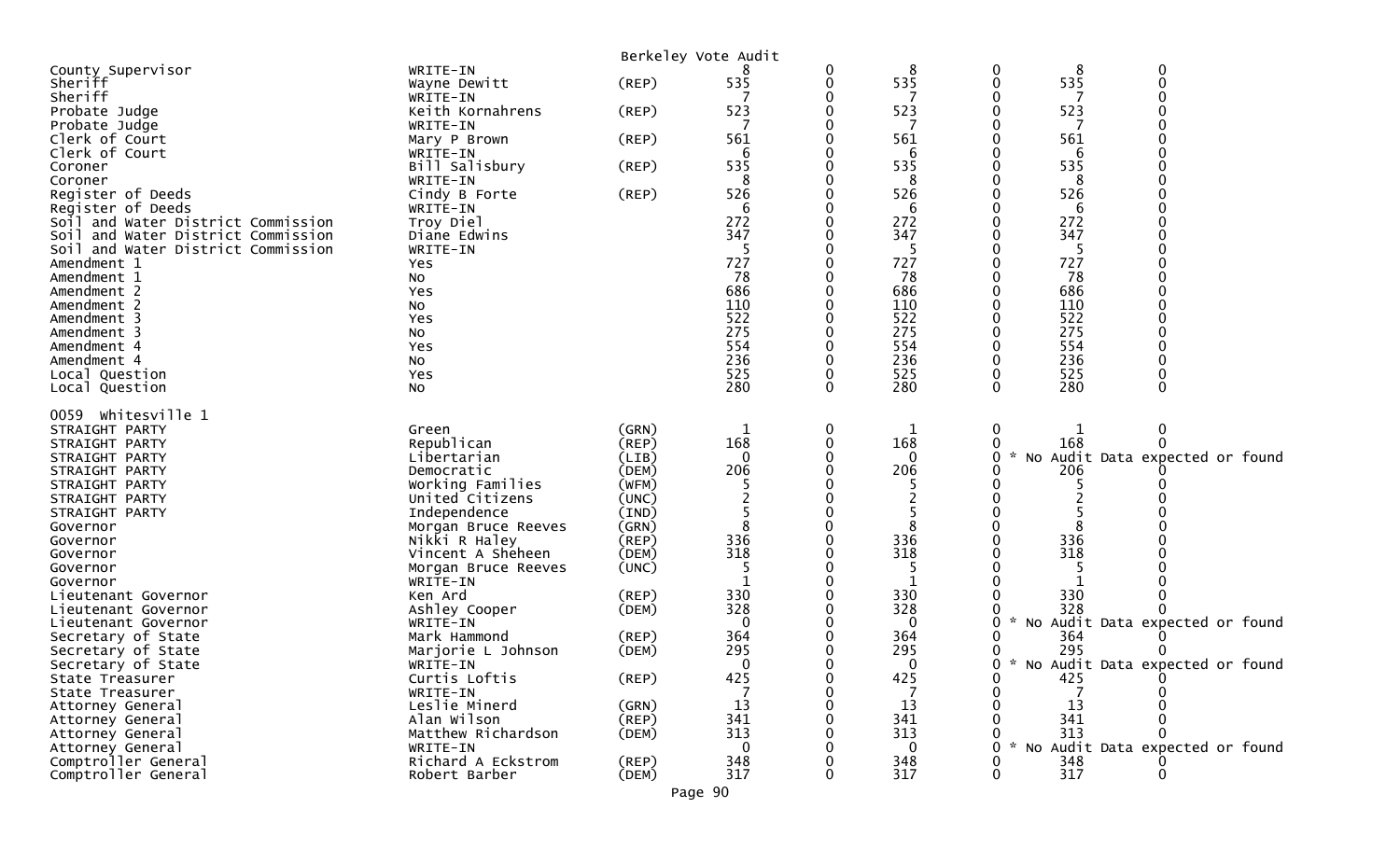|                                    |                     |             | Berkeley Vote Audit |   |     |                                                       |
|------------------------------------|---------------------|-------------|---------------------|---|-----|-------------------------------------------------------|
| County Supervisor                  | WRITE-IN            |             |                     | 0 | 8   | $\mathbf 0$<br>0<br>8                                 |
| Sheriff                            | Wayne Dewitt        | (REP)       | 535                 | 0 | 535 | 535<br>$\boldsymbol{0}$<br>$\mathbf 0$                |
| Sheriff                            | WRITE-IN            |             |                     |   |     |                                                       |
| Probate Judge                      | Keith Kornahrens    | (REP)       | 523                 | 0 | 523 | 523<br>0                                              |
| Probate Judge                      | WRITE-IN            |             |                     |   | 7   |                                                       |
| Clerk of Court                     | Mary P Brown        | $($ REP $)$ | 561                 |   | 561 | 561                                                   |
| Clerk of Court                     | WRITE-IN            |             | 6                   |   | 6   |                                                       |
| Coroner                            | Bill Salisbury      | (REP)       | 535                 |   | 535 | 535                                                   |
| Coroner                            | WRITE-IN            |             | 8                   |   | 8   | 8                                                     |
| Register of Deeds                  | Cindy B Forte       | (REP)       | 526                 |   | 526 | 526                                                   |
| Register of Deeds                  | WRITE-IN            |             | 6                   |   | 6   | 6                                                     |
| Soil and Water District Commission | Troy Diel           |             | 272                 |   | 272 | 272                                                   |
| Soil and Water District Commission | Diane Edwins        |             | 347                 |   | 347 | 347                                                   |
| Soil and Water District Commission | WRITE-IN            |             |                     |   | 5   |                                                       |
| Amendment 1                        | Yes                 |             | 727                 |   | 727 | 727                                                   |
| Amendment 1                        | No                  |             | 78                  |   | 78  | 78                                                    |
| Amendment 2                        | Yes                 |             | 686                 |   | 686 | 686                                                   |
| Amendment 2                        | No                  |             | 110                 |   | 110 | 110                                                   |
| Amendment 3                        | Yes                 |             | 522                 |   | 522 | 522                                                   |
| Amendment 3                        | No                  |             | 275                 |   | 275 | 275                                                   |
| Amendment 4                        | Yes                 |             | 554                 |   | 554 | 554                                                   |
| Amendment 4                        | No                  |             | 236                 |   | 236 | 236                                                   |
| Local Question                     | Yes                 |             | 525                 | 0 | 525 | 525<br>0<br>$\Omega$<br>$\Omega$                      |
| Local Question                     | No                  |             | 280                 | 0 | 280 | 280                                                   |
| 0059 whitesville 1                 |                     |             |                     |   |     |                                                       |
| STRAIGHT PARTY                     | Green               | (GRN)       |                     | 0 | 1   | 0<br>0                                                |
| STRAIGHT PARTY                     | Republican          | (REP)       | 168                 |   | 168 | 168<br>0                                              |
| STRAIGHT PARTY                     | Libertarian         | (LIB)       | 0                   |   | 0   | $\mathcal{H}$<br>No Audit Data expected or found<br>0 |
| STRAIGHT PARTY                     | Democratic          | (DEM)       | 206                 |   | 206 | 206                                                   |
| STRAIGHT PARTY                     | Working Families    | (WFM)       |                     |   |     |                                                       |
| STRAIGHT PARTY                     | United Citizens     | (UNC)       |                     |   |     |                                                       |
| STRAIGHT PARTY                     | Independence        | (IND)       |                     |   |     |                                                       |
| Governor                           | Morgan Bruce Reeves | (GRN)       | 8                   |   | 8   |                                                       |
| Governor                           | Nikki R Haley       | $($ REP $)$ | 336                 |   | 336 | 336                                                   |
| Governor                           | Vincent A Sheheen   | (DEM)       | 318                 |   | 318 | 318                                                   |
| Governor                           | Morgan Bruce Reeves | (UNC)       |                     |   | 5   |                                                       |
| Governor                           | WRITE-IN            |             |                     |   | 1   |                                                       |
| Lieutenant Governor                | Ken Ard             | (REP)       | 330                 |   | 330 | 330                                                   |
| Lieutenant Governor                | Ashley Cooper       | (DEM)       | 328                 |   | 328 | 328                                                   |
| Lieutenant Governor                | WRITE-IN            |             | 0                   |   | 0   | No Audit Data expected or found<br>0<br>*             |
| Secretary of State                 | Mark Hammond        | (REP)       | 364                 |   | 364 | 364                                                   |
| Secretary of State                 | Marjorie L Johnson  | (DEM)       | 295                 |   | 295 | 295<br>0                                              |
| Secretary of State                 | WRITE-IN            |             | $\Omega$            | n | 0   | * No Audit Data expected or found<br>0                |
| State Treasurer                    | Curtis Loftis       | $($ REP $)$ | 425                 | 0 | 425 | 0<br>425                                              |
| State Treasurer                    | WRITE-IN            |             |                     |   |     | 0                                                     |
| Attorney General                   | Leslie Minerd       | (GRN)       | 13                  |   | 13  | 13                                                    |
| Attorney General                   | Alan Wilson         | (REP)       | 341                 |   | 341 | 341                                                   |
| Attorney General                   | Matthew Richardson  | (DEM)       | 313                 |   | 313 | 313                                                   |
| Attorney General                   | WRITE-IN            |             | 0                   |   | 0   | No Audit Data expected or found                       |
| Comptroller General                | Richard A Eckstrom  | (REP)       | 348                 |   | 348 | 348                                                   |
| Comptroller General                | Robert Barber       | (DEM)       | 317                 |   | 317 | 317<br>$\Omega$<br>0                                  |

Page 90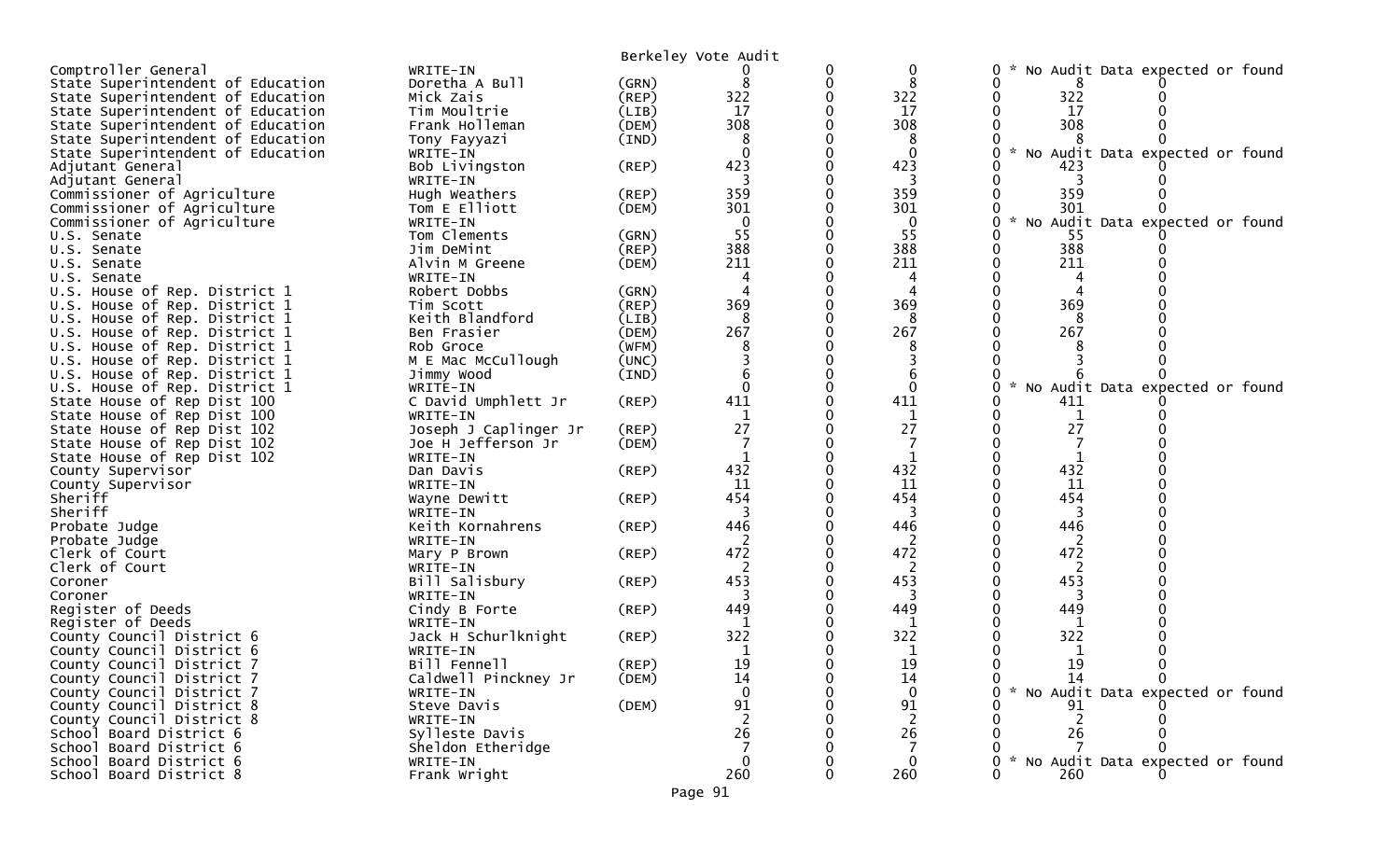|                                        |                                             |             | Berkeley Vote Audit |   |              |                                      |
|----------------------------------------|---------------------------------------------|-------------|---------------------|---|--------------|--------------------------------------|
| Comptroller General                    | WRITE-IN                                    |             |                     | 0 | 0            | 0<br>No Audit Data expected or found |
| State Superintendent of Education      | Doretha A Bull                              | (GRN)       | 8                   | 0 | 8            |                                      |
| State Superintendent of Education      | Mick Zais                                   | $($ REP $)$ | 322                 |   | 322          | 322                                  |
| State Superintendent of Education      | Tim Moultrie                                | (LIB)       | 17                  |   | 17           | 17                                   |
| State Superintendent of Education      | Frank Holleman                              | (DEM)       | 308                 |   | 308          | 308                                  |
| State Superintendent of Education      | Tony Fayyazi                                | (IND)       |                     |   | 8            |                                      |
| State Superintendent of Education      | WRITE-IN                                    |             |                     |   | $\mathbf 0$  | No Audit Data expected or found      |
| Adjutant General                       | Bob Livingston                              | (REP)       | 423                 |   | 423          | 423                                  |
| Adjutant General                       | WRITE-IN                                    |             |                     |   |              |                                      |
| Commissioner of Agriculture            | Hugh Weathers                               | (REP)       | 359                 |   | 359          | 359                                  |
| Commissioner of Agriculture            | Tom E Elliott                               | (DEM)       | 301                 |   | 301          | 301                                  |
| Commissioner of Agriculture            | WRITE-IN                                    |             | $\mathbf{0}$        |   | $\mathbf{0}$ | No Audit Data expected or found      |
| U.S. Senate                            | Tom Clements                                | (GRN)       | 55                  |   | 55           | 55                                   |
| U.S. Senate                            | Jim DeMint                                  | $($ REP $)$ | 388                 |   | 388          | 388                                  |
| U.S. Senate                            | Alvin M Greene                              | (DEM)       | 211                 |   | 211          | 211                                  |
| U.S. Senate                            | WRITE-IN                                    |             |                     |   |              |                                      |
| U.S. House of Rep. District 1          | Robert Dobbs                                | (GRN)       |                     |   |              |                                      |
| U.S. House of Rep. District 1          | Tim Scott                                   | (REP)       | 369                 |   | 369          | 369                                  |
| U.S. House of Rep. District 1          | Keith Blandford                             | (LIB)       | 8                   |   | 8            | 8                                    |
| U.S. House of Rep. District 1          | Ben Frasier                                 | (DEM)       | 267                 |   | 267          | 267                                  |
| U.S. House of Rep. District 1          | Rob Groce                                   | (WFM)       |                     |   |              |                                      |
| U.S. House of Rep. District 1          | M E Mac McCullough                          | (UNC)       |                     |   |              |                                      |
| U.S. House of Rep. District 1          | Jimmy Wood                                  | (IND)       |                     |   |              |                                      |
| U.S. House of Rep. District 1          | WRITE-IN                                    |             |                     |   | $\Omega$     | No Audit Data expected or found      |
| State House of Rep Dist 100            | C David Umphlett Jr                         | (REP)       | 411                 |   | 411          | 411                                  |
| State House of Rep Dist 100            | WRITE-IN                                    |             | 27                  |   | 27           | 27                                   |
| State House of Rep Dist 102            | Joseph J Caplinger Jr<br>Joe H Jefferson Jr | (REP)       |                     |   |              |                                      |
| State House of Rep Dist 102            | WRITE-IN                                    | (DEM)       |                     |   | $\mathbf{1}$ |                                      |
| State House of Rep Dist 102            | Dan Davis                                   | (REP)       | 432                 |   | 432          | 432                                  |
| County Supervisor<br>County Supervisor | WRITE-IN                                    |             | 11                  |   | 11           | 11                                   |
| Sheriff                                | Wayne Dewitt                                | (REP)       | 454                 |   | 454          | 454                                  |
| Sheriff                                | WRITE-IN                                    |             | 3                   |   | 3            | 3                                    |
| Probate Judge                          | Keith Kornahrens                            | (REP)       | 446                 |   | 446          | 446                                  |
| Probate Judge                          | WRITE-IN                                    |             |                     |   |              |                                      |
| Clerk of Court                         | Mary P Brown                                | (REP)       | 472                 |   | 472          | 472                                  |
| Clerk of Court                         | WRITE-IN                                    |             |                     |   | 2            | 2                                    |
| Coroner                                | Bill Salisbury                              | (REP)       | 453                 |   | 453          | 453                                  |
| Coroner                                | WRITE-IN                                    |             | 3                   |   | 3            | 3                                    |
| Register of Deeds                      | Cindy B Forte                               | $($ REP $)$ | 449                 |   | 449          | 449                                  |
| Register of Deeds                      | WRITE-IN                                    |             |                     |   |              |                                      |
| County Council District 6              | Jack H Schurlknight                         | (REP)       | 322                 |   | 322          | 322                                  |
| County Council District 6              | WRITE-IN                                    |             |                     |   | 1            |                                      |
| County Council District 7              | Bill Fennell                                | (REP)       | 19                  |   | 19           | 19                                   |
| County Council District 7              | Caldwell Pinckney Jr                        | (DEM)       | 14                  |   | 14           | 14<br>0<br>0                         |
| County Council District 7              | WRITE-IN                                    |             |                     |   | $\mathbf 0$  | No Audit Data expected or found      |
| County Council District 8              | Steve Davis                                 | (DEM)       | 91                  |   | 91           | 91                                   |
| County Council District 8              | WRITE-IN                                    |             | 2                   |   | 2            | 2                                    |
| School Board District 6                | Sylleste Davis                              |             | 26                  |   | 26           | 26                                   |
| School Board District 6                | Sheldon Etheridge                           |             |                     |   |              |                                      |
| School Board District 6                | WRITE-IN                                    |             | $\mathbf{0}$        |   | 0            | No Audit Data expected or found      |
| School Board District 8                | Frank Wright                                |             | 260                 | 0 | 260          | 260                                  |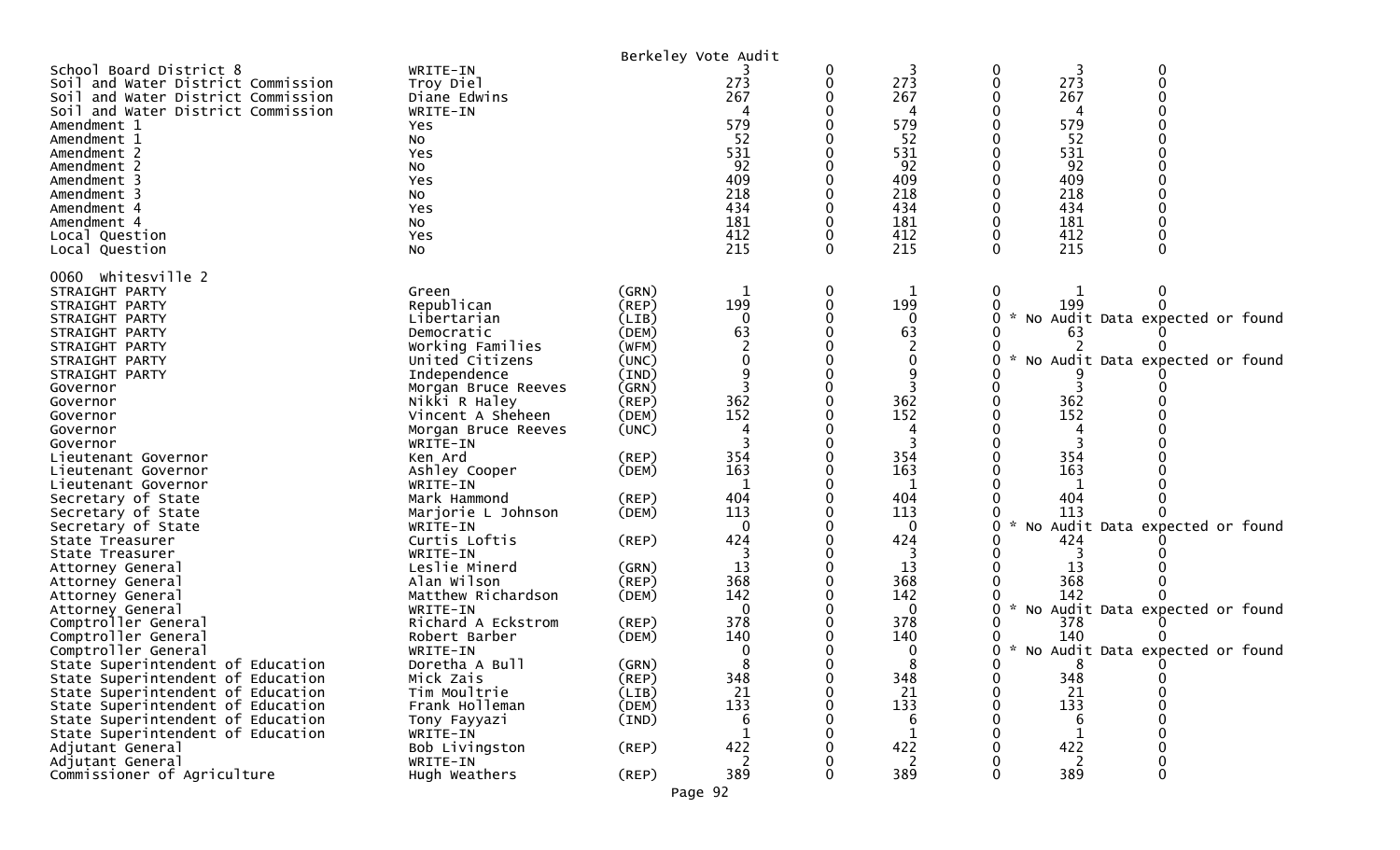|                                                                                                                                           |                                                   |                      | Berkeley Vote Audit |   |                    |         |                 |                                   |  |
|-------------------------------------------------------------------------------------------------------------------------------------------|---------------------------------------------------|----------------------|---------------------|---|--------------------|---------|-----------------|-----------------------------------|--|
| School Board District 8<br>Soil and Water District Commission<br>Soil and Water District Commission<br>Soil and Water District Commission | WRITE-IN<br>Troy Diel<br>Diane Edwins<br>WRITE-IN |                      | 273<br>267          |   | 273<br>267         | 0<br>0  | 3<br>273<br>267 | 0<br>0                            |  |
| Amendment 1<br>Amendment 1                                                                                                                | Yes<br>NO.                                        |                      | 579<br>52           |   | 579<br>52          |         | 579<br>52       |                                   |  |
| Amendment 2<br>Amendment 2                                                                                                                | Yes<br>No                                         |                      | 531<br>92           |   | 531<br>92          |         | 531<br>92       |                                   |  |
| Amendment 3<br>Amendment 3                                                                                                                | Yes<br>No                                         |                      | 409<br>218          |   | 409<br>218         |         | 409<br>218      |                                   |  |
| Amendment 4                                                                                                                               | Yes                                               |                      | 434                 |   | 434                |         | 434             |                                   |  |
| Amendment 4<br>Local Question                                                                                                             | No<br>Yes                                         |                      | 181<br>412          |   | 181<br>412         |         | 181<br>412      |                                   |  |
| Local Question                                                                                                                            | NO.                                               |                      | 215                 |   | 215                | 0       | 215             | 0                                 |  |
| 0060 whitesville 2<br>STRAIGHT PARTY                                                                                                      | Green                                             | (GRN)                | 1                   | 0 | 1                  | 0       |                 | $\mathbf{0}$                      |  |
| STRAIGHT PARTY                                                                                                                            | Republican                                        | $($ REP $)$          | 199                 |   | 199                |         | 199             |                                   |  |
| STRAIGHT PARTY                                                                                                                            | Libertarian                                       | (LIB)                | $\Omega$            |   | 0                  | 0       |                 | * No Audit Data expected or found |  |
| STRAIGHT PARTY<br>STRAIGHT PARTY                                                                                                          | Democratic<br>Working Families                    | (DEM)<br>(WFM)       | 63                  |   | 63                 |         | 63              |                                   |  |
| STRAIGHT PARTY                                                                                                                            | United Citizens                                   | (UNC)                |                     |   | 0                  | 0       |                 | * No Audit Data expected or found |  |
| STRAIGHT PARTY<br>Governor                                                                                                                | Independence<br>Morgan Bruce Reeves               | (IND)<br>(GRN)       |                     |   | 9                  |         |                 |                                   |  |
| Governor                                                                                                                                  | Nikki R Haley                                     | $($ REP $)$          | 362                 |   | 362                |         | 362             |                                   |  |
| Governor<br>Governor                                                                                                                      | Vincent A Sheheen<br>Morgan Bruce Reeves          | (DEM)<br>(UNC)       | 152                 |   | 152                |         | 152             |                                   |  |
| Governor                                                                                                                                  | WRITE-IN                                          |                      |                     |   |                    |         |                 |                                   |  |
| Lieutenant Governor                                                                                                                       | Ken Ard                                           | (REP)                | 354                 |   | 354                |         | 354             |                                   |  |
| Lieutenant Governor<br>Lieutenant Governor                                                                                                | Ashley Cooper<br>WRITE-IN                         | (DEM)                | 163<br>$\mathbf 1$  |   | 163<br>1           |         | 163<br>1        |                                   |  |
| Secretary of State                                                                                                                        | Mark Hammond                                      | (REP)                | 404                 |   | 404                |         | 404             |                                   |  |
| Secretary of State<br>Secretary of State                                                                                                  | Marjorie L Johnson<br>WRITE-IN                    | (DEM)                | 113<br>$\Omega$     |   | 113<br>0           | 0       | 113             | No Audit Data expected or found   |  |
| State Treasurer                                                                                                                           | Curtis Loftis                                     | (REP)                | 424                 |   | 424                |         | 424             |                                   |  |
| State Treasurer                                                                                                                           | WRITE-IN                                          |                      |                     |   |                    |         |                 |                                   |  |
| Attorney General<br>Attorney General                                                                                                      | Leslie Minerd<br>Alan Wilson                      | (GRN)<br>$($ REP $)$ | 13<br>368           |   | 13<br>368          |         | 13<br>368       |                                   |  |
| Attorney General                                                                                                                          | Matthew Richardson                                | (DEM)                | 142                 |   | 142                |         | 142             |                                   |  |
| Attorney General                                                                                                                          | WRITE-IN                                          |                      | $\Omega$            |   | 0                  | W.<br>0 |                 | No Audit Data expected or found   |  |
| Comptroller General<br>Comptroller General                                                                                                | Richard A Eckstrom<br>Robert Barber               | $($ REP $)$<br>(DEM) | 378<br>140          |   | 378<br>140         |         | 378<br>140      |                                   |  |
| Comptroller General                                                                                                                       | WRITE-IN                                          |                      |                     |   | 0                  | W.<br>0 |                 | No Audit Data expected or found   |  |
| State Superintendent of Education                                                                                                         | Doretha A Bull                                    | (GRN)                |                     |   |                    | 0       | 8               | $\Omega$                          |  |
| State Superintendent of Education<br>State Superintendent of Education                                                                    | Mick Zais<br>Tim Moultrie                         | (REP)<br>(LIB)       | 348<br>21           |   | 348<br>21          | 0<br>0  | 348<br>21       | 0<br>0                            |  |
| State Superintendent of Education                                                                                                         | Frank Holleman                                    | (DEM)                | 133                 |   | 133                |         | 133             | 0                                 |  |
| State Superintendent of Education<br>State Superintendent of Education                                                                    | Tony Fayyazi                                      | (IND)                | 1                   |   | 6                  |         | 6               | 0                                 |  |
| Adjutant General                                                                                                                          | WRITE-IN<br>Bob Livingston                        | $($ REP $)$          | 422                 |   | $\mathbf 1$<br>422 |         | 1<br>422        |                                   |  |
| Adjutant General                                                                                                                          | WRITE-IN                                          |                      | 2                   |   | 2                  |         | 2               | 0                                 |  |
| Commissioner of Agriculture                                                                                                               | Hugh Weathers                                     | (REP)                | 389                 |   | 389                | 0       | 389             | 0                                 |  |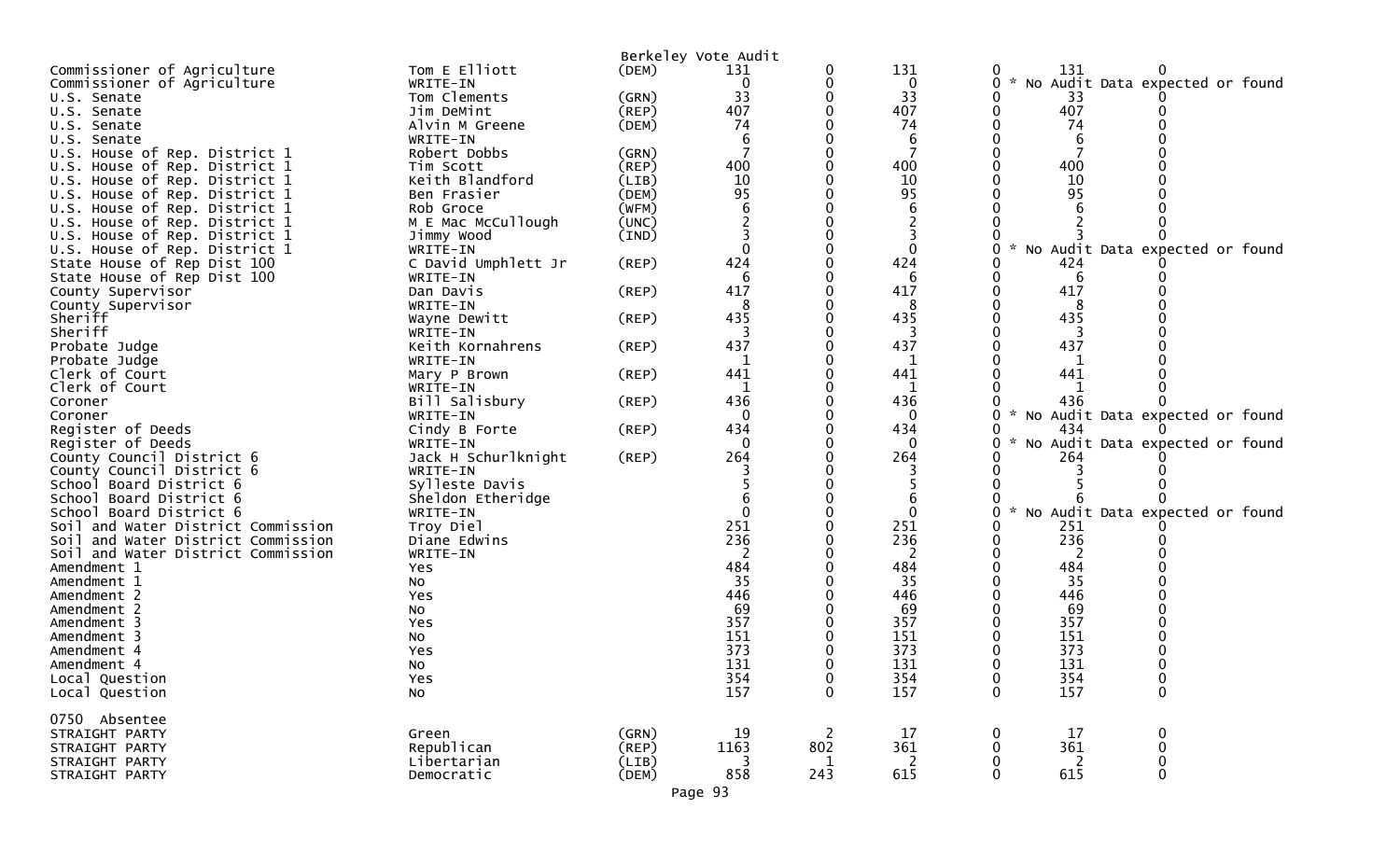|                                    |                     |             | Berkeley Vote Audit |                |              |                                  |            |                                   |  |
|------------------------------------|---------------------|-------------|---------------------|----------------|--------------|----------------------------------|------------|-----------------------------------|--|
| Commissioner of Agriculture        | Tom E Elliott       | (DEM)       | 131                 | 0              | 131          | 0                                | 131        |                                   |  |
| Commissioner of Agriculture        | WRITE-IN            |             | 0                   | 0              | $\mathbf 0$  | $\mathcal{H}^{\mathcal{A}}$<br>0 |            | No Audit Data expected or found   |  |
| U.S. Senate                        | Tom Clements        | (GRN)       | 33                  | 0              | 33           |                                  | 33         |                                   |  |
| U.S. Senate                        | Jim DeMint          | (REP)       | 407                 | 0              | 407          | 0                                | 407        |                                   |  |
| U.S. Senate                        | Alvin M Greene      | (DEM)       | 74                  |                | 74           |                                  | 74         |                                   |  |
| U.S. Senate                        | WRITE-IN            |             |                     |                | 6            |                                  | 6          |                                   |  |
| U.S. House of Rep. District 1      | Robert Dobbs        | (GRN)       |                     |                | 7            |                                  |            |                                   |  |
|                                    |                     |             | 400                 |                | 400          |                                  | 400        |                                   |  |
| U.S. House of Rep. District 1      | Tim Scott           | (REP)       |                     |                | 10           |                                  | 10         |                                   |  |
| U.S. House of Rep. District 1      | Keith Blandford     | (LIB)       | 10                  |                |              |                                  |            |                                   |  |
| U.S. House of Rep. District 1      | Ben Frasier         | (DEM)       | 95                  |                | 95           |                                  | 95         |                                   |  |
| U.S. House of Rep. District 1      | Rob Groce           | (WFM)       |                     |                | 6            |                                  |            |                                   |  |
| U.S. House of Rep. District 1      | M E Mac McCullough  | (UNC)       |                     |                |              |                                  |            |                                   |  |
| U.S. House of Rep. District 1      | Jimmy Wood          | (IND)       |                     |                | 3            |                                  |            |                                   |  |
| U.S. House of Rep. District 1      | WRITE-IN            |             | $\Omega$            |                | $\mathbf{0}$ |                                  |            | No Audit Data expected or found   |  |
| State House of Rep Dist 100        | C David Umphlett Jr | $($ REP $)$ | 424                 |                | 424          |                                  | 424        |                                   |  |
| State House of Rep Dist 100        | WRITE-IN            |             | 6                   |                | 6            |                                  | 6          |                                   |  |
| County Supervisor                  | Dan Davis           | $($ REP $)$ | 417                 |                | 417          |                                  | 417        |                                   |  |
| County Supervisor                  | WRITE-IN            |             |                     |                | 8            |                                  | 8          |                                   |  |
| Sheriff                            | Wayne Dewitt        | (REP)       | 435                 |                | 435          |                                  | 435        |                                   |  |
| Sheriff                            | WRITE-IN            |             |                     |                | 3            |                                  |            |                                   |  |
| Probate Judge                      | Keith Kornahrens    | $($ REP $)$ | 437                 |                | 437          |                                  | 437        |                                   |  |
| Probate Judge                      | WRITE-IN            |             |                     |                | 1            |                                  | 1          |                                   |  |
| Clerk of Court                     | Mary P Brown        | $($ REP $)$ | 441                 |                | 441          |                                  | 441        |                                   |  |
| Clerk of Court                     | WRITE-IN            |             |                     |                | 1            |                                  |            |                                   |  |
| Coroner                            | Bill Salisbury      | $($ REP $)$ | 436                 |                | 436          |                                  | 436        |                                   |  |
| Coroner                            | WRITE-IN            |             | 0                   |                | $\Omega$     | $\mathcal{H}$                    |            | No Audit Data expected or found   |  |
| Register of Deeds                  | Cindy B Forte       | $($ REP $)$ | 434                 |                | 434          |                                  | 434        |                                   |  |
| Register of Deeds                  | WRITE-IN            |             | $\mathbf 0$         |                | $\mathbf{0}$ | 0                                |            | * No Audit Data expected or found |  |
| County Council District 6          | Jack H Schurlknight | $($ REP $)$ | 264                 |                | 264          |                                  | 264        |                                   |  |
| County Council District 6          | WRITE-IN            |             |                     |                |              |                                  |            |                                   |  |
| School Board District 6            | Sylleste Davis      |             |                     |                |              |                                  |            |                                   |  |
| School Board District 6            | Sheldon Etheridge   |             |                     |                | 6            |                                  |            |                                   |  |
| School Board District 6            | WRITE-IN            |             | $\Omega$            |                | $\mathbf{0}$ | U                                |            | No Audit Data expected or found   |  |
| Soil and Water District Commission | Troy Diel           |             | 251                 |                | 251          |                                  | 251        |                                   |  |
| Soil and Water District Commission | Diane Edwins        |             | 236                 |                | 236          |                                  | 236        |                                   |  |
| Soil and Water District Commission | WRITE-IN            |             | 2                   |                | 2            |                                  | 2          |                                   |  |
| Amendment 1                        | Yes                 |             | 484                 |                | 484          |                                  | 484        |                                   |  |
| Amendment 1                        | No                  |             | -35                 |                | 35           |                                  | 35         |                                   |  |
| Amendment 2                        | Yes                 |             | 446                 |                | 446          |                                  | 446        |                                   |  |
|                                    |                     |             | 69                  |                | 69           |                                  | 69         |                                   |  |
| Amendment 2                        | No                  |             |                     |                |              |                                  |            |                                   |  |
| Amendment 3                        | Yes                 |             | 357<br>151          |                | 357<br>151   |                                  | 357<br>151 |                                   |  |
| Amendment 3                        | No                  |             |                     |                |              |                                  |            |                                   |  |
| Amendment 4                        | Yes                 |             | 373                 |                | 373          |                                  | 373        |                                   |  |
| Amendment 4                        | No                  |             | 131                 |                | 131          |                                  | 131        |                                   |  |
| Local Question                     | Yes                 |             | 354                 | 0              | 354          | 0                                | 354        | $\bf{0}$                          |  |
| Local Question                     | No                  |             | 157                 | 0              | 157          | 0                                | 157        | $\mathbf 0$                       |  |
|                                    |                     |             |                     |                |              |                                  |            |                                   |  |
| 0750 Absentee<br>STRAIGHT PARTY    | Green               | (GRN)       | 19                  | $\overline{2}$ | 17           | 0                                | 17         | 0                                 |  |
| STRAIGHT PARTY                     | Republican          | (REP)       | 1163                | 802            | 361          | 0                                | 361        | 0                                 |  |
|                                    | Libertarian         | (LIB)       | 3                   | 1              | 2            | 0                                |            | 0                                 |  |
| STRAIGHT PARTY                     | Democratic          | (DEM)       | 858                 | 243            | 615          | 0                                | 2<br>615   | $\mathbf 0$                       |  |
| STRAIGHT PARTY                     |                     |             |                     |                |              |                                  |            |                                   |  |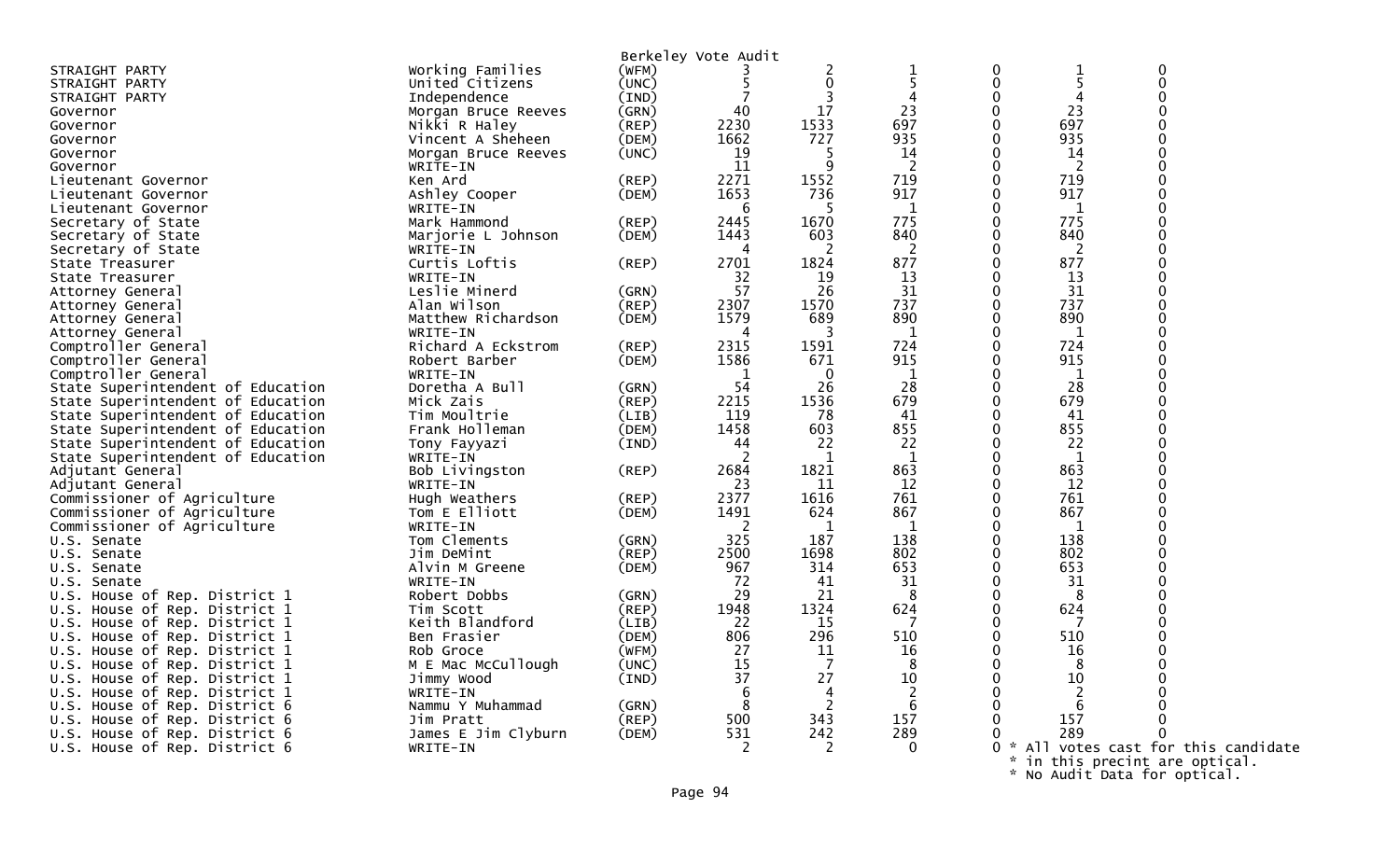|                                   |                     |       | Berkeley Vote Audit |          |              |                  |                   |                                   |  |
|-----------------------------------|---------------------|-------|---------------------|----------|--------------|------------------|-------------------|-----------------------------------|--|
|                                   | Working Families    |       |                     |          |              |                  |                   | $\boldsymbol{0}$                  |  |
| STRAIGHT PARTY                    |                     | (WFM) |                     | 2        |              | 0<br>$\mathbf 0$ | $\mathbf{1}$<br>5 |                                   |  |
| STRAIGHT PARTY                    | United Citizens     | (UNC) |                     | 0        |              |                  |                   | $\mathbf 0$                       |  |
| STRAIGHT PARTY                    | Independence        | (IND) |                     | 3        |              | 0                | 4                 | $\mathbf 0$                       |  |
| Governor                          | Morgan Bruce Reeves | (GRN) | 40                  | 17       | 23           | 0                | 23                | $\overline{0}$                    |  |
| Governor                          | Nikki R Haley       | (REP) | 2230                | 1533     | 697          | $\mathbf{0}$     | 697               | $\mathbf 0$                       |  |
| Governor                          | Vincent A Sheheen   | (DEM) | 1662                | 727      | 935          | $\Omega$         | 935               | $\Omega$                          |  |
| Governor                          | Morgan Bruce Reeves | (UNC) | 19                  |          | 14           | $\Omega$         | 14                | $\Omega$                          |  |
| Governor                          | WRITE-IN            |       | 11                  | Q        | 2            | $\mathbf{0}$     | -2                | $\mathbf 0$                       |  |
| Lieutenant Governor               | Ken Ard             | (REP) | 2271                | 1552     | 719          | 0                | 719               | $\mathbf 0$                       |  |
| Lieutenant Governor               | Ashley Cooper       | (DEM) | 1653                | 736      | 917          | 0                | 917               | $\Omega$                          |  |
| Lieutenant Governor               | WRITE-IN            |       | -6                  |          | 1            | 0                | 1                 | $\overline{0}$                    |  |
| Secretary of State                | Mark Hammond        | (REP) | 2445                | 1670     | 775          | $\mathbf{0}$     | 775               | $\mathbf 0$                       |  |
| Secretary of State                | Marjorie L Johnson  | (DEM) | 1443                | 603      | 840          | $\Omega$         | 840               | $\Omega$                          |  |
| Secretary of State                | WRITE-IN            |       |                     |          | 2            | $\Omega$         | -2                | $\Omega$                          |  |
| State Treasurer                   | Curtis Loftis       | (REP) | 2701                | 1824     | 877          | $\mathbf{0}$     | 877               | $\mathbf 0$                       |  |
| State Treasurer                   | WRITE-IN            |       | 32                  | 19       | 13           | $\mathbf{0}$     | 13                | $\mathbf 0$                       |  |
| Attorney General                  | Leslie Minerd       | (GRN) | 57                  | 26       | 31           | $\mathbf{0}$     | 31                | $\mathbf 0$                       |  |
| Attorney General                  | Alan Wilson         | (REP) | 2307                | 1570     | 737          | 0                | 737               | $\mathbf 0$                       |  |
| Attorney General                  | Matthew Richardson  | (DEM) | 1579                | 689      | 890          | $\mathbf{0}$     | 890               | $\mathbf 0$                       |  |
| Attorney General                  | WRITE-IN            |       | 4                   | 3        | $\mathbf{1}$ | $\Omega$         | 1                 | $\Omega$                          |  |
| Comptroller General               | Richard A Eckstrom  | (REP) | 2315                | 1591     | 724          | $\Omega$         | 724               | $\overline{0}$                    |  |
| Comptroller General               | Robert Barber       | (DEM) | 1586                | 671      | 915          | $\mathbf{0}$     | 915               | $\mathbf 0$                       |  |
| Comptroller General               | WRITE-IN            |       | 1                   | $\Omega$ | $\mathbf{1}$ | $\mathbf{0}$     | 1                 | $\mathbf 0$                       |  |
| State Superintendent of Education | Doretha A Bull      | (GRN) | 54                  | 26       | 28           | $\mathbf{0}$     | 28                | $\overline{0}$                    |  |
| State Superintendent of Education | Mick Zais           | (REP) | 2215                | 1536     | 679          | 0                | 679               | $\overline{0}$                    |  |
| State Superintendent of Education | Tim Moultrie        | (LIB) | 119                 | 78       | 41           | $\mathbf{0}$     | 41                | $\mathbf 0$                       |  |
| State Superintendent of Education | Frank Holleman      | (DEM) | 1458                | 603      | 855          | $\Omega$         | 855               | $\Omega$                          |  |
| State Superintendent of Education | Tony Fayyazi        | (IND) | 44                  | 22       | 22           | $\Omega$         | 22                | $\Omega$                          |  |
| State Superintendent of Education | WRITE-IN            |       |                     | -1       | -1           | $\mathbf{0}$     | $\overline{1}$    | $\mathbf 0$                       |  |
| Adjutant General                  | Bob Livingston      | (REP) | 2684                | 1821     | 863          | 0                | 863               | $\mathbf 0$                       |  |
| Adjutant General                  | WRITE-IN            |       | 23                  | 11       | 12           | 0                | 12                | $\mathbf 0$                       |  |
| Commissioner of Agriculture       | Hugh Weathers       | (REP) | 2377                | 1616     | 761          | 0                | 761               | $\overline{0}$                    |  |
| Commissioner of Agriculture       | Tom E Elliott       | (DEM) | 1491                | 624      | 867          | $\mathbf{0}$     | 867               | $\Omega$                          |  |
| Commissioner of Agriculture       | WRITE-IN            |       | 2                   | 1        | $\mathbf{1}$ | $\Omega$         | $\mathbf{1}$      | $\Omega$                          |  |
| U.S. Senate                       | Tom Clements        | (GRN) | 325                 | 187      | 138          | $\Omega$         | 138               | $\overline{0}$                    |  |
| U.S. Senate                       | Jim DeMint          | (REP) | 2500                | 1698     | 802          | $\mathbf{0}$     | 802               | $\mathbf 0$                       |  |
| U.S. Senate                       | Alvin M Greene      | (DEM) | 967                 | 314      | 653          | $\mathbf{0}$     | 653               | $\mathbf 0$                       |  |
| U.S. Senate                       | WRITE-IN            |       | 72                  | 41       | 31           | $\Omega$         | 31                | $\mathbf 0$                       |  |
| U.S. House of Rep. District 1     | Robert Dobbs        | (GRN) | 29                  | 21       | -8           | 0                | 8                 | $\mathbf 0$                       |  |
| U.S. House of Rep. District 1     | Tim Scott           | (REP) | 1948                | 1324     | 624          | $\mathbf{0}$     | 624               | $\Omega$                          |  |
| House of Rep. District 1<br>U.S.  | Keith Blandford     | (LIB) | 22                  | 15       | -7           | $\Omega$         | 7                 | $\Omega$                          |  |
| U.S. House of Rep. District 1     | Ben Frasier         | (DEM) | 806                 | 296      | 510          | 0                | 510               | $\Omega$                          |  |
| House of Rep. District 1<br>U.S.  | Rob Groce           | (WFM) | 27                  | 11       | 16           | $\mathbf{0}$     | 16                |                                   |  |
| House of Rep. District 1<br>U.S.  | M E Mac McCullough  | (UNC) | 15                  | 7        | 8            | 0                | 8                 | $\mathbf 0$                       |  |
| U.S. House of Rep. District 1     | Jimmy Wood          | (IND) | 37                  | 27       | 10           | 0                | 10                | $\Omega$                          |  |
| U.S. House of Rep. District 1     | WRITE-IN            |       | 6                   | 4        | 2            | 0                | $\overline{2}$    |                                   |  |
| U.S. House of Rep. District 6     | Nammu Y Muhammad    | (GRN) | 8                   | 2        | 6            | 0                | 6                 | ∩                                 |  |
| U.S. House of Rep. District 6     | Jim Pratt           | (REP) | 500                 | 343      | 157          | $\Omega$         | 157               | $\Omega$                          |  |
| U.S. House of Rep. District 6     | James E Jim Clyburn | (DEM) | 531                 | 242      | 289          | 0                | 289               |                                   |  |
| U.S. House of Rep. District 6     | WRITE-IN            |       | 2                   | 2        | $\Omega$     | - *<br>0         |                   | All votes cast for this candidate |  |
|                                   |                     |       |                     |          |              | $\mathcal{R}$    |                   | in this precint are optical.      |  |

\* No Audit Data for optical.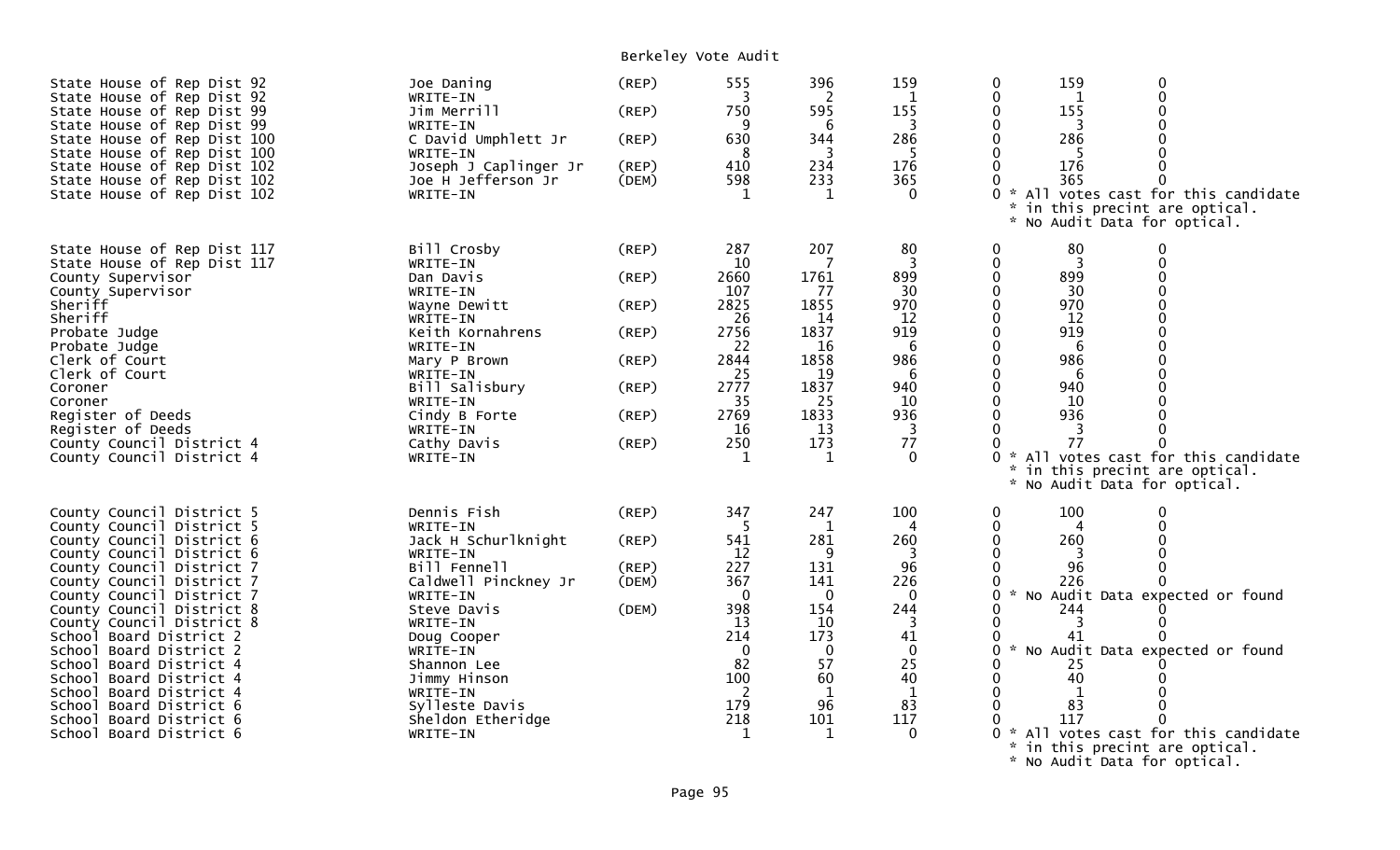Berkeley Vote Audit

| State House of Rep Dist 92<br>State House of Rep Dist 92<br>State House of Rep Dist 99<br>State House of Rep Dist 99<br>State House of Rep Dist 100<br>State House of Rep Dist 100<br>State House of Rep Dist 102<br>State House of Rep Dist 102<br>State House of Rep Dist 102                                                                                                                                                                                                           | Joe Daning<br>WRITE-IN<br>Jim Merrill<br>WRITE-IN<br>C David Umphlett Jr<br>WRITE-IN<br>Joseph J Caplinger Jr<br>Joe H Jefferson Jr<br>WRITE-IN                                                                                                                    | $($ REP $)$<br>(REP)<br>(REP)<br>(REP)<br>(DEM)                                  | 555<br>3<br>750<br>9<br>630<br>-8<br>410<br>598<br>$\mathbf{1}$                                                          | 396<br>2<br>595<br>6<br>344<br>3<br>234<br>233<br>1                                                                                | 159<br>1<br>155<br>3<br>286<br>-5<br>176<br>365<br>$\Omega$                                             | 159<br>0<br>$\Omega$<br>$\Omega$<br>0<br>1<br>155<br>$\Omega$<br>0<br>-3<br>286<br>0<br>-5<br>176<br>U<br>365<br>0 * All votes cast for this candidate<br>in this precint are optical.<br>$\mathcal{H}$<br>* No Audit Data for optical.                                                                                                                                                              |
|-------------------------------------------------------------------------------------------------------------------------------------------------------------------------------------------------------------------------------------------------------------------------------------------------------------------------------------------------------------------------------------------------------------------------------------------------------------------------------------------|--------------------------------------------------------------------------------------------------------------------------------------------------------------------------------------------------------------------------------------------------------------------|----------------------------------------------------------------------------------|--------------------------------------------------------------------------------------------------------------------------|------------------------------------------------------------------------------------------------------------------------------------|---------------------------------------------------------------------------------------------------------|------------------------------------------------------------------------------------------------------------------------------------------------------------------------------------------------------------------------------------------------------------------------------------------------------------------------------------------------------------------------------------------------------|
| State House of Rep Dist 117<br>State House of Rep Dist 117<br>County Supervisor<br>County Supervisor<br>Sheriff<br>Sheriff<br>Probate Judge<br>Probate Judge<br>Clerk of Court<br>Clerk of Court<br>Coroner<br>Coroner<br>Register of Deeds<br>Register of Deeds<br>County Council District 4<br>County Council District 4                                                                                                                                                                | Bill Crosby<br>WRITE-IN<br>Dan Davis<br>WRITE-IN<br>Wayne Dewitt<br>WRITE-IN<br>Keith Kornahrens<br>WRITE-IN<br>Mary P Brown<br>WRITE-IN<br>Bill Salisbury<br>WRITE-IN<br>Cindy B Forte<br>WRITE-IN<br>Cathy Davis<br>WRITE-IN                                     | (REP)<br>(REP)<br>(REP)<br>(REP)<br>$($ REP $)$<br>(REP)<br>$($ REP $)$<br>(REP) | 287<br>10<br>2660<br>107<br>2825<br>26<br>2756<br>22<br>2844<br>25<br>2777<br>35<br>2769<br>16<br>250<br>1               | 207<br>7<br>1761<br>77<br>1855<br>14<br>1837<br>16<br>1858<br>19<br>1837<br>25<br>1833<br>13<br>173<br>1                           | 80<br>3<br>899<br>30<br>970<br>12<br>919<br>6<br>986<br>6<br>940<br>10<br>936<br>3<br>77<br>$\Omega$    | 80<br>0<br>0<br>$\mathbf 0$<br>$\overline{3}$<br>0<br>899<br>$\Omega$<br>$\mathbf{0}$<br>30<br>0<br>$\Omega$<br>970<br>$\Omega$<br>0<br>12<br>0<br>919<br>0<br>$\Omega$<br>6<br>$\Omega$<br>0<br>986<br>$\Omega$<br>O<br>6<br>940<br>$\Omega$<br>0<br>10<br>0<br>936<br>O<br>77<br>All votes cast for this candidate<br>in this precint are optical.<br>$\mathbf{x}$<br>* No Audit Data for optical. |
| County Council District 5<br>County Council District 5<br>County Council District 6<br>County Council District 6<br>County Council District 7<br>County Council District 7<br>County Council District 7<br>County Council District 8<br>County Council District 8<br>School Board District 2<br>School Board District 2<br>School Board District 4<br>School Board District 4<br>School Board District 4<br>School Board District 6<br>School Board District 6<br>School Board District 6 | Dennis Fish<br>WRITE-IN<br>Jack H Schurlknight<br>WRITE-IN<br>Bill Fennell<br>Caldwell Pinckney Jr<br>WRITE-IN<br>Steve Davis<br>WRITE-IN<br>Doug Cooper<br>WRITE-IN<br>Shannon Lee<br>Jimmy Hinson<br>WRITE-IN<br>Sylleste Davis<br>Sheldon Etheridge<br>WRITE-IN | (REP)<br>(REP)<br>(REP)<br>(DEM)<br>(DEM)                                        | 347<br>5<br>541<br>12<br>227<br>367<br>$\mathbf{0}$<br>398<br>13<br>214<br>$\Omega$<br>82<br>100<br>2<br>179<br>218<br>1 | 247<br>1<br>281<br>9<br>131<br>141<br>$\mathbf 0$<br>154<br>10<br>173<br>$\mathbf{0}$<br>57<br>60<br>$\mathbf 1$<br>96<br>101<br>1 | 100<br>260<br>96<br>226<br>$\mathbf{0}$<br>244<br>3<br>41<br>$\mathbf{0}$<br>25<br>40<br>1<br>83<br>117 | 100<br>$\Omega$<br>0<br>$\Omega$<br>0<br>4<br>$\mathbf{0}$<br>260<br>96<br>226<br>0<br>0 * No Audit Data expected or found<br>244<br>0<br>0<br>3<br>0<br>41<br>No Audit Data expected or found<br>$\sim$<br>0<br>25<br>$\Omega$<br>40<br>83<br>117<br>All votes cast for this candidate<br>$\mathcal{H}^{\pm}$<br>in this precint are optical.                                                       |

\* No Audit Data for optical.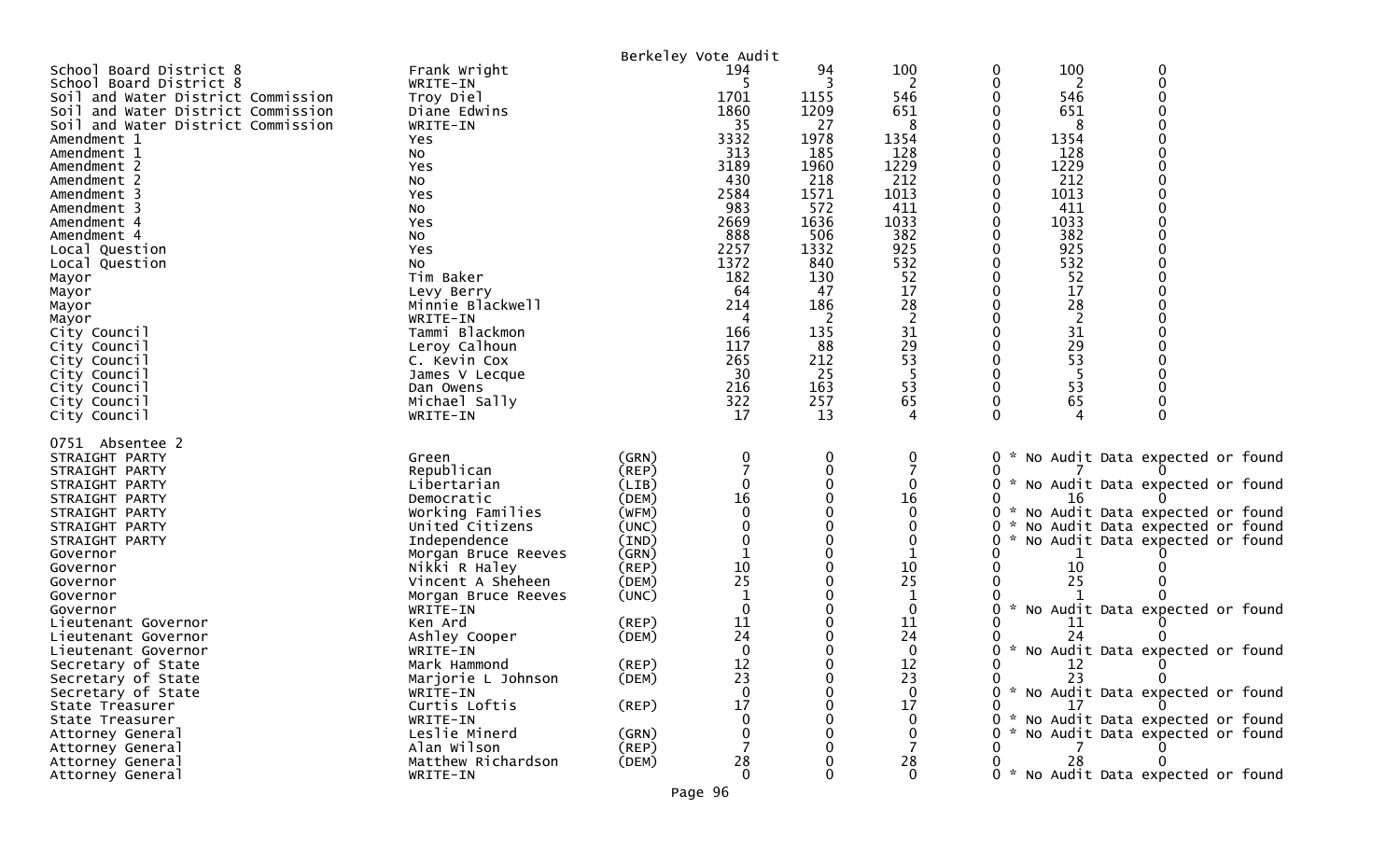|                                    |                                     |                | Berkeley Vote Audit |             |              |        |            |                                     |  |
|------------------------------------|-------------------------------------|----------------|---------------------|-------------|--------------|--------|------------|-------------------------------------|--|
| School Board District 8            | Frank Wright                        |                | 194                 | 94          | 100          | 0      | 100        | 0                                   |  |
| School Board District 8            | WRITE-IN                            |                |                     |             | 2            | 0      | 2          | $\mathbf 0$                         |  |
| Soil and Water District Commission | Troy Diel                           |                | 1701                | 1155        | 546          |        | 546        |                                     |  |
| Soil and Water District Commission | Diane Edwins                        |                | 1860                | 1209        | 651          |        | 651        |                                     |  |
| Soil and Water District Commission | WRITE-IN                            |                | 35                  | 27          | 8            |        | 8          |                                     |  |
| Amendment 1                        | Yes                                 |                | 3332                | 1978        | 1354         |        | 1354       |                                     |  |
| Amendment 1                        | NO.                                 |                | 313                 | 185         | 128          |        | 128        |                                     |  |
| Amendment 2                        | Yes                                 |                | 3189                | 1960        | 1229         |        | 1229       |                                     |  |
| Amendment 2                        | No                                  |                | 430                 | 218         | 212          |        | 212        |                                     |  |
| Amendment 3                        | Yes                                 |                | 2584                | 1571        | 1013         |        | 1013       |                                     |  |
| Amendment 3                        | No                                  |                | 983                 | 572         | 411          |        | 411        |                                     |  |
| Amendment 4                        | Yes                                 |                | 2669                | 1636        | 1033         |        | 1033       |                                     |  |
| Amendment 4                        | No                                  |                | 888                 | 506         | 382          |        | 382        |                                     |  |
| Local Question                     | Yes                                 |                | 2257<br>1372        | 1332<br>840 | 925<br>532   |        | 925<br>532 |                                     |  |
| Local Question                     | NO.<br>Tim Baker                    |                | 182                 | 130         | 52           |        | 52         |                                     |  |
| Mayor<br>Mayor                     |                                     |                | 64                  | 47          | 17           |        | 17         |                                     |  |
| Mayor                              | Levy Berry<br>Minnie Blackwell      |                | 214                 | 186         | 28           |        | 28         |                                     |  |
| Mayor                              | WRITE-IN                            |                | 4                   | -2          | 2            |        | 2          |                                     |  |
| City Council                       | Tammi Blackmon                      |                | 166                 | 135         | 31           |        | 31         |                                     |  |
| City Council                       | Leroy Calhoun                       |                | 117                 | 88          | 29           |        | 29         |                                     |  |
| City Council                       | C. Kevin Cox                        |                | 265                 | 212         | 53           |        | 53         |                                     |  |
| City Council                       | James V Lecque                      |                | 30                  | 25          | -5           |        | -5         |                                     |  |
| City Council                       | Dan Owens                           |                | 216                 | 163         | 53           | 0      | 53         |                                     |  |
| City Council                       | Michael Sally                       |                | 322                 | 257         | 65           | 0      | 65         |                                     |  |
| City Council                       | WRITE-IN                            |                | 17                  | 13          | 4            | 0      |            | $\Omega$                            |  |
|                                    |                                     |                |                     |             |              |        |            |                                     |  |
| 0751 Absentee 2                    |                                     |                |                     |             |              |        |            |                                     |  |
| STRAIGHT PARTY                     | Green                               | (GRN)          | 0                   | 0           | 0            | 0      |            | * No Audit Data expected or found   |  |
| STRAIGHT PARTY                     | Republican                          | (REP)          |                     | 0           |              |        |            |                                     |  |
| STRAIGHT PARTY                     | Libertarian                         | (LIB)          |                     | 0           | 0            | 0      |            | * No Audit Data expected or found   |  |
| STRAIGHT PARTY                     | Democratic                          | (DEM)          | 16                  |             | 16           |        | 16         |                                     |  |
| STRAIGHT PARTY                     | Working Families                    | (WFM)          |                     |             | $\Omega$     | 0      |            | * No Audit Data expected or found   |  |
| STRAIGHT PARTY                     | United Citizens                     | (UNC)          |                     |             | 0<br>0       | 0<br>O |            | No Audit Data expected or found     |  |
| STRAIGHT PARTY<br>Governor         | Independence<br>Morgan Bruce Reeves | (IND)<br>(GRN) |                     |             |              |        |            | No Audit Data expected or found     |  |
| Governor                           | Nikki R Haley                       | $($ REP $)$    | 10                  |             | 10           |        | 10         |                                     |  |
| Governor                           | Vincent A Sheheen                   | (DEM)          | 25                  |             | 25           |        | 25         |                                     |  |
| Governor                           | Morgan Bruce Reeves                 | (UNC)          |                     |             |              |        |            |                                     |  |
| Governor                           | WRITE-IN                            |                | 0                   |             | 0            | 0      |            | * No Audit Data expected or found   |  |
| Lieutenant Governor                | Ken Ard                             | (REP)          | 11                  |             | 11           |        | 11         |                                     |  |
| Lieutenant Governor                | Ashley Cooper                       | (DEM)          | 24                  |             | 24           |        | 24         |                                     |  |
| Lieutenant Governor                | WRITE-IN                            |                | 0                   |             | $\mathbf 0$  | 0      |            | * No Audit Data expected or found   |  |
| Secretary of State                 | Mark Hammond                        | (REP)          | 12                  | 0           | 12           | 0      | 12         |                                     |  |
| Secretary of State                 | Marjorie L Johnson                  | (DEM)          | 23                  | O           | 23           |        | 23.        | $\Omega$                            |  |
| Secretary of State                 | WRITE-IN                            |                | $\mathbf{0}$        |             | $\mathbf{0}$ |        |            | 0 * No Audit Data expected or found |  |
| State Treasurer                    | Curtis Loftis                       | $($ REP $)$    | 17                  |             | 17           |        | $\perp$    |                                     |  |
| State Treasurer                    | WRITE-IN                            |                | 0                   |             | $\Omega$     | 0.     |            | * No Audit Data expected or found   |  |
| Attorney General                   | Leslie Minerd                       | (GRN)          | 0                   |             | 0            |        |            | * No Audit Data expected or found   |  |
| Attorney General                   | Alan Wilson                         | $($ REP $)$    |                     |             | 7            |        |            |                                     |  |
| Attorney General                   | Matthew Richardson                  | (DEM)          | 28                  |             | 28           |        | 28         |                                     |  |
| Attorney General                   | WRITE-IN                            |                | $\mathbf 0$         | 0           | $\mathbf 0$  |        |            | 0 * No Audit Data expected or found |  |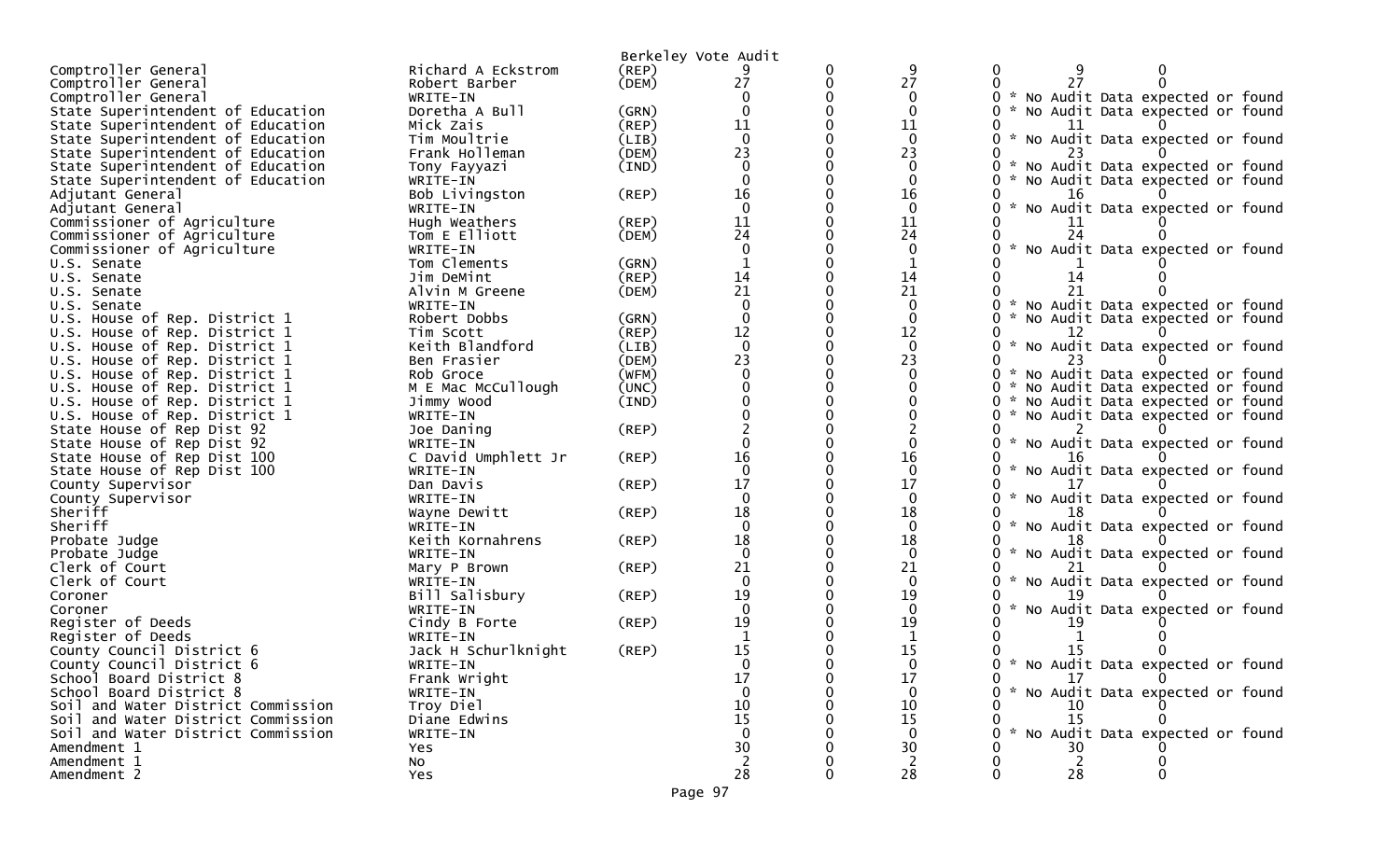|                                                  |                                 |       | Berkeley Vote Audit |   |              |                                           |
|--------------------------------------------------|---------------------------------|-------|---------------------|---|--------------|-------------------------------------------|
| Comptroller General                              | Richard A Eckstrom              | (REP) |                     | 0 | 9            | 0                                         |
| Comptroller General                              | Robert Barber                   | (DEM) | 27                  | 0 | 27           | 0                                         |
| Comptroller General                              | WRITE-IN                        |       |                     |   | $\mathbf{0}$ | No Audit Data expected or found           |
| State Superintendent of Education                | Doretha A Bull                  | (GRN) | $\Omega$            |   | $\mathbf{0}$ | No Audit Data expected or found<br>0      |
| State Superintendent of Education                | Mick Zais                       | (REP) | 11                  |   | 11           |                                           |
| State Superintendent of Education                | Tim Moultrie                    | (LIB) | $\Omega$            |   | $\Omega$     | No Audit Data expected or found           |
| State Superintendent of Education                | Frank Holleman                  | (DEM) | 23                  |   | 23           |                                           |
| State Superintendent of Education                | Tony Fayyazi                    | (IND) | $\Omega$            |   | $\mathbf{0}$ | No Audit Data expected or found           |
| State Superintendent of Education                | WRITE-IN                        |       |                     |   | $\Omega$     | No Audit Data expected or found           |
| Adjutant General                                 | Bob Livingston                  | (REP) | 16                  |   | 16           | 16                                        |
| Adjutant General                                 | WRITE-IN                        |       | $\Omega$            |   | $\mathbf{0}$ | No Audit Data expected or found           |
| Commissioner of Agriculture                      | Hugh Weathers                   | (REP) | 11                  |   | 11           |                                           |
| Commissioner of Agriculture                      | Tom E Elliott                   | (DEM) | 24                  |   | 24           | 24                                        |
| Commissioner of Agriculture                      | WRITE-IN                        |       |                     |   | $\mathbf 0$  | No Audit Data expected or found           |
| U.S. Senate                                      | Tom Clements                    | (GRN) |                     |   | -1           |                                           |
| U.S. Senate                                      | Jim DeMint                      | (REP) | 14                  |   | 14           |                                           |
| U.S. Senate                                      | Alvin M Greene                  | (DEM) | 21                  |   | 21           |                                           |
| U.S. Senate                                      | WRITE-IN                        |       | $\Omega$            |   | $\mathbf{0}$ | No Audit Data expected or found           |
| U.S. House of Rep. District 1                    | Robert Dobbs                    | (GRN) | $\Omega$            |   | $\mathbf{0}$ | No Audit Data expected or found<br>0      |
| U.S. House of Rep. District 1                    | Tim Scott                       | (REP) | 12                  |   | 12           |                                           |
| U.S. House of Rep. District 1                    | Keith Blandford                 | (LIB) | $\mathbf{0}$        |   | $\Omega$     | No Audit Data expected or found           |
| U.S. House of Rep. District 1                    | Ben Frasier                     | (DEM) | 23                  |   | 23           |                                           |
| U.S. House of Rep. District 1                    | Rob Groce                       | (WFM) |                     |   |              | No Audit Data expected or found<br>0      |
| U.S. House of Rep. District 1                    | M E Mac McCullough              | (UNC) |                     |   | $\Omega$     | No Audit Data expected or found<br>0      |
| U.S. House of Rep. District 1                    | Jimmy Wood                      | (IND) |                     |   |              | 0<br>*<br>No Audit Data expected or found |
| U.S. House of Rep. District 1                    | WRITE-IN                        |       |                     |   |              | 0<br>No Audit Data expected or found      |
| State House of Rep Dist 92                       | Joe Daning                      | (REP) |                     |   |              | *                                         |
| State House of Rep Dist 92                       | WRITE-IN                        |       | 16                  |   | 16           | No Audit Data expected or found           |
| State House of Rep Dist 100                      | C David Umphlett Jr<br>WRITE-IN | (REP) | $\Omega$            |   | $\Omega$     | $\mathcal{H}$<br>0                        |
| State House of Rep Dist 100<br>County Supervisor | Dan Davis                       | (REP) | 17                  |   | 17           | No Audit Data expected or found           |
| County Supervisor                                | WRITE-IN                        |       |                     |   | $\mathbf 0$  | No Audit Data expected or found           |
| Sheriff                                          | Wayne Dewitt                    | (REP) | 18                  |   | 18           |                                           |
| Sheriff                                          | WRITE-IN                        |       | $\Omega$            |   | $\Omega$     | No Audit Data expected or found           |
| Probate Judge                                    | Keith Kornahrens                | (REP) | 18                  |   | 18           |                                           |
| Probate Judge                                    | WRITE-IN                        |       | $\Omega$            |   | $\mathbf{0}$ | No Audit Data expected or found           |
| Clerk of Court                                   | Mary P Brown                    | (REP) | 21                  |   | 21           |                                           |
| Clerk of Court                                   | WRITE-IN                        |       | $\Omega$            |   | $\mathbf{0}$ | No Audit Data expected or found           |
| Coroner                                          | Bill Salisbury                  | (REP) | 19                  |   | 19           |                                           |
| Coroner                                          | WRITE-IN                        |       | $\Omega$            |   | $\bf{0}$     | No Audit Data expected or found           |
| Register of Deeds                                | Cindy B Forte                   | (REP) | 19                  |   | 19           |                                           |
| Register of Deeds                                | WRITE-IN                        |       |                     |   |              |                                           |
| County Council District 6                        | Jack H Schurlknight             | (REP) | 15                  |   | 15           |                                           |
| County Council District 6                        | WRITE-IN                        |       |                     |   |              | 0 * No Audit Data expected or found       |
| School Board District 8                          | Frank Wright                    |       | 17                  |   | 17           | $\overline{0}$<br>17<br>$\overline{0}$    |
| School Board District 8                          | WRITE-IN                        |       |                     |   |              | 0 * No Audit Data expected or found       |
| Soil and Water District Commission               | Troy Diel                       |       | 10                  |   | 10           | 10                                        |
| Soil and Water District Commission               | Diane Edwins                    |       | 15                  |   | 15           | 15                                        |
| Soil and Water District Commission               | WRITE-IN                        |       |                     |   | $\Omega$     | * No Audit Data expected or found         |
| Amendment 1                                      | Yes                             |       | 30                  |   | 30           | 30                                        |
| Amendment 1                                      | No                              |       | 2                   |   | 2            | 2                                         |
| Amendment 2                                      | <b>Yes</b>                      |       | 28                  |   | 28           | 28                                        |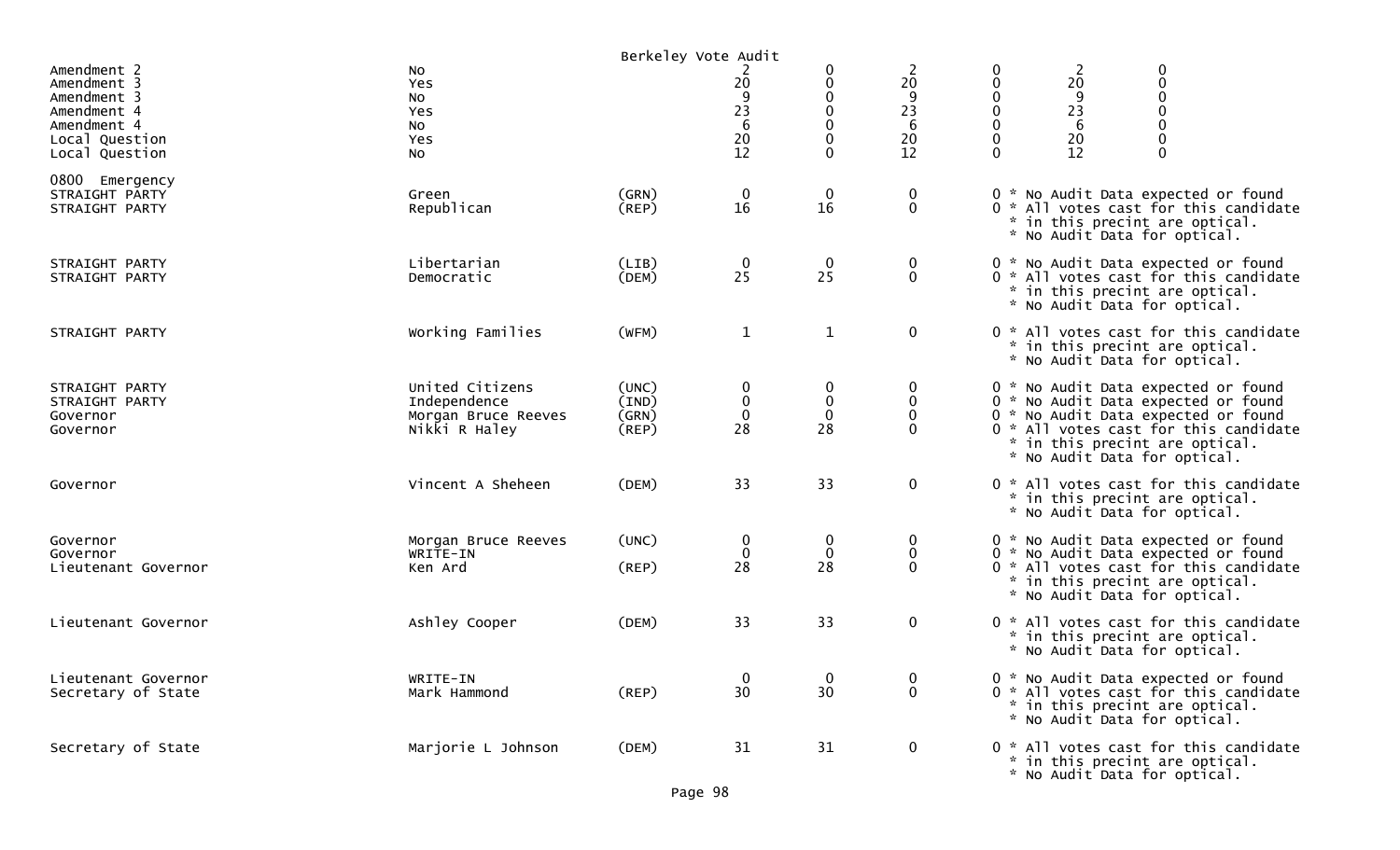|                                                                                                             |                                                                         | Berkeley Vote Audit                    |                                                |                                                                             |                                     |                                           |                                            |                                                                                                                                                                                                                              |
|-------------------------------------------------------------------------------------------------------------|-------------------------------------------------------------------------|----------------------------------------|------------------------------------------------|-----------------------------------------------------------------------------|-------------------------------------|-------------------------------------------|--------------------------------------------|------------------------------------------------------------------------------------------------------------------------------------------------------------------------------------------------------------------------------|
| Amendment 2<br>Amendment 3<br>Amendment 3<br>Amendment 4<br>Amendment 4<br>Local Question<br>Local Question | No<br>Yes<br>No<br>Yes<br>No<br>Yes<br>No                               |                                        | 20<br>$\frac{9}{23}$<br>$\sqrt{6}$<br>20<br>12 | 0<br>0<br>$\pmb{0}$<br>$\pmb{0}$<br>$\mathbf 0$<br>$\pmb{0}$<br>$\mathbf 0$ | 2<br>20<br>9<br>23<br>6<br>20<br>12 | 0<br>0<br>$\mathbf 0$<br>0<br>0<br>0<br>0 | $\frac{2}{20}$<br>9<br>23<br>6<br>20<br>12 | $\boldsymbol{0}$<br>$\mathbf 0$<br>$\mathbf 0$<br>$\mathbf 0$<br>$\mathbf 0$<br>$\mathbf 0$                                                                                                                                  |
| 0800 Emergency<br>STRAIGHT PARTY<br>STRAIGHT PARTY                                                          | Green<br>Republican                                                     | (GRN)<br>(REP)                         | $\boldsymbol{0}$<br>16                         | $\begin{smallmatrix} 0\ 16 \end{smallmatrix}$                               | $\boldsymbol{0}$<br>$\mathbf 0$     |                                           |                                            | 0 * No Audit Data expected or found<br>0 * All votes cast for this candidate<br>* in this precint are optical.<br>* No Audit Data for optical.                                                                               |
| STRAIGHT PARTY<br>STRAIGHT PARTY                                                                            | Libertarian<br>Democratic                                               | (LIB)<br>(DEM)                         | $\frac{0}{25}$                                 | $\mathbf 0$<br>25                                                           | $\bf{0}$<br>$\mathbf 0$             |                                           |                                            | 0 * No Audit Data expected or found<br>0 * All votes cast for this candidate<br>* in this precint are optical.<br>* No Audit Data for optical.                                                                               |
| STRAIGHT PARTY                                                                                              | Working Families                                                        | (WFM)                                  | $\mathbf{1}$                                   | $\mathbf{1}$                                                                | $\mathbf 0$                         |                                           |                                            | 0 * All votes cast for this candidate<br>* in this precint are optical.<br>* No Audit Data for optical.                                                                                                                      |
| STRAIGHT PARTY<br>STRAIGHT PARTY<br>Governor<br>Governor                                                    | United Citizens<br>Independence<br>Morgan Bruce Reeves<br>Nikki R Haley | (UNC)<br>(IND)<br>(GRN)<br>$($ REP $)$ | 0<br>$\boldsymbol{0}$<br>$\mathbf 0$<br>28     | 0<br>$\pmb{0}$<br>$\pmb{0}$<br>28                                           | 0<br>0<br>$\mathbf 0$<br>$\Omega$   |                                           |                                            | 0 * No Audit Data expected or found<br>0 * No Audit Data expected or found<br>0 * No Audit Data expected or found<br>0 * All votes cast for this candidate<br>* in this precint are optical.<br>* No Audit Data for optical. |
| Governor                                                                                                    | Vincent A Sheheen                                                       | (DEM)                                  | 33                                             | 33                                                                          | $\mathbf 0$                         |                                           |                                            | 0 * All votes cast for this candidate<br>* in this precint are optical.<br>* No Audit Data for optical.                                                                                                                      |
| Governor<br>Governor<br>Lieutenant Governor                                                                 | Morgan Bruce Reeves<br>WRITE-IN<br>Ken Ard                              | (UNC)<br>(REP)                         | $\mathbf 0$<br>$\mathbf 0$<br>28               | $\mathbf 0$<br>$\mathbf 0$<br>28                                            | $\bf{0}$<br>$\mathbf 0$<br>$\Omega$ |                                           |                                            | 0 * No Audit Data expected or found<br>0 * No Audit Data expected or found<br>0 * All votes cast for this candidate<br>* in this precint are optical.<br>* No Audit Data for optical.                                        |
| Lieutenant Governor                                                                                         | Ashley Cooper                                                           | (DEM)                                  | 33                                             | 33                                                                          | $\mathbf 0$                         |                                           |                                            | 0 * All votes cast for this candidate<br>* in this precint are optical.<br>* No Audit Data for optical.                                                                                                                      |
| Lieutenant Governor<br>Secretary of State                                                                   | WRITE-IN<br>Mark Hammond                                                | $($ REP $)$                            | $\mathbf{0}$<br>30                             | $\mathbf 0$<br>30                                                           | $\mathbf{0}$<br>$\mathbf 0$         |                                           |                                            | 0 * No Audit Data expected or found<br>0 * All votes cast for this candidate<br>* in this precint are optical.<br>* No Audit Data for optical.                                                                               |
| Secretary of State                                                                                          | Marjorie L Johnson                                                      | (DEM)                                  | 31                                             | 31                                                                          | $\bf{0}$                            |                                           |                                            | 0 * All votes cast for this candidate<br>* in this precint are optical.<br>* No Audit Data for optical.                                                                                                                      |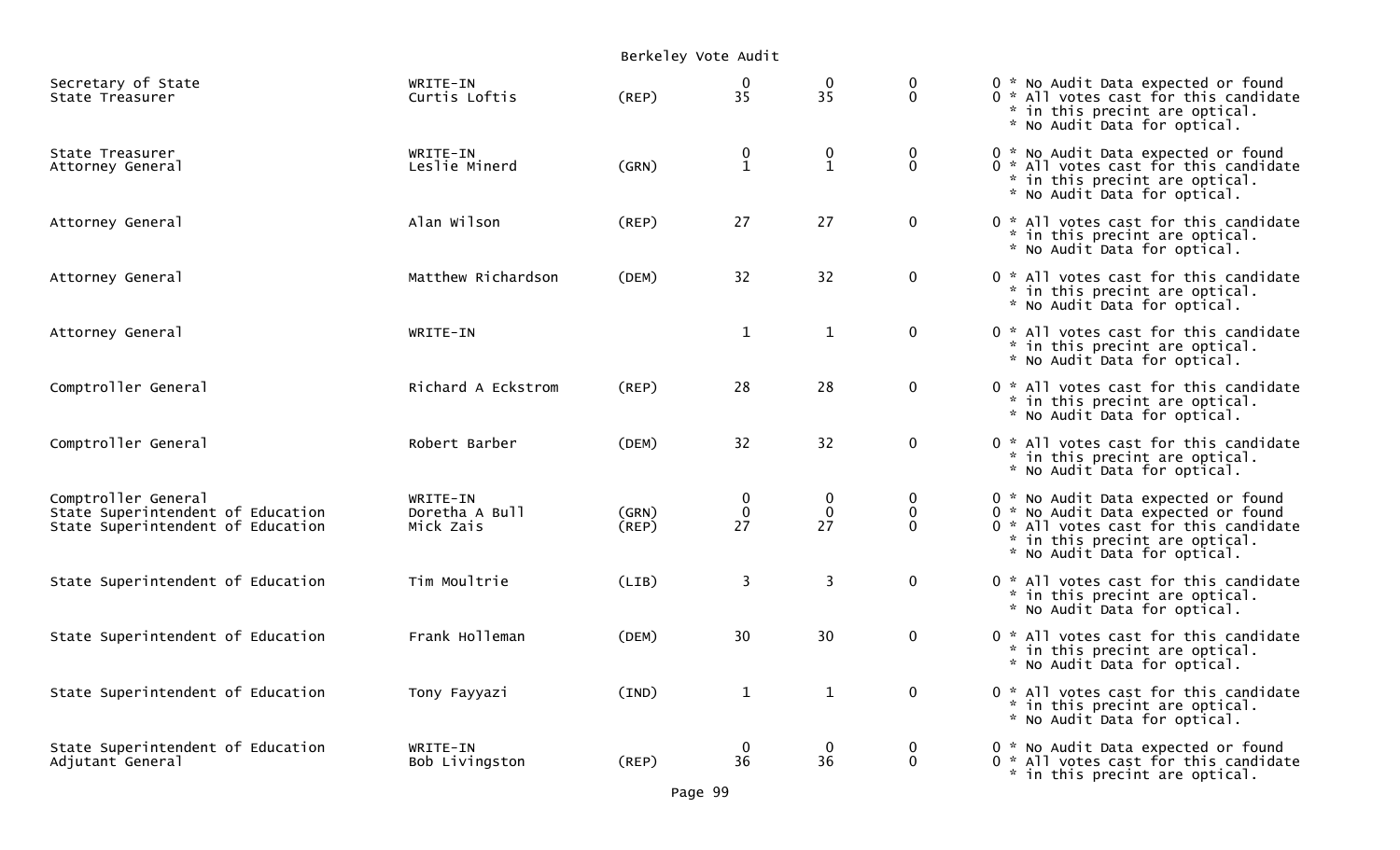|                                                                                               |                                         |                      | Berkeley Vote Audit                           |                              |                              |                                                                                                                                                                                       |  |  |  |
|-----------------------------------------------------------------------------------------------|-----------------------------------------|----------------------|-----------------------------------------------|------------------------------|------------------------------|---------------------------------------------------------------------------------------------------------------------------------------------------------------------------------------|--|--|--|
| Secretary of State<br>State Treasurer                                                         | WRITE-IN<br>Curtis Loftis               | (REP)                | $\bf{0}$<br>35                                | $\frac{0}{35}$               | 0<br>$\mathbf{0}$            | 0 * No Audit Data expected or found<br>0 * All votes cast for this candidate<br>* in this precint are optical.<br>* No Audit Data for optical.                                        |  |  |  |
| State Treasurer<br>Attorney General                                                           | WRITE-IN<br>Leslie Minerd               | (GRN)                | $\begin{smallmatrix} 0 \ 1 \end{smallmatrix}$ | $\mathbf{0}$<br>$\mathbf{1}$ | $\mathbf 0$<br>$\Omega$      | 0 * No Audit Data expected or found<br>0 * All votes cast for this candidate<br>* in this precint are optical.<br>* No Audit Data for optical.                                        |  |  |  |
| Attorney General                                                                              | Alan Wilson                             | (REP)                | 27                                            | 27                           | $\mathbf{0}$                 | 0 * All votes cast for this candidate<br>* in this precint are optical.<br>* No Audit Data for optical.                                                                               |  |  |  |
| Attorney General                                                                              | Matthew Richardson                      | (DEM)                | 32                                            | 32                           | $\mathbf{0}$                 | 0 * All votes cast for this candidate<br>* in this precint are optical.<br>* No Audit Data for optical.                                                                               |  |  |  |
| Attorney General                                                                              | WRITE-IN                                |                      | $\mathbf{1}$                                  | $\mathbf{1}$                 | $\mathbf{0}$                 | 0 * All votes cast for this candidate<br>* in this precint are optical.<br>* No Audit Data for optical.                                                                               |  |  |  |
| Comptroller General                                                                           | Richard A Eckstrom                      | (REP)                | 28                                            | 28                           | $\mathbf 0$                  | 0 * All votes cast for this candidate<br>* in this precint are optical.<br>* No Audit Data for optical.                                                                               |  |  |  |
| Comptroller General                                                                           | Robert Barber                           | (DEM)                | 32                                            | 32                           | $\mathbf 0$                  | 0 * All votes cast for this candidate<br>* in this precint are optical.<br>* No Audit Data for optical.                                                                               |  |  |  |
| Comptroller General<br>State Superintendent of Education<br>State Superintendent of Education | WRITE-IN<br>Doretha A Bull<br>Mick Zais | (GRN)<br>$($ REP $)$ | $\overline{0}$<br>27                          | $\mathbf 0$<br>27            | 0<br>$\mathbf 0$<br>$\Omega$ | 0 * No Audit Data expected or found<br>0 * No Audit Data expected or found<br>0 * All votes cast for this candidate<br>* in this precint are optical.<br>* No Audit Data for optical. |  |  |  |
| State Superintendent of Education                                                             | Tim Moultrie                            | (LIB)                | 3                                             | $\overline{3}$               | $\mathbf{0}$                 | 0 * All votes cast for this candidate<br>* in this precint are optical.<br>* No Audit Data for optical.                                                                               |  |  |  |
| State Superintendent of Education                                                             | Frank Holleman                          | (DEM)                | 30                                            | 30                           | $\mathbf 0$                  | 0 * All votes cast for this candidate<br>* in this precint are optical.<br>* No Audit Data for optical.                                                                               |  |  |  |
| State Superintendent of Education                                                             | Tony Fayyazi                            | (IND)                | $\mathbf{1}$                                  | $\mathbf{1}$                 | $\mathbf{0}$                 | 0 * All votes cast for this candidate<br>* in this precint are optical.<br>* No Audit Data for optical.                                                                               |  |  |  |
| State Superintendent of Education<br>Adjutant General                                         | WRITE-IN<br>Bob Livingston              | (REP)                | $\mathbf 0$<br>36                             | $\mathbf 0$<br>36            | 0<br>$\mathbf 0$             | 0 * No Audit Data expected or found<br>0 * All votes cast for this candidate<br>* in this precint are optical.                                                                        |  |  |  |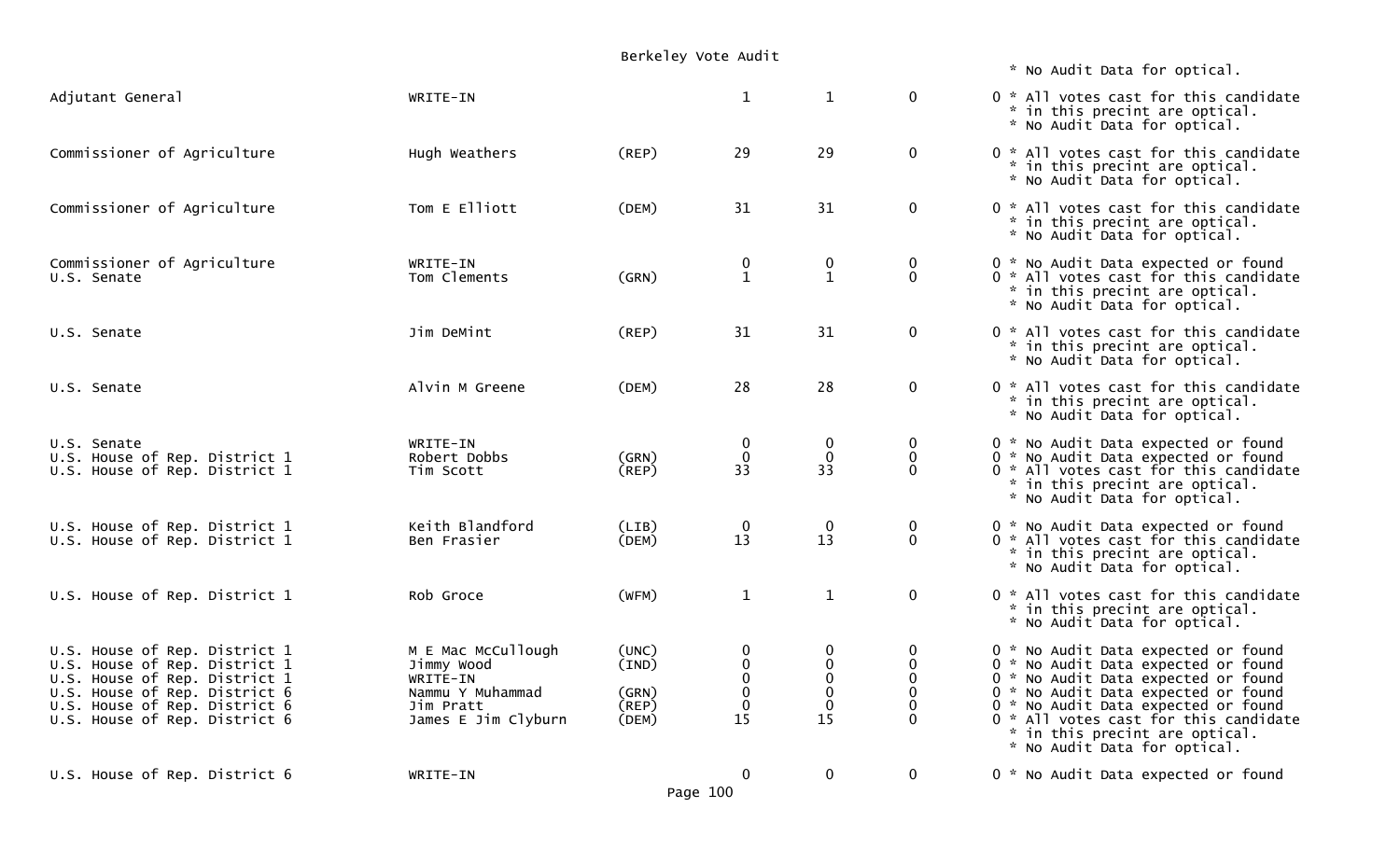| Berkeley Vote Audit |  |  |
|---------------------|--|--|
|---------------------|--|--|

| Adjutant General                                                                                                                                                                                   | WRITE-IN                                                                                             |                                           | $\mathbf{1}$                                                                               | $\mathbf{1}$                                                        | $\mathbf 0$                                                                | 0 * All votes cast for this candidate<br>* in this precint are optical.<br>* No Audit Data for optical.                                                                                                                                                                                                    |
|----------------------------------------------------------------------------------------------------------------------------------------------------------------------------------------------------|------------------------------------------------------------------------------------------------------|-------------------------------------------|--------------------------------------------------------------------------------------------|---------------------------------------------------------------------|----------------------------------------------------------------------------|------------------------------------------------------------------------------------------------------------------------------------------------------------------------------------------------------------------------------------------------------------------------------------------------------------|
| Commissioner of Agriculture                                                                                                                                                                        | Hugh Weathers                                                                                        | $($ REP $)$                               | 29                                                                                         | 29                                                                  | $\mathbf 0$                                                                | 0 * All votes cast for this candidate<br>* in this precint are optical.<br>* No Audit Data for optical.                                                                                                                                                                                                    |
| Commissioner of Agriculture                                                                                                                                                                        | Tom E Elliott                                                                                        | (DEM)                                     | 31                                                                                         | 31                                                                  | $\mathbf 0$                                                                | 0 * All votes cast for this candidate<br>* in this precint are optical.<br>* No Audit Data for optical.                                                                                                                                                                                                    |
| Commissioner of Agriculture<br>U.S. Senate                                                                                                                                                         | WRITE-IN<br>Tom Clements                                                                             | (GRN)                                     | 0<br>$\mathbf{1}$                                                                          | 0<br>$\mathbf{1}$                                                   | 0<br>$\mathbf 0$                                                           | 0 * No Audit Data expected or found<br>0 * All votes cast for this candidate<br>* in this precint are optical.<br>* No Audit Data for optical.                                                                                                                                                             |
| U.S. Senate                                                                                                                                                                                        | Jim DeMint                                                                                           | (REP)                                     | 31                                                                                         | 31                                                                  | $\mathbf 0$                                                                | 0 * All votes cast for this candidate<br>* in this precint are optical.<br>* No Audit Data for optical.                                                                                                                                                                                                    |
| U.S. Senate                                                                                                                                                                                        | Alvin M Greene                                                                                       | (DEM)                                     | 28                                                                                         | 28                                                                  | $\mathbf 0$                                                                | 0 * All votes cast for this candidate<br>* in this precint are optical.<br>* No Audit Data for optical.                                                                                                                                                                                                    |
| U.S. Senate<br>U.S. House of Rep. District 1<br>U.S. House of Rep. District 1                                                                                                                      | WRITE-IN<br>Robert Dobbs<br>Tim Scott                                                                | (GRN)<br>(REP)                            | 0<br>$\mathbf 0$<br>33                                                                     | $\boldsymbol{0}$<br>$\mathbf 0$<br>33                               | 0<br>$\mathbf 0$<br>$\Omega$                                               | 0 * No Audit Data expected or found<br>0 * No Audit Data expected or found<br>0 * All votes cast for this candidate<br>* in this precint are optical.<br>* No Audit Data for optical.                                                                                                                      |
| U.S. House of Rep. District 1<br>U.S. House of Rep. District 1                                                                                                                                     | Keith Blandford<br>Ben Frasier                                                                       | (LIB)<br>(DEM)                            | $\mathbf 0$<br>13                                                                          | $\mathbf 0$<br>13                                                   | $\bf{0}$<br>$\mathbf{0}$                                                   | 0 * No Audit Data expected or found<br>0 * All votes cast for this candidate<br>* in this precint are optical.<br>* No Audit Data for optical.                                                                                                                                                             |
| U.S. House of Rep. District 1                                                                                                                                                                      | Rob Groce                                                                                            | (WFM)                                     | $\mathbf{1}$                                                                               | $\mathbf{1}$                                                        | $\mathbf 0$                                                                | 0 * All votes cast for this candidate<br>* in this precint are optical.<br>* No Audit Data for optical.                                                                                                                                                                                                    |
| U.S. House of Rep. District 1<br>U.S. House of Rep. District 1<br>U.S. House of Rep. District 1<br>U.S. House of Rep. District 6<br>U.S. House of Rep. District 6<br>U.S. House of Rep. District 6 | M E Mac McCullough<br>Jimmy Wood<br>WRITE-IN<br>Nammu Y Muhammad<br>Jim Pratt<br>James E Jim Clyburn | (UNC)<br>(IND)<br>(GRN)<br>(REP)<br>(DEM) | 0<br>$\begin{smallmatrix} 0\\0 \end{smallmatrix}$<br>$\boldsymbol{0}$<br>$\mathbf 0$<br>15 | 0<br>$\begin{smallmatrix}0\0\0\end{smallmatrix}$<br>$\pmb{0}$<br>15 | 0<br>$\mathbf 0$<br>$\mathbf{0}$<br>$\mathbf 0$<br>$\mathbf 0$<br>$\Omega$ | 0 * No Audit Data expected or found<br>0 * No Audit Data expected or found<br>0 * No Audit Data expected or found<br>0 * No Audit Data expected or found<br>0 * No Audit Data expected or found<br>0 * All votes cast for this candidate<br>* in this precint are optical.<br>* No Audit Data for optical. |

U.S. House of Rep. District 6 WRITE-IN WRITE-IN 0 0 0 0 0 \* No Audit Data expected or found

\* No Audit Data for optical.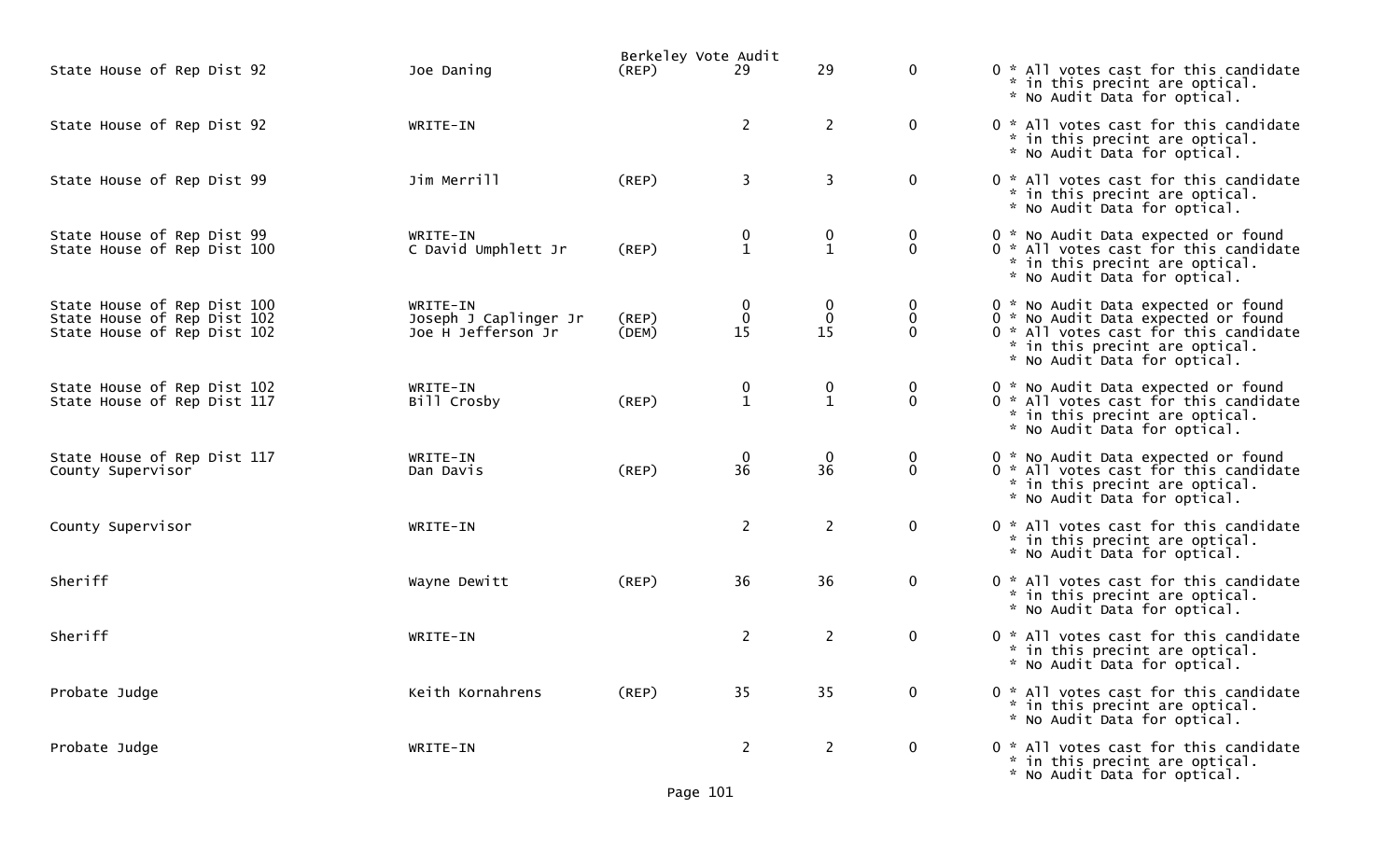|                                                                                           |                                                         | Berkeley Vote Audit |                                       |                                               |                                  |                                                                                                                                                                                       |
|-------------------------------------------------------------------------------------------|---------------------------------------------------------|---------------------|---------------------------------------|-----------------------------------------------|----------------------------------|---------------------------------------------------------------------------------------------------------------------------------------------------------------------------------------|
| State House of Rep Dist 92                                                                | Joe Daning                                              | $($ REP $)$         | 29                                    | 29                                            | $\mathbf{0}$                     | 0 * All votes cast for this candidate<br>* in this precint are optical.<br>* No Audit Data for optical.                                                                               |
| State House of Rep Dist 92                                                                | WRITE-IN                                                |                     | $\overline{2}$                        | $\overline{2}$                                | $\mathbf 0$                      | 0 * All votes cast for this candidate<br>* in this precint are optical.<br>* No Audit Data for optical.                                                                               |
| State House of Rep Dist 99                                                                | Jim Merrill                                             | (REP)               | 3                                     | 3                                             | $\mathbf 0$                      | 0 * All votes cast for this candidate<br>* in this precint are optical.<br>* No Audit Data for optical.                                                                               |
| State House of Rep Dist 99<br>State House of Rep Dist 100                                 | WRITE-IN<br>C David Umphlett Jr                         | $($ REP $)$         | $\boldsymbol{0}$<br>$\mathbf{1}$      | 0<br>$\mathbf{1}$                             | 0<br>$\mathbf 0$                 | 0 * No Audit Data expected or found<br>0 * All votes cast for this candidate<br>* in this precint are optical.<br>* No Audit Data for optical.                                        |
| State House of Rep Dist 100<br>State House of Rep Dist 102<br>State House of Rep Dist 102 | WRITE-IN<br>Joseph J Caplinger Jr<br>Joe H Jefferson Jr | (REP)<br>(DEM)      | $\boldsymbol{0}$<br>$\mathbf 0$<br>15 | 0<br>$\mathbf 0$<br>15                        | 0<br>$\mathbf 0$<br>$\mathbf{0}$ | 0 * No Audit Data expected or found<br>0 * No Audit Data expected or found<br>0 * All votes cast for this candidate<br>* in this precint are optical.<br>* No Audit Data for optical. |
| State House of Rep Dist 102<br>State House of Rep Dist 117                                | WRITE-IN<br>Bill Crosby                                 | $($ REP $)$         | $\boldsymbol{0}$<br>$\mathbf{1}$      | $\begin{smallmatrix} 0 \ 1 \end{smallmatrix}$ | 0<br>$\mathbf{0}$                | 0 * No Audit Data expected or found<br>0 * All votes cast for this candidate<br>* in this precint are optical.<br>* No Audit Data for optical.                                        |
| State House of Rep Dist 117<br>County Supervisor                                          | WRITE-IN<br>Dan Davis                                   | $($ REP $)$         | $\mathbf 0$<br>36                     | $\bf{0}$<br>36                                | 0<br>$\mathbf 0$                 | 0 * No Audit Data expected or found<br>0 * All votes cast for this candidate<br>* in this precint are optical.<br>* No Audit Data for optical.                                        |
| County Supervisor                                                                         | WRITE-IN                                                |                     | $\overline{2}$                        | $\overline{2}$                                | $\mathbf 0$                      | 0 * All votes cast for this candidate<br>* in this precint are optical.<br>* No Audit Data for optical.                                                                               |
| Sheriff                                                                                   | Wayne Dewitt                                            | $($ REP $)$         | 36                                    | 36                                            | $\mathbf 0$                      | 0 * All votes cast for this candidate<br>* in this precint are optical.<br>* No Audit Data for optical.                                                                               |
| Sheriff                                                                                   | WRITE-IN                                                |                     | $\overline{2}$                        | $\overline{2}$                                | $\mathbf 0$                      | 0 * All votes cast for this candidate<br>* in this precint are optical.<br>* No Audit Data for optical.                                                                               |
| Probate Judge                                                                             | Keith Kornahrens                                        | $($ REP $)$         | 35                                    | 35                                            | 0                                | 0 * All votes cast for this candidate<br>* in this precint are optical.<br>* No Audit Data for optical.                                                                               |
| Probate Judge                                                                             | WRITE-IN                                                |                     | $2^{\circ}$                           | $\overline{2}$                                | $\mathbf 0$                      | 0 * All votes cast for this candidate<br>* in this precint are optical.<br>* No Audit Data for optical.                                                                               |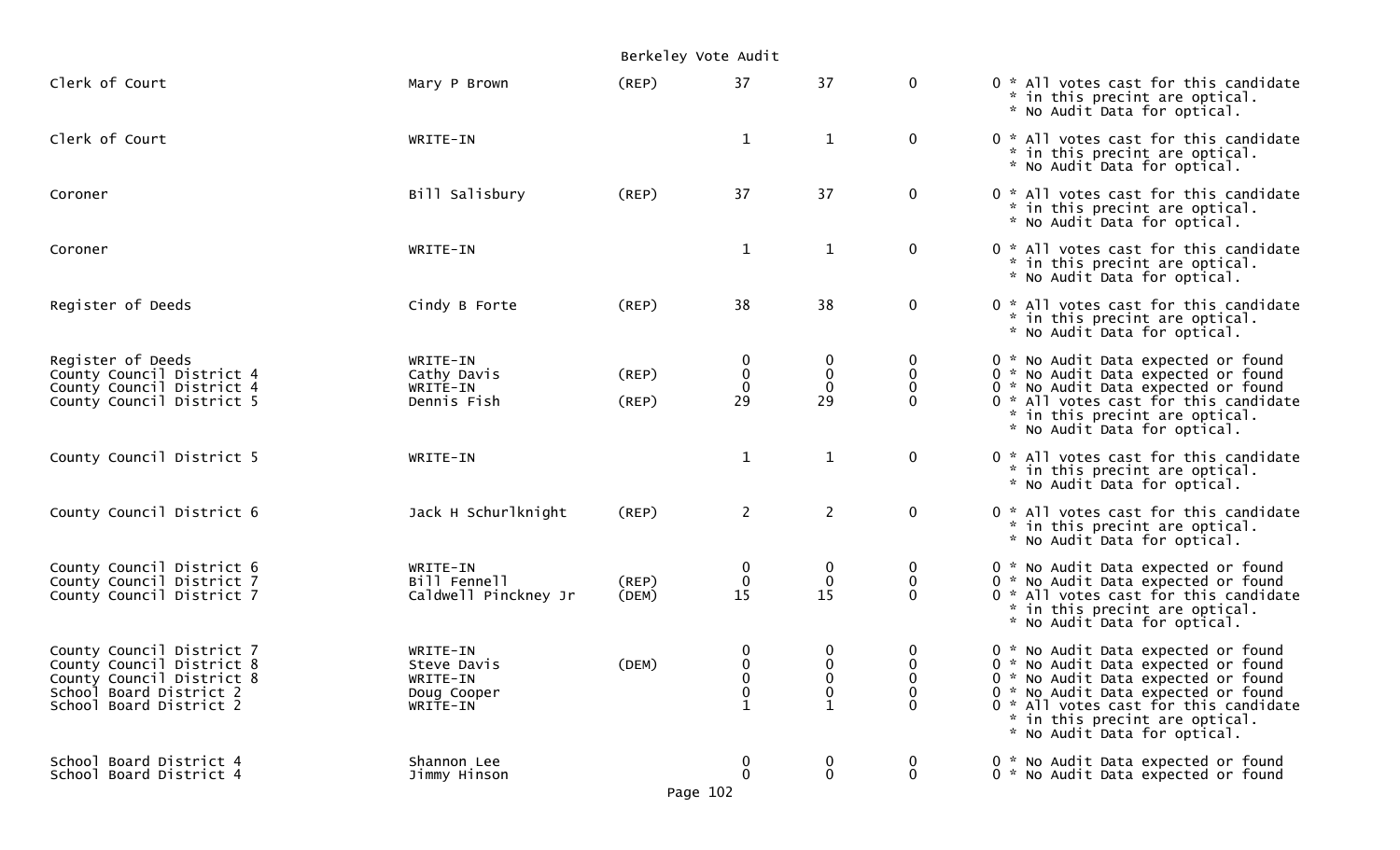|                                                                                                                                           |                                                                | Berkeley Vote Audit |                                                                   |                                 |                                                   |                                                                                                                                                                                                                                                                     |
|-------------------------------------------------------------------------------------------------------------------------------------------|----------------------------------------------------------------|---------------------|-------------------------------------------------------------------|---------------------------------|---------------------------------------------------|---------------------------------------------------------------------------------------------------------------------------------------------------------------------------------------------------------------------------------------------------------------------|
| Clerk of Court                                                                                                                            | Mary P Brown                                                   | (REP)               | 37                                                                | 37                              | $\mathbf{0}$                                      | 0 * All votes cast for this candidate<br>* in this precint are optical.<br>* No Audit Data for optical.                                                                                                                                                             |
| Clerk of Court                                                                                                                            | WRITE-IN                                                       |                     | $\mathbf{1}$                                                      | $\mathbf{1}$                    | $\mathbf{0}$                                      | 0 * All votes cast for this candidate<br>* in this precint are optical.<br>* No Audit Data for optical.                                                                                                                                                             |
| Coroner                                                                                                                                   | Bill Salisbury                                                 | (REP)               | 37                                                                | 37                              | $\mathbf{0}$                                      | 0 * All votes cast for this candidate<br>* in this precint are optical.<br>* No Audit Data for optical.                                                                                                                                                             |
| Coroner                                                                                                                                   | WRITE-IN                                                       |                     | $\mathbf{1}$                                                      | $\mathbf{1}$                    | $\mathbf 0$                                       | 0 * All votes cast for this candidate<br>* in this precint are optical.<br>* No Audit Data for optical.                                                                                                                                                             |
| Register of Deeds                                                                                                                         | Cindy B Forte                                                  | (REP)               | 38                                                                | 38                              | $\mathbf{0}$                                      | 0 * All votes cast for this candidate<br>* in this precint are optical.<br>* No Audit Data for optical.                                                                                                                                                             |
| Register of Deeds<br>County Council District 4<br>County Council District 4<br>County Council District 5                                  | WRITE-IN<br>Cathy Davis<br>WRITE-IN<br>Dennis Fish             | (REP)<br>(REP)      | 0<br>$\pmb{0}$<br>$\mathbf 0$<br>29                               | $\mathbf 0$<br>0<br>29          | 0<br>$\mathbf 0$<br>0<br>$\Omega$                 | 0 * No Audit Data expected or found<br>0 * No Audit Data expected or found<br>0 * No Audit Data expected or found<br>0 * All votes cast for this candidate<br>* in this precint are optical.<br>* No Audit Data for optical.                                        |
| County Council District 5                                                                                                                 | WRITE-IN                                                       |                     | $\mathbf{1}$                                                      | $\mathbf{1}$                    | $\mathbf{0}$                                      | 0 * All votes cast for this candidate<br>* in this precint are optical.<br>* No Audit Data for optical.                                                                                                                                                             |
| County Council District 6                                                                                                                 | Jack H Schurlknight                                            | (REP)               | $\overline{2}$                                                    | $\overline{2}$                  | $\mathbf{0}$                                      | 0 * All votes cast for this candidate<br>* in this precint are optical.<br>* No Audit Data for optical.                                                                                                                                                             |
| County Council District 6<br>County Council District 7<br>County Council District 7                                                       | WRITE-IN<br>Bill Fennell<br>Caldwell Pinckney Jr               | (REP)<br>(DEM)      | $_{0}^{0}$<br>15                                                  | 0<br>$\mathbf 0$<br>15          | 0<br>$\mathbf{0}$<br>$\Omega$                     | 0 * No Audit Data expected or found<br>0 * No Audit Data expected or found<br>0 * All votes cast for this candidate<br>* in this precint are optical.<br>* No Audit Data for optical.                                                                               |
| County Council District 7<br>County Council District 8<br>County Council District 8<br>School Board District 2<br>School Board District 2 | WRITE-IN<br>Steve Davis<br>WRITE-IN<br>Doug Cooper<br>WRITE-IN | (DEM)               | $\boldsymbol{0}$<br>$\mathbf 0$<br>0<br>$\pmb{0}$<br>$\mathbf{1}$ | 0<br>$\mathbf 0$<br>0<br>0<br>1 | $\bf{0}$<br>$\mathbf 0$<br>0<br>$\mathbf{0}$<br>0 | 0 * No Audit Data expected or found<br>0 * No Audit Data expected or found<br>0 * No Audit Data expected or found<br>0 * No Audit Data expected or found<br>0 * All votes cast for this candidate<br>* in this precint are optical.<br>* No Audit Data for optical. |
| School Board District 4<br>School Board District 4                                                                                        | Shannon Lee<br>Jimmy Hinson                                    |                     | $\mathbf{0}$<br>$\mathbf 0$                                       | $\boldsymbol{0}$<br>$\mathbf 0$ | $\mathbf{0}$<br>$\mathbf 0$                       | 0 * No Audit Data expected or found<br>0 * No Audit Data expected or found                                                                                                                                                                                          |

Page 102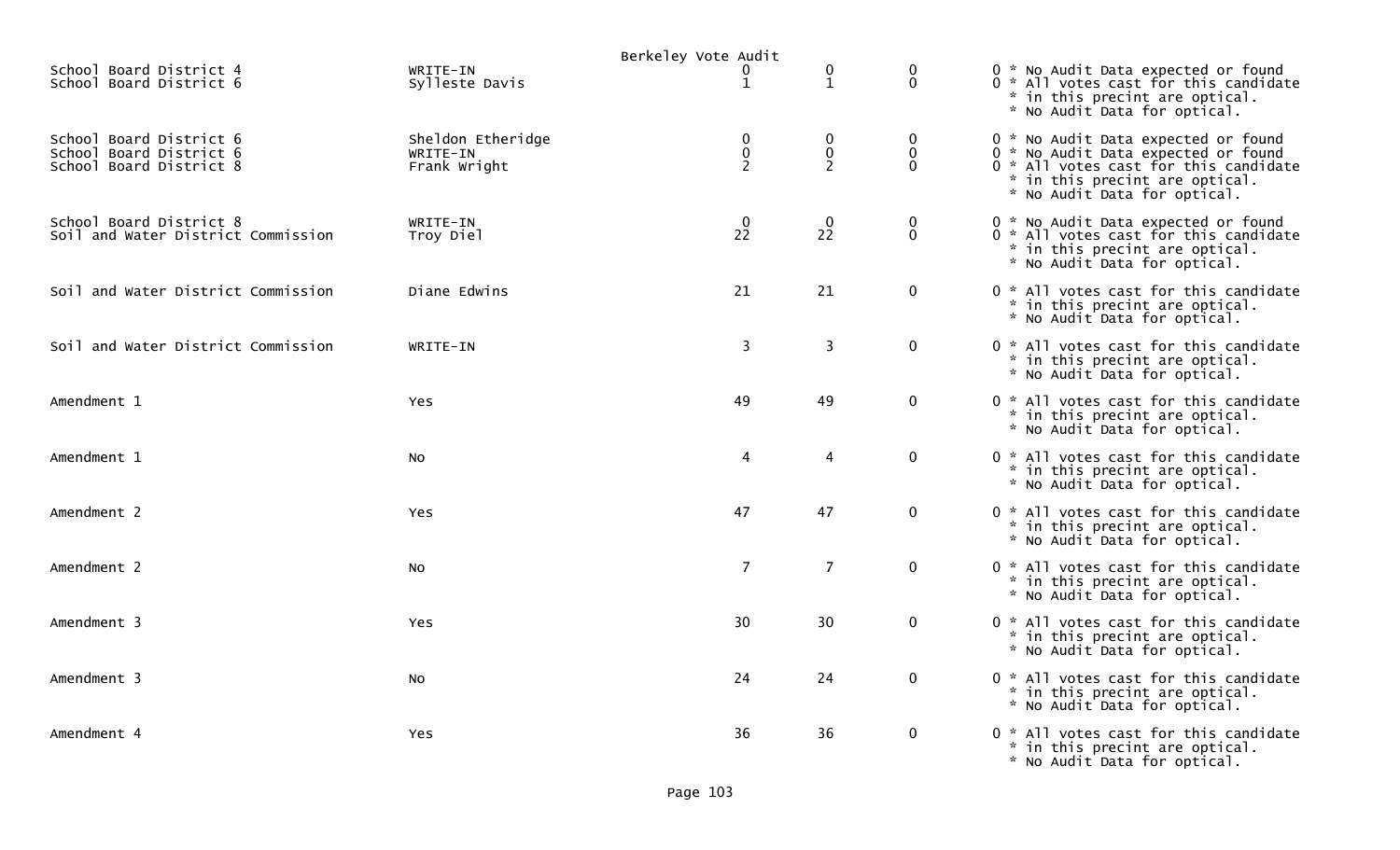|                                                                               |                                               | Berkeley Vote Audit                        |                                  |                              |                                                                                                                                                                                       |
|-------------------------------------------------------------------------------|-----------------------------------------------|--------------------------------------------|----------------------------------|------------------------------|---------------------------------------------------------------------------------------------------------------------------------------------------------------------------------------|
| School Board District 4<br>School Board District 6                            | WRITE-IN<br>Sylleste Davis                    | 0<br>$\mathbf{1}$                          | $\mathbf 0$<br>$\mathbf{1}$      | 0<br>$\Omega$                | 0 * No Audit Data expected or found<br>0 * All votes cast for this candidate<br>* in this precint are optical.<br>* No Audit Data for optical.                                        |
| School Board District 6<br>School Board District 6<br>School Board District 8 | Sheldon Etheridge<br>WRITE-IN<br>Frank Wright | $\mathbf 0$<br>$\pmb{0}$<br>$\overline{2}$ | 0<br>$\pmb{0}$<br>$\overline{2}$ | 0<br>$\mathbf 0$<br>$\Omega$ | 0 * No Audit Data expected or found<br>0 * No Audit Data expected or found<br>0 * All votes cast for this candidate<br>* in this precint are optical.<br>* No Audit Data for optical. |
| School Board District 8<br>Soil and Water District Commission                 | WRITE-IN<br>Troy Diel                         | $\frac{0}{22}$                             | $\mathbf 0$<br>22                | 0<br>$\Omega$                | 0 * No Audit Data expected or found<br>0 * All votes cast for this candidate<br>* in this precint are optical.<br>* No Audit Data for optical.                                        |
| Soil and Water District Commission                                            | Diane Edwins                                  | 21                                         | 21                               | $\mathbf 0$                  | 0 * All votes cast for this candidate<br>* in this precint are optical.<br>* No Audit Data for optical.                                                                               |
| Soil and Water District Commission                                            | WRITE-IN                                      | 3                                          | 3                                | $\mathbf 0$                  | 0 * All votes cast for this candidate<br>* in this precint are optical.<br>* No Audit Data for optical.                                                                               |
| Amendment 1                                                                   | <b>Yes</b>                                    | 49                                         | 49                               | $\mathbf 0$                  | 0 * All votes cast for this candidate<br>* in this precint are optical.<br>* No Audit Data for optical.                                                                               |
| Amendment 1                                                                   | No                                            | 4                                          | 4                                | $\mathbf 0$                  | 0 * All votes cast for this candidate<br>* in this precint are optical.<br>* No Audit Data for optical.                                                                               |
| Amendment 2                                                                   | <b>Yes</b>                                    | 47                                         | 47                               | $\mathbf 0$                  | 0 * All votes cast for this candidate<br>* in this precint are optical.<br>* No Audit Data for optical.                                                                               |
| Amendment 2                                                                   | No                                            | $\overline{7}$                             | $\overline{7}$                   | $\mathbf 0$                  | 0 * All votes cast for this candidate<br>* in this precint are optical.<br>* No Audit Data for optical.                                                                               |
| Amendment 3                                                                   | Yes                                           | 30                                         | 30                               | $\mathbf 0$                  | 0 * All votes cast for this candidate<br>* in this precint are optical.<br>* No Audit Data for optical.                                                                               |
| Amendment 3                                                                   | No                                            | 24                                         | 24                               | $\mathbf{0}$                 | 0 * All votes cast for this candidate<br>* in this precint are optical.<br>* No Audit Data for optical.                                                                               |
| Amendment 4                                                                   | Yes                                           | 36                                         | 36                               | $\mathbf 0$                  | 0 * All votes cast for this candidate<br>* in this precint are optical.<br>* No Audit Data for optical.                                                                               |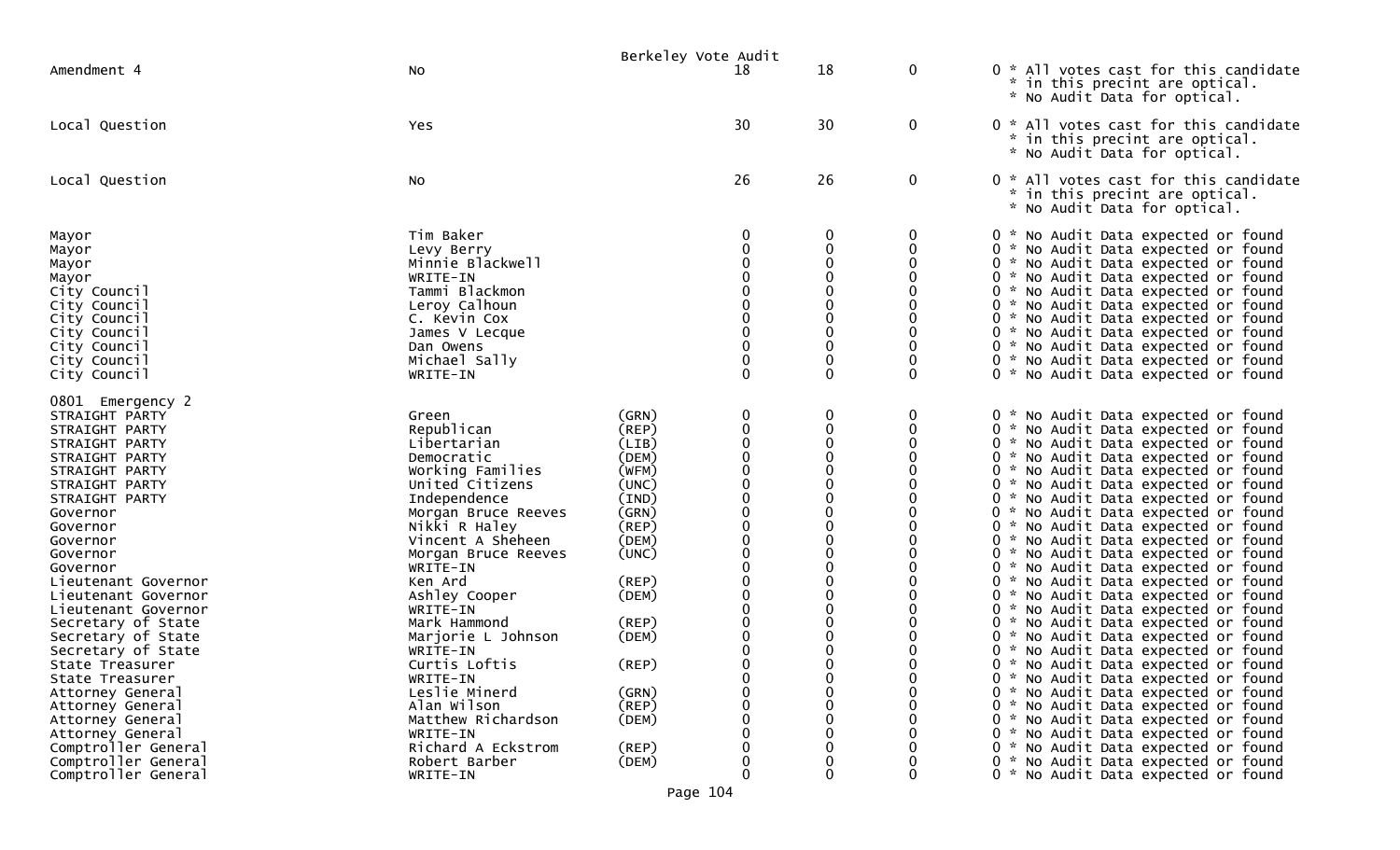|                                                                                                                                                                                                                                                                                                                                                                                                                                                                                                                       |                                                                                                                                                                                                                                                                                                                                                                                                                                         | Berkeley Vote Audit                                                                                                                                                                                         |                                                                                           |                                                                                                                                                                                                  |                                                            |                                                                                                                                                                                                                                                                                                                                                                                                                                                                                                                                                                                                                                                                                                                                                                                                                                                                                                                                                                                                                                                    |
|-----------------------------------------------------------------------------------------------------------------------------------------------------------------------------------------------------------------------------------------------------------------------------------------------------------------------------------------------------------------------------------------------------------------------------------------------------------------------------------------------------------------------|-----------------------------------------------------------------------------------------------------------------------------------------------------------------------------------------------------------------------------------------------------------------------------------------------------------------------------------------------------------------------------------------------------------------------------------------|-------------------------------------------------------------------------------------------------------------------------------------------------------------------------------------------------------------|-------------------------------------------------------------------------------------------|--------------------------------------------------------------------------------------------------------------------------------------------------------------------------------------------------|------------------------------------------------------------|----------------------------------------------------------------------------------------------------------------------------------------------------------------------------------------------------------------------------------------------------------------------------------------------------------------------------------------------------------------------------------------------------------------------------------------------------------------------------------------------------------------------------------------------------------------------------------------------------------------------------------------------------------------------------------------------------------------------------------------------------------------------------------------------------------------------------------------------------------------------------------------------------------------------------------------------------------------------------------------------------------------------------------------------------|
| Amendment 4                                                                                                                                                                                                                                                                                                                                                                                                                                                                                                           | No                                                                                                                                                                                                                                                                                                                                                                                                                                      |                                                                                                                                                                                                             | 18                                                                                        | 18                                                                                                                                                                                               | 0                                                          | 0 * All votes cast for this candidate<br>* in this precint are optical.<br>* No Audit Data for optical.                                                                                                                                                                                                                                                                                                                                                                                                                                                                                                                                                                                                                                                                                                                                                                                                                                                                                                                                            |
| Local Question                                                                                                                                                                                                                                                                                                                                                                                                                                                                                                        | Yes                                                                                                                                                                                                                                                                                                                                                                                                                                     |                                                                                                                                                                                                             | 30                                                                                        | 30                                                                                                                                                                                               | 0                                                          | 0 * All votes cast for this candidate<br>* in this precint are optical.<br>* No Audit Data for optical.                                                                                                                                                                                                                                                                                                                                                                                                                                                                                                                                                                                                                                                                                                                                                                                                                                                                                                                                            |
| Local Question                                                                                                                                                                                                                                                                                                                                                                                                                                                                                                        | No                                                                                                                                                                                                                                                                                                                                                                                                                                      |                                                                                                                                                                                                             | 26                                                                                        | 26                                                                                                                                                                                               | 0                                                          | 0 * All votes cast for this candidate<br>in this precint are optical.<br>*.<br>* No Audit Data for optical.                                                                                                                                                                                                                                                                                                                                                                                                                                                                                                                                                                                                                                                                                                                                                                                                                                                                                                                                        |
| Mayor<br>Mayor<br>Mayor<br>Mayor<br>City Council<br>City Council<br>City Council<br>City Council<br>City Council<br>City Council<br>City Council                                                                                                                                                                                                                                                                                                                                                                      | Tim Baker<br>Levy Berry<br>Minnie Blackwell<br>WRITE-IN<br>Tammi Blackmon<br>Leroy Calhoun<br>C. Kevin Cox<br>James V Lecque<br>Dan Owens<br>Michael Sally<br>WRITE-IN                                                                                                                                                                                                                                                                  |                                                                                                                                                                                                             | $\Omega$                                                                                  | 0<br>0<br>0<br>$\Omega$<br>0<br>0<br>$\mathbf 0$<br>0<br>0<br>$\mathbf 0$<br>$\Omega$                                                                                                            | 0<br>0<br>0<br>0<br>0<br>0<br>$\Omega$                     | 0 * No Audit Data expected or found<br>0 * No Audit Data expected or found<br>0 * No Audit Data expected or found<br>0 * No Audit Data expected or found<br>0 * No Audit Data expected or found<br>0 * No Audit Data expected or found<br>0 * No Audit Data expected or found<br>0 * No Audit Data expected or found<br>0 * No Audit Data expected or found<br>0 * No Audit Data expected or found<br>0 * No Audit Data expected or found                                                                                                                                                                                                                                                                                                                                                                                                                                                                                                                                                                                                          |
| 0801 Emergency 2<br>STRAIGHT PARTY<br>STRAIGHT PARTY<br>STRAIGHT PARTY<br>STRAIGHT PARTY<br>STRAIGHT PARTY<br>STRAIGHT PARTY<br>STRAIGHT PARTY<br>Governor<br>Governor<br>Governor<br>Governor<br>Governor<br>Lieutenant Governor<br>Lieutenant Governor<br>Lieutenant Governor<br>Secretary of State<br>Secretary of State<br>Secretary of State<br>State Treasurer<br>State Treasurer<br>Attorney General<br>Attorney General<br>Attorney General<br>Attorney General<br>Comptroller General<br>Comptroller General | Green<br>Republican<br>Libertarian<br>Democratic<br>Working Families<br>United Citizens<br>Independence<br>Morgan Bruce Reeves<br>Nikki R Haley<br>Vincent A Sheheen<br>Morgan Bruce Reeves<br>WRITE-IN<br>Ken Ard<br>Ashley Cooper<br>WRITE-IN<br>Mark Hammond<br>Marjorie L Johnson<br>WRITE-IN<br>Curtis Loftis<br>WRITE-IN<br>Leslie Minerd<br>Alan Wilson<br>Matthew Richardson<br>WRITE-IN<br>Richard A Eckstrom<br>Robert Barber | (GRN)<br>(REP)<br>(LIB)<br>(DEM)<br>(WFM)<br>(UNC)<br>(IND)<br>(GRN)<br>(REP)<br>(DEM)<br>(UNC)<br>$($ REP $)$<br>(DEM)<br>(REP)<br>(DEM)<br>$($ REP $)$<br>(GRN)<br>$($ REP $)$<br>(DEM)<br>(REP)<br>(DEM) | 0<br>$\mathbf 0$<br>$\Omega$<br>$\Omega$<br>$\mathbf 0$<br>0<br>$\Omega$<br>$\Omega$<br>O | 0<br>0<br>$\Omega$<br>0<br>0<br>$\mathbf 0$<br>0<br>0<br>0<br>0<br>0<br>$\mathbf 0$<br>0<br>0<br>0<br>0<br>0<br>0<br>$\Omega$<br>0<br>$\Omega$<br>$\mathbf 0$<br>$\mathbf 0$<br>$\mathbf 0$<br>0 | 0<br>0<br>0<br>0<br>0<br>0<br>0<br>0<br>0<br>$\Omega$<br>0 | 0 * No Audit Data expected or found<br>0 * No Audit Data expected or found<br>0 * No Audit Data expected or found<br>0 * No Audit Data expected or found<br>0 * No Audit Data expected or found<br>0 * No Audit Data expected or found<br>0 * No Audit Data expected or found<br>0 * No Audit Data expected or found<br>0 * No Audit Data expected or found<br>0 * No Audit Data expected or found<br>0 * No Audit Data expected or found<br>0 * No Audit Data expected or found<br>0 * No Audit Data expected or found<br>0 * No Audit Data expected or found<br>0 * No Audit Data expected or found<br>0 * No Audit Data expected or found<br>0 * No Audit Data expected or found<br>0 * No Audit Data expected or found<br>0 * No Audit Data expected or found<br>0 * No Audit Data expected or found<br>0 * No Audit Data expected or found<br>0 * No Audit Data expected or found<br>0 * No Audit Data expected or found<br>0 * No Audit Data expected or found<br>0 * No Audit Data expected or found<br>0 * No Audit Data expected or found |
| Comptroller General                                                                                                                                                                                                                                                                                                                                                                                                                                                                                                   | WRITE-IN                                                                                                                                                                                                                                                                                                                                                                                                                                |                                                                                                                                                                                                             | 0                                                                                         | $\Omega$                                                                                                                                                                                         | 0                                                          | 0 * No Audit Data expected or found                                                                                                                                                                                                                                                                                                                                                                                                                                                                                                                                                                                                                                                                                                                                                                                                                                                                                                                                                                                                                |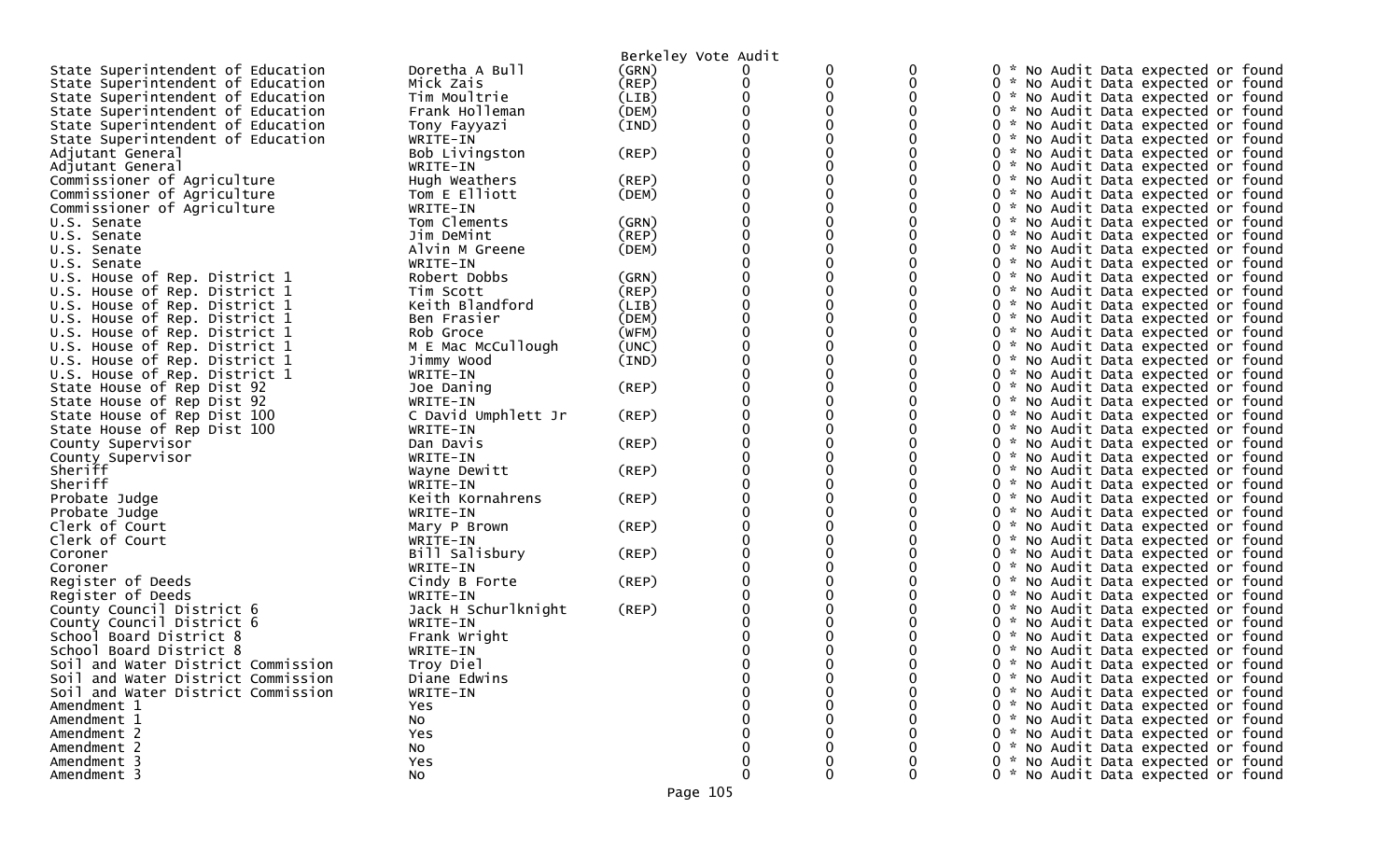|                                    |                     | Berkeley Vote Audit |   |   |   |                                               |
|------------------------------------|---------------------|---------------------|---|---|---|-----------------------------------------------|
| State Superintendent of Education  | Doretha A Bull      | (GRN)               |   |   |   | * No Audit Data expected or found             |
| State Superintendent of Education  | Mick Zais           | (REP)               | 0 | 0 |   | 0 * No Audit Data expected or found           |
| State Superintendent of Education  | Tim Moultrie        | (LIB)               |   | 0 |   | * No Audit Data expected or found             |
| State Superintendent of Education  | Frank Holleman      | (DEM)               |   |   |   | * No Audit Data expected or found             |
| State Superintendent of Education  | Tony Fayyazi        | (IND)               |   |   |   | 0 * No Audit Data expected or found           |
| State Superintendent of Education  | WRITE-IN            |                     |   |   |   | * No Audit Data expected or found<br>$\Omega$ |
| Adjutant General                   | Bob Livingston      | (REP)               |   |   |   | * No Audit Data expected or found             |
| Adjutant General                   | WRITE-IN            |                     |   |   |   | 0 * No Audit Data expected or found           |
| Commissioner of Agriculture        | Hugh Weathers       | $($ REP $)$         |   |   |   | * No Audit Data expected or found<br>0        |
| Commissioner of Agriculture        | Tom E Elliott       | (DEM)               |   |   |   | 0<br>* No Audit Data expected or found        |
| Commissioner of Agriculture        | WRITE-IN            |                     |   |   |   | 0 * No Audit Data expected or found           |
| U.S. Senate                        | Tom Clements        | (GRN)               |   |   |   | * No Audit Data expected or found<br>0        |
| U.S. Senate                        | Jim DeMint          | (REP)               |   |   |   | * No Audit Data expected or found             |
| U.S. Senate                        | Alvin M Greene      | (DEM)               |   |   |   | 0 * No Audit Data expected or found           |
| U.S. Senate                        | WRITE-IN            |                     |   |   |   | 0 * No Audit Data expected or found           |
| U.S. House of Rep. District 1      | Robert Dobbs        | (GRN)               |   |   |   | 0 * No Audit Data expected or found           |
| U.S. House of Rep. District 1      | Tim Scott           | (REP)               |   | 0 |   | 0                                             |
|                                    |                     |                     |   |   |   | * No Audit Data expected or found             |
| U.S. House of Rep. District 1      | Keith Blandford     | (LIB)               |   | 0 |   | * No Audit Data expected or found<br>$\Omega$ |
| U.S. House of Rep. District 1      | Ben Frasier         | (DEM)               |   |   |   | 0 * No Audit Data expected or found           |
| U.S. House of Rep. District 1      | Rob Groce           | (WFM)               |   | 0 |   | * No Audit Data expected or found<br>0        |
| U.S. House of Rep. District 1      | M E Mac McCullough  | (UNC)               |   |   |   | * No Audit Data expected or found<br>0        |
| U.S. House of Rep. District 1      | Jimmy Wood          | (IND)               |   |   |   | 0 * No Audit Data expected or found           |
| U.S. House of Rep. District 1      | WRITE-IN            |                     |   |   |   | * No Audit Data expected or found<br>0        |
| State House of Rep Dist 92         | Joe Daning          | $($ REP $)$         |   |   |   | 0 * No Audit Data expected or found           |
| State House of Rep Dist 92         | WRITE-IN            |                     |   |   |   | 0 * No Audit Data expected or found           |
| State House of Rep Dist 100        | C David Umphlett Jr | (REP)               |   |   |   | * No Audit Data expected or found<br>0        |
| State House of Rep Dist 100        | WRITE-IN            |                     |   |   |   | 0 * No Audit Data expected or found           |
| County Supervisor                  | Dan Davis           | $($ REP $)$         |   |   |   | 0 * No Audit Data expected or found           |
| County Supervisor                  | WRITE-IN            |                     |   |   |   | * No Audit Data expected or found<br>0        |
| Sheriff                            | Wayne Dewitt        | (REP)               |   |   |   | 0<br>* No Audit Data expected or found        |
| Sheriff                            | WRITE-IN            |                     |   |   |   | 0<br>* No Audit Data expected or found        |
| Probate Judge                      | Keith Kornahrens    | (REP)               |   |   |   | * No Audit Data expected or found<br>0        |
| Probate Judge                      | WRITE-IN            |                     |   |   |   | 0 * No Audit Data expected or found           |
| Clerk of Court                     | Mary P Brown        | $($ REP $)$         |   |   |   | 0<br>* No Audit Data expected or found        |
| Clerk of Court                     | WRITE-IN            |                     |   |   |   | * No Audit Data expected or found<br>0        |
| Coroner                            | Bill Salisbury      | (REP)               |   |   |   | 0 * No Audit Data expected or found           |
| Coroner                            | WRITE-IN            |                     |   |   |   | 0<br>* No Audit Data expected or found        |
| Register of Deeds                  | Cindy B Forte       | (REP)               |   |   |   | * No Audit Data expected or found<br>0        |
| Register of Deeds                  | WRITE-IN            |                     |   |   |   | 0 * No Audit Data expected or found           |
| County Council District 6          | Jack H Schurlknight | (REP)               |   |   |   | 0 * No Audit Data expected or found           |
| County Council District 6          | WRITE-IN            |                     |   |   |   | * No Audit Data expected or found             |
| School Board District 8            | Frank Wright        |                     |   |   |   | * No Audit Data expected or found             |
| School Board District 8            | WRITE-IN            |                     |   |   |   | * No Audit Data expected or found<br>0        |
| Soil and Water District Commission | Troy Diel           |                     |   |   |   | 0.<br>* No Audit Data expected or found       |
| Soil and Water District Commission | Diane Edwins        |                     |   |   |   | 0 * No Audit Data expected or found           |
| Soil and Water District Commission | WRITE-IN            |                     |   |   |   | 0 * No Audit Data expected or found           |
| Amendment 1                        | Yes                 |                     |   |   |   | 0 * No Audit Data expected or found           |
| Amendment 1                        | NO.                 |                     |   |   |   | 0 * No Audit Data expected or found           |
| Amendment 2                        | Yes                 |                     |   |   |   | 0 * No Audit Data expected or found           |
| Amendment 2                        | No                  |                     |   |   |   | 0 * No Audit Data expected or found           |
| Amendment 3                        | Yes                 |                     | 0 |   |   | 0 * No Audit Data expected or found           |
| Amendment 3                        | No                  |                     | 0 | 0 | 0 | 0 * No Audit Data expected or found           |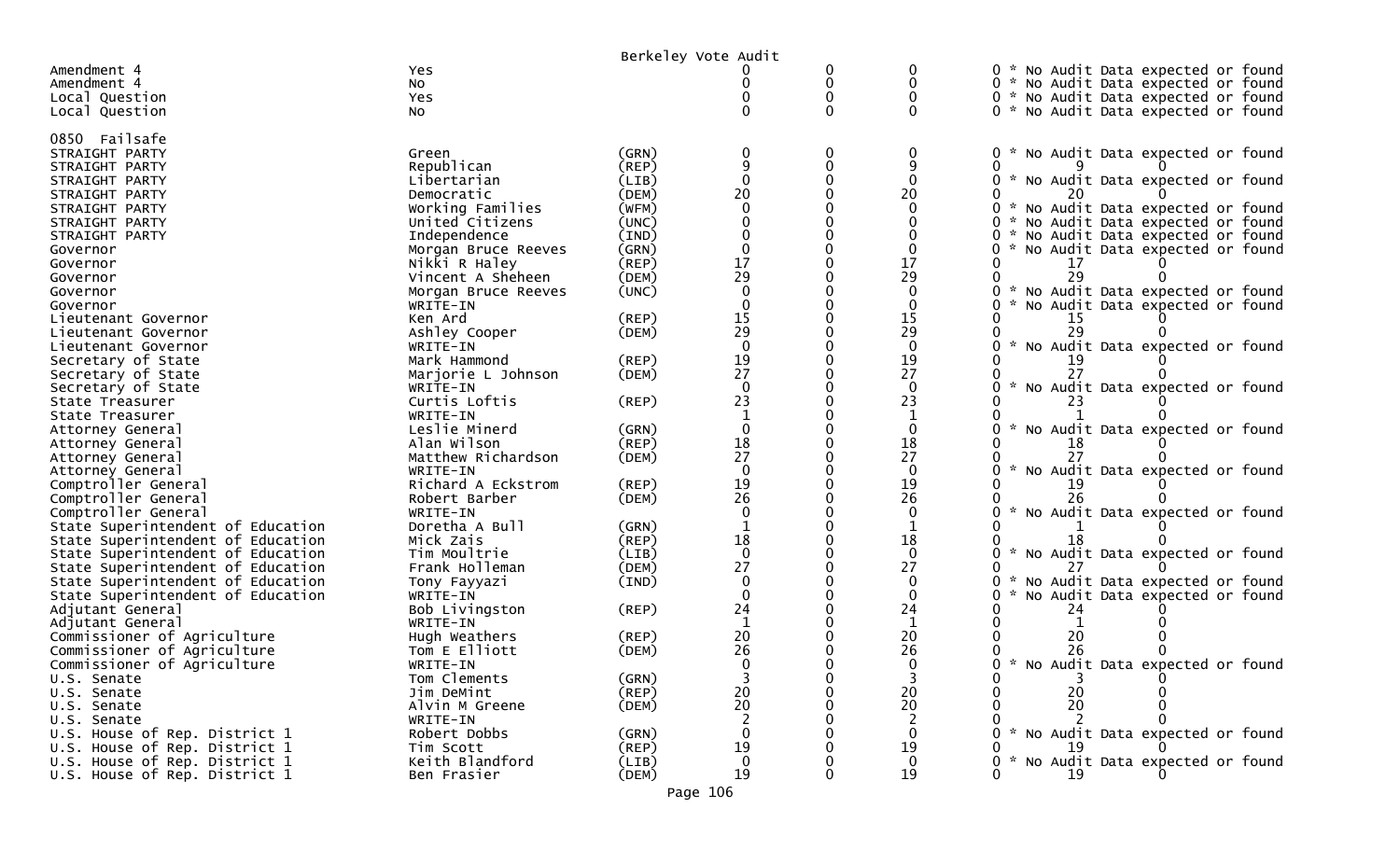|                                          |                          | Berkeley Vote Audit |              |          |                    |                                                |
|------------------------------------------|--------------------------|---------------------|--------------|----------|--------------------|------------------------------------------------|
| Amendment 4                              | Yes                      |                     |              | 0        | 0                  | 0 * No Audit Data expected or found            |
| Amendment 4                              | No                       |                     |              | 0        | 0                  | 0 * No Audit Data expected or found            |
| Local Question                           | Yes                      |                     |              | $\Omega$ | 0                  | 0 * No Audit Data expected or found            |
| Local Question                           | No                       |                     |              | 0        | $\mathbf{0}$       | 0 * No Audit Data expected or found            |
|                                          |                          |                     |              |          |                    |                                                |
| 0850 Failsafe                            |                          |                     |              |          |                    |                                                |
| STRAIGHT PARTY                           | Green                    | (GRN)               |              | 0        | 0                  | 0 * No Audit Data expected or found            |
| STRAIGHT PARTY                           | Republican               | (REP)               |              | 0        | 9                  | 0                                              |
| STRAIGHT PARTY                           | Libertarian              | (LIB)               | $\Omega$     | $\Omega$ | $\Omega$           | No Audit Data expected or found<br>0           |
| STRAIGHT PARTY                           | Democratic               | (DEM)               | 20           | $\Omega$ | 20                 |                                                |
| STRAIGHT PARTY                           | Working Families         | (WFM)               |              |          | 0                  | 0 * No Audit Data expected or found            |
| STRAIGHT PARTY                           | United Citizens          | (UNC)               |              |          |                    | No Audit Data expected or found<br>0 *         |
| STRAIGHT PARTY                           | Independence             | (IND)               | $\Omega$     |          | 0                  | 0 * No Audit Data expected or found<br>₩.      |
| Governor                                 | Morgan Bruce Reeves      | (GRN)               | 17           |          | $\mathbf{0}$<br>17 | 0<br>No Audit Data expected or found           |
| Governor                                 | Nikki R Haley            | (REP)               | 29           |          | 29                 | 29                                             |
| Governor                                 | Vincent A Sheheen        | (DEM)               |              |          |                    |                                                |
| Governor                                 | Morgan Bruce Reeves      | (UNC)               |              |          | 0<br>$\Omega$      | No Audit Data expected or found<br>0 *         |
| Governor                                 | WRITE-IN                 |                     |              |          |                    | No Audit Data expected or found<br>0           |
| Lieutenant Governor                      | Ken Ard                  | (REP)               | 15<br>29     |          | 15<br>29           | 15                                             |
| Lieutenant Governor                      | Ashley Cooper            | (DEM)               | $\Omega$     |          | $\Omega$           | No Audit Data expected or found                |
| Lieutenant Governor                      | WRITE-IN<br>Mark Hammond | (REP)               | 19           |          | 19                 |                                                |
| Secretary of State<br>Secretary of State | Marjorie L Johnson       | (DEM)               | 27           |          | 27                 |                                                |
| Secretary of State                       | WRITE-IN                 |                     | $\Omega$     |          | $\Omega$           | $\sim$<br>No Audit Data expected or found      |
| State Treasurer                          | Curtis Loftis            | (REP)               | 23           |          | 23                 |                                                |
| State Treasurer                          | WRITE-IN                 |                     |              |          |                    |                                                |
| Attorney General                         | Leslie Minerd            | (GRN)               | $\Omega$     |          | $\mathbf{0}$       | No Audit Data expected or found<br>0           |
| Attorney General                         | Alan Wilson              | (REP)               | 18           |          | 18                 | 18                                             |
| Attorney General                         | Matthew Richardson       | (DEM)               | 27           |          | 27                 |                                                |
| Attorney General                         | WRITE-IN                 |                     | $\Omega$     |          | $\mathbf{0}$       | $\sim$<br>No Audit Data expected or found<br>0 |
| Comptroller General                      | Richard A Eckstrom       | (REP)               | 19           |          | 19                 |                                                |
| Comptroller General                      | Robert Barber            | (DEM)               | 26           |          | 26                 |                                                |
| Comptroller General                      | WRITE-IN                 |                     | $\Omega$     |          | $\mathbf{0}$       | No Audit Data expected or found                |
| State Superintendent of Education        | Doretha A Bull           | (GRN)               |              |          |                    |                                                |
| State Superintendent of Education        | Mick Zais                | (REP)               | 18           |          | 18                 |                                                |
| State Superintendent of Education        | Tim Moultrie             | (LIB)               | $\Omega$     |          | $\mathbf{0}$       | $0 *$<br>No Audit Data expected or found       |
| State Superintendent of Education        | Frank Holleman           | (DEM)               | 27           |          | 27                 |                                                |
| State Superintendent of Education        | Tony Fayyazi             | (IND)               | $\Omega$     | $\Omega$ | $\mathbf{0}$       | No Audit Data expected or found<br>0           |
| State Superintendent of Education        | WRITE-IN                 |                     | $\Omega$     |          | $\mathbf{0}$       | No Audit Data expected or found<br>0           |
| Adjutant General                         | Bob Livingston           | $($ REP $)$         | 24           |          | 24                 | 24                                             |
| Adjutant General                         | WRITE-IN                 |                     |              |          |                    |                                                |
| Commissioner of Agriculture              | Hugh Weathers            | $($ REP $)$         | 20           |          | 20                 | 20                                             |
| Commissioner of Agriculture              | Tom E Elliott            | (DEM)               | 26           |          | 26                 | 26                                             |
| Commissioner of Agriculture              | WRITE-IN                 |                     |              |          |                    | 0 * No Audit Data expected or found            |
| U.S. Senate                              | Tom Clements             | (GRN)               |              |          | $\overline{3}$     | 0                                              |
| U.S. Senate                              | Jim DeMint               | $($ REP $)$         | 20           |          | 20                 | 20                                             |
| U.S. Senate                              | Alvin M Greene           | (DEM)               | 20           |          | 20                 | 20                                             |
| U.S. Senate                              | WRITE-IN                 |                     |              |          | 2                  |                                                |
| U.S. House of Rep. District 1            | Robert Dobbs             | (GRN)               |              |          | $\mathbf{0}$       | 0 * No Audit Data expected or found            |
| U.S. House of Rep. District 1            | Tim Scott                | (REP)               | 19           |          | 19                 | 19                                             |
| U.S. House of Rep. District 1            | Keith Blandford          | (LIB)               | $\mathbf{0}$ |          | $\mathbf{0}$       | * No Audit Data expected or found              |
| U.S. House of Rep. District 1            | Ben Frasier              | (DEM)               | 19           | 0        | 19                 | 19<br>0                                        |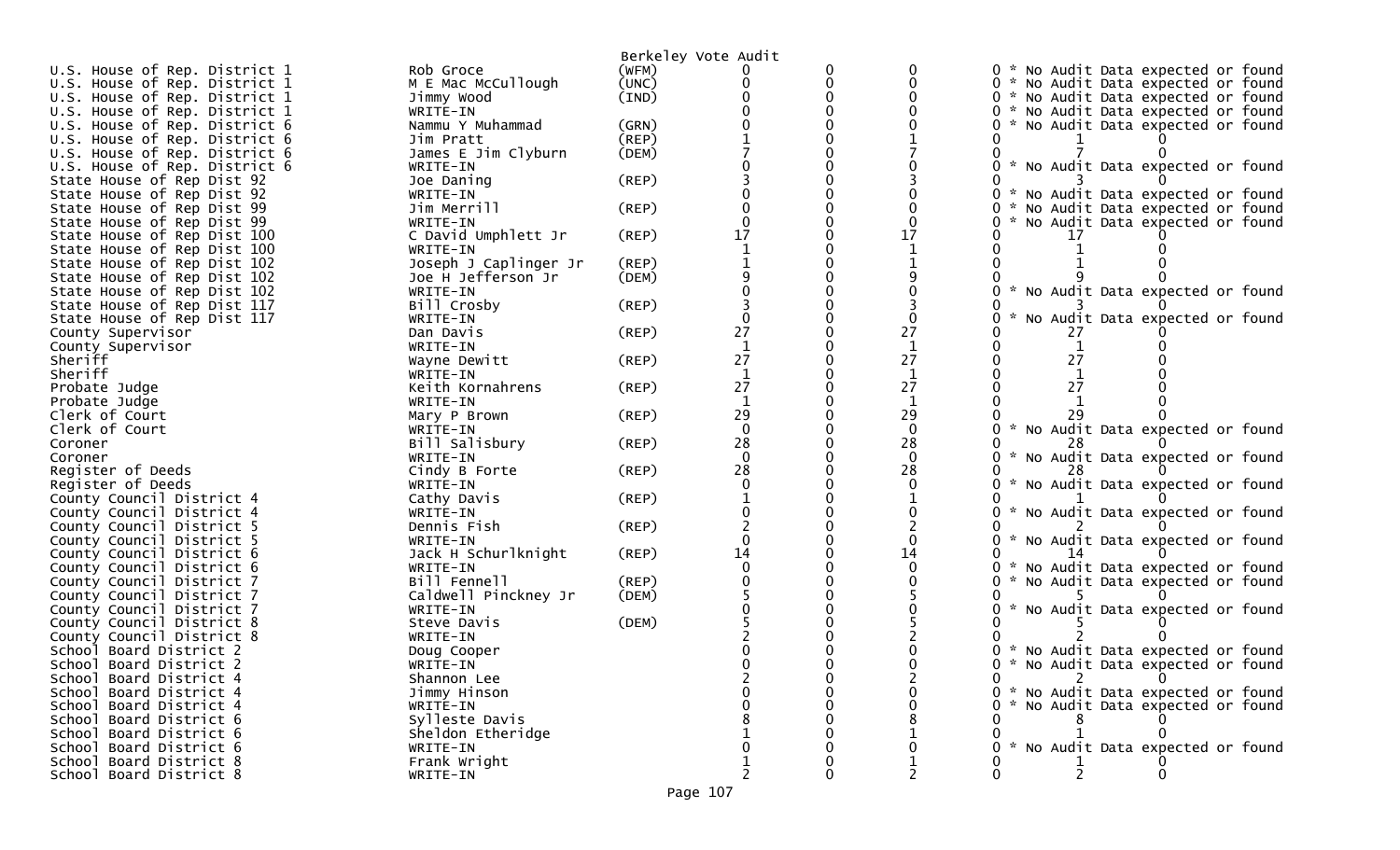| Berkeley Vote Audit<br>U.S. House of Rep. District 1<br>(WFM)<br>0 * No Audit Data expected or found<br>Rob Groce<br>U.S. House of Rep. District 1<br>M E Mac McCullough<br>(UNC)<br>0<br>0 * No Audit Data expected or found<br>0<br>U.S. House of Rep. District 1<br>Jimmy Wood<br>(IND)<br>0 * No Audit Data expected or found<br>U.S. House of Rep. District 1<br>0 * No Audit Data expected or found<br>WRITE-IN<br>U.S. House of Rep. District 6<br>* No Audit Data expected or found<br>Nammu Y Muhammad<br>(GRN)<br>$($ REP $)$<br>U.S. House of Rep. District 6<br>Jim Pratt<br>James E Jim Clyburn<br>U.S. House of Rep. District 6<br>(DEM)<br>U.S. House of Rep. District 6<br>* No Audit Data expected or found<br>WRITE-IN |  |
|------------------------------------------------------------------------------------------------------------------------------------------------------------------------------------------------------------------------------------------------------------------------------------------------------------------------------------------------------------------------------------------------------------------------------------------------------------------------------------------------------------------------------------------------------------------------------------------------------------------------------------------------------------------------------------------------------------------------------------------|--|
|                                                                                                                                                                                                                                                                                                                                                                                                                                                                                                                                                                                                                                                                                                                                          |  |
|                                                                                                                                                                                                                                                                                                                                                                                                                                                                                                                                                                                                                                                                                                                                          |  |
|                                                                                                                                                                                                                                                                                                                                                                                                                                                                                                                                                                                                                                                                                                                                          |  |
|                                                                                                                                                                                                                                                                                                                                                                                                                                                                                                                                                                                                                                                                                                                                          |  |
|                                                                                                                                                                                                                                                                                                                                                                                                                                                                                                                                                                                                                                                                                                                                          |  |
|                                                                                                                                                                                                                                                                                                                                                                                                                                                                                                                                                                                                                                                                                                                                          |  |
|                                                                                                                                                                                                                                                                                                                                                                                                                                                                                                                                                                                                                                                                                                                                          |  |
|                                                                                                                                                                                                                                                                                                                                                                                                                                                                                                                                                                                                                                                                                                                                          |  |
| $($ REP $)$<br>State House of Rep Dist 92<br>Joe Daning                                                                                                                                                                                                                                                                                                                                                                                                                                                                                                                                                                                                                                                                                  |  |
| State House of Rep Dist 92<br>WRITE-IN<br>* No Audit Data expected or found                                                                                                                                                                                                                                                                                                                                                                                                                                                                                                                                                                                                                                                              |  |
| State House of Rep Dist 99<br>$($ REP $)$<br>0<br>Jim Merrill<br>No Audit Data expected or found                                                                                                                                                                                                                                                                                                                                                                                                                                                                                                                                                                                                                                         |  |
| O<br>State House of Rep Dist 99<br>No Audit Data expected or found<br>WRITE-IN                                                                                                                                                                                                                                                                                                                                                                                                                                                                                                                                                                                                                                                           |  |
| C David Umphlett Jr<br>17<br>17<br>State House of Rep Dist 100<br>(REP)                                                                                                                                                                                                                                                                                                                                                                                                                                                                                                                                                                                                                                                                  |  |
| State House of Rep Dist 100<br>WRITE-IN                                                                                                                                                                                                                                                                                                                                                                                                                                                                                                                                                                                                                                                                                                  |  |
| Joseph J Caplinger Jr<br>(REP)<br>State House of Rep Dist 102                                                                                                                                                                                                                                                                                                                                                                                                                                                                                                                                                                                                                                                                            |  |
| State House of Rep Dist 102<br>Joe H Jefferson Jr<br>(DEM)                                                                                                                                                                                                                                                                                                                                                                                                                                                                                                                                                                                                                                                                               |  |
| State House of Rep Dist 102<br>WRITE-IN<br>*<br>No Audit Data expected or found                                                                                                                                                                                                                                                                                                                                                                                                                                                                                                                                                                                                                                                          |  |
| Bill Crosby<br>State House of Rep Dist 117<br>(REP)                                                                                                                                                                                                                                                                                                                                                                                                                                                                                                                                                                                                                                                                                      |  |
| State House of Rep Dist 117<br>No Audit Data expected or found<br>WRITE-IN                                                                                                                                                                                                                                                                                                                                                                                                                                                                                                                                                                                                                                                               |  |
| 27<br>27<br>$($ REP $)$<br>Dan Davis<br>County Supervisor                                                                                                                                                                                                                                                                                                                                                                                                                                                                                                                                                                                                                                                                                |  |
| $\mathbf{1}$<br>WRITE-IN<br>County Supervisor                                                                                                                                                                                                                                                                                                                                                                                                                                                                                                                                                                                                                                                                                            |  |
| 27<br>27<br>27<br>$($ REP $)$<br>Sheriff<br>Wayne Dewitt                                                                                                                                                                                                                                                                                                                                                                                                                                                                                                                                                                                                                                                                                 |  |
| Sheriff<br>WRITE-IN                                                                                                                                                                                                                                                                                                                                                                                                                                                                                                                                                                                                                                                                                                                      |  |
| 27<br>27<br>Keith Kornahrens<br>27<br>(REP)<br>Probate Judge                                                                                                                                                                                                                                                                                                                                                                                                                                                                                                                                                                                                                                                                             |  |
| 1<br>Probate Judge<br>WRITE-IN                                                                                                                                                                                                                                                                                                                                                                                                                                                                                                                                                                                                                                                                                                           |  |
| 29<br>29<br>Clerk of Court<br>(REP)<br>Mary P Brown                                                                                                                                                                                                                                                                                                                                                                                                                                                                                                                                                                                                                                                                                      |  |
| * No Audit Data expected or found<br>$\Omega$<br>$\mathbf{0}$<br>Clerk of Court<br>WRITE-IN                                                                                                                                                                                                                                                                                                                                                                                                                                                                                                                                                                                                                                              |  |
| 28<br>28<br>Bill Salisbury<br>(REP)<br>Coroner                                                                                                                                                                                                                                                                                                                                                                                                                                                                                                                                                                                                                                                                                           |  |
| $\Omega$<br>$\Omega$<br>No Audit Data expected or found<br>Coroner<br>WRITE-IN                                                                                                                                                                                                                                                                                                                                                                                                                                                                                                                                                                                                                                                           |  |
| 28<br>Register of Deeds<br>28<br>Cindy B Forte<br>(REP)<br>$\mathcal{H}$                                                                                                                                                                                                                                                                                                                                                                                                                                                                                                                                                                                                                                                                 |  |
| No Audit Data expected or found<br>Register of Deeds<br>0<br>WRITE-IN                                                                                                                                                                                                                                                                                                                                                                                                                                                                                                                                                                                                                                                                    |  |
| County Council District 4<br>Cathy Davis<br>(REP)                                                                                                                                                                                                                                                                                                                                                                                                                                                                                                                                                                                                                                                                                        |  |
| * No Audit Data expected or found<br>County Council District 4<br>WRITE-IN                                                                                                                                                                                                                                                                                                                                                                                                                                                                                                                                                                                                                                                               |  |
| $($ REP $)$<br>County Council District 5<br>Dennis Fish                                                                                                                                                                                                                                                                                                                                                                                                                                                                                                                                                                                                                                                                                  |  |
| No Audit Data expected or found<br>County Council District 5<br>WRITE-IN<br>14<br>14                                                                                                                                                                                                                                                                                                                                                                                                                                                                                                                                                                                                                                                     |  |
| Jack H Schurlknight<br>(REP)<br>County Council District 6<br>$\Omega$<br>County Council District 6<br>0<br>No Audit Data expected or found<br>WRITE-IN<br>**                                                                                                                                                                                                                                                                                                                                                                                                                                                                                                                                                                             |  |
| County Council District 7<br>Bill Fennell<br>$($ REP $)$<br>No Audit Data expected or found                                                                                                                                                                                                                                                                                                                                                                                                                                                                                                                                                                                                                                              |  |
| County Council District 7<br>Caldwell Pinckney Jr<br>(DEM)                                                                                                                                                                                                                                                                                                                                                                                                                                                                                                                                                                                                                                                                               |  |
| County Council District 7<br>No Audit Data expected or found<br>WRITE-IN                                                                                                                                                                                                                                                                                                                                                                                                                                                                                                                                                                                                                                                                 |  |
| County Council District 8<br>(DEM)<br>Steve Davis                                                                                                                                                                                                                                                                                                                                                                                                                                                                                                                                                                                                                                                                                        |  |
| County Council District 8<br>WRITE-IN                                                                                                                                                                                                                                                                                                                                                                                                                                                                                                                                                                                                                                                                                                    |  |
| School Board District 2<br>* No Audit Data expected or found<br>Doug Cooper                                                                                                                                                                                                                                                                                                                                                                                                                                                                                                                                                                                                                                                              |  |
| School Board District 2<br>0 * No Audit Data expected or found<br>WRITE-IN                                                                                                                                                                                                                                                                                                                                                                                                                                                                                                                                                                                                                                                               |  |
| $2^{\circ}$<br>$\overline{0}$<br>School Board District 4<br>$\mathbf{0}$<br>Shannon Lee                                                                                                                                                                                                                                                                                                                                                                                                                                                                                                                                                                                                                                                  |  |
| School Board District 4<br>Jimmy Hinson<br>* No Audit Data expected or found<br>0                                                                                                                                                                                                                                                                                                                                                                                                                                                                                                                                                                                                                                                        |  |
| No Audit Data expected or found<br>School Board District 4<br>WRITE-IN                                                                                                                                                                                                                                                                                                                                                                                                                                                                                                                                                                                                                                                                   |  |
| School Board District 6<br>Sylleste Davis                                                                                                                                                                                                                                                                                                                                                                                                                                                                                                                                                                                                                                                                                                |  |
| School Board District 6<br>Sheldon Etheridge                                                                                                                                                                                                                                                                                                                                                                                                                                                                                                                                                                                                                                                                                             |  |
| School Board District 6<br>* No Audit Data expected or found<br>WRITE-IN                                                                                                                                                                                                                                                                                                                                                                                                                                                                                                                                                                                                                                                                 |  |
| School Board District 8<br>Frank Wright                                                                                                                                                                                                                                                                                                                                                                                                                                                                                                                                                                                                                                                                                                  |  |
| $\overline{2}$<br>2<br>2<br>School Board District 8<br>0<br>0<br>WRITE-IN                                                                                                                                                                                                                                                                                                                                                                                                                                                                                                                                                                                                                                                                |  |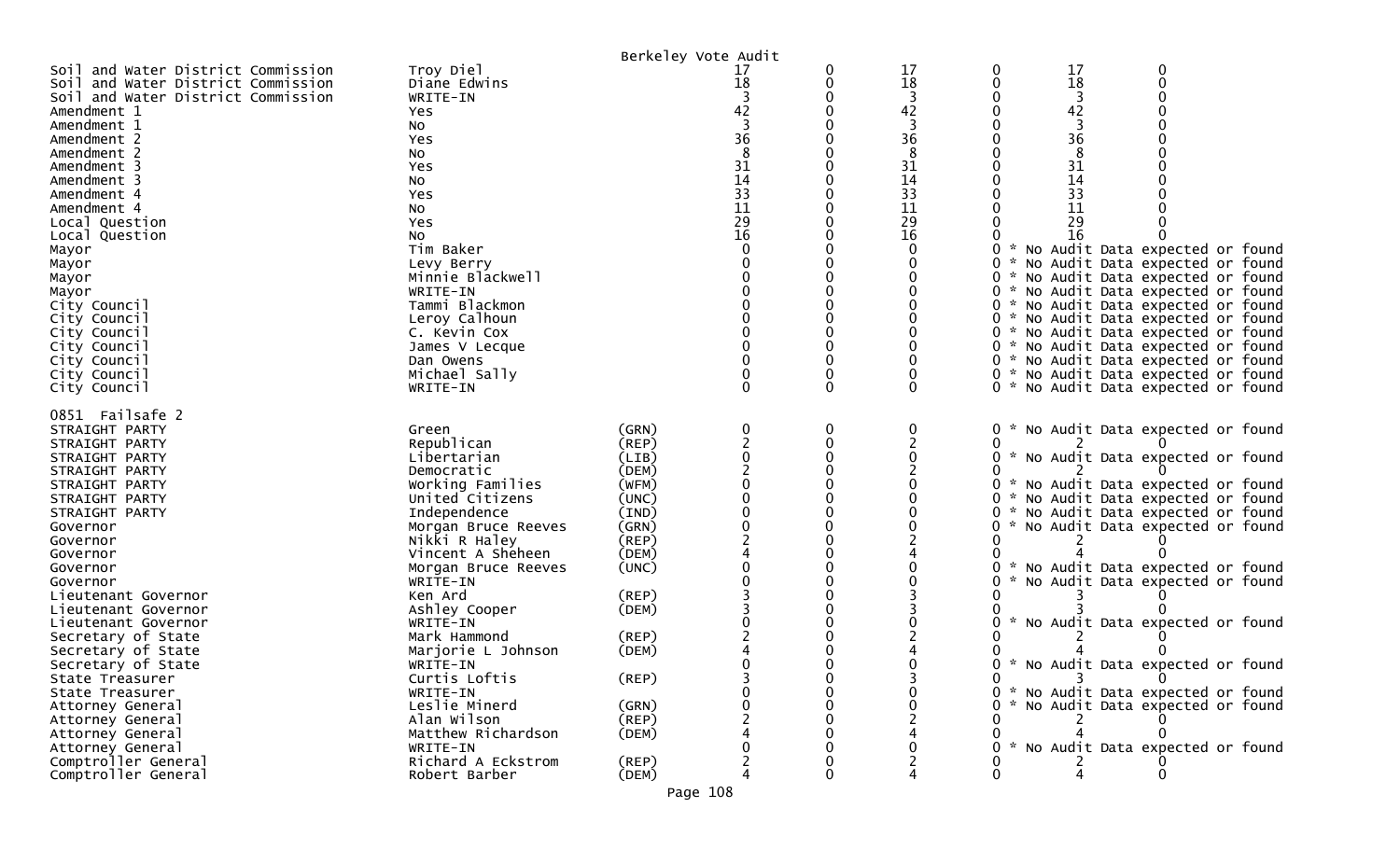|                                    |                     |             | Berkeley Vote Audit |   |    |          |    |                                     |  |
|------------------------------------|---------------------|-------------|---------------------|---|----|----------|----|-------------------------------------|--|
| Soil and Water District Commission | Troy Diel           |             | 17                  | 0 | 17 |          | 17 |                                     |  |
| Soil and Water District Commission | Diane Edwins        |             | 18                  | 0 | 18 |          | 18 |                                     |  |
| Soil and Water District Commission | WRITE-IN            |             |                     |   |    |          | 3  |                                     |  |
| Amendment 1                        | <b>Yes</b>          |             | 42                  |   | 42 |          | 42 |                                     |  |
| Amendment 1                        | No                  |             |                     |   |    |          |    |                                     |  |
| Amendment 2                        | Yes                 |             | 36                  |   | 36 |          | 36 |                                     |  |
| Amendment 2                        | No                  |             |                     |   | 8  |          | 8  |                                     |  |
| Amendment 3                        | Yes                 |             | 31                  |   | 31 |          | 31 |                                     |  |
| Amendment 3                        | No                  |             | 14                  |   | 14 |          | 14 |                                     |  |
| Amendment 4                        | Yes                 |             | 33                  |   | 33 |          | 33 |                                     |  |
| Amendment 4                        | No                  |             | 11                  |   | 11 |          | 11 |                                     |  |
| Local Question                     | Yes                 |             | 29                  |   | 29 |          | 29 |                                     |  |
| Local Question                     | NO.                 |             | 16                  |   | 16 |          | 16 |                                     |  |
| Mayor                              | Tim Baker           |             |                     |   | 0  |          |    | * No Audit Data expected or found   |  |
| Mayor                              | Levy Berry          |             |                     |   |    |          |    | No Audit Data expected or found     |  |
| Mayor                              | Minnie Blackwell    |             |                     |   |    |          |    | * No Audit Data expected or found   |  |
| Mayor                              | WRITE-IN            |             |                     |   |    |          |    | * No Audit Data expected or found   |  |
| City Council                       | Tammi Blackmon      |             |                     |   |    |          |    | * No Audit Data expected or found   |  |
| City Council                       | Leroy Calhoun       |             |                     |   |    |          |    | * No Audit Data expected or found   |  |
| City Council                       | C. Kevin Cox        |             |                     |   |    |          |    | 0 * No Audit Data expected or found |  |
| City Council                       | James V Lecque      |             |                     |   |    | $\Omega$ |    | * No Audit Data expected or found   |  |
| City Council                       | Dan Owens           |             |                     |   |    |          |    | * No Audit Data expected or found   |  |
| City Council                       | Michael Sally       |             |                     |   |    |          |    | 0 * No Audit Data expected or found |  |
| City Council                       | WRITE-IN            |             | O                   | 0 | 0  |          |    | 0 * No Audit Data expected or found |  |
| 0851 Failsafe 2                    |                     |             |                     |   |    |          |    |                                     |  |
| STRAIGHT PARTY                     | Green               | (GRN)       |                     | 0 | 0  |          |    | No Audit Data expected or found     |  |
| STRAIGHT PARTY                     | Republican          | (REP)       |                     |   |    |          |    |                                     |  |
| STRAIGHT PARTY                     | Libertarian         | (LIB)       |                     |   |    |          |    | * No Audit Data expected or found   |  |
| STRAIGHT PARTY                     | Democratic          | (DEM)       |                     |   |    |          |    |                                     |  |
| STRAIGHT PARTY                     | Working Families    | (WFM)       |                     |   |    |          |    | * No Audit Data expected or found   |  |
| STRAIGHT PARTY                     | United Citizens     | (UNC)       |                     |   |    |          |    | * No Audit Data expected or found   |  |
| STRAIGHT PARTY                     | Independence        | (IND)       |                     |   |    |          |    | * No Audit Data expected or found   |  |
| Governor                           | Morgan Bruce Reeves | (GRN)       |                     |   |    |          |    | No Audit Data expected or found     |  |
| Governor                           | Nikki R Haley       | (REP)       |                     |   |    |          |    |                                     |  |
| Governor                           | Vincent A Sheheen   | (DEM)       |                     |   |    |          |    |                                     |  |
| Governor                           | Morgan Bruce Reeves | (UNC)       |                     |   |    |          |    | * No Audit Data expected or found   |  |
| Governor                           | WRITE-IN            |             |                     |   |    |          |    | No Audit Data expected or found     |  |
| Lieutenant Governor                | Ken Ard             | (REP)       |                     |   |    |          |    |                                     |  |
| Lieutenant Governor                | Ashley Cooper       | (DEM)       |                     |   |    |          |    |                                     |  |
| Lieutenant Governor                | WRITE-IN            |             |                     |   |    |          |    | * No Audit Data expected or found   |  |
| Secretary of State                 | Mark Hammond        | $($ REP $)$ |                     |   |    |          |    |                                     |  |
| Secretary of State                 | Marjorie L Johnson  | (DEM)       |                     |   |    |          |    |                                     |  |
| Secretary of State                 | WRITE-IN            |             |                     |   |    |          |    | * No Audit Data expected or found   |  |
| State Treasurer                    | Curtis Loftis       | $($ REP $)$ |                     |   |    | 0        |    | $\overline{3}$<br>$\overline{0}$    |  |
| State Treasurer                    | WRITE-IN            |             |                     |   |    |          |    | 0 * No Audit Data expected or found |  |
| Attorney General                   | Leslie Minerd       | (GRN)       |                     |   |    |          |    | * No Audit Data expected or found   |  |
| Attorney General                   | Alan Wilson         | (REP)       |                     |   |    |          |    |                                     |  |
| Attorney General                   | Matthew Richardson  | (DEM)       |                     |   |    |          |    |                                     |  |
| Attorney General                   | WRITE-IN            |             |                     |   |    |          |    | * No Audit Data expected or found   |  |
| Comptroller General                | Richard A Eckstrom  | $($ REP $)$ |                     |   |    |          |    |                                     |  |
| Comptroller General                | Robert Barber       | (DEM)       |                     |   |    |          |    |                                     |  |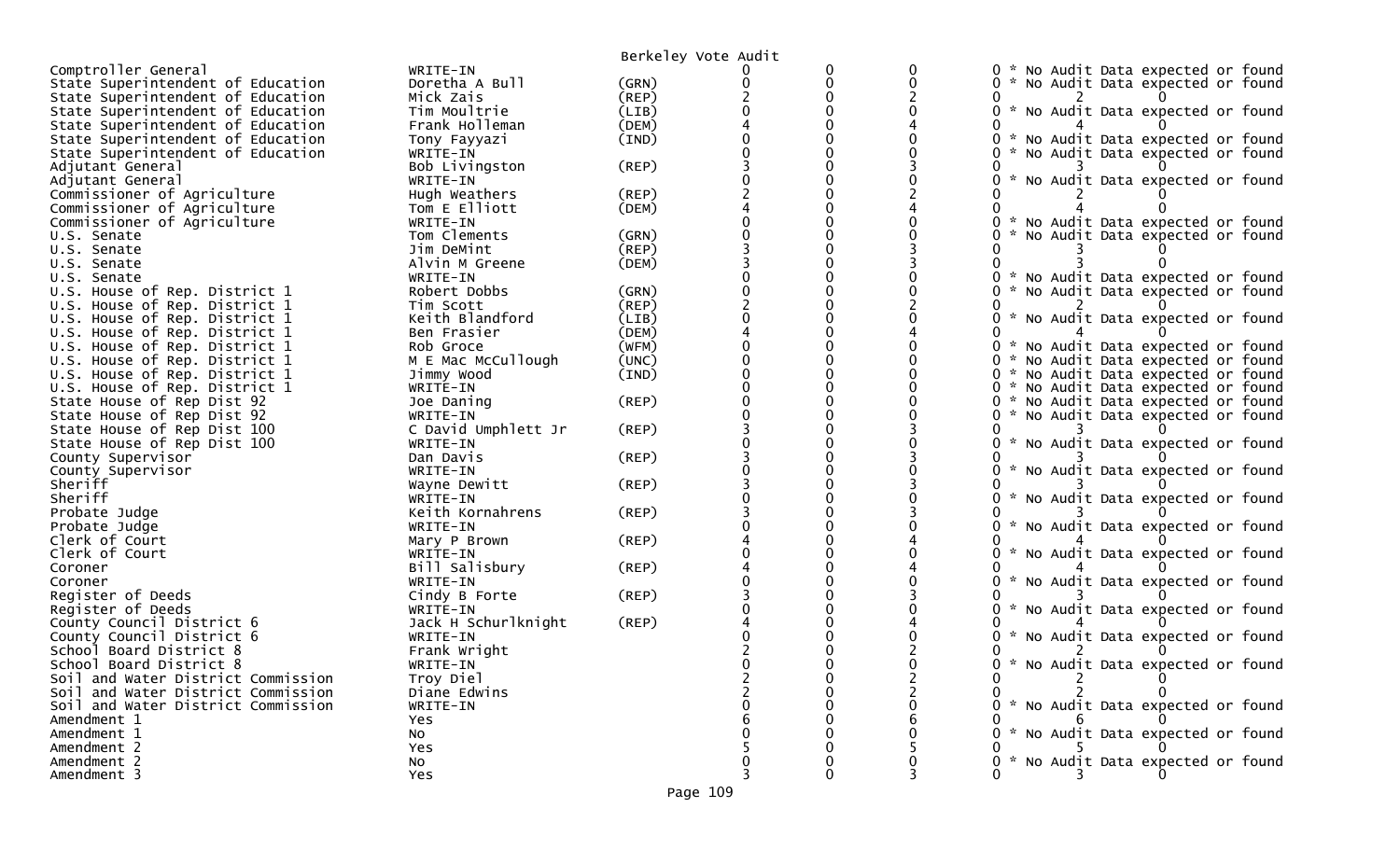|                                    |                     | Berkeley Vote Audit |          |   |                                                  |
|------------------------------------|---------------------|---------------------|----------|---|--------------------------------------------------|
| Comptroller General                | WRITE-IN            |                     | 0        | 0 | 0 * No Audit Data expected or found              |
| State Superintendent of Education  | Doretha A Bull      | (GRN)               | $\Omega$ | O | 0 * No Audit Data expected or found              |
| State Superintendent of Education  | Mick Zais           | (REP)               | O        |   |                                                  |
| State Superintendent of Education  | Tim Moultrie        | (LIB)               |          |   | 0<br>* No Audit Data expected or found           |
| State Superintendent of Education  | Frank Holleman      | (DEM)               |          |   |                                                  |
| State Superintendent of Education  | Tony Fayyazi        | (IND)               |          |   | 0.<br>* No Audit Data expected or found          |
| State Superintendent of Education  | WRITE-IN            |                     |          |   | No Audit Data expected or found                  |
| Adjutant General                   | Bob Livingston      | (REP)               |          |   |                                                  |
| Adjutant General                   | WRITE-IN            |                     |          |   | $\mathcal{H}$<br>No Audit Data expected or found |
| Commissioner of Agriculture        | Hugh Weathers       | (REP)               |          |   |                                                  |
| Commissioner of Agriculture        | Tom E Elliott       | (DEM)               |          |   |                                                  |
| Commissioner of Agriculture        | WRITE-IN            |                     |          |   | * No Audit Data expected or found<br>0           |
| U.S. Senate                        | Tom Clements        | (GRN)               |          |   | No Audit Data expected or found                  |
| U.S. Senate                        | Jim DeMint          | (REP)               |          |   |                                                  |
|                                    | Alvin M Greene      | (DEM)               |          |   |                                                  |
| U.S. Senate                        |                     |                     |          |   |                                                  |
| U.S. Senate                        | WRITE-IN            |                     | 0        |   | * No Audit Data expected or found                |
| U.S. House of Rep. District 1      | Robert Dobbs        | (GRN)               |          |   | No Audit Data expected or found                  |
| U.S. House of Rep. District 1      | Tim Scott           | (REP)               |          |   |                                                  |
| U.S. House of Rep. District 1      | Keith Blandford     | (LIB)               |          |   | * No Audit Data expected or found                |
| U.S. House of Rep. District 1      | Ben Frasier         | (DEM)               | 0        |   |                                                  |
| U.S. House of Rep. District 1      | Rob Groce           | (WFM)               | 0        |   | * No Audit Data expected or found<br>0           |
| U.S. House of Rep. District 1      | M E Mac McCullough  | (UNC)               |          |   | 0 * No Audit Data expected or found              |
| U.S. House of Rep. District 1      | Jimmy Wood          | (IND)               | 0        |   | 0 * No Audit Data expected or found              |
| U.S. House of Rep. District 1      | WRITE-IN            |                     | 0        |   | 0 * No Audit Data expected or found              |
| State House of Rep Dist 92         | Joe Daning          | (REP)               |          |   | 0 * No Audit Data expected or found              |
| State House of Rep Dist 92         | WRITE-IN            |                     | 0        |   | No Audit Data expected or found<br>0<br>Ж.,      |
| State House of Rep Dist 100        | C David Umphlett Jr | (REP)               | 0        |   |                                                  |
| State House of Rep Dist 100        | WRITE-IN            |                     |          |   | * No Audit Data expected or found                |
| County Supervisor                  | Dan Davis           | (REP)               |          |   |                                                  |
| County Supervisor                  | WRITE-IN            |                     |          |   | * No Audit Data expected or found                |
| Sheriff                            | Wayne Dewitt        | $($ REP $)$         |          |   |                                                  |
| Sheriff                            | WRITE-IN            |                     |          |   | No Audit Data expected or found                  |
| Probate Judge                      | Keith Kornahrens    | (REP)               |          |   |                                                  |
| Probate Judge                      | WRITE-IN            |                     |          |   | *<br>No Audit Data expected or found             |
| Clerk of Court                     | Mary P Brown        | (REP)               |          |   |                                                  |
| Clerk of Court                     | WRITE-IN            |                     |          |   | * No Audit Data expected or found                |
| Coroner                            | Bill Salisbury      | $($ REP $)$         |          |   |                                                  |
| Coroner                            | WRITE-IN            |                     |          |   | No Audit Data expected or found                  |
| Register of Deeds                  | Cindy B Forte       | (REP)               |          |   |                                                  |
| Register of Deeds                  | WRITE-IN            |                     |          |   | $\mathcal{H}$<br>No Audit Data expected or found |
| County Council District 6          | Jack H Schurlknight | (REP)               |          |   |                                                  |
| County Council District 6          | WRITE-IN            |                     |          |   | * No Audit Data expected or found                |
| School Board District 8            | Frank Wright        |                     |          |   |                                                  |
| School Board District 8            | WRITE-IN            |                     |          |   | 0 * No Audit Data expected or found              |
| Soil and Water District Commission | Troy Diel           |                     |          |   | $\mathbf{2}^{\prime}$                            |
| Soil and Water District Commission | Diane Edwins        |                     |          |   |                                                  |
| Soil and Water District Commission | WRITE-IN            |                     |          |   | 0 * No Audit Data expected or found              |
| Amendment 1                        | <b>Yes</b>          |                     |          |   |                                                  |
| Amendment 1                        | No                  |                     |          |   | * No Audit Data expected or found                |
| Amendment 2                        | Yes                 |                     |          |   |                                                  |
| Amendment 2                        | No                  |                     |          |   | 0 * No Audit Data expected or found              |
| Amendment 3                        | Yes                 |                     | U        |   |                                                  |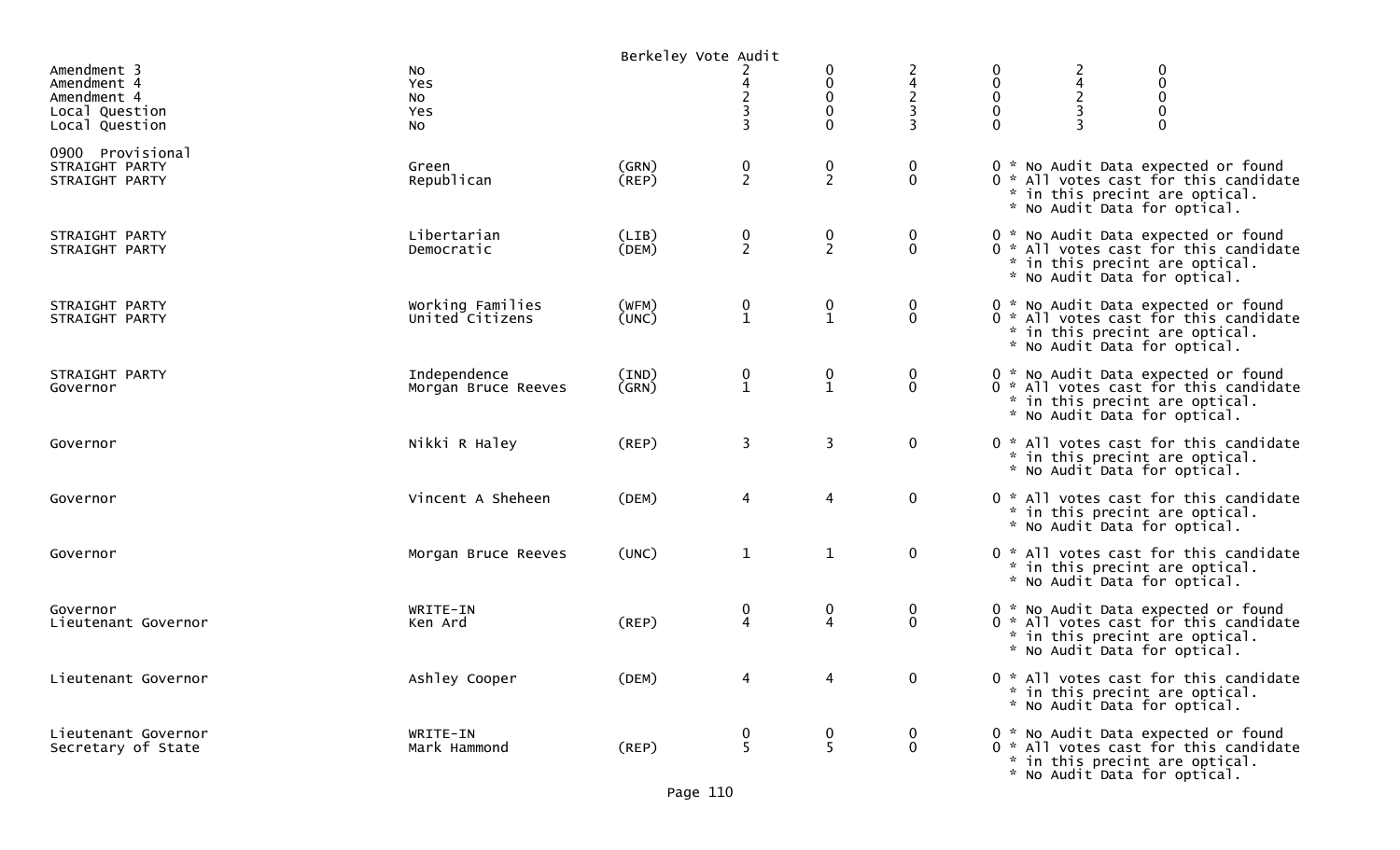|                                                                               |                                     | Berkeley Vote Audit |                                              |                                               |                                         |                                         |                                                                                                                                                |
|-------------------------------------------------------------------------------|-------------------------------------|---------------------|----------------------------------------------|-----------------------------------------------|-----------------------------------------|-----------------------------------------|------------------------------------------------------------------------------------------------------------------------------------------------|
| Amendment 3<br>Amendment 4<br>Amendment 4<br>Local Question<br>Local Question | No<br>Yes<br><b>NO</b><br>Yes<br>No |                     | $\overline{c}$<br>3                          | 0<br>0<br>$\pmb{0}$<br>0<br>$\Omega$          | $\overline{c}$                          | 0<br>$\mathbf{0}$<br>0<br>0<br>$\Omega$ | 0<br>$\pmb{0}$<br>$\pmb{0}$<br>$\pmb{0}$<br>$\mathbf 0$                                                                                        |
| 0900 Provisional<br>STRAIGHT PARTY<br>STRAIGHT PARTY                          | Green<br>Republican                 | (GRN)<br>(REP)      | $\frac{0}{2}$                                | $\frac{0}{2}$                                 | $\boldsymbol{0}$<br>$\mathbf 0$         |                                         | 0 * No Audit Data expected or found<br>0 * All votes cast for this candidate<br>* in this precint are optical.<br>* No Audit Data for optical. |
| STRAIGHT PARTY<br>STRAIGHT PARTY                                              | Libertarian<br>Democratic           | (LIB)<br>(DEM)      | $\frac{0}{2}$                                | $\boldsymbol{0}$<br>$\overline{2}$            | 0<br>$\mathbf 0$                        |                                         | 0 * No Audit Data expected or found<br>0 * All votes cast for this candidate<br>* in this precint are optical.<br>* No Audit Data for optical. |
| STRAIGHT PARTY<br>STRAIGHT PARTY                                              | Working Families<br>United Citizens | (WFM)<br>(UNC)      | $\begin{smallmatrix} 0\\1 \end{smallmatrix}$ | $\begin{smallmatrix} 0 \ 1 \end{smallmatrix}$ | $\boldsymbol{0}$<br>$\mathbf 0$         |                                         | 0 * No Audit Data expected or found<br>0 * All votes cast for this candidate<br>* in this precint are optical.<br>* No Audit Data for optical. |
| STRAIGHT PARTY<br>Governor                                                    | Independence<br>Morgan Bruce Reeves | (IND)<br>(GRN)      | $\begin{smallmatrix} 0\\1 \end{smallmatrix}$ | $\begin{smallmatrix} 0\\1 \end{smallmatrix}$  | $\boldsymbol{0}$<br>$\ddot{\mathbf{0}}$ |                                         | 0 * No Audit Data expected or found<br>0 * All votes cast for this candidate<br>* in this precint are optical.<br>* No Audit Data for optical. |
| Governor                                                                      | Nikki R Haley                       | (REP)               | 3                                            | 3                                             | $\mathbf 0$                             |                                         | 0 * All votes cast for this candidate<br>* in this precint are optical.<br>* No Audit Data for optical.                                        |
| Governor                                                                      | Vincent A Sheheen                   | (DEM)               | 4                                            | $\overline{4}$                                | $\mathbf 0$                             |                                         | 0 * All votes cast for this candidate<br>* in this precint are optical.<br>* No Audit Data for optical.                                        |
| Governor                                                                      | Morgan Bruce Reeves                 | (UNC)               | $\mathbf{1}$                                 | $\mathbf{1}$                                  | $\mathbf 0$                             |                                         | 0 * All votes cast for this candidate<br>* in this precint are optical.<br>* No Audit Data for optical.                                        |
| Governor<br>Lieutenant Governor                                               | WRITE-IN<br>Ken Ard                 | (REP)               | 0<br>$\overline{4}$                          | 0<br>4                                        | $\bf{0}$<br>$\mathbf 0$                 |                                         | 0 * No Audit Data expected or found<br>0 * All votes cast for this candidate<br>* in this precint are optical.<br>* No Audit Data for optical. |
| Lieutenant Governor                                                           | Ashley Cooper                       | (DEM)               | 4                                            |                                               | $\mathbf 0$                             |                                         | 0 * All votes cast for this candidate<br>* in this precint are optical.<br>* No Audit Data for optical.                                        |
| Lieutenant Governor<br>Secretary of State                                     | WRITE-IN<br>Mark Hammond            | $($ REP $)$         | 0<br>5                                       | 0<br>5                                        | $\overline{0}$<br>$\mathbf 0$           |                                         | 0 * No Audit Data expected or found<br>0 * All votes cast for this candidate<br>* in this precint are optical.<br>* No Audit Data for optical. |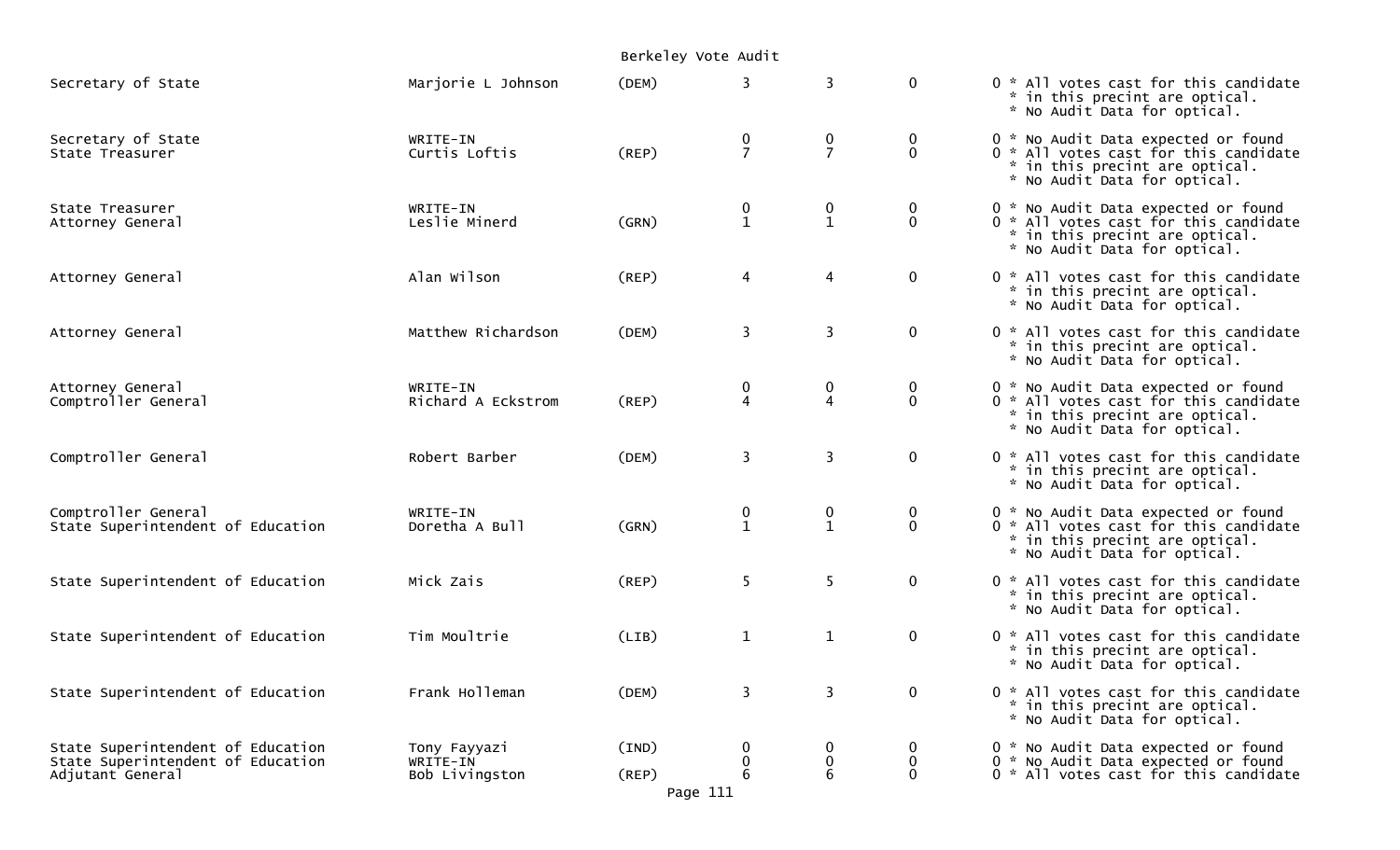|                                                                                            |                                            | Berkeley Vote Audit              |                     |                                  |                             |                                                                                                                                                |
|--------------------------------------------------------------------------------------------|--------------------------------------------|----------------------------------|---------------------|----------------------------------|-----------------------------|------------------------------------------------------------------------------------------------------------------------------------------------|
| Secretary of State                                                                         | Marjorie L Johnson                         | (DEM)                            | 3                   | $\overline{3}$                   | $\mathbf 0$                 | 0 * All votes cast for this candidate<br>* in this precint are optical.<br>* No Audit Data for optical.                                        |
| Secretary of State<br>State Treasurer                                                      | WRITE-IN<br>Curtis Loftis                  | (REP)                            | 0<br>$\overline{7}$ | $\mathbf 0$<br>$\overline{7}$    | $\mathbf 0$<br>$\mathbf{0}$ | 0 * No Audit Data expected or found<br>0 * All votes cast for this candidate<br>* in this precint are optical.<br>* No Audit Data for optical. |
| State Treasurer<br>Attorney General                                                        | WRITE-IN<br>Leslie Minerd                  | (GRN)                            | 0<br>$\mathbf{1}$   | $\boldsymbol{0}$<br>$\mathbf{1}$ | $\mathbf 0$<br>$\mathbf 0$  | 0 * No Audit Data expected or found<br>0 * All votes cast for this candidate<br>* in this precint are optical.<br>* No Audit Data for optical. |
| Attorney General                                                                           | Alan Wilson                                | (REP)                            | 4                   | 4                                | $\mathbf 0$                 | 0 * All votes cast for this candidate<br>* in this precint are optical.<br>* No Audit Data for optical.                                        |
| Attorney General                                                                           | Matthew Richardson                         | (DEM)                            | 3                   | $\overline{\mathbf{3}}$          | $\mathbf 0$                 | 0 * All votes cast for this candidate<br>* in this precint are optical.<br>* No Audit Data for optical.                                        |
| Attorney General<br>Comptroller General                                                    | WRITE-IN<br>Richard A Eckstrom             | (REP)                            | 0<br>4              | 0<br>4                           | 0<br>$\Omega$               | 0 * No Audit Data expected or found<br>0 * All votes cast for this candidate<br>* in this precint are optical.<br>* No Audit Data for optical. |
| Comptroller General                                                                        | Robert Barber                              | (DEM)                            | 3                   | $\overline{\mathbf{3}}$          | $\mathbf 0$                 | 0 * All votes cast for this candidate<br>* in this precint are optical.<br>* No Audit Data for optical.                                        |
| Comptroller General<br>State Superintendent of Education                                   | WRITE-IN<br>Doretha A Bull                 | (GRN)                            | 0<br>$\mathbf{1}$   | 0<br>$\mathbf{1}$                | $\mathbf 0$<br>$\mathbf{0}$ | 0 * No Audit Data expected or found<br>0 * All votes cast for this candidate<br>* in this precint are optical.<br>* No Audit Data for optical. |
| State Superintendent of Education                                                          | Mick Zais                                  | (REP)                            | 5                   | 5                                | $\mathbf 0$                 | 0 * All votes cast for this candidate<br>* in this precint are optical.<br>* No Audit Data for optical.                                        |
| State Superintendent of Education                                                          | Tim Moultrie                               | (LIB)                            | $\mathbf 1$         | $\mathbf{1}$                     | $\mathbf 0$                 | 0 * All votes cast for this candidate<br>* in this precint are optical.<br>* No Audit Data for optical.                                        |
| State Superintendent of Education                                                          | Frank Holleman                             | (DEM)                            | 3                   | $\overline{3}$                   | $\mathbf 0$                 | 0 * All votes cast for this candidate<br>* in this precint are optical.<br>* No Audit Data for optical.                                        |
| State Superintendent of Education<br>State Superintendent of Education<br>Adjutant General | Tony Fayyazi<br>WRITE-IN<br>Bob Livingston | (IND)<br>$($ REP $)$<br>Page 111 | 0<br>6              | $\bf{0}$<br>$\bf{0}$<br>6        | 0<br>0<br>$\Omega$          | 0 * No Audit Data expected or found<br>0 * No Audit Data expected or found<br>0 * All votes cast for this candidate                            |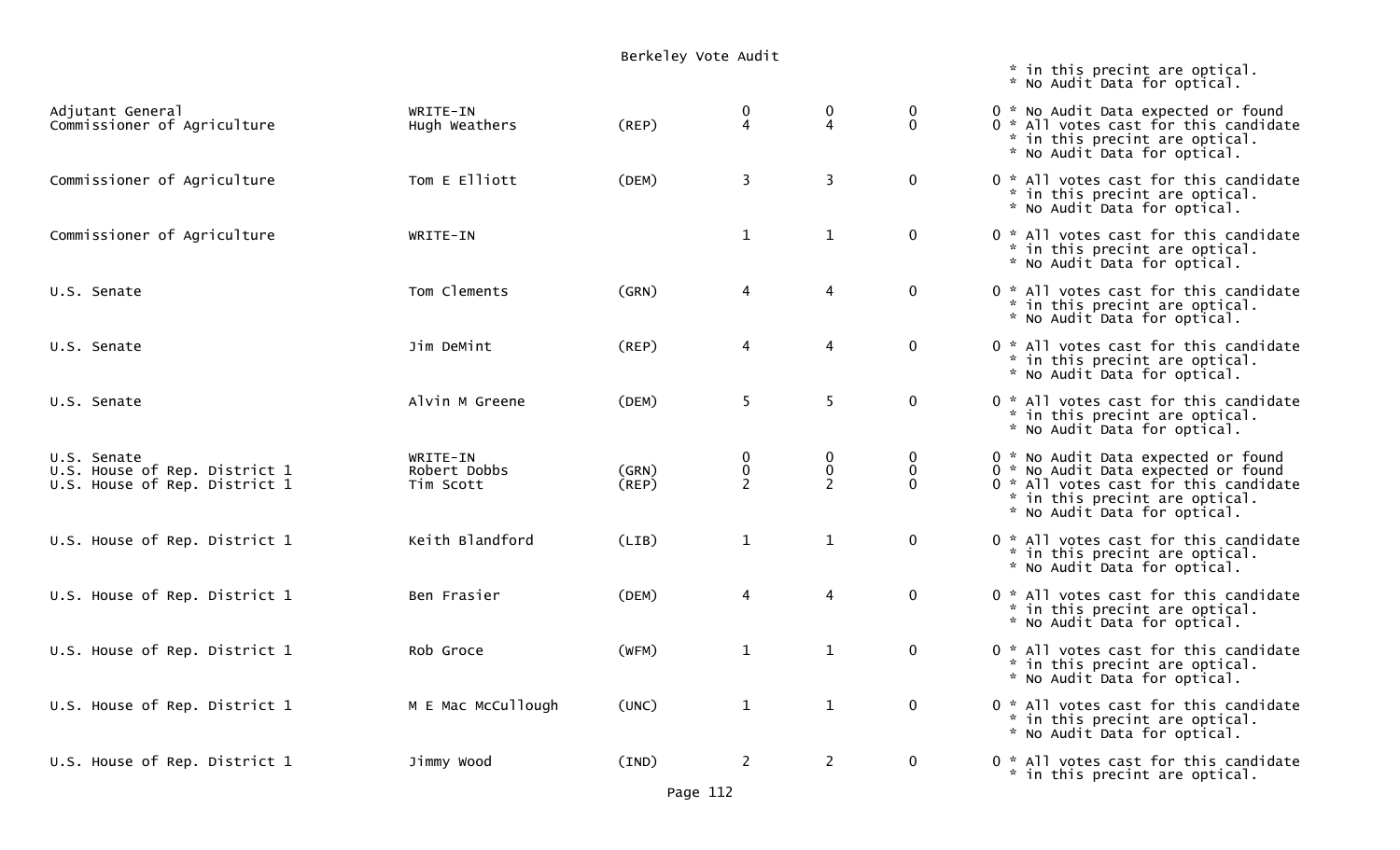## Berkeley Vote Audit

 $\ddot{\quad}$  in this precint are optical.

|                                                                               |                                       |                |                               |                               |                                   | * No Audit Data for optical.                                                                                                                                                          |
|-------------------------------------------------------------------------------|---------------------------------------|----------------|-------------------------------|-------------------------------|-----------------------------------|---------------------------------------------------------------------------------------------------------------------------------------------------------------------------------------|
| Adjutant General<br>Commissioner of Agriculture                               | WRITE-IN<br>Hugh Weathers             | (REP)          | 0<br>4                        | 0<br>$\overline{4}$           | $\boldsymbol{0}$<br>$\mathbf 0$   | 0 * No Audit Data expected or found<br>0 * All votes cast for this candidate<br>* in this precint are optical.<br>* No Audit Data for optical.                                        |
| Commissioner of Agriculture                                                   | Tom E Elliott                         | (DEM)          | $\overline{3}$                | $\overline{3}$                | $\mathbf 0$                       | 0 * All votes cast for this candidate<br>* in this precint are optical.<br>* No Audit Data for optical.                                                                               |
| Commissioner of Agriculture                                                   | WRITE-IN                              |                | $\mathbf{1}$                  | $\mathbf{1}$                  | $\mathbf 0$                       | 0 * All votes cast for this candidate<br>* in this precint are optical.<br>* No Audit Data for optical.                                                                               |
| U.S. Senate                                                                   | Tom Clements                          | (GRN)          | 4                             | $\overline{4}$                | $\mathbf 0$                       | 0 * All votes cast for this candidate<br>* in this precint are optical.<br>* No Audit Data for optical.                                                                               |
| U.S. Senate                                                                   | Jim DeMint                            | $($ REP $)$    | 4                             | $\overline{4}$                | $\mathbf 0$                       | 0 * All votes cast for this candidate<br>* in this precint are optical.<br>* No Audit Data for optical.                                                                               |
| U.S. Senate                                                                   | Alvin M Greene                        | (DEM)          | 5                             | 5                             | $\mathbf 0$                       | 0 * All votes cast for this candidate<br>* in this precint are optical.<br>* No Audit Data for optical.                                                                               |
| U.S. Senate<br>U.S. House of Rep. District 1<br>U.S. House of Rep. District 1 | WRITE-IN<br>Robert Dobbs<br>Tim Scott | (GRN)<br>(REP) | $\mathbf 0$<br>$\pmb{0}$<br>2 | $\mathbf 0$<br>$\pmb{0}$<br>2 | $\bf{0}$<br>$\pmb{0}$<br>$\Omega$ | 0 * No Audit Data expected or found<br>0 * No Audit Data expected or found<br>0 * All votes cast for this candidate<br>* in this precint are optical.<br>* No Audit Data for optical. |
| U.S. House of Rep. District 1                                                 | Keith Blandford                       | (LIB)          | $\mathbf{1}$                  | $\mathbf{1}$                  | $\mathbf 0$                       | 0 * All votes cast for this candidate<br>* in this precint are optical.<br>* No Audit Data for optical.                                                                               |
| U.S. House of Rep. District 1                                                 | Ben Frasier                           | (DEM)          | $\overline{4}$                | $\overline{4}$                | $\mathbf 0$                       | 0 * All votes cast for this candidate<br>* in this precint are optical.<br>* No Audit Data for optical.                                                                               |
| U.S. House of Rep. District 1                                                 | Rob Groce                             | (WFM)          | $\mathbf{1}$                  | $\mathbf{1}$                  | $\mathbf 0$                       | 0 * All votes cast for this candidate<br>* in this precint are optical.<br>* No Audit Data for optical.                                                                               |
| U.S. House of Rep. District 1                                                 | M E Mac McCullough                    | (UNC)          | $\mathbf{1}$                  | $\mathbf{1}$                  | $\mathbf 0$                       | 0 * All votes cast for this candidate<br>* in this precint are optical.<br>* No Audit Data for optical.                                                                               |
| U.S. House of Rep. District 1                                                 | Jimmy Wood                            | (IND)          | $\overline{2}$                | $\overline{2}$                | $\mathbf 0$                       | 0 * All votes cast for this candidate<br>* in this precint are optical.                                                                                                               |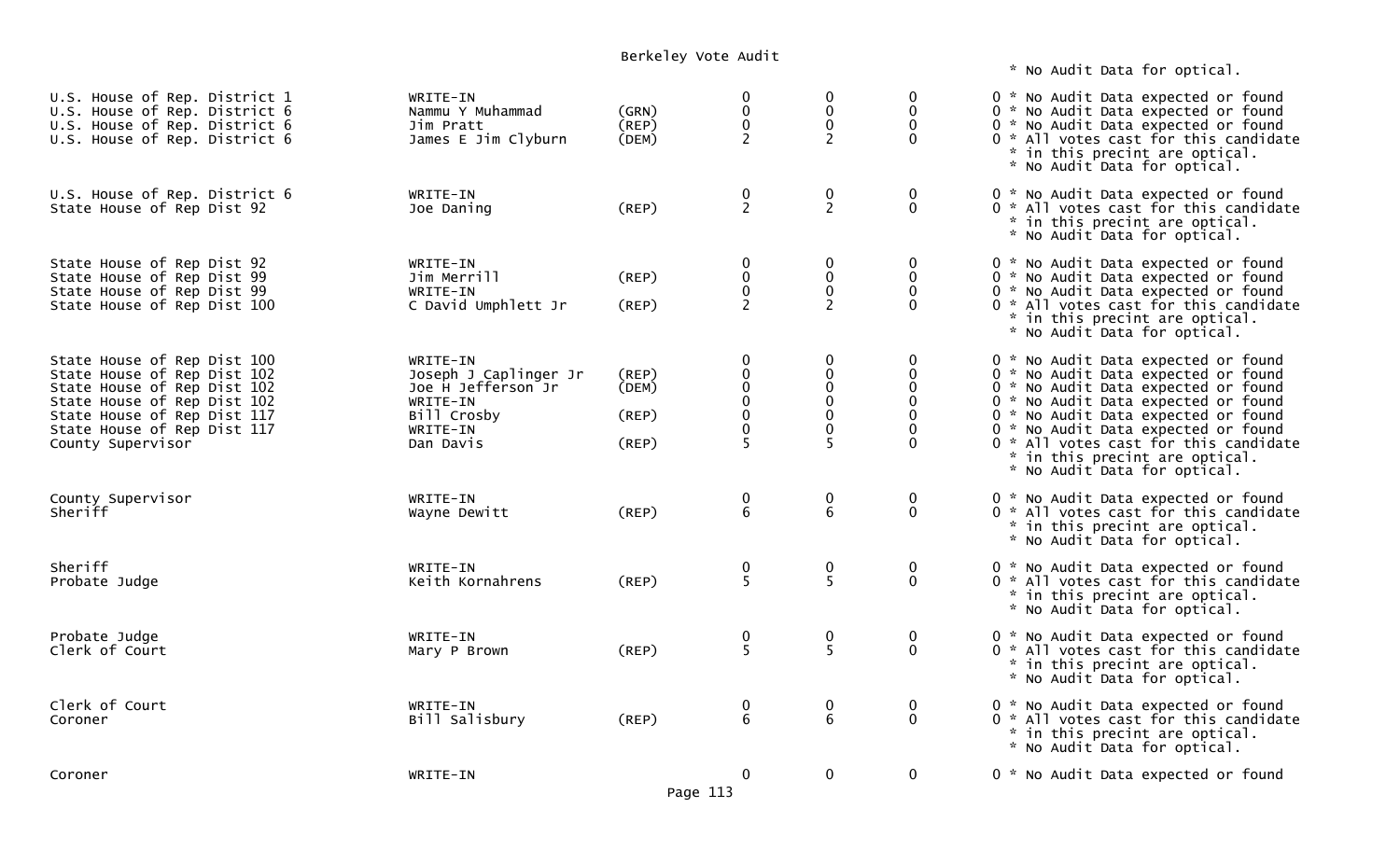## Berkeley Vote Audit

\* No Audit Data for optical.

| U.S. House of Rep. District 1<br>U.S. House of Rep. District 6<br>U.S. House of Rep. District 6<br>U.S. House of Rep. District 6                                                                            | WRITE-IN<br>Nammu Y Muhammad<br>Jim Pratt<br>James E Jim Clyburn                                            | (GRN)<br>$($ REP $)$<br>(DEM)    | 0<br>0<br>$\pmb{0}$<br>$\overline{2}$                | $\mathbf 0$<br>0<br>$\mathbf 0$<br>$\overline{2}$                           | 0<br>$\mathbf{0}$<br>$\mathbf{0}$ | 0 * No Audit Data expected or found<br>0 * No Audit Data expected or found<br>0 * No Audit Data expected or found<br>0 * All votes cast for this candidate<br>* in this precint are optical.<br>* No Audit Data for optical.                                                                                                                      |
|-------------------------------------------------------------------------------------------------------------------------------------------------------------------------------------------------------------|-------------------------------------------------------------------------------------------------------------|----------------------------------|------------------------------------------------------|-----------------------------------------------------------------------------|-----------------------------------|---------------------------------------------------------------------------------------------------------------------------------------------------------------------------------------------------------------------------------------------------------------------------------------------------------------------------------------------------|
| U.S. House of Rep. District 6<br>State House of Rep Dist 92                                                                                                                                                 | WRITE-IN<br>Joe Daning                                                                                      | (REP)                            | $\frac{0}{2}$                                        | $\frac{0}{2}$                                                               | $\mathbf 0$<br>$\mathbf 0$        | 0 * No Audit Data expected or found<br>0 * All votes cast for this candidate<br>* in this precint are optical.<br>* No Audit Data for optical.                                                                                                                                                                                                    |
| State House of Rep Dist 92<br>State House of Rep Dist 99<br>State House of Rep Dist 99<br>State House of Rep Dist 100                                                                                       | WRITE-IN<br>Jim Merrill<br>WRITE-IN<br>C David Umphlett Jr                                                  | (REP)<br>(REP)                   | 0<br>$\mathbf 0$<br>0<br>$\overline{2}$              | $\bf{0}$<br>$\ddot{\mathbf{0}}$<br>$\ddot{\mathbf{0}}$<br>$\overline{2}$    | 0<br>$\mathbf 0$<br>$\Omega$      | 0 * No Audit Data expected or found<br>0 * No Audit Data expected or found<br>0 * No Audit Data expected or found<br>0 * All votes cast for this candidate<br>* in this precint are optical.<br>* No Audit Data for optical.                                                                                                                      |
| State House of Rep Dist 100<br>State House of Rep Dist 102<br>State House of Rep Dist 102<br>State House of Rep Dist 102<br>State House of Rep Dist 117<br>State House of Rep Dist 117<br>County Supervisor | WRITE-IN<br>Joseph J Caplinger Jr<br>Joe H Jefferson Jr<br>WRITE-IN<br>Bill Crosby<br>WRITE-IN<br>Dan Davis | (REP)<br>(DEM)<br>(REP)<br>(REP) | $\mathbf{0}$<br>$\mathbf 0$<br>0<br>0<br>0<br>0<br>5 | $\mathbf 0$<br>$\mathbf 0$<br>0<br>$\pmb{0}$<br>$\pmb{0}$<br>$\pmb{0}$<br>5 | $\mathbf{0}$<br>0<br>0            | 0 * No Audit Data expected or found<br>0 * No Audit Data expected or found<br>0 * No Audit Data expected or found<br>0 * No Audit Data expected or found<br>0 * No Audit Data expected or found<br>0 * No Audit Data expected or found<br>0 * All votes cast for this candidate<br>* in this precint are optical.<br>* No Audit Data for optical. |
| County Supervisor<br>Sheriff                                                                                                                                                                                | WRITE-IN<br>Wayne Dewitt                                                                                    | (REP)                            | $\begin{array}{c} 0 \\ 6 \end{array}$                | $\bf{0}$<br>6                                                               | $\mathbf 0$<br>$\mathbf 0$        | 0 * No Audit Data expected or found<br>0 * All votes cast for this candidate<br>* in this precint are optical.<br>* No Audit Data for optical.                                                                                                                                                                                                    |
| Sheriff<br>Probate Judge                                                                                                                                                                                    | WRITE-IN<br>Keith Kornahrens                                                                                | (REP)                            | $\frac{0}{5}$                                        | $\pmb{0}$<br>5                                                              | $\boldsymbol{0}$<br>$\mathbf{0}$  | 0 * No Audit Data expected or found<br>0 * All votes cast for this candidate<br>* in this precint are optical.<br>* No Audit Data for optical.                                                                                                                                                                                                    |
| Probate Judge<br>Clerk of Court                                                                                                                                                                             | WRITE-IN<br>Mary P Brown                                                                                    | (REP)                            | 0<br>5                                               | $\boldsymbol{0}$<br>5 <sup>1</sup>                                          | 0<br>$\mathbf{0}$                 | 0 * No Audit Data expected or found<br>0 * All votes cast for this candidate<br>* in this precint are optical.<br>* No Audit Data for optical.                                                                                                                                                                                                    |
| Clerk of Court<br>Coroner                                                                                                                                                                                   | WRITE-IN<br>Bill Salisbury                                                                                  | (REP)                            | $\pmb{0}$<br>6                                       | $\pmb{0}$<br>6                                                              | $\mathbf 0$<br>$\Omega$           | 0 * No Audit Data expected or found<br>0 * All votes cast for this candidate<br>* in this precint are optical.<br>* No Audit Data for optical.                                                                                                                                                                                                    |
| Coroner                                                                                                                                                                                                     | WRITE-IN                                                                                                    | Page 113                         | 0                                                    | $\mathbf 0$                                                                 | 0                                 | 0 * No Audit Data expected or found                                                                                                                                                                                                                                                                                                               |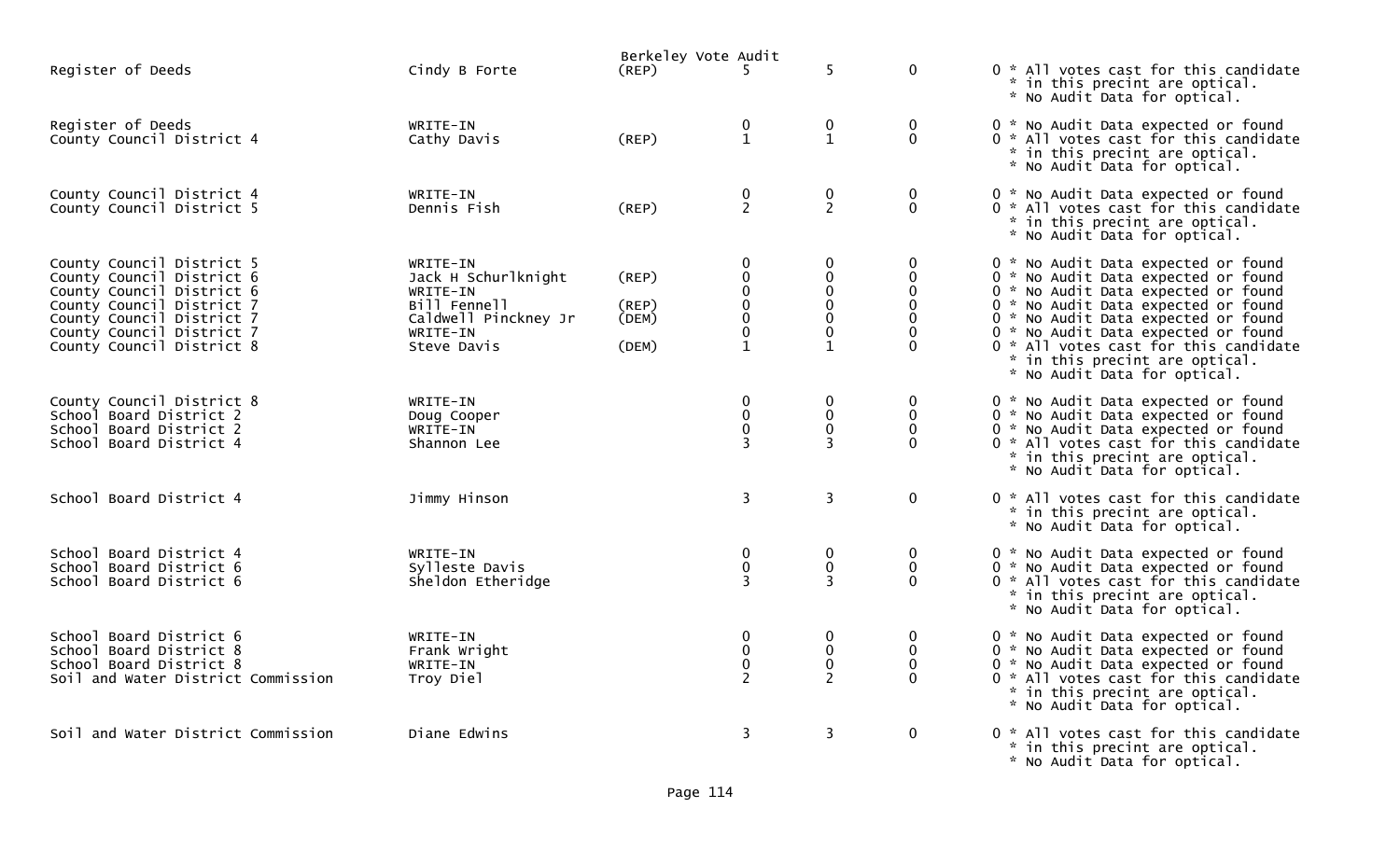|                                                                                                                                                                                                         |                                                                                                                | Berkeley Vote Audit              |                                                                                                                 |                                                                                              |                                                                    |                                                                                                                                                                                                                                                                                                                                                   |
|---------------------------------------------------------------------------------------------------------------------------------------------------------------------------------------------------------|----------------------------------------------------------------------------------------------------------------|----------------------------------|-----------------------------------------------------------------------------------------------------------------|----------------------------------------------------------------------------------------------|--------------------------------------------------------------------|---------------------------------------------------------------------------------------------------------------------------------------------------------------------------------------------------------------------------------------------------------------------------------------------------------------------------------------------------|
| Register of Deeds                                                                                                                                                                                       | Cindy B Forte                                                                                                  | (REP)                            | 5.                                                                                                              | 5                                                                                            | $\mathbf 0$                                                        | 0 * All votes cast for this candidate<br>* in this precint are optical.<br>* No Audit Data for optical.                                                                                                                                                                                                                                           |
| Register of Deeds<br>County Council District 4                                                                                                                                                          | WRITE-IN<br>Cathy Davis                                                                                        | (REP)                            | $\bf{0}$<br>$\mathbf{1}$                                                                                        | 0<br>$\mathbf{1}$                                                                            | $\mathbf 0$<br>$\mathbf 0$                                         | 0 * No Audit Data expected or found<br>0 * All votes cast for this candidate<br>* in this precint are optical.<br>* No Audit Data for optical.                                                                                                                                                                                                    |
| County Council District 4<br>County Council District 5                                                                                                                                                  | WRITE-IN<br>Dennis Fish                                                                                        | (REP)                            | $\begin{smallmatrix} 0\\2 \end{smallmatrix}$                                                                    | $\mathbf 0$<br>$2^{\circ}$                                                                   | $\mathbf 0$<br>$\Omega$                                            | 0 * No Audit Data expected or found<br>0 * All votes cast for this candidate<br>* in this precint are optical.<br>* No Audit Data for optical.                                                                                                                                                                                                    |
| County Council District 5<br>County Council District 6<br>County Council District 6<br>County Council District 7<br>County Council District 7<br>County Council District 7<br>County Council District 8 | WRITE-IN<br>Jack H Schurlknight<br>WRITE-IN<br>Bill Fennell<br>Caldwell Pinckney Jr<br>WRITE-IN<br>Steve Davis | (REP)<br>(REP)<br>(DEM)<br>(DEM) | $\bf{0}$<br>$\pmb{0}$<br>$\pmb{0}$<br>$\pmb{0}$<br>$\begin{smallmatrix} 0\\0 \end{smallmatrix}$<br>$\mathbf{1}$ | 0<br>$\mathbf 0$<br>$\mathbf 0$<br>$\mathbf 0$<br>$\mathbf 0$<br>$\mathbf 0$<br>$\mathbf{1}$ | 0<br>$\mathbf{0}$<br>0<br>$\mathbf{0}$<br>$\mathbf{0}$<br>$\Omega$ | 0 * No Audit Data expected or found<br>0 * No Audit Data expected or found<br>0 * No Audit Data expected or found<br>0 * No Audit Data expected or found<br>0 * No Audit Data expected or found<br>0 * No Audit Data expected or found<br>0 * All votes cast for this candidate<br>* in this precint are optical.<br>* No Audit Data for optical. |
| County Council District 8<br>School Board District 2<br>School Board District 2<br>School Board District 4                                                                                              | WRITE-IN<br>Doug Cooper<br>WRITE-IN<br>Shannon Lee                                                             |                                  | $\bf{0}$<br>$\pmb{0}$<br>$\pmb{0}$<br>$\overline{3}$                                                            | $\mathbf 0$<br>$\pmb{0}$<br>$\mathbf 0$<br>3                                                 | 0<br>$\mathbf 0$<br>$\Omega$<br>$\Omega$                           | 0 * No Audit Data expected or found<br>0 * No Audit Data expected or found<br>0 * No Audit Data expected or found<br>0 * All votes cast for this candidate<br>* in this precint are optical.<br>* No Audit Data for optical.                                                                                                                      |
| School Board District 4                                                                                                                                                                                 | Jimmy Hinson                                                                                                   |                                  | 3                                                                                                               | $\overline{3}$                                                                               | $\mathbf 0$                                                        | 0 * All votes cast for this candidate<br>* in this precint are optical.<br>* No Audit Data for optical.                                                                                                                                                                                                                                           |
| School Board District 4<br>School Board District 6<br>School Board District 6                                                                                                                           | WRITE-IN<br>Sylleste Davis<br>Sheldon Etheridge                                                                |                                  | $\mathbf 0$<br>$\mathbf 0$<br>$\overline{3}$                                                                    | $\mathbf 0$<br>$\pmb{0}$<br>3                                                                | 0<br>$\mathbf 0$<br>$\Omega$                                       | 0 * No Audit Data expected or found<br>0 * No Audit Data expected or found<br>0 * All votes cast for this candidate<br>* in this precint are optical.<br>* No Audit Data for optical.                                                                                                                                                             |
| School Board District 6<br>School Board District 8<br>School Board District 8<br>Soil and Water District Commission                                                                                     | WRITE-IN<br>Frank Wright<br>WRITE-IN<br>Troy Diel                                                              |                                  | $\bf{0}$<br>$\pmb{0}$<br>$\pmb{0}$<br>$\overline{2}$                                                            | 0<br>$\mathbf 0$<br>$\pmb{0}$<br>$\overline{2}$                                              | 0<br>$\mathbf 0$<br>$\mathbf{0}$<br>$\Omega$                       | 0 * No Audit Data expected or found<br>0 * No Audit Data expected or found<br>0 * No Audit Data expected or found<br>0 * All votes cast for this candidate<br>* in this precint are optical.<br>* No Audit Data for optical.                                                                                                                      |
| Soil and Water District Commission                                                                                                                                                                      | Diane Edwins                                                                                                   |                                  | $\overline{\mathbf{3}}$                                                                                         | 3                                                                                            | $\mathbf 0$                                                        | 0 * All votes cast for this candidate<br>* in this precint are optical.<br>* No Audit Data for optical.                                                                                                                                                                                                                                           |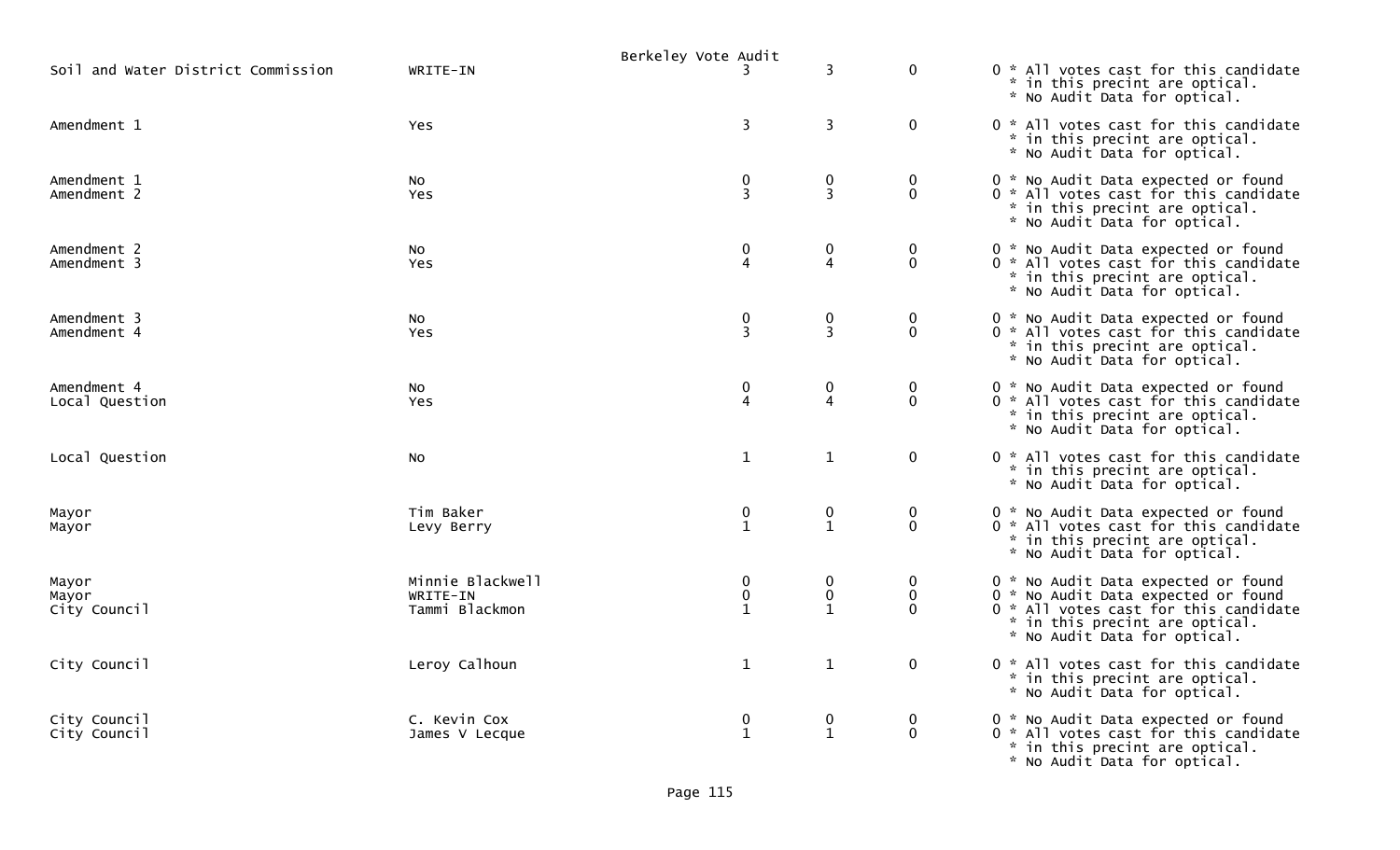|                                    |                                                | Berkeley Vote Audit         |                                  |                                     |                                                                                                                                                                                       |
|------------------------------------|------------------------------------------------|-----------------------------|----------------------------------|-------------------------------------|---------------------------------------------------------------------------------------------------------------------------------------------------------------------------------------|
| Soil and Water District Commission | WRITE-IN                                       |                             | 3                                | $\mathbf 0$                         | 0 * All votes cast for this candidate<br>* in this precint are optical.<br>* No Audit Data for optical.                                                                               |
| Amendment 1                        | Yes                                            | $\overline{\mathbf{3}}$     | 3                                | $\mathbf 0$                         | 0 * All votes cast for this candidate<br>* in this precint are optical.<br>* No Audit Data for optical.                                                                               |
| Amendment 1<br>Amendment 2         | No.<br><b>Yes</b>                              | $\pmb{0}$<br>$\overline{3}$ | 0<br>$\overline{3}$              | $\bf{0}$<br>$\mathbf{0}$            | 0 * No Audit Data expected or found<br>0 * All votes cast for this candidate<br>* in this precint are optical.<br>* No Audit Data for optical.                                        |
| Amendment 2<br>Amendment 3         | <b>NO</b><br>Yes                               | $\pmb{0}$<br>$\overline{4}$ | 0<br>$\overline{4}$              | $\mathbf 0$<br>$\mathbf 0$          | 0 * No Audit Data expected or found<br>0 * All votes cast for this candidate<br>* in this precint are optical.<br>* No Audit Data for optical.                                        |
| Amendment 3<br>Amendment 4         | NO.<br><b>Yes</b>                              | $\frac{0}{3}$               | $\pmb{0}$<br>3                   | $\mathbf 0$<br>$\Omega$             | 0 * No Audit Data expected or found<br>0 * All votes cast for this candidate<br>* in this precint are optical.<br>* No Audit Data for optical.                                        |
| Amendment 4<br>Local Question      | NO.<br>Yes                                     | $\frac{0}{4}$               | 0<br>$\overline{4}$              | $\mathbf 0$<br>$\mathbf 0$          | 0 * No Audit Data expected or found<br>0 * All votes cast for this candidate<br>* in this precint are optical.<br>* No Audit Data for optical.                                        |
| Local Question                     | No.                                            | $\mathbf{1}$                | $\mathbf{1}$                     | $\mathbf 0$                         | 0 * All votes cast for this candidate<br>* in this precint are optical.<br>* No Audit Data for optical.                                                                               |
| Mayor<br>Mayor                     | Tim Baker<br>Levy Berry                        | $\pmb{0}$<br>$\overline{1}$ | 0<br>$\mathbf{1}$                | 0<br>$\mathbf{0}$                   | 0 * No Audit Data expected or found<br>0 * All votes cast for this candidate<br>* in this precint are optical.<br>* No Audit Data for optical.                                        |
| Mayor<br>Mayor<br>City Council     | Minnie Blackwell<br>WRITE-IN<br>Tammi Blackmon | 0<br>0<br>$\mathbf{1}$      | 0<br>$\pmb{0}$<br>$\mathbf{1}$   | $\Omega$<br>$\mathbf 0$<br>$\Omega$ | 0 * No Audit Data expected or found<br>0 * No Audit Data expected or found<br>0 * All votes cast for this candidate<br>* in this precint are optical.<br>* No Audit Data for optical. |
| City Council                       | Leroy Calhoun                                  | $\mathbf{1}$                | $\mathbf{1}$                     | $\mathbf 0$                         | 0 * All votes cast for this candidate<br>* in this precint are optical.<br>* No Audit Data for optical.                                                                               |
| City Council<br>City Council       | C. Kevin Cox<br>James V Lecque                 | 0<br>$\mathbf{1}$           | $\boldsymbol{0}$<br>$\mathbf{1}$ | $\bf{0}$<br>$\mathbf 0$             | 0 * No Audit Data expected or found<br>0 * All votes cast for this candidate<br>* in this precint are optical.<br>* No Audit Data for optical.                                        |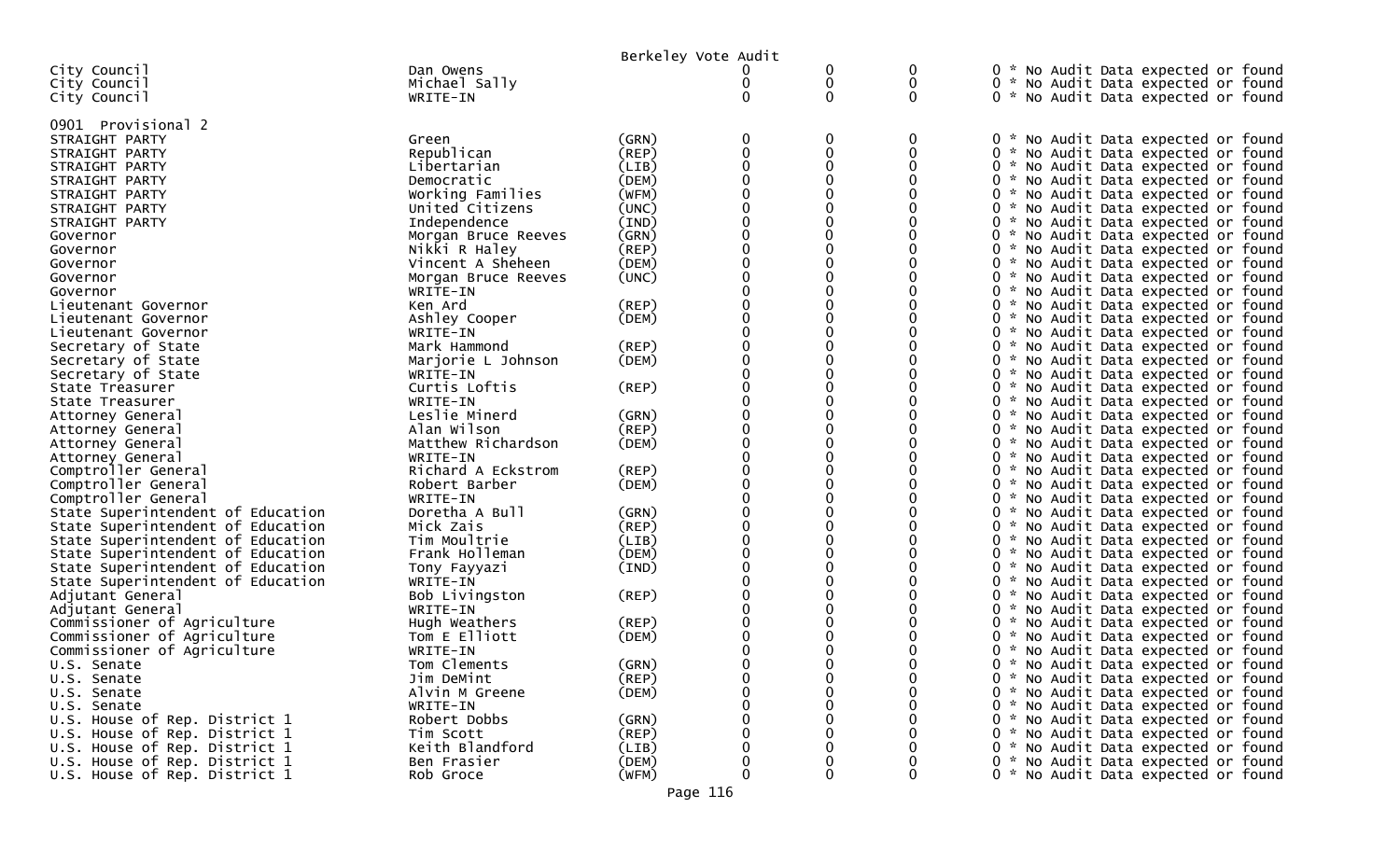|                                   |                     | Berkeley Vote Audit |   |              |   |                                                                            |
|-----------------------------------|---------------------|---------------------|---|--------------|---|----------------------------------------------------------------------------|
| City Council                      | Dan Owens           |                     |   | 0            | 0 | 0 * No Audit Data expected or found                                        |
| City Council                      | Michael Sally       |                     |   | 0            | 0 | 0 * No Audit Data expected or found                                        |
| City Council                      | WRITE-IN            |                     | 0 | 0            | 0 | 0 * No Audit Data expected or found                                        |
|                                   |                     |                     |   |              |   |                                                                            |
| 0901 Provisional 2                |                     |                     |   |              |   |                                                                            |
| STRAIGHT PARTY                    | Green               | (GRN)               | 0 | 0            | 0 | 0 * No Audit Data expected or found                                        |
| STRAIGHT PARTY                    | Republican          | (REP)               | 0 | $\mathbf{0}$ | 0 | 0 * No Audit Data expected or found                                        |
| STRAIGHT PARTY                    | Libertarian         | (LIB)               | 0 | 0            | 0 | 0 * No Audit Data expected or found                                        |
| STRAIGHT PARTY                    | Democratic          | (DEM)               | 0 | 0            |   | 0 * No Audit Data expected or found                                        |
| STRAIGHT PARTY                    | Working Families    | (WFM)               |   |              |   | 0 * No Audit Data expected or found                                        |
| STRAIGHT PARTY                    | United Citizens     | (UNC)               |   |              |   | 0 * No Audit Data expected or found                                        |
| STRAIGHT PARTY                    | Independence        | (IND)               | 0 | 0            | 0 | 0 * No Audit Data expected or found                                        |
|                                   | Morgan Bruce Reeves | (GRN)               | 0 | 0            | 0 |                                                                            |
| Governor                          | Nikki R Haley       | (REP)               |   |              |   | 0 * No Audit Data expected or found<br>0 * No Audit Data expected or found |
| Governor                          |                     |                     |   | 0            |   |                                                                            |
| Governor                          | Vincent A Sheheen   | (DEM)               |   |              |   | 0 * No Audit Data expected or found                                        |
| Governor                          | Morgan Bruce Reeves | (UNC)               |   | 0            | 0 | 0 * No Audit Data expected or found                                        |
| Governor                          | WRITE-IN            |                     |   |              | 0 | 0 * No Audit Data expected or found                                        |
| Lieutenant Governor               | Ken Ard             | $($ REP $)$         |   | 0            | 0 | 0 * No Audit Data expected or found                                        |
| Lieutenant Governor               | Ashley Cooper       | (DEM)               |   | 0            | 0 | 0 * No Audit Data expected or found                                        |
| Lieutenant Governor               | WRITE-IN            |                     |   |              |   | 0 * No Audit Data expected or found                                        |
| Secretary of State                | Mark Hammond        | $($ REP $)$         |   |              |   | 0 * No Audit Data expected or found                                        |
| Secretary of State                | Marjorie L Johnson  | (DEM)               |   | 0            | 0 | 0 * No Audit Data expected or found                                        |
| Secretary of State                | WRITE-IN            |                     |   |              |   | 0 * No Audit Data expected or found                                        |
| State Treasurer                   | Curtis Loftis       | $($ REP $)$         | 0 | 0            | 0 | 0 * No Audit Data expected or found                                        |
| State Treasurer                   | WRITE-IN            |                     |   | 0            | 0 | 0 * No Audit Data expected or found                                        |
| Attorney General                  | Leslie Minerd       | (GRN)               |   |              |   | 0 * No Audit Data expected or found                                        |
| Attorney General                  | Alan Wilson         | (REP)               | 0 | 0            | 0 | 0 * No Audit Data expected or found                                        |
| Attorney General                  | Matthew Richardson  | (DEM)               |   | 0            | 0 | 0 * No Audit Data expected or found                                        |
| Attorney General                  | WRITE-IN            |                     |   |              |   | 0 * No Audit Data expected or found                                        |
| Comptroller General               | Richard A Eckstrom  | (REP)               |   | 0            | 0 | 0 * No Audit Data expected or found                                        |
| Comptroller General               | Robert Barber       | (DEM)               |   | 0            |   | 0 * No Audit Data expected or found                                        |
| Comptroller General               | WRITE-IN            |                     |   |              |   | 0 * No Audit Data expected or found                                        |
| State Superintendent of Education | Doretha A Bull      | (GRN)               |   | 0            |   | 0 * No Audit Data expected or found                                        |
| State Superintendent of Education | Mick Zais           | (REP)               |   | 0            | 0 | 0 * No Audit Data expected or found                                        |
| State Superintendent of Education | Tim Moultrie        | (LIB)               |   |              |   | 0 * No Audit Data expected or found                                        |
| State Superintendent of Education | Frank Holleman      | (DEM)               |   | 0            | 0 | 0 * No Audit Data expected or found                                        |
| State Superintendent of Education | Tony Fayyazi        | (IND)               |   | 0            |   | 0 * No Audit Data expected or found                                        |
| State Superintendent of Education | WRITE-IN            |                     |   |              |   | 0 * No Audit Data expected or found                                        |
| Adjutant General                  | Bob Livingston      | (REP)               |   |              |   | 0 * No Audit Data expected or found                                        |
|                                   |                     |                     |   | 0            | 0 |                                                                            |
| Adjutant General                  | WRITE-IN            |                     |   |              |   | 0 * No Audit Data expected or found                                        |
| Commissioner of Agriculture       | Hugh Weathers       | (REP)               |   |              |   | 0 * No Audit Data expected or found                                        |
| Commissioner of Agriculture       | Tom E Elliott       | (DEM)               |   |              |   | 0 * No Audit Data expected or found                                        |
| Commissioner of Agriculture       | WRITE-IN            |                     |   |              |   | 0 * No Audit Data expected or found                                        |
| U.S. Senate                       | Tom Clements        | (GRN)               |   |              |   | 0 * No Audit Data expected or found                                        |
| U.S. Senate                       | Jim DeMint          | (REP)               | 0 | 0            | 0 | 0 * No Audit Data expected or found                                        |
| U.S. Senate                       | Alvin M Greene      | (DEM)               | 0 | 0            | 0 | 0 * No Audit Data expected or found                                        |
| U.S. Senate                       | WRITE-IN            |                     | 0 | 0            | 0 | 0 * No Audit Data expected or found                                        |
| U.S. House of Rep. District 1     | Robert Dobbs        | (GRN)               | O |              | 0 | 0 * No Audit Data expected or found                                        |
| U.S. House of Rep. District 1     | Tim Scott           | (REP)               |   |              |   | 0 * No Audit Data expected or found                                        |
| U.S. House of Rep. District 1     | Keith Blandford     | (LIB)               | 0 |              | 0 | 0 * No Audit Data expected or found                                        |
| U.S. House of Rep. District 1     | Ben Frasier         | (DEM)               | 0 |              | 0 | 0 * No Audit Data expected or found                                        |
| U.S. House of Rep. District 1     | Rob Groce           | (WFM)               | 0 | 0            | 0 | 0 * No Audit Data expected or found                                        |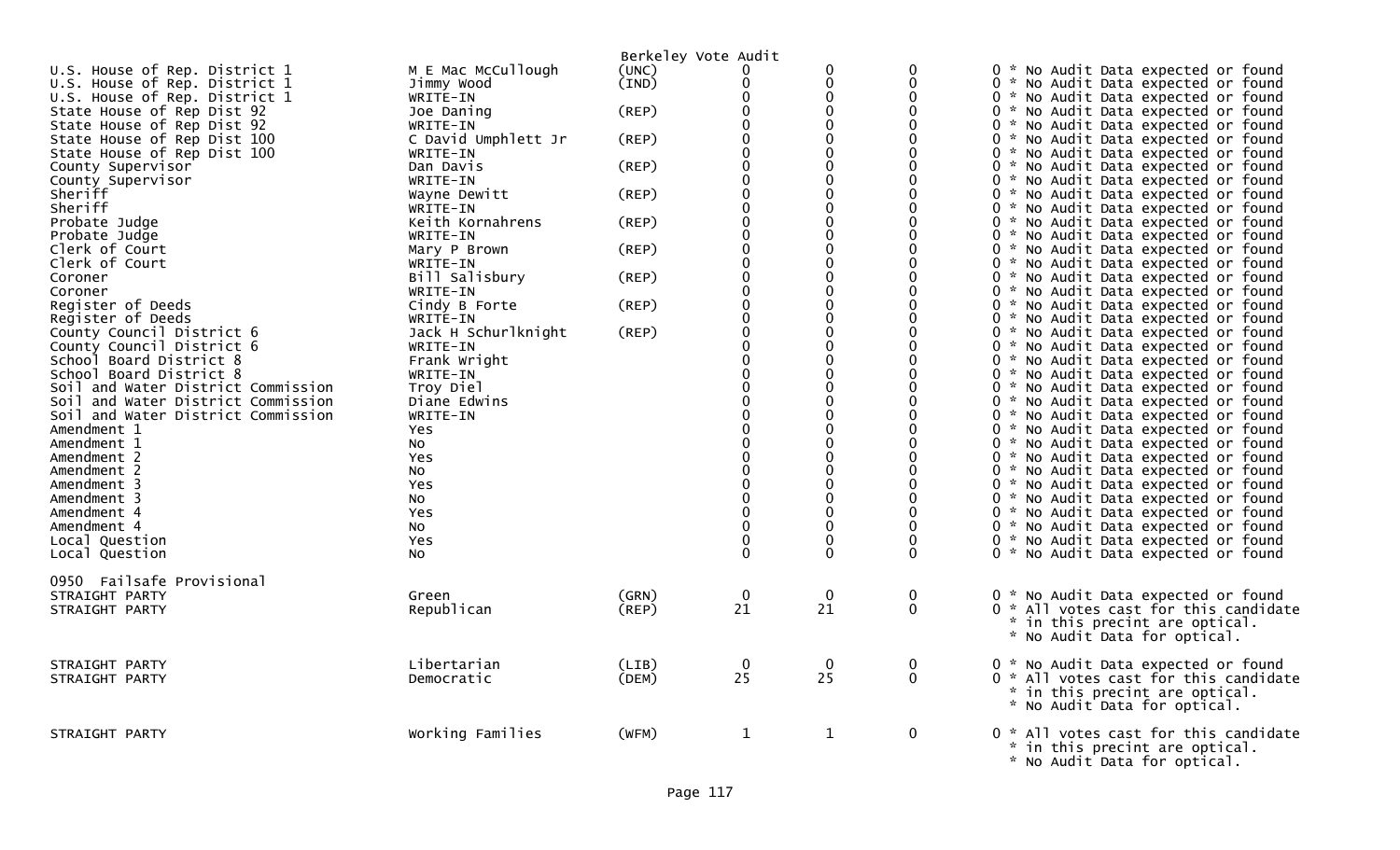|                                    |                     | Berkeley Vote Audit |                |              |              |                                       |
|------------------------------------|---------------------|---------------------|----------------|--------------|--------------|---------------------------------------|
| U.S. House of Rep. District 1      | M E Mac McCullough  | (UNC)               |                | $\mathbf{0}$ | $\Omega$     | 0 * No Audit Data expected or found   |
| U.S. House of Rep. District 1      | Jimmy Wood          | (IND)               | ∩              | 0            | $\mathbf{0}$ | 0 * No Audit Data expected or found   |
| U.S. House of Rep. District 1      | WRITE-IN            |                     | ∩              | $\mathbf 0$  | $\Omega$     | 0 * No Audit Data expected or found   |
| State House of Rep Dist 92         | Joe Daning          | $($ REP $)$         | $\Omega$       | $\Omega$     | $\Omega$     | 0 * No Audit Data expected or found   |
| State House of Rep Dist 92         | WRITE-IN            |                     |                | 0            | $\Omega$     | 0 * No Audit Data expected or found   |
| State House of Rep Dist 100        | C David Umphlett Jr | (REP)               |                | 0            | $\Omega$     | 0 * No Audit Data expected or found   |
| State House of Rep Dist 100        | WRITE-IN            |                     |                | $\Omega$     | 0            | 0 * No Audit Data expected or found   |
| County Supervisor                  | Dan Davis           | (REP)               |                | $\Omega$     | $\Omega$     | 0 * No Audit Data expected or found   |
| County Supervisor                  | WRITE-IN            |                     |                | 0            | $\Omega$     | 0 * No Audit Data expected or found   |
| Sheriff                            | Wayne Dewitt        | (REP)               | $\Omega$       | $\Omega$     | $\Omega$     | 0 * No Audit Data expected or found   |
| Sheriff                            | WRITE-IN            |                     |                | $\Omega$     | $\Omega$     | 0 * No Audit Data expected or found   |
| Probate Judge                      | Keith Kornahrens    | $($ REP $)$         |                | 0            | $\Omega$     | 0 * No Audit Data expected or found   |
| Probate Judge                      | WRITE-IN            |                     |                | 0            | 0            | 0 * No Audit Data expected or found   |
| Clerk of Court                     | Mary P Brown        | (REP)               | $\mathbf{0}$   | 0            | $\Omega$     | 0 * No Audit Data expected or found   |
| Clerk of Court                     | WRITE-IN            |                     |                | $\Omega$     | $\Omega$     | 0 * No Audit Data expected or found   |
| Coroner                            | Bill Salisbury      | (REP)               | $\Omega$       | 0            | $\Omega$     | 0 * No Audit Data expected or found   |
| Coroner                            | WRITE-IN            |                     | $\Omega$       | $\Omega$     | $\Omega$     | 0 * No Audit Data expected or found   |
| Register of Deeds                  | Cindy B Forte       | (REP)               |                | $\Omega$     | $\Omega$     | 0 * No Audit Data expected or found   |
| Register of Deeds                  | WRITE-IN            |                     |                | 0            | $\Omega$     | 0 * No Audit Data expected or found   |
| County Council District 6          | Jack H Schurlknight | (REP)               |                | $\Omega$     | $\Omega$     | 0 * No Audit Data expected or found   |
| County Council District 6          | WRITE-IN            |                     |                | $\Omega$     | 0            | 0 * No Audit Data expected or found   |
| School Board District 8            | Frank Wright        |                     |                | $\Omega$     |              | 0 * No Audit Data expected or found   |
| School Board District 8            | WRITE-IN            |                     |                | 0            | $\Omega$     | 0 * No Audit Data expected or found   |
| Soil and Water District Commission | Troy Diel           |                     | $\Omega$       | $\Omega$     | $\Omega$     | 0 * No Audit Data expected or found   |
| Soil and Water District Commission | Diane Edwins        |                     | $\Omega$       | $\Omega$     | ∩            | 0 * No Audit Data expected or found   |
| Soil and Water District Commission | WRITE-IN            |                     |                | $\Omega$     | $\Omega$     | 0 * No Audit Data expected or found   |
| Amendment 1                        | <b>Yes</b>          |                     |                | $\Omega$     | $\Omega$     | 0 * No Audit Data expected or found   |
| Amendment 1                        | No.                 |                     |                | 0            | $\Omega$     | 0 * No Audit Data expected or found   |
| Amendment 2                        | Yes                 |                     |                | $\Omega$     |              | 0 * No Audit Data expected or found   |
| Amendment 2                        | NO.                 |                     |                | $\Omega$     |              | 0 * No Audit Data expected or found   |
| Amendment 3                        | <b>Yes</b>          |                     | $\Omega$       | $\Omega$     | $\Omega$     | 0 * No Audit Data expected or found   |
| Amendment 3                        | No                  |                     |                | $\Omega$     | $\Omega$     | 0 * No Audit Data expected or found   |
| Amendment 4                        | <b>Yes</b>          |                     |                | $\Omega$     | $\Omega$     | 0 * No Audit Data expected or found   |
| Amendment 4                        | NO.                 |                     |                | $\Omega$     | $\mathbf{0}$ | 0 * No Audit Data expected or found   |
| Local Question                     | <b>Yes</b>          |                     |                | $\Omega$     | $\Omega$     | 0 * No Audit Data expected or found   |
| Local Question                     | NO.                 |                     | $\Omega$       | $\Omega$     | $\Omega$     | 0 * No Audit Data expected or found   |
|                                    |                     |                     |                |              |              |                                       |
| 0950 Failsafe Provisional          |                     |                     |                |              |              |                                       |
| STRAIGHT PARTY                     | Green               | (GRN)               | $\overline{0}$ | $\mathbf 0$  | $\mathbf 0$  | 0 * No Audit Data expected or found   |
| STRAIGHT PARTY                     | Republican          | (REP)               | 21             | 21           | $\Omega$     | 0 * All votes cast for this candidate |
|                                    |                     |                     |                |              |              | * in this precint are optical.        |
|                                    |                     |                     |                |              |              | * No Audit Data for optical.          |
| STRAIGHT PARTY                     | Libertarian         | (LIB)               | $\Omega$       | $\mathbf 0$  | 0            | 0 * No Audit Data expected or found   |
| STRAIGHT PARTY                     | Democratic          | (DEM)               | 25             | 25           | $\mathbf{0}$ | 0 * All votes cast for this candidate |
|                                    |                     |                     |                |              |              | * in this precint are optical.        |
|                                    |                     |                     |                |              |              | * No Audit Data for optical.          |
|                                    |                     |                     |                |              |              |                                       |
| STRAIGHT PARTY                     | Working Families    | (WFM)               | $\mathbf{1}$   | $\mathbf{1}$ | $\mathbf{0}$ | 0 * All votes cast for this candidate |
|                                    |                     |                     |                |              |              | * in this precint are optical.        |
|                                    |                     |                     |                |              |              | * No Audit Data for optical.          |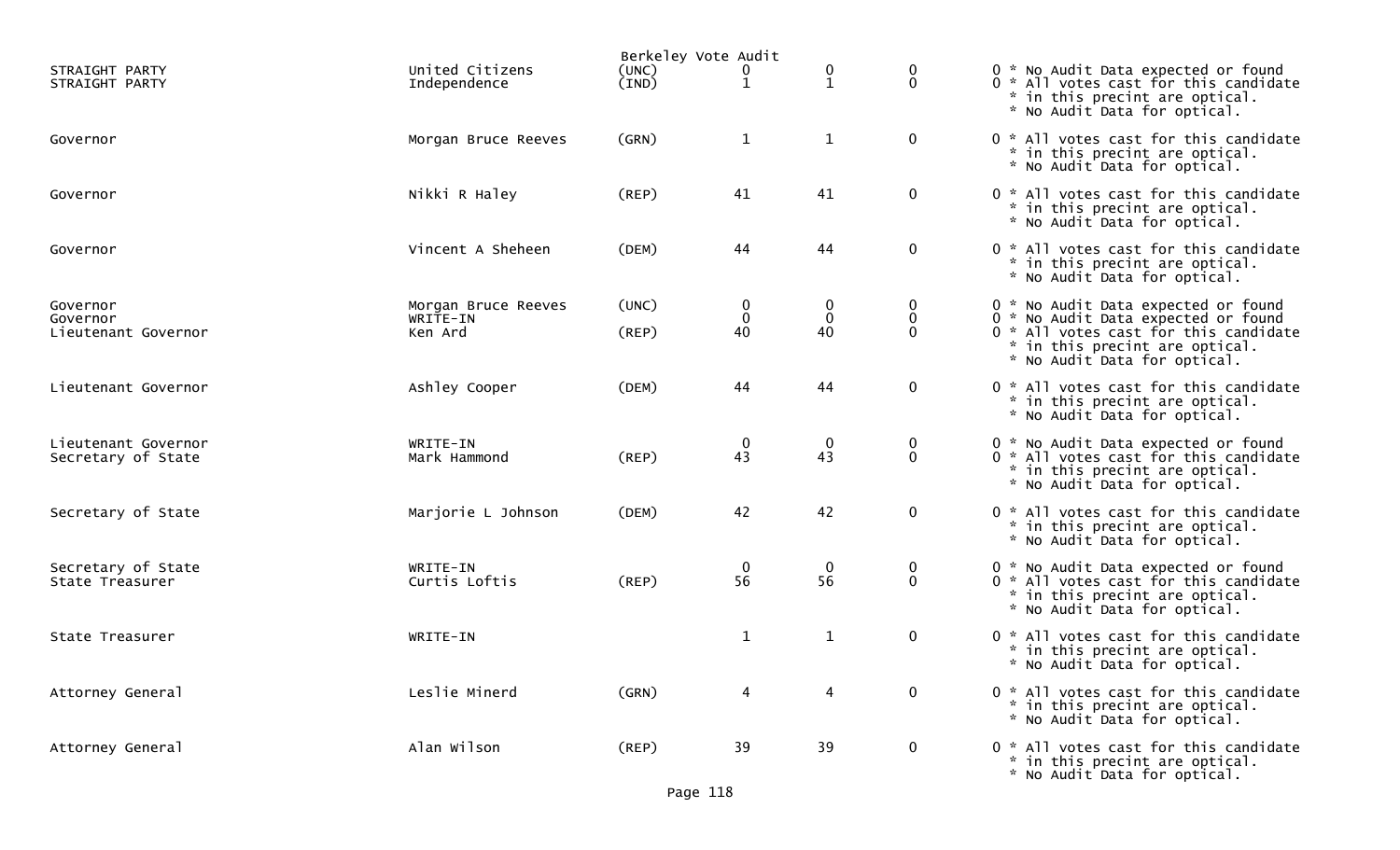|                                  |                                 | Berkeley Vote Audit |                                             |                   |                  |                                                                                                                                                |  |  |  |
|----------------------------------|---------------------------------|---------------------|---------------------------------------------|-------------------|------------------|------------------------------------------------------------------------------------------------------------------------------------------------|--|--|--|
| STRAIGHT PARTY<br>STRAIGHT PARTY | United Citizens<br>Independence | (UNC)<br>(IND)      | 0<br>$\mathbf{1}$                           | 0<br>$\mathbf{1}$ | 0<br>$\mathbf 0$ | 0 * No Audit Data expected or found<br>0 * All votes cast for this candidate<br>* in this precint are optical.<br>* No Audit Data for optical. |  |  |  |
| Governor                         | Morgan Bruce Reeves             | (GRN)               | $\mathbf{1}$                                | $\mathbf{1}$      | $\mathbf 0$      | 0 * All votes cast for this candidate<br>* in this precint are optical.<br>* No Audit Data for optical.                                        |  |  |  |
| Governor                         | Nikki R Haley                   | (REP)               | 41                                          | 41                | $\bf{0}$         | 0 * All votes cast for this candidate<br>* in this precint are optical.<br>* No Audit Data for optical.                                        |  |  |  |
| Governor                         | Vincent A Sheheen               | (DEM)               | 44                                          | 44                | $\mathbf 0$      | 0 * All votes cast for this candidate<br>* in this precint are optical.<br>* No Audit Data for optical.                                        |  |  |  |
| Governor                         | Morgan Bruce Reeves             | (UNC)               | $\boldsymbol{0}$                            | 0                 | 0                | 0 * No Audit Data expected or found                                                                                                            |  |  |  |
| Governor                         | WRITE-IN                        |                     | $\bf{0}$                                    | $\mathbf 0$       | 0                | 0 * No Audit Data expected or found                                                                                                            |  |  |  |
| Lieutenant Governor              | Ken Ard                         | (REP)               | 40                                          | 40                | $\Omega$         | 0 * All votes cast for this candidate<br>* in this precint are optical.<br>* No Audit Data for optical.                                        |  |  |  |
| Lieutenant Governor              | Ashley Cooper                   | (DEM)               | 44                                          | 44                | $\mathbf 0$      | 0 * All votes cast for this candidate<br>* in this precint are optical.<br>* No Audit Data for optical.                                        |  |  |  |
| Lieutenant Governor              | WRITE-IN                        |                     |                                             | $\mathbf 0$       | 0                | 0 * No Audit Data expected or found                                                                                                            |  |  |  |
| Secretary of State               | Mark Hammond                    | (REP)               | $\begin{smallmatrix}0\\43\end{smallmatrix}$ | 43                | $\mathbf 0$      | 0 * All votes cast for this candidate<br>* in this precint are optical.<br>* No Audit Data for optical.                                        |  |  |  |
| Secretary of State               | Marjorie L Johnson              | (DEM)               | 42                                          | 42                | $\mathbf 0$      | 0 * All votes cast for this candidate<br>* in this precint are optical.<br>* No Audit Data for optical.                                        |  |  |  |
| Secretary of State               | WRITE-IN                        |                     | $\mathbf 0$                                 | $\mathbf 0$       | 0                | 0 * No Audit Data expected or found                                                                                                            |  |  |  |
| State Treasurer                  | Curtis Loftis                   | (REP)               | 56                                          | 56                | $\mathbf 0$      | 0 * All votes cast for this candidate<br>* in this precint are optical.<br>* No Audit Data for optical.                                        |  |  |  |
| State Treasurer                  | WRITE-IN                        |                     | $\mathbf{1}$                                | $\mathbf{1}$      | $\mathbf 0$      | 0 * All votes cast for this candidate<br>* in this precint are optical.<br>* No Audit Data for optical.                                        |  |  |  |
| Attorney General                 | Leslie Minerd                   | (GRN)               | 4                                           | 4                 | $\mathbf 0$      | 0 * All votes cast for this candidate<br>* in this precint are optical.<br>* No Audit Data for optical.                                        |  |  |  |
| Attorney General                 | Alan Wilson                     | $($ REP $)$         | 39                                          | 39                | $\mathbf 0$      | 0 * All votes cast for this candidate<br>* in this precint are optical.<br>* No Audit Data for optical.                                        |  |  |  |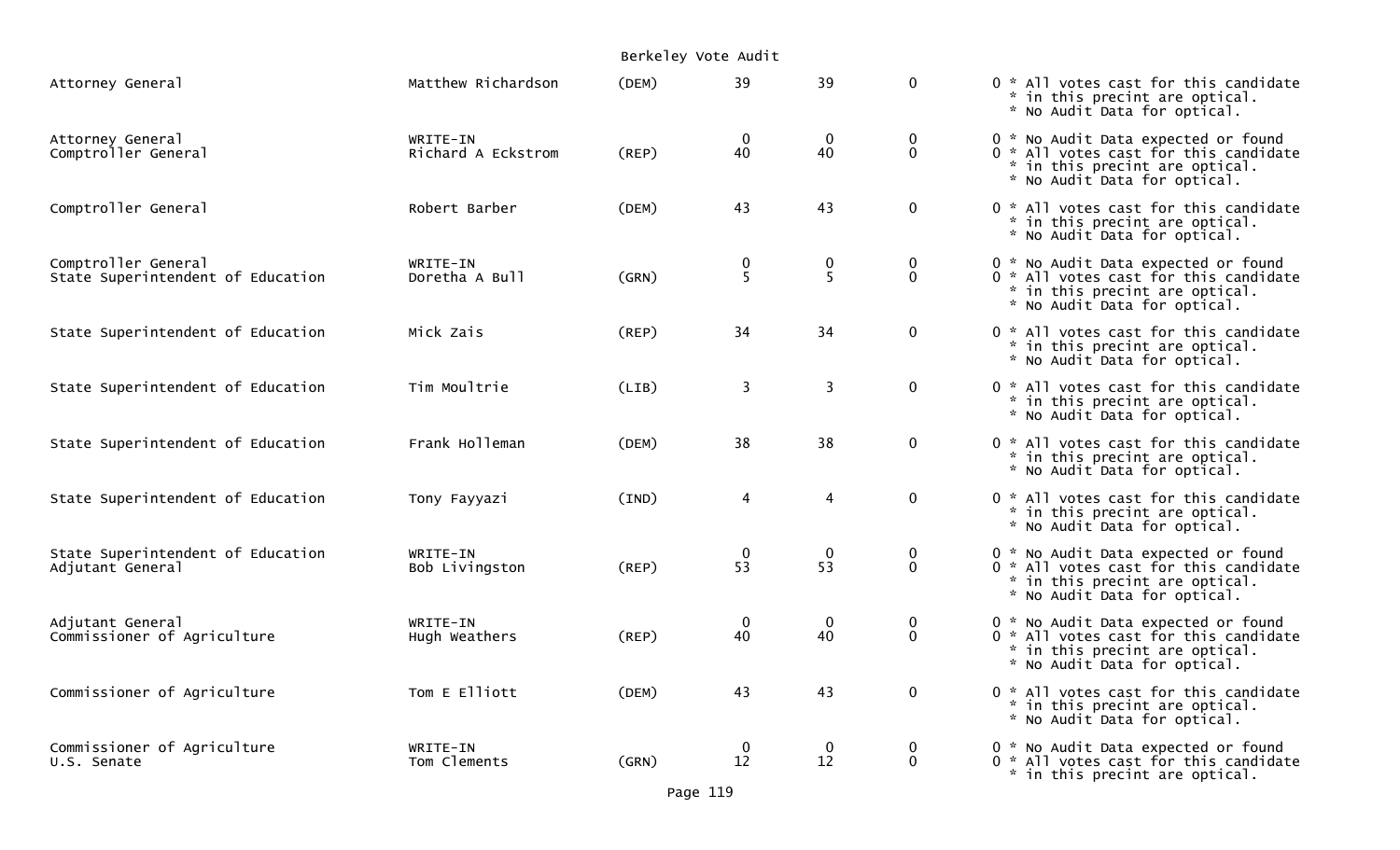|                                                          |                                | Berkeley Vote Audit |                   |                   |                                  |                                                                                                                                                |
|----------------------------------------------------------|--------------------------------|---------------------|-------------------|-------------------|----------------------------------|------------------------------------------------------------------------------------------------------------------------------------------------|
| Attorney General                                         | Matthew Richardson             | (DEM)               | 39                | 39                | $\mathbf{0}$                     | 0 * All votes cast for this candidate<br>* in this precint are optical.<br>* No Audit Data for optical.                                        |
| Attorney General<br>Comptroller General                  | WRITE-IN<br>Richard A Eckstrom | $($ REP $)$         | $\bf{0}$<br>40    | $\mathbf 0$<br>40 | $\mathbf 0$<br>$\Omega$          | 0 * No Audit Data expected or found<br>0 * All votes cast for this candidate<br>* in this precint are optical.<br>* No Audit Data for optical. |
| Comptroller General                                      | Robert Barber                  | (DEM)               | 43                | 43                | $\mathbf 0$                      | 0 * All votes cast for this candidate<br>* in this precint are optical.<br>* No Audit Data for optical.                                        |
| Comptroller General<br>State Superintendent of Education | WRITE-IN<br>Doretha A Bull     | (GRN)               | $\frac{0}{5}$     | 0<br>5            | $\overline{0}$<br>$\overline{0}$ | 0 * No Audit Data expected or found<br>0 * All votes cast for this candidate<br>* in this precint are optical.<br>* No Audit Data for optical. |
| State Superintendent of Education                        | Mick Zais                      | (REP)               | 34                | 34                | $\mathbf 0$                      | 0 * All votes cast for this candidate<br>* in this precint are optical.<br>* No Audit Data for optical.                                        |
| State Superintendent of Education                        | Tim Moultrie                   | (LIB)               | 3                 | 3                 | $\mathbf 0$                      | 0 * All votes cast for this candidate<br>* in this precint are optical.<br>* No Audit Data for optical.                                        |
| State Superintendent of Education                        | Frank Holleman                 | (DEM)               | 38                | 38                | $\mathbf 0$                      | 0 * All votes cast for this candidate<br>* in this precint are optical.<br>* No Audit Data for optical.                                        |
| State Superintendent of Education                        | Tony Fayyazi                   | (IND)               | $\overline{4}$    | 4                 | $\mathbf 0$                      | 0 * All votes cast for this candidate<br>* in this precint are optical.<br>* No Audit Data for optical.                                        |
| State Superintendent of Education<br>Adjutant General    | WRITE-IN<br>Bob Livingston     | (REP)               | $\bf{0}$<br>53    | $\mathbf 0$<br>53 | 0<br>$\mathbf 0$                 | 0 * No Audit Data expected or found<br>0 * All votes cast for this candidate<br>* in this precint are optical.<br>* No Audit Data for optical. |
| Adjutant General<br>Commissioner of Agriculture          | WRITE-IN<br>Hugh Weathers      | $($ REP $)$         | $\mathbf 0$<br>40 | $\mathbf 0$<br>40 | $\mathbf 0$<br>$\mathbf{0}$      | 0 * No Audit Data expected or found<br>0 * All votes cast for this candidate<br>* in this precint are optical.<br>* No Audit Data for optical. |
| Commissioner of Agriculture                              | Tom E Elliott                  | (DEM)               | 43                | 43                | $\mathbf 0$                      | 0 * All votes cast for this candidate<br>* in this precint are optical.<br>* No Audit Data for optical.                                        |
| Commissioner of Agriculture<br>U.S. Senate               | WRITE-IN<br>Tom Clements       | (GRN)               | $\bf{0}$<br>12    | $\mathbf 0$<br>12 | $\mathbf 0$<br>$\mathbf 0$       | 0 * No Audit Data expected or found<br>0 * All votes cast for this candidate<br>* in this precint are optical.                                 |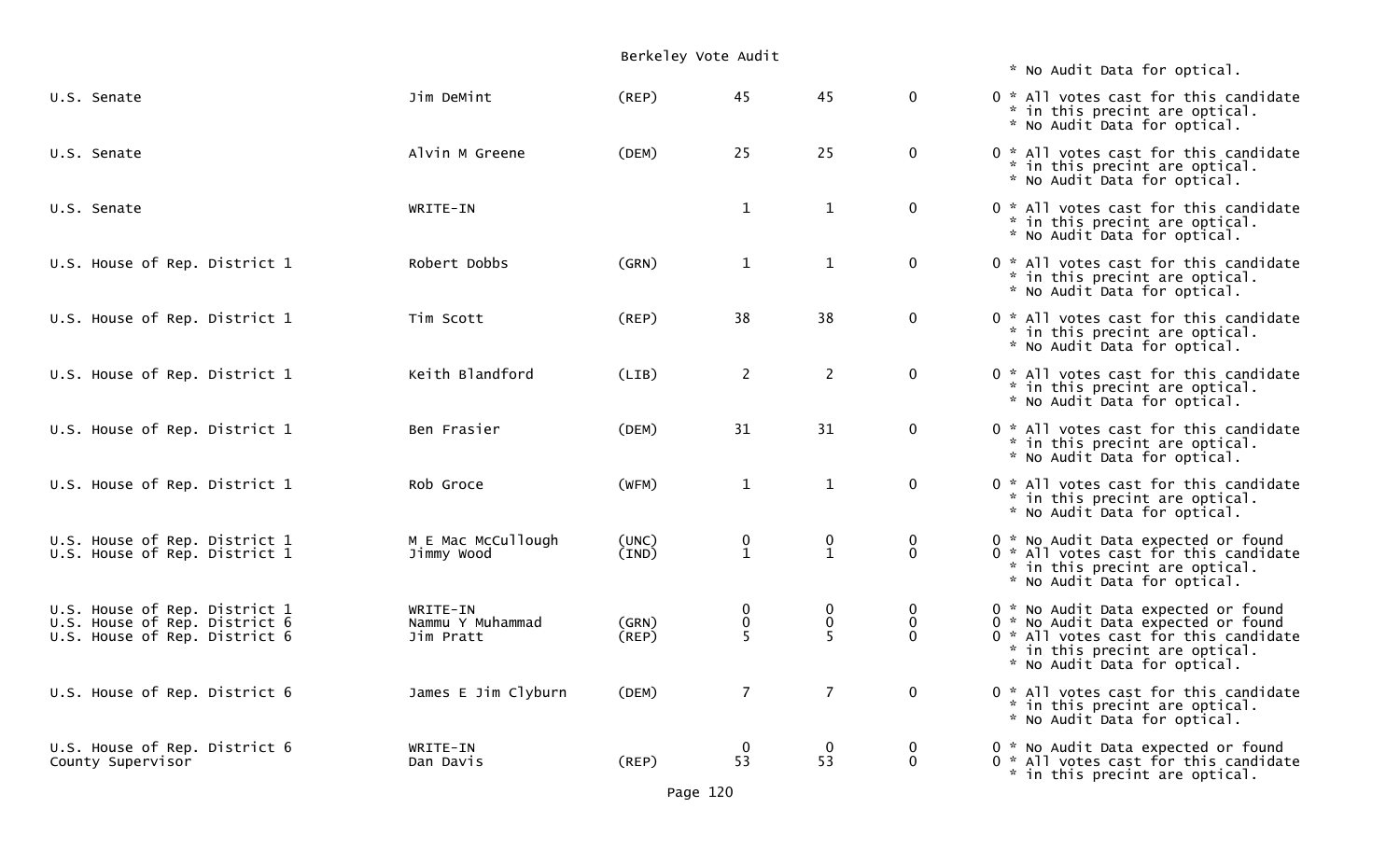|                                                                |                                  | Berkeley Vote Audit |                                               |                                               |                         |                                                                                                                                                |
|----------------------------------------------------------------|----------------------------------|---------------------|-----------------------------------------------|-----------------------------------------------|-------------------------|------------------------------------------------------------------------------------------------------------------------------------------------|
|                                                                |                                  |                     |                                               |                                               |                         | * No Audit Data for optical.                                                                                                                   |
| U.S. Senate                                                    | Jim DeMint                       | (REP)               | 45                                            | 45                                            | $\mathbf{0}$            | 0 * All votes cast for this candidate<br>* in this precint are optical.<br>* No Audit Data for optical.                                        |
| U.S. Senate                                                    | Alvin M Greene                   | (DEM)               | 25                                            | 25                                            | $\mathbf 0$             | 0 * All votes cast for this candidate<br>* in this precint are optical.<br>* No Audit Data for optical.                                        |
| U.S. Senate                                                    | WRITE-IN                         |                     | $\mathbf{1}$                                  | $\mathbf{1}$                                  | $\mathbf 0$             | 0 * All votes cast for this candidate<br>* in this precint are optical.<br>* No Audit Data for optical.                                        |
| U.S. House of Rep. District 1                                  | Robert Dobbs                     | (GRN)               | $\mathbf{1}$                                  | $\mathbf{1}$                                  | $\mathbf 0$             | 0 * All votes cast for this candidate<br>* in this precint are optical.<br>* No Audit Data for optical.                                        |
| U.S. House of Rep. District 1                                  | Tim Scott                        | (REP)               | 38                                            | 38                                            | $\mathbf 0$             | 0 * All votes cast for this candidate<br>* in this precint are optical.<br>* No Audit Data for optical.                                        |
| U.S. House of Rep. District 1                                  | Keith Blandford                  | (LIB)               | $\overline{c}$                                | $\overline{2}$                                | $\mathbf 0$             | 0 * All votes cast for this candidate<br>* in this precint are optical.<br>* No Audit Data for optical.                                        |
| U.S. House of Rep. District 1                                  | Ben Frasier                      | (DEM)               | 31                                            | 31                                            | $\mathbf 0$             | 0 * All votes cast for this candidate<br>* in this precint are optical.<br>* No Audit Data for optical.                                        |
| U.S. House of Rep. District 1                                  | Rob Groce                        | (WFM)               | $\mathbf{1}$                                  | $\mathbf{1}$                                  | $\mathbf 0$             | 0 * All votes cast for this candidate<br>* in this precint are optical.<br>* No Audit Data for optical.                                        |
| U.S. House of Rep. District 1<br>U.S. House of Rep. District 1 | M E Mac McCullough<br>Jimmy Wood | (UNC)<br>(IND)      | $\begin{smallmatrix} 0 \ 1 \end{smallmatrix}$ | $\begin{smallmatrix} 0 \ 1 \end{smallmatrix}$ | 0<br>$\mathbf 0$        | 0 * No Audit Data expected or found<br>0 * All votes cast for this candidate<br>* in this precint are optical.<br>* No Audit Data for optical. |
| U.S. House of Rep. District 1                                  | WRITE-IN                         |                     | 0                                             | $\mathbf 0$                                   | 0                       | 0 * No Audit Data expected or found                                                                                                            |
| U.S. House of Rep. District 6<br>U.S. House of Rep. District 6 | Nammu Y Muhammad<br>Jim Pratt    | (GRN)<br>(REP)      | 0<br>Š.                                       | $\mathbf 0$<br>$\overline{5}$                 | $\mathbf 0$<br>$\Omega$ | 0 * No Audit Data expected or found<br>0 * All votes cast for this candidate<br>* in this precint are optical.<br>* No Audit Data for optical. |
| U.S. House of Rep. District 6                                  | James E Jim Clyburn              | (DEM)               | 7                                             | $\overline{7}$                                | $\mathbf{0}$            | 0 * All votes cast for this candidate<br>* in this precint are optical.<br>* No Audit Data for optical.                                        |
| U.S. House of Rep. District 6<br>County Supervisor             | WRITE-IN<br>Dan Davis            | $($ REP $)$         | $\boldsymbol{0}$<br>53                        | $\mathbf 0$<br>53                             | 0<br>$\mathbf 0$        | 0 * No Audit Data expected or found<br>0 * All votes cast for this candidate<br>* in this precint are optical.                                 |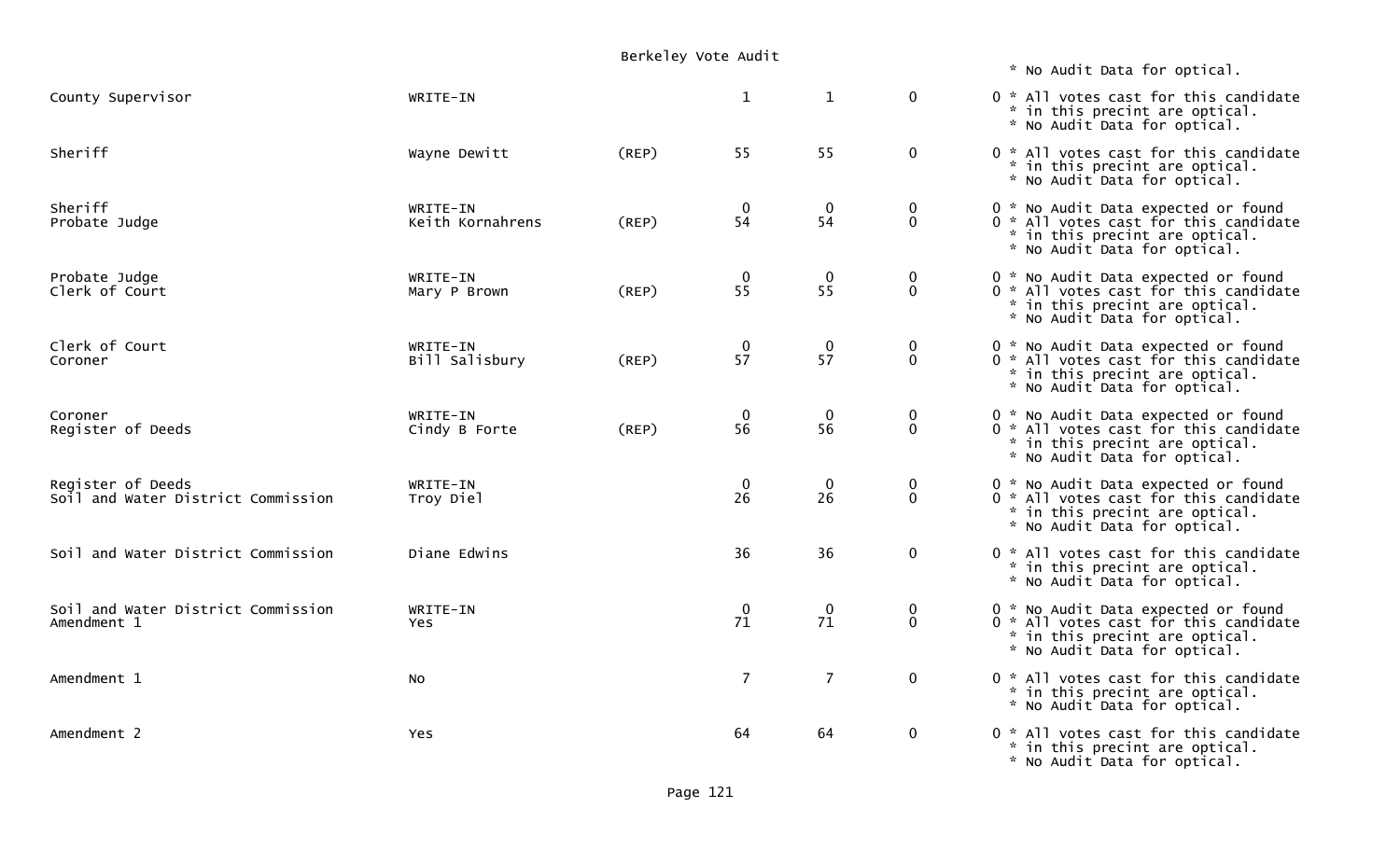|                                                         |                              | Berkeley Vote Audit |                                        |                                             |                                      |                                                                                                                                                |
|---------------------------------------------------------|------------------------------|---------------------|----------------------------------------|---------------------------------------------|--------------------------------------|------------------------------------------------------------------------------------------------------------------------------------------------|
|                                                         |                              |                     |                                        |                                             |                                      | * No Audit Data for optical.                                                                                                                   |
| County Supervisor                                       | WRITE-IN                     |                     | $\mathbf{1}$                           | $\mathbf{1}$                                | $\mathbf 0$                          | 0 * All votes cast for this candidate<br>* in this precint are optical.<br>* No Audit Data for optical.                                        |
| Sheriff                                                 | Wayne Dewitt                 | (REP)               | 55                                     | 55                                          | $\mathbf 0$                          | 0 * All votes cast for this candidate<br>* in this precint are optical.<br>* No Audit Data for optical.                                        |
| Sheriff<br>Probate Judge                                | WRITE-IN<br>Keith Kornahrens | (REP)               | $\mathbf 0$<br>54                      | $\mathbf 0$<br>54                           | $\bf{0}$<br>$\mathbf 0$              | 0 * No Audit Data expected or found<br>0 * All votes cast for this candidate<br>* in this precint are optical.<br>* No Audit Data for optical. |
| Probate Judge<br>Clerk of Court                         | WRITE-IN<br>Mary P Brown     | (REP)               | $\begin{array}{c} 0 \\ 55 \end{array}$ | $\begin{smallmatrix}0\\55\end{smallmatrix}$ | $\pmb{0}$<br>$\mathbf 0$             | 0 * No Audit Data expected or found<br>0 * All votes cast for this candidate<br>* in this precint are optical.<br>* No Audit Data for optical. |
| Clerk of Court<br>Coroner                               | WRITE-IN<br>Bill Salisbury   | (REP)               | $\frac{0}{57}$                         | $\frac{0}{57}$                              | $\begin{matrix} 0 \\ 0 \end{matrix}$ | 0 * No Audit Data expected or found<br>0 * All votes cast for this candidate<br>* in this precint are optical.<br>* No Audit Data for optical. |
| Coroner<br>Register of Deeds                            | WRITE-IN<br>Cindy B Forte    | (REP)               | $\bf{0}$<br>$5\overline{6}$            | $\mathbf 0$<br>56                           | $\bf{0}$<br>$\ddot{\mathbf{0}}$      | 0 * No Audit Data expected or found<br>0 * All votes cast for this candidate<br>* in this precint are optical.<br>* No Audit Data for optical. |
| Register of Deeds<br>Soil and Water District Commission | WRITE-IN<br>Troy Diel        |                     | $\mathbf 0$<br>26                      | $\mathbf 0$<br>26                           | $\mathbf 0$<br>$\mathbf{0}$          | 0 * No Audit Data expected or found<br>0 * All votes cast for this candidate<br>* in this precint are optical.<br>* No Audit Data for optical. |
| Soil and Water District Commission                      | Diane Edwins                 |                     | 36                                     | 36                                          | $\mathbf 0$                          | 0 * All votes cast for this candidate<br>* in this precint are optical.<br>* No Audit Data for optical.                                        |
| Soil and Water District Commission<br>Amendment 1       | WRITE-IN<br>Yes.             |                     | $\mathbf 0$<br>71                      | $\mathbf 0$<br>71                           | $\bf{0}$<br>$\mathbf 0$              | 0 * No Audit Data expected or found<br>0 * All votes cast for this candidate<br>* in this precint are optical.<br>* No Audit Data for optical. |
| Amendment 1                                             | <b>NO</b>                    |                     | $\overline{7}$                         | $\overline{7}$                              | $\mathbf 0$                          | 0 * All votes cast for this candidate<br>* in this precint are optical.<br>* No Audit Data for optical.                                        |
| Amendment 2                                             | <b>Yes</b>                   |                     | 64                                     | 64                                          | $\mathbf 0$                          | 0 * All votes cast for this candidate<br>* in this precint are optical.<br>* No Audit Data for optical.                                        |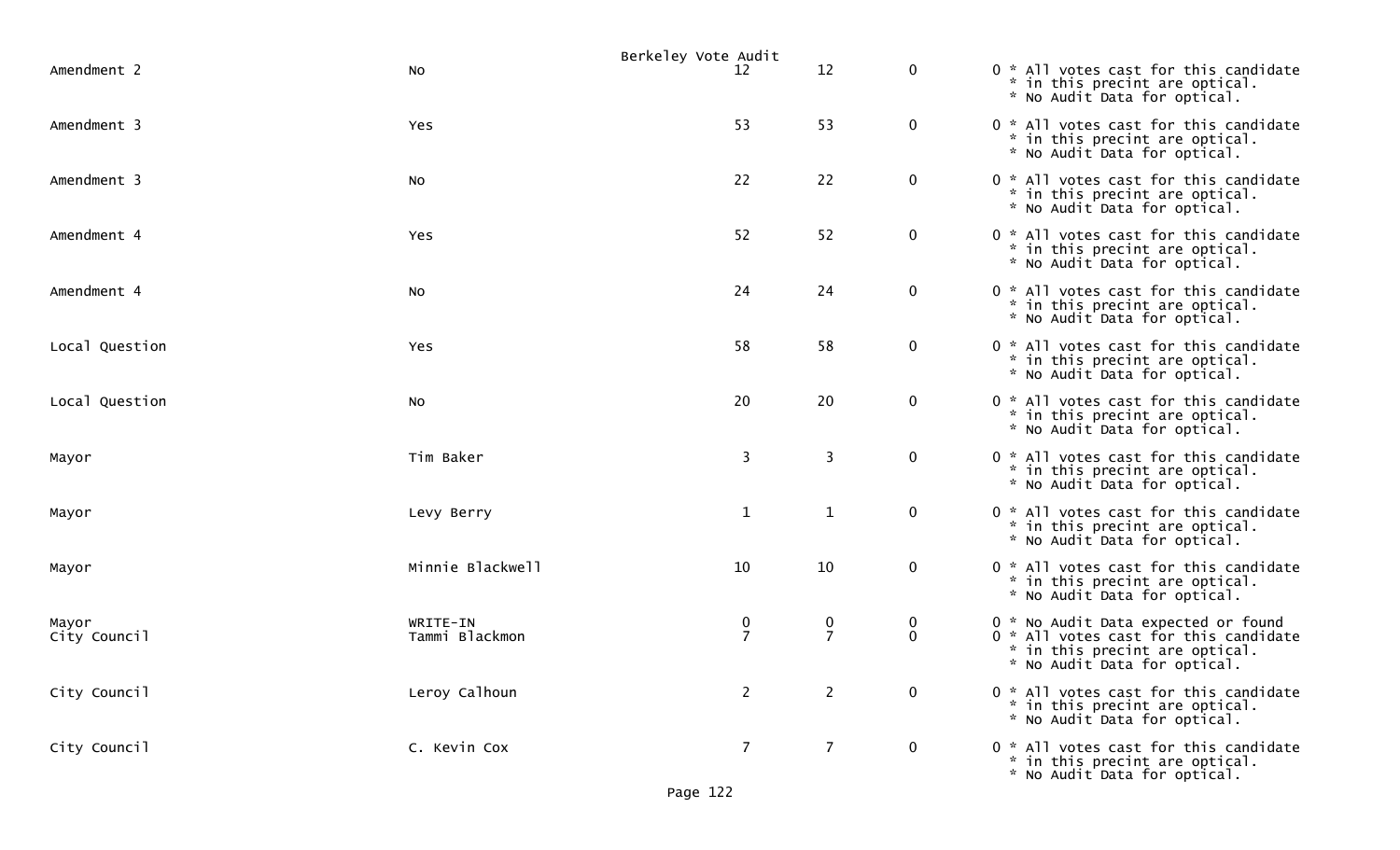|                       |                            | Berkeley Vote Audit |                |                                               |                                                                                                                                                |
|-----------------------|----------------------------|---------------------|----------------|-----------------------------------------------|------------------------------------------------------------------------------------------------------------------------------------------------|
| Amendment 2           | No                         | 12                  | 12             | $\bf{0}$                                      | 0 * All votes cast for this candidate<br>* in this precint are optical.<br>* No Audit Data for optical.                                        |
| Amendment 3           | Yes                        | 53                  | 53             | $\mathbf 0$                                   | 0 * All votes cast for this candidate<br>* in this precint are optical.<br>* No Audit Data for optical.                                        |
| Amendment 3           | No                         | 22                  | 22             | $\mathbf 0$                                   | 0 * All votes cast for this candidate<br>* in this precint are optical.<br>* No Audit Data for optical.                                        |
| Amendment 4           | Yes                        | 52                  | 52             | $\mathbf 0$                                   | 0 * All votes cast for this candidate<br>* in this precint are optical.<br>* No Audit Data for optical.                                        |
| Amendment 4           | No                         | 24                  | 24             | $\mathbf 0$                                   | 0 * All votes cast for this candidate<br>* in this precint are optical.<br>* No Audit Data for optical.                                        |
| Local Question        | Yes                        | 58                  | 58             | $\mathbf 0$                                   | 0 * All votes cast for this candidate<br>* in this precint are optical.<br>* No Audit Data for optical.                                        |
| Local Question        | <b>NO</b>                  | 20                  | 20             | $\mathbf 0$                                   | 0 * All votes cast for this candidate<br>* in this precint are optical.<br>* No Audit Data for optical.                                        |
| Mayor                 | Tim Baker                  | 3                   | $\mathbf{3}$   | $\mathbf 0$                                   | 0 * All votes cast for this candidate<br>* in this precint are optical.<br>* No Audit Data for optical.                                        |
| Mayor                 | Levy Berry                 | $\mathbf{1}$        | $\mathbf{1}$   | $\mathbf 0$                                   | 0 * All votes cast for this candidate<br>* in this precint are optical.<br>* No Audit Data for optical.                                        |
| Mayor                 | Minnie Blackwell           | 10                  | 10             | $\bf{0}$                                      | 0 * All votes cast for this candidate<br>* in this precint are optical.<br>* No Audit Data for optical.                                        |
| Mayor<br>City Council | WRITE-IN<br>Tammi Blackmon | $\frac{0}{7}$       | $\frac{0}{7}$  | $\begin{smallmatrix} 0 \ 0 \end{smallmatrix}$ | 0 * No Audit Data expected or found<br>0 * All votes cast for this candidate<br>* in this precint are optical.<br>* No Audit Data for optical. |
| City Council          | Leroy Calhoun              | $\mathbf{2}$        | $\overline{2}$ | $\mathbf 0$                                   | 0 * All votes cast for this candidate<br>* in this precint are optical.<br>* No Audit Data for optical.                                        |
| City Council          | C. Kevin Cox               | $\overline{7}$      | $\overline{7}$ | $\mathbf 0$                                   | 0 * All votes cast for this candidate<br>* in this precint are optical.<br>* No Audit Data for optical.                                        |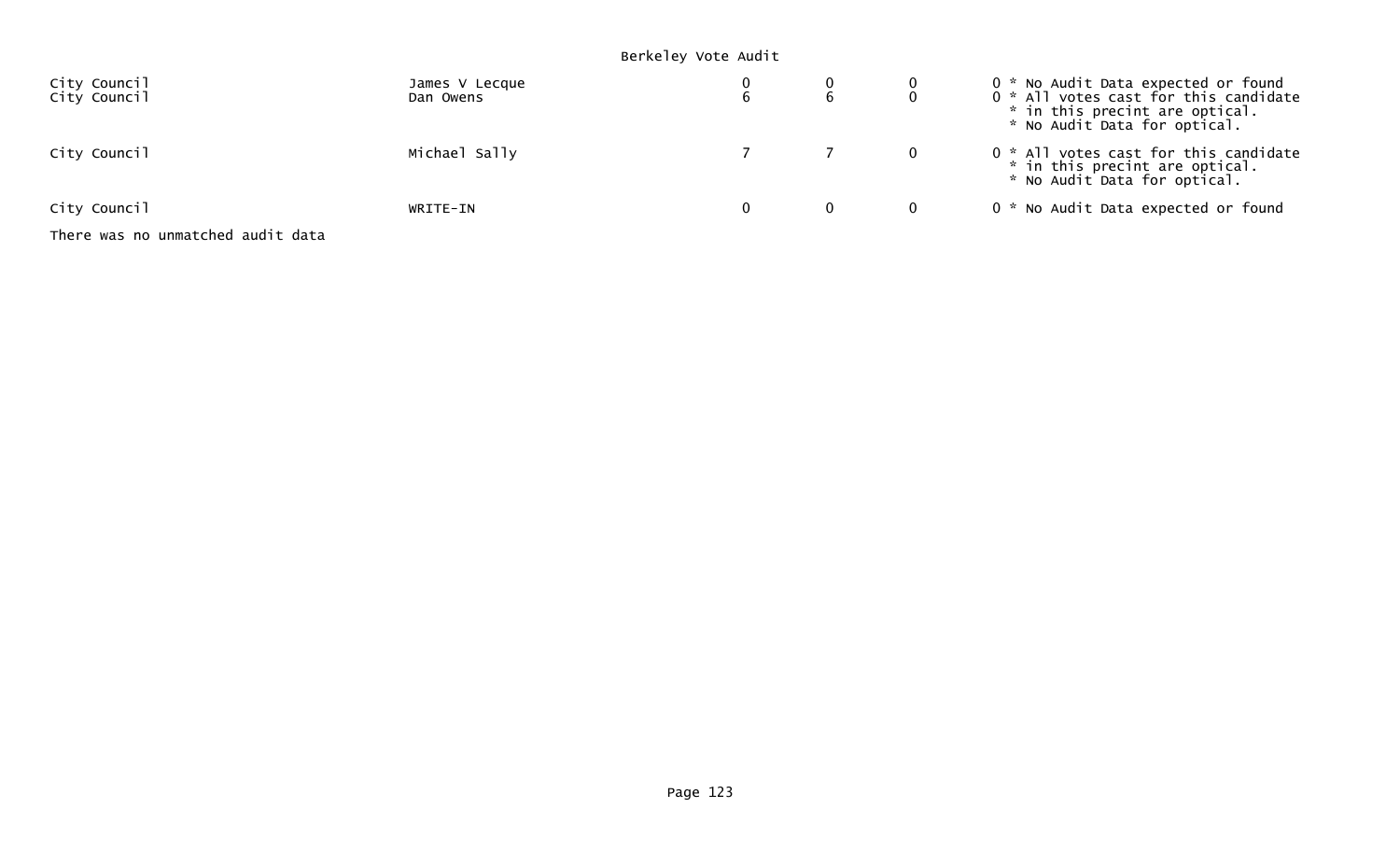## Berkeley Vote Audit

| City Council<br>City Council      | James V Lecque<br>Dan Owens |              | 0 * No Audit Data expected or found<br>0 * All votes cast for this candidate<br>* in this precint are optical.<br>* No Audit Data for optical. |
|-----------------------------------|-----------------------------|--------------|------------------------------------------------------------------------------------------------------------------------------------------------|
| City Council                      | Michael Sally               |              | 0 * All votes cast for this candidate<br>* in this precint are optical.<br>* No Audit Data for optical.                                        |
| City Council                      | WRITE-IN                    | $\mathbf{0}$ | 0 * No Audit Data expected or found                                                                                                            |
| There was no unmatched audit data |                             |              |                                                                                                                                                |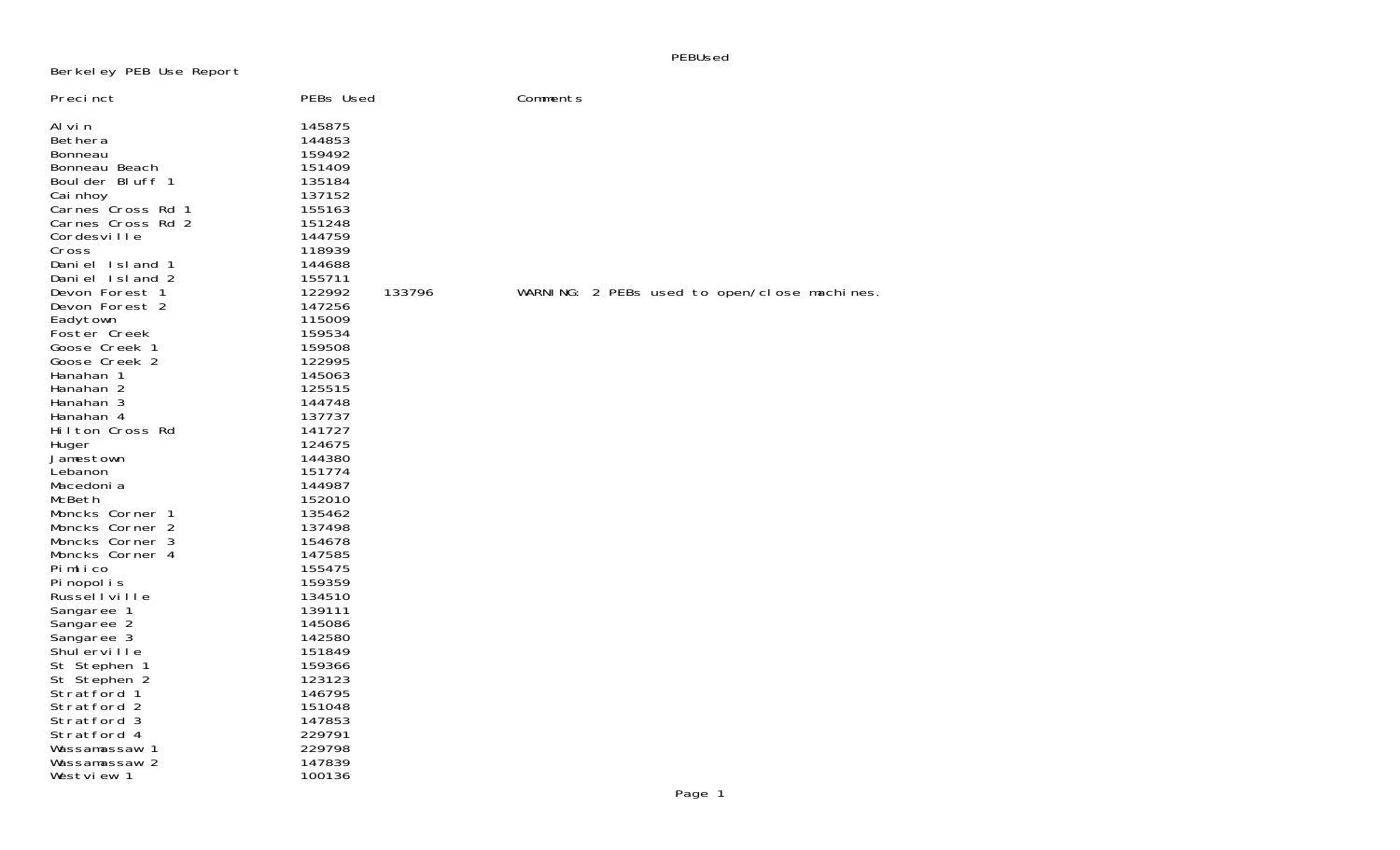PEBUsed

## Berkeley PEB Use Report

| Precinct                                                                                                                                                                                                                                                                                                                                                                                                                                                                                                                                                                   | PEBs Used                                                                                                                                                                                                                                                                                                                                                                                | Comments                                    |
|----------------------------------------------------------------------------------------------------------------------------------------------------------------------------------------------------------------------------------------------------------------------------------------------------------------------------------------------------------------------------------------------------------------------------------------------------------------------------------------------------------------------------------------------------------------------------|------------------------------------------------------------------------------------------------------------------------------------------------------------------------------------------------------------------------------------------------------------------------------------------------------------------------------------------------------------------------------------------|---------------------------------------------|
| Al vi n<br>Bethera<br>Bonneau<br>Bonneau Beach<br>Boulder Bluff 1<br>Cai nhoy<br>Carnes Cross Rd 1<br>Carnes Cross Rd 2<br>Cordesville<br>Cross<br>Daniel Island 1<br>Daniel Island 2<br>Devon Forest 1<br>Devon Forest 2<br>Eadytown<br>Foster Creek<br>Goose Creek 1<br>Goose Creek 2<br>Hanahan 1<br>Hanahan 2<br>Hanahan 3<br>Hanahan 4<br>Hilton Cross Rd<br>Huger<br>Jamestown<br>Lebanon<br>Macedoni a<br>McBeth<br>Moncks Corner 1<br>Moncks Corner 2<br>Moncks Corner 3<br>Moncks Corner 4<br>Pimlico<br>Pi nopol i s<br>Russellville<br>Sangaree 1<br>Sangaree 2 | 145875<br>144853<br>159492<br>151409<br>135184<br>137152<br>155163<br>151248<br>144759<br>118939<br>144688<br>155711<br>122992<br>133796<br>147256<br>115009<br>159534<br>159508<br>122995<br>145063<br>125515<br>144748<br>137737<br>141727<br>124675<br>144380<br>151774<br>144987<br>152010<br>135462<br>137498<br>154678<br>147585<br>155475<br>159359<br>134510<br>139111<br>145086 | WARNING: 2 PEBs used to open/close machines |
| Sangaree 3<br>Shulerville                                                                                                                                                                                                                                                                                                                                                                                                                                                                                                                                                  | 142580<br>151849                                                                                                                                                                                                                                                                                                                                                                         |                                             |
| St Stephen 1<br>St Stephen 2<br>Stratford 1                                                                                                                                                                                                                                                                                                                                                                                                                                                                                                                                | 159366<br>123123<br>146795                                                                                                                                                                                                                                                                                                                                                               |                                             |
| Stratford 2<br>Stratford 3<br>Stratford 4                                                                                                                                                                                                                                                                                                                                                                                                                                                                                                                                  | 151048<br>147853<br>229791                                                                                                                                                                                                                                                                                                                                                               |                                             |
| Wassamassaw 1<br>Wassamassaw 2<br>Westview 1                                                                                                                                                                                                                                                                                                                                                                                                                                                                                                                               | 229798<br>147839<br>100136                                                                                                                                                                                                                                                                                                                                                               |                                             |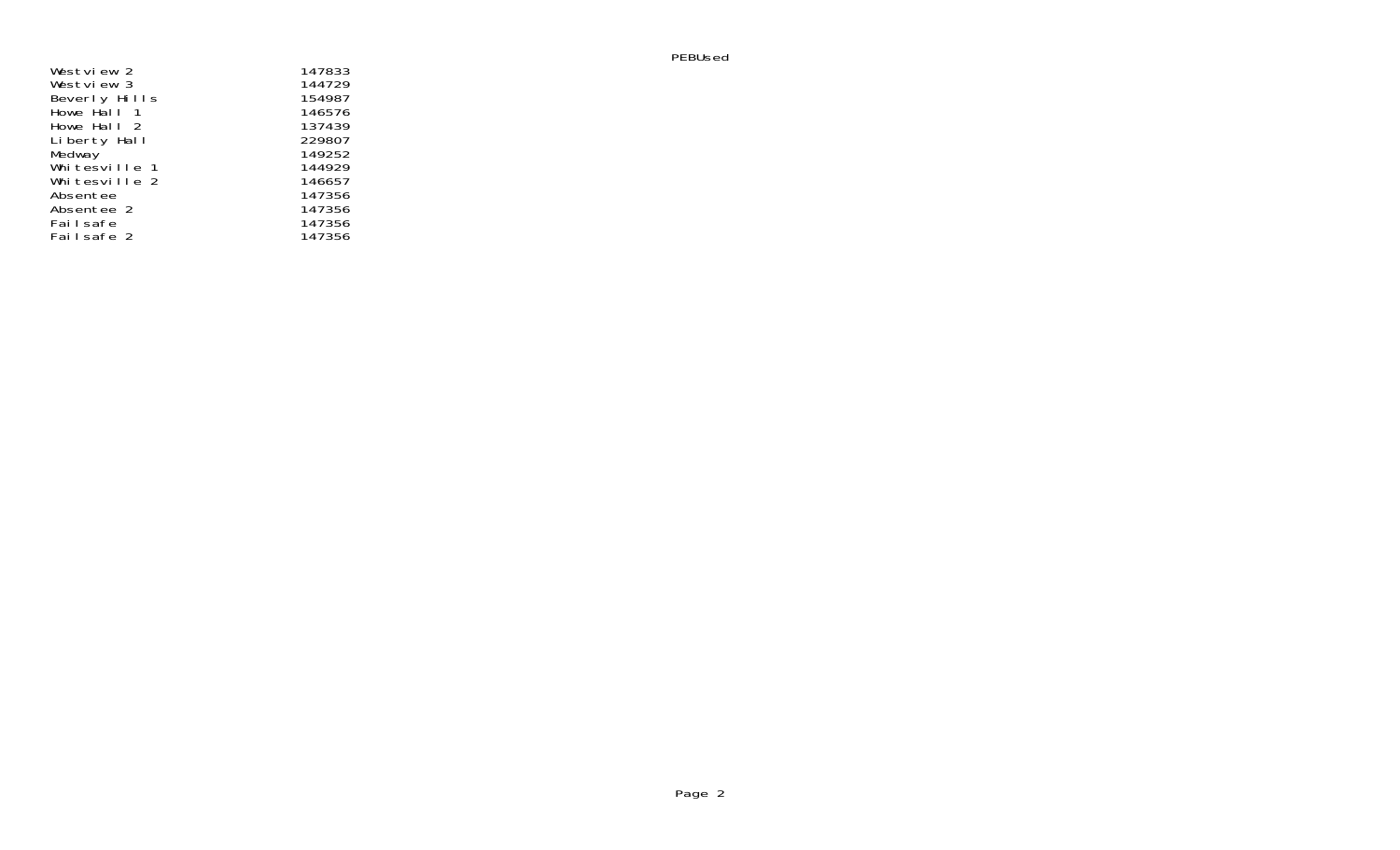| Westview 2    | 147833 |
|---------------|--------|
| Westview 3    | 144729 |
| Beverly Hills | 154987 |
| Howe Hall 1   | 146576 |
| Howe Hall 2   | 137439 |
| Liberty Hall  | 229807 |
| Medway        | 149252 |
| Whitesville 1 | 144929 |
| Whitesville 2 | 146657 |
| Absentee      | 147356 |
| Absentee 2    | 147356 |
| Failsafe      | 147356 |
| Failsafe 2    | 147356 |

PEBUsed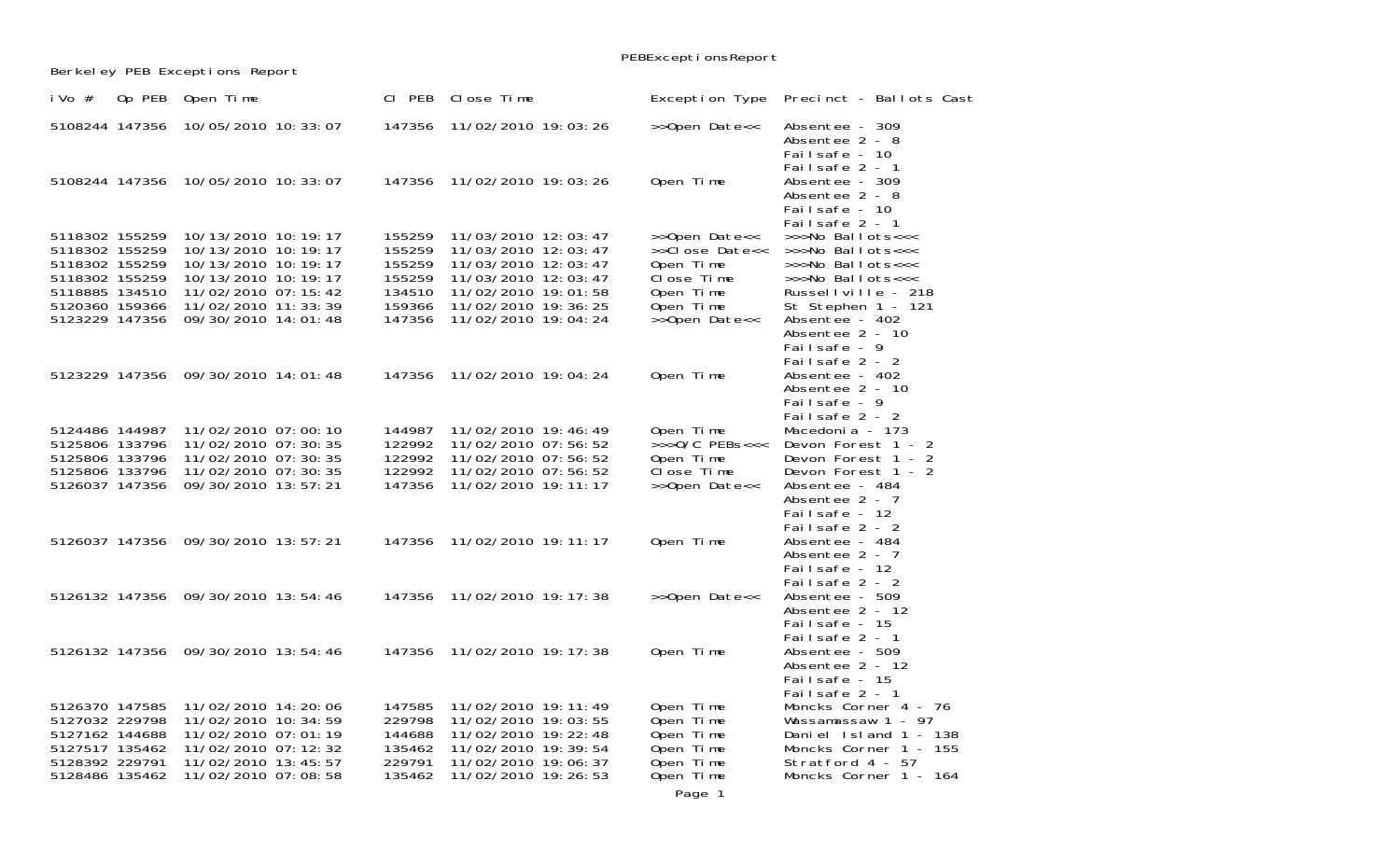|                                  |                                              |                  |                                            | PEBExceptionsReport     |                                                                     |
|----------------------------------|----------------------------------------------|------------------|--------------------------------------------|-------------------------|---------------------------------------------------------------------|
|                                  | Berkeley PEB Exceptions Report               |                  |                                            |                         |                                                                     |
| Op PEB<br>i Vo $#$               | Open Time                                    | CI PEB           | Close Time                                 | Exception Type          | Precinct - Ballots Cast                                             |
| 5108244 147356                   | 10/05/2010 10: 33: 07                        | 147356           | 11/02/2010 19:03:26                        | >>Open Date<<           | Absentee - 309<br>Absentee 2 - 8<br>Failsafe - 10<br>Failsafe 2 - 1 |
| 5108244 147356                   | 10/05/2010 10: 33: 07                        | 147356           | 11/02/2010 19:03:26                        | Open Time               | Absentee - 309<br>Absentee 2 - 8<br>Failsafe - 10<br>Failsafe 2 - 1 |
| 5118302 155259                   | 10/13/2010 10: 19: 17                        | 155259           | 11/03/2010 12:03:47                        | >>Open Date<<           | >>>No Ballots<<<                                                    |
| 5118302 155259                   | 10/13/2010 10: 19: 17                        | 155259           | 11/03/2010 12:03:47                        | >>Close Date<<          | >>>No Ballots<<<                                                    |
| 5118302 155259                   | 10/13/2010 10: 19: 17                        | 155259           | 11/03/2010 12:03:47                        | Open Time               | >>>No Ballots<<<                                                    |
| 5118302 155259<br>5118885 134510 | 10/13/2010 10: 19: 17<br>11/02/2010 07:15:42 | 155259<br>134510 | 11/03/2010 12:03:47<br>11/02/2010 19:01:58 | Close Time<br>Open Time | >>>No Ballots<<<<br>Russellville - 218                              |
| 5120360 159366                   | 11/02/2010 11: 33: 39                        | 159366           | 11/02/2010 19: 36: 25                      | Open Time               | St Stephen 1 - 121                                                  |
| 5123229 147356                   | 09/30/2010 14:01:48                          | 147356           | 11/02/2010 19:04:24                        | >>Open Date<<           | Absentee - 402                                                      |
|                                  |                                              |                  |                                            |                         | Absentee 2 - 10                                                     |
|                                  |                                              |                  |                                            |                         | Failsafe - 9                                                        |
|                                  |                                              |                  |                                            |                         | Failsafe 2 - 2                                                      |
|                                  | 5123229 147356 09/30/2010 14:01:48           | 147356           | 11/02/2010 19:04:24                        | Open Time               | Absentee - 402                                                      |
|                                  |                                              |                  |                                            |                         | Absentee 2 - 10<br>Failsafe - 9                                     |
|                                  |                                              |                  |                                            |                         | Failsafe 2 - 2                                                      |
| 5124486 144987                   | 11/02/2010 07:00:10                          | 144987           | 11/02/2010 19:46:49                        | Open Time               | Macedoni a - 173                                                    |
| 5125806 133796                   | 11/02/2010 07:30:35                          | 122992           | 11/02/2010 07:56:52                        | $>>0/C$ PEBs<<<         | Devon Forest 1 - 2                                                  |
| 5125806 133796                   | 11/02/2010 07:30:35                          | 122992           | 11/02/2010 07:56:52                        | Open Time               | Devon Forest 1 - 2                                                  |
| 5125806 133796                   | 11/02/2010 07:30:35                          | 122992           | 11/02/2010 07:56:52                        | Close Time              | Devon Forest 1 - 2                                                  |
| 5126037 147356                   | 09/30/2010 13:57:21                          | 147356           | 11/02/2010 19: 11: 17                      | >>Open Date<<           | Absentee - 484                                                      |
|                                  |                                              |                  |                                            |                         | Absentee 2 - 7<br>Failsafe - 12                                     |
|                                  |                                              |                  |                                            |                         | Failsafe 2 - 2                                                      |
|                                  | 5126037 147356 09/30/2010 13:57:21           | 147356           | 11/02/2010 19: 11: 17                      | Open Time               | Absentee - 484                                                      |
|                                  |                                              |                  |                                            |                         | Absentee 2 - 7                                                      |
|                                  |                                              |                  |                                            |                         | Failsafe - 12                                                       |
|                                  |                                              |                  |                                            |                         | Failsafe 2 - 2                                                      |
|                                  | 5126132 147356 09/30/2010 13:54:46           | 147356           | 11/02/2010 19: 17: 38                      | >>Open Date<<           | Absentee - 509<br>Absentee 2 - 12                                   |
|                                  |                                              |                  |                                            |                         | Failsafe - 15                                                       |
|                                  |                                              |                  |                                            |                         | Failsafe 2 - 1                                                      |
|                                  | 5126132 147356 09/30/2010 13:54:46           | 147356           | 11/02/2010 19: 17: 38                      | Open Time               | Absentee - 509                                                      |
|                                  |                                              |                  |                                            |                         | Absentee 2 - 12                                                     |
|                                  |                                              |                  |                                            |                         | Failsafe - 15                                                       |
| 5126370 147585                   | 11/02/2010 14:20:06                          | 147585           | 11/02/2010 19: 11: 49                      | Open Time               | Failsafe 2 - 1<br>Moncks Corner 4 - 76                              |
| 5127032 229798                   | 11/02/2010 10: 34: 59                        | 229798           | 11/02/2010 19:03:55                        | Open Time               | Wassamassaw 1 - 97                                                  |
| 5127162 144688                   | 11/02/2010 07:01:19                          | 144688           | 11/02/2010 19: 22: 48                      | Open Time               | Daniel Island 1 - 138                                               |
| 5127517 135462                   | 11/02/2010 07: 12: 32                        | 135462           | 11/02/2010 19: 39: 54                      | Open Time               | Moncks Corner 1 - 155                                               |
| 5128392 229791                   | 11/02/2010 13:45:57                          | 229791           | 11/02/2010 19:06:37                        | Open Time               | Stratford 4 - 57                                                    |
| 5128486 135462                   | 11/02/2010 07:08:58                          | 135462           | 11/02/2010 19: 26: 53                      | Open Time               | Moncks Corner 1 - 164                                               |
|                                  |                                              |                  |                                            |                         |                                                                     |

Page 1